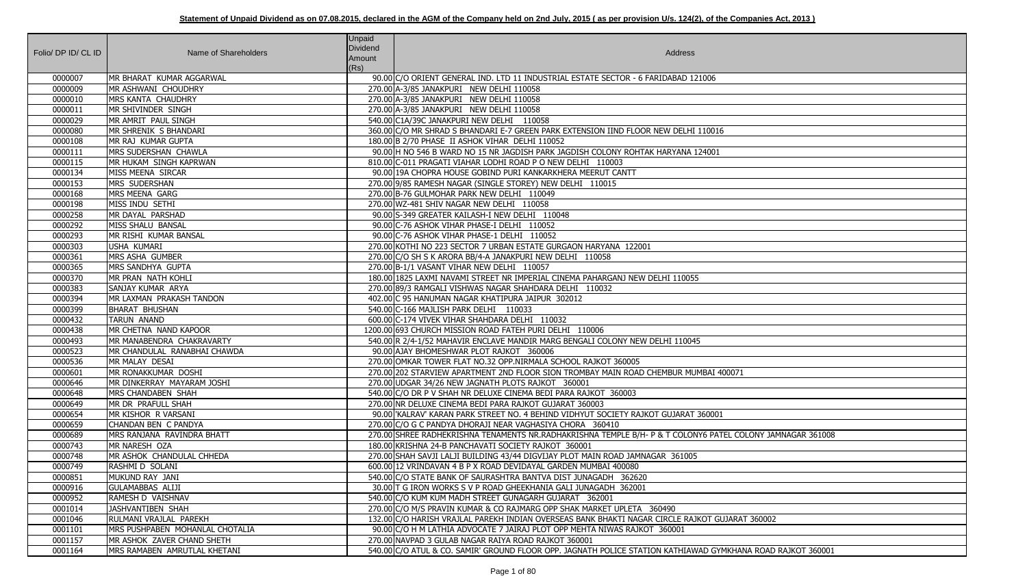| Folio/ DP ID/ CL ID | Name of Shareholders            | <b>Unpaid</b><br>Dividend<br>Amount<br>(Rs) | Address                                                                                                     |
|---------------------|---------------------------------|---------------------------------------------|-------------------------------------------------------------------------------------------------------------|
| 0000007             | MR BHARAT KUMAR AGGARWAL        |                                             | 90.00 C/O ORIENT GENERAL IND. LTD 11 INDUSTRIAL ESTATE SECTOR - 6 FARIDABAD 121006                          |
| 0000009             | MR ASHWANI CHOUDHRY             |                                             | 270.00 A-3/85 JANAKPURI NEW DELHI 110058                                                                    |
| 0000010             | MRS KANTA CHAUDHRY              |                                             | 270.00 A-3/85 JANAKPURI NEW DELHI 110058                                                                    |
| 0000011             | MR SHIVINDER SINGH              |                                             | 270.00 A-3/85 JANAKPURI NEW DELHI 110058                                                                    |
| 0000029             | MR AMRIT PAUL SINGH             |                                             | 540.00 C1A/39C JANAKPURI NEW DELHI 110058                                                                   |
| 0000080             | MR SHRENIK S BHANDARI           |                                             | 360.00 C/O MR SHRAD S BHANDARI E-7 GREEN PARK EXTENSION IIND FLOOR NEW DELHI 110016                         |
| 0000108             | MR RAJ KUMAR GUPTA              |                                             | 180.00 B 2/70 PHASE II ASHOK VIHAR DELHI 110052                                                             |
| 0000111             | MRS SUDERSHAN CHAWLA            |                                             | 90.00 H NO 546 B WARD NO 15 NR JAGDISH PARK JAGDISH COLONY ROHTAK HARYANA 124001                            |
| 0000115             | MR HUKAM SINGH KAPRWAN          |                                             | 810.00 C-011 PRAGATI VIAHAR LODHI ROAD P O NEW DELHI 110003                                                 |
| 0000134             | MISS MEENA SIRCAR               |                                             | 90.00 19A CHOPRA HOUSE GOBIND PURI KANKARKHERA MEERUT CANTT                                                 |
| 0000153             | MRS SUDERSHAN                   |                                             | 270.00 9/85 RAMESH NAGAR (SINGLE STOREY) NEW DELHI 110015                                                   |
| 0000168             | MRS MEENA GARG                  |                                             | 270.00 B-76 GULMOHAR PARK NEW DELHI 110049                                                                  |
| 0000198             | MISS INDU SETHI                 |                                             | 270.00 WZ-481 SHIV NAGAR NEW DELHI 110058                                                                   |
| 0000258             | MR DAYAL PARSHAD                |                                             | 90.00 S-349 GREATER KAILASH-I NEW DELHI 110048                                                              |
| 0000292             | MISS SHALU BANSAL               |                                             | 90.00 C-76 ASHOK VIHAR PHASE-I DELHI 110052                                                                 |
| 0000293             | MR RISHI KUMAR BANSAL           |                                             | 90.00 C-76 ASHOK VIHAR PHASE-1 DELHI 110052                                                                 |
| 0000303             | USHA KUMARI                     |                                             | 270.00 KOTHI NO 223 SECTOR 7 URBAN ESTATE GURGAON HARYANA 122001                                            |
| 0000361             | MRS ASHA GUMBER                 |                                             | 270.00 C/O SH S K ARORA BB/4-A JANAKPURI NEW DELHI 110058                                                   |
| 0000365             | MRS SANDHYA GUPTA               |                                             | 270.00 B-1/1 VASANT VIHAR NEW DELHI 110057                                                                  |
| 0000370             | MR PRAN NATH KOHLI              |                                             | 180.00 1825 LAXMI NAVAMI STREET NR IMPERIAL CINEMA PAHARGANJ NEW DELHI 110055                               |
| 0000383             | SANJAY KUMAR ARYA               |                                             | 270.00 89/3 RAMGALI VISHWAS NAGAR SHAHDARA DELHI 110032                                                     |
| 0000394             | MR LAXMAN PRAKASH TANDON        |                                             | 402.00 C 95 HANUMAN NAGAR KHATIPURA JAIPUR 302012                                                           |
| 0000399             | <b>BHARAT BHUSHAN</b>           |                                             | 540.00 C-166 MAJLISH PARK DELHI 110033                                                                      |
| 0000432             | <b>TARUN ANAND</b>              |                                             | 600.00 C-174 VIVEK VIHAR SHAHDARA DELHI 110032                                                              |
| 0000438             | MR CHETNA NAND KAPOOR           |                                             | 1200.00 693 CHURCH MISSION ROAD FATEH PURI DELHI 110006                                                     |
| 0000493             | MR MANABENDRA CHAKRAVARTY       |                                             | 540.00 R 2/4-1/52 MAHAVIR ENCLAVE MANDIR MARG BENGALI COLONY NEW DELHI 110045                               |
| 0000523             | MR CHANDULAL RANABHAI CHAWDA    |                                             | 90.00 AJAY BHOMESHWAR PLOT RAJKOT 360006                                                                    |
| 0000536             | MR MALAY DESAI                  |                                             | 270.00 OMKAR TOWER FLAT NO.32 OPP.NIRMALA SCHOOL RAJKOT 360005                                              |
| 0000601             | MR RONAKKUMAR DOSHI             |                                             | 270.00 202 STARVIEW APARTMENT 2ND FLOOR SION TROMBAY MAIN ROAD CHEMBUR MUMBAI 400071                        |
| 0000646             | MR DINKERRAY MAYARAM JOSHI      |                                             | 270.00 UDGAR 34/26 NEW JAGNATH PLOTS RAJKOT 360001                                                          |
| 0000648             | MRS CHANDABEN SHAH              |                                             | 540.00 C/O DR P V SHAH NR DELUXE CINEMA BEDI PARA RAJKOT 360003                                             |
| 0000649             | MR DR PRAFULL SHAH              |                                             | 270.00 NR DELUXE CINEMA BEDI PARA RAJKOT GUJARAT 360003                                                     |
| 0000654             | MR KISHOR R VARSANI             |                                             | 90.00 KALRAV' KARAN PARK STREET NO. 4 BEHIND VIDHYUT SOCIETY RAJKOT GUJARAT 360001                          |
| 0000659             | CHANDAN BEN C PANDYA            |                                             | 270.00 C/O G C PANDYA DHORAJI NEAR VAGHASIYA CHORA 360410                                                   |
| 0000689             | MRS RANJANA RAVINDRA BHATT      |                                             | 270.00 SHREE RADHEKRISHNA TENAMENTS NR.RADHAKRISHNA TEMPLE B/H- P & T COLONY6 PATEL COLONY JAMNAGAR 361008  |
| 0000743             | MR NARESH OZA                   |                                             | 180.00 KRISHNA 24-B PANCHAVATI SOCIETY RAJKOT 360001                                                        |
| 0000748             | MR ASHOK CHANDULAL CHHEDA       |                                             | 270.00 SHAH SAVJI LALJI BUILDING 43/44 DIGVIJAY PLOT MAIN ROAD JAMNAGAR 361005                              |
| 0000749             | RASHMI D SOLANI                 |                                             | 600.00 12 VRINDAVAN 4 B P X ROAD DEVIDAYAL GARDEN MUMBAI 400080                                             |
| 0000851             | MUKUND RAY JANI                 |                                             | 540.00 C/O STATE BANK OF SAURASHTRA BANTVA DIST JUNAGADH 362620                                             |
| 0000916             | <b>GULAMABBAS ALIJI</b>         |                                             | 30.00 T G IRON WORKS S V P ROAD GHEEKHANIA GALI JUNAGADH 362001                                             |
| 0000952             | RAMESH D VAISHNAV               |                                             | 540.00 C/O KUM KUM MADH STREET GUNAGARH GUJARAT 362001                                                      |
| 0001014             | JASHVANTIBEN SHAH               |                                             | 270.00 C/O M/S PRAVIN KUMAR & CO RAJMARG OPP SHAK MARKET UPLETA 360490                                      |
| 0001046             | RULMANI VRAJLAL PAREKH          |                                             | 132.00 C/O HARISH VRAJLAL PAREKH INDIAN OVERSEAS BANK BHAKTI NAGAR CIRCLE RAJKOT GUJARAT 360002             |
| 0001101             | MRS PUSHPABEN MOHANLAL CHOTALIA |                                             | 90.00 C/O H M LATHIA ADVOCATE 7 JAIRAJ PLOT OPP MEHTA NIWAS RAJKOT 360001                                   |
| 0001157             | MR ASHOK ZAVER CHAND SHETH      |                                             | 270.00 NAVPAD 3 GULAB NAGAR RAIYA ROAD RAJKOT 360001                                                        |
| 0001164             | MRS RAMABEN AMRUTLAL KHETANI    |                                             | 540.00 C/O ATUL & CO. SAMIR' GROUND FLOOR OPP. JAGNATH POLICE STATION KATHIAWAD GYMKHANA ROAD RAJKOT 360001 |

| 00071                     |
|---------------------------|
|                           |
|                           |
|                           |
| EL COLONY JAMNAGAR 361008 |
|                           |
|                           |
|                           |
|                           |
|                           |
| JJARAT 360002             |
|                           |
| MKHANA ROAD RAJKOT 360001 |
|                           |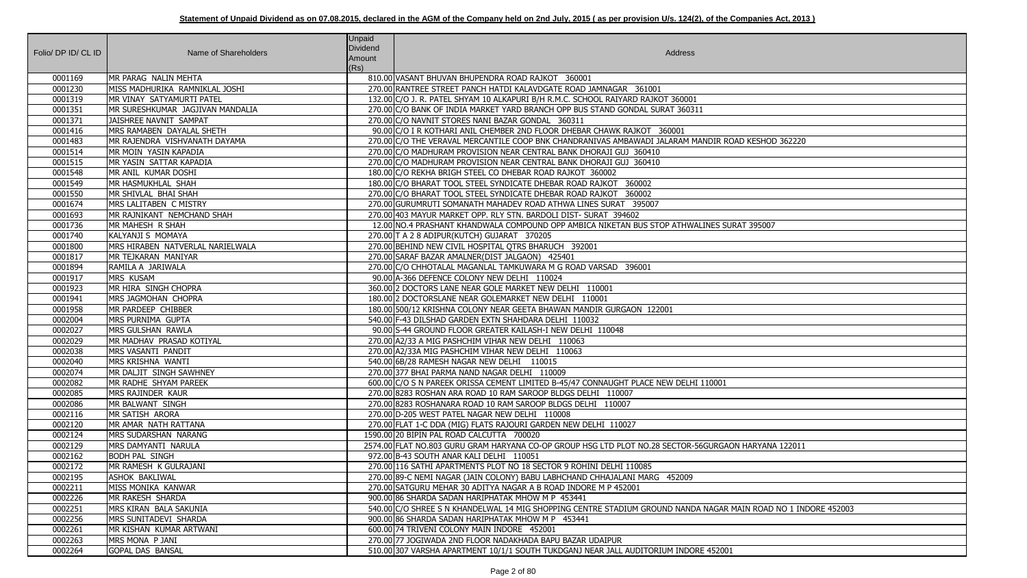| Folio/ DP ID/ CL ID | Name of Shareholders                            | <b>Unpaid</b><br>Dividend<br>Amount<br>(Rs) | Address                                                                                                                                                             |
|---------------------|-------------------------------------------------|---------------------------------------------|---------------------------------------------------------------------------------------------------------------------------------------------------------------------|
| 0001169             | MR PARAG NALIN MEHTA                            |                                             | 810.00 VASANT BHUVAN BHUPENDRA ROAD RAJKOT 360001                                                                                                                   |
| 0001230             | MISS MADHURIKA RAMNIKLAL JOSHI                  |                                             | 270.00 RANTREE STREET PANCH HATDI KALAVDGATE ROAD JAMNAGAR 361001                                                                                                   |
| 0001319             | MR VINAY SATYAMURTI PATEL                       |                                             | 132.00 C/O J. R. PATEL SHYAM 10 ALKAPURI B/H R.M.C. SCHOOL RAIYARD RAJKOT 360001                                                                                    |
| 0001351             | MR SURESHKUMAR JAGJIVAN MANDALIA                |                                             | 270.00 C/O BANK OF INDIA MARKET YARD BRANCH OPP BUS STAND GONDAL SURAT 360311                                                                                       |
| 0001371             | JAISHREE NAVNIT SAMPAT                          |                                             | 270.00 C/O NAVNIT STORES NANI BAZAR GONDAL 360311                                                                                                                   |
| 0001416             | MRS RAMABEN DAYALAL SHETH                       |                                             | 90.00 C/O I R KOTHARI ANIL CHEMBER 2ND FLOOR DHEBAR CHAWK RAJKOT 360001                                                                                             |
| 0001483             | MR RAJENDRA VISHVANATH DAYAMA                   |                                             | 270.00 C/O THE VERAVAL MERCANTILE COOP BNK CHANDRANIVAS AMBAWADI JALARAM MANDIR ROAD KESHOD 362220                                                                  |
| 0001514             | MR MOIN YASIN KAPADIA                           |                                             | 270.00 C/O MADHURAM PROVISION NEAR CENTRAL BANK DHORAJI GUJ 360410                                                                                                  |
| 0001515             | MR YASIN SATTAR KAPADIA                         |                                             | 270.00 C/O MADHURAM PROVISION NEAR CENTRAL BANK DHORAJI GUJ 360410                                                                                                  |
| 0001548             | MR ANIL KUMAR DOSHI                             |                                             | 180.00 C/O REKHA BRIGH STEEL CO DHEBAR ROAD RAJKOT 360002                                                                                                           |
| 0001549             | MR HASMUKHLAL SHAH                              |                                             | 180.00 C/O BHARAT TOOL STEEL SYNDICATE DHEBAR ROAD RAJKOT 360002                                                                                                    |
| 0001550             | MR SHIVLAL BHAI SHAH                            |                                             | 270.00 C/O BHARAT TOOL STEEL SYNDICATE DHEBAR ROAD RAJKOT 360002                                                                                                    |
| 0001674             | MRS LALITABEN C MISTRY                          |                                             | 270.00 GURUMRUTI SOMANATH MAHADEV ROAD ATHWA LINES SURAT 395007                                                                                                     |
| 0001693             | MR RAJNIKANT NEMCHAND SHAH                      |                                             | 270.00 403 MAYUR MARKET OPP. RLY STN. BARDOLI DIST- SURAT 394602                                                                                                    |
| 0001736             | MR MAHESH R SHAH                                |                                             | 12.00 NO.4 PRASHANT KHANDWALA COMPOUND OPP AMBICA NIKETAN BUS STOP ATHWALINES SURAT 395007                                                                          |
| 0001740             | KALYANJI S MOMAYA                               |                                             | 270.00 T A 2 8 ADIPUR(KUTCH) GUJARAT 370205                                                                                                                         |
| 0001800             | MRS HIRABEN NATVERLAL NARIELWALA                |                                             | 270.00 BEHIND NEW CIVIL HOSPITAL QTRS BHARUCH 392001                                                                                                                |
| 0001817             | MR TEJKARAN MANIYAR                             |                                             | 270.00 SARAF BAZAR AMALNER(DIST JALGAON) 425401                                                                                                                     |
| 0001894             | RAMILA A JARIWALA                               |                                             | 270.00 C/O CHHOTALAL MAGANLAL TAMKUWARA M G ROAD VARSAD 396001                                                                                                      |
| 0001917             | <b>MRS KUSAM</b>                                |                                             | 90.00 A-366 DEFENCE COLONY NEW DELHI 110024                                                                                                                         |
| 0001923             | MR HIRA SINGH CHOPRA                            |                                             | 360.00 2 DOCTORS LANE NEAR GOLE MARKET NEW DELHI 110001                                                                                                             |
| 0001941             | MRS JAGMOHAN CHOPRA                             |                                             | 180.00 2 DOCTORSLANE NEAR GOLEMARKET NEW DELHI 110001                                                                                                               |
| 0001958             | MR PARDEEP CHIBBER                              |                                             | 180.00 500/12 KRISHNA COLONY NEAR GEETA BHAWAN MANDIR GURGAON 122001                                                                                                |
| 0002004             | MRS PURNIMA GUPTA                               |                                             | 540.00 F-43 DILSHAD GARDEN EXTN SHAHDARA DELHI 110032                                                                                                               |
| 0002027             | <b>MRS GULSHAN RAWLA</b>                        |                                             | 90.00 S-44 GROUND FLOOR GREATER KAILASH-I NEW DELHI 110048                                                                                                          |
| 0002029             | MR MADHAV PRASAD KOTIYAL                        |                                             | 270.00 A2/33 A MIG PASHCHIM VIHAR NEW DELHI 110063                                                                                                                  |
| 0002038             | MRS VASANTI PANDIT                              |                                             | 270.00 A2/33A MIG PASHCHIM VIHAR NEW DELHI 110063                                                                                                                   |
| 0002040             | MRS KRISHNA WANTI                               |                                             | 540.00 6B/28 RAMESH NAGAR NEW DELHI 110015                                                                                                                          |
| 0002074             | MR DALJIT SINGH SAWHNEY                         |                                             | 270.00 377 BHAI PARMA NAND NAGAR DELHI 110009                                                                                                                       |
| 0002082             | MR RADHE SHYAM PAREEK                           |                                             | 600.00 C/O S N PAREEK ORISSA CEMENT LIMITED B-45/47 CONNAUGHT PLACE NEW DELHI 110001                                                                                |
| 0002085             | MRS RAJINDER KAUR                               |                                             | 270.00 8283 ROSHAN ARA ROAD 10 RAM SAROOP BLDGS DELHI 110007                                                                                                        |
| 0002086             | MR BALWANT SINGH                                |                                             | 270.00 8283 ROSHANARA ROAD 10 RAM SAROOP BLDGS DELHI 110007                                                                                                         |
| 0002116             | MR SATISH ARORA                                 |                                             | 270.00 D-205 WEST PATEL NAGAR NEW DELHI 110008                                                                                                                      |
| 0002120             | MR AMAR NATH RATTANA                            |                                             | 270.00 FLAT 1-C DDA (MIG) FLATS RAJOURI GARDEN NEW DELHI 110027                                                                                                     |
| 0002124             | MRS SUDARSHAN NARANG                            |                                             | 1590.00 20 BIPIN PAL ROAD CALCUTTA 700020                                                                                                                           |
| 0002129             | MRS DAMYANTI NARULA                             |                                             | 2574.00 FLAT NO.803 GURU GRAM HARYANA CO-OP GROUP HSG LTD PLOT NO.28 SECTOR-56GURGAON HARYANA 122011                                                                |
| 0002162             | <b>BODH PAL SINGH</b>                           |                                             | 972.00 B-43 SOUTH ANAR KALI DELHI 110051                                                                                                                            |
| 0002172             | MR RAMESH K GULRAJANI                           |                                             | 270.00 116 SATHI APARTMENTS PLOT NO 18 SECTOR 9 ROHINI DELHI 110085                                                                                                 |
| 0002195             | <b>ASHOK BAKLIWAL</b>                           |                                             | 270.00 89-C NEMI NAGAR (JAIN COLONY) BABU LABHCHAND CHHAJALANI MARG 452009                                                                                          |
| 0002211             | MISS MONIKA KANWAR                              |                                             | 270.00 SATGURU MEHAR 30 ADITYA NAGAR A B ROAD INDORE M P 452001                                                                                                     |
| 0002226             | MR RAKESH SHARDA                                |                                             | 900.00 86 SHARDA SADAN HARIPHATAK MHOW M P 453441                                                                                                                   |
| 0002251<br>0002256  | MRS KIRAN BALA SAKUNIA<br>MRS SUNITADEVI SHARDA |                                             | 540.00 C/O SHREE S N KHANDELWAL 14 MIG SHOPPING CENTRE STADIUM GROUND NANDA NAGAR MAIN ROAD NO 1 INDORE 452003<br>900.00 86 SHARDA SADAN HARIPHATAK MHOW M P 453441 |
| 0002261             | MR KISHAN KUMAR ARTWANI                         |                                             | 600.00 74 TRIVENI COLONY MAIN INDORE 452001                                                                                                                         |
| 0002263             | MRS MONA P JANI                                 |                                             | 270.00 77 JOGIWADA 2ND FLOOR NADAKHADA BAPU BAZAR UDAIPUR                                                                                                           |
| 0002264             | <b>GOPAL DAS BANSAL</b>                         |                                             | 510.00 307 VARSHA APARTMENT 10/1/1 SOUTH TUKDGANJ NEAR JALL AUDITORIUM INDORE 452001                                                                                |
|                     |                                                 |                                             |                                                                                                                                                                     |

| ROAD KESHOD 362220             |
|--------------------------------|
|                                |
|                                |
|                                |
| <b>SURAT 395007</b>            |
|                                |
|                                |
|                                |
|                                |
|                                |
| $\overline{1}$                 |
|                                |
|                                |
| AON HARYANA 122011             |
|                                |
|                                |
| R MAIN ROAD NO 1 INDORE 452003 |
|                                |
| $\overline{001}$               |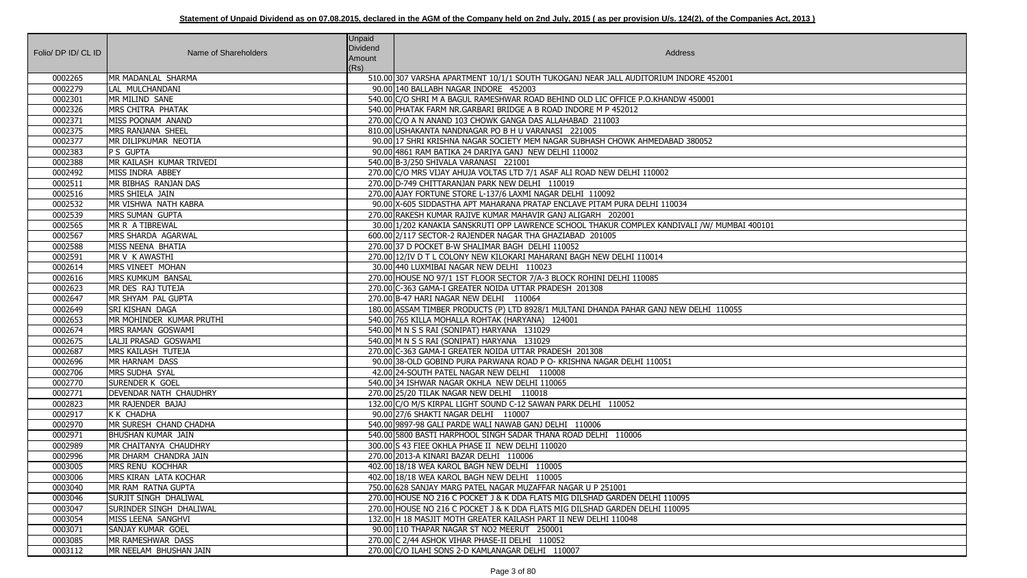| Folio/ DP ID/ CL ID | Name of Shareholders                          | <b>Unpaid</b><br>Dividend<br>Amount<br>(Rs) | Address                                                                                                                                          |
|---------------------|-----------------------------------------------|---------------------------------------------|--------------------------------------------------------------------------------------------------------------------------------------------------|
| 0002265             | MR MADANLAL SHARMA                            |                                             | 510.00 307 VARSHA APARTMENT 10/1/1 SOUTH TUKOGANJ NEAR JALL AUDITORIUM INDORE 452001                                                             |
| 0002279             | LAL MULCHANDANI                               |                                             | 90.00 140 BALLABH NAGAR INDORE 452003                                                                                                            |
| 0002301             | MR MILIND SANE                                |                                             | 540.00 C/O SHRI M A BAGUL RAMESHWAR ROAD BEHIND OLD LIC OFFICE P.O.KHANDW 450001                                                                 |
| 0002326             | MRS CHITRA PHATAK                             |                                             | 540.00 PHATAK FARM NR.GARBARI BRIDGE A B ROAD INDORE M P 452012                                                                                  |
| 0002371             | MISS POONAM ANAND                             |                                             | 270.00 C/O A N ANAND 103 CHOWK GANGA DAS ALLAHABAD 211003                                                                                        |
| 0002375             | MRS RANJANA SHEEL                             |                                             | 810.00 USHAKANTA NANDNAGAR PO B H U VARANASI 221005                                                                                              |
| 0002377             | MR DILIPKUMAR NEOTIA                          |                                             | 90.00 17 SHRI KRISHNA NAGAR SOCIETY MEM NAGAR SUBHASH CHOWK AHMEDABAD 380052                                                                     |
| 0002383             | P S GUPTA                                     |                                             | 90.00 4861 RAM BATIKA 24 DARIYA GANJ NEW DELHI 110002                                                                                            |
| 0002388             | MR KAILASH KUMAR TRIVEDI                      |                                             | 540.00 B-3/250 SHIVALA VARANASI 221001                                                                                                           |
| 0002492             | MISS INDRA ABBEY                              |                                             | 270.00 C/O MRS VIJAY AHUJA VOLTAS LTD 7/1 ASAF ALI ROAD NEW DELHI 110002                                                                         |
| 0002511             | MR BIBHAS RANJAN DAS                          |                                             | 270.00 D-749 CHITTARANJAN PARK NEW DELHI 110019                                                                                                  |
| 0002516             | MRS SHIELA JAIN                               |                                             | 270.00 AJAY FORTUNE STORE L-137/6 LAXMI NAGAR DELHI 110092                                                                                       |
| 0002532             | MR VISHWA NATH KABRA                          |                                             | 90.00 X-605 SIDDASTHA APT MAHARANA PRATAP ENCLAVE PITAM PURA DELHI 110034                                                                        |
| 0002539             | MRS SUMAN GUPTA                               |                                             | 270.00 RAKESH KUMAR RAJIVE KUMAR MAHAVIR GANJ ALIGARH 202001                                                                                     |
| 0002565             | MR R A TIBREWAL                               |                                             | 30.00 1/202 KANAKIA SANSKRUTI OPP LAWRENCE SCHOOL THAKUR COMPLEX KANDIVALI /W/ MUMBAI 400101                                                     |
| 0002567             | MRS SHARDA AGARWAL                            |                                             | 600.00 2/117 SECTOR-2 RAJENDER NAGAR THA GHAZIABAD 201005                                                                                        |
| 0002588             | MISS NEENA BHATIA                             |                                             | 270.00 37 D POCKET B-W SHALIMAR BAGH DELHI 110052                                                                                                |
| 0002591             | MR V K AWASTHI                                |                                             | 270.00 12/IV D T L COLONY NEW KILOKARI MAHARANI BAGH NEW DELHI 110014                                                                            |
| 0002614             | MRS VINEET MOHAN                              |                                             | 30.00 440 LUXMIBAI NAGAR NEW DELHI 110023                                                                                                        |
| 0002616             | MRS KUMKUM BANSAL                             |                                             | 270.00 HOUSE NO 97/1 1ST FLOOR SECTOR 7/A-3 BLOCK ROHINI DELHI 110085                                                                            |
| 0002623             | MR DES RAJ TUTEJA                             |                                             | 270.00 C-363 GAMA-I GREATER NOIDA UTTAR PRADESH 201308                                                                                           |
| 0002647             | MR SHYAM PAL GUPTA                            |                                             | 270.00 B-47 HARI NAGAR NEW DELHI 110064                                                                                                          |
| 0002649             | SRI KISHAN DAGA                               |                                             | 180.00 ASSAM TIMBER PRODUCTS (P) LTD 8928/1 MULTANI DHANDA PAHAR GANJ NEW DELHI 110055                                                           |
| 0002653             | MR MOHINDER KUMAR PRUTHI                      |                                             | 540.00 765 KILLA MOHALLA ROHTAK (HARYANA) 124001                                                                                                 |
| 0002674             | MRS RAMAN GOSWAMI                             |                                             | 540.00 M N S S RAI (SONIPAT) HARYANA 131029                                                                                                      |
| 0002675             | LALJI PRASAD GOSWAMI                          |                                             | 540.00 M N S S RAI (SONIPAT) HARYANA 131029                                                                                                      |
| 0002687             | MRS KAILASH TUTEJA                            |                                             | 270.00 C-363 GAMA-I GREATER NOIDA UTTAR PRADESH 201308                                                                                           |
| 0002696             | MR HARNAM DASS                                |                                             | 90.00 38-OLD GOBIND PURA PARWANA ROAD P O- KRISHNA NAGAR DELHI 110051                                                                            |
| 0002706             | MRS SUDHA SYAL                                |                                             | 42.00 24-SOUTH PATEL NAGAR NEW DELHI 110008                                                                                                      |
| 0002770             | <b>SURENDER K GOEL</b>                        |                                             | 540.00 34 ISHWAR NAGAR OKHLA NEW DELHI 110065                                                                                                    |
| 0002771             | DEVENDAR NATH CHAUDHRY                        |                                             | 270.00 25/20 TILAK NAGAR NEW DELHI 110018                                                                                                        |
| 0002823             | MR RAJENDER BAJAJ                             |                                             | 132.00 C/O M/S KIRPAL LIGHT SOUND C-12 SAWAN PARK DELHI 110052                                                                                   |
| 0002917             | K K CHADHA                                    |                                             | 90.00 27/6 SHAKTI NAGAR DELHI 110007                                                                                                             |
| 0002970             | MR SURESH CHAND CHADHA                        |                                             | 540.00 9897-98 GALI PARDE WALI NAWAB GANJ DELHI 110006                                                                                           |
| 0002971             | <b>BHUSHAN KUMAR JAIN</b>                     |                                             | 540.00 5800 BASTI HARPHOOL SINGH SADAR THANA ROAD DELHI 110006                                                                                   |
| 0002989             | MR CHAITANYA CHAUDHRY                         |                                             | 300.00 S 43 FIEE OKHLA PHASE II NEW DELHI 110020                                                                                                 |
| 0002996             | MR DHARM CHANDRA JAIN                         |                                             | 270.00 2013-A KINARI BAZAR DELHI 110006                                                                                                          |
| 0003005             | MRS RENU KOCHHAR                              |                                             | 402.00 18/18 WEA KAROL BAGH NEW DELHI 110005                                                                                                     |
| 0003006             | MRS KIRAN LATA KOCHAR                         |                                             | 402.00 18/18 WEA KAROL BAGH NEW DELHI 110005                                                                                                     |
| 0003040             | MR RAM RATNA GUPTA                            |                                             | 750.00 628 SANJAY MARG PATEL NAGAR MUZAFFAR NAGAR U P 251001                                                                                     |
| 0003046<br>0003047  | SURJIT SINGH DHALIWAL                         |                                             | 270.00 HOUSE NO 216 C POCKET J & K DDA FLATS MIG DILSHAD GARDEN DELHI 110095                                                                     |
| 0003054             | SURINDER SINGH DHALIWAL<br>MISS LEENA SANGHVI |                                             | 270.00 HOUSE NO 216 C POCKET J & K DDA FLATS MIG DILSHAD GARDEN DELHI 110095<br>132.00 H 18 MASJIT MOTH GREATER KAILASH PART II NEW DELHI 110048 |
| 0003071             | SANJAY KUMAR GOEL                             |                                             | 90.00 110 THAPAR NAGAR ST NO2 MEERUT 250001                                                                                                      |
| 0003085             | MR RAMESHWAR DASS                             |                                             | 270.00 C 2/44 ASHOK VIHAR PHASE-II DELHI 110052                                                                                                  |
| 0003112             | MR NEELAM BHUSHAN JAIN                        |                                             | 270.00 C/O ILAHI SONS 2-D KAMLANAGAR DELHI 110007                                                                                                |
|                     |                                               |                                             |                                                                                                                                                  |

| $\overline{)01}$ |  |
|------------------|--|
|                  |  |
|                  |  |
|                  |  |
|                  |  |
|                  |  |
|                  |  |
|                  |  |
|                  |  |
| UMBAI 400101     |  |
|                  |  |
|                  |  |
|                  |  |
|                  |  |
|                  |  |
| 10055            |  |
|                  |  |
|                  |  |
|                  |  |
|                  |  |
|                  |  |
|                  |  |
|                  |  |
|                  |  |
|                  |  |
|                  |  |
|                  |  |
|                  |  |
|                  |  |
|                  |  |
|                  |  |
|                  |  |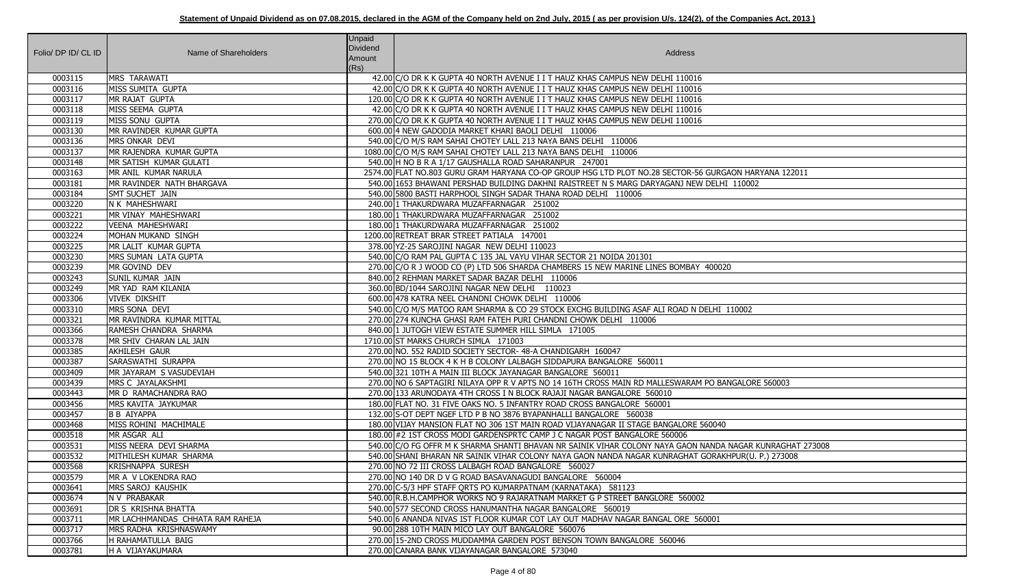| Folio/ DP ID/ CL ID | Name of Shareholders                    | <b>Unpaid</b><br><b>Dividend</b><br>Amount | Address                                                                                                   |
|---------------------|-----------------------------------------|--------------------------------------------|-----------------------------------------------------------------------------------------------------------|
| 0003115             | <b>MRS TARAWATI</b>                     | (Rs)                                       | 42.00 C/O DR K K GUPTA 40 NORTH AVENUE I I T HAUZ KHAS CAMPUS NEW DELHI 110016                            |
| 0003116             | MISS SUMITA GUPTA                       |                                            | 42.00 C/O DR K K GUPTA 40 NORTH AVENUE I I T HAUZ KHAS CAMPUS NEW DELHI 110016                            |
| 0003117             | MR RAJAT GUPTA                          |                                            | 120.00 C/O DR K K GUPTA 40 NORTH AVENUE I I T HAUZ KHAS CAMPUS NEW DELHI 110016                           |
| 0003118             | MISS SEEMA GUPTA                        |                                            | 42.00 C/O DR K K GUPTA 40 NORTH AVENUE I I T HAUZ KHAS CAMPUS NEW DELHI 110016                            |
| 0003119             | MISS SONU GUPTA                         |                                            | 270.00 C/O DR K K GUPTA 40 NORTH AVENUE I I T HAUZ KHAS CAMPUS NEW DELHI 110016                           |
| 0003130             | MR RAVINDER KUMAR GUPTA                 |                                            | 600.00 4 NEW GADODIA MARKET KHARI BAOLI DELHI 110006                                                      |
| 0003136             | MRS ONKAR DEVI                          |                                            | 540.00 C/O M/S RAM SAHAI CHOTEY LALL 213 NAYA BANS DELHI 110006                                           |
| 0003137             | MR RAJENDRA KUMAR GUPTA                 |                                            | 1080.00 C/O M/S RAM SAHAI CHOTEY LALL 213 NAYA BANS DELHI 110006                                          |
| 0003148             | MR SATISH KUMAR GULATI                  |                                            | 540.00 H NO B R A 1/17 GAUSHALLA ROAD SAHARANPUR 247001                                                   |
| 0003163             | MR ANIL KUMAR NARULA                    |                                            | 2574.00 FLAT NO.803 GURU GRAM HARYANA CO-OP GROUP HSG LTD PLOT NO.28 SECTOR-56 GURGAON HARYANA 122011     |
| 0003181             | MR RAVINDER NATH BHARGAVA               |                                            | 540.00 1653 BHAWANI PERSHAD BUILDING DAKHNI RAISTREET N S MARG DARYAGANJ NEW DELHI 110002                 |
| 0003184             | <b>SMT SUCHET JAIN</b>                  |                                            | 540.00 5800 BASTI HARPHOOL SINGH SADAR THANA ROAD DELHI 110006                                            |
| 0003220             | N K MAHESHWARI                          |                                            | 240.00 1 THAKURDWARA MUZAFFARNAGAR 251002                                                                 |
| 0003221             | MR VINAY MAHESHWARI                     |                                            | 180.00 1 THAKURDWARA MUZAFFARNAGAR 251002                                                                 |
| 0003222             | VEENA MAHESHWARI                        |                                            | 180.00 1 THAKURDWARA MUZAFFARNAGAR 251002                                                                 |
| 0003224             | MOHAN MUKAND SINGH                      |                                            | 1200.00 RETREAT BRAR STREET PATIALA 147001                                                                |
| 0003225             | MR LALIT KUMAR GUPTA                    |                                            | 378.00 YZ-25 SAROJINI NAGAR NEW DELHI 110023                                                              |
| 0003230             | MRS SUMAN LATA GUPTA                    |                                            | 540.00 C/O RAM PAL GUPTA C 135 JAL VAYU VIHAR SECTOR 21 NOIDA 201301                                      |
| 0003239             | MR GOVIND DEV                           |                                            | 270.00 C/O R J WOOD CO (P) LTD 506 SHARDA CHAMBERS 15 NEW MARINE LINES BOMBAY 400020                      |
| 0003243             | SUNIL KUMAR JAIN                        |                                            | 840.00 2 REHMAN MARKET SADAR BAZAR DELHI 110006                                                           |
| 0003249             | MR YAD RAM KILANIA                      |                                            | 360.00 BD/1044 SAROJINI NAGAR NEW DELHI 110023                                                            |
| 0003306             | <b>VIVEK DIKSHIT</b>                    |                                            | 600.00 478 KATRA NEEL CHANDNI CHOWK DELHI 110006                                                          |
| 0003310             | MRS SONA DEVI                           |                                            | 540.00 C/O M/S MATOO RAM SHARMA & CO 29 STOCK EXCHG BUILDING ASAF ALI ROAD N DELHI 110002                 |
| 0003321             | MR RAVINDRA KUMAR MITTAL                |                                            | 270.00 274 KUNCHA GHASI RAM FATEH PURI CHANDNI CHOWK DELHI 110006                                         |
| 0003366             | RAMESH CHANDRA SHARMA                   |                                            | 840.00 1 JUTOGH VIEW ESTATE SUMMER HILL SIMLA 171005                                                      |
| 0003378             | MR SHIV CHARAN LAL JAIN                 |                                            | 1710.00 ST MARKS CHURCH SIMLA 171003                                                                      |
| 0003385             | AKHILESH GAUR                           |                                            | 270.00 NO. 552 RADID SOCIETY SECTOR- 48-A CHANDIGARH 160047                                               |
| 0003387             | SARASWATHI SURAPPA                      |                                            | 270.00 NO 15 BLOCK 4 K H B COLONY LALBAGH SIDDAPURA BANGALORE 560011                                      |
| 0003409             | MR JAYARAM S VASUDEVIAH                 |                                            | 540.00 321 10TH A MAIN III BLOCK JAYANAGAR BANGALORE 560011                                               |
| 0003439             | MRS C JAYALAKSHMI                       |                                            | 270.00 NO 6 SAPTAGIRI NILAYA OPP R V APTS NO 14 16TH CROSS MAIN RD MALLESWARAM PO BANGALORE 560003        |
| 0003443             | MR D RAMACHANDRA RAO                    |                                            | 270.00 133 ARUNODAYA 4TH CROSS I N BLOCK RAJAJI NAGAR BANGALORE 560010                                    |
| 0003456             | MRS KAVITA JAYKUMAR                     |                                            | 180.00 FLAT NO. 31 FIVE OAKS NO. 5 INFANTRY ROAD CROSS BANGALORE 560001                                   |
| 0003457             | <b>B B AIYAPPA</b>                      |                                            | 132.00 S-OT DEPT NGEF LTD P B NO 3876 BYAPANHALLI BANGALORE 560038                                        |
| 0003468             | MISS ROHINI MACHIMALE                   |                                            | 180.00 VIJAY MANSION FLAT NO 306 1ST MAIN ROAD VIJAYANAGAR II STAGE BANGALORE 560040                      |
| 0003518             | MR ASGAR ALI                            |                                            | 180.00 #2 1ST CROSS MODI GARDENSPRTC CAMP J C NAGAR POST BANGALORE 560006                                 |
| 0003531             | MISS NEERA DEVI SHARMA                  |                                            | 540.00 C/O FG OFFR M K SHARMA SHANTI BHAVAN NR SAINIK VIHAR COLONY NAYA GAON NANDA NAGAR KUNRAGHAT 273008 |
| 0003532             | MITHILESH KUMAR SHARMA                  |                                            | 540.00 SHANI BHARAN NR SAINIK VIHAR COLONY NAYA GAON NANDA NAGAR KUNRAGHAT GORAKHPUR(U. P.) 273008        |
| 0003568             | KRISHNAPPA SURESH                       |                                            | 270.00 NO 72 III CROSS LALBAGH ROAD BANGALORE 560027                                                      |
| 0003579             | MR A V LOKENDRA RAO                     |                                            | 270.00 NO 140 DR D V G ROAD BASAVANAGUDI BANGALORE 560004                                                 |
| 0003641             | MRS SAROJ KAUSHIK                       |                                            | 270.00 C-5/3 HPF STAFF ORTS PO KUMARPATNAM (KARNATAKA) 581123                                             |
| 0003674             | N V PRABAKAR                            |                                            | 540.00 R.B.H.CAMPHOR WORKS NO 9 RAJARATNAM MARKET G P STREET BANGLORE 560002                              |
| 0003691             | <b>DR S KRISHNA BHATTA</b>              |                                            | 540.00 577 SECOND CROSS HANUMANTHA NAGAR BANGALORE 560019                                                 |
| 0003711             | <b>MR LACHHMANDAS CHHATA RAM RAHEJA</b> |                                            | 540.00 6 ANANDA NIVAS IST FLOOR KUMAR COT LAY OUT MADHAV NAGAR BANGAL ORE 560001                          |
| 0003717             | MRS RADHA KRISHNASWAMY                  |                                            | 90.00 288 10TH MAIN MICO LAY OUT BANGALORE 560076                                                         |
| 0003766             | H RAHAMATULLA BAIG                      |                                            | 270.00 15-2ND CROSS MUDDAMMA GARDEN POST BENSON TOWN BANGALORE 560046                                     |
| 0003781             | H A VIJAYAKUMARA                        |                                            | 270.00 CANARA BANK VIJAYANAGAR BANGALORE 573040                                                           |

| GAON HARYANA 122011      |
|--------------------------|
| $\overline{11}$ 110002   |
|                          |
|                          |
|                          |
|                          |
|                          |
| $\overline{20}$          |
|                          |
|                          |
| 110002                   |
|                          |
|                          |
|                          |
|                          |
| ANGALORE 560003          |
|                          |
| O                        |
|                          |
| A NAGAR KUNRAGHAT 273008 |
| KHPUR(U. P.) 273008      |
|                          |
|                          |
|                          |
|                          |
|                          |
|                          |
|                          |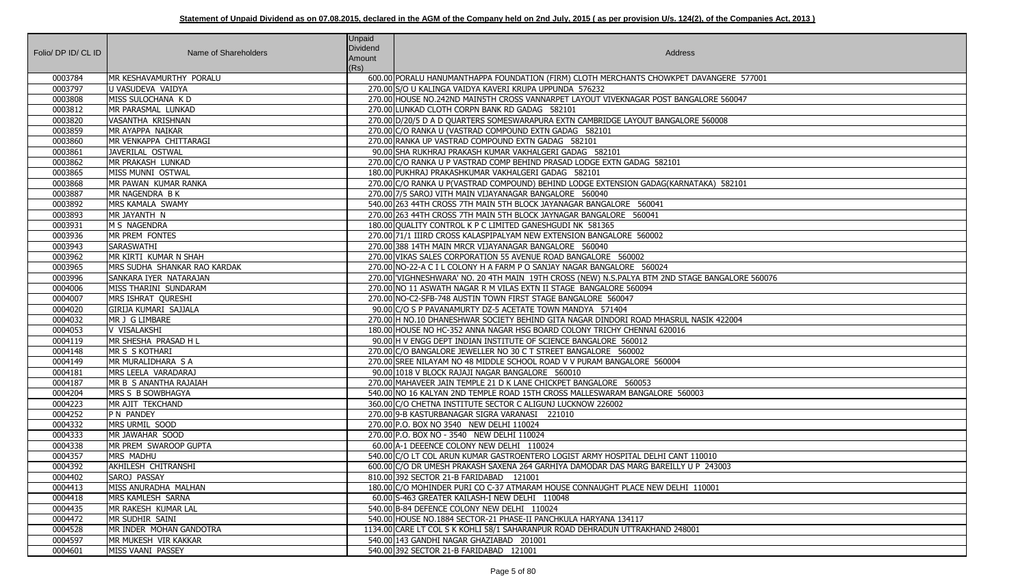| Folio/ DP ID/ CL ID | Name of Shareholders           | <b>Unpaid</b><br><b>Dividend</b><br>Amount<br>(Rs) | Address                                                                                        |
|---------------------|--------------------------------|----------------------------------------------------|------------------------------------------------------------------------------------------------|
| 0003784             | MR KESHAVAMURTHY PORALU        |                                                    | 600.00 PORALU HANUMANTHAPPA FOUNDATION (FIRM) CLOTH MERCHANTS CHOWKPET DAVANGERE 577001        |
| 0003797             | U VASUDEVA VAIDYA              |                                                    | 270.00 S/O U KALINGA VAIDYA KAVERI KRUPA UPPUNDA 576232                                        |
| 0003808             | MISS SULOCHANA KD              |                                                    | 270.00 HOUSE NO.242ND MAINSTH CROSS VANNARPET LAYOUT VIVEKNAGAR POST BANGALORE 560047          |
| 0003812             | MR PARASMAL LUNKAD             |                                                    | 270.00 LUNKAD CLOTH CORPN BANK RD GADAG 582101                                                 |
| 0003820             | VASANTHA KRISHNAN              |                                                    | 270.00 D/20/5 D A D QUARTERS SOMESWARAPURA EXTN CAMBRIDGE LAYOUT BANGALORE 560008              |
| 0003859             | MR AYAPPA NAIKAR               |                                                    | 270.00 C/O RANKA U (VASTRAD COMPOUND EXTN GADAG 582101                                         |
| 0003860             | MR VENKAPPA CHITTARAGI         |                                                    | 270.00 RANKA UP VASTRAD COMPOUND EXTN GADAG 582101                                             |
| 0003861             | JAVERILAL OSTWAL               |                                                    | 90.00 SHA RUKHRAJ PRAKASH KUMAR VAKHALGERI GADAG 582101                                        |
| 0003862             | MR PRAKASH LUNKAD              |                                                    | 270.00 C/O RANKA U P VASTRAD COMP BEHIND PRASAD LODGE EXTN GADAG 582101                        |
| 0003865             | MISS MUNNI OSTWAL              |                                                    | 180.00 PUKHRAJ PRAKASHKUMAR VAKHALGERI GADAG 582101                                            |
| 0003868             | MR PAWAN KUMAR RANKA           |                                                    | 270.00 C/O RANKA U P(VASTRAD COMPOUND) BEHIND LODGE EXTENSION GADAG(KARNATAKA) 582101          |
| 0003887             | MR NAGENDRA B K                |                                                    | 270.00 7/5 SAROJ VITH MAIN VIJAYANAGAR BANGALORE 560040                                        |
| 0003892             | MRS KAMALA SWAMY               |                                                    | 540.00 263 44TH CROSS 7TH MAIN 5TH BLOCK JAYANAGAR BANGALORE 560041                            |
| 0003893             | MR JAYANTH N                   |                                                    | 270.00 263 44TH CROSS 7TH MAIN 5TH BLOCK JAYNAGAR BANGALORE 560041                             |
| 0003931             | M S NAGENDRA                   |                                                    | 180.00 QUALITY CONTROL K P C LIMITED GANESHGUDI NK 581365                                      |
| 0003936             | MR PREM FONTES                 |                                                    | 270.00 71/1 IIIRD CROSS KALASPIPALYAM NEW EXTENSION BANGALORE 560002                           |
| 0003943             | <b>SARASWATHI</b>              |                                                    | 270.00 388 14TH MAIN MRCR VIJAYANAGAR BANGALORE 560040                                         |
| 0003962             | MR KIRTI KUMAR N SHAH          |                                                    | 270.00 VIKAS SALES CORPORATION 55 AVENUE ROAD BANGALORE 560002                                 |
| 0003965             | MRS SUDHA SHANKAR RAO KARDAK   |                                                    | 270.00 NO-22-A C I L COLONY H A FARM P O SANJAY NAGAR BANGALORE 560024                         |
| 0003996             | SANKARA IYER NATARAJAN         |                                                    | 270.00 VIGHNESHWARA' NO. 20 4TH MAIN 19TH CROSS (NEW) N.S.PALYA BTM 2ND STAGE BANGALORE 560076 |
| 0004006             | MISS THARINI SUNDARAM          |                                                    | 270.00 NO 11 ASWATH NAGAR R M VILAS EXTN II STAGE BANGALORE 560094                             |
| 0004007             | MRS ISHRAT QURESHI             |                                                    | 270.00 NO-C2-SFB-748 AUSTIN TOWN FIRST STAGE BANGALORE 560047                                  |
| 0004020             | <b>GIRIJA KUMARI SAJJALA</b>   |                                                    | 90.00 C/O S P PAVANAMURTY DZ-5 ACETATE TOWN MANDYA 571404                                      |
| 0004032             | MR J G LIMBARE                 |                                                    | 270.00 H NO.10 DHANESHWAR SOCIETY BEHIND GITA NAGAR DINDORI ROAD MHASRUL NASIK 422004          |
| 0004053             | V VISALAKSHI                   |                                                    | 180.00 HOUSE NO HC-352 ANNA NAGAR HSG BOARD COLONY TRICHY CHENNAI 620016                       |
| 0004119             | MR SHESHA PRASAD H L           |                                                    | 90.00 H V ENGG DEPT INDIAN INSTITUTE OF SCIENCE BANGALORE 560012                               |
| 0004148             | MR S S KOTHARI                 |                                                    | 270.00 C/O BANGALORE JEWELLER NO 30 C T STREET BANGALORE 560002                                |
| 0004149             | MR MURALIDHARA S A             |                                                    | 270.00 SREE NILAYAM NO 48 MIDDLE SCHOOL ROAD V V PURAM BANGALORE 560004                        |
| 0004181             | MRS LEELA VARADARAJ            |                                                    | 90.00 1018 V BLOCK RAJAJI NAGAR BANGALORE 560010                                               |
| 0004187             | MR B S ANANTHA RAJAIAH         |                                                    | 270.00 MAHAVEER JAIN TEMPLE 21 D K LANE CHICKPET BANGALORE 560053                              |
| 0004204             | MRS S B SOWBHAGYA              |                                                    | 540.00 NO 16 KALYAN 2ND TEMPLE ROAD 15TH CROSS MALLESWARAM BANGALORE 560003                    |
| 0004223             | MR AJIT TEKCHAND               |                                                    | 360.00 C/O CHETNA INSTITUTE SECTOR C ALIGUNJ LUCKNOW 226002                                    |
| 0004252             | <b>P N PANDEY</b>              |                                                    | 270.00 9-B KASTURBANAGAR SIGRA VARANASI 221010                                                 |
| 0004332             | MRS URMIL SOOD                 |                                                    | 270.00 P.O. BOX NO 3540 NEW DELHI 110024                                                       |
| 0004333             | MR JAWAHAR SOOD                |                                                    | 270.00 P.O. BOX NO - 3540 NEW DELHI 110024                                                     |
| 0004338             | MR PREM SWAROOP GUPTA          |                                                    | 60.00 A-1 DEEENCE COLONY NEW DELHI 110024                                                      |
| 0004357             | MRS MADHU                      |                                                    | 540.00 C/O LT COL ARUN KUMAR GASTROENTERO LOGIST ARMY HOSPITAL DELHI CANT 110010               |
| 0004392             | AKHILESH CHITRANSHI            |                                                    | 600.00 C/O DR UMESH PRAKASH SAXENA 264 GARHIYA DAMODAR DAS MARG BAREILLY U P 243003            |
| 0004402             | SAROJ PASSAY                   |                                                    | 810.00 392 SECTOR 21-B FARIDABAD 121001                                                        |
| 0004413             | MISS ANURADHA MALHAN           |                                                    | 180.00 C/O MOHINDER PURI CO C-37 ATMARAM HOUSE CONNAUGHT PLACE NEW DELHI 110001                |
| 0004418             | MRS KAMLESH SARNA              |                                                    | 60.00 S-463 GREATER KAILASH-I NEW DELHI 110048                                                 |
| 0004435             | MR RAKESH KUMAR LAL            |                                                    | 540.00 B-84 DEFENCE COLONY NEW DELHI 110024                                                    |
| 0004472             | MR SUDHIR SAINI                |                                                    | 540.00 HOUSE NO.1884 SECTOR-21 PHASE-II PANCHKULA HARYANA 134117                               |
| 0004528             | <b>MR INDER MOHAN GANDOTRA</b> |                                                    | 1134.00 CARE LT COL S K KOHLI 58/1 SAHARANPUR ROAD DEHRADUN UTTRAKHAND 248001                  |
| 0004597             | MR MUKESH VIR KAKKAR           |                                                    | 540.00 143 GANDHI NAGAR GHAZIABAD 201001                                                       |
| 0004601             | MISS VAANI PASSEY              |                                                    | 540.00 392 SECTOR 21-B FARIDABAD 121001                                                        |

| ERE 577001              |  |
|-------------------------|--|
| 560047                  |  |
|                         |  |
| $\overline{\mathbf{8}}$ |  |
|                         |  |
|                         |  |
|                         |  |
| 582101                  |  |
|                         |  |
|                         |  |
|                         |  |
|                         |  |
|                         |  |
|                         |  |
| <b>SALORE 560076</b>    |  |
|                         |  |
|                         |  |
| 22004                   |  |
|                         |  |
|                         |  |
|                         |  |
|                         |  |
|                         |  |
|                         |  |
|                         |  |
|                         |  |
|                         |  |
|                         |  |
| $\overline{03}$         |  |
|                         |  |
|                         |  |
|                         |  |
|                         |  |
|                         |  |
|                         |  |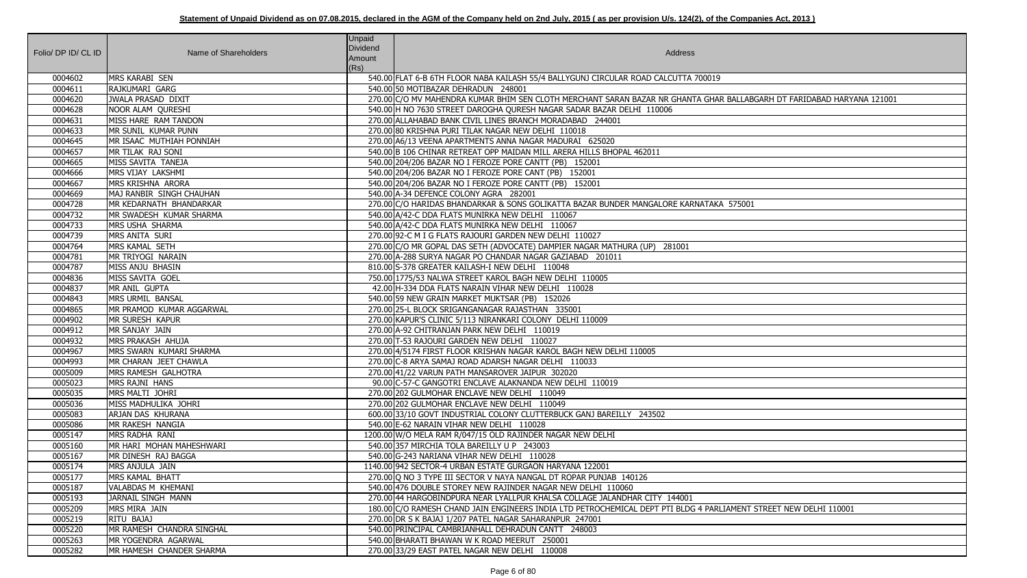| Folio/ DP ID/ CL ID | Name of Shareholders                | <b>Unpaid</b><br><b>Dividend</b><br>Amount<br>(Rs) | Address                                                                                                                                                                                         |
|---------------------|-------------------------------------|----------------------------------------------------|-------------------------------------------------------------------------------------------------------------------------------------------------------------------------------------------------|
| 0004602             | <b>MRS KARABI SEN</b>               |                                                    | 540.00 FLAT 6-B 6TH FLOOR NABA KAILASH 55/4 BALLYGUNJ CIRCULAR ROAD CALCUTTA 700019                                                                                                             |
| 0004611             | RAJKUMARI GARG                      |                                                    | 540.00 50 MOTIBAZAR DEHRADUN 248001                                                                                                                                                             |
| 0004620             | <b>JWALA PRASAD DIXIT</b>           |                                                    | 270.00 C/O MV MAHENDRA KUMAR BHIM SEN CLOTH MERCHANT SARAN BAZAR NR GHANTA GHAR BALLABGARH DT FARIDABAD HARYANA 121001                                                                          |
| 0004628             | NOOR ALAM QURESHI                   |                                                    | 540.00 H NO 7630 STREET DAROGHA QURESH NAGAR SADAR BAZAR DELHI 110006                                                                                                                           |
| 0004631             | MISS HARE RAM TANDON                |                                                    | 270.00 ALLAHABAD BANK CIVIL LINES BRANCH MORADABAD 244001                                                                                                                                       |
| 0004633             | MR SUNIL KUMAR PUNN                 |                                                    | 270.00 80 KRISHNA PURI TILAK NAGAR NEW DELHI 110018                                                                                                                                             |
| 0004645             | MR ISAAC MUTHIAH PONNIAH            |                                                    | 270.00 A6/13 VEENA APARTMENTS ANNA NAGAR MADURAI 625020                                                                                                                                         |
| 0004657             | MR TILAK RAJ SONI                   |                                                    | 540.00 B 106 CHINAR RETREAT OPP MAIDAN MILL ARERA HILLS BHOPAL 462011                                                                                                                           |
| 0004665             | MISS SAVITA TANEJA                  |                                                    | 540.00 204/206 BAZAR NO I FEROZE PORE CANTT (PB) 152001                                                                                                                                         |
| 0004666             | MRS VIJAY LAKSHMI                   |                                                    | 540.00 204/206 BAZAR NO I FEROZE PORE CANT (PB) 152001                                                                                                                                          |
| 0004667             | MRS KRISHNA ARORA                   |                                                    | 540.00 204/206 BAZAR NO I FEROZE PORE CANTT (PB) 152001                                                                                                                                         |
| 0004669             | MAJ RANBIR SINGH CHAUHAN            |                                                    | 540.00 A-34 DEFENCE COLONY AGRA 282001                                                                                                                                                          |
| 0004728             | MR KEDARNATH BHANDARKAR             |                                                    | 270.00 C/O HARIDAS BHANDARKAR & SONS GOLIKATTA BAZAR BUNDER MANGALORE KARNATAKA 575001                                                                                                          |
| 0004732             | MR SWADESH KUMAR SHARMA             |                                                    | 540.00 A/42-C DDA FLATS MUNIRKA NEW DELHI 110067                                                                                                                                                |
| 0004733             | MRS USHA SHARMA                     |                                                    | 540.00 A/42-C DDA FLATS MUNIRKA NEW DELHI 110067                                                                                                                                                |
| 0004739             | MRS ANITA SURI                      |                                                    | 270.00 92-C M I G FLATS RAJOURI GARDEN NEW DELHI 110027                                                                                                                                         |
| 0004764             | MRS KAMAL SETH                      |                                                    | 270.00 C/O MR GOPAL DAS SETH (ADVOCATE) DAMPIER NAGAR MATHURA (UP) 281001                                                                                                                       |
| 0004781             | MR TRIYOGI NARAIN                   |                                                    | 270.00 A-288 SURYA NAGAR PO CHANDAR NAGAR GAZIABAD 201011                                                                                                                                       |
| 0004787             | MISS ANJU BHASIN                    |                                                    | 810.00 S-378 GREATER KAILASH-I NEW DELHI 110048                                                                                                                                                 |
| 0004836             | MISS SAVITA GOEL                    |                                                    | 750.00 1775/53 NALWA STREET KAROL BAGH NEW DELHI 110005                                                                                                                                         |
| 0004837             | MR ANIL GUPTA                       |                                                    | 42.00 H-334 DDA FLATS NARAIN VIHAR NEW DELHI 110028                                                                                                                                             |
| 0004843             | <b>MRS URMIL BANSAL</b>             |                                                    | 540.00 59 NEW GRAIN MARKET MUKTSAR (PB) 152026                                                                                                                                                  |
| 0004865             | MR PRAMOD KUMAR AGGARWAL            |                                                    | 270.00 25-L BLOCK SRIGANGANAGAR RAJASTHAN 335001                                                                                                                                                |
| 0004902             | <b>MR SURESH KAPUR</b>              |                                                    | 270.00 KAPUR'S CLINIC 5/113 NIRANKARI COLONY DELHI 110009                                                                                                                                       |
| 0004912             | MR SANJAY JAIN                      |                                                    | 270.00 A-92 CHITRANJAN PARK NEW DELHI 110019                                                                                                                                                    |
| 0004932             | MRS PRAKASH AHUJA                   |                                                    | 270.00 T-53 RAJOURI GARDEN NEW DELHI 110027                                                                                                                                                     |
| 0004967             | MRS SWARN KUMARI SHARMA             |                                                    | 270.00 4/5174 FIRST FLOOR KRISHAN NAGAR KAROL BAGH NEW DELHI 110005                                                                                                                             |
| 0004993             | MR CHARAN JEET CHAWLA               |                                                    | 270.00 C-8 ARYA SAMAJ ROAD ADARSH NAGAR DELHI 110033                                                                                                                                            |
| 0005009             | MRS RAMESH GALHOTRA                 |                                                    | 270.00 41/22 VARUN PATH MANSAROVER JAIPUR 302020                                                                                                                                                |
| 0005023             | MRS RAJNI HANS                      |                                                    | 90.00 C-57-C GANGOTRI ENCLAVE ALAKNANDA NEW DELHI 110019                                                                                                                                        |
| 0005035             | MRS MALTI JOHRI                     |                                                    | 270.00 202 GULMOHAR ENCLAVE NEW DELHI 110049                                                                                                                                                    |
| 0005036             | MISS MADHULIKA JOHRI                |                                                    | 270.00 202 GULMOHAR ENCLAVE NEW DELHI 110049                                                                                                                                                    |
| 0005083             | ARJAN DAS KHURANA                   |                                                    | 600.00 33/10 GOVT INDUSTRIAL COLONY CLUTTERBUCK GANJ BAREILLY 243502                                                                                                                            |
| 0005086             | MR RAKESH NANGIA                    |                                                    | 540.00 E-62 NARAIN VIHAR NEW DELHI 110028                                                                                                                                                       |
| 0005147             | MRS RADHA RANI                      |                                                    | 1200.00 W/O MELA RAM R/047/15 OLD RAJINDER NAGAR NEW DELHI                                                                                                                                      |
| 0005160             | MR HARI MOHAN MAHESHWARI            |                                                    | 540.00 357 MIRCHIA TOLA BAREILLY U P 243003                                                                                                                                                     |
| 0005167             | MR DINESH RAJ BAGGA                 |                                                    | 540.00 G-243 NARIANA VIHAR NEW DELHI 110028                                                                                                                                                     |
| 0005174             | MRS ANJULA JAIN                     |                                                    | 1140.00 942 SECTOR-4 URBAN ESTATE GURGAON HARYANA 122001                                                                                                                                        |
| 0005177             | MRS KAMAL BHATT                     |                                                    | 270.00 Q NO 3 TYPE III SECTOR V NAYA NANGAL DT ROPAR PUNJAB 140126                                                                                                                              |
| 0005187             | VALABDAS M KHEMANI                  |                                                    | 540.00 476 DOUBLE STOREY NEW RAJINDER NAGAR NEW DELHI 110060                                                                                                                                    |
| 0005193<br>0005209  | JARNAIL SINGH MANN<br>MRS MIRA JAIN |                                                    | 270.00 44 HARGOBINDPURA NEAR LYALLPUR KHALSA COLLAGE JALANDHAR CITY 144001<br>180.00 C/O RAMESH CHAND JAIN ENGINEERS INDIA LTD PETROCHEMICAL DEPT PTI BLDG 4 PARLIAMENT STREET NEW DELHI 110001 |
| 0005219             | RITU BAJAJ                          |                                                    | 270.00 DR S K BAJAJ 1/207 PATEL NAGAR SAHARANPUR 247001                                                                                                                                         |
| 0005220             | MR RAMESH CHANDRA SINGHAL           |                                                    | 540.00 PRINCIPAL CAMBRIANHALL DEHRADUN CANTT 248003                                                                                                                                             |
| 0005263             | MR YOGENDRA AGARWAL                 |                                                    | 540.00 BHARATI BHAWAN W K ROAD MEERUT 250001                                                                                                                                                    |
| 0005282             | MR HAMESH CHANDER SHARMA            |                                                    | 270.00 33/29 EAST PATEL NAGAR NEW DELHI 110008                                                                                                                                                  |
|                     |                                     |                                                    |                                                                                                                                                                                                 |

| R BALLABGARH DT FARIDABAD HARYANA 121001 |
|------------------------------------------|
|                                          |
|                                          |
|                                          |
|                                          |
|                                          |
|                                          |
|                                          |
|                                          |
|                                          |
| 575001                                   |
|                                          |
|                                          |
|                                          |
|                                          |
|                                          |
|                                          |
|                                          |
|                                          |
|                                          |
|                                          |
|                                          |
|                                          |
|                                          |
|                                          |
|                                          |
|                                          |
|                                          |
|                                          |
|                                          |
|                                          |
|                                          |
|                                          |
|                                          |
|                                          |
|                                          |
|                                          |
|                                          |
|                                          |
|                                          |
| IAMENT STREET NEW DELHI 110001           |
|                                          |
|                                          |
|                                          |
|                                          |
|                                          |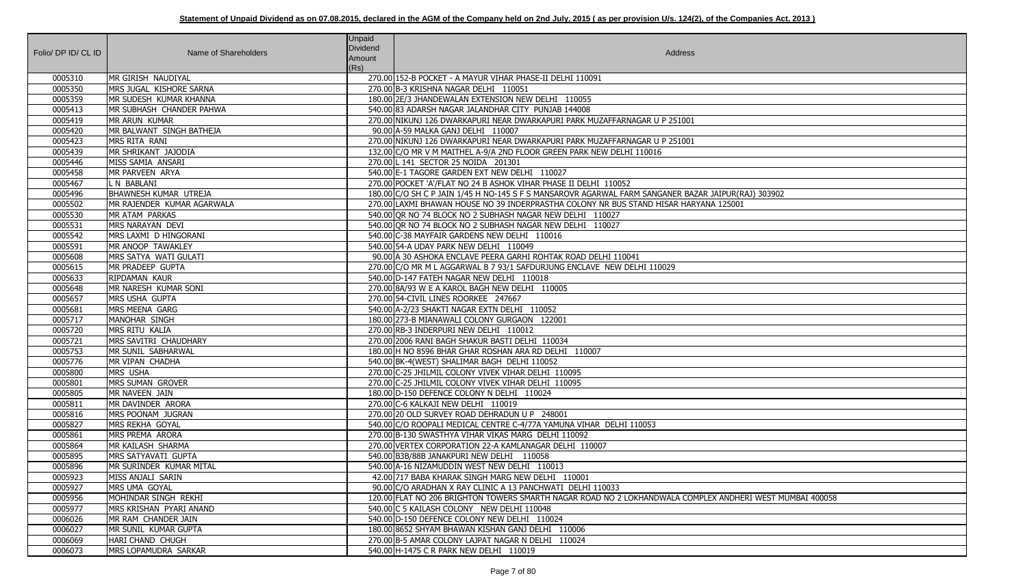| Folio/ DP ID/ CL ID | Name of Shareholders         | <b>Unpaid</b><br>Dividend<br>Amount<br>(Rs) | Address                                                                                                  |
|---------------------|------------------------------|---------------------------------------------|----------------------------------------------------------------------------------------------------------|
| 0005310             | MR GIRISH NAUDIYAL           |                                             | 270.00 152-B POCKET - A MAYUR VIHAR PHASE-II DELHI 110091                                                |
| 0005350             | MRS JUGAL KISHORE SARNA      |                                             | 270.00 B-3 KRISHNA NAGAR DELHI 110051                                                                    |
| 0005359             | MR SUDESH KUMAR KHANNA       |                                             | 180.00 2E/3 JHANDEWALAN EXTENSION NEW DELHI 110055                                                       |
| 0005413             | MR SUBHASH CHANDER PAHWA     |                                             | 540.00 83 ADARSH NAGAR JALANDHAR CITY PUNJAB 144008                                                      |
| 0005419             | MR ARUN KUMAR                |                                             | 270.00 NIKUNJ 126 DWARKAPURI NEAR DWARKAPURI PARK MUZAFFARNAGAR U P 251001                               |
| 0005420             | MR BALWANT SINGH BATHEJA     |                                             | 90.00 A-59 MALKA GANJ DELHI 110007                                                                       |
| 0005423             | MRS RITA RANI                |                                             | 270.00 NIKUNJ 126 DWARKAPURI NEAR DWARKAPURI PARK MUZAFFARNAGAR U P 251001                               |
| 0005439             | MR SHRIKANT JAJODIA          |                                             | 132.00 C/O MR V M MAITHEL A-9/A 2ND FLOOR GREEN PARK NEW DELHI 110016                                    |
| 0005446             | MISS SAMIA ANSARI            |                                             | 270.00 L 141 SECTOR 25 NOIDA 201301                                                                      |
| 0005458             | MR PARVEEN ARYA              |                                             | 540.00 E-1 TAGORE GARDEN EXT NEW DELHI 110027                                                            |
| 0005467             | L N BABLANI                  |                                             | 270.00 POCKET 'A'/FLAT NO 24 B ASHOK VIHAR PHASE II DELHI 110052                                         |
| 0005496             | <b>BHAWNESH KUMAR UTREJA</b> |                                             | 180.00 C/O SH C P JAIN 1/45 H NO-145 S F S MANSAROVR AGARWAL FARM SANGANER BAZAR JAIPUR(RAJ) 303902      |
| 0005502             | MR RAJENDER KUMAR AGARWALA   |                                             | 270.00 LAXMI BHAWAN HOUSE NO 39 INDERPRASTHA COLONY NR BUS STAND HISAR HARYANA 125001                    |
| 0005530             | MR ATAM PARKAS               |                                             | 540.00 OR NO 74 BLOCK NO 2 SUBHASH NAGAR NEW DELHI 110027                                                |
| 0005531             | MRS NARAYAN DEVI             |                                             | 540.00 OR NO 74 BLOCK NO 2 SUBHASH NAGAR NEW DELHI 110027                                                |
| 0005542             | MRS LAXMI D HINGORANI        |                                             | 540.00 C-38 MAYFAIR GARDENS NEW DELHI 110016                                                             |
| 0005591             | MR ANOOP TAWAKLEY            |                                             | 540.00 54-A UDAY PARK NEW DELHI 110049                                                                   |
| 0005608             | MRS SATYA WATI GULATI        |                                             | 90.00 A 30 ASHOKA ENCLAVE PEERA GARHI ROHTAK ROAD DELHI 110041                                           |
| 0005615             | MR PRADEEP GUPTA             |                                             | 270.00 C/O MR M L AGGARWAL B 7 93/1 SAFDURJUNG ENCLAVE NEW DELHI 110029                                  |
| 0005633             | <b>RIPDAMAN KAUR</b>         |                                             | 540.00 D-147 FATEH NAGAR NEW DELHI 110018                                                                |
| 0005648             | MR NARESH KUMAR SONI         |                                             | 270.00 8A/93 W E A KAROL BAGH NEW DELHI 110005                                                           |
| 0005657             | MRS USHA GUPTA               |                                             | 270.00 54-CIVIL LINES ROORKEE 247667                                                                     |
| 0005681             | MRS MEENA GARG               |                                             | 540.00 A-2/23 SHAKTI NAGAR EXTN DELHI 110052                                                             |
| 0005717             | MANOHAR SINGH                |                                             | 180.00 273-B MIANAWALI COLONY GURGAON 122001                                                             |
| 0005720             | MRS RITU KALIA               |                                             | 270.00 RB-3 INDERPURI NEW DELHI 110012                                                                   |
| 0005721             | MRS SAVITRI CHAUDHARY        |                                             | 270.00 2006 RANI BAGH SHAKUR BASTI DELHI 110034                                                          |
| 0005753             | MR SUNIL SABHARWAL           |                                             | 180.00 H NO 8596 BHAR GHAR ROSHAN ARA RD DELHI 110007                                                    |
| 0005776             | MR VIPAN CHADHA              |                                             | 540.00 BK-4 (WEST) SHALIMAR BAGH DELHI 110052                                                            |
| 0005800             | <b>MRS USHA</b>              |                                             | 270.00 C-25 JHILMIL COLONY VIVEK VIHAR DELHI 110095                                                      |
| 0005801             | MRS SUMAN GROVER             |                                             | 270.00 C-25 JHILMIL COLONY VIVEK VIHAR DELHI 110095                                                      |
| 0005805             | MR NAVEEN JAIN               |                                             | 180.00 D-150 DEFENCE COLONY N DELHI 110024                                                               |
| 0005811             | MR DAVINDER ARORA            |                                             | 270.00 C-6 KALKAJI NEW DELHI 110019                                                                      |
| 0005816             | MRS POONAM JUGRAN            |                                             | 270.00 20 OLD SURVEY ROAD DEHRADUN U P 248001                                                            |
| 0005827             | MRS REKHA GOYAL              |                                             | 540.00 C/O ROOPALI MEDICAL CENTRE C-4/77A YAMUNA VIHAR DELHI 110053                                      |
| 0005861             | MRS PREMA ARORA              |                                             | 270.00 B-130 SWASTHYA VIHAR VIKAS MARG DELHI 110092                                                      |
| 0005864             | MR KAILASH SHARMA            |                                             | 270.00 VERTEX CORPORATION 22-A KAMLANAGAR DELHI 110007                                                   |
| 0005895             | MRS SATYAVATI GUPTA          |                                             | 540.00 B3B/88B JANAKPURI NEW DELHI 110058                                                                |
| 0005896             | MR SURINDER KUMAR MITAL      |                                             | 540.00 A-16 NIZAMUDDIN WEST NEW DELHI 110013                                                             |
| 0005923             | MISS ANJALI SARIN            |                                             | 42.00 717 BABA KHARAK SINGH MARG NEW DELHI 110001                                                        |
| 0005927             | MRS UMA GOYAL                |                                             | 90.00 C/O ARADHAN X RAY CLINIC A 13 PANCHWATI DELHI 110033                                               |
| 0005956             | MOHINDAR SINGH REKHI         |                                             | 120.00 FLAT NO 206 BRIGHTON TOWERS SMARTH NAGAR ROAD NO 2 LOKHANDWALA COMPLEX ANDHERI WEST MUMBAI 400058 |
| 0005977             | MRS KRISHAN PYARI ANAND      |                                             | 540.00 C 5 KAILASH COLONY NEW DELHI 110048                                                               |
| 0006026             | MR RAM CHANDER JAIN          |                                             | 540.00 D-150 DEFENCE COLONY NEW DELHI 110024                                                             |
| 0006027             | MR SUNIL KUMAR GUPTA         |                                             | 180.00 8652 SHYAM BHAWAN KISHAN GANJ DELHI 110006                                                        |
| 0006069             | HARI CHAND CHUGH             |                                             | 270.00 B-5 AMAR COLONY LAJPAT NAGAR N DELHI 110024                                                       |
| 0006073             | MRS LOPAMUDRA SARKAR         |                                             | 540.00 H-1475 C R PARK NEW DELHI 110019                                                                  |

| PUR(RAJ) 303902<br>25001  |
|---------------------------|
|                           |
|                           |
|                           |
|                           |
|                           |
|                           |
|                           |
|                           |
|                           |
|                           |
|                           |
|                           |
|                           |
|                           |
|                           |
|                           |
|                           |
|                           |
|                           |
|                           |
|                           |
|                           |
|                           |
| NDHERI WEST MUMBAI 400058 |
|                           |
|                           |
|                           |
|                           |
|                           |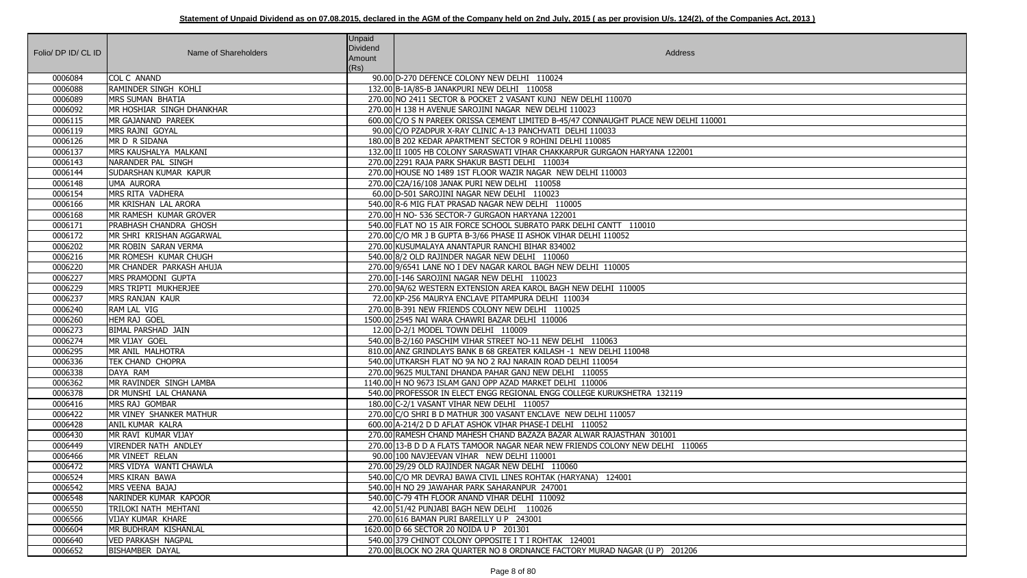| Folio/ DP ID/ CL ID | Name of Shareholders           | Unpaid<br>Dividend<br>Amount<br>(Rs) | <b>Address</b>                                                                       |
|---------------------|--------------------------------|--------------------------------------|--------------------------------------------------------------------------------------|
| 0006084             | <b>COL C ANAND</b>             |                                      | 90.00 D-270 DEFENCE COLONY NEW DELHI 110024                                          |
| 0006088             | RAMINDER SINGH KOHLI           |                                      | 132.00 B-1A/85-B JANAKPURI NEW DELHI 110058                                          |
| 0006089             | MRS SUMAN BHATIA               |                                      | 270.00 NO 2411 SECTOR & POCKET 2 VASANT KUNJ NEW DELHI 110070                        |
| 0006092             | MR HOSHIAR SINGH DHANKHAR      |                                      | 270.00 H 138 H AVENUE SAROJINI NAGAR NEW DELHI 110023                                |
| 0006115             | MR GAJANAND PAREEK             |                                      | 600.00 C/O S N PAREEK ORISSA CEMENT LIMITED B-45/47 CONNAUGHT PLACE NEW DELHI 110001 |
| 0006119             | MRS RAJNI GOYAL                |                                      | 90.00 C/O PZADPUR X-RAY CLINIC A-13 PANCHVATI DELHI 110033                           |
| 0006126             | MR D R SIDANA                  |                                      | 180.00 B 202 KEDAR APARTMENT SECTOR 9 ROHINI DELHI 110085                            |
| 0006137             | MRS KAUSHALYA MALKANI          |                                      | 132.00 III 1005 HB COLONY SARASWATI VIHAR CHAKKARPUR GURGAON HARYANA 122001          |
| 0006143             | NARANDER PAL SINGH             |                                      | 270.00 2291 RAJA PARK SHAKUR BASTI DELHI 110034                                      |
| 0006144             | <b>SUDARSHAN KUMAR KAPUR</b>   |                                      | 270.00 HOUSE NO 1489 1ST FLOOR WAZIR NAGAR NEW DELHI 110003                          |
| 0006148             | UMA AURORA                     |                                      | 270.00 C2A/16/108 JANAK PURI NEW DELHI 110058                                        |
| 0006154             | MRS RITA VADHERA               |                                      | 60.00 D-501 SAROJINI NAGAR NEW DELHI 110023                                          |
| 0006166             | MR KRISHAN LAL ARORA           |                                      | 540.00 R-6 MIG FLAT PRASAD NAGAR NEW DELHI 110005                                    |
| 0006168             | <b>IMR RAMESH KUMAR GROVER</b> |                                      | 270.00 H NO- 536 SECTOR-7 GURGAON HARYANA 122001                                     |
| 0006171             | <b>PRABHASH CHANDRA GHOSH</b>  |                                      | 540.00 FLAT NO 15 AIR FORCE SCHOOL SUBRATO PARK DELHI CANTT 110010                   |
| 0006172             | MR SHRI KRISHAN AGGARWAL       |                                      | 270.00 C/O MR J B GUPTA B-3/66 PHASE II ASHOK VIHAR DELHI 110052                     |
| 0006202             | MR ROBIN SARAN VERMA           |                                      | 270.00 KUSUMALAYA ANANTAPUR RANCHI BIHAR 834002                                      |
| 0006216             | MR ROMESH KUMAR CHUGH          |                                      | 540.00 8/2 OLD RAJINDER NAGAR NEW DELHI 110060                                       |
| 0006220             | MR CHANDER PARKASH AHUJA       |                                      | 270.00 9/6541 LANE NO I DEV NAGAR KAROL BAGH NEW DELHI 110005                        |
| 0006227             | <b>MRS PRAMODNI GUPTA</b>      |                                      | 270.00 I-146 SAROJINI NAGAR NEW DELHI 110023                                         |
| 0006229             | MRS TRIPTI MUKHERJEE           |                                      | 270.00 9A/62 WESTERN EXTENSION AREA KAROL BAGH NEW DELHI 110005                      |
| 0006237             | MRS RANJAN KAUR                |                                      | 72.00 KP-256 MAURYA ENCLAVE PITAMPURA DELHI 110034                                   |
| 0006240             | RAM LAL VIG                    |                                      | 270.00 B-391 NEW FRIENDS COLONY NEW DELHI 110025                                     |
| 0006260             | <b>HEM RAJ GOEL</b>            |                                      | 1500.00 2545 NAI WARA CHAWRI BAZAR DELHI 110006                                      |
| 0006273             | <b>BIMAL PARSHAD JAIN</b>      |                                      | 12.00 D-2/1 MODEL TOWN DELHI 110009                                                  |
| 0006274             | MR VIJAY GOEL                  |                                      | 540.00 B-2/160 PASCHIM VIHAR STREET NO-11 NEW DELHI 110063                           |
| 0006295             | MR ANIL MALHOTRA               |                                      | 810.00 ANZ GRINDLAYS BANK B 68 GREATER KAILASH -1 NEW DELHI 110048                   |
| 0006336             | <b>TEK CHAND CHOPRA</b>        |                                      | 540.00 UTKARSH FLAT NO 9A NO 2 RAJ NARAIN ROAD DELHI 110054                          |
| 0006338             | DAYA RAM                       |                                      | 270.00 9625 MULTANI DHANDA PAHAR GANJ NEW DELHI 110055                               |
| 0006362             | MR RAVINDER SINGH LAMBA        |                                      | 1140.00 H NO 9673 ISLAM GANJ OPP AZAD MARKET DELHI 110006                            |
| 0006378             | IDR MUNSHI LAL CHANANA         |                                      | 540.00 PROFESSOR IN ELECT ENGG REGIONAL ENGG COLLEGE KURUKSHETRA 132119              |
| 0006416             | MRS RAJ GOMBAR                 |                                      | 180.00 C-2/1 VASANT VIHAR NEW DELHI 110057                                           |
| 0006422             | MR VINEY SHANKER MATHUR        |                                      | 270.00 C/O SHRI B D MATHUR 300 VASANT ENCLAVE NEW DELHI 110057                       |
| 0006428             | <b>ANIL KUMAR KALRA</b>        |                                      | 600.00 A-214/2 D D AFLAT ASHOK VIHAR PHASE-I DELHI 110052                            |
| 0006430             | MR RAVI KUMAR VIJAY            |                                      | 270.00 RAMESH CHAND MAHESH CHAND BAZAZA BAZAR ALWAR RAJASTHAN 301001                 |
| 0006449             | VIRENDER NATH ANDLEY           |                                      | 270.00 13-B D D A FLATS TAMOOR NAGAR NEAR NEW FRIENDS COLONY NEW DELHI 110065        |
| 0006466             | MR VINEET RELAN                |                                      | 90.00 100 NAVJEEVAN VIHAR NEW DELHI 110001                                           |
| 0006472             | MRS VIDYA WANTI CHAWLA         |                                      | 270.00 29/29 OLD RAJINDER NAGAR NEW DELHI 110060                                     |
| 0006524             | <b>MRS KIRAN BAWA</b>          |                                      | 540.00 C/O MR DEVRAJ BAWA CIVIL LINES ROHTAK (HARYANA) 124001                        |
| 0006542             | MRS VEENA BAJAJ                |                                      | 540.00 H NO 29 JAWAHAR PARK SAHARANPUR 247001                                        |
| 0006548             | NARINDER KUMAR KAPOOR          |                                      | 540.00 C-79 4TH FLOOR ANAND VIHAR DELHI 110092                                       |
| 0006550             | TRILOKI NATH MEHTANI           |                                      | 42.00 51/42 PUNJABI BAGH NEW DELHI 110026                                            |
| 0006566             | <b>VIJAY KUMAR KHARE</b>       |                                      | 270.00 616 BAMAN PURI BAREILLY U P 243001                                            |
| 0006604             | MR BUDHRAM KISHANLAL           |                                      | 1620.00 D 66 SECTOR 20 NOIDA U P 201301                                              |
| 0006640             | <b>VED PARKASH NAGPAL</b>      |                                      | 540.00 379 CHINOT COLONY OPPOSITE I T I ROHTAK 124001                                |
| 0006652             | <b>BISHAMBER DAYAL</b>         |                                      | 270.00 BLOCK NO 2RA QUARTER NO 8 ORDNANCE FACTORY MURAD NAGAR (U P) 201206           |

| $\mathbf{1}$ |
|--------------|
|              |
|              |
|              |
|              |
|              |
|              |
|              |
|              |
|              |
|              |
|              |
|              |
|              |
|              |
|              |
|              |
|              |
|              |
|              |
|              |
|              |
|              |
|              |
|              |
|              |
|              |
|              |
|              |
|              |
|              |
|              |
|              |
|              |
|              |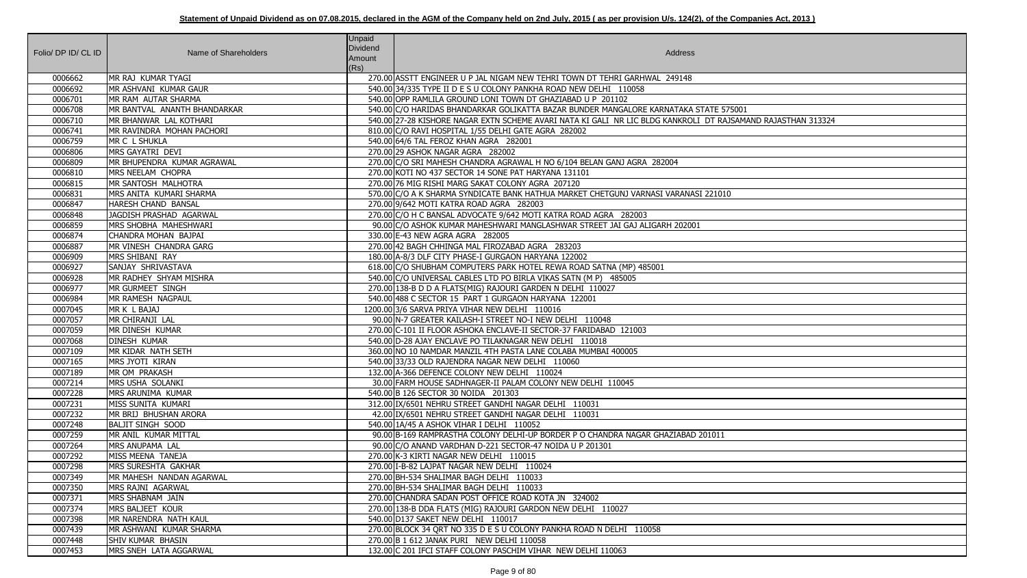|                     |                                                | <b>Unpaid</b> |                                                                                          |
|---------------------|------------------------------------------------|---------------|------------------------------------------------------------------------------------------|
| Folio/ DP ID/ CL ID | Name of Shareholders                           | Dividend      | Address                                                                                  |
|                     |                                                | Amount        |                                                                                          |
|                     |                                                | (Rs)          |                                                                                          |
| 0006662             | MR RAJ KUMAR TYAGI                             |               | 270.00 ASSTT ENGINEER U P JAL NIGAM NEW TEHRI TOWN DT TEHRI GARHWAL 249148               |
| 0006692             | MR ASHVANI KUMAR GAUR                          |               | 540.00 34/335 TYPE II D E S U COLONY PANKHA ROAD NEW DELHI 110058                        |
| 0006701             | MR RAM AUTAR SHARMA                            |               | 540.00 OPP RAMLILA GROUND LONI TOWN DT GHAZIABAD U P 201102                              |
| 0006708             | MR BANTVAL ANANTH BHANDARKAR                   |               | 540.00 C/O HARIDAS BHANDARKAR GOLIKATTA BAZAR BUNDER MANGALORE KARNATAKA STATE 575001    |
| 0006710             | MR BHANWAR LAL KOTHARI                         |               | 540.00 27-28 KISHORE NAGAR EXTN SCHEME AVARI NATA KI GALI NR LIC BLDG KANKROLI DT RAJSAM |
| 0006741             | IMR RAVINDRA MOHAN PACHORI<br>MR C L SHUKLA    |               | 810.00 C/O RAVI HOSPITAL 1/55 DELHI GATE AGRA 282002                                     |
| 0006759             |                                                |               | 540.00 64/6 TAL FEROZ KHAN AGRA 282001<br>270.00 29 ASHOK NAGAR AGRA 282002              |
| 0006806<br>0006809  | MRS GAYATRI DEVI<br>MR BHUPENDRA KUMAR AGRAWAL |               | 270.00 C/O SRI MAHESH CHANDRA AGRAWAL H NO 6/104 BELAN GANJ AGRA 282004                  |
| 0006810             | MRS NEELAM CHOPRA                              |               | 270.00 KOTI NO 437 SECTOR 14 SONE PAT HARYANA 131101                                     |
| 0006815             | MR SANTOSH MALHOTRA                            |               | 270.00 76 MIG RISHI MARG SAKAT COLONY AGRA 207120                                        |
| 0006831             | MRS ANITA KUMARI SHARMA                        |               | 570.00 C/O A K SHARMA SYNDICATE BANK HATHUA MARKET CHETGUNJ VARNASI VARANASI 221010      |
| 0006847             | HARESH CHAND BANSAL                            |               | 270.00 9/642 MOTI KATRA ROAD AGRA 282003                                                 |
| 0006848             | JAGDISH PRASHAD AGARWAL                        |               | 270.00 C/O H C BANSAL ADVOCATE 9/642 MOTI KATRA ROAD AGRA 282003                         |
| 0006859             | MRS SHOBHA MAHESHWARI                          |               | 90.00 C/O ASHOK KUMAR MAHESHWARI MANGLASHWAR STREET JAI GAJ ALIGARH 202001               |
| 0006874             | CHANDRA MOHAN BAJPAI                           |               | 330.00 E-43 NEW AGRA AGRA 282005                                                         |
| 0006887             | MR VINESH CHANDRA GARG                         |               | 270.00 42 BAGH CHHINGA MAL FIROZABAD AGRA 283203                                         |
| 0006909             | MRS SHIBANI RAY                                |               | 180.00 A-8/3 DLF CITY PHASE-I GURGAON HARYANA 122002                                     |
| 0006927             | SANJAY SHRIVASTAVA                             |               | 618.00 C/O SHUBHAM COMPUTERS PARK HOTEL REWA ROAD SATNA (MP) 485001                      |
| 0006928             | MR RADHEY SHYAM MISHRA                         |               | 540.00 C/O UNIVERSAL CABLES LTD PO BIRLA VIKAS SATN (M P) 485005                         |
| 0006977             | MR GURMEET SINGH                               |               | 270.00 138-B D D A FLATS(MIG) RAJOURI GARDEN N DELHI 110027                              |
| 0006984             | MR RAMESH NAGPAUL                              |               | 540.00 488 C SECTOR 15 PART 1 GURGAON HARYANA 122001                                     |
| 0007045             | MR K L BAJAJ                                   |               | 1200.00 3/6 SARVA PRIYA VIHAR NEW DELHI 110016                                           |
| 0007057             | MR CHIRANJI LAL                                |               | 90.00 N-7 GREATER KAILASH-I STREET NO-I NEW DELHI 110048                                 |
| 0007059             | MR DINESH KUMAR                                |               | 270.00 C-101 II FLOOR ASHOKA ENCLAVE-II SECTOR-37 FARIDABAD 121003                       |
| 0007068             | <b>DINESH KUMAR</b>                            |               | 540.00 D-28 AJAY ENCLAVE PO TILAKNAGAR NEW DELHI 110018                                  |
| 0007109             | MR KIDAR NATH SETH                             |               | 360.00 NO 10 NAMDAR MANZIL 4TH PASTA LANE COLABA MUMBAI 400005                           |
| 0007165             | MRS JYOTI KIRAN                                |               | 540.00 33/33 OLD RAJENDRA NAGAR NEW DELHI 110060                                         |
| 0007189             | MR OM PRAKASH                                  |               | 132.00 A-366 DEFENCE COLONY NEW DELHI 110024                                             |
| 0007214             | <b>IMRS USHA SOLANKI</b>                       |               | 30.00 FARM HOUSE SADHNAGER-II PALAM COLONY NEW DELHI 110045                              |
| 0007228             | MRS ARUNIMA KUMAR                              |               | 540.00 B 126 SECTOR 30 NOIDA 201303                                                      |
| 0007231             | MISS SUNITA KUMARI                             |               | 312.00 IX/6501 NEHRU STREET GANDHI NAGAR DELHI 110031                                    |
| 0007232             | MR BRIJ BHUSHAN ARORA                          |               | 42.00 IX/6501 NEHRU STREET GANDHI NAGAR DELHI 110031                                     |
| 0007248             | <b>BALJIT SINGH SOOD</b>                       |               | 540.00 1A/45 A ASHOK VIHAR I DELHI 110052                                                |
| 0007259             | MR ANIL KUMAR MITTAL                           |               | 90.00 B-169 RAMPRASTHA COLONY DELHI-UP BORDER P O CHANDRA NAGAR GHAZIABAD 201011         |
| 0007264             | MRS ANUPAMA LAL                                |               | 90.00 C/O ANAND VARDHAN D-221 SECTOR-47 NOIDA U P 201301                                 |
| 0007292             | MISS MEENA TANEJA                              |               | 270.00 K-3 KIRTI NAGAR NEW DELHI 110015                                                  |
| 0007298             | MRS SURESHTA GAKHAR                            |               | 270.00 I-B-82 LAJPAT NAGAR NEW DELHI 110024                                              |
| 0007349             | MR MAHESH NANDAN AGARWAL                       |               | 270.00 BH-534 SHALIMAR BAGH DELHI 110033                                                 |
| 0007350             | MRS RAJNI AGARWAL                              |               | 270.00 BH-534 SHALIMAR BAGH DELHI 110033                                                 |
| 0007371             | MRS SHABNAM JAIN                               |               | 270.00 CHANDRA SADAN POST OFFICE ROAD KOTA JN 324002                                     |
| 0007374             | MRS BALJEET KOUR                               |               | 270.00 138-B DDA FLATS (MIG) RAJOURI GARDON NEW DELHI 110027                             |
| 0007398             | MR NARENDRA NATH KAUL                          |               | 540.00 D137 SAKET NEW DELHI 110017                                                       |
| 0007439             | MR ASHWANI KUMAR SHARMA                        |               | 270.00 BLOCK 34 QRT NO 335 D E S U COLONY PANKHA ROAD N DELHI 110058                     |
| 0007448             | <b>SHIV KUMAR BHASIN</b>                       |               | 270.00 B 1 612 JANAK PURI NEW DELHI 110058                                               |
| 0007453             | MRS SNEH LATA AGGARWAL                         |               | 132.00 C 201 IFCI STAFF COLONY PASCHIM VIHAR NEW DELHI 110063                            |

2006 RAJ KOTHARI 543324

| 1011 |  |
|------|--|
|      |  |
|      |  |
|      |  |
|      |  |
|      |  |
|      |  |
|      |  |
|      |  |
|      |  |
|      |  |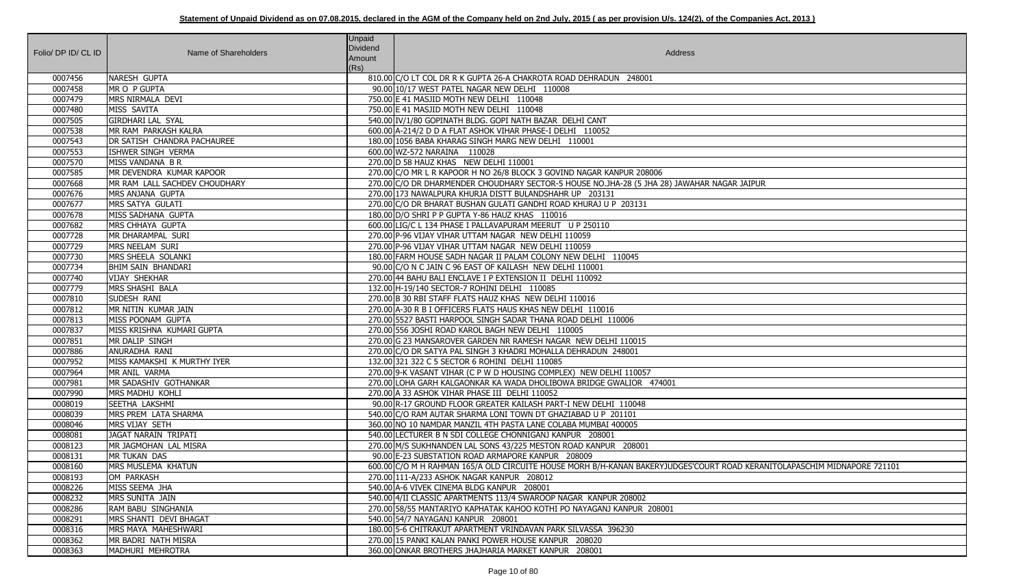| Folio/ DP ID/ CL ID | Name of Shareholders                       | <b>Unpaid</b><br>Dividend<br>Amount | Address                                                                                                                  |
|---------------------|--------------------------------------------|-------------------------------------|--------------------------------------------------------------------------------------------------------------------------|
|                     |                                            | (Rs)                                |                                                                                                                          |
| 0007456             | NARESH GUPTA                               |                                     | 810.00 C/O LT COL DR R K GUPTA 26-A CHAKROTA ROAD DEHRADUN 248001                                                        |
| 0007458             | MR O P GUPTA                               |                                     | 90.00 10/17 WEST PATEL NAGAR NEW DELHI 110008                                                                            |
| 0007479             | MRS NIRMALA DEVI                           |                                     | 750.00 E 41 MASJID MOTH NEW DELHI 110048                                                                                 |
| 0007480             | MISS SAVITA                                |                                     | 750.00 E 41 MASJID MOTH NEW DELHI 110048                                                                                 |
| 0007505             | <b>GIRDHARI LAL SYAL</b>                   |                                     | 540.00 IV/1/80 GOPINATH BLDG. GOPI NATH BAZAR DELHI CANT                                                                 |
| 0007538             | MR RAM PARKASH KALRA                       |                                     | 600.00 A-214/2 D D A FLAT ASHOK VIHAR PHASE-I DELHI 110052                                                               |
| 0007543             | DR SATISH CHANDRA PACHAUREE                |                                     | 180.00 1056 BABA KHARAG SINGH MARG NEW DELHI 110001                                                                      |
| 0007553             | ISHWER SINGH VERMA                         |                                     | 600.00 WZ-572 NARAINA 110028                                                                                             |
| 0007570             | MISS VANDANA B R                           |                                     | 270.00 D 58 HAUZ KHAS NEW DELHI 110001                                                                                   |
| 0007585             | MR DEVENDRA KUMAR KAPOOR                   |                                     | 270.00 C/O MR L R KAPOOR H NO 26/8 BLOCK 3 GOVIND NAGAR KANPUR 208006                                                    |
| 0007668             | MR RAM LALL SACHDEV CHOUDHARY              |                                     | 270.00 C/O DR DHARMENDER CHOUDHARY SECTOR-5 HOUSE NO.JHA-28 (5 JHA 28) JAWAHAR NAGAR JAIPUR                              |
| 0007676             | MRS ANJANA GUPTA                           |                                     | 270.00 173 NAWALPURA KHURJA DISTT BULANDSHAHR UP 203131                                                                  |
| 0007677             | MRS SATYA GULATI                           |                                     | 270.00 C/O DR BHARAT BUSHAN GULATI GANDHI ROAD KHURAJ U P 203131                                                         |
| 0007678             | MISS SADHANA GUPTA                         |                                     | 180.00 D/O SHRI P P GUPTA Y-86 HAUZ KHAS 110016                                                                          |
| 0007682             | <b>MRS CHHAYA GUPTA</b>                    |                                     | 600.00 LIG/C L 134 PHASE I PALLAVAPURAM MEERUT U P 250110                                                                |
| 0007728             | MR DHARAMPAL SURI                          |                                     | 270.00 P-96 VIJAY VIHAR UTTAM NAGAR NEW DELHI 110059                                                                     |
| 0007729             | MRS NEELAM SURI                            |                                     | 270.00 P-96 VIJAY VIHAR UTTAM NAGAR NEW DELHI 110059                                                                     |
| 0007730             | MRS SHEELA SOLANKI                         |                                     | 180.00 FARM HOUSE SADH NAGAR II PALAM COLONY NEW DELHI 110045                                                            |
| 0007734<br>0007740  | BHIM SAIN BHANDARI<br><b>VIJAY SHEKHAR</b> |                                     | 90.00 C/O N C JAIN C 96 EAST OF KAILASH NEW DELHI 110001<br>270.00 44 BAHU BALI ENCLAVE I P EXTENSION II DELHI 110092    |
| 0007779             | MRS SHASHI BALA                            |                                     | 132.00 H-19/140 SECTOR-7 ROHINI DELHI 110085                                                                             |
| 0007810             | SUDESH RANI                                |                                     | 270.00 B 30 RBI STAFF FLATS HAUZ KHAS NEW DELHI 110016                                                                   |
| 0007812             | MR NITIN KUMAR JAIN                        |                                     | 270.00 A-30 R B I OFFICERS FLATS HAUS KHAS NEW DELHI 110016                                                              |
| 0007813             | MISS POONAM GUPTA                          |                                     | 270.00 5527 BASTI HARPOOL SINGH SADAR THANA ROAD DELHI 110006                                                            |
| 0007837             | MISS KRISHNA KUMARI GUPTA                  |                                     | 270.00 556 JOSHI ROAD KAROL BAGH NEW DELHI 110005                                                                        |
| 0007851             | MR DALIP SINGH                             |                                     | 270.00 G 23 MANSAROVER GARDEN NR RAMESH NAGAR NEW DELHI 110015                                                           |
| 0007886             | ANURADHA RANI                              |                                     | 270.00 C/O DR SATYA PAL SINGH 3 KHADRI MOHALLA DEHRADUN 248001                                                           |
| 0007952             | MISS KAMAKSHI K MURTHY IYER                |                                     | 132.00 321 322 C 5 SECTOR 6 ROHINI DELHI 110085                                                                          |
| 0007964             | MR ANIL VARMA                              |                                     | 270.00 9-K VASANT VIHAR (C P W D HOUSING COMPLEX) NEW DELHI 110057                                                       |
| 0007981             | MR SADASHIV GOTHANKAR                      |                                     | 270.00 LOHA GARH KALGAONKAR KA WADA DHOLIBOWA BRIDGE GWALIOR 474001                                                      |
| 0007990             | MRS MADHU KOHLI                            |                                     | 270.00 A 33 ASHOK VIHAR PHASE III DELHI 110052                                                                           |
| 0008019             | SEETHA LAKSHMI                             |                                     | 90.00 R-17 GROUND FLOOR GREATER KAILASH PART-I NEW DELHI 110048                                                          |
| 0008039             | MRS PREM LATA SHARMA                       |                                     | 540.00 C/O RAM AUTAR SHARMA LONI TOWN DT GHAZIABAD U P 201101                                                            |
| 0008046             | MRS VIJAY SETH                             |                                     | 360.00 NO 10 NAMDAR MANZIL 4TH PASTA LANE COLABA MUMBAI 400005                                                           |
| 0008081             | JAGAT NARAIN TRIPATI                       |                                     | 540.00 LECTURER B N SDI COLLEGE CHONNIGANJ KANPUR 208001                                                                 |
| 0008123             | MR JAGMOHAN LAL MISRA                      |                                     | 270.00 M/S SUKHNANDEN LAL SONS 43/225 MESTON ROAD KANPUR 208001                                                          |
| 0008131             | <b>MR TUKAN DAS</b>                        |                                     | 90.00 E-23 SUBSTATION ROAD ARMAPORE KANPUR 208009                                                                        |
| 0008160             | MRS MUSLEMA KHATUN                         |                                     | 600.00 C/O M H RAHMAN 165/A OLD CIRCUITE HOUSE MORH B/H-KANAN BAKERYJUDGES'COURT ROAD KERANITOLAPASCHIM MIDNAPORE 721101 |
| 0008193             | OM PARKASH                                 |                                     | 270.00 111-A/233 ASHOK NAGAR KANPUR 208012                                                                               |
| 0008226             | MISS SEEMA JHA                             |                                     | 540.00 A-6 VIVEK CINEMA BLDG KANPUR 208001                                                                               |
| 0008232             | <b>MRS SUNITA JAIN</b>                     |                                     | 540.00 4/II CLASSIC APARTMENTS 113/4 SWAROOP NAGAR KANPUR 208002                                                         |
| 0008286             | RAM BABU SINGHANIA                         |                                     | 270.00 58/55 MANTARIYO KAPHATAK KAHOO KOTHI PO NAYAGANJ KANPUR 208001                                                    |
| 0008291             | MRS SHANTI DEVI BHAGAT                     |                                     | 540.00 54/7 NAYAGANJ KANPUR 208001                                                                                       |
| 0008316             | MRS MAYA MAHESHWARI                        |                                     | 180.00 5-6 CHITRAKUT APARTMENT VRINDAVAN PARK SILVASSA 396230                                                            |
| 0008362             | MR BADRI NATH MISRA                        |                                     | 270.00 15 PANKI KALAN PANKI POWER HOUSE KANPUR 208020                                                                    |
| 0008363             | MADHURI MEHROTRA                           |                                     | 360.00 ONKAR BROTHERS JHAJHARIA MARKET KANPUR 208001                                                                     |

| Gar Jaipur                              |
|-----------------------------------------|
|                                         |
|                                         |
|                                         |
|                                         |
|                                         |
|                                         |
|                                         |
|                                         |
|                                         |
|                                         |
|                                         |
|                                         |
|                                         |
|                                         |
|                                         |
|                                         |
| ROAD KERANITOLAPASCHIM MIDNAPORE 721101 |
|                                         |
|                                         |
|                                         |
|                                         |
|                                         |
|                                         |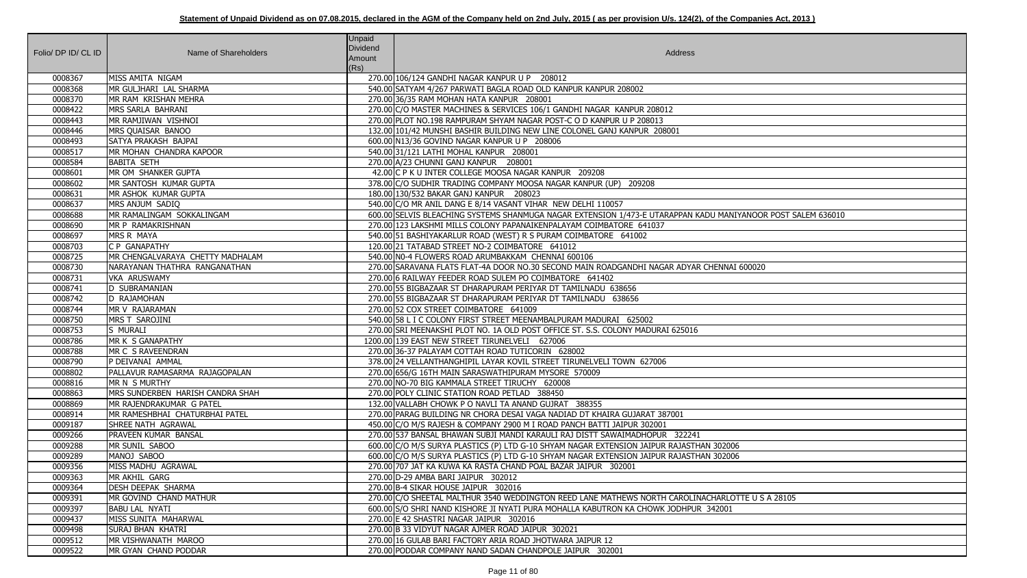| Folio/ DP ID/ CL ID | Name of Shareholders             | <b>Unpaid</b><br><b>Dividend</b><br>Amount<br>(Rs) | Address                                                                                                      |
|---------------------|----------------------------------|----------------------------------------------------|--------------------------------------------------------------------------------------------------------------|
| 0008367             | MISS AMITA NIGAM                 |                                                    | 270.00 106/124 GANDHI NAGAR KANPUR U P 208012                                                                |
| 0008368             | MR GULJHARI LAL SHARMA           |                                                    | 540.00 SATYAM 4/267 PARWATI BAGLA ROAD OLD KANPUR KANPUR 208002                                              |
| 0008370             | MR RAM KRISHAN MEHRA             |                                                    | 270.00 36/35 RAM MOHAN HATA KANPUR 208001                                                                    |
| 0008422             | MRS SARLA BAHRANI                |                                                    | 270.00 C/O MASTER MACHINES & SERVICES 106/1 GANDHI NAGAR KANPUR 208012                                       |
| 0008443             | MR RAMJIWAN VISHNOI              |                                                    | 270.00 PLOT NO.198 RAMPURAM SHYAM NAGAR POST-C O D KANPUR U P 208013                                         |
| 0008446             | MRS QUAISAR BANOO                |                                                    | 132.00 101/42 MUNSHI BASHIR BUILDING NEW LINE COLONEL GANJ KANPUR 208001                                     |
| 0008493             | SATYA PRAKASH BAJPAI             |                                                    | 600.00 N13/36 GOVIND NAGAR KANPUR U P 208006                                                                 |
| 0008517             | MR MOHAN CHANDRA KAPOOR          |                                                    | 540.00 31/121 LATHI MOHAL KANPUR 208001                                                                      |
| 0008584             | <b>BABITA SETH</b>               |                                                    | 270.00 A/23 CHUNNI GANJ KANPUR 208001                                                                        |
| 0008601             | MR OM SHANKER GUPTA              |                                                    | 42.00 C P K U INTER COLLEGE MOOSA NAGAR KANPUR 209208                                                        |
| 0008602             | MR SANTOSH KUMAR GUPTA           |                                                    | 378.00 C/O SUDHIR TRADING COMPANY MOOSA NAGAR KANPUR (UP) 209208                                             |
| 0008631             | MR ASHOK KUMAR GUPTA             |                                                    | 180.00 130/532 BAKAR GANJ KANPUR 208023                                                                      |
| 0008637             | MRS ANJUM SADIQ                  |                                                    | 540.00 C/O MR ANIL DANG E 8/14 VASANT VIHAR NEW DELHI 110057                                                 |
| 0008688             | MR RAMALINGAM SOKKALINGAM        |                                                    | 600.00 SELVIS BLEACHING SYSTEMS SHANMUGA NAGAR EXTENSION 1/473-E UTARAPPAN KADU MANIYANOOR POST SALEM 636010 |
| 0008690             | MR P RAMAKRISHNAN                |                                                    | 270.00 123 LAKSHMI MILLS COLONY PAPANAIKENPALAYAM COIMBATORE 641037                                          |
| 0008697             | MRS R MAYA                       |                                                    | 540.00 51 BASHIYAKARLUR ROAD (WEST) R S PURAM COIMBATORE 641002                                              |
| 0008703             | C P GANAPATHY                    |                                                    | 120.00 21 TATABAD STREET NO-2 COIMBATORE 641012                                                              |
| 0008725             | MR CHENGALVARAYA CHETTY MADHALAM |                                                    | 540.00 NO-4 FLOWERS ROAD ARUMBAKKAM CHENNAI 600106                                                           |
| 0008730             | NARAYANAN THATHRA RANGANATHAN    |                                                    | 270.00 SARAVANA FLATS FLAT-4A DOOR NO.30 SECOND MAIN ROADGANDHI NAGAR ADYAR CHENNAI 600020                   |
| 0008731             | VKA ARUSWAMY                     |                                                    | 270.00 6 RAILWAY FEEDER ROAD SULEM PO COIMBATORE 641402                                                      |
| 0008741             | D SUBRAMANIAN                    |                                                    | 270.00 55 BIGBAZAAR ST DHARAPURAM PERIYAR DT TAMILNADU 638656                                                |
| 0008742             | D RAJAMOHAN                      |                                                    | 270.00 55 BIGBAZAAR ST DHARAPURAM PERIYAR DT TAMILNADU 638656                                                |
| 0008744             | MR V RAJARAMAN                   |                                                    | 270.00 52 COX STREET COIMBATORE 641009                                                                       |
| 0008750             | MRS T SAROJINI                   |                                                    | 540.00 58 L I C COLONY FIRST STREET MEENAMBALPURAM MADURAI 625002                                            |
| 0008753             | S MURALI                         |                                                    | 270.00 SRI MEENAKSHI PLOT NO. 1A OLD POST OFFICE ST. S.S. COLONY MADURAI 625016                              |
| 0008786             | MR K S GANAPATHY                 |                                                    | 1200.00 139 EAST NEW STREET TIRUNELVELI 627006                                                               |
| 0008788             | MR C S RAVEENDRAN                |                                                    | 270.00 36-37 PALAYAM COTTAH ROAD TUTICORIN 628002                                                            |
| 0008790             | P DEIVANAI AMMAL                 |                                                    | 378.00 24 VELLANTHANGHIPIL LAYAR KOVIL STREET TIRUNELVELI TOWN 627006                                        |
| 0008802             | PALLAVUR RAMASARMA RAJAGOPALAN   |                                                    | 270.00 656/G 16TH MAIN SARASWATHIPURAM MYSORE 570009                                                         |
| 0008816             | MR N S MURTHY                    |                                                    | 270.00 NO-70 BIG KAMMALA STREET TIRUCHY 620008                                                               |
| 0008863             | MRS SUNDERBEN HARISH CANDRA SHAH |                                                    | 270.00 POLY CLINIC STATION ROAD PETLAD 388450                                                                |
| 0008869             | MR RAJENDRAKUMAR G PATEL         |                                                    | 132.00 VALLABH CHOWK P O NAVLI TA ANAND GUJRAT 388355                                                        |
| 0008914             | MR RAMESHBHAI CHATURBHAI PATEL   |                                                    | 270.00 PARAG BUILDING NR CHORA DESAI VAGA NADIAD DT KHAIRA GUJARAT 387001                                    |
| 0009187             | SHREE NATH AGRAWAL               |                                                    | 450.00 C/O M/S RAJESH & COMPANY 2900 M I ROAD PANCH BATTI JAIPUR 302001                                      |
| 0009266             | <b>PRAVEEN KUMAR BANSAL</b>      |                                                    | 270.00 537 BANSAL BHAWAN SUBJI MANDI KARAULI RAJ DISTT SAWAIMADHOPUR 322241                                  |
| 0009288             | MR SUNIL SABOO                   |                                                    | 600.00 C/O M/S SURYA PLASTICS (P) LTD G-10 SHYAM NAGAR EXTENSION JAIPUR RAJASTHAN 302006                     |
| 0009289             | MANOJ SABOO                      |                                                    | 600.00 C/O M/S SURYA PLASTICS (P) LTD G-10 SHYAM NAGAR EXTENSION JAIPUR RAJASTHAN 302006                     |
| 0009356             | MISS MADHU AGRAWAL               |                                                    | 270.00 707 JAT KA KUWA KA RASTA CHAND POAL BAZAR JAIPUR 302001                                               |
| 0009363             | MR AKHIL GARG                    |                                                    | 270.00 D-29 AMBA BARI JAIPUR 302012                                                                          |
| 0009364             | <b>DESH DEEPAK SHARMA</b>        |                                                    | 270.00 B-4 SIKAR HOUSE JAIPUR 302016                                                                         |
| 0009391             | MR GOVIND CHAND MATHUR           |                                                    | 270.00 C/O SHEETAL MALTHUR 3540 WEDDINGTON REED LANE MATHEWS NORTH CAROLINACHARLOTTE U S A 28105             |
| 0009397             | <b>BABU LAL NYATI</b>            |                                                    | 600.00 S/O SHRI NAND KISHORE JI NYATI PURA MOHALLA KABUTRON KA CHOWK JODHPUR 342001                          |
| 0009437             | MISS SUNITA MAHARWAL             |                                                    | 270.00 E 42 SHASTRI NAGAR JAIPUR 302016                                                                      |
| 0009498             | SURAJ BHAN KHATRI                |                                                    | 270.00 B 33 VIDYUT NAGAR AJMER ROAD JAIPUR 302021                                                            |
| 0009512             | MR VISHWANATH MAROO              |                                                    | 270.00 16 GULAB BARI FACTORY ARIA ROAD JHOTWARA JAIPUR 12                                                    |
| 0009522             | MR GYAN CHAND PODDAR             |                                                    | 270.00 PODDAR COMPANY NAND SADAN CHANDPOLE JAIPUR 302001                                                     |

| <b>IANIYANOOR POST SALEM 636010</b> |
|-------------------------------------|
|                                     |
|                                     |
|                                     |
| INAI 600020                         |
|                                     |
|                                     |
|                                     |
|                                     |
|                                     |
|                                     |
|                                     |
|                                     |
|                                     |
|                                     |
|                                     |
|                                     |
|                                     |
| 2006                                |
| 2006                                |
|                                     |
|                                     |
| RLOTTE U S A 28105                  |
| $\overline{01}$                     |
|                                     |
|                                     |
|                                     |
|                                     |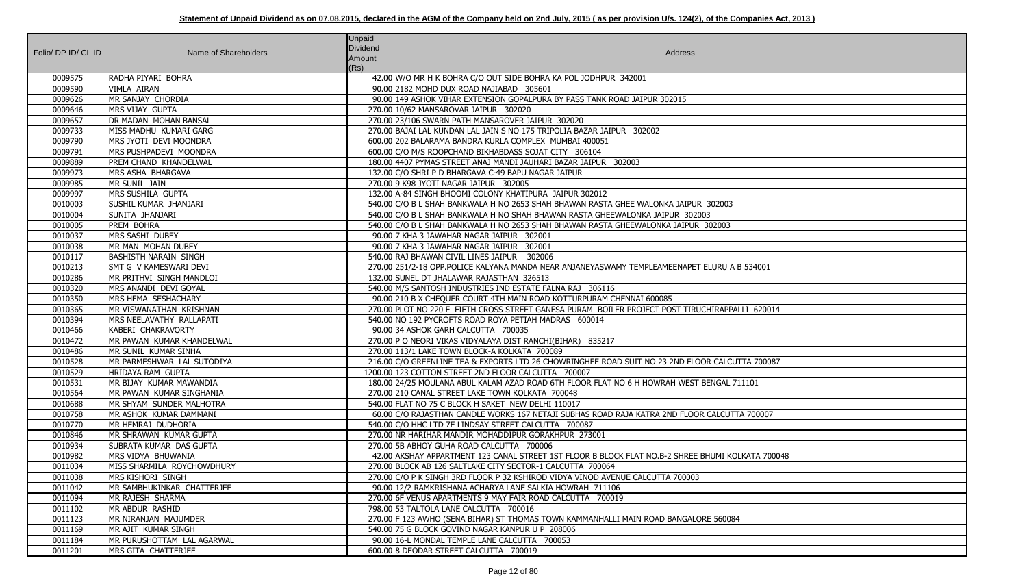| Folio/ DP ID/ CL ID | Name of Shareholders              | <b>Unpaid</b><br>Dividend<br>Amount<br>(Rs) | Address                                                                                           |
|---------------------|-----------------------------------|---------------------------------------------|---------------------------------------------------------------------------------------------------|
| 0009575             | RADHA PIYARI BOHRA                |                                             | 42.00 W/O MR H K BOHRA C/O OUT SIDE BOHRA KA POL JODHPUR 342001                                   |
| 0009590             | <b>VIMLA AIRAN</b>                |                                             | 90.00 2182 MOHD DUX ROAD NAJIABAD 305601                                                          |
| 0009626             | MR SANJAY CHORDIA                 |                                             | 90.00 149 ASHOK VIHAR EXTENSION GOPALPURA BY PASS TANK ROAD JAIPUR 302015                         |
| 0009646             | MRS VIJAY GUPTA                   |                                             | 270.00 10/62 MANSAROVAR JAIPUR 302020                                                             |
| 0009657             | <b>DR MADAN MOHAN BANSAL</b>      |                                             | 270.00 23/106 SWARN PATH MANSAROVER JAIPUR 302020                                                 |
| 0009733             | MISS MADHU KUMARI GARG            |                                             | 270.00 BAJAI LAL KUNDAN LAL JAIN S NO 175 TRIPOLIA BAZAR JAIPUR 302002                            |
| 0009790             | MRS JYOTI DEVI MOONDRA            |                                             | 600.00 202 BALARAMA BANDRA KURLA COMPLEX MUMBAI 400051                                            |
| 0009791             | MRS PUSHPADEVI MOONDRA            |                                             | 600.00 C/O M/S ROOPCHAND BIKHABDASS SOJAT CITY 306104                                             |
| 0009889             | <b>PREM CHAND KHANDELWAL</b>      |                                             | 180.00 4407 PYMAS STREET ANAJ MANDI JAUHARI BAZAR JAIPUR 302003                                   |
| 0009973             | MRS ASHA BHARGAVA                 |                                             | 132.00 C/O SHRI P D BHARGAVA C-49 BAPU NAGAR JAIPUR                                               |
| 0009985             | MR SUNIL JAIN                     |                                             | 270.00 9 K98 JYOTI NAGAR JAIPUR 302005                                                            |
| 0009997             | MRS SUSHILA GUPTA                 |                                             | 132.00 A-84 SINGH BHOOMI COLONY KHATIPURA JAIPUR 302012                                           |
| 0010003             | <b>SUSHIL KUMAR JHANJARI</b>      |                                             | 540.00 C/O B L SHAH BANKWALA H NO 2653 SHAH BHAWAN RASTA GHEE WALONKA JAIPUR 302003               |
| 0010004             | SUNITA JHANJARI                   |                                             | 540.00 C/O B L SHAH BANKWALA H NO SHAH BHAWAN RASTA GHEEWALONKA JAIPUR 302003                     |
| 0010005             | PREM BOHRA                        |                                             | 540.00 C/O B L SHAH BANKWALA H NO 2653 SHAH BHAWAN RASTA GHEEWALONKA JAIPUR 302003                |
| 0010037             | MRS SASHI DUBEY                   |                                             | 90.00 7 KHA 3 JAWAHAR NAGAR JAIPUR 302001                                                         |
| 0010038             | MR MAN MOHAN DUBEY                |                                             | 90.00 7 KHA 3 JAWAHAR NAGAR JAIPUR 302001                                                         |
| 0010117             | <b>BASHISTH NARAIN SINGH</b>      |                                             | 540.00 RAJ BHAWAN CIVIL LINES JAIPUR 302006                                                       |
| 0010213             | SMT G V KAMESWARI DEVI            |                                             | 270.00 251/2-18 OPP.POLICE KALYANA MANDA NEAR ANJANEYASWAMY TEMPLEAMEENAPET ELURU A B 534001      |
| 0010286             | MR PRITHVI SINGH MANDLOI          |                                             | 132.00 SUNEL DT JHALAWAR RAJASTHAN 326513                                                         |
| 0010320             | MRS ANANDI DEVI GOYAL             |                                             | 540.00 M/S SANTOSH INDUSTRIES IND ESTATE FALNA RAJ 306116                                         |
| 0010350             | MRS HEMA SESHACHARY               |                                             | 90.00 210 B X CHEQUER COURT 4TH MAIN ROAD KOTTURPURAM CHENNAI 600085                              |
| 0010365             | MR VISWANATHAN KRISHNAN           |                                             | 270.00 PLOT NO 220 F FIFTH CROSS STREET GANESA PURAM BOILER PROJECT POST TIRUCHIRAPPALLI 620014   |
| 0010394             | MRS NEELAVATHY RALLAPATI          |                                             | 540.00 NO 192 PYCROFTS ROAD ROYA PETIAH MADRAS 600014                                             |
| 0010466             | KABERI CHAKRAVORTY                |                                             | 90.00 34 ASHOK GARH CALCUTTA 700035                                                               |
| 0010472             | <b>IMR PAWAN KUMAR KHANDELWAL</b> |                                             | 270.00 P O NEORI VIKAS VIDYALAYA DIST RANCHI(BIHAR) 835217                                        |
| 0010486             | MR SUNIL KUMAR SINHA              |                                             | 270.00 113/1 LAKE TOWN BLOCK-A KOLKATA 700089                                                     |
| 0010528             | MR PARMESHWAR LAL SUTODIYA        |                                             | 216.00 C/O GREENLINE TEA & EXPORTS LTD 26 CHOWRINGHEE ROAD SUIT NO 23 2ND FLOOR CALCUTTA 700087   |
| 0010529             | HRIDAYA RAM GUPTA                 |                                             | 1200.00 123 COTTON STREET 2ND FLOOR CALCUTTA 700007                                               |
| 0010531             | MR BIJAY KUMAR MAWANDIA           |                                             | 180.00 24/25 MOULANA ABUL KALAM AZAD ROAD 6TH FLOOR FLAT NO 6 H HOWRAH WEST BENGAL 711101         |
| 0010564             | MR PAWAN KUMAR SINGHANIA          |                                             | 270.00 210 CANAL STREET LAKE TOWN KOLKATA 700048                                                  |
| 0010688             | MR SHYAM SUNDER MALHOTRA          |                                             | 540.00 FLAT NO 75 C BLOCK H SAKET NEW DELHI 110017                                                |
| 0010758             | MR ASHOK KUMAR DAMMANI            |                                             | 60.00 C/O RAJASTHAN CANDLE WORKS 167 NETAJI SUBHAS ROAD RAJA KATRA 2ND FLOOR CALCUTTA 700007      |
| 0010770             | MR HEMRAJ DUDHORIA                |                                             | 540.00 C/O HHC LTD 7E LINDSAY STREET CALCUTTA 700087                                              |
| 0010846             | MR SHRAWAN KUMAR GUPTA            |                                             | 270.00 NR HARIHAR MANDIR MOHADDIPUR GORAKHPUR 273001                                              |
| 0010934             | <b>SUBRATA KUMAR DAS GUPTA</b>    |                                             | 270.00 5B ABHOY GUHA ROAD CALCUTTA 700006                                                         |
| 0010982             | MRS VIDYA BHUWANIA                |                                             | 42.00 AKSHAY APPARTMENT 123 CANAL STREET 1ST FLOOR B BLOCK FLAT NO.B-2 SHREE BHUMI KOLKATA 700048 |
| 0011034             | MISS SHARMILA ROYCHOWDHURY        |                                             | 270.00 BLOCK AB 126 SALTLAKE CITY SECTOR-1 CALCUTTA 700064                                        |
| 0011038             | MRS KISHORI SINGH                 |                                             | 270.00 C/O P K SINGH 3RD FLOOR P 32 KSHIROD VIDYA VINOD AVENUE CALCUTTA 700003                    |
| 0011042             | MR SAMBHUKINKAR CHATTERJEE        |                                             | 90.00 12/2 RAMKRISHANA ACHARYA LANE SALKIA HOWRAH 711106                                          |
| 0011094             | MR RAJESH SHARMA                  |                                             | 270.00 6F VENUS APARTMENTS 9 MAY FAIR ROAD CALCUTTA 700019                                        |
| 0011102             | MR ABDUR RASHID                   |                                             | 798.00 53 TALTOLA LANE CALCUTTA 700016                                                            |
| 0011123             | MR NIRANJAN MAJUMDER              |                                             | 270.00 F 123 AWHO (SENA BIHAR) ST THOMAS TOWN KAMMANHALLI MAIN ROAD BANGALORE 560084              |
| 0011169             | MR AJIT KUMAR SINGH               |                                             | 540.00 75 G BLOCK GOVIND NAGAR KANPUR U P 208006                                                  |
| 0011184             | MR PURUSHOTTAM LAL AGARWAL        |                                             | 90.00 16-L MONDAL TEMPLE LANE CALCUTTA 700053                                                     |
| 0011201             | MRS GITA CHATTERJEE               |                                             | 600.00 8 DEODAR STREET CALCUTTA 700019                                                            |

| $\overline{03}$      |
|----------------------|
| $\overline{)3}$      |
|                      |
|                      |
| U A B 534001         |
|                      |
|                      |
| PPALLI 620014        |
|                      |
|                      |
| <b>LCUTTA 700087</b> |
|                      |
| AL 711101            |
|                      |
| CUTTA 700007         |
|                      |
|                      |
| I KOLKATA 700048     |
|                      |
|                      |
|                      |
| 0084                 |
|                      |
|                      |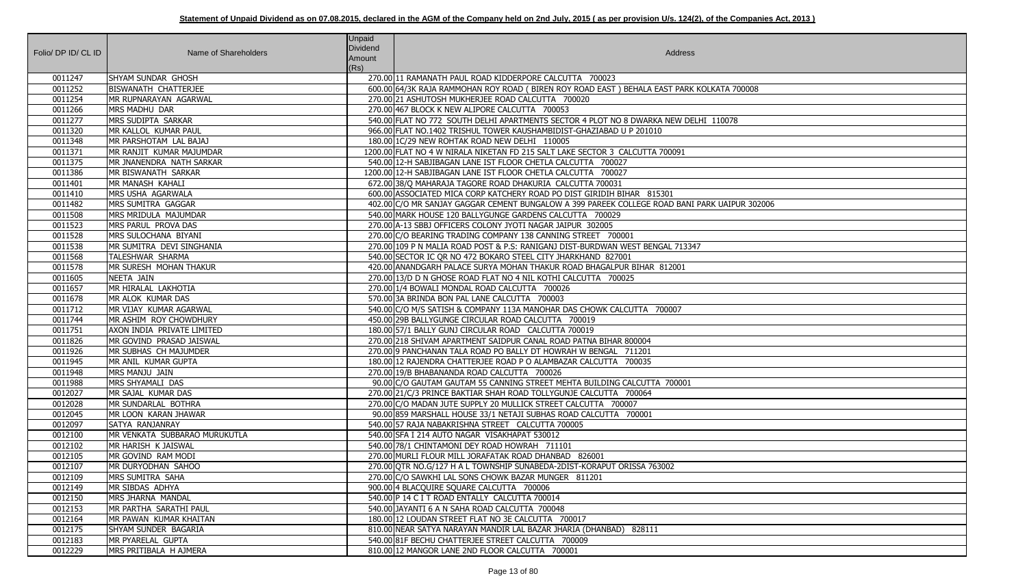| Folio/ DP ID/ CL ID | Name of Shareholders          | <b>Unpaid</b><br>Dividend<br>Amount<br>(Rs) | Address                                                                                       |
|---------------------|-------------------------------|---------------------------------------------|-----------------------------------------------------------------------------------------------|
| 0011247             | <b>SHYAM SUNDAR GHOSH</b>     |                                             | 270.00 11 RAMANATH PAUL ROAD KIDDERPORE CALCUTTA 700023                                       |
| 0011252             | BISWANATH CHATTERJEE          |                                             | 600.00 64/3K RAJA RAMMOHAN ROY ROAD (BIREN ROY ROAD EAST) BEHALA EAST PARK KOLKATA 700008     |
| 0011254             | MR RUPNARAYAN AGARWAL         |                                             | 270.00 21 ASHUTOSH MUKHERJEE ROAD CALCUTTA 700020                                             |
| 0011266             | MRS MADHU DAR                 |                                             | 270.00 467 BLOCK K NEW ALIPORE CALCUTTA 700053                                                |
| 0011277             | MRS SUDIPTA SARKAR            |                                             | 540.00 FLAT NO 772 SOUTH DELHI APARTMENTS SECTOR 4 PLOT NO 8 DWARKA NEW DELHI 110078          |
| 0011320             | MR KALLOL KUMAR PAUL          |                                             | 966.00 FLAT NO.1402 TRISHUL TOWER KAUSHAMBIDIST-GHAZIABAD U P 201010                          |
| 0011348             | MR PARSHOTAM LAL BAJAJ        |                                             | 180.00 1C/29 NEW ROHTAK ROAD NEW DELHI 110005                                                 |
| 0011371             | MR RANJIT KUMAR MAJUMDAR      |                                             | 1200.00 FLAT NO 4 W NIRALA NIKETAN FD 215 SALT LAKE SECTOR 3 CALCUTTA 700091                  |
| 0011375             | MR JNANENDRA NATH SARKAR      |                                             | 540.00 12-H SABJIBAGAN LANE IST FLOOR CHETLA CALCUTTA 700027                                  |
| 0011386             | MR BISWANATH SARKAR           |                                             | 1200.00 12-H SABJIBAGAN LANE IST FLOOR CHETLA CALCUTTA 700027                                 |
| 0011401             | MR MANASH KAHALI              |                                             | 672.00 38/Q MAHARAJA TAGORE ROAD DHAKURIA CALCUTTA 700031                                     |
| 0011410             | MRS USHA AGARWALA             |                                             | 600.00 ASSOCIATED MICA CORP KATCHERY ROAD PO DIST GIRIDIH BIHAR 815301                        |
| 0011482             | MRS SUMITRA GAGGAR            |                                             | 402.00 C/O MR SANJAY GAGGAR CEMENT BUNGALOW A 399 PAREEK COLLEGE ROAD BANI PARK UAIPUR 302006 |
| 0011508             | MRS MRIDULA MAJUMDAR          |                                             | 540.00 MARK HOUSE 120 BALLYGUNGE GARDENS CALCUTTA 700029                                      |
| 0011523             | MRS PARUL PROVA DAS           |                                             | 270.00 A-13 SBBJ OFFICERS COLONY JYOTI NAGAR JAIPUR 302005                                    |
| 0011528             | MRS SULOCHANA BIYANI          |                                             | 270.00 C/O BEARING TRADING COMPANY 138 CANNING STREET 700001                                  |
| 0011538             | MR SUMITRA DEVI SINGHANIA     |                                             | 270.00 109 P N MALIA ROAD POST & P.S: RANIGANJ DIST-BURDWAN WEST BENGAL 713347                |
| 0011568             | TALESHWAR SHARMA              |                                             | 540.00 SECTOR IC QR NO 472 BOKARO STEEL CITY JHARKHAND 827001                                 |
| 0011578             | MR SURESH MOHAN THAKUR        |                                             | 420.00 ANANDGARH PALACE SURYA MOHAN THAKUR ROAD BHAGALPUR BIHAR 812001                        |
| 0011605             | NEETA JAIN                    |                                             | 270.00 13/D D N GHOSE ROAD FLAT NO 4 NIL KOTHI CALCUTTA 700025                                |
| 0011657             | MR HIRALAL LAKHOTIA           |                                             | 270.00 1/4 BOWALI MONDAL ROAD CALCUTTA 700026                                                 |
| 0011678             | MR ALOK KUMAR DAS             |                                             | 570.00 3A BRINDA BON PAL LANE CALCUTTA 700003                                                 |
| 0011712             | MR VIJAY KUMAR AGARWAL        |                                             | 540.00 C/O M/S SATISH & COMPANY 113A MANOHAR DAS CHOWK CALCUTTA 700007                        |
| 0011744             | MR ASHIM ROY CHOWDHURY        |                                             | 450.00 29B BALLYGUNGE CIRCULAR ROAD CALCUTTA 700019                                           |
| 0011751             | AXON INDIA PRIVATE LIMITED    |                                             | 180.00 57/1 BALLY GUNJ CIRCULAR ROAD CALCUTTA 700019                                          |
| 0011826             | MR GOVIND PRASAD JAISWAL      |                                             | 270.00 218 SHIVAM APARTMENT SAIDPUR CANAL ROAD PATNA BIHAR 800004                             |
| 0011926             | MR SUBHAS CH MAJUMDER         |                                             | 270.00 9 PANCHANAN TALA ROAD PO BALLY DT HOWRAH W BENGAL 711201                               |
| 0011945             | MR ANIL KUMAR GUPTA           |                                             | 180.00 12 RAJENDRA CHATTERJEE ROAD P O ALAMBAZAR CALCUTTA 700035                              |
| 0011948             | MRS MANJU JAIN                |                                             | 270.00 19/B BHABANANDA ROAD CALCUTTA 700026                                                   |
| 0011988             | MRS SHYAMALI DAS              |                                             | 90.00 C/O GAUTAM GAUTAM 55 CANNING STREET MEHTA BUILDING CALCUTTA 700001                      |
| 0012027             | MR SAJAL KUMAR DAS            |                                             | 270.00 21/ C/3 PRINCE BAKTIAR SHAH ROAD TOLLYGUNJE CALCUTTA 700064                            |
| 0012028             | MR SUNDARLAL BOTHRA           |                                             | 270.00 C/O MADAN JUTE SUPPLY 20 MULLICK STREET CALCUTTA 700007                                |
| 0012045             | MR LOON KARAN JHAWAR          |                                             | 90.00 859 MARSHALL HOUSE 33/1 NETAJI SUBHAS ROAD CALCUTTA 700001                              |
| 0012097             | SATYA RANJANRAY               |                                             | 540.00 57 RAJA NABAKRISHNA STREET CALCUTTA 700005                                             |
| 0012100             | MR VENKATA SUBBARAO MURUKUTLA |                                             | 540.00 SFA I 214 AUTO NAGAR VISAKHAPAT 530012                                                 |
| 0012102             | MR HARISH K JAISWAL           |                                             | 540.00 78/1 CHINTAMONI DEY ROAD HOWRAH 711101                                                 |
| 0012105             | MR GOVIND RAM MODI            |                                             | 270.00 MURLI FLOUR MILL JORAFATAK ROAD DHANBAD 826001                                         |
| 0012107             | MR DURYODHAN SAHOO            |                                             | 270.00 OTR NO.G/127 H A L TOWNSHIP SUNABEDA-2DIST-KORAPUT ORISSA 763002                       |
| 0012109             | MRS SUMITRA SAHA              |                                             | 270.00 C/O SAWKHI LAL SONS CHOWK BAZAR MUNGER 811201                                          |
| 0012149             | MR SIBDAS ADHYA               |                                             | 900.00 4 BLACQUIRE SQUARE CALCUTTA 700006                                                     |
| 0012150             | MRS JHARNA MANDAL             |                                             | 540.00 P 14 C I T ROAD ENTALLY CALCUTTA 700014                                                |
| 0012153             | MR PARTHA SARATHI PAUL        |                                             | 540.00 JAYANTI 6 A N SAHA ROAD CALCUTTA 700048                                                |
| 0012164             | MR PAWAN KUMAR KHAITAN        |                                             | 180.00 12 LOUDAN STREET FLAT NO 3E CALCUTTA 700017                                            |
| 0012175             | SHYAM SUNDER BAGARIA          |                                             | 810.00 NEAR SATYA NARAYAN MANDIR LAL BAZAR JHARIA (DHANBAD) 828111                            |
| 0012183             | MR PYARELAL GUPTA             |                                             | 540.00 81F BECHU CHATTERJEE STREET CALCUTTA 700009                                            |
| 0012229             | MRS PRITIBALA H AJMERA        |                                             | 810.00 12 MANGOR LANE 2ND FLOOR CALCUTTA 700001                                               |

| TA 700008     |  |
|---------------|--|
| 0078          |  |
|               |  |
|               |  |
| JAIPUR 302006 |  |
|               |  |
|               |  |
|               |  |
|               |  |
|               |  |
|               |  |
|               |  |
|               |  |
|               |  |
|               |  |
|               |  |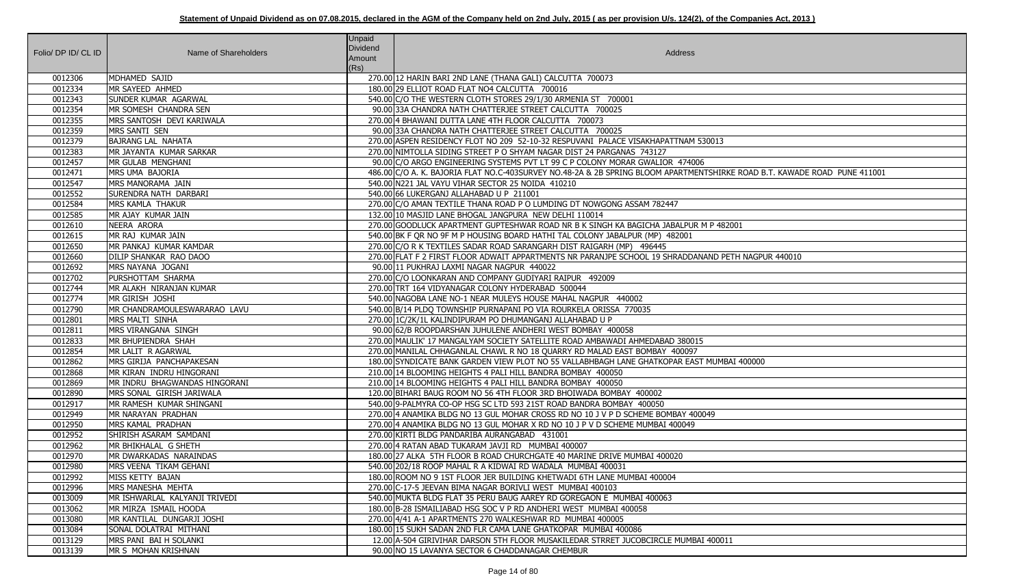|                     |                               | <b>Unpaid</b><br><b>Dividend</b> |                                                                                                                           |
|---------------------|-------------------------------|----------------------------------|---------------------------------------------------------------------------------------------------------------------------|
| Folio/ DP ID/ CL ID | Name of Shareholders          | Amount                           | Address                                                                                                                   |
|                     |                               | (Rs)                             |                                                                                                                           |
| 0012306             | MDHAMED SAJID                 |                                  | 270.00 12 HARIN BARI 2ND LANE (THANA GALI) CALCUTTA 700073                                                                |
| 0012334             | MR SAYEED AHMED               |                                  | 180.00 29 ELLIOT ROAD FLAT NO4 CALCUTTA 700016                                                                            |
| 0012343             | SUNDER KUMAR AGARWAL          |                                  | 540.00 C/O THE WESTERN CLOTH STORES 29/1/30 ARMENIA ST 700001                                                             |
| 0012354             | MR SOMESH CHANDRA SEN         |                                  | 90.00 33A CHANDRA NATH CHATTERJEE STREET CALCUTTA 700025                                                                  |
| 0012355             | MRS SANTOSH DEVI KARIWALA     |                                  | 270.00 4 BHAWANI DUTTA LANE 4TH FLOOR CALCUTTA 700073                                                                     |
| 0012359             | MRS SANTI SEN                 |                                  | 90.00 33A CHANDRA NATH CHATTERJEE STREET CALCUTTA 700025                                                                  |
| 0012379             | <b>BAJRANG LAL NAHATA</b>     |                                  | 270.00 ASPEN RESIDENCY FLOT NO 209 52-10-32 RESPUVANI PALACE VISAKHAPATTNAM 530013                                        |
| 0012383             | MR JAYANTA KUMAR SARKAR       |                                  | 270.00 NIMTOLLA SIDING STREET P O SHYAM NAGAR DIST 24 PARGANAS 743127                                                     |
| 0012457             | MR GULAB MENGHANI             |                                  | 90.00 C/O ARGO ENGINEERING SYSTEMS PVT LT 99 C P COLONY MORAR GWALIOR 474006                                              |
| 0012471             | MRS UMA BAJORIA               |                                  | 486.00 C/O A. K. BAJORIA FLAT NO.C-403SURVEY NO.48-2A & 2B SPRING BLOOM APARTMENTSHIRKE ROAD B.T. KAWADE ROAD PUNE 411001 |
| 0012547             | MRS MANORAMA JAIN             |                                  | 540.00 N221 JAL VAYU VIHAR SECTOR 25 NOIDA 410210                                                                         |
| 0012552             | <b>SURENDRA NATH DARBARI</b>  |                                  | 540.00 66 LUKERGANJ ALLAHABAD U P 211001                                                                                  |
| 0012584             | <b>MRS KAMLA THAKUR</b>       |                                  | 270.00 C/O AMAN TEXTILE THANA ROAD P O LUMDING DT NOWGONG ASSAM 782447                                                    |
| 0012585             | MR AJAY KUMAR JAIN            |                                  | 132.00 10 MASJID LANE BHOGAL JANGPURA NEW DELHI 110014                                                                    |
| 0012610             | NEERA ARORA                   |                                  | 270.00 GOODLUCK APARTMENT GUPTESHWAR ROAD NR B K SINGH KA BAGICHA JABALPUR M P 482001                                     |
| 0012615             | MR RAJ KUMAR JAIN             |                                  | 540.00 BK F QR NO 9F M P HOUSING BOARD HATHI TAL COLONY JABALPUR (MP) 482001                                              |
| 0012650             | MR PANKAJ KUMAR KAMDAR        |                                  | 270.00 C/O R K TEXTILES SADAR ROAD SARANGARH DIST RAIGARH (MP) 496445                                                     |
| 0012660             | DILIP SHANKAR RAO DAOO        |                                  | 270.00 FLAT F 2 FIRST FLOOR ADWAIT APPARTMENTS NR PARANJPE SCHOOL 19 SHRADDANAND PETH NAGPUR 440010                       |
| 0012692             | MRS NAYANA JOGANI             |                                  | 90.00 11 PUKHRAJ LAXMI NAGAR NAGPUR 440022                                                                                |
| 0012702             | PURSHOTTAM SHARMA             |                                  | 270.00 C/O LOONKARAN AND COMPANY GUDIYARI RAIPUR 492009                                                                   |
| 0012744             | MR ALAKH NIRANJAN KUMAR       |                                  | 270.00 TRT 164 VIDYANAGAR COLONY HYDERABAD 500044                                                                         |
| 0012774             | MR GIRISH JOSHI               |                                  | 540.00 NAGOBA LANE NO-1 NEAR MULEYS HOUSE MAHAL NAGPUR 440002                                                             |
| 0012790             | MR CHANDRAMOULESWARARAO LAVU  |                                  | 540.00 B/14 PLDQ TOWNSHIP PURNAPANI PO VIA ROURKELA ORISSA 770035                                                         |
| 0012801             | MRS MALTI SINHA               |                                  | 270.00 1C/2K/1L KALINDIPURAM PO DHUMANGANJ ALLAHABAD U P                                                                  |
| 0012811             | MRS VIRANGANA SINGH           |                                  | 90.00 62/B ROOPDARSHAN JUHULENE ANDHERI WEST BOMBAY 400058                                                                |
| 0012833             | MR BHUPIENDRA SHAH            |                                  | 270.00 MAULIK' 17 MANGALYAM SOCIETY SATELLITE ROAD AMBAWADI AHMEDABAD 380015                                              |
| 0012854             | MR LALIT R AGARWAL            |                                  | 270.00 MANILAL CHHAGANLAL CHAWL R NO 18 QUARRY RD MALAD EAST BOMBAY 400097                                                |
| 0012862             | MRS GIRIJA PANCHAPAKESAN      |                                  | 180.00 SYNDICATE BANK GARDEN VIEW PLOT NO 55 VALLABHBAGH LANE GHATKOPAR EAST MUMBAI 400000                                |
| 0012868             | MR KIRAN INDRU HINGORANI      |                                  | 210.00 14 BLOOMING HEIGHTS 4 PALI HILL BANDRA BOMBAY 400050                                                               |
| 0012869             | MR INDRU BHAGWANDAS HINGORANI |                                  | 210.00 14 BLOOMING HEIGHTS 4 PALI HILL BANDRA BOMBAY 400050                                                               |
| 0012890             | MRS SONAL GIRISH JARIWALA     |                                  | 120.00 BIHARI BAUG ROOM NO 56 4TH FLOOR 3RD BHOIWADA BOMBAY 400002                                                        |
| 0012917             | MR RAMESH KUMAR SHINGANI      |                                  | 540.00 9-PALMYRA CO-OP HSG SC LTD 593 21ST ROAD BANDRA BOMBAY 400050                                                      |
| 0012949             | MR NARAYAN PRADHAN            |                                  | 270.00 4 ANAMIKA BLDG NO 13 GUL MOHAR CROSS RD NO 10 J V P D SCHEME BOMBAY 400049                                         |
| 0012950             | MRS KAMAL PRADHAN             |                                  | 270.00 4 ANAMIKA BLDG NO 13 GUL MOHAR X RD NO 10 J P V D SCHEME MUMBAI 400049                                             |
| 0012952             | SHIRISH ASARAM SAMDANI        |                                  | 270.00 KIRTI BLDG PANDARIBA AURANGABAD 431001                                                                             |
| 0012962             | MR BHIKHALAL G SHETH          |                                  | 270.00 4 RATAN ABAD TUKARAM JAVJI RD MUMBAI 400007                                                                        |
| 0012970             | MR DWARKADAS NARAINDAS        |                                  | 180.00 27 ALKA 5TH FLOOR B ROAD CHURCHGATE 40 MARINE DRIVE MUMBAI 400020                                                  |
| 0012980             | MRS VEENA TIKAM GEHANI        |                                  | 540.00 202/18 ROOP MAHAL R A KIDWAI RD WADALA MUMBAI 400031                                                               |
| 0012992             | MISS KETTY BAJAN              |                                  | 180.00 ROOM NO 9 1ST FLOOR JER BUILDING KHETWADI 6TH LANE MUMBAI 400004                                                   |
| 0012996             | MRS MANESHA MEHTA             |                                  | 270.00 C-17-5 JEEVAN BIMA NAGAR BORIVLI WEST MUMBAI 400103                                                                |
| 0013009             | MR ISHWARLAL KALYANJI TRIVEDI |                                  | 540.00 MUKTA BLDG FLAT 35 PERU BAUG AAREY RD GOREGAON E MUMBAI 400063                                                     |
| 0013062             | MR MIRZA ISMAIL HOODA         |                                  | 180.00 B-28 ISMAILIABAD HSG SOC V P RD ANDHERI WEST MUMBAI 400058                                                         |
| 0013080             | MR KANTILAL DUNGARJI JOSHI    |                                  | 270.00 4/41 A-1 APARTMENTS 270 WALKESHWAR RD MUMBAI 400005                                                                |
| 0013084             | SONAL DOLATRAI MITHANI        |                                  | 180.00 15 SUKH SADAN 2ND FLR CAMA LANE GHATKOPAR MUMBAI 400086                                                            |
| 0013129             | MRS PANI BAI H SOLANKI        |                                  | 12.00 A-504 GIRIVIHAR DARSON 5TH FLOOR MUSAKILEDAR STRRET JUCOBCIRCLE MUMBAI 400011                                       |
| 0013139             | MR S MOHAN KRISHNAN           |                                  | 90.00 NO 15 LAVANYA SECTOR 6 CHADDANAGAR CHEMBUR                                                                          |

| RKE ROAD B.T. KAWADE ROAD PUNE 411001 |
|---------------------------------------|
| 32001                                 |
| PETH NAGPUR 440010                    |
|                                       |
|                                       |
| BAI 400000                            |
|                                       |
|                                       |
|                                       |
|                                       |
| $\overline{11}$                       |
|                                       |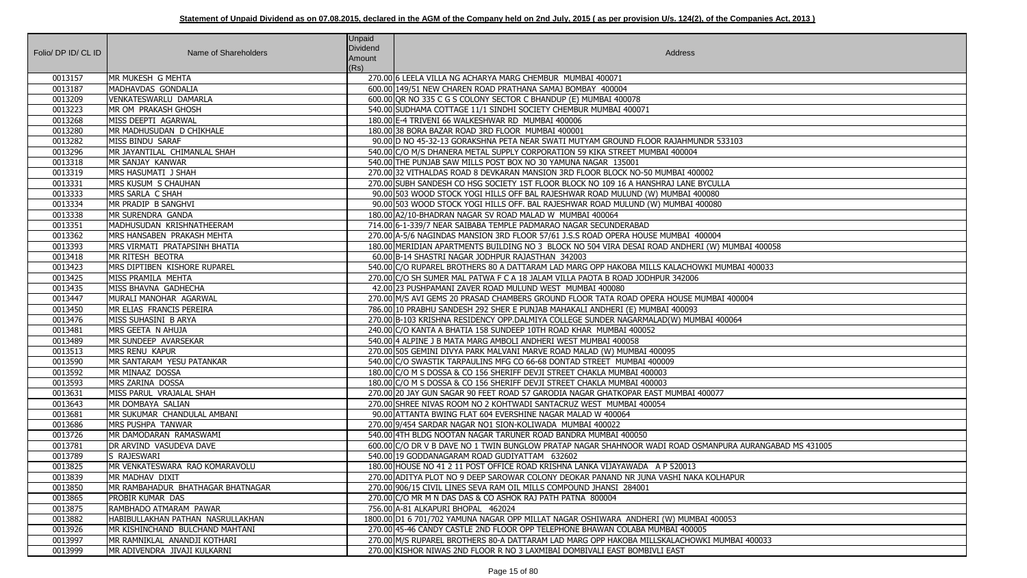| Folio/ DP ID/ CL ID | Name of Shareholders              | Unpaid<br>Dividend<br>Amount<br>(Rs) | Address                                                                                                 |
|---------------------|-----------------------------------|--------------------------------------|---------------------------------------------------------------------------------------------------------|
| 0013157             | MR MUKESH G MEHTA                 |                                      | 270.00 6 LEELA VILLA NG ACHARYA MARG CHEMBUR MUMBAI 400071                                              |
| 0013187             | MADHAVDAS GONDALIA                |                                      | 600.00 149/51 NEW CHAREN ROAD PRATHANA SAMAJ BOMBAY 400004                                              |
| 0013209             | VENKATESWARLU DAMARLA             |                                      | 600.00 QR NO 335 C G S COLONY SECTOR C BHANDUP (E) MUMBAI 400078                                        |
| 0013223             | MR OM PRAKASH GHOSH               |                                      | 540.00 SUDHAMA COTTAGE 11/1 SINDHI SOCIETY CHEMBUR MUMBAI 400071                                        |
| 0013268             | MISS DEEPTI AGARWAL               |                                      | 180.00 E-4 TRIVENI 66 WALKESHWAR RD MUMBAI 400006                                                       |
| 0013280             | MR MADHUSUDAN D CHIKHALE          |                                      | 180.00 38 BORA BAZAR ROAD 3RD FLOOR MUMBAI 400001                                                       |
| 0013282             | MISS BINDU SARAF                  |                                      | 90.00 ID NO 45-32-13 GORAKSHNA PETA NEAR SWATI MUTYAM GROUND FLOOR RAJAHMUNDR 533103                    |
| 0013296             | MR JAYANTILAL CHIMANLAL SHAH      |                                      | 540.00 C/O M/S DHANERA METAL SUPPLY CORPORATION 59 KIKA STREET MUMBAI 400004                            |
| 0013318             | MR SANJAY KANWAR                  |                                      | 540.00 THE PUNJAB SAW MILLS POST BOX NO 30 YAMUNA NAGAR 135001                                          |
| 0013319             | MRS HASUMATI J SHAH               |                                      | 270.00 32 VITHALDAS ROAD 8 DEVKARAN MANSION 3RD FLOOR BLOCK NO-50 MUMBAI 400002                         |
| 0013331             | MRS KUSUM S CHAUHAN               |                                      | 270.00 SUBH SANDESH CO HSG SOCIETY 1ST FLOOR BLOCK NO 109 16 A HANSHRAJ LANE BYCULLA                    |
| 0013333             | MRS SARLA C SHAH                  |                                      | 90.00 503 WOOD STOCK YOGI HILLS OFF BAL RAJESHWAR ROAD MULUND (W) MUMBAI 400080                         |
| 0013334             | MR PRADIP B SANGHVI               |                                      | 90.00 503 WOOD STOCK YOGI HILLS OFF. BAL RAJESHWAR ROAD MULUND (W) MUMBAI 400080                        |
| 0013338             | MR SURENDRA GANDA                 |                                      | 180.00 A2/10-BHADRAN NAGAR SV ROAD MALAD W MUMBAI 400064                                                |
| 0013351             | MADHUSUDAN KRISHNATHEERAM         |                                      | 714.00 6-1-339/7 NEAR SAIBABA TEMPLE PADMARAO NAGAR SECUNDERABAD                                        |
| 0013362             | MRS HANSABEN PRAKASH MEHTA        |                                      | 270.00 A-5/6 NAGINDAS MANSION 3RD FLOOR 57/61 J.S.S ROAD OPERA HOUSE MUMBAI 400004                      |
| 0013393             | MRS VIRMATI PRATAPSINH BHATIA     |                                      | 180.00 MERIDIAN APARTMENTS BUILDING NO 3 BLOCK NO 504 VIRA DESAI ROAD ANDHERI (W) MUMBAI 400058         |
| 0013418             | MR RITESH BEOTRA                  |                                      | 60.00 B-14 SHASTRI NAGAR JODHPUR RAJASTHAN 342003                                                       |
| 0013423             | MRS DIPTIBEN KISHORE RUPAREL      |                                      | 540.00 C/O RUPAREL BROTHERS 80 A DATTARAM LAD MARG OPP HAKOBA MILLS KALACHOWKI MUMBAI 400033            |
| 0013425             | MISS PRAMILA MEHTA                |                                      | 270.00 C/O SH SUMER MAL PATWA F C A 18 JALAM VILLA PAOTA B ROAD JODHPUR 342006                          |
| 0013435             | MISS BHAVNA GADHECHA              |                                      | 42.00 23 PUSHPAMANI ZAVER ROAD MULUND WEST MUMBAI 400080                                                |
| 0013447             | MURALI MANOHAR AGARWAL            |                                      | 270.00 M/S AVI GEMS 20 PRASAD CHAMBERS GROUND FLOOR TATA ROAD OPERA HOUSE MUMBAI 400004                 |
| 0013450             | MR ELIAS FRANCIS PEREIRA          |                                      | 786.00 10 PRABHU SANDESH 292 SHER E PUNJAB MAHAKALI ANDHERI (E) MUMBAI 400093                           |
| 0013476             | MISS SUHASINI B ARYA              |                                      | 270.00 B-103 KRISHNA RESIDENCY OPP.DALMIYA COLLEGE SUNDER NAGARMALAD(W) MUMBAI 400064                   |
| 0013481             | MRS GEETA N AHUJA                 |                                      | 240.00 C/O KANTA A BHATIA 158 SUNDEEP 10TH ROAD KHAR MUMBAI 400052                                      |
| 0013489             | MR SUNDEEP AVARSEKAR              |                                      | 540.00 4 ALPINE J B MATA MARG AMBOLI ANDHERI WEST MUMBAI 400058                                         |
| 0013513             | MRS RENU KAPUR                    |                                      | 270.00 505 GEMINI DIVYA PARK MALVANI MARVE ROAD MALAD (W) MUMBAI 400095                                 |
| 0013590             | MR SANTARAM YESU PATANKAR         |                                      | 540.00 C/O SWASTIK TARPAULINS MFG CO 66-68 DONTAD STREET MUMBAI 400009                                  |
| 0013592             | MR MINAAZ DOSSA                   |                                      | 180.00 C/O M S DOSSA & CO 156 SHERIFF DEVJI STREET CHAKLA MUMBAI 400003                                 |
| 0013593             | MRS ZARINA DOSSA                  |                                      | 180.00 C/O M S DOSSA & CO 156 SHERIFF DEVJI STREET CHAKLA MUMBAI 400003                                 |
| 0013631             | MISS PARUL VRAJALAL SHAH          |                                      | 270.00 20 JAY GUN SAGAR 90 FEET ROAD 57 GARODIA NAGAR GHATKOPAR EAST MUMBAI 400077                      |
| 0013643             | MR DOMBAYA SALIAN                 |                                      | 270.00 SHREE NIVAS ROOM NO 2 KOHTWADI SANTACRUZ WEST MUMBAI 400054                                      |
| 0013681             | MR SUKUMAR CHANDULAL AMBANI       |                                      | 90.00 ATTANTA BWING FLAT 604 EVERSHINE NAGAR MALAD W 400064                                             |
| 0013686             | MRS PUSHPA TANWAR                 |                                      | 270.00 9/454 SARDAR NAGAR NO1 SION-KOLIWADA MUMBAI 400022                                               |
| 0013726             | MR DAMODARAN RAMASWAMI            |                                      | 540.00 4TH BLDG NOOTAN NAGAR TARUNER ROAD BANDRA MUMBAI 400050                                          |
| 0013781             | DR ARVIND VASUDEVA DAVE           |                                      | 600.00 C/O DR V B DAVE NO 1 TWIN BUNGLOW PRATAP NAGAR SHAHNOOR WADI ROAD OSMANPURA AURANGABAD MS 431005 |
| 0013789             | <b>S RAJESWARI</b>                |                                      | 540.00 19 GODDANAGARAM ROAD GUDIYATTAM 632602                                                           |
| 0013825             | MR VENKATESWARA RAO KOMARAVOLU    |                                      | 180.00 HOUSE NO 41 2 11 POST OFFICE ROAD KRISHNA LANKA VIJAYAWADA A P 520013                            |
| 0013839             | MR MADHAV DIXIT                   |                                      | 270.00 ADITYA PLOT NO 9 DEEP SAROWAR COLONY DEOKAR PANAND NR JUNA VASHI NAKA KOLHAPUR                   |
| 0013850             | MR RAMBAHADUR BHATHAGAR BHATNAGAR |                                      | 270.00 906/15 CIVIL LINES SEVA RAM OIL MILLS COMPOUND JHANSI 284001                                     |
| 0013865             | <b>PROBIR KUMAR DAS</b>           |                                      | 270.00 C/O MR M N DAS DAS & CO ASHOK RAJ PATH PATNA 800004                                              |
| 0013875             | RAMBHADO ATMARAM PAWAR            |                                      | 756.00 A-81 ALKAPURI BHOPAL 462024                                                                      |
| 0013882             | HABIBULLAKHAN PATHAN NASRULLAKHAN |                                      | 1800.00 D1 6 701/702 YAMUNA NAGAR OPP MILLAT NAGAR OSHIWARA ANDHERI (W) MUMBAI 400053                   |
| 0013926             | MR KISHINCHAND BULCHAND MAHTANI   |                                      | 270.00 45-46 CANDY CASTLE 2ND FLOOR OPP TELEPHONE BHAWAN COLABA MUMBAI 400005                           |
| 0013997             | MR RAMNIKLAL ANANDJI KOTHARI      |                                      | 270.00 M/S RUPAREL BROTHERS 80-A DATTARAM LAD MARG OPP HAKOBA MILLSKALACHOWKI MUMBAI 400033             |
| 0013999             | MR ADIVENDRA JIVAJI KULKARNI      |                                      | 270.00 KISHOR NIWAS 2ND FLOOR R NO 3 LAXMIBAI DOMBIVALI EAST BOMBIVLI EAST                              |

| 33103                    |
|--------------------------|
|                          |
|                          |
|                          |
| $\overline{A}$           |
|                          |
|                          |
|                          |
|                          |
| MUMBAI 400058            |
| JMBAI 400033             |
|                          |
|                          |
| 1400004                  |
|                          |
| 0064                     |
|                          |
|                          |
|                          |
|                          |
|                          |
|                          |
|                          |
|                          |
|                          |
| URA AURANGABAD MS 431005 |
|                          |
| <b>HAPUR</b>             |
|                          |
|                          |
|                          |
| $\overline{053}$         |
| IMBAI 400033             |
|                          |
|                          |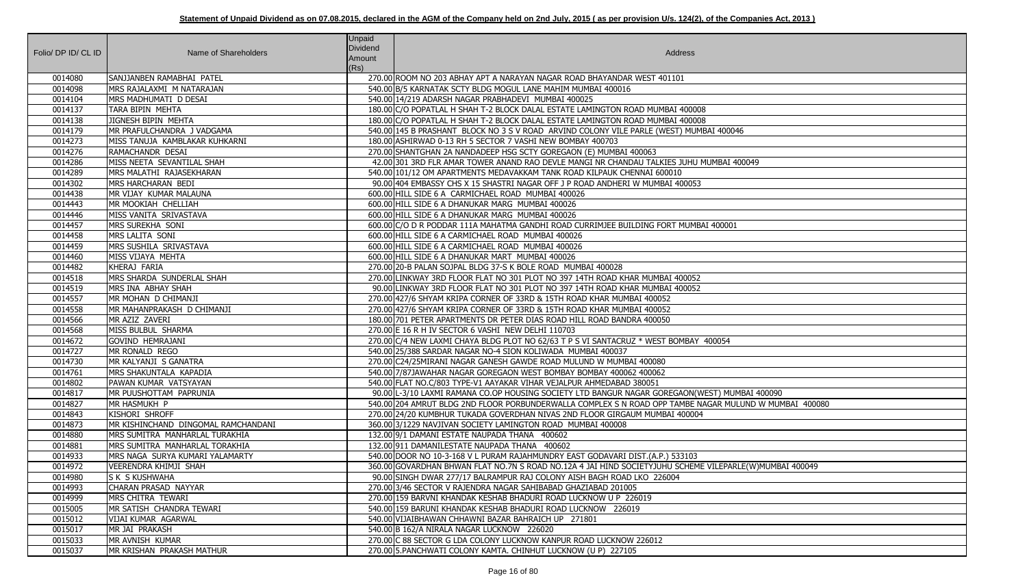| Folio/ DP ID/ CL ID | Name of Shareholders                            | <b>Unpaid</b><br><b>Dividend</b><br>Amount<br>(Rs) | Address                                                                                                             |
|---------------------|-------------------------------------------------|----------------------------------------------------|---------------------------------------------------------------------------------------------------------------------|
| 0014080             | SANJJANBEN RAMABHAI PATEL                       |                                                    | 270.00 ROOM NO 203 ABHAY APT A NARAYAN NAGAR ROAD BHAYANDAR WEST 401101                                             |
| 0014098             | MRS RAJALAXMI M NATARAJAN                       |                                                    | 540.00 B/5 KARNATAK SCTY BLDG MOGUL LANE MAHIM MUMBAI 400016                                                        |
| 0014104             | MRS MADHUMATI D DESAI                           |                                                    | 540.00 14/219 ADARSH NAGAR PRABHADEVI MUMBAI 400025                                                                 |
| 0014137             | TARA BIPIN MEHTA                                |                                                    | 180.00 C/O POPATLAL H SHAH T-2 BLOCK DALAL ESTATE LAMINGTON ROAD MUMBAI 400008                                      |
| 0014138             | JIGNESH BIPIN MEHTA                             |                                                    | 180.00 C/O POPATLAL H SHAH T-2 BLOCK DALAL ESTATE LAMINGTON ROAD MUMBAI 400008                                      |
| 0014179             | MR PRAFULCHANDRA J VADGAMA                      |                                                    | 540.00 145 B PRASHANT BLOCK NO 3 S V ROAD ARVIND COLONY VILE PARLE (WEST) MUMBAI 400046                             |
| 0014273             | MISS TANUJA KAMBLAKAR KUHKARNI                  |                                                    | 180.00 ASHIRWAD 0-13 RH 5 SECTOR 7 VASHI NEW BOMBAY 400703                                                          |
| 0014276             | RAMACHANDR DESAI                                |                                                    | 270.00 SHANTGHAN 2A NANDADEEP HSG SCTY GOREGAON (E) MUMBAI 400063                                                   |
| 0014286             | MISS NEETA SEVANTILAL SHAH                      |                                                    | 42.00 301 3RD FLR AMAR TOWER ANAND RAO DEVLE MANGI NR CHANDAU TALKIES JUHU MUMBAI 400049                            |
| 0014289             | MRS MALATHI RAJASEKHARAN                        |                                                    | 540.00 101/12 OM APARTMENTS MEDAVAKKAM TANK ROAD KILPAUK CHENNAI 600010                                             |
| 0014302             | MRS HARCHARAN BEDI                              |                                                    | 90.00 404 EMBASSY CHS X 15 SHASTRI NAGAR OFF J P ROAD ANDHERI W MUMBAI 400053                                       |
| 0014438             | MR VIJAY KUMAR MALAUNA                          |                                                    | 600.00 HILL SIDE 6 A CARMICHAEL ROAD MUMBAI 400026                                                                  |
| 0014443             | MR MOOKIAH CHELLIAH                             |                                                    | 600.00 HILL SIDE 6 A DHANUKAR MARG MUMBAI 400026                                                                    |
| 0014446             | MISS VANITA SRIVASTAVA                          |                                                    | 600.00 HILL SIDE 6 A DHANUKAR MARG MUMBAI 400026                                                                    |
| 0014457             | MRS SUREKHA SONI                                |                                                    | 600.00 C/O D R PODDAR 111A MAHATMA GANDHI ROAD CURRIMJEE BUILDING FORT MUMBAI 400001                                |
| 0014458             | MRS LALITA SONI                                 |                                                    | 600.00 HILL SIDE 6 A CARMICHAEL ROAD MUMBAI 400026                                                                  |
| 0014459             | MRS SUSHILA SRIVASTAVA                          |                                                    | 600.00 HILL SIDE 6 A CARMICHAEL ROAD MUMBAI 400026                                                                  |
| 0014460             | MISS VIJAYA MEHTA                               |                                                    | 600.00 HILL SIDE 6 A DHANUKAR MART MUMBAI 400026                                                                    |
| 0014482             | KHERAJ FARIA                                    |                                                    | 270.00 20-B PALAN SOJPAL BLDG 37-S K BOLE ROAD MUMBAI 400028                                                        |
| 0014518             | MRS SHARDA SUNDERLAL SHAH                       |                                                    | 270.00 LINKWAY 3RD FLOOR FLAT NO 301 PLOT NO 397 14TH ROAD KHAR MUMBAI 400052                                       |
| 0014519             | MRS INA ABHAY SHAH                              |                                                    | 90.00 LINKWAY 3RD FLOOR FLAT NO 301 PLOT NO 397 14TH ROAD KHAR MUMBAI 400052                                        |
| 0014557             | MR MOHAN D CHIMANJI                             |                                                    | 270.00 427/6 SHYAM KRIPA CORNER OF 33RD & 15TH ROAD KHAR MUMBAI 400052                                              |
| 0014558             | MR MAHANPRAKASH D CHIMANJI                      |                                                    | 270.00 427/6 SHYAM KRIPA CORNER OF 33RD & 15TH ROAD KHAR MUMBAI 400052                                              |
| 0014566             | MR AZIZ ZAVERI                                  |                                                    | 180.00 701 PETER APARTMENTS DR PETER DIAS ROAD HILL ROAD BANDRA 400050                                              |
| 0014568             | MISS BULBUL SHARMA                              |                                                    | 270.00 E 16 R H IV SECTOR 6 VASHI NEW DELHI 110703                                                                  |
| 0014672             | <b>GOVIND HEMRAJANI</b>                         |                                                    | 270.00 C/4 NEW LAXMI CHAYA BLDG PLOT NO 62/63 T P S VI SANTACRUZ * WEST BOMBAY 400054                               |
| 0014727             | MR RONALD REGO                                  |                                                    | 540.00 25/388 SARDAR NAGAR NO-4 SION KOLIWADA MUMBAI 400037                                                         |
| 0014730             | MR KALYANJI S GANATRA                           |                                                    | 270.00 C24/25MIRANI NAGAR GANESH GAWDE ROAD MULUND W MUMBAI 400080                                                  |
| 0014761             | MRS SHAKUNTALA KAPADIA                          |                                                    | 540.00 7/87JAWAHAR NAGAR GOREGAON WEST BOMBAY BOMBAY 400062 400062                                                  |
| 0014802             | PAWAN KUMAR VATSYAYAN                           |                                                    | 540.00 FLAT NO.C/803 TYPE-V1 AAYAKAR VIHAR VEJALPUR AHMEDABAD 380051                                                |
| 0014817             | MR PUUSHOTTAM PAPRUNIA                          |                                                    | 90.00 L-3/10 LAXMI RAMANA CO.OP HOUSING SOCIETY LTD BANGUR NAGAR GOREGAON(WEST) MUMBAI 400090                       |
| 0014827             | MR HASMUKH P                                    |                                                    | 540.00 204 AMRUT BLDG 2ND FLOOR PORBUNDERWALLA COMPLEX S N ROAD OPP TAMBE NAGAR MULUND W MUMBAI 400080              |
| 0014843             | KISHORI SHROFF                                  |                                                    | 270.00 24/20 KUMBHUR TUKADA GOVERDHAN NIVAS 2ND FLOOR GIRGAUM MUMBAI 400004                                         |
| 0014873             | MR KISHINCHAND DINGOMAL RAMCHANDANI             |                                                    | 360.00 3/1229 NAVJIVAN SOCIETY LAMINGTON ROAD MUMBAI 400008                                                         |
| 0014880             | MRS SUMITRA MANHARLAL TURAKHIA                  |                                                    | 132.00 9/1 DAMANI ESTATE NAUPADA THANA 400602                                                                       |
| 0014881             | MRS SUMITRA MANHARLAL TORAKHIA                  |                                                    | 132.00 911 DAMANILESTATE NAUPADA THANA 400602                                                                       |
| 0014933             | MRS NAGA SURYA KUMARI YALAMARTY                 |                                                    | 540.00 DOOR NO 10-3-168 V L PURAM RAJAHMUNDRY EAST GODAVARI DIST. (A.P.) 533103                                     |
| 0014972             | VEERENDRA KHIMJI SHAH                           |                                                    | 360.00 GOVARDHAN BHWAN FLAT NO.7N S ROAD NO.12A 4 JAI HIND SOCIETYJUHU SCHEME VILEPARLE(W)MUMBAI 400049             |
| 0014980             | <b>S K S KUSHWAHA</b>                           |                                                    | 90.00 SINGH DWAR 277/17 BALRAMPUR RAJ COLONY AISH BAGH ROAD LKO 226004                                              |
| 0014993             | CHARAN PRASAD NAYYAR                            |                                                    | 270.00 3/46 SECTOR V RAJENDRA NAGAR SAHIBABAD GHAZIABAD 201005                                                      |
| 0014999             | MRS CHITRA TEWARI                               |                                                    | 270.00 159 BARVNI KHANDAK KESHAB BHADURI ROAD LUCKNOW U P 226019                                                    |
| 0015005<br>0015012  | MR SATISH CHANDRA TEWARI<br>VIJAI KUMAR AGARWAL |                                                    | 540.00 159 BARUNI KHANDAK KESHAB BHADURI ROAD LUCKNOW 226019<br>540.00 VIJAIBHAWAN CHHAWNI BAZAR BAHRAICH UP 271801 |
| 0015017             | MR JAI PRAKASH                                  |                                                    | 540.00 B 162/A NIRALA NAGAR LUCKNOW 226020                                                                          |
| 0015033             | MR AVNISH KUMAR                                 |                                                    | 270.00 C 88 SECTOR G LDA COLONY LUCKNOW KANPUR ROAD LUCKNOW 226012                                                  |
| 0015037             | MR KRISHAN PRAKASH MATHUR                       |                                                    | 270.00 5. PANCHWATI COLONY KAMTA. CHINHUT LUCKNOW (U P) 227105                                                      |
|                     |                                                 |                                                    |                                                                                                                     |

| 00046                                          |
|------------------------------------------------|
| AI 400049                                      |
|                                                |
| 0001                                           |
|                                                |
|                                                |
| 54                                             |
|                                                |
| <b>MUMBAI 400090</b><br>MULUND W MUMBAI 400080 |
|                                                |
| PARLE(W)MUMBAI 400049                          |
|                                                |
|                                                |
|                                                |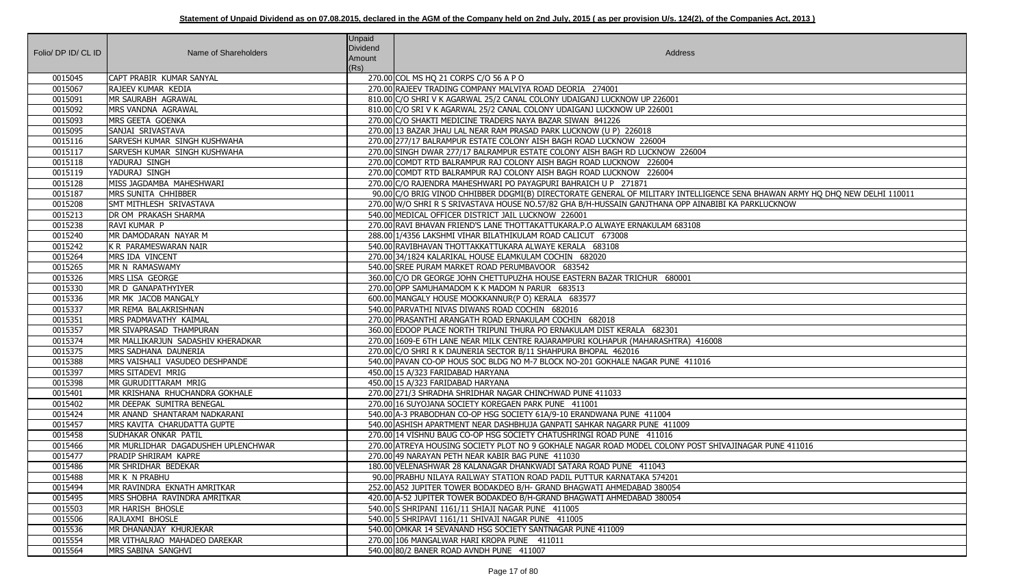| Folio/ DP ID/ CL ID | Name of Shareholders                         | <b>Unpaid</b><br>Dividend<br>Amount<br>(Rs) | Address                                                                                                                                          |
|---------------------|----------------------------------------------|---------------------------------------------|--------------------------------------------------------------------------------------------------------------------------------------------------|
| 0015045             | CAPT PRABIR KUMAR SANYAL                     |                                             | 270.00 COL MS HQ 21 CORPS C/O 56 A P O                                                                                                           |
| 0015067             | RAJEEV KUMAR KEDIA                           |                                             | 270.00 RAJEEV TRADING COMPANY MALVIYA ROAD DEORIA 274001                                                                                         |
| 0015091             | MR SAURABH AGRAWAL                           |                                             | 810.00 C/O SHRI V K AGARWAL 25/2 CANAL COLONY UDAIGANJ LUCKNOW UP 226001                                                                         |
| 0015092             | MRS VANDNA AGRAWAL                           |                                             | 810.00 C/O SRI V K AGARWAL 25/2 CANAL COLONY UDAIGANJ LUCKNOW UP 226001                                                                          |
| 0015093             | MRS GEETA GOENKA                             |                                             | 270.00 C/O SHAKTI MEDICINE TRADERS NAYA BAZAR SIWAN 841226                                                                                       |
| 0015095             | SANJAI SRIVASTAVA                            |                                             | 270.00 13 BAZAR JHAU LAL NEAR RAM PRASAD PARK LUCKNOW (U P) 226018                                                                               |
| 0015116             | SARVESH KUMAR SINGH KUSHWAHA                 |                                             | 270.00 277/17 BALRAMPUR ESTATE COLONY AISH BAGH ROAD LUCKNOW 226004                                                                              |
| 0015117             | SARVESH KUMAR SINGH KUSHWAHA                 |                                             | 270.00 SINGH DWAR 277/17 BALRAMPUR ESTATE COLONY AISH BAGH RD LUCKNOW 226004                                                                     |
| 0015118             | YADURAJ SINGH                                |                                             | 270.00 COMDT RTD BALRAMPUR RAJ COLONY AISH BAGH ROAD LUCKNOW 226004                                                                              |
| 0015119             | YADURAJ SINGH                                |                                             | 270.00 COMDT RTD BALRAMPUR RAJ COLONY AISH BAGH ROAD LUCKNOW 226004                                                                              |
| 0015128             | MISS JAGDAMBA MAHESHWARI                     |                                             | 270.00 C/O RAJENDRA MAHESHWARI PO PAYAGPURI BAHRAICH U P 271871                                                                                  |
| 0015187             | MRS SUNITA CHHIBBER                          |                                             | 90.00 C/O BRIG VINOD CHHIBBER DDGMI(B) DIRECTORATE GENERAL OF MILITARY INTELLIGENCE SENA BHAWAN ARMY HQ DHQ NEW DELHI 110011                     |
| 0015208             | SMT MITHLESH SRIVASTAVA                      |                                             | 270.00 W/O SHRI R S SRIVASTAVA HOUSE NO.57/82 GHA B/H-HUSSAIN GANJTHANA OPP AINABIBI KA PARKLUCKNOW                                              |
| 0015213             | DR OM PRAKASH SHARMA                         |                                             | 540.00 MEDICAL OFFICER DISTRICT JAIL LUCKNOW 226001                                                                                              |
| 0015238             | RAVI KUMAR P                                 |                                             | 270.00 RAVI BHAVAN FRIEND'S LANE THOTTAKATTUKARA.P.O ALWAYE ERNAKULAM 683108                                                                     |
| 0015240             | MR DAMODARAN NAYAR M                         |                                             | 288.00 1/4356 LAKSHMI VIHAR BILATHIKULAM ROAD CALICUT 673008                                                                                     |
| 0015242             | K R PARAMESWARAN NAIR                        |                                             | 540.00 RAVIBHAVAN THOTTAKKATTUKARA ALWAYE KERALA 683108                                                                                          |
| 0015264             | MRS IDA VINCENT                              |                                             | 270.00 34/1824 KALARIKAL HOUSE ELAMKULAM COCHIN 682020                                                                                           |
| 0015265             | MR N RAMASWAMY                               |                                             | 540.00 SREE PURAM MARKET ROAD PERUMBAVOOR 683542                                                                                                 |
| 0015326             | MRS LISA GEORGE                              |                                             | 360.00 C/O DR GEORGE JOHN CHETTUPUZHA HOUSE EASTERN BAZAR TRICHUR 680001                                                                         |
| 0015330             | MR D GANAPATHYIYER                           |                                             | 270.00 OPP SAMUHAMADOM K K MADOM N PARUR 683513                                                                                                  |
| 0015336             | MR MK JACOB MANGALY                          |                                             | 600.00 MANGALY HOUSE MOOKKANNUR(P O) KERALA 683577                                                                                               |
| 0015337             | MR REMA BALAKRISHNAN                         |                                             | 540.00 PARVATHI NIVAS DIWANS ROAD COCHIN 682016                                                                                                  |
| 0015351             | MRS PADMAVATHY KAIMAL                        |                                             | 270.00 PRASANTHI ARANGATH ROAD ERNAKULAM COCHIN 682018                                                                                           |
| 0015357             | MR SIVAPRASAD THAMPURAN                      |                                             | 360.00 EDOOP PLACE NORTH TRIPUNI THURA PO ERNAKULAM DIST KERALA 682301                                                                           |
| 0015374             | MR MALLIKARJUN SADASHIV KHERADKAR            |                                             | 270.00 1609-E 6TH LANE NEAR MILK CENTRE RAJARAMPURI KOLHAPUR (MAHARASHTRA) 416008                                                                |
| 0015375             | MRS SADHANA DAUNERIA                         |                                             | 270.00 C/O SHRI R K DAUNERIA SECTOR B/11 SHAHPURA BHOPAL 462016                                                                                  |
| 0015388             | MRS VAISHALI VASUDEO DESHPANDE               |                                             | 540.00 PAVAN CO-OP HOUS SOC BLDG NO M-7 BLOCK NO-201 GOKHALE NAGAR PUNE 411016                                                                   |
| 0015397             | MRS SITADEVI MRIG                            |                                             | 450.00 15 A/323 FARIDABAD HARYANA                                                                                                                |
| 0015398             | MR GURUDITTARAM MRIG                         |                                             | 450.00 15 A/323 FARIDABAD HARYANA                                                                                                                |
| 0015401             | IMR KRISHANA RHUCHANDRA GOKHALE              |                                             | 270.00 271/3 SHRADHA SHRIDHAR NAGAR CHINCHWAD PUNE 411033                                                                                        |
| 0015402             | MR DEEPAK SUMITRA BENEGAL                    |                                             | 270.00 16 SUYOJANA SOCIETY KOREGAEN PARK PUNE 411001                                                                                             |
| 0015424             | MR ANAND SHANTARAM NADKARANI                 |                                             | 540.00 A-3 PRABODHAN CO-OP HSG SOCIETY 61A/9-10 ERANDWANA PUNE 411004                                                                            |
| 0015457             | MRS KAVITA CHARUDATTA GUPTE                  |                                             | 540.00 ASHISH APARTMENT NEAR DASHBHUJA GANPATI SAHKAR NAGARR PUNE 411009                                                                         |
| 0015458             | <b>SUDHAKAR ONKAR PATIL</b>                  |                                             | 270.00 14 VISHNU BAUG CO-OP HSG SOCIETY CHATUSHRINGI ROAD PUNE 411016                                                                            |
| 0015466             | MR MURLIDHAR DAGADUSHEH UPLENCHWAR           |                                             | 270.00 ATREYA HOUSING SOCIETY PLOT NO 9 GOKHALE NAGAR ROAD MODEL COLONY POST SHIVAJINAGAR PUNE 411016                                            |
| 0015477             | PRADIP SHRIRAM KAPRE                         |                                             | 270.00 49 NARAYAN PETH NEAR KABIR BAG PUNE 411030                                                                                                |
| 0015486             | MR SHRIDHAR BEDEKAR                          |                                             | 180.00 VELENASHWAR 28 KALANAGAR DHANKWADI SATARA ROAD PUNE 411043                                                                                |
| 0015488<br>0015494  | MR K N PRABHU<br>MR RAVINDRA EKNATH AMRITKAR |                                             | 90.00 PRABHU NILAYA RAILWAY STATION ROAD PADIL PUTTUR KARNATAKA 574201<br>252.00 A52 JUPITER TOWER BODAKDEO B/H- GRAND BHAGWATI AHMEDABAD 380054 |
|                     | MRS SHOBHA RAVINDRA AMRITKAR                 |                                             |                                                                                                                                                  |
| 0015495<br>0015503  | MR HARISH BHOSLE                             |                                             | 420.00 A-52 JUPITER TOWER BODAKDEO B/H-GRAND BHAGWATI AHMEDABAD 380054<br>540.00 S SHRIPANI 1161/11 SHIAJI NAGAR PUNE 411005                     |
| 0015506             | RAJLAXMI BHOSLE                              |                                             | 540.00 5 SHRIPAVI 1161/11 SHIVAJI NAGAR PUNE 411005                                                                                              |
| 0015536             | MR DHANANJAY KHURJEKAR                       |                                             | 540.00 OMKAR 14 SEVANAND HSG SOCIETY SANTNAGAR PUNE 411009                                                                                       |
| 0015554             | MR VITHALRAO MAHADEO DAREKAR                 |                                             | 270.00 106 MANGALWAR HARI KROPA PUNE 411011                                                                                                      |
| 0015564             | MRS SABINA SANGHVI                           |                                             | 540.00 80/2 BANER ROAD AVNDH PUNE 411007                                                                                                         |
|                     |                                              |                                             |                                                                                                                                                  |

| CE SENA BHAWAN ARMY HQ DHQ NEW DELHI 110011<br>II KA PARKLUCKNOW |
|------------------------------------------------------------------|
|                                                                  |
|                                                                  |
|                                                                  |
|                                                                  |
|                                                                  |
|                                                                  |
|                                                                  |
|                                                                  |
|                                                                  |
|                                                                  |
|                                                                  |
|                                                                  |
|                                                                  |
| VAJINAGAR PUNE 411016                                            |
|                                                                  |
|                                                                  |
|                                                                  |
|                                                                  |
|                                                                  |
|                                                                  |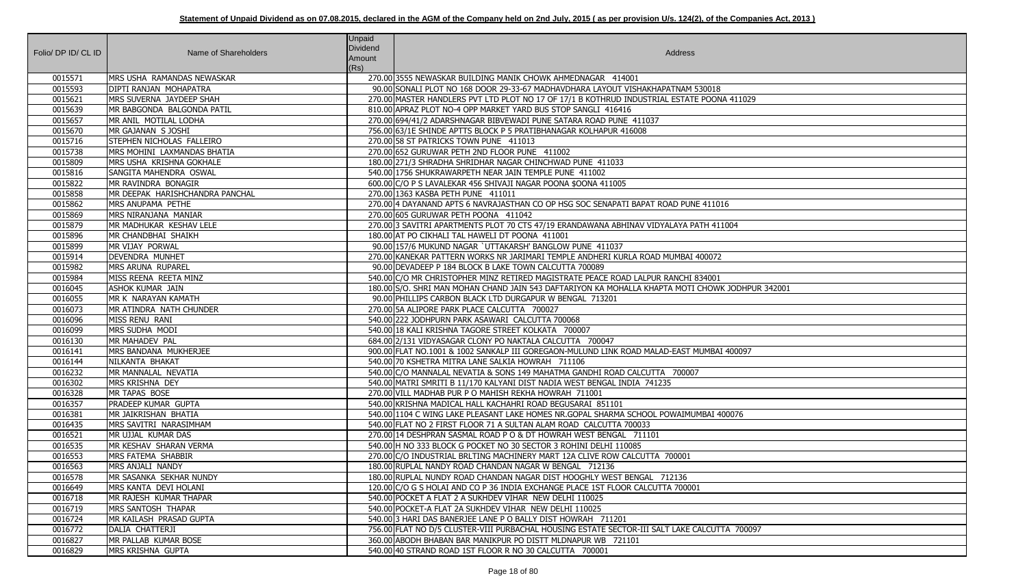| Folio/ DP ID/ CL ID | Name of Shareholders            | <b>Unpaid</b><br><b>Dividend</b><br>Amount<br>(Rs) | Address                                                                                          |
|---------------------|---------------------------------|----------------------------------------------------|--------------------------------------------------------------------------------------------------|
| 0015571             | MRS USHA RAMANDAS NEWASKAR      |                                                    | 270.00 3555 NEWASKAR BUILDING MANIK CHOWK AHMEDNAGAR 414001                                      |
| 0015593             | DIPTI RANJAN MOHAPATRA          |                                                    | 90.00 SONALI PLOT NO 168 DOOR 29-33-67 MADHAVDHARA LAYOUT VISHAKHAPATNAM 530018                  |
| 0015621             | MRS SUVERNA JAYDEEP SHAH        |                                                    | 270.00 MASTER HANDLERS PVT LTD PLOT NO 17 OF 17/1 B KOTHRUD INDUSTRIAL ESTATE POONA 411029       |
| 0015639             | MR BABGONDA BALGONDA PATIL      |                                                    | 810.00 APRAZ PLOT NO-4 OPP MARKET YARD BUS STOP SANGLI 416416                                    |
| 0015657             | MR ANIL MOTILAL LODHA           |                                                    | 270.00 694/41/2 ADARSHNAGAR BIBVEWADI PUNE SATARA ROAD PUNE 411037                               |
| 0015670             | MR GAJANAN S JOSHI              |                                                    | 756.00 63/1E SHINDE APTTS BLOCK P 5 PRATIBHANAGAR KOLHAPUR 416008                                |
| 0015716             | STEPHEN NICHOLAS FALLEIRO       |                                                    | 270.00 58 ST PATRICKS TOWN PUNE 411013                                                           |
| 0015738             | MRS MOHINI LAXMANDAS BHATIA     |                                                    | 270.00 652 GURUWAR PETH 2ND FLOOR PUNE 411002                                                    |
| 0015809             | MRS USHA KRISHNA GOKHALE        |                                                    | 180.00 271/3 SHRADHA SHRIDHAR NAGAR CHINCHWAD PUNE 411033                                        |
| 0015816             | SANGITA MAHENDRA OSWAL          |                                                    | 540.00 1756 SHUKRAWARPETH NEAR JAIN TEMPLE PUNE 411002                                           |
| 0015822             | MR RAVINDRA BONAGIR             |                                                    | 600.00 C/O P S LAVALEKAR 456 SHIVAJI NAGAR POONA \$OONA 411005                                   |
| 0015858             | MR DEEPAK HARISHCHANDRA PANCHAL |                                                    | 270.00 1363 KASBA PETH PUNE 411011                                                               |
| 0015862             | MRS ANUPAMA PETHE               |                                                    | 270.00 4 DAYANAND APTS 6 NAVRAJASTHAN CO OP HSG SOC SENAPATI BAPAT ROAD PUNE 411016              |
| 0015869             | MRS NIRANJANA MANIAR            |                                                    | 270.00 605 GURUWAR PETH POONA 411042                                                             |
| 0015879             | MR MADHUKAR KESHAV LELE         |                                                    | 270.00 3 SAVITRI APARTMENTS PLOT 70 CTS 47/19 ERANDAWANA ABHINAV VIDYALAYA PATH 411004           |
| 0015896             | MR CHANDBHAI SHAIKH             |                                                    | 180.00 AT PO CIKHALI TAL HAWELI DT POONA 411001                                                  |
| 0015899             | MR VIJAY PORWAL                 |                                                    | 90.00 157/6 MUKUND NAGAR `UTTAKARSH' BANGLOW PUNE 411037                                         |
| 0015914             | <b>DEVENDRA MUNHET</b>          |                                                    | 270.00 KANEKAR PATTERN WORKS NR JARIMARI TEMPLE ANDHERI KURLA ROAD MUMBAI 400072                 |
| 0015982             | MRS ARUNA RUPAREL               |                                                    | 90.00 DEVADEEP P 184 BLOCK B LAKE TOWN CALCUTTA 700089                                           |
| 0015984             | MISS REENA REETA MINZ           |                                                    | 540.00 C/O MR CHRISTOPHER MINZ RETIRED MAGISTRATE PEACE ROAD LALPUR RANCHI 834001                |
| 0016045             | ASHOK KUMAR JAIN                |                                                    | 180.00 S/O. SHRI MAN MOHAN CHAND JAIN 543 DAFTARIYON KA MOHALLA KHAPTA MOTI CHOWK JODHPUR 342001 |
| 0016055             | MR K NARAYAN KAMATH             |                                                    | 90.00 PHILLIPS CARBON BLACK LTD DURGAPUR W BENGAL 713201                                         |
| 0016073             | MR ATINDRA NATH CHUNDER         |                                                    | 270.00 5A ALIPORE PARK PLACE CALCUTTA 700027                                                     |
| 0016096             | MISS RENU RANI                  |                                                    | 540.00 222 JODHPURN PARK ASAWARI CALCUTTA 700068                                                 |
| 0016099             | MRS SUDHA MODI                  |                                                    | 540.00118 KALI KRISHNA TAGORE STREET KOLKATA 700007                                              |
| 0016130             | MR MAHADEV PAL                  |                                                    | 684.00 2/131 VIDYASAGAR CLONY PO NAKTALA CALCUTTA 700047                                         |
| 0016141             | MRS BANDANA MUKHERJEE           |                                                    | 900.00 FLAT NO.1001 & 1002 SANKALP III GOREGAON-MULUND LINK ROAD MALAD-EAST MUMBAI 400097        |
| 0016144             | NILKANTA BHAKAT                 |                                                    | 540.00 70 KSHETRA MITRA LANE SALKIA HOWRAH 711106                                                |
| 0016232             | MR MANNALAL NEVATIA             |                                                    | 540.00 C/O MANNALAL NEVATIA & SONS 149 MAHATMA GANDHI ROAD CALCUTTA 700007                       |
| 0016302             | MRS KRISHNA DEY                 |                                                    | 540.00 MATRI SMRITI B 11/170 KALYANI DIST NADIA WEST BENGAL INDIA 741235                         |
| 0016328             | MR TAPAS BOSE                   |                                                    | 270.00 VILL MADHAB PUR P O MAHISH REKHA HOWRAH 711001                                            |
| 0016357             | <b>PRADEEP KUMAR GUPTA</b>      |                                                    | 540.00 KRISHNA MADICAL HALL KACHAHRI ROAD BEGUSARAI 851101                                       |
| 0016381             | MR JAIKRISHAN BHATIA            |                                                    | 540.00 1104 C WING LAKE PLEASANT LAKE HOMES NR.GOPAL SHARMA SCHOOL POWAIMUMBAI 400076            |
| 0016435             | MRS SAVITRI NARASIMHAM          |                                                    | 540.00 FLAT NO 2 FIRST FLOOR 71 A SULTAN ALAM ROAD CALCUTTA 700033                               |
| 0016521             | MR UJJAL KUMAR DAS              |                                                    | 270.00 14 DESHPRAN SASMAL ROAD P O & DT HOWRAH WEST BENGAL 711101                                |
| 0016535             | MR KESHAV SHARAN VERMA          |                                                    | 540.00 H NO 333 BLOCK G POCKET NO 30 SECTOR 3 ROHINI DELHI 110085                                |
| 0016553             | <b>MRS FATEMA SHABBIR</b>       |                                                    | 270.00 C/O INDUSTRIAL BRLTING MACHINERY MART 12A CLIVE ROW CALCUTTA 700001                       |
| 0016563             | MRS ANJALI NANDY                |                                                    | 180.00 RUPLAL NANDY ROAD CHANDAN NAGAR W BENGAL 712136                                           |
| 0016578             | MR SASANKA SEKHAR NUNDY         |                                                    | 180.00 RUPLAL NUNDY ROAD CHANDAN NAGAR DIST HOOGHLY WEST BENGAL 712136                           |
| 0016649             | MRS KANTA DEVI HOLANI           |                                                    | 120.00 C/O G S HOLAI AND CO P 36 INDIA EXCHANGE PLACE 1ST FLOOR CALCUTTA 700001                  |
| 0016718             | MR RAJESH KUMAR THAPAR          |                                                    | 540.00 POCKET A FLAT 2 A SUKHDEV VIHAR NEW DELHI 110025                                          |
| 0016719             | <b>MRS SANTOSH THAPAR</b>       |                                                    | 540.00 POCKET-A FLAT 2A SUKHDEV VIHAR NEW DELHI 110025                                           |
| 0016724             | MR KAILASH PRASAD GUPTA         |                                                    | 540.00 3 HARI DAS BANERJEE LANE P O BALLY DIST HOWRAH 711201                                     |
| 0016772             | DALIA CHATTERJI                 |                                                    | 756.00 FLAT NO D/5 CLUSTER-VIII PURBACHAL HOUSING ESTATE SECTOR-III SALT LAKE CALCUTTA 700097    |
| 0016827             | MR PALLAB KUMAR BOSE            |                                                    | 360.00 ABODH BHABAN BAR MANIKPUR PO DISTT MLDNAPUR WB 721101                                     |
| 0016829             | MRS KRISHNA GUPTA               |                                                    | 540.00 40 STRAND ROAD 1ST FLOOR R NO 30 CALCUTTA 700001                                          |

| A 411029        |
|-----------------|
|                 |
|                 |
|                 |
|                 |
|                 |
|                 |
|                 |
| $\overline{16}$ |
| 1004            |
|                 |
|                 |
|                 |
| (JODHPUR 342001 |
|                 |
|                 |
|                 |
| 400097          |
|                 |
|                 |
|                 |
|                 |
| 00076           |
|                 |
|                 |
|                 |
|                 |
|                 |
|                 |
|                 |
| TA 700097       |
|                 |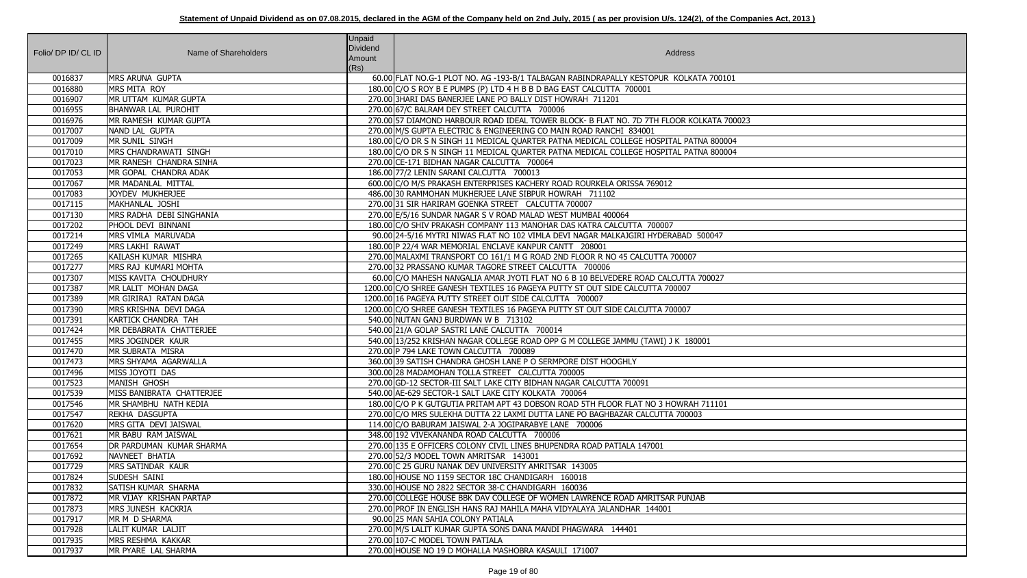|                     |                                 | <b>Unpaid</b>   |                                                                                          |
|---------------------|---------------------------------|-----------------|------------------------------------------------------------------------------------------|
| Folio/ DP ID/ CL ID | Name of Shareholders            | <b>Dividend</b> | Address                                                                                  |
|                     |                                 | Amount<br>(Rs)  |                                                                                          |
| 0016837             | MRS ARUNA GUPTA                 |                 | 60.00 FLAT NO.G-1 PLOT NO. AG -193-B/1 TALBAGAN RABINDRAPALLY KESTOPUR KOLKATA 700101    |
| 0016880             | MRS MITA ROY                    |                 | 180.00 C/O S ROY B E PUMPS (P) LTD 4 H B B D BAG EAST CALCUTTA 700001                    |
| 0016907             | MR UTTAM KUMAR GUPTA            |                 | 270.00 3HARI DAS BANERJEE LANE PO BALLY DIST HOWRAH 711201                               |
| 0016955             | <b>BHANWAR LAL PUROHIT</b>      |                 | 270.00 67/C BALRAM DEY STREET CALCUTTA 700006                                            |
| 0016976             | MR RAMESH KUMAR GUPTA           |                 | 270.00 57 DIAMOND HARBOUR ROAD IDEAL TOWER BLOCK- B FLAT NO. 7D 7TH FLOOR KOLKATA 700023 |
| 0017007             | NAND LAL GUPTA                  |                 | 270.00 M/S GUPTA ELECTRIC & ENGINEERING CO MAIN ROAD RANCHI 834001                       |
| 0017009             | MR SUNIL SINGH                  |                 | 180.00 C/O DR S N SINGH 11 MEDICAL QUARTER PATNA MEDICAL COLLEGE HOSPITAL PATNA 800004   |
| 0017010             | MRS CHANDRAWATI SINGH           |                 | 180.00 C/O DR S N SINGH 11 MEDICAL QUARTER PATNA MEDICAL COLLEGE HOSPITAL PATNA 800004   |
| 0017023             | MR RANESH CHANDRA SINHA         |                 | 270.00 CE-171 BIDHAN NAGAR CALCUTTA 700064                                               |
| 0017053             | MR GOPAL CHANDRA ADAK           |                 | 186.00 77/2 LENIN SARANI CALCUTTA 700013                                                 |
| 0017067             | MR MADANLAL MITTAL              |                 | 600.00 C/O M/S PRAKASH ENTERPRISES KACHERY ROAD ROURKELA ORISSA 769012                   |
| 0017083             | JOYDEV MUKHERJEE                |                 | 486.00 30 RAMMOHAN MUKHERJEE LANE SIBPUR HOWRAH 711102                                   |
| 0017115             | MAKHANLAL JOSHI                 |                 | 270.00 31 SIR HARIRAM GOENKA STREET CALCUTTA 700007                                      |
| 0017130             | MRS RADHA DEBI SINGHANIA        |                 | 270.00 E/5/16 SUNDAR NAGAR S V ROAD MALAD WEST MUMBAI 400064                             |
| 0017202             | PHOOL DEVI BINNANI              |                 | 180.00 C/O SHIV PRAKASH COMPANY 113 MANOHAR DAS KATRA CALCUTTA 700007                    |
| 0017214             | MRS VIMLA MARUVADA              |                 | 90.00 24-5/16 MYTRI NIWAS FLAT NO 102 VIMLA DEVI NAGAR MALKAJGIRI HYDERABAD 500047       |
| 0017249             | MRS LAKHI RAWAT                 |                 | 180.00 P 22/4 WAR MEMORIAL ENCLAVE KANPUR CANTT 208001                                   |
| 0017265             | KAILASH KUMAR MISHRA            |                 | 270.00 MALAXMI TRANSPORT CO 161/1 M G ROAD 2ND FLOOR R NO 45 CALCUTTA 700007             |
| 0017277             | MRS RAJ KUMARI MOHTA            |                 | 270.00 32 PRASSANO KUMAR TAGORE STREET CALCUTTA 700006                                   |
| 0017307             | MISS KAVITA CHOUDHURY           |                 | 60.00 C/O MAHESH NANGALIA AMAR JYOTI FLAT NO 6 B 10 BELVEDERE ROAD CALCUTTA 700027       |
| 0017387             | MR LALIT MOHAN DAGA             |                 | 1200.00 C/O SHREE GANESH TEXTILES 16 PAGEYA PUTTY ST OUT SIDE CALCUTTA 700007            |
| 0017389             | MR GIRIRAJ RATAN DAGA           |                 | 1200.00 16 PAGEYA PUTTY STREET OUT SIDE CALCUTTA 700007                                  |
| 0017390             | MRS KRISHNA DEVI DAGA           |                 | 1200.00 C/O SHREE GANESH TEXTILES 16 PAGEYA PUTTY ST OUT SIDE CALCUTTA 700007            |
| 0017391             | KARTICK CHANDRA TAH             |                 | 540.00 NUTAN GANJ BURDWAN W B 713102                                                     |
| 0017424             | MR DEBABRATA CHATTERJEE         |                 | 540.00 21/A GOLAP SASTRI LANE CALCUTTA 700014                                            |
| 0017455             | MRS JOGINDER KAUR               |                 | 540.00 13/252 KRISHAN NAGAR COLLEGE ROAD OPP G M COLLEGE JAMMU (TAWI) J K 180001         |
| 0017470             | MR SUBRATA MISRA                |                 | 270.00 P 794 LAKE TOWN CALCUTTA 700089                                                   |
| 0017473             | MRS SHYAMA AGARWALLA            |                 | 360.00 39 SATISH CHANDRA GHOSH LANE P O SERMPORE DIST HOOGHLY                            |
| 0017496             | MISS JOYOTI DAS                 |                 | 300.00 28 MADAMOHAN TOLLA STREET CALCUTTA 700005                                         |
| 0017523             | MANISH GHOSH                    |                 | 270.00 GD-12 SECTOR-III SALT LAKE CITY BIDHAN NAGAR CALCUTTA 700091                      |
| 0017539             | MISS BANIBRATA CHATTERJEE       |                 | 540.00 AE-629 SECTOR-1 SALT LAKE CITY KOLKATA 700064                                     |
| 0017546             | MR SHAMBHU NATH KEDIA           |                 | 180.00 C/O P K GUTGUTIA PRITAM APT 43 DOBSON ROAD 5TH FLOOR FLAT NO 3 HOWRAH 711101      |
| 0017547             | REKHA DASGUPTA                  |                 | 270.00 C/O MRS SULEKHA DUTTA 22 LAXMI DUTTA LANE PO BAGHBAZAR CALCUTTA 700003            |
| 0017620             | MRS GITA DEVI JAISWAL           |                 | 114.00 C/O BABURAM JAISWAL 2-A JOGIPARABYE LANE 700006                                   |
| 0017621             | MR BABU RAM JAISWAL             |                 | 348.00 192 VIVEKANANDA ROAD CALCUTTA 700006                                              |
| 0017654             | <b>DR PARDUMAN KUMAR SHARMA</b> |                 | 270.00 135 E OFFICERS COLONY CIVIL LINES BHUPENDRA ROAD PATIALA 147001                   |
| 0017692             | NAVNEET BHATIA                  |                 | 270.00 52/3 MODEL TOWN AMRITSAR 143001                                                   |
| 0017729             | MRS SATINDAR KAUR               |                 | 270.00 C 25 GURU NANAK DEV UNIVERSITY AMRITSAR 143005                                    |
| 0017824             | SUDESH SAINI                    |                 | 180.00 HOUSE NO 1159 SECTOR 18C CHANDIGARH 160018                                        |
| 0017832             | SATISH KUMAR SHARMA             |                 | 330.00 HOUSE NO 2822 SECTOR 38-C CHANDIGARH 160036                                       |
| 0017872             | MR VIJAY KRISHAN PARTAP         |                 | 270.00 COLLEGE HOUSE BBK DAV COLLEGE OF WOMEN LAWRENCE ROAD AMRITSAR PUNJAB              |
| 0017873             | <b>MRS JUNESH KACKRIA</b>       |                 | 270.00 PROF IN ENGLISH HANS RAJ MAHILA MAHA VIDYALAYA JALANDHAR 144001                   |
| 0017917             | MR M D SHARMA                   |                 | 90.00 25 MAN SAHIA COLONY PATIALA                                                        |
| 0017928             | LALIT KUMAR LALJIT              |                 | 270.00 M/S LALIT KUMAR GUPTA SONS DANA MANDI PHAGWARA 144401                             |
| 0017935             | MRS RESHMA KAKKAR               |                 | 270.00 107-C MODEL TOWN PATIALA                                                          |
| 0017937             | MR PYARE LAL SHARMA             |                 | 270.00 HOUSE NO 19 D MOHALLA MASHOBRA KASAULI 171007                                     |

| $\overline{101}$ |
|------------------|
|                  |
|                  |
|                  |
| 700023           |
|                  |
| 0004<br>004      |
|                  |
|                  |
|                  |
|                  |
|                  |
|                  |
|                  |
|                  |
|                  |
|                  |
| 7                |
|                  |
|                  |
|                  |
|                  |
|                  |
|                  |
|                  |
|                  |
|                  |
| $\overline{1}$   |
|                  |
|                  |
|                  |
|                  |
|                  |
|                  |
|                  |
|                  |
|                  |
|                  |
|                  |
|                  |
|                  |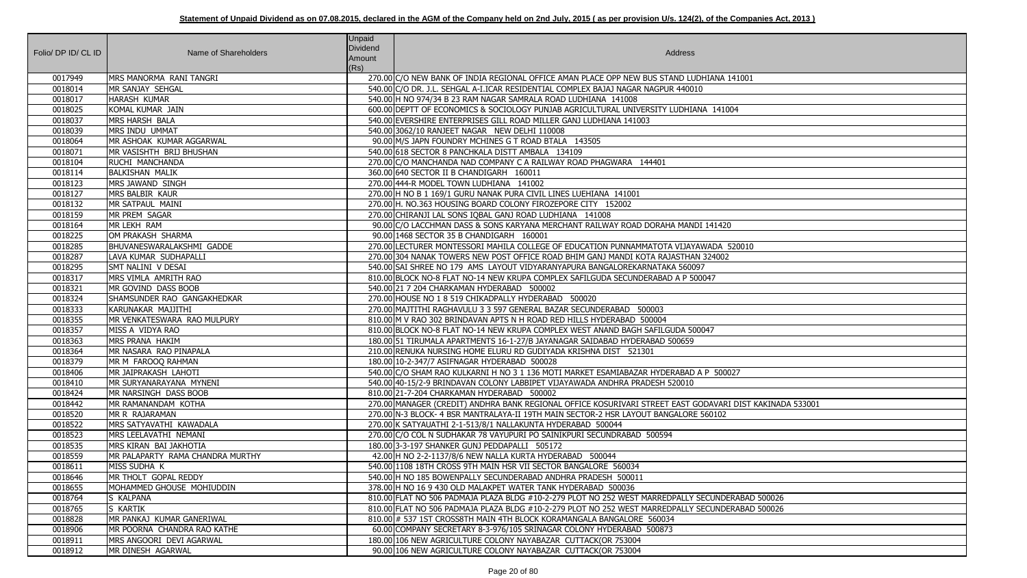|                     |                                       | <b>Unpaid</b> |                                                                                                                                                                           |
|---------------------|---------------------------------------|---------------|---------------------------------------------------------------------------------------------------------------------------------------------------------------------------|
| Folio/ DP ID/ CL ID | Name of Shareholders                  | Dividend      | Address                                                                                                                                                                   |
|                     |                                       | Amount        |                                                                                                                                                                           |
| 0017949             | MRS MANORMA RANI TANGRI               | (Rs)          | 270.00 C/O NEW BANK OF INDIA REGIONAL OFFICE AMAN PLACE OPP NEW BUS STAND LUDHIANA 141001                                                                                 |
| 0018014             | MR SANJAY SEHGAL                      |               | 540.00 C/O DR. J.L. SEHGAL A-I.ICAR RESIDENTIAL COMPLEX BAJAJ NAGAR NAGPUR 440010                                                                                         |
| 0018017             | <b>HARASH KUMAR</b>                   |               | 540.00 H NO 974/34 B 23 RAM NAGAR SAMRALA ROAD LUDHIANA 141008                                                                                                            |
| 0018025             | KOMAL KUMAR JAIN                      |               | 600.00 DEPTT OF ECONOMICS & SOCIOLOGY PUNJAB AGRICULTURAL UNIVERSITY LUDHIANA 141004                                                                                      |
| 0018037             | <b>MRS HARSH BALA</b>                 |               | 540.00 EVERSHIRE ENTERPRISES GILL ROAD MILLER GANJ LUDHIANA 141003                                                                                                        |
| 0018039             | MRS INDU UMMAT                        |               | 540.00 3062/10 RANJEET NAGAR NEW DELHI 110008                                                                                                                             |
| 0018064             | MR ASHOAK KUMAR AGGARWAL              |               | 90.00 M/S JAPN FOUNDRY MCHINES G T ROAD BTALA 143505                                                                                                                      |
| 0018071             | MR VASISHTH BRIJ BHUSHAN              |               | 540.00 618 SECTOR 8 PANCHKALA DISTT AMBALA 134109                                                                                                                         |
| 0018104             | RUCHI MANCHANDA                       |               | 270.00 C/O MANCHANDA NAD COMPANY C A RAILWAY ROAD PHAGWARA 144401                                                                                                         |
| 0018114             | <b>BALKISHAN MALIK</b>                |               | 360.00 640 SECTOR II B CHANDIGARH 160011                                                                                                                                  |
| 0018123             | MRS JAWAND SINGH                      |               | 270.00 444-R MODEL TOWN LUDHIANA 141002                                                                                                                                   |
| 0018127             | MRS BALBIR KAUR                       |               | 270.00 H NO B 1 169/1 GURU NANAK PURA CIVIL LINES LUEHIANA 141001                                                                                                         |
| 0018132             | MR SATPAUL MAINI                      |               | 270.00 H. NO.363 HOUSING BOARD COLONY FIROZEPORE CITY 152002                                                                                                              |
| 0018159             | MR PREM SAGAR                         |               | 270.00 CHIRANJI LAL SONS IQBAL GANJ ROAD LUDHIANA 141008                                                                                                                  |
| 0018164             | MR LEKH RAM                           |               | 90.00 C/O LACCHMAN DASS & SONS KARYANA MERCHANT RAILWAY ROAD DORAHA MANDI 141420                                                                                          |
| 0018225             | OM PRAKASH SHARMA                     |               | 90.00 1468 SECTOR 35 B CHANDIGARH 160001                                                                                                                                  |
| 0018285             | BHUVANESWARALAKSHMI GADDE             |               | 270.00 LECTURER MONTESSORI MAHILA COLLEGE OF EDUCATION PUNNAMMATOTA VIJAYAWADA 520010                                                                                     |
| 0018287             | LAVA KUMAR SUDHAPALLI                 |               | 270.00 304 NANAK TOWERS NEW POST OFFICE ROAD BHIM GANJ MANDI KOTA RAJASTHAN 324002                                                                                        |
| 0018295             | SMT NALINI V DESAI                    |               | 540.00 SAI SHREE NO 179 AMS LAYOUT VIDYARANYAPURA BANGALOREKARNATAKA 560097                                                                                               |
| 0018317             | MRS VIMLA AMRITH RAO                  |               | 810.00 BLOCK NO-8 FLAT NO-14 NEW KRUPA COMPLEX SAFILGUDA SECUNDERABAD A P 500047                                                                                          |
| 0018321             | MR GOVIND DASS BOOB                   |               | 540.00 21 7 204 CHARKAMAN HYDERABAD 500002                                                                                                                                |
| 0018324             | SHAMSUNDER RAO GANGAKHEDKAR           |               | 270.00 HOUSE NO 1 8 519 CHIKADPALLY HYDERABAD 500020                                                                                                                      |
| 0018333             | KARUNAKAR MAJJITHI                    |               | 270.00 MAJTITHI RAGHAVULU 3 3 597 GENERAL BAZAR SECUNDERABAD 500003                                                                                                       |
| 0018355             | MR VENKATESWARA RAO MULPURY           |               | 810.00 M V RAO 302 BRINDAVAN APTS N H ROAD RED HILLS HYDERABAD 500004                                                                                                     |
| 0018357             | MISS A VIDYA RAO                      |               | 810.00 BLOCK NO-8 FLAT NO-14 NEW KRUPA COMPLEX WEST ANAND BAGH SAFILGUDA 500047                                                                                           |
| 0018363             | MRS PRANA HAKIM                       |               | 180.00 51 TIRUMALA APARTMENTS 16-1-27/B JAYANAGAR SAIDABAD HYDERABAD 500659                                                                                               |
| 0018364             | MR NASARA RAO PINAPALA                |               | 210.00 RENUKA NURSING HOME ELURU RD GUDIYADA KRISHNA DIST 521301                                                                                                          |
| 0018379             | MR M FAROOQ RAHMAN                    |               | 180.00 10-2-347/7 ASIFNAGAR HYDERABAD 500028                                                                                                                              |
| 0018406             | MR JAIPRAKASH LAHOTI                  |               | 540.00 C/O SHAM RAO KULKARNI H NO 3 1 136 MOTI MARKET ESAMIABAZAR HYDERABAD A P 500027                                                                                    |
| 0018410             | MR SURYANARAYANA MYNENI               |               | 540.00 40-15/2-9 BRINDAVAN COLONY LABBIPET VIJAYAWADA ANDHRA PRADESH 520010                                                                                               |
| 0018424             | MR NARSINGH DASS BOOB                 |               | 810.00 21-7-204 CHARKAMAN HYDERABAD 500002                                                                                                                                |
| 0018442             | MR RAMANANDAM KOTHA                   |               | 270.00 MANAGER (CREDIT) ANDHRA BANK REGIONAL OFFICE KOSURIVARI STREET EAST GODAVARI DIST KAKINADA 533001                                                                  |
| 0018520             | MR R RAJARAMAN                        |               | 270.00 N-3 BLOCK- 4 BSR MANTRALAYA-II 19TH MAIN SECTOR-2 HSR LAYOUT BANGALORE 560102                                                                                      |
| 0018522             | MRS SATYAVATHI KAWADALA               |               | 270.00 K SATYAUATHI 2-1-513/8/1 NALLAKUNTA HYDERABAD 500044                                                                                                               |
| 0018523             | MRS LEELAVATHI NEMANI                 |               | 270.00 C/O COL N SUDHAKAR 78 VAYUPURI PO SAINIKPURI SECUNDRABAD 500594                                                                                                    |
| 0018535             | MRS KIRAN BAI JAKHOTIA                |               | 180.00 3-3-197 SHANKER GUNJ PEDDAPALLI 505172                                                                                                                             |
| 0018559             | MR PALAPARTY RAMA CHANDRA MURTHY      |               | 42.00 H NO 2-2-1137/8/6 NEW NALLA KURTA HYDERABAD 500044                                                                                                                  |
| 0018611             | MISS SUDHA K                          |               | 540.00 1108 18TH CROSS 9TH MAIN HSR VII SECTOR BANGALORE 560034                                                                                                           |
| 0018646             | MR THOLT GOPAL REDDY                  |               | 540.00 H NO 185 BOWENPALLY SECUNDERABAD ANDHRA PRADESH 500011                                                                                                             |
| 0018655             | MOHAMMED GHOUSE MOHIUDDIN             |               | 378.00 H NO 16 9 430 OLD MALAKPET WATER TANK HYDERABAD 500036                                                                                                             |
| 0018764             | S KALPANA                             |               | 810.00 FLAT NO 506 PADMAJA PLAZA BLDG #10-2-279 PLOT NO 252 WEST MARREDPALLY SECUNDERABAD 500026                                                                          |
| 0018765<br>0018828  | S KARTIK<br>MR PANKAJ KUMAR GANERIWAL |               | 810.00 FLAT NO 506 PADMAJA PLAZA BLDG #10-2-279 PLOT NO 252 WEST MARREDPALLY SECUNDERABAD 500026<br>810.00 # 537 1ST CROSS8TH MAIN 4TH BLOCK KORAMANGALA BANGALORE 560034 |
| 0018906             | MR POORNA CHANDRA RAO KATHE           |               | 60.00 COMPANY SECRETARY 8-3-976/105 SRINAGAR COLONY HYDERABAD 500873                                                                                                      |
| 0018911             | MRS ANGOORI DEVI AGARWAL              |               | 180.00 106 NEW AGRICULTURE COLONY NAYABAZAR CUTTACK(OR 753004                                                                                                             |
| 0018912             | MR DINESH AGARWAL                     |               | 90.00 106 NEW AGRICULTURE COLONY NAYABAZAR CUTTACK(OR 753004                                                                                                              |
|                     |                                       |               |                                                                                                                                                                           |

| 141001                           |
|----------------------------------|
|                                  |
| 1004                             |
|                                  |
|                                  |
|                                  |
|                                  |
|                                  |
|                                  |
|                                  |
|                                  |
| $\overline{20}$                  |
|                                  |
| 520010                           |
| $\overline{2}$                   |
|                                  |
|                                  |
|                                  |
|                                  |
|                                  |
|                                  |
|                                  |
|                                  |
| 0027                             |
|                                  |
|                                  |
| RI DIST KAKINADA 533001          |
| $\overline{2}$                   |
|                                  |
|                                  |
|                                  |
|                                  |
|                                  |
|                                  |
| DERABAD 500026<br>DERABAD 500026 |
|                                  |
|                                  |
|                                  |
|                                  |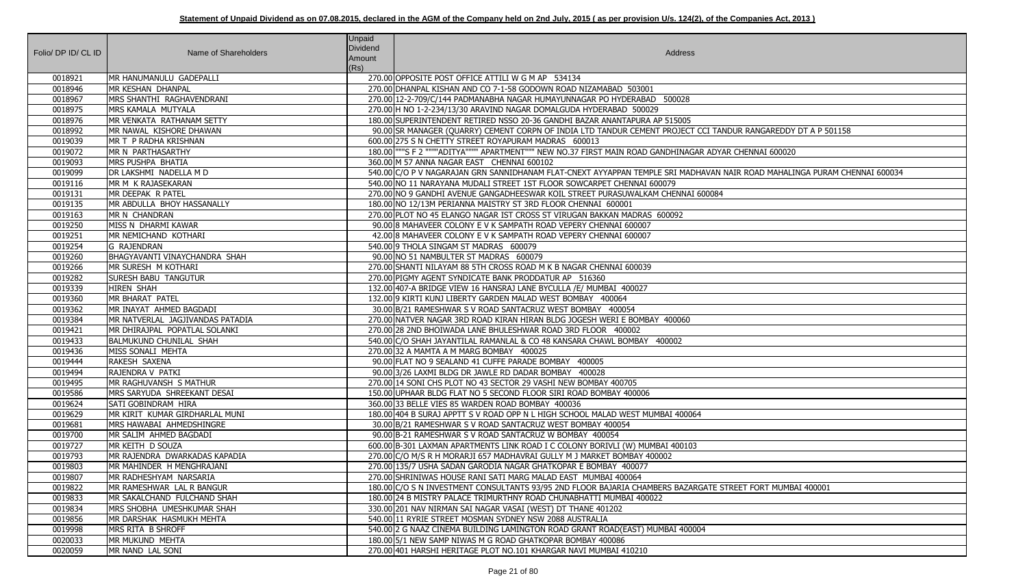| Folio/ DP ID/ CL ID | Name of Shareholders                | Unpaid<br>Dividend<br>Amount<br>(Rs) | Address                                                                                                                                     |
|---------------------|-------------------------------------|--------------------------------------|---------------------------------------------------------------------------------------------------------------------------------------------|
| 0018921             | MR HANUMANULU GADEPALLI             |                                      | 270.00 OPPOSITE POST OFFICE ATTILI W G M AP 534134                                                                                          |
| 0018946             | MR KESHAN DHANPAL                   |                                      | 270.00 DHANPAL KISHAN AND CO 7-1-58 GODOWN ROAD NIZAMABAD 503001                                                                            |
| 0018967             | MRS SHANTHI RAGHAVENDRANI           |                                      | 270.00 12-2-709/C/144 PADMANABHA NAGAR HUMAYUNNAGAR PO HYDERABAD 500028                                                                     |
| 0018975             | MRS KAMALA MUTYALA                  |                                      | 270.00 H NO 1-2-234/13/30 ARAVIND NAGAR DOMALGUDA HYDERABAD 500029                                                                          |
| 0018976             | MR VENKATA RATHANAM SETTY           |                                      | 180.00 SUPERINTENDENT RETIRED NSSO 20-36 GANDHI BAZAR ANANTAPURA AP 515005                                                                  |
| 0018992             | MR NAWAL KISHORE DHAWAN             |                                      | 90.00 SR MANAGER (QUARRY) CEMENT CORPN OF INDIA LTD TANDUR CEMENT PROJECT CCI TANDUR RANGAREDDY DT A P 501158                               |
| 0019039             | MR T P RADHA KRISHNAN               |                                      | 600.00 275 S N CHETTY STREET ROYAPURAM MADRAS 600013                                                                                        |
| 0019072             | MR N PARTHASARTHY                   |                                      | 180.00   ""S F 2 """"ADITYA"""" APARTMENT""" NEW NO.37 FIRST MAIN ROAD GANDHINAGAR ADYAR CHENNAI 600020                                     |
| 0019093             | <b>MRS PUSHPA BHATIA</b>            |                                      | 360.00 M 57 ANNA NAGAR EAST CHENNAI 600102                                                                                                  |
| 0019099             | DR LAKSHMI NADELLA M D              |                                      | 540.00 C/O P V NAGARAJAN GRN SANNIDHANAM FLAT-CNEXT AYYAPPAN TEMPLE SRI MADHAVAN NAIR ROAD MAHALINGA PURAM CHENNAI 600034                   |
| 0019116             | MR M K RAJASEKARAN                  |                                      | 540.00 NO 11 NARAYANA MUDALI STREET 1ST FLOOR SOWCARPET CHENNAI 600079                                                                      |
| 0019131             | MR DEEPAK R PATEL                   |                                      | 270.00 NO 9 GANDHI AVENUE GANGADHEESWAR KOIL STREET PURASUWALKAM CHENNAI 600084                                                             |
| 0019135             | MR ABDULLA BHOY HASSANALLY          |                                      | 180.00 NO 12/13M PERIANNA MAISTRY ST 3RD FLOOR CHENNAI 600001                                                                               |
| 0019163             | MR N CHANDRAN                       |                                      | 270.00 PLOT NO 45 ELANGO NAGAR IST CROSS ST VIRUGAN BAKKAN MADRAS 600092                                                                    |
| 0019250             | MISS N DHARMI KAWAR                 |                                      | 90.00 8 MAHAVEER COLONY E V K SAMPATH ROAD VEPERY CHENNAI 600007                                                                            |
| 0019251             | MR NEMICHAND KOTHARI                |                                      | 42.00 8 MAHAVEER COLONY E V K SAMPATH ROAD VEPERY CHENNAI 600007                                                                            |
| 0019254             | <b>IG RAJENDRAN</b>                 |                                      | 540.00 9 THOLA SINGAM ST MADRAS 600079                                                                                                      |
| 0019260             | BHAGYAVANTI VINAYCHANDRA SHAH       |                                      | 90.00 NO 51 NAMBULTER ST MADRAS 600079                                                                                                      |
| 0019266             | MR SURESH M KOTHARI                 |                                      | 270.00 SHANTI NILAYAM 88 5TH CROSS ROAD M K B NAGAR CHENNAI 600039                                                                          |
| 0019282             | <b>SURESH BABU TANGUTUR</b>         |                                      | 270.00 PIGMY AGENT SYNDICATE BANK PRODDATUR AP 516360                                                                                       |
| 0019339             | <b>HIREN SHAH</b>                   |                                      | 132.00 407-A BRIDGE VIEW 16 HANSRAJ LANE BYCULLA /E/ MUMBAI 400027                                                                          |
| 0019360             | MR BHARAT PATEL                     |                                      | 132.00 9 KIRTI KUNJ LIBERTY GARDEN MALAD WEST BOMBAY 400064                                                                                 |
| 0019362             | MR INAYAT AHMED BAGDADI             |                                      | 30.00 B/21 RAMESHWAR S V ROAD SANTACRUZ WEST BOMBAY 400054                                                                                  |
| 0019384             | MR NATVERLAL JAGJIVANDAS PATADIA    |                                      | 270.00 NATVER NAGAR 3RD ROAD KIRAN HIRAN BLDG JOGESH WERI E BOMBAY 400060                                                                   |
| 0019421             | MR DHIRAJPAL POPATLAL SOLANKI       |                                      | 270.00 28 2ND BHOIWADA LANE BHULESHWAR ROAD 3RD FLOOR 400002                                                                                |
| 0019433             | <b>BALMUKUND CHUNILAL SHAH</b>      |                                      | 540.00 C/O SHAH JAYANTILAL RAMANLAL & CO 48 KANSARA CHAWL BOMBAY 400002                                                                     |
| 0019436             | MISS SONALI MEHTA                   |                                      | 270.00 32 A MAMTA A M MARG BOMBAY 400025                                                                                                    |
| 0019444             | RAKESH SAXENA                       |                                      | 90.00 FLAT NO 9 SEALAND 41 CUFFE PARADE BOMBAY 400005                                                                                       |
| 0019494             | <b>RAJENDRA V PATKI</b>             |                                      | 90.00 3/26 LAXMI BLDG DR JAWLE RD DADAR BOMBAY 400028                                                                                       |
| 0019495             | MR RAGHUVANSH S MATHUR              |                                      | 270.00 14 SONI CHS PLOT NO 43 SECTOR 29 VASHI NEW BOMBAY 400705                                                                             |
| 0019586             | <b>IMRS SARYUDA SHREEKANT DESAI</b> |                                      | 150.00 UPHAAR BLDG FLAT NO 5 SECOND FLOOR SIRI ROAD BOMBAY 400006                                                                           |
| 0019624             | SATI GOBINDRAM HIRA                 |                                      | 360.00 33 BELLE VIES 85 WARDEN ROAD BOMBAY 400036                                                                                           |
| 0019629             | MR KIRIT KUMAR GIRDHARLAL MUNI      |                                      | 180.00 404 B SURAJ APPTT S V ROAD OPP N L HIGH SCHOOL MALAD WEST MUMBAI 400064                                                              |
| 0019681             | MRS HAWABAI AHMEDSHINGRE            |                                      | 30.00 B/21 RAMESHWAR S V ROAD SANTACRUZ WEST BOMBAY 400054                                                                                  |
| 0019700             | MR SALIM AHMED BAGDADI              |                                      | 90.00 B-21 RAMESHWAR S V ROAD SANTACRUZ W BOMBAY 400054                                                                                     |
| 0019727             | MR KEITH D SOUZA                    |                                      | 600.00 B-301 LAXMAN APARTMENTS LINK ROAD I C COLONY BORIVLI (W) MUMBAI 400103                                                               |
| 0019793             | MR RAJENDRA DWARKADAS KAPADIA       |                                      | 270.00 C/O M/S R H MORARJI 657 MADHAVRAI GULLY M J MARKET BOMBAY 400002                                                                     |
| 0019803             | MR MAHINDER H MENGHRAJANI           |                                      | 270.00 135/7 USHA SADAN GARODIA NAGAR GHATKOPAR E BOMBAY 400077                                                                             |
| 0019807             | MR RADHESHYAM NARSARIA              |                                      | 270.00 SHRINIWAS HOUSE RANI SATI MARG MALAD EAST MUMBAI 400064                                                                              |
| 0019822             | MR RAMESHWAR LAL R BANGUR           |                                      | 180.00 C/O S N INVESTMENT CONSULTANTS 93/95 2ND FLOOR BAJARIA CHAMBERS BAZARGATE STREET FORT MUMBAI 400001                                  |
| 0019833             | MR SAKALCHAND FULCHAND SHAH         |                                      | 180.00 24 B MISTRY PALACE TRIMURTHNY ROAD CHUNABHATTI MUMBAI 400022                                                                         |
| 0019834             | MRS SHOBHA UMESHKUMAR SHAH          |                                      | 330.00 201 NAV NIRMAN SAI NAGAR VASAI (WEST) DT THANE 401202                                                                                |
| 0019856             | MR DARSHAK HASMUKH MEHTA            |                                      | 540.00 11 RYRIE STREET MOSMAN SYDNEY NSW 2088 AUSTRALIA                                                                                     |
| 0019998             | MRS RITA B SHROFF                   |                                      | 540.00 2 G NAAZ CINEMA BUILDING LAMINGTON ROAD GRANT ROAD(EAST) MUMBAI 400004<br>180.00 5/1 NEW SAMP NIWAS M G ROAD GHATKOPAR BOMBAY 400086 |
| 0020033             | MR MUKUND MEHTA                     |                                      | 270.00 401 HARSHI HERITAGE PLOT NO.101 KHARGAR NAVI MUMBAI 410210                                                                           |
| 0020059             | MR NAND LAL SONI                    |                                      |                                                                                                                                             |

| NDUR RANGAREDDY DT A P 501158            |
|------------------------------------------|
|                                          |
| AR CHENNAI 600020                        |
|                                          |
| NAIR ROAD MAHALINGA PURAM CHENNAI 600034 |
|                                          |
|                                          |
|                                          |
|                                          |
|                                          |
|                                          |
|                                          |
|                                          |
|                                          |
|                                          |
|                                          |
|                                          |
|                                          |
|                                          |
|                                          |
|                                          |
|                                          |
|                                          |
|                                          |
|                                          |
|                                          |
|                                          |
|                                          |
|                                          |
| <b>STREET FORT MUMBAI 400001</b>         |
|                                          |
|                                          |
|                                          |
|                                          |
|                                          |
|                                          |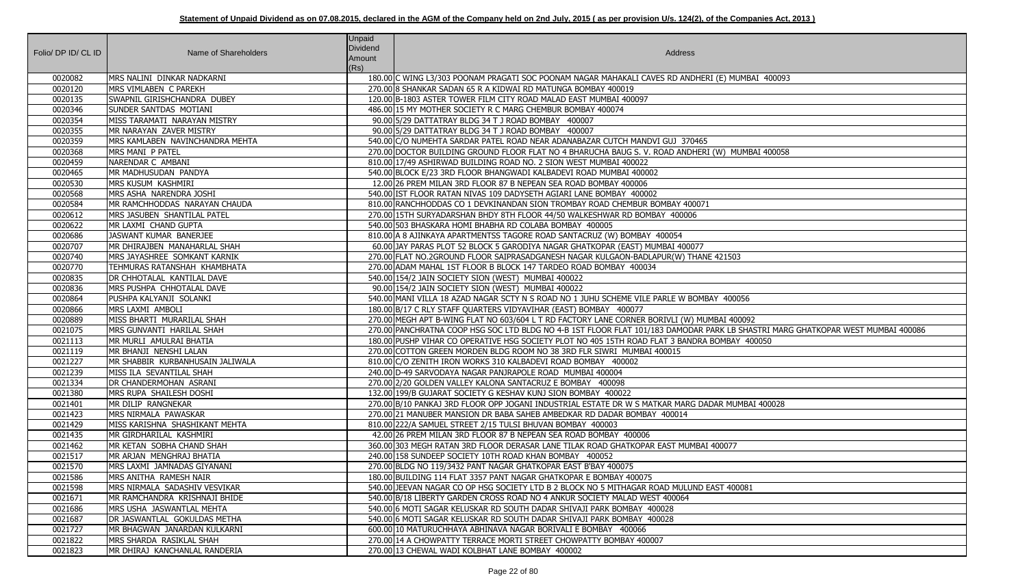| Folio/DPID/CLID | Name of Shareholders                | Unpaid<br><b>Dividend</b><br>Amount<br>(Rs) | Address                                                                                                                         |
|-----------------|-------------------------------------|---------------------------------------------|---------------------------------------------------------------------------------------------------------------------------------|
| 0020082         | MRS NALINI DINKAR NADKARNI          |                                             | 180.00 C WING L3/303 POONAM PRAGATI SOC POONAM NAGAR MAHAKALI CAVES RD ANDHERI (E) MUMBAI 400093                                |
| 0020120         | MRS VIMLABEN C PAREKH               |                                             | 270.00 8 SHANKAR SADAN 65 R A KIDWAI RD MATUNGA BOMBAY 400019                                                                   |
| 0020135         | SWAPNIL GIRISHCHANDRA DUBEY         |                                             | 120.00 B-1803 ASTER TOWER FILM CITY ROAD MALAD EAST MUMBAI 400097                                                               |
| 0020346         | <b>SUNDER SANTDAS MOTIANI</b>       |                                             | 486.00 15 MY MOTHER SOCIETY R C MARG CHEMBUR BOMBAY 400074                                                                      |
| 0020354         | MISS TARAMATI NARAYAN MISTRY        |                                             | 90.00 5/29 DATTATRAY BLDG 34 T J ROAD BOMBAY 400007                                                                             |
| 0020355         | MR NARAYAN ZAVER MISTRY             |                                             | 90.00 5/29 DATTATRAY BLDG 34 T J ROAD BOMBAY 400007                                                                             |
| 0020359         | MRS KAMLABEN NAVINCHANDRA MEHTA     |                                             | 540.00 C/O NUMEHTA SARDAR PATEL ROAD NEAR ADANABAZAR CUTCH MANDVI GUJ 370465                                                    |
| 0020368         | MRS MANI P PATEL                    |                                             | 270.00 DOCTOR BUILDING GROUND FLOOR FLAT NO 4 BHARUCHA BAUG S. V. ROAD ANDHERI (W) MUMBAI 400058                                |
| 0020459         | NARENDAR C AMBANI                   |                                             | 810.00 17/49 ASHIRWAD BUILDING ROAD NO. 2 SION WEST MUMBAI 400022                                                               |
| 0020465         | MR MADHUSUDAN PANDYA                |                                             | 540.00 BLOCK E/23 3RD FLOOR BHANGWADI KALBADEVI ROAD MUMBAI 400002                                                              |
| 0020530         | MRS KUSUM KASHMIRI                  |                                             | 12.00 26 PREM MILAN 3RD FLOOR 87 B NEPEAN SEA ROAD BOMBAY 400006                                                                |
| 0020568         | MRS ASHA NARENDRA JOSHI             |                                             | 540.00 IST FLOOR RATAN NIVAS 109 DADYSETH AGIARI LANE BOMBAY 400002                                                             |
| 0020584         | MR RAMCHHODDAS NARAYAN CHAUDA       |                                             | 810.00 RANCHHODDAS CO 1 DEVKINANDAN SION TROMBAY ROAD CHEMBUR BOMBAY 400071                                                     |
| 0020612         | MRS JASUBEN SHANTILAL PATEL         |                                             | 270.00 15TH SURYADARSHAN BHDY 8TH FLOOR 44/50 WALKESHWAR RD BOMBAY 400006                                                       |
| 0020622         | MR LAXMI CHAND GUPTA                |                                             | 540.00 503 BHASKARA HOMI BHABHA RD COLABA BOMBAY 400005                                                                         |
| 0020686         | JASWANT KUMAR BANERJEE              |                                             | 810.00 A 8 AJINKAYA APARTMENTSS TAGORE ROAD SANTACRUZ (W) BOMBAY 400054                                                         |
| 0020707         | MR DHIRAJBEN MANAHARLAL SHAH        |                                             | 60.00 JAY PARAS PLOT 52 BLOCK 5 GARODIYA NAGAR GHATKOPAR (EAST) MUMBAI 400077                                                   |
| 0020740         | MRS JAYASHREE SOMKANT KARNIK        |                                             | 270.00 FLAT NO.2GROUND FLOOR SAIPRASADGANESH NAGAR KULGAON-BADLAPUR(W) THANE 421503                                             |
| 0020770         | TEHMURAS RATANSHAH KHAMBHATA        |                                             | 270.00 ADAM MAHAL 1ST FLOOR B BLOCK 147 TARDEO ROAD BOMBAY 400034                                                               |
| 0020835         | DR CHHOTALAL KANTILAL DAVE          |                                             | 540.00 154/2 JAIN SOCIETY SION (WEST) MUMBAI 400022                                                                             |
| 0020836         | MRS PUSHPA CHHOTALAL DAVE           |                                             | 90.00 154/2 JAIN SOCIETY SION (WEST) MUMBAI 400022                                                                              |
| 0020864         | PUSHPA KALYANJI SOLANKI             |                                             | 540.00 MANI VILLA 18 AZAD NAGAR SCTY N S ROAD NO 1 JUHU SCHEME VILE PARLE W BOMBAY 400056                                       |
| 0020866         | MRS LAXMI AMBOLI                    |                                             | 180.00 B/17 C RLY STAFF QUARTERS VIDYAVIHAR (EAST) BOMBAY 400077                                                                |
| 0020889         | MISS BHARTI MURARILAL SHAH          |                                             | 270.00 MEGH APT B-WING FLAT NO 603/604 L T RD FACTORY LANE CORNER BORIVLI (W) MUMBAI 400092                                     |
| 0021075         | MRS GUNVANTI HARILAL SHAH           |                                             | 270.00 PANCHRATNA COOP HSG SOC LTD BLDG NO 4-B 1ST FLOOR FLAT 101/183 DAMODAR PARK LB SHASTRI MARG GHATKOPAR WEST MUMBAI 400086 |
| 0021113         | MR MURLI AMULRAI BHATIA             |                                             | 180.00 PUSHP VIHAR CO OPERATIVE HSG SOCIETY PLOT NO 405 15TH ROAD FLAT 3 BANDRA BOMBAY 400050                                   |
| 0021119         | MR BHANJI NENSHI LALAN              |                                             | 270.00 COTTON GREEN MORDEN BLDG ROOM NO 38 3RD FLR SIWRI MUMBAI 400015                                                          |
| 0021227         | MR SHABBIR KURBANHUSAIN JALIWALA    |                                             | 810.00 C/O ZENITH IRON WORKS 310 KALBADEVI ROAD BOMBAY 400002                                                                   |
| 0021239         | MISS ILA SEVANTILAL SHAH            |                                             | 240.00 D-49 SARVODAYA NAGAR PANJRAPOLE ROAD MUMBAI 400004                                                                       |
| 0021334         | DR CHANDERMOHAN ASRANI              |                                             | 270.00 2/20 GOLDEN VALLEY KALONA SANTACRUZ E BOMBAY 400098                                                                      |
| 0021380         | MRS RUPA SHAILESH DOSHI             |                                             | 132.00 199/B GUJARAT SOCIETY G KESHAV KUNJ SION BOMBAY 400022                                                                   |
| 0021401         | MR DILIP RANGNEKAR                  |                                             | 270.00 B/10 PANKAJ 3RD FLOOR OPP JOGANI INDUSTRIAL ESTATE DR W S MATKAR MARG DADAR MUMBAI 400028                                |
| 0021423         | MRS NIRMALA PAWASKAR                |                                             | 270.00 21 MANUBER MANSION DR BABA SAHEB AMBEDKAR RD DADAR BOMBAY 400014                                                         |
| 0021429         | MISS KARISHNA SHASHIKANT MEHTA      |                                             | 810.00 222/A SAMUEL STREET 2/15 TULSI BHUVAN BOMBAY 400003                                                                      |
| 0021435         | MR GIRDHARILAL KASHMIRI             |                                             | 42.00 26 PREM MILAN 3RD FLOOR 87 B NEPEAN SEA ROAD BOMBAY 400006                                                                |
| 0021462         | MR KETAN SOBHA CHAND SHAH           |                                             | 360.00 303 MEGH RATAN 3RD FLOOR DERASAR LANE TILAK ROAD GHATKOPAR EAST MUMBAI 400077                                            |
| 0021517         | MR ARJAN MENGHRAJ BHATIA            |                                             | 240.00 158 SUNDEEP SOCIETY 10TH ROAD KHAN BOMBAY 400052                                                                         |
| 0021570         | MRS LAXMI JAMNADAS GIYANANI         |                                             | 270.00 BLDG NO 119/3432 PANT NAGAR GHATKOPAR EAST B'BAY 400075                                                                  |
| 0021586         | MRS ANITHA RAMESH NAIR              |                                             | 180.00 BUILDING 114 FLAT 3357 PANT NAGAR GHATKOPAR E BOMBAY 400075                                                              |
| 0021598         | MRS NIRMALA SADASHIV VESVIKAR       |                                             | 540.00 JJEEVAN NAGAR CO OP HSG SOCIETY LTD B 2 BLOCK NO 5 MITHAGAR ROAD MULUND EAST 400081                                      |
| 0021671         | MR RAMCHANDRA KRISHNAJI BHIDE       |                                             | 540.00 B/18 LIBERTY GARDEN CROSS ROAD NO 4 ANKUR SOCIETY MALAD WEST 400064                                                      |
| 0021686         | MRS USHA JASWANTLAL MEHTA           |                                             | 540.00 6 MOTI SAGAR KELUSKAR RD SOUTH DADAR SHIVAJI PARK BOMBAY 400028                                                          |
| 0021687         | <b>DR JASWANTLAL GOKULDAS METHA</b> |                                             | 540.00 6 MOTI SAGAR KELUSKAR RD SOUTH DADAR SHIVAJI PARK BOMBAY 400028                                                          |
| 0021727         | MR BHAGWAN JANARDAN KULKARNI        |                                             | 600.00 10 MATURUCHHAYA ABHINAVA NAGAR BORIVALI E BOMBAY 400066                                                                  |
| 0021822         | MRS SHARDA RASIKLAL SHAH            |                                             | 270.00 14 A CHOWPATTY TERRACE MORTI STREET CHOWPATTY BOMBAY 400007                                                              |
| 0021823         | MR DHIRAJ KANCHANLAL RANDERIA       |                                             | 270.00 13 CHEWAL WADI KOLBHAT LANE BOMBAY 400002                                                                                |

| D MUMBAI 400093                                               |
|---------------------------------------------------------------|
|                                                               |
|                                                               |
|                                                               |
|                                                               |
|                                                               |
|                                                               |
| ) MUMBAI 400058                                               |
|                                                               |
|                                                               |
|                                                               |
|                                                               |
|                                                               |
|                                                               |
|                                                               |
|                                                               |
|                                                               |
| 1503                                                          |
|                                                               |
|                                                               |
|                                                               |
| 400056                                                        |
|                                                               |
| $\sqrt{1400092}$                                              |
| K LB SHASTRI MARG GHATKOPAR WEST MUMBAI 400086<br>MBAY 400050 |
|                                                               |
|                                                               |
|                                                               |
|                                                               |
|                                                               |
| MUMBAI 400028                                                 |
|                                                               |
|                                                               |
|                                                               |
| 077                                                           |
|                                                               |
|                                                               |
|                                                               |
| 1400081                                                       |
|                                                               |
|                                                               |
|                                                               |
|                                                               |
|                                                               |
|                                                               |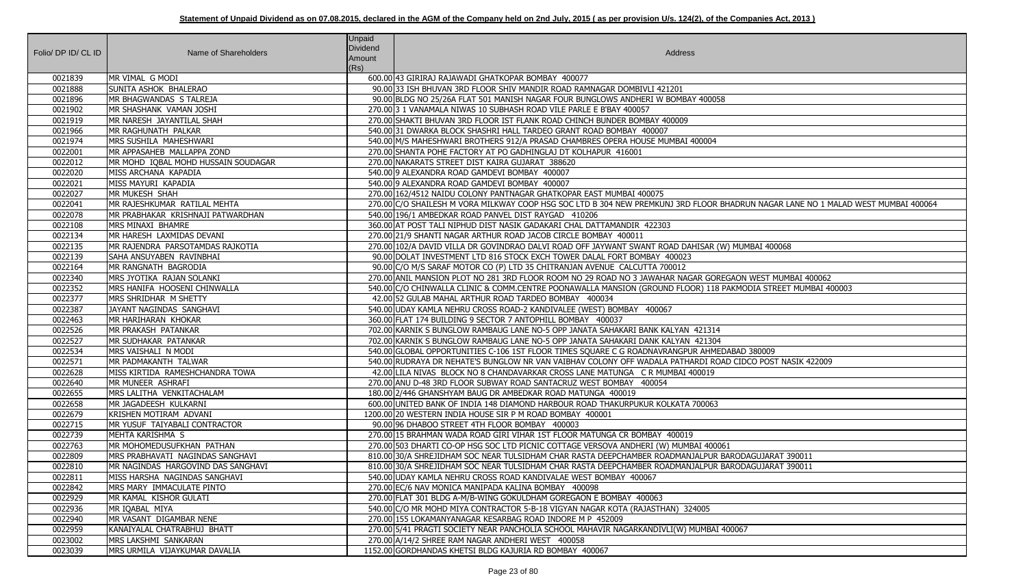| Folio/ DP ID/ CL ID | Name of Shareholders                      | Unpaid<br>Dividend<br>Amount<br>(Rs) | Address                                                                                                                                     |
|---------------------|-------------------------------------------|--------------------------------------|---------------------------------------------------------------------------------------------------------------------------------------------|
| 0021839             | MR VIMAL G MODI                           |                                      | 600.00 43 GIRIRAJ RAJAWADI GHATKOPAR BOMBAY 400077                                                                                          |
| 0021888             | SUNITA ASHOK BHALERAO                     |                                      | 90.00 33 ISH BHUVAN 3RD FLOOR SHIV MANDIR ROAD RAMNAGAR DOMBIVLI 421201                                                                     |
| 0021896             | MR BHAGWANDAS S TALREJA                   |                                      | 90.00 BLDG NO 25/26A FLAT 501 MANISH NAGAR FOUR BUNGLOWS ANDHERI W BOMBAY 400058                                                            |
| 0021902             | MR SHASHANK VAMAN JOSHI                   |                                      | 270.00 3 1 VANAMALA NIWAS 10 SUBHASH ROAD VILE PARLE E B'BAY 400057                                                                         |
| 0021919             | MR NARESH JAYANTILAL SHAH                 |                                      | 270.00 SHAKTI BHUVAN 3RD FLOOR IST FLANK ROAD CHINCH BUNDER BOMBAY 400009                                                                   |
| 0021966             | MR RAGHUNATH PALKAR                       |                                      | 540.00 31 DWARKA BLOCK SHASHRI HALL TARDEO GRANT ROAD BOMBAY 400007                                                                         |
| 0021974             | MRS SUSHILA MAHESHWARI                    |                                      | 540.00 M/S MAHESHWARI BROTHERS 912/A PRASAD CHAMBRES OPERA HOUSE MUMBAI 400004                                                              |
| 0022001             | MR APPASAHEB MALLAPPA ZOND                |                                      | 270.00 SHANTA POHE FACTORY AT PO GADHINGLAJ DT KOLHAPUR 416001                                                                              |
| 0022012             | MR MOHD IQBAL MOHD HUSSAIN SOUDAGAR       |                                      | 270.00 NAKARATS STREET DIST KAIRA GUJARAT 388620                                                                                            |
| 0022020             | MISS ARCHANA KAPADIA                      |                                      | 540.00 9 ALEXANDRA ROAD GAMDEVI BOMBAY 400007                                                                                               |
| 0022021             | MISS MAYURI KAPADIA                       |                                      | 540.00 9 ALEXANDRA ROAD GAMDEVI BOMBAY 400007                                                                                               |
| 0022027             | MR MUKESH SHAH                            |                                      | 270.00 162/4512 NAIDU COLONY PANTNAGAR GHATKOPAR EAST MUMBAI 400075                                                                         |
| 0022041             | MR RAJESHKUMAR RATILAL MEHTA              |                                      | 270.00 C/O SHAILESH M VORA MILKWAY COOP HSG SOC LTD B 304 NEW PREMKUNJ 3RD FLOOR BHADRUN NAGAR LANE NO 1 MALAD WEST MUMBAI 400064           |
| 0022078             | MR PRABHAKAR KRISHNAJI PATWARDHAN         |                                      | 540.00 196/1 AMBEDKAR ROAD PANVEL DIST RAYGAD 410206                                                                                        |
| 0022108             | MRS MINAXI BHAMRE                         |                                      | 360.00 AT POST TALI NIPHUD DIST NASIK GADAKARI CHAL DATTAMANDIR 422303                                                                      |
| 0022134             | MR HARESH LAXMIDAS DEVANI                 |                                      | 270.00 21/9 SHANTI NAGAR ARTHUR ROAD JACOB CIRCLE BOMBAY 400011                                                                             |
| 0022135             | MR RAJENDRA PARSOTAMDAS RAJKOTIA          |                                      | 270.00 102/A DAVID VILLA DR GOVINDRAO DALVI ROAD OFF JAYWANT SWANT ROAD DAHISAR (W) MUMBAI 400068                                           |
| 0022139             | <b>SAHA ANSUYABEN RAVINBHAI</b>           |                                      | 90.00 DOLAT INVESTMENT LTD 816 STOCK EXCH TOWER DALAL FORT BOMBAY 400023                                                                    |
| 0022164             | MR RANGNATH BAGRODIA                      |                                      | 90.00 C/O M/S SARAF MOTOR CO (P) LTD 35 CHITRANJAN AVENUE CALCUTTA 700012                                                                   |
| 0022340             | MRS JYOTIKA RAJAN SOLANKI                 |                                      | 270.00 ANIL MANSION PLOT NO 281 3RD FLOOR ROOM NO 29 ROAD NO 3 JAWAHAR NAGAR GOREGAON WEST MUMBAI 400062                                    |
| 0022352             | MRS HANIFA HOOSENI CHINWALLA              |                                      | 540.00 C/O CHINWALLA CLINIC & COMM.CENTRE POONAWALLA MANSION (GROUND FLOOR) 118 PAKMODIA STREET MUMBAI 400003                               |
| 0022377             | MRS SHRIDHAR M SHETTY                     |                                      | 42.00 52 GULAB MAHAL ARTHUR ROAD TARDEO BOMBAY 400034                                                                                       |
| 0022387             | JAYANT NAGINDAS SANGHAVI                  |                                      | 540.00 UDAY KAMLA NEHRU CROSS ROAD-2 KANDIVALEE (WEST) BOMBAY 400067                                                                        |
| 0022463             | MR HARIHARAN KHOKAR                       |                                      | 360.00 FLAT 174 BUILDING 9 SECTOR 7 ANTOPHILL BOMBAY 400037                                                                                 |
| 0022526             | MR PRAKASH PATANKAR                       |                                      | 702.00 KARNIK S BUNGLOW RAMBAUG LANE NO-5 OPP JANATA SAHAKARI BANK KALYAN 421314                                                            |
| 0022527             | MR SUDHAKAR PATANKAR                      |                                      | 702.00 KARNIK S BUNGLOW RAMBAUG LANE NO-5 OPP JANATA SAHAKARI DANK KALYAN 421304                                                            |
| 0022534             | MRS VAISHALI N MODI                       |                                      | 540.00 GLOBAL OPPORTUNITIES C-106 1ST FLOOR TIMES SQUARE C G ROADNAVRANGPUR AHMEDABAD 380009                                                |
| 0022571             | MR PADMAKANTH TALWAR                      |                                      | 540.00 RUDRAYA DR NEHATE'S BUNGLOW NR VAN VAIBHAV COLONY OFF WADALA PATHARDI ROAD CIDCO POST NASIK 422009                                   |
| 0022628             | MISS KIRTIDA RAMESHCHANDRA TOWA           |                                      | 42.00 LILA NIVAS BLOCK NO 8 CHANDAVARKAR CROSS LANE MATUNGA C R MUMBAI 400019                                                               |
| 0022640             | MR MUNEER ASHRAFI                         |                                      | 270.00 ANU D-48 3RD FLOOR SUBWAY ROAD SANTACRUZ WEST BOMBAY 400054                                                                          |
| 0022655             | MRS LALITHA VENKITACHALAM                 |                                      | 180.00 2/446 GHANSHYAM BAUG DR AMBEDKAR ROAD MATUNGA 400019                                                                                 |
| 0022658             | MR JAGADEESH KULKARNI                     |                                      | 600.00 UNITED BANK OF INDIA 148 DIAMOND HARBOUR ROAD THAKURPUKUR KOLKATA 700063                                                             |
| 0022679             | KRISHEN MOTIRAM ADVANI                    |                                      | 1200.00 20 WESTERN INDIA HOUSE SIR P M ROAD BOMBAY 400001                                                                                   |
| 0022715             | MR YUSUF TAIYABALI CONTRACTOR             |                                      | 90.00 96 DHABOO STREET 4TH FLOOR BOMBAY 400003                                                                                              |
| 0022739             | MEHTA KARISHMA S                          |                                      | 270.00 15 BRAHMAN WADA ROAD GIRI VIHAR 1ST FLOOR MATUNGA CR BOMBAY 400019                                                                   |
| 0022763             | MR MOHOMEDUSUFKHAN PATHAN                 |                                      | 270.00 503 DHARTI CO-OP HSG SOC LTD PICNIC COTTAGE VERSOVA ANDHERI (W) MUMBAI 400061                                                        |
| 0022809             | MRS PRABHAVATI NAGINDAS SANGHAVI          |                                      | 810.00 30/A SHREJIDHAM SOC NEAR TULSIDHAM CHAR RASTA DEEPCHAMBER ROADMANJALPUR BARODAGUJARAT 390011                                         |
| 0022810             | MR NAGINDAS HARGOVIND DAS SANGHAVI        |                                      | 810.00 30/A SHREJIDHAM SOC NEAR TULSIDHAM CHAR RASTA DEEPCHAMBER ROADMANJALPUR BARODAGUJARAT 390011                                         |
| 0022811             | MISS HARSHA NAGINDAS SANGHAVI             |                                      | 540.00 UDAY KAMLA NEHRU CROSS ROAD KANDIVALAE WEST BOMBAY 400067                                                                            |
| 0022842             | MRS MARY IMMACULATE PINTO                 |                                      | 270.00 EC/6 NAV MONICA MANIPADA KALINA BOMBAY 400098                                                                                        |
| 0022929<br>0022936  | MR KAMAL KISHOR GULATI                    |                                      | 270.00 FLAT 301 BLDG A-M/B-WING GOKULDHAM GOREGAON E BOMBAY 400063                                                                          |
| 0022940             | MR IQABAL MIYA<br>MR VASANT DIGAMBAR NENE |                                      | 540.00 C/O MR MOHD MIYA CONTRACTOR 5-B-18 VIGYAN NAGAR KOTA (RAJASTHAN) 324005<br>270.00 155 LOKAMANYANAGAR KESARBAG ROAD INDORE M P 452009 |
| 0022959             | KANAIYALAL CHATRABHUJ BHATT               |                                      | 270.00 5/41 PRAGTI SOCIETY NEAR PANCHOLIA SCHOOL MAHAVIR NAGARKANDIVLI(W) MUMBAI 400067                                                     |
| 0023002             | MRS LAKSHMI SANKARAN                      |                                      | 270.00 A/14/2 SHREE RAM NAGAR ANDHERI WEST 400058                                                                                           |
| 0023039             | MRS URMILA VIJAYKUMAR DAVALIA             |                                      | 1152.00 GORDHANDAS KHETSI BLDG KAJURIA RD BOMBAY 400067                                                                                     |
|                     |                                           |                                      |                                                                                                                                             |

| 3                                                |
|--------------------------------------------------|
|                                                  |
|                                                  |
|                                                  |
|                                                  |
|                                                  |
| BHADRUN NAGAR LANE NO 1 MALAD WEST MUMBAI 400064 |
| V) MUMBAI 400068                                 |
| <b>EGAON WEST MUMBAI 400062</b>                  |
| PAKMODIA STREET MUMBAI 400003                    |
|                                                  |
|                                                  |
|                                                  |
| DABAD 380009                                     |
| AD CIDCO POST NASIK 422009                       |
|                                                  |
|                                                  |
|                                                  |
|                                                  |
| $\overline{51}$                                  |
| BARODAGUJARAT 390011<br>BARODAGUJARAT 390011     |
|                                                  |
|                                                  |
|                                                  |
|                                                  |
| 400067                                           |
|                                                  |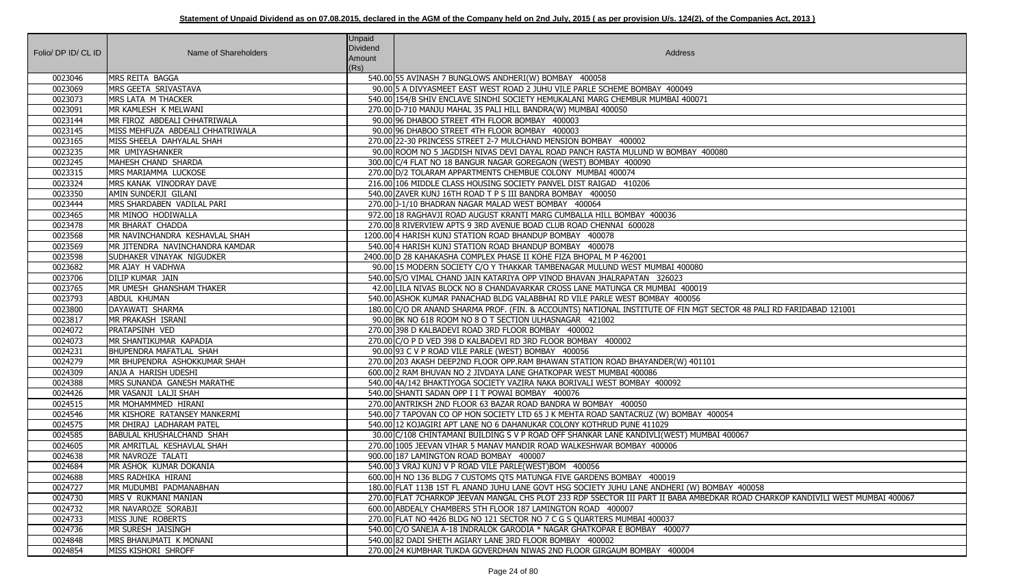| Folio/ DP ID/ CL ID | Name of Shareholders                         | <b>Unpaid</b><br>Dividend<br>Amount<br>(Rs) | Address                                                                                                                                                                                        |
|---------------------|----------------------------------------------|---------------------------------------------|------------------------------------------------------------------------------------------------------------------------------------------------------------------------------------------------|
| 0023046             | MRS REITA BAGGA                              |                                             | 540.00 55 AVINASH 7 BUNGLOWS ANDHERI(W) BOMBAY 400058                                                                                                                                          |
| 0023069             | MRS GEETA SRIVASTAVA                         |                                             | 90.00 5 A DIVYASMEET EAST WEST ROAD 2 JUHU VILE PARLE SCHEME BOMBAY 400049                                                                                                                     |
| 0023073             | MRS LATA M THACKER                           |                                             | 540.00 154/B SHIV ENCLAVE SINDHI SOCIETY HEMUKALANI MARG CHEMBUR MUMBAI 400071                                                                                                                 |
| 0023091             | MR KAMLESH K MELWANI                         |                                             | 270.00 D-710 MANJU MAHAL 35 PALI HILL BANDRA(W) MUMBAI 400050                                                                                                                                  |
| 0023144             | MR FIROZ ABDEALI CHHATRIWALA                 |                                             | 90.00 96 DHABOO STREET 4TH FLOOR BOMBAY 400003                                                                                                                                                 |
| 0023145             | MISS MEHFUZA ABDEALI CHHATRIWALA             |                                             | 90.00 96 DHABOO STREET 4TH FLOOR BOMBAY 400003                                                                                                                                                 |
| 0023165             | MISS SHEELA DAHYALAL SHAH                    |                                             | 270.00 22-30 PRINCESS STREET 2-7 MULCHAND MENSION BOMBAY 400002                                                                                                                                |
| 0023235             | MR UMIYASHANKER                              |                                             | 90.00 ROOM NO 5 JAGDISH NIVAS DEVI DAYAL ROAD PANCH RASTA MULUND W BOMBAY 400080                                                                                                               |
| 0023245             | MAHESH CHAND SHARDA                          |                                             | 300.00 C/4 FLAT NO 18 BANGUR NAGAR GOREGAON (WEST) BOMBAY 400090                                                                                                                               |
| 0023315             | MRS MARIAMMA LUCKOSE                         |                                             | 270.00 D/2 TOLARAM APPARTMENTS CHEMBUE COLONY MUMBAI 400074                                                                                                                                    |
| 0023324             | MRS KANAK VINODRAY DAVE                      |                                             | 216.00 106 MIDDLE CLASS HOUSING SOCIETY PANVEL DIST RAIGAD 410206                                                                                                                              |
| 0023350             | AMIN SUNDERJI GILANI                         |                                             | 540.00 ZAVER KUNJ 16TH ROAD T P S III BANDRA BOMBAY 400050                                                                                                                                     |
| 0023444             | MRS SHARDABEN VADILAL PARI                   |                                             | 270.00 J-1/10 BHADRAN NAGAR MALAD WEST BOMBAY 400064                                                                                                                                           |
| 0023465             | MR MINOO HODIWALLA                           |                                             | 972.00 18 RAGHAVJI ROAD AUGUST KRANTI MARG CUMBALLA HILL BOMBAY 400036                                                                                                                         |
| 0023478             | MR BHARAT CHADDA                             |                                             | 270.00 8 RIVERVIEW APTS 9 3RD AVENUE BOAD CLUB ROAD CHENNAI 600028                                                                                                                             |
| 0023568             | MR NAVINCHANDRA KESHAVLAL SHAH               |                                             | 1200.00 4 HARISH KUNJ STATION ROAD BHANDUP BOMBAY 400078                                                                                                                                       |
| 0023569             | MR JITENDRA NAVINCHANDRA KAMDAR              |                                             | 540.00 4 HARISH KUNJ STATION ROAD BHANDUP BOMBAY 400078                                                                                                                                        |
| 0023598             | SUDHAKER VINAYAK NIGUDKER                    |                                             | 2400.00 D 28 KAHAKASHA COMPLEX PHASE II KOHE FIZA BHOPAL M P 462001                                                                                                                            |
| 0023682             | MR AJAY H VADHWA                             |                                             | 90.00 15 MODERN SOCIETY C/O Y THAKKAR TAMBENAGAR MULUND WEST MUMBAI 400080                                                                                                                     |
| 0023706             | DILIP KUMAR JAIN                             |                                             | 540.00 S/O VIMAL CHAND JAIN KATARIYA OPP VINOD BHAVAN JHALRAPATAN 326023                                                                                                                       |
| 0023765             | MR UMESH GHANSHAM THAKER                     |                                             | 42.00 LILA NIVAS BLOCK NO 8 CHANDAVARKAR CROSS LANE MATUNGA CR MUMBAI 400019                                                                                                                   |
| 0023793             | ABDUL KHUMAN                                 |                                             | 540.00 ASHOK KUMAR PANACHAD BLDG VALABBHAI RD VILE PARLE WEST BOMBAY 400056                                                                                                                    |
| 0023800             | DAYAWATI SHARMA                              |                                             | 180.00 C/O DR ANAND SHARMA PROF. (FIN. & ACCOUNTS) NATIONAL INSTITUTE OF FIN MGT SECTOR 48 PALI RD FARIDABAD 121001                                                                            |
| 0023817             | MR PRAKASH ISRANI                            |                                             | 90.00 BK NO 618 ROOM NO 8 O T SECTION ULHASNAGAR 421002                                                                                                                                        |
| 0024072             | PRATAPSINH VED                               |                                             | 270.00 398 D KALBADEVI ROAD 3RD FLOOR BOMBAY 400002                                                                                                                                            |
| 0024073             | MR SHANTIKUMAR KAPADIA                       |                                             | 270.00 C/O P D VED 398 D KALBADEVI RD 3RD FLOOR BOMBAY 400002                                                                                                                                  |
| 0024231             | BHUPENDRA MAFATLAL SHAH                      |                                             | 90.00 93 C V P ROAD VILE PARLE (WEST) BOMBAY 400056                                                                                                                                            |
| 0024279             | MR BHUPENDRA ASHOKKUMAR SHAH                 |                                             | 270.00 203 AKASH DEEP2ND FLOOR OPP.RAM BHAWAN STATION ROAD BHAYANDER(W) 401101                                                                                                                 |
| 0024309             | ANJA A HARISH UDESHI                         |                                             | 600.00 2 RAM BHUVAN NO 2 JIVDAYA LANE GHATKOPAR WEST MUMBAI 400086                                                                                                                             |
| 0024388             | MRS SUNANDA GANESH MARATHE                   |                                             | 540.00 4A/142 BHAKTIYOGA SOCIETY VAZIRA NAKA BORIVALI WEST BOMBAY 400092                                                                                                                       |
| 0024426             | İMR VASANJI LALJI SHAH                       |                                             | 540.00 SHANTI SADAN OPP I I T POWAI BOMBAY 400076                                                                                                                                              |
| 0024515             | MR MOHAMMMED HIRANI                          |                                             | 270.00 ANTRIKSH 2ND FLOOR 63 BAZAR ROAD BANDRA W BOMBAY 400050                                                                                                                                 |
| 0024546             | MR KISHORE RATANSEY MANKERMI                 |                                             | 540.00 7 TAPOVAN CO OP HON SOCIETY LTD 65 J K MEHTA ROAD SANTACRUZ (W) BOMBAY 400054                                                                                                           |
| 0024575             | MR DHIRAJ LADHARAM PATEL                     |                                             | 540.00 12 KOJAGIRI APT LANE NO 6 DAHANUKAR COLONY KOTHRUD PUNE 411029                                                                                                                          |
| 0024585             | <b>BABULAL KHUSHALCHAND SHAH</b>             |                                             | 30.00 C/108 CHINTAMANI BUILDING S V P ROAD OFF SHANKAR LANE KANDIVLI(WEST) MUMBAI 400067                                                                                                       |
| 0024605             | MR AMRITLAL KESHAVLAL SHAH                   |                                             | 270.00 1005 JEEVAN VIHAR 5 MANAV MANDIR ROAD WALKESHWAR BOMBAY 400006<br>900.00 187 LAMINGTON ROAD BOMBAY 400007                                                                               |
| 0024638             | MR NAVROZE TALATI                            |                                             |                                                                                                                                                                                                |
| 0024684             | MR ASHOK KUMAR DOKANIA                       |                                             | 540.00 3 VRAJ KUNJ V P ROAD VILE PARLE(WEST)BOM 400056                                                                                                                                         |
| 0024688<br>0024727  | MRS RADHIKA HIRANI<br>MR MUDUMBI PADMANABHAN |                                             | 600.00 H NO 136 BLDG 7 CUSTOMS QTS MATUNGA FIVE GARDENS BOMBAY 400019<br>180.00 FLAT 113B 1ST FL ANAND JUHU LANE GOVT HSG SOCIETY JUHU LANE ANDHERI (W) BOMBAY 400058                          |
|                     |                                              |                                             |                                                                                                                                                                                                |
| 0024730<br>0024732  | MRS V RUKMANI MANIAN<br>MR NAVAROZE SORABJI  |                                             | 270.00 FLAT 7CHARKOP JEEVAN MANGAL CHS PLOT 233 RDP 5SECTOR III PART II BABA AMBEDKAR ROAD CHARKOP KANDIVILI WEST MUMBAI 400067<br>600.00 ABDEALY CHAMBERS 5TH FLOOR 187 LAMINGTON ROAD 400007 |
| 0024733             | MISS JUNE ROBERTS                            |                                             | 270.00 FLAT NO 4426 BLDG NO 121 SECTOR NO 7 C G S QUARTERS MUMBAI 400037                                                                                                                       |
| 0024736             | MR SURESH JAISINGH                           |                                             | 540.00 C/O SANEJA A-18 INDRALOK GARODIA * NAGAR GHATKOPAR E BOMBAY 400077                                                                                                                      |
| 0024848             | MRS BHANUMATI K MONANI                       |                                             | 540.00 82 DADI SHETH AGIARY LANE 3RD FLOOR BOMBAY 400002                                                                                                                                       |
| 0024854             | MISS KISHORI SHROFF                          |                                             | 270.00 24 KUMBHAR TUKDA GOVERDHAN NIWAS 2ND FLOOR GIRGAUM BOMBAY 400004                                                                                                                        |
|                     |                                              |                                             |                                                                                                                                                                                                |

| 0                                           |
|---------------------------------------------|
|                                             |
|                                             |
|                                             |
|                                             |
|                                             |
|                                             |
|                                             |
|                                             |
|                                             |
|                                             |
|                                             |
|                                             |
| CTOR 48 PALI RD FARIDABAD 121001            |
|                                             |
|                                             |
|                                             |
|                                             |
|                                             |
|                                             |
|                                             |
| $\overline{54}$                             |
|                                             |
| 400067                                      |
|                                             |
|                                             |
|                                             |
| BAY 400058                                  |
| R ROAD CHARKOP KANDIVILI WEST MUMBAI 400067 |
|                                             |
|                                             |
|                                             |
|                                             |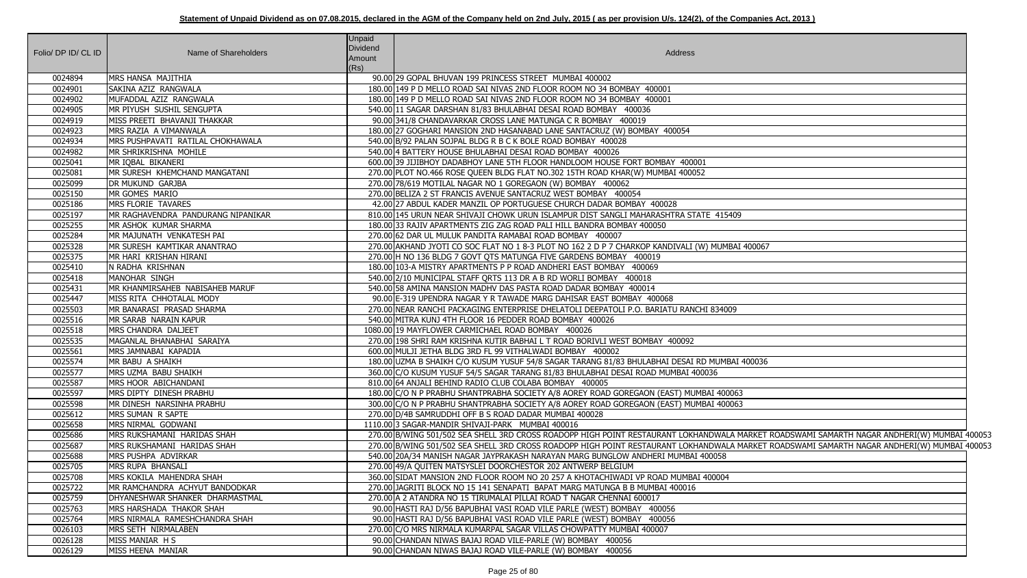| Folio/ DP ID/ CL ID | Name of Shareholders                       | <b>Unpaid</b><br>Dividend<br>Amount<br>(Rs) | Address                                                                                                                                     |
|---------------------|--------------------------------------------|---------------------------------------------|---------------------------------------------------------------------------------------------------------------------------------------------|
| 0024894             | MRS HANSA MAJITHIA                         |                                             | 90.00 29 GOPAL BHUVAN 199 PRINCESS STREET MUMBAI 400002                                                                                     |
| 0024901             | SAKINA AZIZ RANGWALA                       |                                             | 180.00 149 P D MELLO ROAD SAI NIVAS 2ND FLOOR ROOM NO 34 BOMBAY 400001                                                                      |
| 0024902             | MUFADDAL AZIZ RANGWALA                     |                                             | 180.00 149 P D MELLO ROAD SAI NIVAS 2ND FLOOR ROOM NO 34 BOMBAY 400001                                                                      |
| 0024905             | MR PIYUSH SUSHIL SENGUPTA                  |                                             | 540.00 11 SAGAR DARSHAN 81/83 BHULABHAI DESAI ROAD BOMBAY 400036                                                                            |
| 0024919             | MISS PREETI BHAVANJI THAKKAR               |                                             | 90.00 341/8 CHANDAVARKAR CROSS LANE MATUNGA C R BOMBAY 400019                                                                               |
| 0024923             | MRS RAZIA A VIMANWALA                      |                                             | 180.00 27 GOGHARI MANSION 2ND HASANABAD LANE SANTACRUZ (W) BOMBAY 400054                                                                    |
| 0024934             | MRS PUSHPAVATI RATILAL CHOKHAWALA          |                                             | 540.00 B/92 PALAN SOJPAL BLDG R B C K BOLE ROAD BOMBAY 400028                                                                               |
| 0024982             | MR SHRIKRISHNA MOHILE                      |                                             | 540.00 4 BATTERY HOUSE BHULABHAI DESAI ROAD BOMBAY 400026                                                                                   |
| 0025041             | MR IQBAL BIKANERI                          |                                             | 600.00 39 JIJIBHOY DADABHOY LANE 5TH FLOOR HANDLOOM HOUSE FORT BOMBAY 400001                                                                |
| 0025081             | MR SURESH KHEMCHAND MANGATANI              |                                             | 270.00 PLOT NO.466 ROSE QUEEN BLDG FLAT NO.302 15TH ROAD KHAR(W) MUMBAI 400052                                                              |
| 0025099             | <b>DR MUKUND GARJBA</b>                    |                                             | 270.00 78/619 MOTILAL NAGAR NO 1 GOREGAON (W) BOMBAY 400062                                                                                 |
| 0025150             | MR GOMES MARIO                             |                                             | 270.00 BELIZA 2 ST FRANCIS AVENUE SANTACRUZ WEST BOMBAY 400054                                                                              |
| 0025186             | MRS FLORIE TAVARES                         |                                             | 42.00 27 ABDUL KADER MANZIL OP PORTUGUESE CHURCH DADAR BOMBAY 400028                                                                        |
| 0025197             | <b>IMR RAGHAVENDRA PANDURANG NIPANIKAR</b> |                                             | 810.00 145 URUN NEAR SHIVAJI CHOWK URUN ISLAMPUR DIST SANGLI MAHARASHTRA STATE 415409                                                       |
| 0025255             | MR ASHOK KUMAR SHARMA                      |                                             | 180.00 33 RAJIV APARTMENTS ZIG ZAG ROAD PALI HILL BANDRA BOMBAY 400050                                                                      |
| 0025284             | MR MAJUNATH VENKATESH PAI                  |                                             | 270.00 62 DAR UL MULUK PANDITA RAMABAI ROAD BOMBAY 400007                                                                                   |
| 0025328             | MR SURESH KAMTIKAR ANANTRAO                |                                             | 270.00 AKHAND JYOTI CO SOC FLAT NO 1 8-3 PLOT NO 162 2 D P 7 CHARKOP KANDIVALI (W) MUMBAI 400067                                            |
| 0025375             | MR HARI KRISHAN HIRANI                     |                                             | 270.00 H NO 136 BLDG 7 GOVT QTS MATUNGA FIVE GARDENS BOMBAY 400019                                                                          |
| 0025410             | N RADHA KRISHNAN                           |                                             | 180.00 103-A MISTRY APARTMENTS P P ROAD ANDHERI EAST BOMBAY 400069                                                                          |
| 0025418             | MANOHAR SINGH                              |                                             | 540.00 2/10 MUNICIPAL STAFF QRTS 113 DR A B RD WORLI BOMBAY 400018                                                                          |
| 0025431             | MR KHANMIRSAHEB NABISAHEB MARUF            |                                             | 540.00 58 AMINA MANSION MADHV DAS PASTA ROAD DADAR BOMBAY 400014                                                                            |
| 0025447             | MISS RITA CHHOTALAL MODY                   |                                             | 90.00 E-319 UPENDRA NAGAR Y R TAWADE MARG DAHISAR EAST BOMBAY 400068                                                                        |
| 0025503             | MR BANARASI PRASAD SHARMA                  |                                             | 270.00 NEAR RANCHI PACKAGING ENTERPRISE DHELATOLI DEEPATOLI P.O. BARIATU RANCHI 834009                                                      |
| 0025516             | MR SARAB NARAIN KAPUR                      |                                             | 540.00 MITRA KUNJ 4TH FLOOR 16 PEDDER ROAD BOMBAY 400026                                                                                    |
| 0025518             | MRS CHANDRA DALJEET                        |                                             | 1080.00 19 MAYFLOWER CARMICHAEL ROAD BOMBAY 400026                                                                                          |
| 0025535             | MAGANLAL BHANABHAI SARAIYA                 |                                             | 270.00 198 SHRI RAM KRISHNA KUTIR BABHAI L T ROAD BORIVLI WEST BOMBAY 400092                                                                |
| 0025561             | MRS JAMNABAI KAPADIA                       |                                             | 600.00 MULJI JETHA BLDG 3RD FL 99 VITHALWADI BOMBAY 400002                                                                                  |
| 0025574             | MR BABU A SHAIKH                           |                                             | 180.00 UZMA B SHAIKH C/O KUSUM YUSUF 54/8 SAGAR TARANG 81/83 BHULABHAI DESAI RD MUMBAI 400036                                               |
| 0025577             | MRS UZMA BABU SHAIKH                       |                                             | 360.00 C/O KUSUM YUSUF 54/5 SAGAR TARANG 81/83 BHULABHAI DESAI ROAD MUMBAI 400036                                                           |
| 0025587             | MRS HOOR ABICHANDANI                       |                                             | 810.00 64 ANJALI BEHIND RADIO CLUB COLABA BOMBAY 400005                                                                                     |
| 0025597             | MRS DIPTY DINESH PRABHU                    |                                             | 180.00 C/O N P PRABHU SHANTPRABHA SOCIETY A/8 AOREY ROAD GOREGAON (EAST) MUMBAI 400063                                                      |
| 0025598             | MR DINESH NARSINHA PRABHU                  |                                             | 300.00 C/O N P PRABHU SHANTPRABHA SOCIETY A/8 AOREY ROAD GOREGAON (EAST) MUMBAI 400063                                                      |
| 0025612             | MRS SUMAN R SAPTE                          |                                             | 270.00 D/4B SAMRUDDHI OFF B S ROAD DADAR MUMBAI 400028                                                                                      |
| 0025658             | MRS NIRMAL GODWANI                         |                                             | 1110.00 3 SAGAR-MANDIR SHIVAJI-PARK MUMBAI 400016                                                                                           |
| 0025686             | MRS RUKSHAMANI HARIDAS SHAH                |                                             | 270.00 B/WING 501/502 SEA SHELL 3RD CROSS ROADOPP HIGH POINT RESTAURANT LOKHANDWALA MARKET ROADSWAMI SAMARTH NAGAR ANDHERI(W) MUMBAI 400053 |
| 0025687             | MRS RUKSHAMANI HARIDAS SHAH                |                                             | 270.00 B/WING 501/502 SEA SHELL 3RD CROSS ROADOPP HIGH POINT RESTAURANT LOKHANDWALA MARKET ROADSWAMI SAMARTH NAGAR ANDHERI(W) MUMBAI 400053 |
| 0025688             | MRS PUSHPA ADVIRKAR                        |                                             | 540.00 20A/34 MANISH NAGAR JAYPRAKASH NARAYAN MARG BUNGLOW ANDHERI MUMBAI 400058                                                            |
| 0025705             | MRS RUPA BHANSALI                          |                                             | 270.00 49/A QUITEN MATSYSLEI DOORCHESTOR 202 ANTWERP BELGIUM                                                                                |
| 0025708             | MRS KOKILA MAHENDRA SHAH                   |                                             | 360.00 SIDAT MANSION 2ND FLOOR ROOM NO 20 257 A KHOTACHIWADI VP ROAD MUMBAI 400004                                                          |
| 0025722             | MR RAMCHANDRA ACHYUT BANDODKAR             |                                             | 270.00 JAGRITI BLOCK NO 15 141 SENAPATI BAPAT MARG MATUNGA B B MUMBAI 400016                                                                |
| 0025759             | DHYANESHWAR SHANKER DHARMASTMAL            |                                             | 270.00 A 2 ATANDRA NO 15 TIRUMALAI PILLAI ROAD T NAGAR CHENNAI 600017                                                                       |
| 0025763             | MRS HARSHADA THAKOR SHAH                   |                                             | 90.00 HASTI RAJ D/56 BAPUBHAI VASI ROAD VILE PARLE (WEST) BOMBAY 400056                                                                     |
| 0025764             | MRS NIRMALA RAMESHCHANDRA SHAH             |                                             | 90.00 HASTI RAJ D/56 BAPUBHAI VASI ROAD VILE PARLE (WEST) BOMBAY 400056                                                                     |
| 0026103             | MRS SETH NIRMALABEN                        |                                             | 270.00 C/O MRS NIRMALA KUMARPAL SAGAR VILLAS CHOWPATTY MUMBAI 400007                                                                        |
| 0026128             | MISS MANIAR H S                            |                                             | 90.00 CHANDAN NIWAS BAJAJ ROAD VILE-PARLE (W) BOMBAY 400056                                                                                 |
| 0026129             | MISS HEENA MANIAR                          |                                             | 90.00 CHANDAN NIWAS BAJAJ ROAD VILE-PARLE (W) BOMBAY 400056                                                                                 |

| 15409                                                                                                                    |  |
|--------------------------------------------------------------------------------------------------------------------------|--|
|                                                                                                                          |  |
|                                                                                                                          |  |
| MBAI 400067                                                                                                              |  |
|                                                                                                                          |  |
|                                                                                                                          |  |
|                                                                                                                          |  |
|                                                                                                                          |  |
| <b>009</b>                                                                                                               |  |
|                                                                                                                          |  |
|                                                                                                                          |  |
|                                                                                                                          |  |
| <b>MBAI 400036</b>                                                                                                       |  |
|                                                                                                                          |  |
| 00063                                                                                                                    |  |
| 00063                                                                                                                    |  |
|                                                                                                                          |  |
|                                                                                                                          |  |
| ALA MARKET ROADSWAMI SAMARTH NAGAR ANDHERI(W) MUMBAI 40005<br>ALA MARKET ROADSWAMI SAMARTH NAGAR ANDHERI(W) MUMBAI 40005 |  |
| 8                                                                                                                        |  |
|                                                                                                                          |  |
| $\overline{)4}$                                                                                                          |  |
|                                                                                                                          |  |
|                                                                                                                          |  |
|                                                                                                                          |  |
|                                                                                                                          |  |
|                                                                                                                          |  |
|                                                                                                                          |  |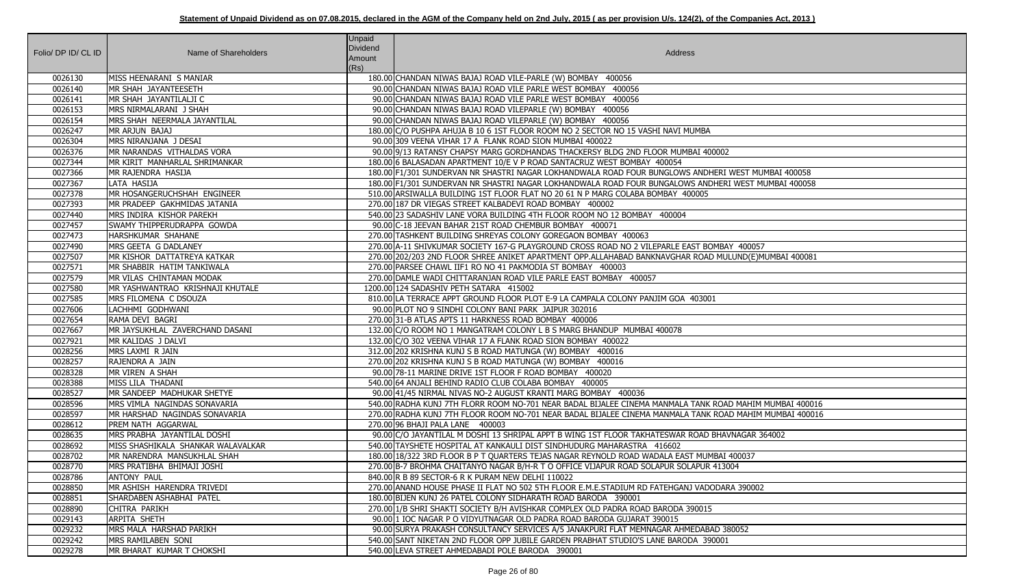|                     |                                                            | <b>Unpaid</b><br>Dividend |                                                                                                                                             |
|---------------------|------------------------------------------------------------|---------------------------|---------------------------------------------------------------------------------------------------------------------------------------------|
| Folio/ DP ID/ CL ID | Name of Shareholders                                       | Amount                    | Address                                                                                                                                     |
|                     |                                                            | (Rs)                      |                                                                                                                                             |
| 0026130             | MISS HEENARANI S MANIAR                                    |                           | 180.00 CHANDAN NIWAS BAJAJ ROAD VILE-PARLE (W) BOMBAY 400056                                                                                |
| 0026140             | MR SHAH JAYANTEESETH                                       |                           | 90.00 CHANDAN NIWAS BAJAJ ROAD VILE PARLE WEST BOMBAY 400056                                                                                |
| 0026141             | MR SHAH JAYANTILALJI C                                     |                           | 90.00 CHANDAN NIWAS BAJAJ ROAD VILE PARLE WEST BOMBAY 400056                                                                                |
| 0026153             | MRS NIRMALARANI J SHAH                                     |                           | 90.00 CHANDAN NIWAS BAJAJ ROAD VILEPARLE (W) BOMBAY 400056                                                                                  |
| 0026154             | MRS SHAH NEERMALA JAYANTILAL                               |                           | 90.00 CHANDAN NIWAS BAJAJ ROAD VILEPARLE (W) BOMBAY 400056                                                                                  |
| 0026247             | MR ARJUN BAJAJ                                             |                           | 180.00 C/O PUSHPA AHUJA B 10 6 1ST FLOOR ROOM NO 2 SECTOR NO 15 VASHI NAVI MUMBA                                                            |
| 0026304             | MRS NIRANJANA J DESAI                                      |                           | 90.00 309 VEENA VIHAR 17 A FLANK ROAD SION MUMBAI 400022                                                                                    |
| 0026376             | MR NARANDAS VITHALDAS VORA                                 |                           | 90.00 9/13 RATANSY CHAPSY MARG GORDHANDAS THACKERSY BLDG 2ND FLOOR MUMBAI 400002                                                            |
| 0027344             | MR KIRIT MANHARLAL SHRIMANKAR                              |                           | 180.00 6 BALASADAN APARTMENT 10/E V P ROAD SANTACRUZ WEST BOMBAY 400054                                                                     |
| 0027366             | MR RAJENDRA HASIJA                                         |                           | 180.00 F1/301 SUNDERVAN NR SHASTRI NAGAR LOKHANDWALA ROAD FOUR BUNGLOWS ANDHERI WEST MUMBAI 400058                                          |
| 0027367             | LATA HASIJA                                                |                           | 180.00 F1/301 SUNDERVAN NR SHASTRI NAGAR LOKHANDWALA ROAD FOUR BUNGALOWS ANDHERI WEST MUMBAI 400058                                         |
| 0027378             | MR HOSANGERUCHSHAH ENGINEER                                |                           | 510.00 ARSIWALLA BUILDING 1ST FLOOR FLAT NO 20 61 N P MARG COLABA BOMBAY 400005                                                             |
| 0027393             | MR PRADEEP GAKHMIDAS JATANIA                               |                           | 270.00 187 DR VIEGAS STREET KALBADEVI ROAD BOMBAY 400002                                                                                    |
| 0027440             | MRS INDIRA KISHOR PAREKH                                   |                           | 540.00 23 SADASHIV LANE VORA BUILDING 4TH FLOOR ROOM NO 12 BOMBAY 400004                                                                    |
| 0027457             | SWAMY THIPPERUDRAPPA GOWDA                                 |                           | 90.00 C-18 JEEVAN BAHAR 21ST ROAD CHEMBUR BOMBAY 400071                                                                                     |
| 0027473             | HARSHKUMAR SHAHANE                                         |                           | 270.00 TASHKENT BUILDING SHREYAS COLONY GOREGAON BOMBAY 400063                                                                              |
| 0027490             | MRS GEETA G DADLANEY                                       |                           | 270.00 A-11 SHIVKUMAR SOCIETY 167-G PLAYGROUND CROSS ROAD NO 2 VILEPARLE EAST BOMBAY 400057                                                 |
| 0027507             | MR KISHOR DATTATREYA KATKAR                                |                           | 270.00 202/203 2ND FLOOR SHREE ANIKET APARTMENT OPP.ALLAHABAD BANKNAVGHAR ROAD MULUND(E)MUMBAI 400081                                       |
| 0027571             | MR SHABBIR HATIM TANKIWALA                                 |                           | 270.00 PARSEE CHAWL IIF1 RO NO 41 PAKMODIA ST BOMBAY 400003                                                                                 |
| 0027579             | MR VILAS CHINTAMAN MODAK                                   |                           | 270.00 DAMLE WADI CHITTARANJAN ROAD VILE PARLE EAST BOMBAY 400057                                                                           |
| 0027580             | MR YASHWANTRAO KRISHNAJI KHUTALE                           |                           | 1200.00 124 SADASHIV PETH SATARA 415002                                                                                                     |
| 0027585             | MRS FILOMENA C DSOUZA                                      |                           | 810.00 LA TERRACE APPT GROUND FLOOR PLOT E-9 LA CAMPALA COLONY PANJIM GOA 403001                                                            |
| 0027606             | LACHHMI GODHWANI                                           |                           | 90.00 PLOT NO 9 SINDHI COLONY BANI PARK JAIPUR 302016                                                                                       |
| 0027654             | RAMA DEVI BAGRI                                            |                           | 270.00 31-B ATLAS APTS 11 HARKNESS ROAD BOMBAY 400006                                                                                       |
| 0027667             | MR JAYSUKHLAL ZAVERCHAND DASANI                            |                           | 132.00 C/O ROOM NO 1 MANGATRAM COLONY L B S MARG BHANDUP MUMBAI 400078                                                                      |
| 0027921             | MR KALIDAS J DALVI                                         |                           | 132.00 C/O 302 VEENA VIHAR 17 A FLANK ROAD SION BOMBAY 400022                                                                               |
| 0028256             | MRS LAXMI R JAIN                                           |                           | 312.00 202 KRISHNA KUNJ S B ROAD MATUNGA (W) BOMBAY 400016                                                                                  |
| 0028257             | RAJENDRA A JAIN                                            |                           | 270.00 202 KRISHNA KUNJ S B ROAD MATUNGA (W) BOMBAY 400016                                                                                  |
| 0028328             | MR VIREN A SHAH                                            |                           | 90.00 78-11 MARINE DRIVE 1ST FLOOR F ROAD BOMBAY 400020                                                                                     |
| 0028388             | MISS LILA THADANI                                          |                           | 540.00 64 ANJALI BEHIND RADIO CLUB COLABA BOMBAY 400005                                                                                     |
| 0028527             | MR SANDEEP MADHUKAR SHETYE                                 |                           | 90.00 41/45 NIRMAL NIVAS NO-2 AUGUST KRANTI MARG BOMBAY 400036                                                                              |
| 0028596             | MRS VIMLA NAGINDAS SONAVARIA                               |                           | 540.00 RADHA KUNJ 7TH FLORR ROOM NO-701 NEAR BADAL BIJALEE CINEMA MANMALA TANK ROAD MAHIM MUMBAI 400016                                     |
| 0028597             | MR HARSHAD NAGINDAS SONAVARIA<br><b>PREM NATH AGGARWAL</b> |                           | 270.00 RADHA KUNJ 7TH FLOOR ROOM NO-701 NEAR BADAL BIJALEE CINEMA MANMALA TANK ROAD MAHIM MUMBAI 400016<br>270.00 96 BHAJI PALA LANE 400003 |
| 0028612<br>0028635  | MRS PRABHA JAYANTILAL DOSHI                                |                           | 90.00 C/O JAYANTILAL M DOSHI 13 SHRIPAL APPT B WING 1ST FLOOR TAKHATESWAR ROAD BHAVNAGAR 364002                                             |
| 0028692             | MISS SHASHIKALA SHANKAR WALAVALKAR                         |                           | 540.00 TAYSHETE HOSPITAL AT KANKAULI DIST SINDHUDURG MAHARASTRA 416602                                                                      |
| 0028702             | MR NARENDRA MANSUKHLAL SHAH                                |                           | 180.00 18/322 3RD FLOOR B P T QUARTERS TEJAS NAGAR REYNOLD ROAD WADALA EAST MUMBAI 400037                                                   |
| 0028770             | MRS PRATIBHA BHIMAJI JOSHI                                 |                           | 270.00 B-7 BROHMA CHAITANYO NAGAR B/H-R T O OFFICE VIJAPUR ROAD SOLAPUR SOLAPUR 413004                                                      |
| 0028786             | <b>ANTONY PAUL</b>                                         |                           | 840.00 R B 89 SECTOR-6 R K PURAM NEW DELHI 110022                                                                                           |
| 0028850             | MR ASHISH HARENDRA TRIVEDI                                 |                           | 270.00 ANAND HOUSE PHASE II FLAT NO 502 5TH FLOOR E.M.E.STADIUM RD FATEHGANJ VADODARA 390002                                                |
| 0028851             | SHARDABEN ASHABHAI PATEL                                   |                           | 180.00 BIJEN KUNJ 26 PATEL COLONY SIDHARATH ROAD BARODA 390001                                                                              |
| 0028890             | CHITRA PARIKH                                              |                           | 270.00 1/B SHRI SHAKTI SOCIETY B/H AVISHKAR COMPLEX OLD PADRA ROAD BARODA 390015                                                            |
| 0029143             | ARPITA SHETH                                               |                           | 90.00 1 IOC NAGAR P O VIDYUTNAGAR OLD PADRA ROAD BARODA GUJARAT 390015                                                                      |
| 0029232             | MRS MALA HARSHAD PARIKH                                    |                           | 90.00 SURYA PRAKASH CONSULTANCY SERVICES A/5 JANAKPURI FLAT MEMNAGAR AHMEDABAD 380052                                                       |
| 0029242             | MRS RAMILABEN SONI                                         |                           | 540.00 SANT NIKETAN 2ND FLOOR OPP JUBILE GARDEN PRABHAT STUDIO'S LANE BARODA 390001                                                         |
| 0029278             | MR BHARAT KUMAR T CHOKSHI                                  |                           | 540.00 LEVA STREET AHMEDABADI POLE BARODA 390001                                                                                            |
|                     |                                                            |                           |                                                                                                                                             |

| $\overline{2}$                                |
|-----------------------------------------------|
|                                               |
| I WEST MUMBAI 400058<br>RI WEST MUMBAI 400058 |
|                                               |
|                                               |
|                                               |
|                                               |
| BAY 400057                                    |
| ULUND(E)MUMBAI 400081                         |
|                                               |
|                                               |
|                                               |
|                                               |
|                                               |
|                                               |
|                                               |
|                                               |
|                                               |
|                                               |
|                                               |
| AD MAHIM MUMBAI 400016                        |
| AD MAHIM MUMBAI 400016                        |
|                                               |
| AVNAGAR 364002                                |
| I 400037                                      |
| 3004                                          |
|                                               |
| ARA 390002                                    |
|                                               |
|                                               |
| 380052                                        |
| $\overline{1}$                                |
|                                               |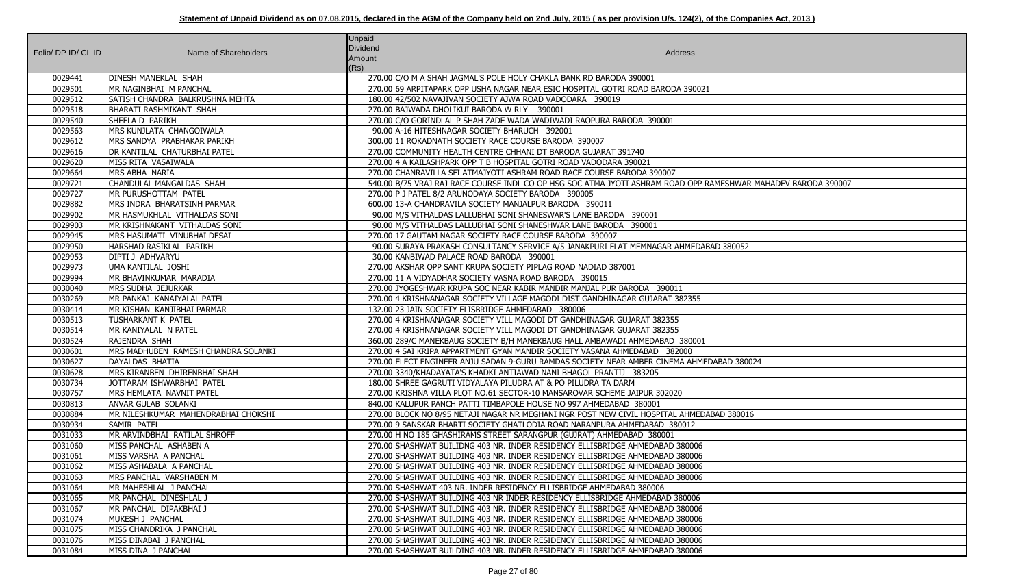| Folio/ DP ID/ CL ID | Name of Shareholders                                      | <b>Unpaid</b><br>Dividend<br>Amount<br>(Rs) | Address                                                                                                                                                                |
|---------------------|-----------------------------------------------------------|---------------------------------------------|------------------------------------------------------------------------------------------------------------------------------------------------------------------------|
| 0029441             | DINESH MANEKLAL SHAH                                      |                                             | 270.00 C/O M A SHAH JAGMAL'S POLE HOLY CHAKLA BANK RD BARODA 390001                                                                                                    |
| 0029501             | MR NAGINBHAI M PANCHAL                                    |                                             | 270.00 69 ARPITAPARK OPP USHA NAGAR NEAR ESIC HOSPITAL GOTRI ROAD BARODA 390021                                                                                        |
| 0029512             | SATISH CHANDRA BALKRUSHNA MEHTA                           |                                             | 180.00 42/502 NAVAJIVAN SOCIETY AJWA ROAD VADODARA 390019                                                                                                              |
| 0029518             | BHARATI RASHMIKANT SHAH                                   |                                             | 270.00 BAJWADA DHOLIKUI BARODA W RLY 390001                                                                                                                            |
| 0029540             | SHEELA D PARIKH                                           |                                             | 270.00 C/O GORINDLAL P SHAH ZADE WADA WADIWADI RAOPURA BARODA 390001                                                                                                   |
| 0029563             | MRS KUNJLATA CHANGOIWALA                                  |                                             | 90.00 A-16 HITESHNAGAR SOCIETY BHARUCH 392001                                                                                                                          |
| 0029612             | MRS SANDYA PRABHAKAR PARIKH                               |                                             | 300.00 11 ROKADNATH SOCIETY RACE COURSE BARODA 390007                                                                                                                  |
| 0029616             | DR KANTILAL CHATURBHAI PATEL                              |                                             | 270.00 COMMUNITY HEALTH CENTRE CHHANI DT BARODA GUJARAT 391740                                                                                                         |
| 0029620             | MISS RITA VASAIWALA                                       |                                             | 270.00 4 A KAILASHPARK OPP T B HOSPITAL GOTRI ROAD VADODARA 390021                                                                                                     |
| 0029664             | <b>MRS ABHA NARIA</b>                                     |                                             | 270.00 CHANRAVILLA SFI ATMAJYOTI ASHRAM ROAD RACE COURSE BARODA 390007                                                                                                 |
| 0029721             | CHANDULAL MANGALDAS SHAH                                  |                                             | 540.00 B/75 VRAJ RAJ RACE COURSE INDL CO OP HSG SOC ATMA JYOTI ASHRAM ROAD OPP RAMESHWAR MAHADEV BARODA 390007                                                         |
| 0029727             | <b>IMR PURUSHOTTAM PATEL</b>                              |                                             | 270.00 P J PATEL 8/2 ARUNODAYA SOCIETY BARODA 390005                                                                                                                   |
| 0029882             | MRS INDRA BHARATSINH PARMAR                               |                                             | 600.00 13-A CHANDRAVILA SOCIETY MANJALPUR BARODA 390011                                                                                                                |
| 0029902             | MR HASMUKHLAL VITHALDAS SONI                              |                                             | 90.00 M/S VITHALDAS LALLUBHAI SONI SHANESWAR'S LANE BARODA 390001                                                                                                      |
| 0029903             | MR KRISHNAKANT VITHALDAS SONI                             |                                             | 90.00 M/S VITHALDAS LALLUBHAI SONI SHANESHWAR LANE BARODA 390001                                                                                                       |
| 0029945             | MRS HASUMATI VINUBHAI DESAI                               |                                             | 270.00 17 GAUTAM NAGAR SOCIETY RACE COURSE BARODA 390007                                                                                                               |
| 0029950             | HARSHAD RASIKLAL PARIKH                                   |                                             | 90.00 SURAYA PRAKASH CONSULTANCY SERVICE A/5 JANAKPURI FLAT MEMNAGAR AHMEDABAD 380052                                                                                  |
| 0029953             | DIPTI J ADHVARYU                                          |                                             | 30.00 KANBIWAD PALACE ROAD BARODA 390001                                                                                                                               |
| 0029973             | UMA KANTILAL JOSHI                                        |                                             | 270.00 AKSHAR OPP SANT KRUPA SOCIETY PIPLAG ROAD NADIAD 387001                                                                                                         |
| 0029994             | MR BHAVINKUMAR MARADIA                                    |                                             | 270.00 11 A VIDYADHAR SOCIETY VASNA ROAD BARODA 390015                                                                                                                 |
| 0030040             | MRS SUDHA JEJURKAR                                        |                                             | 270.00 JYOGESHWAR KRUPA SOC NEAR KABIR MANDIR MANJAL PUR BARODA 390011                                                                                                 |
| 0030269             | MR PANKAJ KANAIYALAL PATEL                                |                                             | 270.00 4 KRISHNANAGAR SOCIETY VILLAGE MAGODI DIST GANDHINAGAR GUJARAT 382355                                                                                           |
| 0030414             | MR KISHAN KANJIBHAI PARMAR                                |                                             | 132.00 23 JAIN SOCIETY ELISBRIDGE AHMEDABAD 380006                                                                                                                     |
| 0030513             | TUSHARKANT K PATEL                                        |                                             | 270.00 4 KRISHNANAGAR SOCIETY VILL MAGODI DT GANDHINAGAR GUJARAT 382355                                                                                                |
| 0030514             | MR KANIYALAL N PATEL                                      |                                             | 270.00 4 KRISHNANAGAR SOCIETY VILL MAGODI DT GANDHINAGAR GUJARAT 382355                                                                                                |
| 0030524             | <b>RAJENDRA SHAH</b>                                      |                                             | 360.00 289/C MANEKBAUG SOCIETY B/H MANEKBAUG HALL AMBAWADI AHMEDABAD 380001                                                                                            |
| 0030601             | MRS MADHUBEN RAMESH CHANDRA SOLANKI                       |                                             | 270.00 4 SAI KRIPA APPARTMENT GYAN MANDIR SOCIETY VASANA AHMEDABAD 382000                                                                                              |
| 0030627             | DAYALDAS BHATIA                                           |                                             | 270.00 ELECT ENGINEER ANJU SADAN 9-GURU RAMDAS SOCIETY NEAR AMBER CINEMA AHMEDABAD 380024                                                                              |
| 0030628             | MRS KIRANBEN DHIRENBHAI SHAH                              |                                             | 270.00 3340/KHADAYATA'S KHADKI ANTIAWAD NANI BHAGOL PRANTIJ 383205                                                                                                     |
| 0030734             | JOTTARAM ISHWARBHAI PATEL                                 |                                             | 180.00 SHREE GAGRUTI VIDYALAYA PILUDRA AT & PO PILUDRA TA DARM                                                                                                         |
| 0030757             | MRS HEMLATA NAVNIT PATEL                                  |                                             | 270.00 KRISHNA VILLA PLOT NO.61 SECTOR-10 MANSAROVAR SCHEME JAIPUR 302020                                                                                              |
| 0030813             | <b>ANVAR GULAB SOLANKI</b>                                |                                             | 840.00 KALUPUR PANCH PATTI TIMBAPOLE HOUSE NO 997 AHMEDABAD 380001                                                                                                     |
| 0030884<br>0030934  | MR NILESHKUMAR MAHENDRABHAI CHOKSHI<br><b>SAMIR PATEL</b> |                                             | 270.00 BLOCK NO 8/95 NETAJI NAGAR NR MEGHANI NGR POST NEW CIVIL HOSPITAL AHMEDABAD 380016<br>270.00 9 SANSKAR BHARTI SOCIETY GHATLODIA ROAD NARANPURA AHMEDABAD 380012 |
| 0031033             | MR ARVINDBHAI RATILAL SHROFF                              |                                             | 270.00 H NO 185 GHASHIRAMS STREET SARANGPUR (GUJRAT) AHMEDABAD 380001                                                                                                  |
| 0031060             | MISS PANCHAL ASHABEN A                                    |                                             | 270.00 SHASHWAT BUILIDNG 403 NR. INDER RESIDENCY ELLISBRIDGE AHMEDABAD 380006                                                                                          |
| 0031061             | MISS VARSHA A PANCHAL                                     |                                             | 270.00 SHASHWAT BUILDING 403 NR. INDER RESIDENCY ELLISBRIDGE AHMEDABAD 380006                                                                                          |
| 0031062             | MISS ASHABALA A PANCHAL                                   |                                             | 270.00 SHASHWAT BUILDING 403 NR. INDER RESIDENCY ELLISBRIDGE AHMEDABAD 380006                                                                                          |
| 0031063             |                                                           |                                             |                                                                                                                                                                        |
| 0031064             | MRS PANCHAL VARSHABEN M<br>MR MAHESHLAL J PANCHAL         |                                             | 270.00 SHASHWAT BUILDING 403 NR. INDER RESIDENCY ELLISBRIDGE AHMEDABAD 380006<br>270.00 SHASHWAT 403 NR. INDER RESIDENCY ELLISBRIDGE AHMEDABAD 380006                  |
| 0031065             | MR PANCHAL DINESHLAL J                                    |                                             | 270.00 SHASHWAT BUILDING 403 NR INDER RESIDENCY ELLISBRIDGE AHMEDABAD 380006                                                                                           |
| 0031067             | MR PANCHAL DIPAKBHAI J                                    |                                             | 270.00 SHASHWAT BUILDING 403 NR. INDER RESIDENCY ELLISBRIDGE AHMEDABAD 380006                                                                                          |
| 0031074             | MUKESH J PANCHAL                                          |                                             | 270.00 SHASHWAT BUILDING 403 NR. INDER RESIDENCY ELLISBRIDGE AHMEDABAD 380006                                                                                          |
| 0031075             | MISS CHANDRIKA J PANCHAL                                  |                                             | 270.00 SHASHWAT BUILDING 403 NR. INDER RESIDENCY ELLISBRIDGE AHMEDABAD 380006                                                                                          |
| 0031076             | MISS DINABAI J PANCHAL                                    |                                             | 270.00 SHASHWAT BUILDING 403 NR. INDER RESIDENCY ELLISBRIDGE AHMEDABAD 380006                                                                                          |
| 0031084             | MISS DINA J PANCHAL                                       |                                             | 270.00 SHASHWAT BUILDING 403 NR. INDER RESIDENCY ELLISBRIDGE AHMEDABAD 380006                                                                                          |
|                     |                                                           |                                             |                                                                                                                                                                        |

| ESHWAR MAHADEV BARODA 390007 |
|------------------------------|
|                              |
|                              |
|                              |
| 380052                       |
|                              |
|                              |
|                              |
|                              |
|                              |
|                              |
|                              |
| AD 380024                    |
|                              |
|                              |
|                              |
| 380016                       |
|                              |
|                              |
|                              |
|                              |
|                              |
|                              |
|                              |
|                              |
|                              |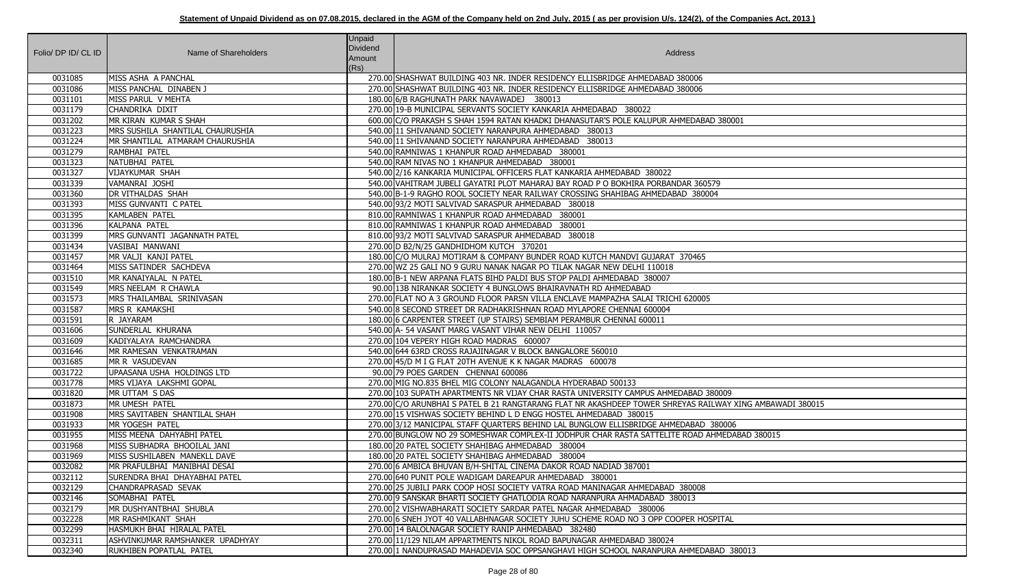| Folio/ DP ID/ CL ID | Name of Shareholders              | <b>Unpaid</b><br>Dividend<br>Amount | Address                                                                                                  |
|---------------------|-----------------------------------|-------------------------------------|----------------------------------------------------------------------------------------------------------|
| 0031085             | MISS ASHA A PANCHAL               | (Rs)                                | 270.00 SHASHWAT BUILDING 403 NR. INDER RESIDENCY ELLISBRIDGE AHMEDABAD 380006                            |
| 0031086             | MISS PANCHAL DINABEN J            |                                     | 270.00 SHASHWAT BUILDING 403 NR. INDER RESIDENCY ELLISBRIDGE AHMEDABAD 380006                            |
| 0031101             | MISS PARUL V MEHTA                |                                     | 180.00 6/B RAGHUNATH PARK NAVAWADEJ 380013                                                               |
| 0031179             | CHANDRIKA DIXIT                   |                                     | 270.00 19-B MUNICIPAL SERVANTS SOCIETY KANKARIA AHMEDABAD 380022                                         |
| 0031202             | MR KIRAN KUMAR S SHAH             |                                     | 600.00 C/O PRAKASH S SHAH 1594 RATAN KHADKI DHANASUTAR'S POLE KALUPUR AHMEDABAD 380001                   |
| 0031223             | MRS SUSHILA SHANTILAL CHAURUSHIA  |                                     | 540.00 11 SHIVANAND SOCIETY NARANPURA AHMEDABAD 380013                                                   |
| 0031224             | MR SHANTILAL ATMARAM CHAURUSHIA   |                                     | 540.00 11 SHIVANAND SOCIETY NARANPURA AHMEDABAD 380013                                                   |
| 0031279             | RAMBHAI PATEL                     |                                     | 540.00 RAMNIWAS 1 KHANPUR ROAD AHMEDABAD 380001                                                          |
| 0031323             | NATUBHAI PATEL                    |                                     | 540.00 RAM NIVAS NO 1 KHANPUR AHMEDABAD 380001                                                           |
| 0031327             | <b>VIJAYKUMAR SHAH</b>            |                                     | 540.00 2/16 KANKARIA MUNICIPAL OFFICERS FLAT KANKARIA AHMEDABAD 380022                                   |
| 0031339             | VAMANRAI JOSHI                    |                                     | 540.00 VAHITRAM JUBELI GAYATRI PLOT MAHARAJ BAY ROAD P O BOKHIRA PORBANDAR 360579                        |
| 0031360             | <b>DR VITHALDAS SHAH</b>          |                                     | 540.00 B-1-9 RAGHO ROOL SOCIETY NEAR RAILWAY CROSSING SHAHIBAG AHMEDABAD 380004                          |
| 0031393             | MISS GUNVANTI C PATEL             |                                     | 540.00 93/2 MOTI SALVIVAD SARASPUR AHMEDABAD 380018                                                      |
| 0031395             | KAMLABEN PATEL                    |                                     | 810.00 RAMNIWAS 1 KHANPUR ROAD AHMEDABAD 380001                                                          |
| 0031396             | KALPANA PATEL                     |                                     | 810.00 RAMNIWAS 1 KHANPUR ROAD AHMEDABAD 380001                                                          |
| 0031399             | MRS GUNVANTI JAGANNATH PATEL      |                                     | 810.00 93/2 MOTI SALVIVAD SARASPUR AHMEDABAD 380018                                                      |
| 0031434             | VASIBAI MANWANI                   |                                     | 270.00 D B2/N/25 GANDHIDHOM KUTCH 370201                                                                 |
| 0031457             | MR VALJI KANJI PATEL              |                                     | 180.00 C/O MULRAJ MOTIRAM & COMPANY BUNDER ROAD KUTCH MANDVI GUJARAT 370465                              |
| 0031464             | MISS SATINDER SACHDEVA            |                                     | 270.00 WZ 25 GALI NO 9 GURU NANAK NAGAR PO TILAK NAGAR NEW DELHI 110018                                  |
| 0031510             | MR KANAIYALAL N PATEL             |                                     | 180.00 B-1 NEW ARPANA FLATS BIHD PALDI BUS STOP PALDI AHMEDABAD 380007                                   |
| 0031549             | MRS NEELAM R CHAWLA               |                                     | 90.00 13B NIRANKAR SOCIETY 4 BUNGLOWS BHAIRAVNATH RD AHMEDABAD                                           |
| 0031573             | MRS THAILAMBAL SRINIVASAN         |                                     | 270.00 FLAT NO A 3 GROUND FLOOR PARSN VILLA ENCLAVE MAMPAZHA SALAI TRICHI 620005                         |
| 0031587             | <b>MRS R KAMAKSHI</b>             |                                     | 540.00 8 SECOND STREET DR RADHAKRISHNAN ROAD MYLAPORE CHENNAI 600004                                     |
| 0031591             | R JAYARAM                         |                                     | 180.00 6 CARPENTER STREET (UP STAIRS) SEMBIAM PERAMBUR CHENNAI 600011                                    |
| 0031606             | SUNDERLAL KHURANA                 |                                     | 540.00 A-54 VASANT MARG VASANT VIHAR NEW DELHI 110057                                                    |
| 0031609             | KADIYALAYA RAMCHANDRA             |                                     | 270.00 104 VEPERY HIGH ROAD MADRAS 600007                                                                |
| 0031646             | MR RAMESAN VENKATRAMAN            |                                     | 540.00 644 63RD CROSS RAJAJINAGAR V BLOCK BANGALORE 560010                                               |
| 0031685             | MR R VASUDEVAN                    |                                     | 270.00 45/D M I G FLAT 20TH AVENUE K K NAGAR MADRAS 600078                                               |
| 0031722             | UPAASANA USHA HOLDINGS LTD        |                                     | 90.00 79 POES GARDEN CHENNAI 600086                                                                      |
| 0031778             | MRS VIJAYA LAKSHMI GOPAL          |                                     | 270.00 MIG NO.835 BHEL MIG COLONY NALAGANDLA HYDERABAD 500133                                            |
| 0031820             | MR UTTAM S DAS                    |                                     | 270.00 103 SUPATH APARTMENTS NR VIJAY CHAR RASTA UNIVERSITY CAMPUS AHMEDABAD 380009                      |
| 0031873             | MR UMESH PATEL                    |                                     | 270.00 C/O ARUNBHAI S PATEL B 21 RANGTARANG FLAT NR AKASHDEEP TOWER SHREYAS RAILWAY XING AMBAWADI 380015 |
| 0031908             | MRS SAVITABEN SHANTILAL SHAH      |                                     | 270.00 15 VISHWAS SOCIETY BEHIND L D ENGG HOSTEL AHMEDABAD 380015                                        |
| 0031933             | MR YOGESH PATEL                   |                                     | 270.00 3/12 MANICIPAL STAFF QUARTERS BEHIND LAL BUNGLOW ELLISBRIDGE AHMEDABAD 380006                     |
| 0031955             | MISS MEENA DAHYABHI PATEL         |                                     | 270.00 BUNGLOW NO 29 SOMESHWAR COMPLEX-II JODHPUR CHAR RASTA SATTELITE ROAD AHMEDABAD 380015             |
| 0031968             | MISS SUBHADRA BHOOILAL JANI       |                                     | 180.00 20 PATEL SOCIETY SHAHIBAG AHMEDABAD 380004                                                        |
| 0031969             | MISS SUSHILABEN MANEKLL DAVE      |                                     | 180.00 20 PATEL SOCIETY SHAHIBAG AHMEDABAD 380004                                                        |
| 0032082             | MR PRAFULBHAI MANIBHAI DESAI      |                                     | 270.00 6 AMBICA BHUVAN B/H-SHITAL CINEMA DAKOR ROAD NADIAD 387001                                        |
| 0032112             | SURENDRA BHAI DHAYABHAI PATEL     |                                     | 270.00 640 PUNIT POLE WADIGAM DAREAPUR AHMEDABAD 380001                                                  |
| 0032129             | CHANDRAPRASAD SEVAK               |                                     | 270.00 25 JUBILI PARK COOP HOSI SOCIETY VATRA ROAD MANINAGAR AHMEDABAD 380008                            |
| 0032146             | SOMABHAI PATEL                    |                                     | 270.00 9 SANSKAR BHARTI SOCIETY GHATLODIA ROAD NARANPURA AHMADABAD 380013                                |
| 0032179             | MR DUSHYANTBHAI SHUBLA            |                                     | 270.00 2 VISHWABHARATI SOCIETY SARDAR PATEL NAGAR AHMEDABAD 380006                                       |
| 0032228             | MR RASHMIKANT SHAH                |                                     | 270.00 6 SNEH JYOT 40 VALLABHNAGAR SOCIETY JUHU SCHEME ROAD NO 3 OPP COOPER HOSPITAL                     |
| 0032299             | <b>HASMUKH BHAI HIRALAL PATEL</b> |                                     | 270.00 14 BALOLNAGAR SOCIETY RANIP AHMEDABAD 382480                                                      |
| 0032311             | ASHVINKUMAR RAMSHANKER UPADHYAY   |                                     | 270.00 11/129 NILAM APPARTMENTS NIKOL ROAD BAPUNAGAR AHMEDABAD 380024                                    |
| 0032340             | RUKHIBEN POPATLAL PATEL           |                                     | 270.00 1 NANDUPRASAD MAHADEVIA SOC OPPSANGHAVI HIGH SCHOOL NARANPURA AHMEDABAD 380013                    |

| 80001                   |
|-------------------------|
|                         |
|                         |
|                         |
|                         |
|                         |
|                         |
|                         |
|                         |
|                         |
|                         |
|                         |
|                         |
|                         |
|                         |
|                         |
|                         |
|                         |
|                         |
|                         |
|                         |
| $\overline{09}$         |
| AY XING AMBAWADI 380015 |
|                         |
| 006<br>EDABAD 380015    |
|                         |
|                         |
|                         |
|                         |
|                         |
|                         |
| AL.                     |
|                         |
| 380013                  |
|                         |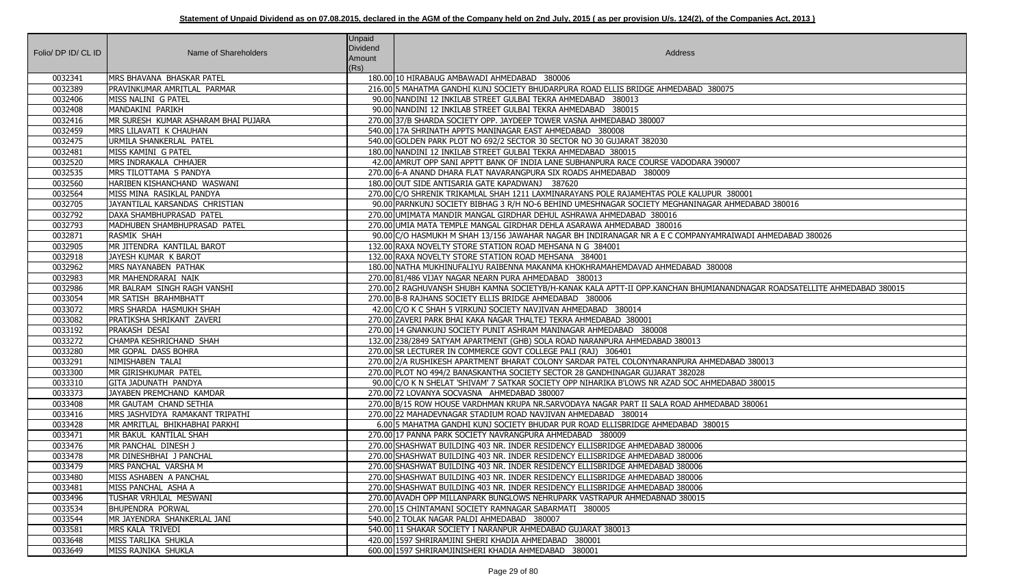| Folio/ DP ID/ CL ID | Name of Shareholders                              | Unpaid<br>Dividend<br>Amount<br>(Rs) | Address                                                                                                                  |
|---------------------|---------------------------------------------------|--------------------------------------|--------------------------------------------------------------------------------------------------------------------------|
| 0032341             | MRS BHAVANA BHASKAR PATEL                         |                                      | 180.00 10 HIRABAUG AMBAWADI AHMEDABAD 380006                                                                             |
| 0032389             | PRAVINKUMAR AMRITLAL PARMAR                       |                                      | 216.00 5 MAHATMA GANDHI KUNJ SOCIETY BHUDARPURA ROAD ELLIS BRIDGE AHMEDABAD 380075                                       |
| 0032406             | MISS NALINI G PATEL                               |                                      | 90.00 NANDINI 12 INKILAB STREET GULBAI TEKRA AHMEDABAD 380013                                                            |
| 0032408             | MANDAKINI PARIKH                                  |                                      | 90.00 NANDINI 12 INKILAB STREET GULBAI TEKRA AHMEDABAD 380015                                                            |
| 0032416             | MR SURESH KUMAR ASHARAM BHAI PUJARA               |                                      | 270.00 37/B SHARDA SOCIETY OPP. JAYDEEP TOWER VASNA AHMEDABAD 380007                                                     |
| 0032459             | MRS LILAVATI K CHAUHAN                            |                                      | 540.00 17A SHRINATH APPTS MANINAGAR EAST AHMEDABAD 380008                                                                |
| 0032475             | URMILA SHANKERLAL PATEL                           |                                      | 540.00 GOLDEN PARK PLOT NO 692/2 SECTOR 30 SECTOR NO 30 GUJARAT 382030                                                   |
| 0032481             | MISS KAMINI G PATEL                               |                                      | 180.00 NANDINI 12 INKILAB STREET GULBAI TEKRA AHMEDABAD 380015                                                           |
| 0032520             | MRS INDRAKALA CHHAJER                             |                                      | 42.00 AMRUT OPP SANI APPTT BANK OF INDIA LANE SUBHANPURA RACE COURSE VADODARA 390007                                     |
| 0032535             | MRS TILOTTAMA S PANDYA                            |                                      | 270.00 6-A ANAND DHARA FLAT NAVARANGPURA SIX ROADS AHMEDABAD 380009                                                      |
| 0032560             | HARIBEN KISHANCHAND WASWANI                       |                                      | 180.00 OUT SIDE ANTISARIA GATE KAPADWANJ 387620                                                                          |
| 0032564             | MISS MINA RASIKLAL PANDYA                         |                                      | 270.00 C/O SHRENIK TRIKAMLAL SHAH 1211 LAXMINARAYANS POLE RAJAMEHTAS POLE KALUPUR 380001                                 |
| 0032705             | JAYANTILAL KARSANDAS CHRISTIAN                    |                                      | 90.00   PARNKUNJ SOCIETY BIBHAG 3 R/H NO-6 BEHIND UMESHNAGAR SOCIETY MEGHANINAGAR AHMEDABAD 380016                       |
| 0032792             | DAXA SHAMBHUPRASAD PATEL                          |                                      | 270.00 UMIMATA MANDIR MANGAL GIRDHAR DEHUL ASHRAWA AHMEDABAD 380016                                                      |
| 0032793             | MADHUBEN SHAMBHUPRASAD PATEL                      |                                      | 270.00 UMIA MATA TEMPLE MANGAL GIRDHAR DEHLA ASARAWA AHMEDABAD 380016                                                    |
| 0032871             | RASMIK SHAH                                       |                                      | 90.00 C/O HASMUKH M SHAH 13/156 JAWAHAR NAGAR BH INDIRANAGAR NR A E C COMPANYAMRAIWADI AHMEDABAD 380026                  |
| 0032905             | MR JITENDRA KANTILAL BAROT                        |                                      | 132.00 RAXA NOVELTY STORE STATION ROAD MEHSANA N G 384001                                                                |
| 0032918             | JAYESH KUMAR K BAROT                              |                                      | 132.00 RAXA NOVELTY STORE STATION ROAD MEHSANA 384001                                                                    |
| 0032962             | MRS NAYANABEN PATHAK                              |                                      | 180.00 NATHA MUKHINUFALIYU RAIBENNA MAKANMA KHOKHRAMAHEMDAVAD AHMEDABAD 380008                                           |
| 0032983             | MR MAHENDRARAI NAIK                               |                                      | 270.00 81/486 VIJAY NAGAR NEARN PURA AHMEDABAD 380013                                                                    |
| 0032986             | MR BALRAM SINGH RAGH VANSHI                       |                                      | 270.00 2 RAGHUVANSH SHUBH KAMNA SOCIETYB/H-KANAK KALA APTT-II OPP.KANCHAN BHUMIANANDNAGAR ROADSATELLITE AHMEDABAD 380015 |
| 0033054             | MR SATISH BRAHMBHATT                              |                                      | 270.00 B-8 RAJHANS SOCIETY ELLIS BRIDGE AHMEDABAD 380006                                                                 |
| 0033072             | MRS SHARDA HASMUKH SHAH                           |                                      | 42.00 C/O K C SHAH 5 VIRKUNJ SOCIETY NAVJIVAN AHMEDABAD 380014                                                           |
| 0033082             | PRATIKSHA SHRIKANT ZAVERI                         |                                      | 270.00 ZAVERI PARK BHAI KAKA NAGAR THALTEJ TEKRA AHMEDABAD 380001                                                        |
| 0033192             | <b>PRAKASH DESAI</b>                              |                                      | 270.00 14 GNANKUNJ SOCIETY PUNIT ASHRAM MANINAGAR AHMEDABAD 380008                                                       |
| 0033272             | CHAMPA KESHRICHAND SHAH                           |                                      | 132.00 238/2849 SATYAM APARTMENT (GHB) SOLA ROAD NARANPURA AHMEDABAD 380013                                              |
| 0033280             | MR GOPAL DASS BOHRA                               |                                      | 270.00 SR LECTURER IN COMMERCE GOVT COLLEGE PALI (RAJ) 306401                                                            |
| 0033291             | NIMISHABEN TALAI                                  |                                      | 270.00 2/A RUSHIKESH APARTMENT BHARAT COLONY SARDAR PATEL COLONYNARANPURA AHMEDABAD 380013                               |
| 0033300             | MR GIRISHKUMAR PATEL                              |                                      | 270.00 PLOT NO 494/2 BANASKANTHA SOCIETY SECTOR 28 GANDHINAGAR GUJARAT 382028                                            |
| 0033310             | GITA JADUNATH PANDYA                              |                                      | 90.00 C/O K N SHELAT 'SHIVAM' 7 SATKAR SOCIETY OPP NIHARIKA B'LOWS NR AZAD SOC AHMEDABAD 380015                          |
| 0033373             | JAYABEN PREMCHAND KAMDAR                          |                                      | 270.00 72 LOVANYA SOCVASNA AHMEDABAD 380007                                                                              |
| 0033408             | MR GAUTAM CHAND SETHIA                            |                                      | 270.00 B/15 ROW HOUSE VARDHMAN KRUPA NR.SARVODAYA NAGAR PART II SALA ROAD AHMEDABAD 380061                               |
| 0033416             | MRS JASHVIDYA RAMAKANT TRIPATHI                   |                                      | 270.00 22 MAHADEVNAGAR STADIUM ROAD NAVJIVAN AHMEDABAD 380014                                                            |
| 0033428             | MR AMRITLAL BHIKHABHAI PARKHI                     |                                      | 6.00 5 MAHATMA GANDHI KUNJ SOCIETY BHUDAR PUR ROAD ELLISBRIDGE AHMEDABAD 380015                                          |
| 0033471             | MR BAKUL KANTILAL SHAH                            |                                      | 270.00 17 PANNA PARK SOCIETY NAVRANGPURA AHMEDABAD 380009                                                                |
| 0033476             | MR PANCHAL DINESH J                               |                                      | 270.00 SHASHWAT BUILDING 403 NR. INDER RESIDENCY ELLISBRIDGE AHMEDABAD 380006                                            |
| 0033478             | MR DINESHBHAI J PANCHAL                           |                                      | 270.00 SHASHWAT BUILDING 403 NR. INDER RESIDENCY ELLISBRIDGE AHMEDABAD 380006                                            |
| 0033479             | MRS PANCHAL VARSHA M                              |                                      | 270.00 SHASHWAT BUILDING 403 NR. INDER RESIDENCY ELLISBRIDGE AHMEDABAD 380006                                            |
| 0033480             | MISS ASHABEN A PANCHAL                            |                                      | 270.00 SHASHWAT BUILDING 403 NR. INDER RESIDENCY ELLISBRIDGE AHMEDABAD 380006                                            |
| 0033481             | MISS PANCHAL ASHA A                               |                                      | 270.00 SHASHWAT BUILDING 403 NR. INDER RESIDENCY ELLISBRIDGE AHMEDABAD 380006                                            |
| 0033496<br>0033534  | TUSHAR VRHJLAL MESWANI<br><b>BHUPENDRA PORWAL</b> |                                      | 270.00 AVADH OPP MILLANPARK BUNGLOWS NEHRUPARK VASTRAPUR AHMEDABNAD 380015                                               |
| 0033544             | MR JAYENDRA SHANKERLAL JANI                       |                                      | 270.00 15 CHINTAMANI SOCIETY RAMNAGAR SABARMATI 380005<br>540.00 2 TOLAK NAGAR PALDI AHMEDABAD 380007                    |
| 0033581             | MRS KALA TRIVEDI                                  |                                      | 540.00 11 SHAKAR SOCIETY I NARANPUR AHMEDABAD GUJARAT 380013                                                             |
| 0033648             | MISS TARLIKA SHUKLA                               |                                      | 420.00 1597 SHRIRAMJINI SHERI KHADIA AHMEDABAD 380001                                                                    |
| 0033649             | MISS RAJNIKA SHUKLA                               |                                      | 600.00 1597 SHRIRAMJINISHERI KHADIA AHMEDABAD 380001                                                                     |
|                     |                                                   |                                      |                                                                                                                          |

| 075                                      |
|------------------------------------------|
|                                          |
|                                          |
|                                          |
|                                          |
|                                          |
| 0007                                     |
|                                          |
|                                          |
| 380001                                   |
| AHMEDABAD 380016                         |
|                                          |
|                                          |
| RAIWADI AHMEDABAD 380026                 |
|                                          |
|                                          |
| $\overline{008}$                         |
|                                          |
| VANDNAGAR ROADSATELLITE AHMEDABAD 380015 |
|                                          |
|                                          |
|                                          |
|                                          |
|                                          |
|                                          |
| DABAD 380013                             |
|                                          |
| DABAD 380015                             |
| ABAD 380061                              |
|                                          |
| 15                                       |
|                                          |
|                                          |
|                                          |
|                                          |
|                                          |
|                                          |
|                                          |
|                                          |
|                                          |
|                                          |
|                                          |
|                                          |
|                                          |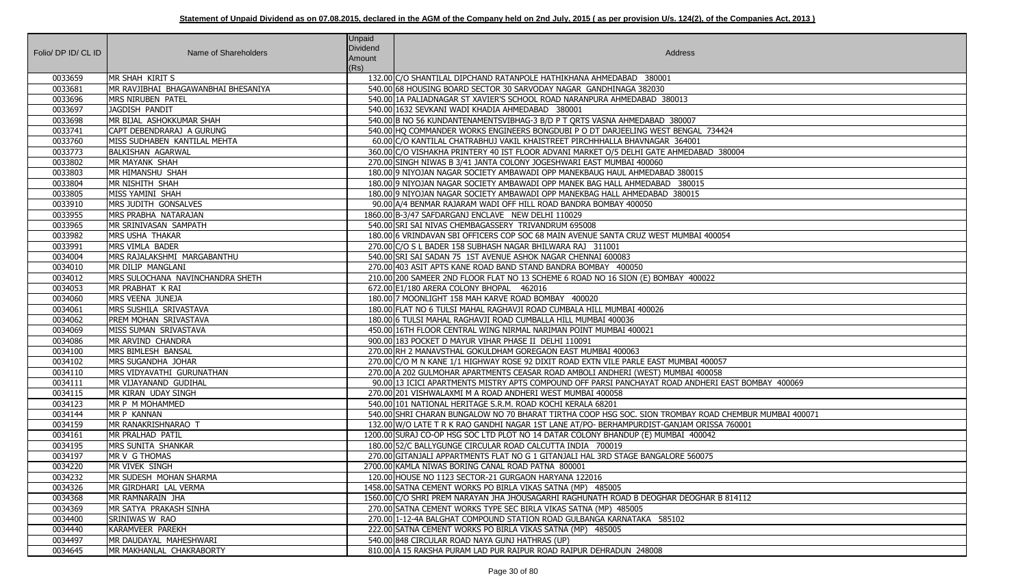| Folio/ DP ID/ CL ID | Name of Shareholders                       | Unpaid<br><b>Dividend</b> | Address                                                                                                                        |
|---------------------|--------------------------------------------|---------------------------|--------------------------------------------------------------------------------------------------------------------------------|
|                     |                                            | Amount                    |                                                                                                                                |
|                     |                                            | (Rs)                      |                                                                                                                                |
| 0033659             | MR SHAH KIRIT S                            |                           | 132.00 C/O SHANTILAL DIPCHAND RATANPOLE HATHIKHANA AHMEDABAD 380001                                                            |
| 0033681             | MR RAVJIBHAI BHAGAWANBHAI BHESANIYA        |                           | 540.00 68 HOUSING BOARD SECTOR 30 SARVODAY NAGAR GANDHINAGA 382030                                                             |
| 0033696<br>0033697  | <b>MRS NIRUBEN PATEL</b>                   |                           | 540.00 1A PALIADNAGAR ST XAVIER'S SCHOOL ROAD NARANPURA AHMEDABAD 380013                                                       |
| 0033698             | JAGDISH PANDIT<br>MR BIJAL ASHOKKUMAR SHAH |                           | 540.00 1632 SEVKANI WADI KHADIA AHMEDABAD 380001<br>540.00 B NO 56 KUNDANTENAMENTSVIBHAG-3 B/D P T QRTS VASNA AHMEDABAD 380007 |
| 0033741             | CAPT DEBENDRARAJ A GURUNG                  |                           | 540.00 HQ COMMANDER WORKS ENGINEERS BONGDUBI P O DT DARJEELING WEST BENGAL 734424                                              |
| 0033760             | MISS SUDHABEN KANTILAL MEHTA               |                           | 60.00 C/O KANTILAL CHATRABHUJ VAKIL KHAISTREET PIRCHHHALLA BHAVNAGAR 364001                                                    |
| 0033773             | <b>BALKISHAN AGARWAL</b>                   |                           | 360.00 C/O VISHAKHA PRINTERY 40 IST FLOOR ADVANI MARKET O/5 DELHI GATE AHMEDABAD 380004                                        |
| 0033802             | MR MAYANK SHAH                             |                           | 270.00 SINGH NIWAS B 3/41 JANTA COLONY JOGESHWARI EAST MUMBAI 400060                                                           |
| 0033803             | MR HIMANSHU SHAH                           |                           | 180.00 9 NIYOJAN NAGAR SOCIETY AMBAWADI OPP MANEKBAUG HAUL AHMEDABAD 380015                                                    |
| 0033804             | MR NISHITH SHAH                            |                           | 180.00 9 NIYOJAN NAGAR SOCIETY AMBAWADI OPP MANEK BAG HALL AHMEDABAD 380015                                                    |
| 0033805             | MISS YAMINI SHAH                           |                           | 180.00 9 NIYOJAN NAGAR SOCIETY AMBAWADI OPP MANEKBAG HALL AHMEDABAD 380015                                                     |
| 0033910             | MRS JUDITH GONSALVES                       |                           | 90.00 A/4 BENMAR RAJARAM WADI OFF HILL ROAD BANDRA BOMBAY 400050                                                               |
| 0033955             | MRS PRABHA NATARAJAN                       |                           | 1860.00 B-3/47 SAFDARGANJ ENCLAVE NEW DELHI 110029                                                                             |
| 0033965             | MR SRINIVASAN SAMPATH                      |                           | 540.00 SRI SAI NIVAS CHEMBAGASSERY TRIVANDRUM 695008                                                                           |
| 0033982             | <b>MRS USHA THAKAR</b>                     |                           | 180.00 6 VRINDAVAN SBI OFFICERS COP SOC 68 MAIN AVENUE SANTA CRUZ WEST MUMBAI 400054                                           |
| 0033991             | MRS VIMLA BADER                            |                           | 270.00 C/O S L BADER 158 SUBHASH NAGAR BHILWARA RAJ 311001                                                                     |
| 0034004             | MRS RAJALAKSHMI MARGABANTHU                |                           | 540.00 SRI SAI SADAN 75 1ST AVENUE ASHOK NAGAR CHENNAI 600083                                                                  |
| 0034010             | MR DILIP MANGLANI                          |                           | 270.00 403 ASIT APTS KANE ROAD BAND STAND BANDRA BOMBAY 400050                                                                 |
| 0034012             | MRS SULOCHANA NAVINCHANDRA SHETH           |                           | 210.00 200 SAMEER 2ND FLOOR FLAT NO 13 SCHEME 6 ROAD NO 16 SION (E) BOMBAY 400022                                              |
| 0034053             | MR PRABHAT K RAI                           |                           | 672.00 E1/180 ARERA COLONY BHOPAL 462016                                                                                       |
| 0034060             | MRS VEENA JUNEJA                           |                           | 180.00 7 MOONLIGHT 158 MAH KARVE ROAD BOMBAY 400020                                                                            |
| 0034061             | MRS SUSHILA SRIVASTAVA                     |                           | 180.00 FLAT NO 6 TULSI MAHAL RAGHAVJI ROAD CUMBALA HILL MUMBAI 400026                                                          |
| 0034062             | <b>PREM MOHAN SRIVASTAVA</b>               |                           | 180.00 6 TULSI MAHAL RAGHAVJI ROAD CUMBALLA HILL MUMBAI 400036                                                                 |
| 0034069             | MISS SUMAN SRIVASTAVA                      |                           | 450.00 16TH FLOOR CENTRAL WING NIRMAL NARIMAN POINT MUMBAI 400021                                                              |
| 0034086             | MR ARVIND CHANDRA                          |                           | 900.00 183 POCKET D MAYUR VIHAR PHASE II DELHI 110091                                                                          |
| 0034100             | MRS BIMLESH BANSAL                         |                           | 270.00 RH 2 MANAVSTHAL GOKULDHAM GOREGAON EAST MUMBAI 400063                                                                   |
| 0034102             | MRS SUGANDHA JOHAR                         |                           | 270.00 C/O M N KANE 1/1 HIGHWAY ROSE 92 DIXIT ROAD EXTN VILE PARLE EAST MUMBAI 400057                                          |
| 0034110             | MRS VIDYAVATHI GURUNATHAN                  |                           | 270.00 A 202 GULMOHAR APARTMENTS CEASAR ROAD AMBOLI ANDHERI (WEST) MUMBAI 400058                                               |
| 0034111             | MR VIJAYANAND GUDIHAL                      |                           | 90.00 13 ICICI APARTMENTS MISTRY APTS COMPOUND OFF PARSI PANCHAYAT ROAD ANDHERI EAST BOMBAY 400069                             |
| 0034115             | MR KIRAN UDAY SINGH                        |                           | 270.00 201 VISHWALAXMI M A ROAD ANDHERI WEST MUMBAI 400058                                                                     |
| 0034123             | MR P M MOHAMMED                            |                           | 540.00 101 NATIONAL HERITAGE S.R.M. ROAD KOCHI KERALA 68201                                                                    |
| 0034144             | MR P KANNAN                                |                           | 540.00 SHRI CHARAN BUNGALOW NO 70 BHARAT TIRTHA COOP HSG SOC. SION TROMBAY ROAD CHEMBUR MUMBAI 400071                          |
| 0034159             | MR RANAKRISHNARAO T                        |                           | 132.00 W/O LATE T R K RAO GANDHI NAGAR 1ST LANE AT/PO- BERHAMPURDIST-GANJAM ORISSA 760001                                      |
| 0034161             | MR PRALHAD PATIL                           |                           | 1200.00 SURAJ CO-OP HSG SOC LTD PLOT NO 14 DATAR COLONY BHANDUP (E) MUMBAI 400042                                              |
| 0034195             | MRS SUNITA SHANKAR                         |                           | 180.00 52/C BALLYGUNGE CIRCULAR ROAD CALCUTTA INDIA 700019                                                                     |
| 0034197             | MR V G THOMAS                              |                           | 270.00 GITANJALI APPARTMENTS FLAT NO G 1 GITANJALI HAL 3RD STAGE BANGALORE 560075                                              |
| 0034220             | MR VIVEK SINGH                             |                           | 2700.00 KAMLA NIWAS BORING CANAL ROAD PATNA 800001                                                                             |
| 0034232             | MR SUDESH MOHAN SHARMA                     |                           | 120.00 HOUSE NO 1123 SECTOR-21 GURGAON HARYANA 122016                                                                          |
| 0034326             | MR GIRDHARI LAL VERMA                      |                           | 1458.00 SATNA CEMENT WORKS PO BIRLA VIKAS SATNA (MP) 485005                                                                    |
| 0034368             | MR RAMNARAIN JHA                           |                           | 1560.00 C/O SHRI PREM NARAYAN JHA JHOUSAGARHI RAGHUNATH ROAD B DEOGHAR DEOGHAR B 814112                                        |
| 0034369             | MR SATYA PRAKASH SINHA                     |                           | 270.00 SATNA CEMENT WORKS TYPE SEC BIRLA VIKAS SATNA (MP) 485005                                                               |
| 0034400             | <b>SRINIWAS W RAO</b>                      |                           | 270.00 1-12-4A BALGHAT COMPOUND STATION ROAD GULBANGA KARNATAKA 585102                                                         |
| 0034440             | KARAMVEER PAREKH                           |                           | 222.00 SATNA CEMENT WORKS PO BIRLA VIKAS SATNA (MP) 485005                                                                     |
| 0034497             | MR DAUDAYAL MAHESHWARI                     |                           | 540.00 848 CIRCULAR ROAD NAYA GUNJ HATHRAS (UP)                                                                                |
| 0034645             | MR MAKHANLAL CHAKRABORTY                   |                           | 810.00 A 15 RAKSHA PURAM LAD PUR RAIPUR ROAD RAIPUR DEHRADUN 248008                                                            |

| $-24$                 |
|-----------------------|
| 80004                 |
|                       |
|                       |
|                       |
|                       |
|                       |
| $\overline{54}$       |
|                       |
|                       |
|                       |
|                       |
|                       |
|                       |
| 7                     |
|                       |
| EAST BOMBAY 400069    |
| CHEMBUR MUMBAI 400071 |
| 760001                |
|                       |
|                       |
|                       |
|                       |
| 814112                |
|                       |
|                       |
|                       |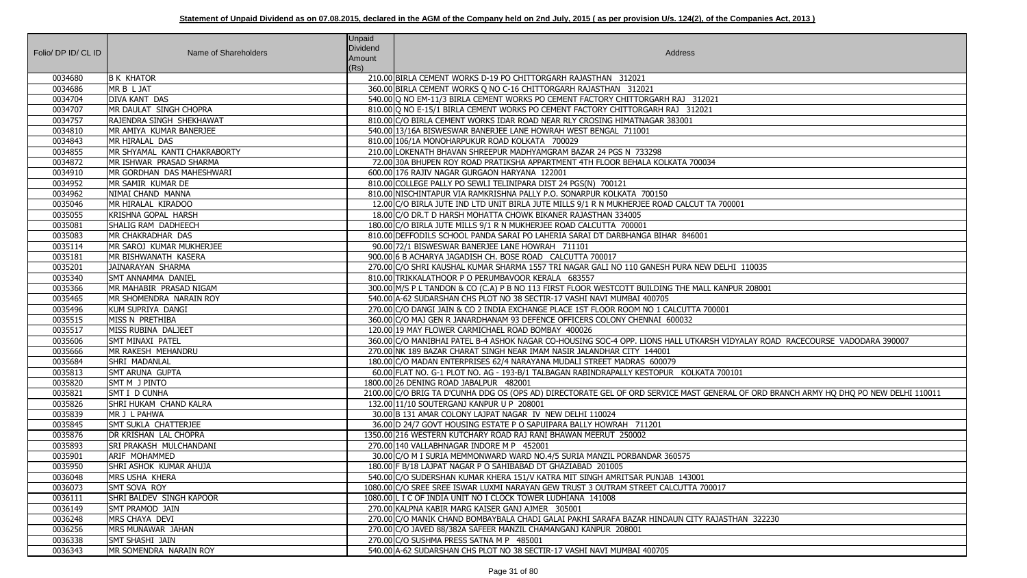| Folio/ DP ID/ CL ID | Name of Shareholders         | Unpaid<br>Dividend<br>Amount<br>(Rs) | <b>Address</b>                                                                                                                        |
|---------------------|------------------------------|--------------------------------------|---------------------------------------------------------------------------------------------------------------------------------------|
| 0034680             | <b>B K KHATOR</b>            |                                      | 210.00 BIRLA CEMENT WORKS D-19 PO CHITTORGARH RAJASTHAN 312021                                                                        |
| 0034686             | MR B L JAT                   |                                      | 360.00 BIRLA CEMENT WORKS Q NO C-16 CHITTORGARH RAJASTHAN 312021                                                                      |
| 0034704             | DIVA KANT DAS                |                                      | 540.00 Q NO EM-11/3 BIRLA CEMENT WORKS PO CEMENT FACTORY CHITTORGARH RAJ 312021                                                       |
| 0034707             | MR DAULAT SINGH CHOPRA       |                                      | 810.00 Q NO E-15/1 BIRLA CEMENT WORKS PO CEMENT FACTORY CHITTORGARH RAJ 312021                                                        |
| 0034757             | RAJENDRA SINGH SHEKHAWAT     |                                      | 810.00 C/O BIRLA CEMENT WORKS IDAR ROAD NEAR RLY CROSING HIMATNAGAR 383001                                                            |
| 0034810             | MR AMIYA KUMAR BANERJEE      |                                      | 540.00 13/16A BISWESWAR BANERJEE LANE HOWRAH WEST BENGAL 711001                                                                       |
| 0034843             | MR HIRALAL DAS               |                                      | 810.00 106/1A MONOHARPUKUR ROAD KOLKATA 700029                                                                                        |
| 0034855             | MR SHYAMAL KANTI CHAKRABORTY |                                      | 210.00 LOKENATH BHAVAN SHREEPUR MADHYAMGRAM BAZAR 24 PGS N 733298                                                                     |
| 0034872             | MR ISHWAR PRASAD SHARMA      |                                      | 72.00 30A BHUPEN ROY ROAD PRATIKSHA APPARTMENT 4TH FLOOR BEHALA KOLKATA 700034                                                        |
| 0034910             | MR GORDHAN DAS MAHESHWARI    |                                      | 600.00 176 RAJIV NAGAR GURGAON HARYANA 122001                                                                                         |
| 0034952             | MR SAMIR KUMAR DE            |                                      | 810.00 COLLEGE PALLY PO SEWLI TELINIPARA DIST 24 PGS(N) 700121                                                                        |
| 0034962             | NIMAI CHAND MANNA            |                                      | 810.00 NISCHINTAPUR VIA RAMKRISHNA PALLY P.O. SONARPUR KOLKATA 700150                                                                 |
| 0035046             | MR HIRALAL KIRADOO           |                                      | 12.00 C/O BIRLA JUTE IND LTD UNIT BIRLA JUTE MILLS 9/1 R N MUKHERJEE ROAD CALCUT TA 700001                                            |
| 0035055             | KRISHNA GOPAL HARSH          |                                      | 18.00 C/O DR.T D HARSH MOHATTA CHOWK BIKANER RAJASTHAN 334005                                                                         |
| 0035081             | SHALIG RAM DADHEECH          |                                      | 180.00 C/O BIRLA JUTE MILLS 9/1 R N MUKHERJEE ROAD CALCUTTA 700001                                                                    |
| 0035083             | MR CHAKRADHAR DAS            |                                      | 810.00 DEFFODILS SCHOOL PANDA SARAI PO LAHERIA SARAI DT DARBHANGA BIHAR 846001                                                        |
| 0035114             | MR SAROJ KUMAR MUKHERJEE     |                                      | 90.00 72/1 BISWESWAR BANERJEE LANE HOWRAH 711101                                                                                      |
| 0035181             | MR BISHWANATH KASERA         |                                      | 900.00 6 B ACHARYA JAGADISH CH. BOSE ROAD CALCUTTA 700017                                                                             |
| 0035201             | JAINARAYAN SHARMA            |                                      | 270.00 C/O SHRI KAUSHAL KUMAR SHARMA 1557 TRI NAGAR GALI NO 110 GANESH PURA NEW DELHI 110035                                          |
| 0035340             | <b>SMT ANNAMMA DANIEL</b>    |                                      | 810.00 TRIKKALATHOOR P O PERUMBAVOOR KERALA 683557                                                                                    |
| 0035366             | MR MAHABIR PRASAD NIGAM      |                                      | 300.00 M/S P L TANDON & CO (C.A) P B NO 113 FIRST FLOOR WESTCOTT BUILDING THE MALL KANPUR 208001                                      |
| 0035465             | MR SHOMENDRA NARAIN ROY      |                                      | 540.00 A-62 SUDARSHAN CHS PLOT NO 38 SECTIR-17 VASHI NAVI MUMBAI 400705                                                               |
| 0035496             | KUM SUPRIYA DANGI            |                                      | 270.00 C/O DANGI JAIN & CO 2 INDIA EXCHANGE PLACE 1ST FLOOR ROOM NO 1 CALCUTTA 700001                                                 |
| 0035515             | MISS N PRETHIBA              |                                      | 360.00 C/O MAJ GEN R JANARDHANAM 93 DEFENCE OFFICERS COLONY CHENNAI 600032                                                            |
| 0035517             | MISS RUBINA DALJEET          |                                      | 120.00 19 MAY FLOWER CARMICHAEL ROAD BOMBAY 400026                                                                                    |
| 0035606             | <b>SMT MINAXI PATEL</b>      |                                      | 360.00 C/O MANIBHAI PATEL B-4 ASHOK NAGAR CO-HOUSING SOC-4 OPP. LIONS HALL UTKARSH VIDYALAY ROAD RACECOURSE VADODARA 390007           |
| 0035666             | MR RAKESH MEHANDRU           |                                      | 270.00 NK 189 BAZAR CHARAT SINGH NEAR IMAM NASIR JALANDHAR CITY 144001                                                                |
| 0035684             | SHRI MADANLAL                |                                      | 180.00 C/O MADAN ENTERPRISES 62/4 NARAYANA MUDALI STREET MADRAS 600079                                                                |
| 0035813             | <b>SMT ARUNA GUPTA</b>       |                                      | 60.00 FLAT NO. G-1 PLOT NO. AG - 193-B/1 TALBAGAN RABINDRAPALLY KESTOPUR KOLKATA 700101                                               |
| 0035820             | SMT M J PINTO                |                                      | 1800.00 26 DENING ROAD JABALPUR 482001                                                                                                |
| 0035821             | SMT I D CUNHA                |                                      | 2100.00 C/O BRIG TA D'CUNHA DDG OS (OPS AD) DIRECTORATE GEL OF ORD SERVICE MAST GENERAL OF ORD BRANCH ARMY HQ DHQ PO NEW DELHI 110011 |
| 0035826             | SHRI HUKAM CHAND KALRA       |                                      | 132.00 11/10 SOUTERGANJ KANPUR U P 208001                                                                                             |
| 0035839             | MR J L PAHWA                 |                                      | 30.00 B 131 AMAR COLONY LAJPAT NAGAR IV NEW DELHI 110024                                                                              |
| 0035845             | SMT SUKLA CHATTERJEE         |                                      | 36.00 D 24/7 GOVT HOUSING ESTATE P O SAPUIPARA BALLY HOWRAH 711201                                                                    |
| 0035876             | DR KRISHAN LAL CHOPRA        |                                      | 1350.00 216 WESTERN KUTCHARY ROAD RAJ RANI BHAWAN MEERUT 250002                                                                       |
| 0035893             | SRI PRAKASH MULCHANDANI      |                                      | 270.00 140 VALLABHNAGAR INDORE M P 452001                                                                                             |
| 0035901             | <b>ARIF MOHAMMED</b>         |                                      | 30.00 C/O M I SURIA MEMMONWARD WARD NO.4/5 SURIA MANZIL PORBANDAR 360575                                                              |
| 0035950             | SHRI ASHOK KUMAR AHUJA       |                                      | 180.00 F B/18 LAJPAT NAGAR P O SAHIBABAD DT GHAZIABAD 201005                                                                          |
| 0036048             | MRS USHA KHERA               |                                      | 540.00 C/O SUDERSHAN KUMAR KHERA 151/V KATRA MIT SINGH AMRITSAR PUNJAB 143001                                                         |
| 0036073             | SMT SOVA ROY                 |                                      | 1080.00 C/O SREE SREE ISWAR LUXMI NARAYAN GEW TRUST 3 OUTRAM STREET CALCUTTA 700017                                                   |
| 0036111             | SHRI BALDEV SINGH KAPOOR     |                                      | 1080.00 L I C OF INDIA UNIT NO I CLOCK TOWER LUDHIANA 141008                                                                          |
| 0036149             | SMT PRAMOD JAIN              |                                      | 270.00 KALPNA KABIR MARG KAISER GANJ AJMER 305001                                                                                     |
| 0036248             | MRS CHAYA DEVI               |                                      | 270.00 C/O MANIK CHAND BOMBAYBALA CHADI GALAI PAKHI SARAFA BAZAR HINDAUN CITY RAJASTHAN 322230                                        |
| 0036256             | MRS MUNAWAR JAHAN            |                                      | 270.00 C/O JAVED 88/382A SAFEER MANZIL CHAMANGANJ KANPUR 208001                                                                       |
| 0036338             | SMT SHASHI JAIN              |                                      | 270.00 C/O SUSHMA PRESS SATNA M P 485001                                                                                              |
| 0036343             | MR SOMENDRA NARAIN ROY       |                                      | 540.00 A-62 SUDARSHAN CHS PLOT NO 38 SECTIR-17 VASHI NAVI MUMBAI 400705                                                               |

| 00001                                             |
|---------------------------------------------------|
|                                                   |
|                                                   |
|                                                   |
|                                                   |
| ELHI 110035                                       |
| NPUR 208001                                       |
|                                                   |
| $\overline{1}$                                    |
|                                                   |
|                                                   |
| VIDYALAY ROAD RACECOURSE VADODARA 390007          |
|                                                   |
| 00101                                             |
|                                                   |
| RAL OF ORD BRANCH ARMY HQ DHQ PO NEW DELHI 110011 |
|                                                   |
|                                                   |
|                                                   |
|                                                   |
|                                                   |
|                                                   |
|                                                   |
| 7                                                 |
|                                                   |
| STHAN 322230                                      |
|                                                   |
|                                                   |
|                                                   |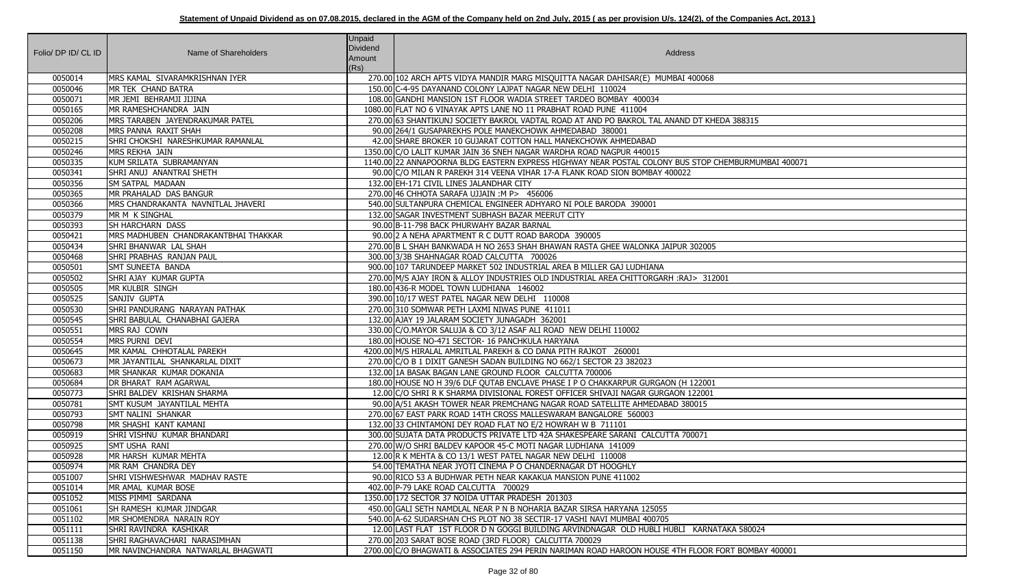|                     |                                      | Unpaid          |                                                                                                     |
|---------------------|--------------------------------------|-----------------|-----------------------------------------------------------------------------------------------------|
| Folio/ DP ID/ CL ID | Name of Shareholders                 | <b>Dividend</b> | Address                                                                                             |
|                     |                                      | Amount          |                                                                                                     |
|                     |                                      | (Rs)            |                                                                                                     |
| 0050014             | MRS KAMAL SIVARAMKRISHNAN IYER       |                 | 270.00 102 ARCH APTS VIDYA MANDIR MARG MISQUITTA NAGAR DAHISAR(E) MUMBAI 400068                     |
| 0050046             | MR TEK CHAND BATRA                   |                 | 150.00 C-4-95 DAYANAND COLONY LAJPAT NAGAR NEW DELHI 110024                                         |
| 0050071             | MR JEMI BEHRAMJI JIJINA              |                 | 108.00 GANDHI MANSION 1ST FLOOR WADIA STREET TARDEO BOMBAY 400034                                   |
| 0050165             | MR RAMESHCHANDRA JAIN                |                 | 1080.00 FLAT NO 6 VINAYAK APTS LANE NO 11 PRABHAT ROAD PUNE 411004                                  |
| 0050206             | MRS TARABEN JAYENDRAKUMAR PATEL      |                 | 270.00 63 SHANTIKUNJ SOCIETY BAKROL VADTAL ROAD AT AND PO BAKROL TAL ANAND DT KHEDA 388315          |
| 0050208             | MRS PANNA RAXIT SHAH                 |                 | 90.00 264/1 GUSAPAREKHS POLE MANEKCHOWK AHMEDABAD 380001                                            |
| 0050215             | SHRI CHOKSHI NARESHKUMAR RAMANLAL    |                 | 42.00 SHARE BROKER 10 GUJARAT COTTON HALL MANEKCHOWK AHMEDABAD                                      |
| 0050246             | MRS REKHA JAIN                       |                 | 1350.00 C/O LALIT KUMAR JAIN 36 SNEH NAGAR WARDHA ROAD NAGPUR 440015                                |
| 0050335             | KUM SRILATA SUBRAMANYAN              |                 | 1140.00 22 ANNAPOORNA BLDG EASTERN EXPRESS HIGHWAY NEAR POSTAL COLONY BUS STOP CHEMBURMUMBAI 400071 |
| 0050341             | SHRI ANUJ ANANTRAI SHETH             |                 | 90.00 C/O MILAN R PAREKH 314 VEENA VIHAR 17-A FLANK ROAD SION BOMBAY 400022                         |
| 0050356             | <b>SM SATPAL MADAAN</b>              |                 | 132.00 EH-171 CIVIL LINES JALANDHAR CITY                                                            |
| 0050365             | MR PRAHALAD DAS BANGUR               |                 | 270.00 46 CHHOTA SARAFA UJJAIN : M P> 456006                                                        |
| 0050366             | MRS CHANDRAKANTA NAVNITLAL JHAVERI   |                 | 540.00 SULTANPURA CHEMICAL ENGINEER ADHYARO NI POLE BARODA 390001                                   |
| 0050379             | MR M K SINGHAL                       |                 | 132.00 SAGAR INVESTMENT SUBHASH BAZAR MEERUT CITY                                                   |
| 0050393             | <b>SH HARCHARN DASS</b>              |                 | 90.00 B-11-798 BACK PHURWAHY BAZAR BARNAL                                                           |
| 0050421             | MRS MADHUBEN CHANDRAKANTBHAI THAKKAR |                 | 90.00 2 A NEHA APARTMENT R C DUTT ROAD BARODA 390005                                                |
| 0050434             | SHRI BHANWAR LAL SHAH                |                 | 270.00 B L SHAH BANKWADA H NO 2653 SHAH BHAWAN RASTA GHEE WALONKA JAIPUR 302005                     |
| 0050468             | SHRI PRABHAS RANJAN PAUL             |                 | 300.00 3/3B SHAHNAGAR ROAD CALCUTTA 700026                                                          |
| 0050501             | <b>SMT SUNEETA BANDA</b>             |                 | 900.00 107 TARUNDEEP MARKET 502 INDUSTRIAL AREA B MILLER GAJ LUDHIANA                               |
| 0050502             | SHRI AJAY KUMAR GUPTA                |                 | 270.00 M/S AJAY IRON & ALLOY INDUSTRIES OLD INDUSTRIAL AREA CHITTORGARH : RAJ> 312001               |
| 0050505             | MR KULBIR SINGH                      |                 | 180.00 436-R MODEL TOWN LUDHIANA 146002                                                             |
| 0050525             | SANJIV GUPTA                         |                 | 390.00 10/17 WEST PATEL NAGAR NEW DELHI 110008                                                      |
| 0050530             | SHRI PANDURANG NARAYAN PATHAK        |                 | 270.00 310 SOMWAR PETH LAXMI NIWAS PUNE 411011                                                      |
| 0050545             | SHRI BABULAL CHANABHAI GAJERA        |                 | 132.00 AJAY 19 JALARAM SOCIETY JUNAGADH 362001                                                      |
| 0050551             | MRS RAJ COWN                         |                 | 330.00 C/O.MAYOR SALUJA & CO 3/12 ASAF ALI ROAD NEW DELHI 110002                                    |
| 0050554             | MRS PURNI DEVI                       |                 | 180.00 HOUSE NO-471 SECTOR- 16 PANCHKULA HARYANA                                                    |
| 0050645             | MR KAMAL CHHOTALAL PAREKH            |                 | 4200.00 M/S HIRALAL AMRITLAL PAREKH & CO DANA PITH RAJKOT 260001                                    |
| 0050673             | MR JAYANTILAL SHANKARLAL DIXIT       |                 | 270.00 C/O B 1 DIXIT GANESH SADAN BUILDING NO 662/1 SECTOR 23 382023                                |
| 0050683             | MR SHANKAR KUMAR DOKANIA             |                 | 132.00 1A BASAK BAGAN LANE GROUND FLOOR CALCUTTA 700006                                             |
| 0050684             | DR BHARAT RAM AGARWAL                |                 | 180.00 HOUSE NO H 39/6 DLF QUTAB ENCLAVE PHASE I P O CHAKKARPUR GURGAON (H 122001                   |
| 0050773             | SHRI BALDEV KRISHAN SHARMA           |                 | 12.00 C/O SHRI R K SHARMA DIVISIONAL FOREST OFFICER SHIVAJI NAGAR GURGAON 122001                    |
| 0050781             | SMT KUSUM JAYANTILAL MEHTA           |                 | 90.00 A/51 AKASH TOWER NEAR PREMCHANG NAGAR ROAD SATELLITE AHMEDABAD 380015                         |
| 0050793             | <b>SMT NALINI SHANKAR</b>            |                 | 270.00 67 EAST PARK ROAD 14TH CROSS MALLESWARAM BANGALORE 560003                                    |
| 0050798             | MR SHASHI KANT KAMANI                |                 | 132.00 33 CHINTAMONI DEY ROAD FLAT NO E/2 HOWRAH W B 711101                                         |
| 0050919             | SHRI VISHNU KUMAR BHANDARI           |                 | 300.00 SUJATA DATA PRODUCTS PRIVATE LTD 42A SHAKESPEARE SARANI CALCUTTA 700071                      |
| 0050925             | SMT USHA RANI                        |                 | 270.00 W/O SHRI BALDEV KAPOOR 45-C MOTI NAGAR LUDHIANA 141009                                       |
| 0050928             | MR HARSH KUMAR MEHTA                 |                 | 12.00 R K MEHTA & CO 13/1 WEST PATEL NAGAR NEW DELHI 110008                                         |
| 0050974             | MR RAM CHANDRA DEY                   |                 | 54.00 TEMATHA NEAR JYOTI CINEMA P O CHANDERNAGAR DT HOOGHLY                                         |
| 0051007             | SHRI VISHWESHWAR MADHAV RASTE        |                 | 90.00 RICO 53 A BUDHWAR PETH NEAR KAKAKUA MANSION PUNE 411002                                       |
| 0051014             | MR AMAL KUMAR BOSE                   |                 | 402.00 P-79 LAKE ROAD CALCUTTA 700029                                                               |
| 0051052             | MISS PIMMI SARDANA                   |                 | 1350.00 172 SECTOR 37 NOIDA UTTAR PRADESH 201303                                                    |
| 0051061             | SH RAMESH KUMAR JINDGAR              |                 | 450.00 GALI SETH NAMDLAL NEAR P N B NOHARIA BAZAR SIRSA HARYANA 125055                              |
| 0051102             | MR SHOMENDRA NARAIN ROY              |                 | 540.00 A-62 SUDARSHAN CHS PLOT NO 38 SECTIR-17 VASHI NAVI MUMBAI 400705                             |
| 0051111             | SHRI RAVINDRA KASHIKAR               |                 | 12.00 LAST FLAT 1ST FLOOR D N GOGGI BUILDING ARVINDNAGAR OLD HUBLI HUBLI KARNATAKA 580024           |
| 0051138             | SHRI RAGHAVACHARI NARASIMHAN         |                 | 270.00 203 SARAT BOSE ROAD (3RD FLOOR) CALCUTTA 700029                                              |
| 0051150             | MR NAVINCHANDRA NATWARLAL BHAGWATI   |                 | 2700.00 C/O BHAGWATI & ASSOCIATES 294 PERIN NARIMAN ROAD HAROON HOUSE 4TH FLOOR FORT BOMBAY 400001  |

| DA 388315                       |  |
|---------------------------------|--|
| IEMBURMUMBAI 400071             |  |
|                                 |  |
|                                 |  |
|                                 |  |
| $\overline{01}$                 |  |
|                                 |  |
|                                 |  |
|                                 |  |
|                                 |  |
|                                 |  |
|                                 |  |
|                                 |  |
| AKA 580024<br>ORT BOMBAY 400001 |  |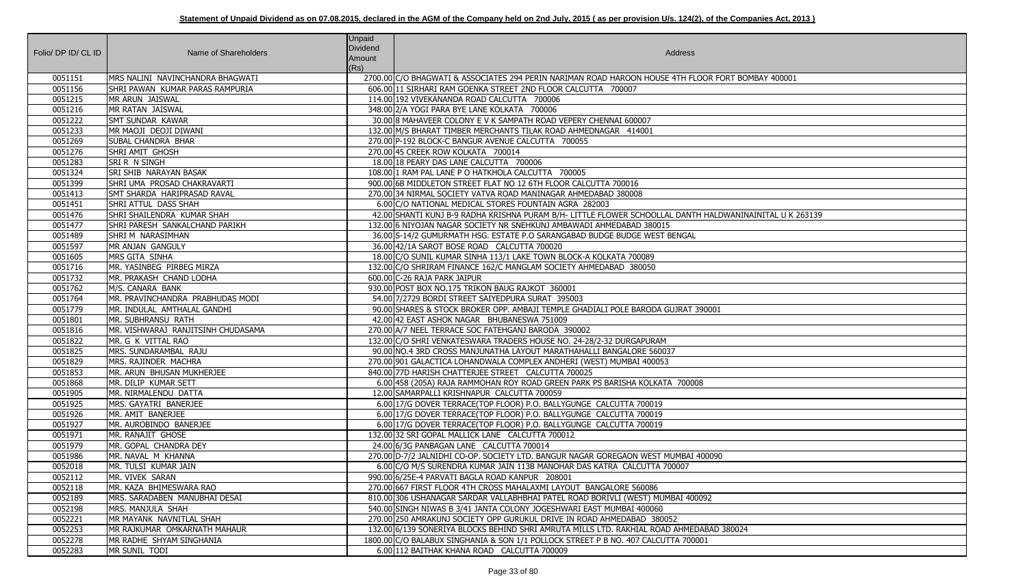## Statement of Unpaid Dividend as on 07.08.2015, declared in the AGM of the Company held on 2nd July, 2015 (as per provision U/s. 124(2), of the Companies Act, 2013)

|                     |                                    | <b>Unpaid</b>   |                                                                                                          |
|---------------------|------------------------------------|-----------------|----------------------------------------------------------------------------------------------------------|
| Folio/ DP ID/ CL ID | Name of Shareholders               | <b>Dividend</b> | Address                                                                                                  |
|                     |                                    | Amount          |                                                                                                          |
| 0051151             | MRS NALINI NAVINCHANDRA BHAGWATI   | (Rs)            | 2700.00 C/O BHAGWATI & ASSOCIATES 294 PERIN NARIMAN ROAD HAROON HOUSE 4TH FLOOR FORT BOMBAY 400001       |
| 0051156             | SHRI PAWAN KUMAR PARAS RAMPURIA    |                 | 606.00 11 SIRHARI RAM GOENKA STREET 2ND FLOOR CALCUTTA 700007                                            |
| 0051215             | MR ARUN JAISWAL                    |                 | 114.00 192 VIVEKANANDA ROAD CALCUTTA 700006                                                              |
| 0051216             | MR RATAN JAISWAL                   |                 | 348.00 2/A YOGI PARA BYE LANE KOLKATA 700006                                                             |
| 0051222             | <b>SMT SUNDAR KAWAR</b>            |                 | 30.00 8 MAHAVEER COLONY E V K SAMPATH ROAD VEPERY CHENNAI 600007                                         |
| 0051233             | MR MAOJI DEOJI DIWANI              |                 | 132.00 M/S BHARAT TIMBER MERCHANTS TILAK ROAD AHMEDNAGAR 414001                                          |
| 0051269             | <b>SUBAL CHANDRA BHAR</b>          |                 | 270.00 P-192 BLOCK-C BANGUR AVENUE CALCUTTA 700055                                                       |
| 0051276             | SHRI AMIT GHOSH                    |                 | 270.00 45 CREEK ROW KOLKATA 700014                                                                       |
| 0051283             | <b>SRI R N SINGH</b>               |                 | 18.00 18 PEARY DAS LANE CALCUTTA 700006                                                                  |
| 0051324             | <b>SRI SHIB NARAYAN BASAK</b>      |                 | 108.00 1 RAM PAL LANE P O HATKHOLA CALCUTTA 700005                                                       |
| 0051399             | SHRI UMA PROSAD CHAKRAVARTI        |                 | 900.00 6B MIDDLETON STREET FLAT NO 12 6TH FLOOR CALCUTTA 700016                                          |
| 0051413             | <b>SMT SHARDA HARIPRASAD RAVAL</b> |                 | 270.00 34 NIRMAL SOCIETY VATVA ROAD MANINAGAR AHMEDABAD 380008                                           |
| 0051451             | SHRI ATTUL DASS SHAH               |                 | 6.00 C/O NATIONAL MEDICAL STORES FOUNTAIN AGRA 282003                                                    |
| 0051476             | SHRI SHAILENDRA KUMAR SHAH         |                 | 42.00 SHANTI KUNJ B-9 RADHA KRISHNA PURAM B/H- LITTLE FLOWER SCHOOLLAL DANTH HALDWANINAINITAL U K 263139 |
| 0051477             | SHRI PARESH SANKALCHAND PARIKH     |                 | 132.00 6 NIYOJAN NAGAR SOCIETY NR SNEHKUNJ AMBAWADI AHMEDABAD 380015                                     |
| 0051489             | SHRI M NARASIMHAN                  |                 | 36.00 S-14/2 GUMURMATH HSG. ESTATE P.O SARANGABAD BUDGE BUDGE WEST BENGAL                                |
| 0051597             | MR ANJAN GANGULY                   |                 | 36.00 42/1A SAROT BOSE ROAD CALCUTTA 700020                                                              |
| 0051605             | MRS GITA SINHA                     |                 | 18.00 C/O SUNIL KUMAR SINHA 113/1 LAKE TOWN BLOCK-A KOLKATA 700089                                       |
| 0051716             | MR. YASINBEG PIRBEG MIRZA          |                 | 132.00 C/O SHRIRAM FINANCE 162/C MANGLAM SOCIETY AHMEDABAD 380050                                        |
| 0051732             | MR. PRAKASH CHAND LODHA            |                 | 600.00 C-26 RAJA PARK JAIPUR                                                                             |
| 0051762             | M/S. CANARA BANK                   |                 | 930.00 POST BOX NO.175 TRIKON BAUG RAJKOT 360001                                                         |
| 0051764             | MR. PRAVINCHANDRA PRABHUDAS MODI   |                 | 54.00 7/2729 BORDI STREET SAIYEDPURA SURAT 395003                                                        |
| 0051779             | MR. INDULAL AMTHALAL GANDHI        |                 | 90.00 SHARES & STOCK BROKER OPP. AMBAJI TEMPLE GHADIALI POLE BARODA GUJRAT 390001                        |
| 0051801             | MR. SUBHRANSU RATH                 |                 | 42.00 42 EAST ASHOK NAGAR BHUBANESWA 751009                                                              |
| 0051816             | MR. VISHWARAJ RANJITSINH CHUDASAMA |                 | 270.00 A/7 NEEL TERRACE SOC FATEHGANJ BARODA 390002                                                      |
| 0051822             | MR. G K VITTAL RAO                 |                 | 132.00 C/O SHRI VENKATESWARA TRADERS HOUSE NO. 24-28/2-32 DURGAPURAM                                     |
| 0051825             | MRS. SUNDARAMBAL RAJU              |                 | 90.00 NO.4 3RD CROSS MANJUNATHA LAYOUT MARATHAHALLI BANGALORE 560037                                     |
| 0051829             | MRS. RAJINDER MACHRA               |                 | 270.00 901 GALACTICA LOHANDWALA COMPLEX ANDHERI (WEST) MUMBAI 400053                                     |
| 0051853             | MR. ARUN BHUSAN MUKHERJEE          |                 | 840.00 77D HARISH CHATTERJEE STREET CALCUTTA 700025                                                      |
| 0051868             | MR. DILIP KUMAR SETT               |                 | 6.00 458 (205A) RAJA RAMMOHAN ROY ROAD GREEN PARK PS BARISHA KOLKATA 700008                              |
| 0051905             | MR. NIRMALENDU DATTA               |                 | 12.00 SAMARPALLI KRISHNAPUR CALCUTTA 700059                                                              |
| 0051925             | MRS. GAYATRI BANERJEE              |                 | 6.00 17/G DOVER TERRACE(TOP FLOOR) P.O. BALLYGUNGE CALCUTTA 700019                                       |
| 0051926             | MR. AMIT BANERJEE                  |                 | 6.00   17/G DOVER TERRACE(TOP FLOOR) P.O. BALLYGUNGE CALCUTTA 700019                                     |
| 0051927             | MR. AUROBINDO BANERJEE             |                 | 6.00 17/G DOVER TERRACE(TOP FLOOR) P.O. BALLYGUNGE CALCUTTA 700019                                       |
| 0051971             | MR. RANAJIT GHOSE                  |                 | 132.00 32 SRI GOPAL MALLICK LANE CALCUTTA 700012                                                         |
| 0051979             | MR. GOPAL CHANDRA DEY              |                 | 24.00 6/3G PANBAGAN LANE CALCUTTA 700014                                                                 |
| 0051986             | MR. NAVAL M KHANNA                 |                 | 270.00 D-7/2 JALNIDHI CO-OP. SOCIETY LTD. BANGUR NAGAR GOREGAON WEST MUMBAI 400090                       |
| 0052018             | MR. TULSI KUMAR JAIN               |                 | 6.00 C/O M/S SURENDRA KUMAR JAIN 113B MANOHAR DAS KATRA CALCUTTA 700007                                  |
| 0052112             | MR. VIVEK SARAN                    |                 | 990.00 6/25E-4 PARVATI BAGLA ROAD KANPUR 208001                                                          |
| 0052118             | MR. KAZA BHIMESWARA RAO            |                 | 270.00 667 FIRST FLOOR 4TH CROSS MAHALAXMI LAYOUT BANGALORE 560086                                       |
| 0052189             | MRS. SARADABEN MANUBHAI DESAI      |                 | 810.00 306 USHANAGAR SARDAR VALLABHBHAI PATEL ROAD BORIVLI (WEST) MUMBAI 400092                          |
| 0052198             | MRS. MANJULA SHAH                  |                 | 540.00 SINGH NIWAS B 3/41 JANTA COLONY JOGESHWARI EAST MUMBAI 400060                                     |
| 0052221             | MR MAYANK NAVNITLAL SHAH           |                 | 270.00 250 AMRAKUNJ SOCIETY OPP GURUKUL DRIVE IN ROAD AHMEDABAD 380052                                   |
| 0052253             | MR RAJKUMAR OMKARNATH MAHAUR       |                 | 132.00 6/139 SONERIYA BLOCKS BEHIND SHRI AMRUTA MILLS LTD. RAKHIAL ROAD AHMEDABAD 380024                 |
| 0052278             | MR RADHE SHYAM SINGHANIA           |                 | 1800.00 C/O BALABUX SINGHANIA & SON 1/1 POLLOCK STREET P B NO. 407 CALCUTTA 700001                       |
| 0052283             | MR SUNIL TODI                      |                 | 6.00 112 BAITHAK KHANA ROAD CALCUTTA 700009                                                              |

| ORT BOMBAY 400001       |
|-------------------------|
|                         |
|                         |
|                         |
|                         |
|                         |
|                         |
|                         |
|                         |
|                         |
|                         |
|                         |
|                         |
| WANINAINITAL U K 263139 |
|                         |
|                         |
|                         |
|                         |
|                         |
|                         |
|                         |
|                         |
|                         |
|                         |
|                         |
|                         |
|                         |
|                         |
|                         |
|                         |
|                         |
|                         |
|                         |
|                         |
|                         |
|                         |
|                         |
|                         |
|                         |
|                         |
|                         |
|                         |
| 380024                  |
|                         |
|                         |
|                         |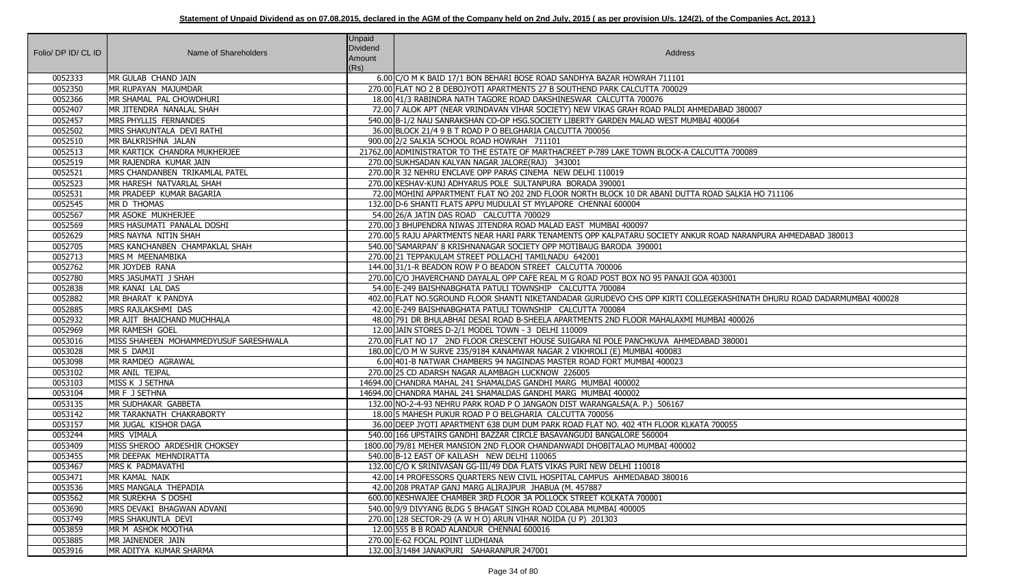| Folio/ DP ID/ CL ID | Name of Shareholders                  | <b>Unpaid</b><br><b>Dividend</b><br>Amount | <b>Address</b>                                                                                                         |
|---------------------|---------------------------------------|--------------------------------------------|------------------------------------------------------------------------------------------------------------------------|
|                     |                                       | (Rs)                                       |                                                                                                                        |
| 0052333             | MR GULAB CHAND JAIN                   |                                            | 6.00 C/O M K BAID 17/1 BON BEHARI BOSE ROAD SANDHYA BAZAR HOWRAH 711101                                                |
| 0052350             | MR RUPAYAN MAJUMDAR                   |                                            | 270.00 FLAT NO 2 B DEBOJYOTI APARTMENTS 27 B SOUTHEND PARK CALCUTTA 700029                                             |
| 0052366             | MR SHAMAL PAL CHOWDHURI               |                                            | 18.00 41/3 RABINDRA NATH TAGORE ROAD DAKSHINESWAR CALCUTTA 700076                                                      |
| 0052407             | MR JITENDRA NANALAL SHAH              |                                            | 72.00 7 ALOK APT (NEAR VRINDAVAN VIHAR SOCIETY) NEW VIKAS GRAH ROAD PALDI AHMEDABAD 380007                             |
| 0052457             | MRS PHYLLIS FERNANDES                 |                                            | 540.00 B-1/2 NAU SANRAKSHAN CO-OP HSG.SOCIETY LIBERTY GARDEN MALAD WEST MUMBAI 400064                                  |
| 0052502             | MRS SHAKUNTALA DEVI RATHI             |                                            | 36.00 BLOCK 21/4 9 B T ROAD P O BELGHARIA CALCUTTA 700056                                                              |
| 0052510             | MR BALKRISHNA JALAN                   |                                            | 900.00 2/2 SALKIA SCHOOL ROAD HOWRAH 711101                                                                            |
| 0052513             | <b>IMR KARTICK CHANDRA MUKHERJEE</b>  |                                            | 21762.00 ADMINISTRATOR TO THE ESTATE OF MARTHACREET P-789 LAKE TOWN BLOCK-A CALCUTTA 700089                            |
| 0052519             | MR RAJENDRA KUMAR JAIN                |                                            | 270.00 SUKHSADAN KALYAN NAGAR JALORE(RAJ) 343001                                                                       |
| 0052521             | MRS CHANDANBEN TRIKAMLAL PATEL        |                                            | 270.00 R 32 NEHRU ENCLAVE OPP PARAS CINEMA NEW DELHI 110019                                                            |
| 0052523             | MR HARESH NATVARLAL SHAH              |                                            | 270.00 KESHAV-KUNJ ADHYARUS POLE SULTANPURA BORADA 390001                                                              |
| 0052531             | MR PRADEEP KUMAR BAGARIA              |                                            | 72.00 MOHINI APPARTMENT FLAT NO 202 2ND FLOOR NORTH BLOCK 10 DR ABANI DUTTA ROAD SALKIA HO 711106                      |
| 0052545             | MR D THOMAS                           |                                            | 132.00 D-6 SHANTI FLATS APPU MUDULAI ST MYLAPORE CHENNAI 600004                                                        |
| 0052567             | MR ASOKE MUKHERJEE                    |                                            | 54.00 26/A JATIN DAS ROAD CALCUTTA 700029                                                                              |
| 0052569             | MRS HASUMATI PANALAL DOSHI            |                                            | 270.00 3 BHUPENDRA NIWAS JITENDRA ROAD MALAD EAST MUMBAI 400097                                                        |
| 0052629             | MRS NAYNA NITIN SHAH                  |                                            | 270.00 5 RAJU APARTMENTS NEAR HARI PARK TENAMENTS OPP KALPATARU SOCIETY ANKUR ROAD NARANPURA AHMEDABAD 380013          |
| 0052705             | MRS KANCHANBEN CHAMPAKLAL SHAH        |                                            | 540.00 SAMARPAN' 8 KRISHNANAGAR SOCIETY OPP MOTIBAUG BARODA 390001                                                     |
| 0052713             | MRS M MEENAMBIKA                      |                                            | 270.00 21 TEPPAKULAM STREET POLLACHI TAMILNADU 642001                                                                  |
| 0052762             | MR JOYDEB RANA                        |                                            | 144.00 31/1-R BEADON ROW P O BEADON STREET CALCUTTA 700006                                                             |
| 0052780             | MRS JASUMATI J SHAH                   |                                            | 270.00 C/O JHAVERCHAND DAYALAL OPP CAFE REAL M G ROAD POST BOX NO 95 PANAJI GOA 403001                                 |
| 0052838             | MR KANAI LAL DAS                      |                                            | 54.00 E-249 BAISHNABGHATA PATULI TOWNSHIP CALCUTTA 700084                                                              |
| 0052882             | MR BHARAT K PANDYA                    |                                            | 402.00 FLAT NO.5GROUND FLOOR SHANTI NIKETANDADAR GURUDEVO CHS OPP KIRTI COLLEGEKASHINATH DHURU ROAD DADARMUMBAI 400028 |
| 0052885             | MRS RAJLAKSHMI DAS                    |                                            | 42.00 E-249 BAISHNABGHATA PATULI TOWNSHIP CALCUTTA 700084                                                              |
| 0052932             | MR AJIT BHAICHAND MUCHHALA            |                                            | 48.00 791 DR BHULABHAI DESAI ROAD B-SHEELA APARTMENTS 2ND FLOOR MAHALAXMI MUMBAI 400026                                |
| 0052969             | MR RAMESH GOEL                        |                                            | 12.00 JAIN STORES D-2/1 MODEL TOWN - 3 DELHI 110009                                                                    |
| 0053016             | MISS SHAHEEN MOHAMMEDYUSUF SARESHWALA |                                            | 270.00 FLAT NO 17 2ND FLOOR CRESCENT HOUSE SUIGARA NI POLE PANCHKUVA AHMEDABAD 380001                                  |
| 0053028             | MR S DAMJI                            |                                            | 180.00 C/O M W SURVE 235/9184 KANAMWAR NAGAR 2 VIKHROLI (E) MUMBAI 400083                                              |
| 0053098             | MR RAMDEO AGRAWAL                     |                                            | 6.00 401-B NATWAR CHAMBERS 94 NAGINDAS MASTER ROAD FORT MUMBAI 400023                                                  |
| 0053102             | MR ANIL TEJPAL                        |                                            | 270.00 25 CD ADARSH NAGAR ALAMBAGH LUCKNOW 226005                                                                      |
| 0053103             | MISS K J SETHNA                       |                                            | 14694.00 CHANDRA MAHAL 241 SHAMALDAS GANDHI MARG MUMBAI 400002                                                         |
| 0053104             | MR F J SETHNA                         |                                            | 14694.00 CHANDRA MAHAL 241 SHAMALDAS GANDHI MARG MUMBAI 400002                                                         |
| 0053135             | MR SUDHAKAR GABBETA                   |                                            | 132.00 NO-2-4-93 NEHRU PARK ROAD P O JANGAON DIST WARANGALSA(A. P.) 506167                                             |
| 0053142             | MR TARAKNATH CHAKRABORTY              |                                            | 18.00 5 MAHESH PUKUR ROAD P O BELGHARIA CALCUTTA 700056                                                                |
| 0053157             | MR JUGAL KISHOR DAGA                  |                                            | 36.00 DEEP JYOTI APARTMENT 638 DUM DUM PARK ROAD FLAT NO. 402 4TH FLOOR KLKATA 700055                                  |
| 0053244             | MRS VIMALA                            |                                            | 540.00 166 UPSTAIRS GANDHI BAZZAR CIRCLE BASAVANGUDI BANGALORE 560004                                                  |
| 0053409             | MISS SHEROO ARDESHIR CHOKSEY          |                                            | 1800.00 79/81 MEHER MANSION 2ND FLOOR CHANDANWADI DHOBITALAO MUMBAI 400002                                             |
| 0053455             | MR DEEPAK MEHNDIRATTA                 |                                            | 540.00 B-12 EAST OF KAILASH NEW DELHI 110065                                                                           |
| 0053467             | MRS K PADMAVATHI                      |                                            | 132.00 C/O K SRINIVASAN GG-III/49 DDA FLATS VIKAS PURI NEW DELHI 110018                                                |
| 0053471             | MR KAMAL NAIK                         |                                            | 42.00 14 PROFESSORS QUARTERS NEW CIVIL HOSPITAL CAMPUS AHMEDABAD 380016                                                |
| 0053536             | MRS MANGALA THEPADIA                  |                                            | 42.00 208 PRATAP GANJ MARG ALIRAJPUR JHABUA (M. 457887                                                                 |
| 0053562             | MR SUREKHA S DOSHI                    |                                            | 600.00 KESHWAJEE CHAMBER 3RD FLOOR 3A POLLOCK STREET KOLKATA 700001                                                    |
| 0053690             | MRS DEVAKI BHAGWAN ADVANI             |                                            | 540.00 9/9 DIVYANG BLDG 5 BHAGAT SINGH ROAD COLABA MUMBAI 400005                                                       |
| 0053749             | MRS SHAKUNTLA DEVI                    |                                            | 270.00 128 SECTOR-29 (A W H O) ARUN VIHAR NOIDA (U P) 201303                                                           |
| 0053859             | MR M ASHOK MOOTHA                     |                                            | 12.00 555 B B ROAD ALANDUR CHENNAI 600016                                                                              |
| 0053885             | MR JAINENDER JAIN                     |                                            | 270.00 E-62 FOCAL POINT LUDHIANA                                                                                       |
| 0053916             | MR ADITYA KUMAR SHARMA                |                                            | 132.00 3/1484 JANAKPURI SAHARANPUR 247001                                                                              |

| AD 380007                              |
|----------------------------------------|
| 0064                                   |
|                                        |
| A 700089                               |
|                                        |
|                                        |
| <b>SALKIA HO 711106</b>                |
|                                        |
|                                        |
| D NARANPURA AHMEDABAD 380013           |
|                                        |
| 001                                    |
|                                        |
| ASHINATH DHURU ROAD DADARMUMBAI 400028 |
| I 400026                               |
|                                        |
| 380001                                 |
|                                        |
|                                        |
|                                        |
|                                        |
| 055                                    |
|                                        |
|                                        |
|                                        |
|                                        |
|                                        |
|                                        |
|                                        |
|                                        |
|                                        |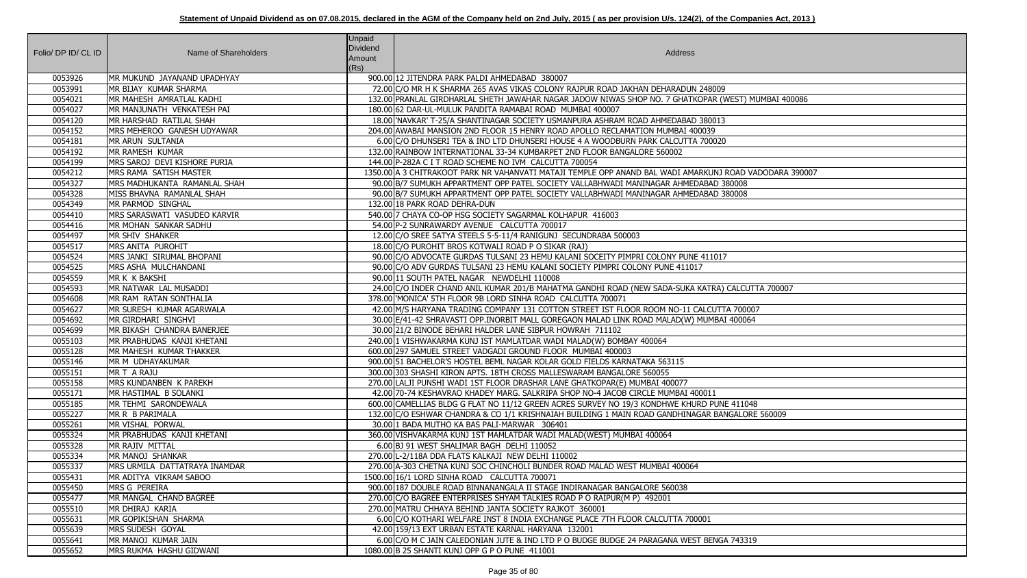| Folio/ DP ID/ CL ID | Name of Shareholders                                  | <b>Unpaid</b><br><b>Dividend</b> | Address                                                                                                                                      |
|---------------------|-------------------------------------------------------|----------------------------------|----------------------------------------------------------------------------------------------------------------------------------------------|
|                     |                                                       | Amount                           |                                                                                                                                              |
|                     |                                                       | (Rs)                             |                                                                                                                                              |
| 0053926             | MR MUKUND JAYANAND UPADHYAY                           |                                  | 900.00 12 JITENDRA PARK PALDI AHMEDABAD 380007                                                                                               |
| 0053991             | MR BIJAY KUMAR SHARMA                                 |                                  | 72.00 C/O MR H K SHARMA 265 AVAS VIKAS COLONY RAJPUR ROAD JAKHAN DEHARADUN 248009                                                            |
| 0054021             | MR MAHESH AMRATLAL KADHI                              |                                  | 132.00 PRANLAL GIRDHARLAL SHETH JAWAHAR NAGAR JADOW NIWAS SHOP NO. 7 GHATKOPAR (WEST) MUMBAI 400086                                          |
| 0054027             | MR MANJUNATH VENKATESH PAI                            |                                  | 180.00 62 DAR-UL-MULUK PANDITA RAMABAI ROAD MUMBAI 400007<br>18.00 YAVKAR' T-25/A SHANTINAGAR SOCIETY USMANPURA ASHRAM ROAD AHMEDABAD 380013 |
| 0054120<br>0054152  | MR HARSHAD RATILAL SHAH<br>MRS MEHEROO GANESH UDYAWAR |                                  | 204.00 AWABAI MANSION 2ND FLOOR 15 HENRY ROAD APOLLO RECLAMATION MUMBAI 400039                                                               |
| 0054181             |                                                       |                                  | 6.00 C/O DHUNSERI TEA & IND LTD DHUNSERI HOUSE 4 A WOODBURN PARK CALCUTTA 700020                                                             |
| 0054192             | MR ARUN SULTANIA<br><b>MR RAMESH KUMAR</b>            |                                  | 132.00 RAINBOW INTERNATIONAL 33-34 KUMBARPET 2ND FLOOR BANGALORE 560002                                                                      |
| 0054199             | MRS SAROJ DEVI KISHORE PURIA                          |                                  | 144.00 P-282A C I T ROAD SCHEME NO IVM CALCUTTA 700054                                                                                       |
| 0054212             | MRS RAMA SATISH MASTER                                |                                  | 1350.00 A 3 CHITRAKOOT PARK NR VAHANVATI MATAJI TEMPLE OPP ANAND BAL WADI AMARKUNJ ROAD VADODARA 390007                                      |
| 0054327             | <b>IMRS MADHUKANTA RAMANLAL SHAH</b>                  |                                  | 90.00 B/7 SUMUKH APPARTMENT OPP PATEL SOCIETY VALLABHWADI MANINAGAR AHMEDABAD 380008                                                         |
| 0054328             | MISS BHAVNA RAMANLAL SHAH                             |                                  | 90.00 B/7 SUMUKH APPARTMENT OPP PATEL SOCIETY VALLABHWADI MANINAGAR AHMEDABAD 380008                                                         |
| 0054349             | MR PARMOD SINGHAL                                     |                                  | 132.00118 PARK ROAD DEHRA-DUN                                                                                                                |
| 0054410             | MRS SARASWATI VASUDEO KARVIR                          |                                  | 540.00 7 CHAYA CO-OP HSG SOCIETY SAGARMAL KOLHAPUR 416003                                                                                    |
| 0054416             | MR MOHAN SANKAR SADHU                                 |                                  | 54.00 P-2 SUNRAWARDY AVENUE CALCUTTA 700017                                                                                                  |
| 0054497             | MR SHIV SHANKER                                       |                                  | 12.00 C/O SREE SATYA STEELS 5-5-11/4 RANIGUNJ SECUNDRABA 500003                                                                              |
| 0054517             | MRS ANITA PUROHIT                                     |                                  | 18.00 C/O PUROHIT BROS KOTWALI ROAD P O SIKAR (RAJ)                                                                                          |
| 0054524             | MRS JANKI SIRUMAL BHOPANI                             |                                  | 90.00 C/O ADVOCATE GURDAS TULSANI 23 HEMU KALANI SOCEITY PIMPRI COLONY PUNE 411017                                                           |
| 0054525             | MRS ASHA MULCHANDANI                                  |                                  | 90.00 C/O ADV GURDAS TULSANI 23 HEMU KALANI SOCIETY PIMPRI COLONY PUNE 411017                                                                |
| 0054559             | MR K K BAKSHI                                         |                                  | 90.00 11 SOUTH PATEL NAGAR NEWDELHI 110008                                                                                                   |
| 0054593             | MR NATWAR LAL MUSADDI                                 |                                  | 24.00 C/O INDER CHAND ANIL KUMAR 201/B MAHATMA GANDHI ROAD (NEW SADA-SUKA KATRA) CALCUTTA 700007                                             |
| 0054608             | MR RAM RATAN SONTHALIA                                |                                  | 378.00 MONICA' 5TH FLOOR 9B LORD SINHA ROAD CALCUTTA 700071                                                                                  |
| 0054627             | MR SURESH KUMAR AGARWALA                              |                                  | 42.00 M/S HARYANA TRADING COMPANY 131 COTTON STREET IST FLOOR ROOM NO-11 CALCUTTA 700007                                                     |
| 0054692             | MR GIRDHARI SINGHVI                                   |                                  | 30.00 E/41-42 SHRAVASTI OPP.INORBIT MALL GOREGAON MALAD LINK ROAD MALAD(W) MUMBAI 400064                                                     |
| 0054699             | MR BIKASH CHANDRA BANERJEE                            |                                  | 30.00 21/2 BINODE BEHARI HALDER LANE SIBPUR HOWRAH 711102                                                                                    |
| 0055103             | MR PRABHUDAS KANJI KHETANI                            |                                  | 240.00 1 VISHWAKARMA KUNJ IST MAMLATDAR WADI MALAD(W) BOMBAY 400064                                                                          |
| 0055128             | MR MAHESH KUMAR THAKKER                               |                                  | 600.00 297 SAMUEL STREET VADGADI GROUND FLOOR MUMBAI 400003                                                                                  |
| 0055146             | MR M UDHAYAKUMAR                                      |                                  | 900.00 51 BACHELOR'S HOSTEL BEML NAGAR KOLAR GOLD FIELDS KARNATAKA 563115                                                                    |
| 0055151             | MR T A RAJU                                           |                                  | 300.00 303 SHASHI KIRON APTS. 18TH CROSS MALLESWARAM BANGALORE 560055                                                                        |
| 0055158             | MRS KUNDANBEN K PAREKH                                |                                  | 270.00 LALJI PUNSHI WADI 1ST FLOOR DRASHAR LANE GHATKOPAR(E) MUMBAI 400077                                                                   |
| 0055171             | MR HASTIMAL B SOLANKI                                 |                                  | 42.00 70-74 KESHAVRAO KHADEY MARG. SALKRIPA SHOP NO-4 JACOB CIRCLE MUMBAI 400011                                                             |
| 0055185             | MR TEHMI SARONDEWALA                                  |                                  | 600.00 CAMELLIAS BLDG G FLAT NO 11/12 GREEN ACRES SURVEY NO 19/3 KONDHWE KHURD PUNE 411048                                                   |
| 0055227             | MR R B PARIMALA                                       |                                  | 132.00 C/O ESHWAR CHANDRA & CO 1/1 KRISHNAIAH BUILDING 1 MAIN ROAD GANDHINAGAR BANGALORE 560009                                              |
| 0055261             | MR VISHAL PORWAL                                      |                                  | 30.00 1 BADA MUTHO KA BAS PALI-MARWAR 306401                                                                                                 |
| 0055324             | MR PRABHUDAS KANJI KHETANI                            |                                  | 360.00 VISHVAKARMA KUNJ 1ST MAMLATDAR WADI MALAD(WEST) MUMBAI 400064                                                                         |
| 0055328             | MR RAJIV MITTAL                                       |                                  | 6.00 BJ 91 WEST SHALIMAR BAGH DELHI 110052                                                                                                   |
| 0055334             | MR MANOJ SHANKAR                                      |                                  | 270.00 L-2/118A DDA FLATS KALKAJI NEW DELHI 110002                                                                                           |
| 0055337             | MRS URMILA DATTATRAYA INAMDAR                         |                                  | 270.00 A-303 CHETNA KUNJ SOC CHINCHOLI BUNDER ROAD MALAD WEST MUMBAI 400064                                                                  |
| 0055431             | MR ADITYA VIKRAM SABOO                                |                                  | 1500.00 16/1 LORD SINHA ROAD CALCUTTA 700071                                                                                                 |
| 0055450             | MRS G PEREIRA                                         |                                  | 900.00 187 DOUBLE ROAD BINNANANGALA II STAGE INDIRANAGAR BANGALORE 560038                                                                    |
| 0055477             | MR MANGAL CHAND BAGREE                                |                                  | 270.00 C/O BAGREE ENTERPRISES SHYAM TALKIES ROAD P O RAIPUR(M P) 492001                                                                      |
| 0055510             | MR DHIRAJ KARIA                                       |                                  | 270.00 MATRU CHHAYA BEHIND JANTA SOCIETY RAJKOT 360001                                                                                       |
| 0055631             | MR GOPIKISHAN SHARMA                                  |                                  | 6.00 C/O KOTHARI WELFARE INST 8 INDIA EXCHANGE PLACE 7TH FLOOR CALCUTTA 700001                                                               |
| 0055639             | MRS SUDESH GOYAL                                      |                                  | 42.00 159/13 EXT URBAN ESTATE KARNAL HARYANA 132001                                                                                          |
| 0055641             | MR MANOJ KUMAR JAIN                                   |                                  | 6.00 C/O M C JAIN CALEDONIAN JUTE & IND LTD P O BUDGE BUDGE 24 PARAGANA WEST BENGA 743319                                                    |
| 0055652             | MRS RUKMA HASHU GIDWANI                               |                                  | 1080.00 B 25 SHANTI KUNJ OPP G P O PUNE 411001                                                                                               |

| 9                       |
|-------------------------|
| WEST) MUMBAI 400086     |
|                         |
| $\overline{\mathbf{3}}$ |
| $\overline{0}$          |
|                         |
|                         |
| ROAD VADODARA 390007    |
| 380008<br>380008        |
|                         |
|                         |
|                         |
|                         |
| $\overline{7}$          |
|                         |
|                         |
| CALCUTTA 700007         |
| TA 700007               |
| I 400064                |
|                         |
|                         |
|                         |
|                         |
|                         |
|                         |
| <b>JE 411048</b>        |
| NGALORE 560009          |
|                         |
|                         |
|                         |
|                         |
|                         |
|                         |
|                         |
|                         |
| GA 743319               |
|                         |
|                         |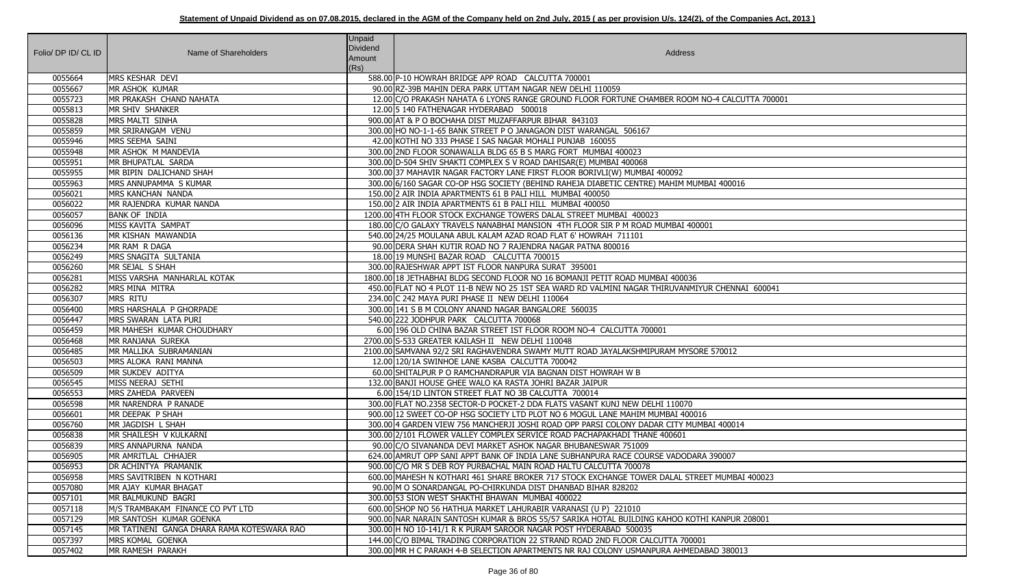| Folio/ DP ID/ CL ID | Name of Shareholders                                                  | <b>Unpaid</b><br>Dividend<br>Amount<br>(Rs) | Address                                                                                                                                                           |
|---------------------|-----------------------------------------------------------------------|---------------------------------------------|-------------------------------------------------------------------------------------------------------------------------------------------------------------------|
| 0055664             | <b>MRS KESHAR DEVI</b>                                                |                                             | 588.00 P-10 HOWRAH BRIDGE APP ROAD CALCUTTA 700001                                                                                                                |
| 0055667             | MR ASHOK KUMAR                                                        |                                             | 90.00 RZ-39B MAHIN DERA PARK UTTAM NAGAR NEW DELHI 110059                                                                                                         |
| 0055723             | MR PRAKASH CHAND NAHATA                                               |                                             | 12.00 C/O PRAKASH NAHATA 6 LYONS RANGE GROUND FLOOR FORTUNE CHAMBER ROOM NO-4 CALCUTTA 700001                                                                     |
| 0055813             | MR SHIV SHANKER                                                       |                                             | 12.00 5 140 FATHENAGAR HYDERABAD 500018                                                                                                                           |
| 0055828             | MRS MALTI SINHA                                                       |                                             | 900.00 AT & P O BOCHAHA DIST MUZAFFARPUR BIHAR 843103                                                                                                             |
| 0055859             | MR SRIRANGAM VENU                                                     |                                             | 300.00 HO NO-1-1-65 BANK STREET P O JANAGAON DIST WARANGAL 506167                                                                                                 |
| 0055946             | MRS SEEMA SAINI                                                       |                                             | 42.00 KOTHI NO 333 PHASE I SAS NAGAR MOHALI PUNJAB 160055                                                                                                         |
| 0055948             | MR ASHOK M MANDEVIA                                                   |                                             | 300.00 2ND FLOOR SONAWALLA BLDG 65 B S MARG FORT MUMBAI 400023                                                                                                    |
| 0055951             | MR BHUPATLAL SARDA                                                    |                                             | 300.00 D-504 SHIV SHAKTI COMPLEX S V ROAD DAHISAR(E) MUMBAI 400068                                                                                                |
| 0055955             | MR BIPIN DALICHAND SHAH                                               |                                             | 300.00 37 MAHAVIR NAGAR FACTORY LANE FIRST FLOOR BORIVLI(W) MUMBAI 400092                                                                                         |
| 0055963             | MRS ANNUPAMMA S KUMAR                                                 |                                             | 300.00 6/160 SAGAR CO-OP HSG SOCIETY (BEHIND RAHEJA DIABETIC CENTRE) MAHIM MUMBAI 400016                                                                          |
| 0056021             | MRS KANCHAN NANDA                                                     |                                             | 150.00 2 AIR INDIA APARTMENTS 61 B PALI HILL MUMBAI 400050                                                                                                        |
| 0056022             | MR RAJENDRA KUMAR NANDA                                               |                                             | 150.00 2 AIR INDIA APARTMENTS 61 B PALI HILL MUMBAI 400050                                                                                                        |
| 0056057             | <b>BANK OF INDIA</b>                                                  |                                             | 1200.00 4TH FLOOR STOCK EXCHANGE TOWERS DALAL STREET MUMBAI 400023                                                                                                |
| 0056096             | MISS KAVITA SAMPAT                                                    |                                             | 180.00 C/O GALAXY TRAVELS NANABHAI MANSION 4TH FLOOR SIR P M ROAD MUMBAI 400001                                                                                   |
| 0056136             | MR KISHAN MAWANDIA                                                    |                                             | 540.00 24/25 MOULANA ABUL KALAM AZAD ROAD FLAT 6' HOWRAH 711101                                                                                                   |
| 0056234             | MR RAM R DAGA                                                         |                                             | 90.00 DERA SHAH KUTIR ROAD NO 7 RAJENDRA NAGAR PATNA 800016                                                                                                       |
| 0056249             | MRS SNAGITA SULTANIA                                                  |                                             | 18.00 19 MUNSHI BAZAR ROAD CALCUTTA 700015                                                                                                                        |
| 0056260             | MR SEJAL S SHAH                                                       |                                             | 300.00 RAJESHWAR APPT IST FLOOR NANPURA SURAT 395001                                                                                                              |
| 0056281             | MISS VARSHA MANHARLAL KOTAK                                           |                                             | 1800.00 18 JETHABHAI BLDG SECOND FLOOR NO 16 BOMANJI PETIT ROAD MUMBAI 400036                                                                                     |
| 0056282             | MRS MINA MITRA                                                        |                                             | 450.00 FLAT NO 4 PLOT 11-B NEW NO 25 1ST SEA WARD RD VALMINI NAGAR THIRUVANMIYUR CHENNAI 600041                                                                   |
| 0056307             | <b>MRS RITU</b>                                                       |                                             | 234.00 C 242 MAYA PURI PHASE II NEW DELHI 110064                                                                                                                  |
| 0056400             | MRS HARSHALA P GHORPADE                                               |                                             | 300.00 141 S B M COLONY ANAND NAGAR BANGALORE 560035                                                                                                              |
| 0056447             | MRS SWARAN LATA PURI                                                  |                                             | 540.00 222 JODHPUR PARK CALCUTTA 700068                                                                                                                           |
| 0056459             | MR MAHESH KUMAR CHOUDHARY                                             |                                             | 6.00 196 OLD CHINA BAZAR STREET IST FLOOR ROOM NO-4 CALCUTTA 700001                                                                                               |
| 0056468             | MR RANJANA SUREKA                                                     |                                             | 2700.00 S-533 GREATER KAILASH II NEW DELHI 110048                                                                                                                 |
| 0056485             | MR MALLIKA SUBRAMANIAN                                                |                                             | 2100.00 SAMVANA 92/2 SRI RAGHAVENDRA SWAMY MUTT ROAD JAYALAKSHMIPURAM MYSORE 570012                                                                               |
| 0056503             | MRS ALOKA RANI MANNA                                                  |                                             | 12.00 120/1A SWINHOE LANE KASBA CALCUTTA 700042                                                                                                                   |
| 0056509             | MR SUKDEV ADITYA                                                      |                                             | 60.00 SHITALPUR P O RAMCHANDRAPUR VIA BAGNAN DIST HOWRAH W B                                                                                                      |
| 0056545             | MISS NEERAJ SETHI                                                     |                                             | 132.00 BANJI HOUSE GHEE WALO KA RASTA JOHRI BAZAR JAIPUR                                                                                                          |
| 0056553             | MRS ZAHEDA PARVEEN                                                    |                                             | 6.00 154/1D LINTON STREET FLAT NO 3B CALCUTTA 700014                                                                                                              |
| 0056598             | MR NARENDRA P RANADE                                                  |                                             | 300.00 FLAT NO.2358 SECTOR-D POCKET-2 DDA FLATS VASANT KUNJ NEW DELHI 110070                                                                                      |
| 0056601             | MR DEEPAK P SHAH                                                      |                                             | 900.00 12 SWEET CO-OP HSG SOCIETY LTD PLOT NO 6 MOGUL LANE MAHIM MUMBAI 400016                                                                                    |
| 0056760             | MR JAGDISH L SHAH                                                     |                                             | 300.00 4 GARDEN VIEW 756 MANCHERJI JOSHI ROAD OPP PARSI COLONY DADAR CITY MUMBAI 400014                                                                           |
| 0056838             | MR SHAILESH V KULKARNI                                                |                                             | 300.00 2/101 FLOWER VALLEY COMPLEX SERVICE ROAD PACHAPAKHADI THANE 400601                                                                                         |
| 0056839             | MRS ANNAPURNA NANDA                                                   |                                             | 90.00 C/O SIVANANDA DEVI MARKET ASHOK NAGAR BHUBANESWAR 751009                                                                                                    |
| 0056905             | MR AMRITLAL CHHAJER                                                   |                                             | 624.00 AMRUT OPP SANI APPT BANK OF INDIA LANE SUBHANPURA RACE COURSE VADODARA 390007                                                                              |
| 0056953             | <b>DR ACHINTYA PRAMANIK</b>                                           |                                             | 900.00 C/O MR S DEB ROY PURBACHAL MAIN ROAD HALTU CALCUTTA 700078                                                                                                 |
| 0056958             | MRS SAVITRIBEN   N KOTHARI                                            |                                             | 600.00 MAHESH N KOTHARI 461 SHARE BROKER 717 STOCK EXCHANGE TOWER DALAL STREET MUMBAI 400023                                                                      |
| 0057080             | MR AJAY KUMAR BHAGAT                                                  |                                             | 90.00 M O SONARDANGAL PO-CHIRKUNDA DIST DHANBAD BIHAR 828202                                                                                                      |
| 0057101             | MR BALMUKUND BAGRI                                                    |                                             | 300.00 53 SION WEST SHAKTHI BHAWAN MUMBAI 400022                                                                                                                  |
| 0057118             | M/S TRAMBAKAM FINANCE CO PVT LTD                                      |                                             | 600.00 SHOP NO 56 HATHUA MARKET LAHURABIR VARANASI (U P) 221010                                                                                                   |
| 0057129<br>0057145  | MR SANTOSH KUMAR GOENKA<br>MR TATINENI GANGA DHARA RAMA KOTESWARA RAO |                                             | 900.00 NAR NARAIN SANTOSH KUMAR & BROS 55/57 SARIKA HOTAL BUILDING KAHOO KOTHI KANPUR 208001<br>300.00 H NO 10-141/1 R K PURAM SAROOR NAGAR POST HYDERABAD 500035 |
| 0057397             | MRS KOMAL GOENKA                                                      |                                             | 144.00 C/O BIMAL TRADING CORPORATION 22 STRAND ROAD 2ND FLOOR CALCUTTA 700001                                                                                     |
| 0057402             | MR RAMESH PARAKH                                                      |                                             | 300.00 MR H C PARAKH 4-B SELECTION APARTMENTS NR RAJ COLONY USMANPURA AHMEDABAD 380013                                                                            |
|                     |                                                                       |                                             |                                                                                                                                                                   |

| CALCUTTA 700001 |
|-----------------|
|                 |
| 00016           |
|                 |
|                 |
| HENNAI 600041   |
| 0012            |
|                 |
| 00014           |
| 007             |
| UMBAI 400023    |
| NPUR 208001     |
| 380013          |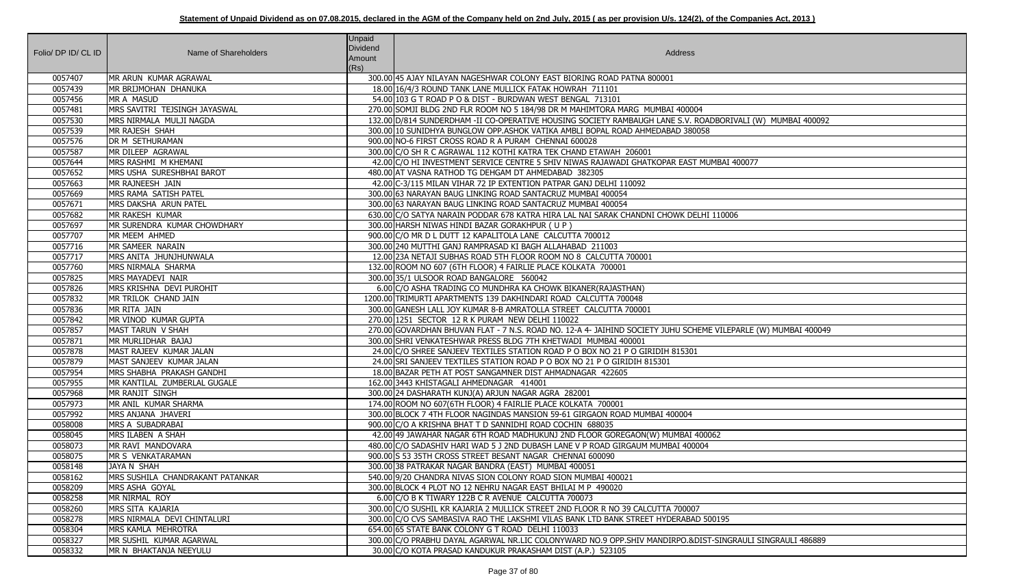| Folio/ DP ID/ CL ID | Name of Shareholders             | <b>Unpaid</b><br><b>Dividend</b><br>Amount<br>(Rs) | Address                                                                                                        |
|---------------------|----------------------------------|----------------------------------------------------|----------------------------------------------------------------------------------------------------------------|
| 0057407             | MR ARUN KUMAR AGRAWAL            |                                                    | 300.00   45 AJAY NILAYAN NAGESHWAR COLONY EAST BIORING ROAD PATNA 800001                                       |
| 0057439             | MR BRIJMOHAN DHANUKA             |                                                    | 18.00 16/4/3 ROUND TANK LANE MULLICK FATAK HOWRAH 711101                                                       |
| 0057456             | MR A MASUD                       |                                                    | 54.00 103 G T ROAD P O & DIST - BURDWAN WEST BENGAL 713101                                                     |
| 0057481             | MRS SAVITRI TEJSINGH JAYASWAL    |                                                    | 270.00 SOMJI BLDG 2ND FLR ROOM NO 5 184/98 DR M MAHIMTORA MARG MUMBAI 400004                                   |
| 0057530             | MRS NIRMALA MULJI NAGDA          |                                                    | 132.00 D/814 SUNDERDHAM -II CO-OPERATIVE HOUSING SOCIETY RAMBAUGH LANE S.V. ROADBORIVALI (W) MUMBAI 400092     |
| 0057539             | MR RAJESH SHAH                   |                                                    | 300.00 10 SUNIDHYA BUNGLOW OPP.ASHOK VATIKA AMBLI BOPAL ROAD AHMEDABAD 380058                                  |
| 0057576             | <b>DR M SETHURAMAN</b>           |                                                    | 900.00 NO-6 FIRST CROSS ROAD R A PURAM CHENNAI 600028                                                          |
| 0057587             | MR DILEEP AGRAWAL                |                                                    | 300.00 C/O SH R C AGRAWAL 112 KOTHI KATRA TEK CHAND ETAWAH 206001                                              |
| 0057644             | MRS RASHMI M KHEMANI             |                                                    | 42.00 C/O HI INVESTMENT SERVICE CENTRE 5 SHIV NIWAS RAJAWADI GHATKOPAR EAST MUMBAI 400077                      |
| 0057652             | MRS USHA SURESHBHAI BAROT        |                                                    | 480.00 AT VASNA RATHOD TG DEHGAM DT AHMEDABAD 382305                                                           |
| 0057663             | MR RAJNEESH JAIN                 |                                                    | 42.00 C-3/115 MILAN VIHAR 72 IP EXTENTION PATPAR GANJ DELHI 110092                                             |
| 0057669             | MRS RAMA SATISH PATEL            |                                                    | 300.00 63 NARAYAN BAUG LINKING ROAD SANTACRUZ MUMBAI 400054                                                    |
| 0057671             | MRS DAKSHA ARUN PATEL            |                                                    | 300.00 63 NARAYAN BAUG LINKING ROAD SANTACRUZ MUMBAI 400054                                                    |
| 0057682             | MR RAKESH KUMAR                  |                                                    | 630.00 C/O SATYA NARAIN PODDAR 678 KATRA HIRA LAL NAI SARAK CHANDNI CHOWK DELHI 110006                         |
| 0057697             | MR SURENDRA KUMAR CHOWDHARY      |                                                    | 300.00 HARSH NIWAS HINDI BAZAR GORAKHPUR (UP)                                                                  |
| 0057707             | MR MEEM AHMED                    |                                                    | 900.00 C/O MR D L DUTT 12 KAPALITOLA LANE CALCUTTA 700012                                                      |
| 0057716             | MR SAMEER NARAIN                 |                                                    | 300.00 240 MUTTHI GANJ RAMPRASAD KI BAGH ALLAHABAD 211003                                                      |
| 0057717             | MRS ANITA JHUNJHUNWALA           |                                                    | 12.00 23A NETAJI SUBHAS ROAD 5TH FLOOR ROOM NO 8 CALCUTTA 700001                                               |
| 0057760             | MRS NIRMALA SHARMA               |                                                    | 132.00 ROOM NO 607 (6TH FLOOR) 4 FAIRLIE PLACE KOLKATA 700001                                                  |
| 0057825             | MRS MAYADEVI NAIR                |                                                    | 300.00 35/1 ULSOOR ROAD BANGALORE 560042                                                                       |
| 0057826             | MRS KRISHNA DEVI PUROHIT         |                                                    | 6.00 C/O ASHA TRADING CO MUNDHRA KA CHOWK BIKANER (RAJASTHAN)                                                  |
| 0057832             | MR TRILOK CHAND JAIN             |                                                    | 1200.00 TRIMURTI APARTMENTS 139 DAKHINDARI ROAD CALCUTTA 700048                                                |
| 0057836             | MR RITA JAIN                     |                                                    | 300.00 GANESH LALL JOY KUMAR 8-B AMRATOLLA STREET CALCUTTA 700001                                              |
| 0057842             | MR VINOD KUMAR GUPTA             |                                                    | 270.00 1251 SECTOR 12 R K PURAM NEW DELHI 110022                                                               |
| 0057857             | MAST TARUN V SHAH                |                                                    | 270.00 GOVARDHAN BHUVAN FLAT - 7 N.S. ROAD NO. 12-A 4- JAIHIND SOCIETY JUHU SCHEME VILEPARLE (W) MUMBAI 400049 |
| 0057871             | MR MURLIDHAR BAJAJ               |                                                    | 300.00 SHRI VENKATESHWAR PRESS BLDG 7TH KHETWADI MUMBAI 400001                                                 |
| 0057878             | MAST RAJEEV KUMAR JALAN          |                                                    | 24.00 C/O SHREE SANJEEV TEXTILES STATION ROAD P O BOX NO 21 P O GIRIDIH 815301                                 |
| 0057879             | MAST SANJEEV KUMAR JALAN         |                                                    | 24.00 SRI SANJEEV TEXTILES STATION ROAD P O BOX NO 21 P O GIRIDIH 815301                                       |
| 0057954             | MRS SHABHA PRAKASH GANDHI        |                                                    | 18.00 BAZAR PETH AT POST SANGAMNER DIST AHMADNAGAR 422605                                                      |
| 0057955             | MR KANTILAL ZUMBERLAL GUGALE     |                                                    | 162.00 3443 KHISTAGALI AHMEDNAGAR 414001                                                                       |
| 0057968             | MR RANJIT SINGH                  |                                                    | 300.00 24 DASHARATH KUNJ(A) ARJUN NAGAR AGRA 282001                                                            |
| 0057973             | MR ANIL KUMAR SHARMA             |                                                    | 174.00 ROOM NO 607(6TH FLOOR) 4 FAIRLIE PLACE KOLKATA 700001                                                   |
| 0057992             | MRS ANJANA JHAVERI               |                                                    | 300.00 BLOCK 7 4TH FLOOR NAGINDAS MANSION 59-61 GIRGAON ROAD MUMBAI 400004                                     |
| 0058008             | MRS A SUBADRABAI                 |                                                    | 900.00 C/O A KRISHNA BHAT T D SANNIDHI ROAD COCHIN 688035                                                      |
| 0058045             | MRS ILABEN A SHAH                |                                                    | 42.00 49 JAWAHAR NAGAR 6TH ROAD MADHUKUNJ 2ND FLOOR GOREGAON(W) MUMBAI 400062                                  |
| 0058073             | MR RAVI MANDOVARA                |                                                    | 480.00 C/O SADASHIV HARI WAD 5 J 2ND DUBASH LANE V P ROAD GIRGAUM MUMBAI 400004                                |
| 0058075             | MR S VENKATARAMAN                |                                                    | 900.00 S 53 35TH CROSS STREET BESANT NAGAR CHENNAI 600090                                                      |
| 0058148             | JAYA N SHAH                      |                                                    | 300.00 38 PATRAKAR NAGAR BANDRA (EAST) MUMBAI 400051                                                           |
| 0058162             | MRS SUSHILA CHANDRAKANT PATANKAR |                                                    | 540.00 9/20 CHANDRA NIVAS SION COLONY ROAD SION MUMBAI 400021                                                  |
| 0058209             | MRS ASHA GOYAL                   |                                                    | 300.00 BLOCK 4 PLOT NO 12 NEHRU NAGAR EAST BHILAI M P 490020                                                   |
| 0058258             | MR NIRMAL ROY                    |                                                    | 6.00 C/O B K TIWARY 122B C R AVENUE CALCUTTA 700073                                                            |
| 0058260             | MRS SITA KAJARIA                 |                                                    | 300.00 C/O SUSHIL KR KAJARIA 2 MULLICK STREET 2ND FLOOR R NO 39 CALCUTTA 700007                                |
| 0058278             | MRS NIRMALA DEVI CHINTALURI      |                                                    | 300.00 C/O CVS SAMBASIVA RAO THE LAKSHMI VILAS BANK LTD BANK STREET HYDERABAD 500195                           |
| 0058304             | MRS KAMLA MEHROTRA               |                                                    | 654.00 65 STATE BANK COLONY G T ROAD DELHI 110033                                                              |
| 0058327             | MR SUSHIL KUMAR AGARWAL          |                                                    | 300.00 C/O PRABHU DAYAL AGARWAL NR.LIC COLONYWARD NO.9 OPP.SHIV MANDIRPO.&DIST-SINGRAULI SINGRAULI 486889      |
| 0058332             | MR N BHAKTANJA NEEYULU           |                                                    | 30.00 C/O KOTA PRASAD KANDUKUR PRAKASHAM DIST (A.P.) 523105                                                    |

|  | )RIVALI (W) MUMBAI 400092 |
|--|---------------------------|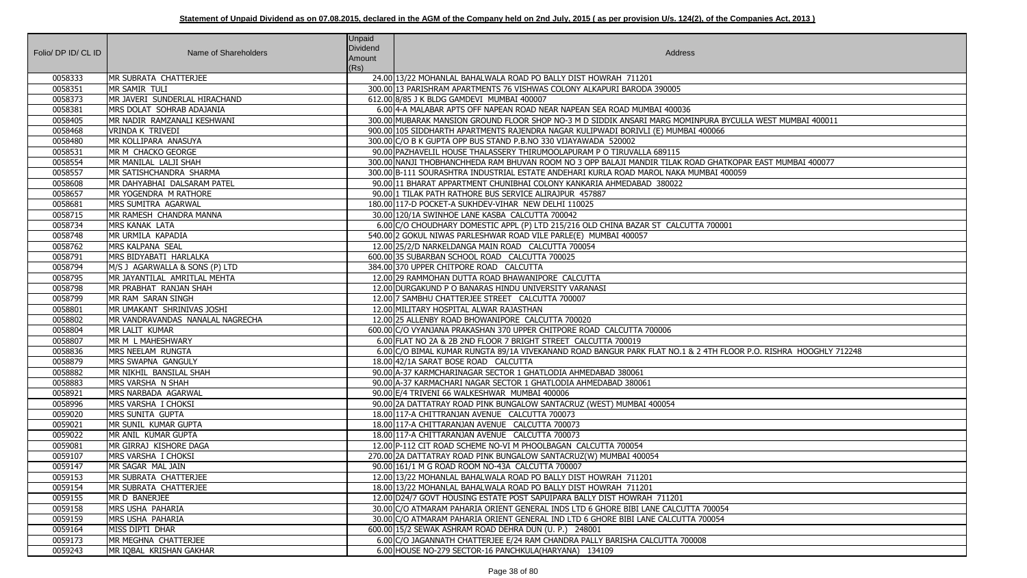|                     |                                                  | Unpaid   |                                                                                                                                                                                 |
|---------------------|--------------------------------------------------|----------|---------------------------------------------------------------------------------------------------------------------------------------------------------------------------------|
| Folio/ DP ID/ CL ID | Name of Shareholders                             | Dividend | Address                                                                                                                                                                         |
|                     |                                                  | Amount   |                                                                                                                                                                                 |
|                     |                                                  | (Rs)     |                                                                                                                                                                                 |
| 0058333             | MR SUBRATA CHATTERJEE                            |          | 24.00 13/22 MOHANLAL BAHALWALA ROAD PO BALLY DIST HOWRAH 711201                                                                                                                 |
| 0058351             | MR SAMIR TULI                                    |          | 300.00 13 PARISHRAM APARTMENTS 76 VISHWAS COLONY ALKAPURI BARODA 390005                                                                                                         |
| 0058373             | MR JAVERI SUNDERLAL HIRACHAND                    |          | 612.00 8/85 J K BLDG GAMDEVI MUMBAI 400007                                                                                                                                      |
| 0058381             | MRS DOLAT SOHRAB ADAJANIA                        |          | 6.00 4-A MALABAR APTS OFF NAPEAN ROAD NEAR NAPEAN SEA ROAD MUMBAI 400036                                                                                                        |
| 0058405             | MR NADIR RAMZANALI KESHWANI                      |          | 300.00 MUBARAK MANSION GROUND FLOOR SHOP NO-3 M D SIDDIK ANSARI MARG MOMINPURA BYCULI                                                                                           |
| 0058468             | <b>VRINDA K TRIVEDI</b>                          |          | 900.00 105 SIDDHARTH APARTMENTS RAJENDRA NAGAR KULIPWADI BORIVLI (E) MUMBAI 400066                                                                                              |
| 0058480             | MR KOLLIPARA ANASUYA                             |          | 300.00 C/O B K GUPTA OPP BUS STAND P.B.NO 330 VIJAYAWADA 520002                                                                                                                 |
| 0058531             | MR M CHACKO GEORGE                               |          | 90.00 PAZHAVELIL HOUSE THALASSERY THIRUMOOLAPURAM P O TIRUVALLA 689115                                                                                                          |
| 0058554<br>0058557  | MR MANILAL LALJI SHAH<br>MR SATISHCHANDRA SHARMA |          | 300.00 NANJI THOBHANCHHEDA RAM BHUVAN ROOM NO 3 OPP BALAJI MANDIR TILAK ROAD GHATKOPA<br>300.00 B-111 SOURASHTRA INDUSTRIAL ESTATE ANDEHARI KURLA ROAD MAROL NAKA MUMBAI 400059 |
| 0058608             | MR DAHYABHAI DALSARAM PATEL                      |          | 90.00 11 BHARAT APPARTMENT CHUNIBHAI COLONY KANKARIA AHMEDABAD 380022                                                                                                           |
| 0058657             | <b>MR YOGENDRA M RATHORE</b>                     |          | 90.00 1 TILAK PATH RATHORE BUS SERVICE ALIRAJPUR 457887                                                                                                                         |
| 0058681             | MRS SUMITRA AGARWAL                              |          | 180.00 117-D POCKET-A SUKHDEV-VIHAR NEW DELHI 110025                                                                                                                            |
| 0058715             | IMR RAMESH CHANDRA MANNA                         |          | 30.00 120/1A SWINHOE LANE KASBA CALCUTTA 700042                                                                                                                                 |
| 0058734             | MRS KANAK LATA                                   |          | 6.00 C/O CHOUDHARY DOMESTIC APPL (P) LTD 215/216 OLD CHINA BAZAR ST CALCUTTA 700001                                                                                             |
| 0058748             | MR URMILA KAPADIA                                |          | 540.00 2 GOKUL NIWAS PARLESHWAR ROAD VILE PARLE(E) MUMBAI 400057                                                                                                                |
| 0058762             | MRS KALPANA SEAL                                 |          | 12.00 25/2/D NARKELDANGA MAIN ROAD CALCUTTA 700054                                                                                                                              |
| 0058791             | MRS BIDYABATI HARLALKA                           |          | 600.00 35 SUBARBAN SCHOOL ROAD CALCUTTA 700025                                                                                                                                  |
| 0058794             | M/S J AGARWALLA & SONS (P) LTD                   |          | 384.00 370 UPPER CHITPORE ROAD CALCUTTA                                                                                                                                         |
| 0058795             | MR JAYANTILAL AMRITLAL MEHTA                     |          | 12.00 29 RAMMOHAN DUTTA ROAD BHAWANIPORE CALCUTTA                                                                                                                               |
| 0058798             | MR PRABHAT RANJAN SHAH                           |          | 12.00 DURGAKUND P O BANARAS HINDU UNIVERSITY VARANASI                                                                                                                           |
| 0058799             | MR RAM SARAN SINGH                               |          | 12.00 7 SAMBHU CHATTERJEE STREET CALCUTTA 700007                                                                                                                                |
| 0058801             | MR UMAKANT SHRINIVAS JOSHI                       |          | 12.00 MILITARY HOSPITAL ALWAR RAJASTHAN                                                                                                                                         |
| 0058802             | MR VANDRAVANDAS NANALAL NAGRECHA                 |          | 12.00 25 ALLENBY ROAD BHOWANIPORE CALCUTTA 700020                                                                                                                               |
| 0058804             | MR LALIT KUMAR                                   |          | 600.00 C/O VYANJANA PRAKASHAN 370 UPPER CHITPORE ROAD CALCUTTA 700006                                                                                                           |
| 0058807             | MR M L MAHESHWARY                                |          | 6.00 FLAT NO 2A & 2B 2ND FLOOR 7 BRIGHT STREET CALCUTTA 700019                                                                                                                  |
| 0058836             | MRS NEELAM RUNGTA                                |          | 6.00 C/O BIMAL KUMAR RUNGTA 89/1A VIVEKANAND ROAD BANGUR PARK FLAT NO.1 & 2 4TH FLOOR                                                                                           |
| 0058879             | MRS SWAPNA GANGULY                               |          | 18.00 42/1A SARAT BOSE ROAD CALCUTTA                                                                                                                                            |
| 0058882             | MR NIKHIL BANSILAL SHAH                          |          | 90.00 A-37 KARMCHARINAGAR SECTOR 1 GHATLODIA AHMEDABAD 380061                                                                                                                   |
| 0058883             | MRS VARSHA N SHAH                                |          | 90.00 A-37 KARMACHARI NAGAR SECTOR 1 GHATLODIA AHMEDABAD 380061                                                                                                                 |
| 0058921             | MRS NARBADA AGARWAL                              |          | 90.00 E/4 TRIVENI 66 WALKESHWAR MUMBAI 400006                                                                                                                                   |
| 0058996             | MRS VARSHA I CHOKSI                              |          | 90.00 2A DATTATRAY ROAD PINK BUNGALOW SANTACRUZ (WEST) MUMBAI 400054                                                                                                            |
| 0059020             | MRS SUNITA GUPTA                                 |          | 18.00 117-A CHITTRANJAN AVENUE CALCUTTA 700073                                                                                                                                  |
| 0059021             | MR SUNIL KUMAR GUPTA                             |          | 18.00 117-A CHITTARANJAN AVENUE CALCUTTA 700073                                                                                                                                 |
| 0059022             | MR ANIL KUMAR GUPTA                              |          | 18.00 117-A CHITTARANJAN AVENUE CALCUTTA 700073                                                                                                                                 |
| 0059081             | MR GIRRAJ KISHORE DAGA                           |          | 12.00 P-112 CIT ROAD SCHEME NO-VI M PHOOLBAGAN CALCUTTA 700054                                                                                                                  |
| 0059107             | MRS VARSHA I CHOKSI                              |          | 270.00 2A DATTATRAY ROAD PINK BUNGALOW SANTACRUZ(W) MUMBAI 400054                                                                                                               |
| 0059147             | MR SAGAR MAL JAIN                                |          | 90.00 161/1 M G ROAD ROOM NO-43A CALCUTTA 700007                                                                                                                                |
| 0059153             | MR SUBRATA CHATTERJEE                            |          | 12.00 13/22 MOHANLAL BAHALWALA ROAD PO BALLY DIST HOWRAH 711201                                                                                                                 |
| 0059154             | MR SUBRATA CHATTERJEE                            |          | 18.00 13/22 MOHANLAL BAHALWALA ROAD PO BALLY DIST HOWRAH 711201                                                                                                                 |
| 0059155             | MR D BANERJEE                                    |          | 12.00 D24/7 GOVT HOUSING ESTATE POST SAPUIPARA BALLY DIST HOWRAH 711201                                                                                                         |
| 0059158             | <b>MRS USHA PAHARIA</b>                          |          | 30.00 C/O ATMARAM PAHARIA ORIENT GENERAL INDS LTD 6 GHORE BIBI LANE CALCUTTA 700054                                                                                             |
| 0059159             | MRS USHA PAHARIA                                 |          | 30.00 C/O ATMARAM PAHARIA ORIENT GENERAL IND LTD 6 GHORE BIBI LANE CALCUTTA 700054                                                                                              |
| 0059164             | MISS DIPTI DHAR                                  |          | 600.00 15/2 SEWAK ASHRAM ROAD DEHRA DUN (U. P.) 248001                                                                                                                          |
| 0059173             | MR MEGHNA CHATTERJEE                             |          | 6.00 C/O JAGANNATH CHATTERJEE E/24 RAM CHANDRA PALLY BARISHA CALCUTTA 700008                                                                                                    |
| 0059243             | MR IQBAL KRISHAN GAKHAR                          |          | 6.00 HOUSE NO-279 SECTOR-16 PANCHKULA(HARYANA) 134109                                                                                                                           |

BYCULLA WEST MUMBAI 400011

ATKOPAR EAST MUMBAI 400077<br>400059

FLOOR P.O. RISHRA HOOGHLY 712248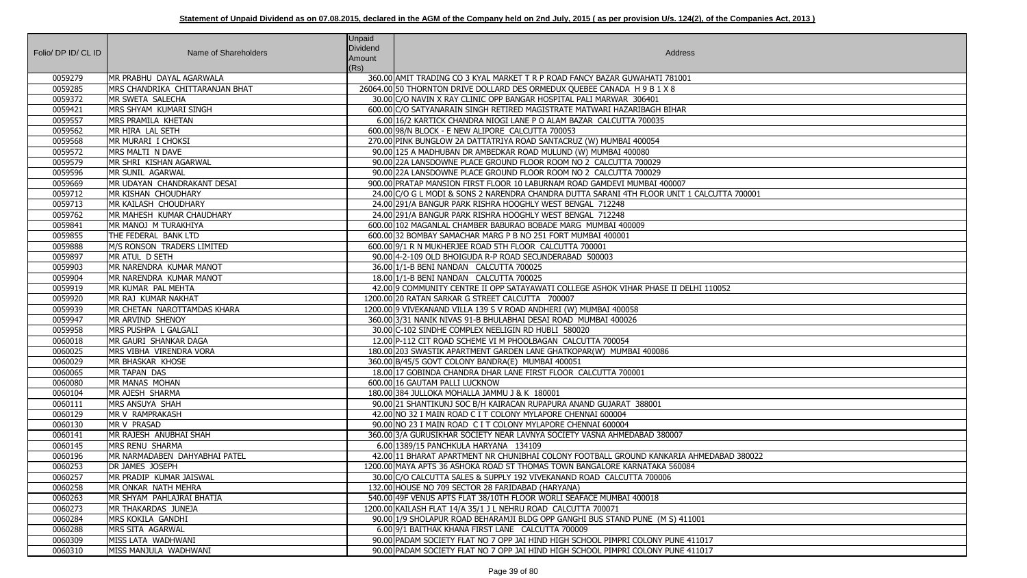| Folio/ DP ID/ CL ID | Name of Shareholders            | <b>Unpaid</b><br><b>Dividend</b><br>Amount<br>(Rs) | Address                                                                                                                                                              |
|---------------------|---------------------------------|----------------------------------------------------|----------------------------------------------------------------------------------------------------------------------------------------------------------------------|
| 0059279             | MR PRABHU DAYAL AGARWALA        |                                                    | 360.00 AMIT TRADING CO 3 KYAL MARKET T R P ROAD FANCY BAZAR GUWAHATI 781001                                                                                          |
| 0059285             | MRS CHANDRIKA CHITTARANJAN BHAT |                                                    | 26064.00 50 THORNTON DRIVE DOLLARD DES ORMEDUX QUEBEE CANADA H 9 B 1 X 8                                                                                             |
| 0059372             | MR SWETA SALECHA                |                                                    | 30.00 C/O NAVIN X RAY CLINIC OPP BANGAR HOSPITAL PALI MARWAR 306401                                                                                                  |
| 0059421             | MRS SHYAM KUMARI SINGH          |                                                    | 600.00 C/O SATYANARAIN SINGH RETIRED MAGISTRATE MATWARI HAZARIBAGH BIHAR                                                                                             |
| 0059557             | MRS PRAMILA KHETAN              |                                                    | 6.00 16/2 KARTICK CHANDRA NIOGI LANE P O ALAM BAZAR CALCUTTA 700035                                                                                                  |
| 0059562             | MR HIRA LAL SETH                |                                                    | 600.00 98/N BLOCK - E NEW ALIPORE CALCUTTA 700053                                                                                                                    |
| 0059568             | MR MURARI I CHOKSI              |                                                    | 270.00 PINK BUNGLOW 2A DATTATRIYA ROAD SANTACRUZ (W) MUMBAI 400054                                                                                                   |
| 0059572             | MRS MALTI N DAVE                |                                                    | 90.00 125 A MADHUBAN DR AMBEDKAR ROAD MULUND (W) MUMBAI 400080                                                                                                       |
| 0059579             | MR SHRI KISHAN AGARWAL          |                                                    | 90.00 22A LANSDOWNE PLACE GROUND FLOOR ROOM NO 2 CALCUTTA 700029                                                                                                     |
| 0059596             | MR SUNIL AGARWAL                |                                                    | 90.00 22A LANSDOWNE PLACE GROUND FLOOR ROOM NO 2 CALCUTTA 700029                                                                                                     |
| 0059669             | MR UDAYAN CHANDRAKANT DESAI     |                                                    | 900.00 PRATAP MANSION FIRST FLOOR 10 LABURNAM ROAD GAMDEVI MUMBAI 400007                                                                                             |
| 0059712             | MR KISHAN CHOUDHARY             |                                                    | 24.00 C/O G L MODI & SONS 2 NARENDRA CHANDRA DUTTA SARANI 4TH FLOOR UNIT 1 CALCUTTA 700001                                                                           |
| 0059713             | MR KAILASH CHOUDHARY            |                                                    | 24.00 291/A BANGUR PARK RISHRA HOOGHLY WEST BENGAL 712248                                                                                                            |
| 0059762             | MR MAHESH KUMAR CHAUDHARY       |                                                    | 24.00 291/A BANGUR PARK RISHRA HOOGHLY WEST BENGAL 712248                                                                                                            |
| 0059841             | MR MANOJ M TURAKHIYA            |                                                    | 600.00 102 MAGANLAL CHAMBER BABURAO BOBADE MARG MUMBAI 400009                                                                                                        |
| 0059855             | THE FEDERAL BANK LTD            |                                                    | 600.00 32 BOMBAY SAMACHAR MARG P B NO 251 FORT MUMBAI 400001                                                                                                         |
| 0059888             | M/S RONSON TRADERS LIMITED      |                                                    | 600.00 9/1 R N MUKHERJEE ROAD 5TH FLOOR CALCUTTA 700001                                                                                                              |
| 0059897             | MR ATUL D SETH                  |                                                    | 90.00 4-2-109 OLD BHOIGUDA R-P ROAD SECUNDERABAD 500003                                                                                                              |
| 0059903             | MR NARENDRA KUMAR MANOT         |                                                    | 36.00 1/1-B BENI NANDAN CALCUTTA 700025                                                                                                                              |
| 0059904             | MR NARENDRA KUMAR MANOT         |                                                    | 18.00 1/1-B BENI NANDAN CALCUTTA 700025                                                                                                                              |
| 0059919             | MR KUMAR PAL MEHTA              |                                                    | 42.00 9 COMMUNITY CENTRE II OPP SATAYAWATI COLLEGE ASHOK VIHAR PHASE II DELHI 110052                                                                                 |
| 0059920             | MR RAJ KUMAR NAKHAT             |                                                    | 1200.00 20 RATAN SARKAR G STREET CALCUTTA 700007                                                                                                                     |
| 0059939             | MR CHETAN NAROTTAMDAS KHARA     |                                                    | 1200.00 9 VIVEKANAND VILLA 139 S V ROAD ANDHERI (W) MUMBAI 400058                                                                                                    |
| 0059947             | MR ARVIND SHENOY                |                                                    | 360.00 3/31 NANIK NIVAS 91-B BHULABHAI DESAI ROAD MUMBAI 400026                                                                                                      |
| 0059958             | MRS PUSHPA L GALGALI            |                                                    | 30.00 C-102 SINDHE COMPLEX NEELIGIN RD HUBLI 580020                                                                                                                  |
| 0060018             | MR GAURI SHANKAR DAGA           |                                                    | 12.00 P-112 CIT ROAD SCHEME VI M PHOOLBAGAN CALCUTTA 700054                                                                                                          |
| 0060025             | MRS VIBHA VIRENDRA VORA         |                                                    | 180.00 203 SWASTIK APARTMENT GARDEN LANE GHATKOPAR(W) MUMBAI 400086                                                                                                  |
| 0060029             | MR BHASKAR KHOSE                |                                                    | 360.00 B/45/5 GOVT COLONY BANDRA(E) MUMBAI 400051                                                                                                                    |
| 0060065             | <b>MR TAPAN DAS</b>             |                                                    | 18.00 17 GOBINDA CHANDRA DHAR LANE FIRST FLOOR CALCUTTA 700001                                                                                                       |
| 0060080             | MR MANAS MOHAN                  |                                                    | 600.00 16 GAUTAM PALLI LUCKNOW                                                                                                                                       |
| 0060104             | MR AJESH SHARMA                 |                                                    | 180.00 384 JULLOKA MOHALLA JAMMU J & K 180001                                                                                                                        |
| 0060111             | MRS ANSUYA SHAH                 |                                                    | 90.00 21 SHANTIKUNJ SOC B/H KAIRACAN RUPAPURA ANAND GUJARAT 388001                                                                                                   |
| 0060129             | MR V RAMPRAKASH                 |                                                    | 42.00 NO 32 I MAIN ROAD C I T COLONY MYLAPORE CHENNAI 600004                                                                                                         |
| 0060130             | MR V PRASAD                     |                                                    | 90.00 NO 23 I MAIN ROAD C I T COLONY MYLAPORE CHENNAI 600004                                                                                                         |
| 0060141             | MR RAJESH ANUBHAI SHAH          |                                                    | 360.00 3/A GURUSIKHAR SOCIETY NEAR LAVNYA SOCIETY VASNA AHMEDABAD 380007                                                                                             |
| 0060145             | MRS RENU SHARMA                 |                                                    | 6.00 1389/15 PANCHKULA HARYANA 134109                                                                                                                                |
| 0060196             | MR NARMADABEN DAHYABHAI PATEL   |                                                    | 42.00 11 BHARAT APARTMENT NR CHUNIBHAI COLONY FOOTBALL GROUND KANKARIA AHMEDABAD 380022                                                                              |
| 0060253             | DR JAMES JOSEPH                 |                                                    | 1200.00 MAYA APTS 36 ASHOKA ROAD ST THOMAS TOWN BANGALORE KARNATAKA 560084                                                                                           |
| 0060257             | MR PRADIP KUMAR JAISWAL         |                                                    | 30.00 C/O CALCUTTA SALES & SUPPLY 192 VIVEKANAND ROAD CALCUTTA 700006                                                                                                |
| 0060258             | MR ONKAR NATH MEHRA             |                                                    | 132.00 HOUSE NO 709 SECTOR 28 FARIDABAD (HARYANA)                                                                                                                    |
| 0060263             | MR SHYAM PAHLAJRAI BHATIA       |                                                    | 540.00 49F VENUS APTS FLAT 38/10TH FLOOR WORLI SEAFACE MUMBAI 400018                                                                                                 |
| 0060273             | MR THAKARDAS JUNEJA             |                                                    | 1200.00 KAILASH FLAT 14/A 35/1 J L NEHRU ROAD CALCUTTA 700071                                                                                                        |
| 0060284             | MRS KOKILA GANDHI               |                                                    | 90.00 1/9 SHOLAPUR ROAD BEHARAMJI BLDG OPP GANGHI BUS STAND PUNE (M S) 411001                                                                                        |
| 0060288             | MRS SITA AGARWAL                |                                                    | 6.00 9/1 BAITHAK KHANA FIRST LANE CALCUTTA 700009                                                                                                                    |
| 0060309             | MISS LATA WADHWANI              |                                                    | 90.00 PADAM SOCIETY FLAT NO 7 OPP JAI HIND HIGH SCHOOL PIMPRI COLONY PUNE 411017<br>90.00 PADAM SOCIETY FLAT NO 7 OPP JAI HIND HIGH SCHOOL PIMPRI COLONY PUNE 411017 |
| 0060310             | MISS MANJULA WADHWANI           |                                                    |                                                                                                                                                                      |

| TA 700001       |
|-----------------|
|                 |
|                 |
|                 |
|                 |
|                 |
|                 |
|                 |
| $\overline{52}$ |
|                 |
|                 |
|                 |
|                 |
|                 |
|                 |
|                 |
|                 |
|                 |
|                 |
|                 |
|                 |
|                 |
|                 |
| AD 380022       |
|                 |
|                 |
|                 |
|                 |
|                 |
|                 |
|                 |
|                 |
|                 |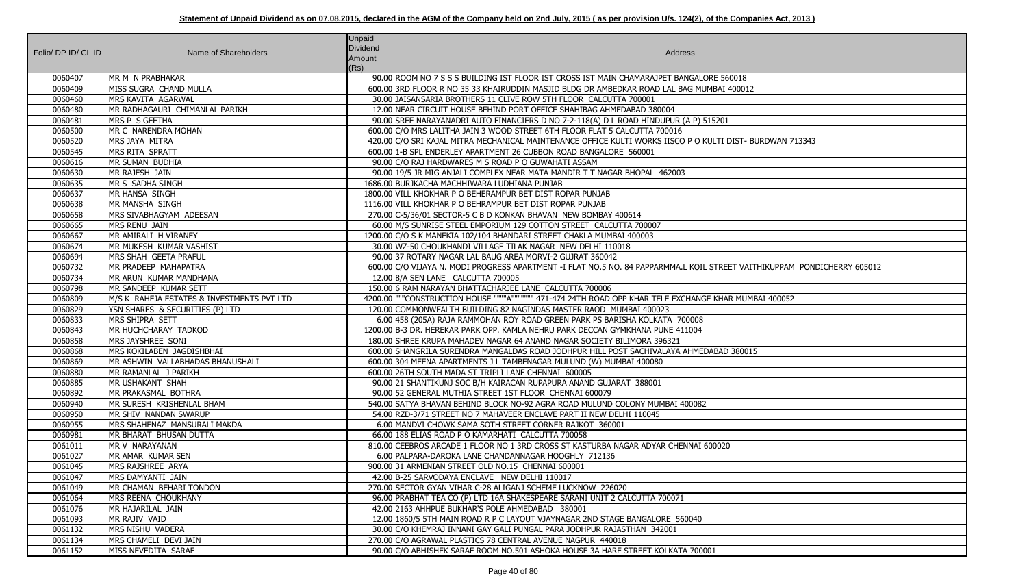| Folio/ DP ID/ CL ID | Name of Shareholders                                   | Unpaid<br>Dividend<br>Amount<br>(Rs) | Address                                                                                                                                     |
|---------------------|--------------------------------------------------------|--------------------------------------|---------------------------------------------------------------------------------------------------------------------------------------------|
| 0060407             | MR M N PRABHAKAR                                       |                                      | 90.00 ROOM NO 7 S S S BUILDING IST FLOOR IST CROSS IST MAIN CHAMARAJPET BANGALORE 560018                                                    |
| 0060409             | MISS SUGRA CHAND MULLA                                 |                                      | 600.00 3RD FLOOR R NO 35 33 KHAIRUDDIN MASJID BLDG DR AMBEDKAR ROAD LAL BAG MUMBAI 400012                                                   |
| 0060460             | MRS KAVITA AGARWAL                                     |                                      | 30.00 JAISANSARIA BROTHERS 11 CLIVE ROW 5TH FLOOR CALCUTTA 700001                                                                           |
| 0060480             | MR RADHAGAURI CHIMANLAL PARIKH                         |                                      | 12.00 NEAR CIRCUIT HOUSE BEHIND PORT OFFICE SHAHIBAG AHMEDABAD 380004                                                                       |
| 0060481             | MRS P S GEETHA                                         |                                      | 90.00 SREE NARAYANADRI AUTO FINANCIERS D NO 7-2-118(A) D L ROAD HINDUPUR (A P) 515201                                                       |
| 0060500             | <b>IMR C NARENDRA MOHAN</b>                            |                                      | 600.00 C/O MRS LALITHA JAIN 3 WOOD STREET 6TH FLOOR FLAT 5 CALCUTTA 700016                                                                  |
| 0060520             | MRS JAYA MITRA                                         |                                      | 420.00 C/O SRI KAJAL MITRA MECHANICAL MAINTENANCE OFFICE KULTI WORKS IISCO P O KULTI DIST- BURDWAN 713343                                   |
| 0060545             | <b>MRS RITA SPRATT</b>                                 |                                      | 600.00 1-B SPL ENDERLEY APARTMENT 26 CUBBON ROAD BANGALORE 560001                                                                           |
| 0060616             | MR SUMAN BUDHIA                                        |                                      | 90.00 C/O RAJ HARDWARES M S ROAD P O GUWAHATI ASSAM                                                                                         |
| 0060630             | MR RAJESH JAIN                                         |                                      | 90.00 19/5 JR MIG ANJALI COMPLEX NEAR MATA MANDIR T T NAGAR BHOPAL 462003                                                                   |
| 0060635             | MR S SADHA SINGH                                       |                                      | 1686.00 BURJKACHA MACHHIWARA LUDHIANA PUNJAB                                                                                                |
| 0060637             | MR HANSA SINGH                                         |                                      | 1800.00 VILL KHOKHAR P O BEHERAMPUR BET DIST ROPAR PUNJAB                                                                                   |
| 0060638             | MR MANSHA SINGH                                        |                                      | 1116.00 VILL KHOKHAR P O BEHRAMPUR BET DIST ROPAR PUNJAB                                                                                    |
| 0060658             | MRS SIVABHAGYAM ADEESAN                                |                                      | 270.00 C-5/36/01 SECTOR-5 C B D KONKAN BHAVAN NEW BOMBAY 400614                                                                             |
| 0060665             | <b>MRS RENU JAIN</b>                                   |                                      | 60.00 M/S SUNRISE STEEL EMPORIUM 129 COTTON STREET CALCUTTA 700007                                                                          |
| 0060667             | MR AMIRALI H VIRANEY                                   |                                      | 1200.00 C/O S K MANEKIA 102/104 BHANDARI STREET CHAKLA MUMBAI 400003                                                                        |
| 0060674             | MR MUKESH KUMAR VASHIST                                |                                      | 30.00 WZ-50 CHOUKHANDI VILLAGE TILAK NAGAR NEW DELHI 110018                                                                                 |
| 0060694             | MRS SHAH GEETA PRAFUL                                  |                                      | 90.00 37 ROTARY NAGAR LAL BAUG AREA MORVI-2 GUJRAT 360042                                                                                   |
| 0060732             | MR PRADEEP MAHAPATRA                                   |                                      | 600.00 C/O VIJAYA N. MODI PROGRESS APARTMENT -I FLAT NO.5 NO. 84 PAPPARMMA.L KOIL STREET VAITHIKUPPAM PONDICHERRY 605012                    |
| 0060734             | MR ARUN KUMAR MANDHANA                                 |                                      | 12.00 8/A SEN LANE CALCUTTA 700005                                                                                                          |
| 0060798             | MR SANDEEP KUMAR SETT                                  |                                      | 150.00 6 RAM NARAYAN BHATTACHARJEE LANE CALCUTTA 700006                                                                                     |
| 0060809             | M/S K RAHEJA ESTATES & INVESTMENTS PVT LTD             |                                      | 4200.00   ""CONSTRUCTION HOUSE """"A""""""" 471-474 24TH ROAD OPP KHAR TELE EXCHANGE KHAR MUMBAI 400052                                     |
| 0060829             | YSN SHARES & SECURITIES (P) LTD                        |                                      | 120.00 COMMONWEALTH BUILDING 82 NAGINDAS MASTER RAOD MUMBAI 400023                                                                          |
| 0060833             | MRS SHIPRA SETT                                        |                                      | 6.00 458 (205A) RAJA RAMMOHAN ROY ROAD GREEN PARK PS BARISHA KOLKATA 700008                                                                 |
| 0060843             | MR HUCHCHARAY TADKOD                                   |                                      | 1200.00 B-3 DR. HEREKAR PARK OPP. KAMLA NEHRU PARK DECCAN GYMKHANA PUNE 411004                                                              |
| 0060858             | MRS JAYSHREE SONI                                      |                                      | 180.00 SHREE KRUPA MAHADEV NAGAR 64 ANAND NAGAR SOCIETY BILIMORA 396321                                                                     |
| 0060868             | MRS KOKILABEN JAGDISHBHAI                              |                                      | 600.00 SHANGRILA SURENDRA MANGALDAS ROAD JODHPUR HILL POST SACHIVALAYA AHMEDABAD 380015                                                     |
| 0060869             | MR ASHWIN VALLABHADAS BHANUSHALI                       |                                      | 600.00 304 MEENA APARTMENTS J L TAMBENAGAR MULUND (W) MUMBAI 400080                                                                         |
| 0060880             | MR RAMANLAL J PARIKH                                   |                                      | 600.00 26TH SOUTH MADA ST TRIPLI LANE CHENNAI 600005                                                                                        |
| 0060885             | MR USHAKANT SHAH                                       |                                      | 90.00 21 SHANTIKUNJ SOC B/H KAIRACAN RUPAPURA ANAND GUJARAT 388001                                                                          |
| 0060892             | <b>IMR PRAKASMAL BOTHRA</b>                            |                                      | 90.00 52 GENERAL MUTHIA STREET 1ST FLOOR CHENNAI 600079                                                                                     |
| 0060940             | MR SURESH KRISHENLAL BHAM                              |                                      | 540.00 SATYA BHAVAN BEHIND BLOCK NO-92 AGRA ROAD MULUND COLONY MUMBAI 400082                                                                |
| 0060950             | MR SHIV NANDAN SWARUP                                  |                                      | 54.00 RZD-3/71 STREET NO 7 MAHAVEER ENCLAVE PART II NEW DELHI 110045                                                                        |
| 0060955             | MRS SHAHENAZ MANSURALI MAKDA<br>MR BHARAT BHUSAN DUTTA |                                      | 6.00 MANDVI CHOWK SAMA SOTH STREET CORNER RAJKOT 360001                                                                                     |
| 0060981<br>0061011  |                                                        |                                      | 66.00 188 ELIAS ROAD P O KAMARHATI CALCUTTA 700058                                                                                          |
| 0061027             | MR V NARAYANAN<br>MR AMAR KUMAR SEN                    |                                      | 810.00 CEEBROS ARCADE 1 FLOOR NO 1 3RD CROSS ST KASTURBA NAGAR ADYAR CHENNAI 600020<br>6.00 PALPARA-DAROKA LANE CHANDANNAGAR HOOGHLY 712136 |
| 0061045             | MRS RAJSHREE ARYA                                      |                                      | 900.00 31 ARMENIAN STREET OLD NO.15 CHENNAI 600001                                                                                          |
| 0061047             | MRS DAMYANTI JAIN                                      |                                      | 42.00 B-25 SARVODAYA ENCLAVE NEW DELHI 110017                                                                                               |
| 0061049             | MR CHAMAN BEHARI TONDON                                |                                      | 270.00 SECTOR GYAN VIHAR C-28 ALIGANJ SCHEME LUCKNOW 226020                                                                                 |
| 0061064             | MRS REENA CHOUKHANY                                    |                                      | 96.00 PRABHAT TEA CO (P) LTD 16A SHAKESPEARE SARANI UNIT 2 CALCUTTA 700071                                                                  |
| 0061076             | MR HAJARILAL JAIN                                      |                                      | 42.00 2163 AHHPUE BUKHAR'S POLE AHMEDABAD 380001                                                                                            |
| 0061093             | MR RAJIV VAID                                          |                                      | 12.00 1860/5 5TH MAIN ROAD R P C LAYOUT VJAYNAGAR 2ND STAGE BANGALORE 560040                                                                |
| 0061132             | MRS NISHU VADERA                                       |                                      | 30.00 C/O KHEMRAJ INNANI GAY GALI PUNGAL PARA JODHPUR RAJASTHAN 342001                                                                      |
| 0061134             | MRS CHAMELI DEVI JAIN                                  |                                      | 270.00 C/O AGRAWAL PLASTICS 78 CENTRAL AVENUE NAGPUR 440018                                                                                 |
| 0061152             | MISS NEVEDITA SARAF                                    |                                      | 90.00 C/O ABHISHEK SARAF ROOM NO.501 ASHOKA HOUSE 3A HARE STREET KOLKATA 700001                                                             |
|                     |                                                        |                                      |                                                                                                                                             |

| 560018                              |
|-------------------------------------|
| I 400012                            |
|                                     |
|                                     |
| $\overline{1}$                      |
|                                     |
| I DIST- BURDWAN 713343              |
|                                     |
|                                     |
|                                     |
|                                     |
|                                     |
|                                     |
|                                     |
|                                     |
|                                     |
|                                     |
| EET VAITHIKUPPAM PONDICHERRY 605012 |
|                                     |
|                                     |
| IAR MUMBAI 400052                   |
|                                     |
|                                     |
|                                     |
| D 380015                            |
|                                     |
|                                     |
|                                     |
|                                     |
|                                     |
|                                     |
|                                     |
| 20                                  |
|                                     |
|                                     |
|                                     |
|                                     |
|                                     |
|                                     |
|                                     |
|                                     |
|                                     |
|                                     |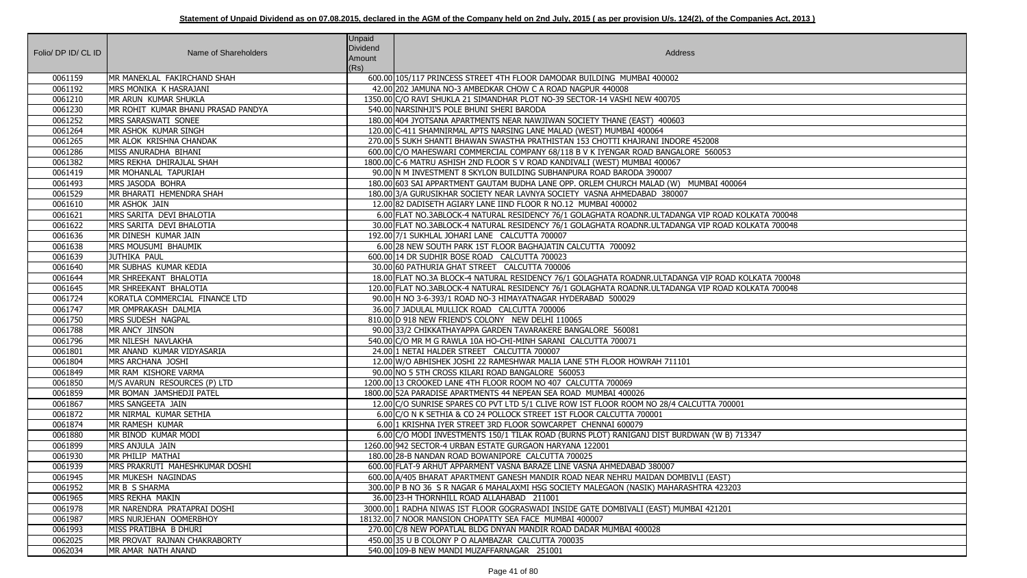| Folio/ DP ID/ CL ID | Name of Shareholders               | <b>Unpaid</b><br>Dividend<br>Amount<br>(Rs) | Address                                                                                            |
|---------------------|------------------------------------|---------------------------------------------|----------------------------------------------------------------------------------------------------|
| 0061159             | MR MANEKLAL FAKIRCHAND SHAH        |                                             | 600.00 105/117 PRINCESS STREET 4TH FLOOR DAMODAR BUILDING MUMBAI 400002                            |
| 0061192             | MRS MONIKA K HASRAJANI             |                                             | 42.00 202 JAMUNA NO-3 AMBEDKAR CHOW C A ROAD NAGPUR 440008                                         |
| 0061210             | MR ARUN KUMAR SHUKLA               |                                             | 1350.00 C/O RAVI SHUKLA 21 SIMANDHAR PLOT NO-39 SECTOR-14 VASHI NEW 400705                         |
| 0061230             | MR ROHIT KUMAR BHANU PRASAD PANDYA |                                             | 540.00 NARSINHJI'S POLE BHUNI SHERI BARODA                                                         |
| 0061252             | MRS SARASWATI SONEE                |                                             | 180.00 404 JYOTSANA APARTMENTS NEAR NAWJIWAN SOCIETY THANE (EAST) 400603                           |
| 0061264             | MR ASHOK KUMAR SINGH               |                                             | 120.00 C-411 SHAMNIRMAL APTS NARSING LANE MALAD (WEST) MUMBAI 400064                               |
| 0061265             | MR ALOK KRISHNA CHANDAK            |                                             | 270.00 5 SUKH SHANTI BHAWAN SWASTHA PRATHISTAN 153 CHOTTI KHAJRANI INDORE 452008                   |
| 0061286             | MISS ANURADHA BIHANI               |                                             | 600.00 C/O MAHESWARI COMMERCIAL COMPANY 68/118 B V K IYENGAR ROAD BANGALORE 560053                 |
| 0061382             | MRS REKHA DHIRAJLAL SHAH           |                                             | 1800.00 C-6 MATRU ASHISH 2ND FLOOR S V ROAD KANDIVALI (WEST) MUMBAI 400067                         |
| 0061419             | MR MOHANLAL TAPURIAH               |                                             | 90.00 IN M INVESTMENT 8 SKYLON BUILDING SUBHANPURA ROAD BARODA 390007                              |
| 0061493             | MRS JASODA BOHRA                   |                                             | 180.00 603 SAI APPARTMENT GAUTAM BUDHA LANE OPP. ORLEM CHURCH MALAD (W) MUMBAI 400064              |
| 0061529             | MR BHARATI HEMENDRA SHAH           |                                             | 180.00 3/A GURUSIKHAR SOCIETY NEAR LAVNYA SOCIETY VASNA AHMEDABAD 380007                           |
| 0061610             | MR ASHOK JAIN                      |                                             | 12.00 82 DADISETH AGIARY LANE IIND FLOOR R NO.12 MUMBAI 400002                                     |
| 0061621             | MRS SARITA DEVI BHALOTIA           |                                             | 6.00 FLAT NO.3ABLOCK-4 NATURAL RESIDENCY 76/1 GOLAGHATA ROADNR.ULTADANGA VIP ROAD KOLKATA 700048   |
| 0061622             | MRS SARITA DEVI BHALOTIA           |                                             | 30.00 FLAT NO.3ABLOCK-4 NATURAL RESIDENCY 76/1 GOLAGHATA ROADNR.ULTADANGA VIP ROAD KOLKATA 700048  |
| 0061636             | MR DINESH KUMAR JAIN               |                                             | 192.00 7/1 SUKHLAL JOHARI LANE CALCUTTA 700007                                                     |
| 0061638             | MRS MOUSUMI BHAUMIK                |                                             | 6.00 28 NEW SOUTH PARK 1ST FLOOR BAGHAJATIN CALCUTTA 700092                                        |
| 0061639             | JUTHIKA PAUL                       |                                             | 600.00 14 DR SUDHIR BOSE ROAD CALCUTTA 700023                                                      |
| 0061640             | MR SUBHAS KUMAR KEDIA              |                                             | 30.00 60 PATHURIA GHAT STREET CALCUTTA 700006                                                      |
| 0061644             | MR SHREEKANT BHALOTIA              |                                             | 18.00 FLAT NO.3A BLOCK-4 NATURAL RESIDENCY 76/1 GOLAGHATA ROADNR.ULTADANGA VIP ROAD KOLKATA 700048 |
| 0061645             | MR SHREEKANT BHALOTIA              |                                             | 120.00 FLAT NO.3ABLOCK-4 NATURAL RESIDENCY 76/1 GOLAGHATA ROADNR.ULTADANGA VIP ROAD KOLKATA 700048 |
| 0061724             | KORATLA COMMERCIAL FINANCE LTD     |                                             | 90.00 H NO 3-6-393/1 ROAD NO-3 HIMAYATNAGAR HYDERABAD 500029                                       |
| 0061747             | MR OMPRAKASH DALMIA                |                                             | 36.00 7 JADULAL MULLICK ROAD CALCUTTA 700006                                                       |
| 0061750             | MRS SUDESH NAGPAL                  |                                             | 810.00 D 918 NEW FRIEND'S COLONY NEW DELHI 110065                                                  |
| 0061788             | MR ANCY JINSON                     |                                             | 90.00 33/2 CHIKKATHAYAPPA GARDEN TAVARAKERE BANGALORE 560081                                       |
| 0061796             | MR NILESH NAVLAKHA                 |                                             | 540.00 C/O MR M G RAWLA 10A HO-CHI-MINH SARANI CALCUTTA 700071                                     |
| 0061801             | MR ANAND KUMAR VIDYASARIA          |                                             | 24.00 1 NETAI HALDER STREET CALCUTTA 700007                                                        |
| 0061804             | MRS ARCHANA JOSHI                  |                                             | 12.00 W/O ABHISHEK JOSHI 22 RAMESHWAR MALIA LANE 5TH FLOOR HOWRAH 711101                           |
| 0061849             | MR RAM KISHORE VARMA               |                                             | 90.00 NO 5 5TH CROSS KILARI ROAD BANGALORE 560053                                                  |
| 0061850             | M/S AVARUN RESOURCES (P) LTD       |                                             | 1200.00 13 CROOKED LANE 4TH FLOOR ROOM NO 407 CALCUTTA 700069                                      |
| 0061859             | MR BOMAN JAMSHEDJI PATEL           |                                             | 1800.00 52A PARADISE APARTMENTS 44 NEPEAN SEA ROAD MUMBAI 400026                                   |
| 0061867             | MRS SANGEETA JAIN                  |                                             | 12.00 C/O SUNRISE SPARES CO PVT LTD 5/1 CLIVE ROW IST FLOOR ROOM NO 28/4 CALCUTTA 700001           |
| 0061872             | MR NIRMAL KUMAR SETHIA             |                                             | 6.00 C/O N K SETHIA & CO 24 POLLOCK STREET 1ST FLOOR CALCUTTA 700001                               |
| 0061874             | MR RAMESH KUMAR                    |                                             | 6.00 1 KRISHNA IYER STREET 3RD FLOOR SOWCARPET CHENNAI 600079                                      |
| 0061880             | MR BINOD KUMAR MODI                |                                             | 6.00 C/O MODI INVESTMENTS 150/1 TILAK ROAD (BURNS PLOT) RANIGANJ DIST BURDWAN (W B) 713347         |
| 0061899             | MRS ANJULA JAIN                    |                                             | 1260.00 942 SECTOR-4 URBAN ESTATE GURGAON HARYANA 122001                                           |
| 0061930             | MR PHILIP MATHAI                   |                                             | 180.00 28-B NANDAN ROAD BOWANIPORE CALCUTTA 700025                                                 |
| 0061939             | MRS PRAKRUTI MAHESHKUMAR DOSHI     |                                             | 600.00 FLAT-9 ARHUT APPARMENT VASNA BARAZE LINE VASNA AHMEDABAD 380007                             |
| 0061945             | MR MUKESH NAGINDAS                 |                                             | 600.00 A/405 BHARAT APARTMENT GANESH MANDIR ROAD NEAR NEHRU MAIDAN DOMBIVLI (EAST)                 |
| 0061952             | MR B S SHARMA                      |                                             | 300.00 P B NO 36 S R NAGAR 6 MAHALAXMI HSG SOCIETY MALEGAON (NASIK) MAHARASHTRA 423203             |
| 0061965             | MRS REKHA MAKIN                    |                                             | 36.00 23-H THORNHILL ROAD ALLAHABAD 211001                                                         |
| 0061978             | MR NARENDRA PRATAPRAI DOSHI        |                                             | 3000.00 1 RADHA NIWAS IST FLOOR GOGRASWADI INSIDE GATE DOMBIVALI (EAST) MUMBAI 421201              |
| 0061987             | MRS NURJEHAN OOMERBHOY             |                                             | 18132.00 7 NOOR MANSION CHOPATTY SEA FACE MUMBAI 400007                                            |
| 0061993             | MISS PRATIBHA B DHURI              |                                             | 270.00 C/8 NEW POPATLAL BLDG DNYAN MANDIR ROAD DADAR MUMBAI 400028                                 |
| 0062025             | MR PROVAT RAJNAN CHAKRABORTY       |                                             | 450.00 35 U B COLONY P O ALAMBAZAR CALCUTTA 700035                                                 |
| 0062034             | MR AMAR NATH ANAND                 |                                             | 540.00 109-B NEW MANDI MUZAFFARNAGAR 251001                                                        |

| $\overline{53}$    |
|--------------------|
|                    |
|                    |
| 100064             |
|                    |
|                    |
| AD KOLKATA 700048  |
| AD KOLKATA 700048  |
|                    |
|                    |
|                    |
| DAD KOLKATA 700048 |
| AD KOLKATA 700048  |
|                    |
|                    |
|                    |
|                    |
|                    |
|                    |
|                    |
|                    |
|                    |
| 00001              |
|                    |
| B) 713347          |
|                    |
|                    |
|                    |
| :T)<br>!3203       |
|                    |
| $\overline{01}$    |
|                    |
|                    |
|                    |
|                    |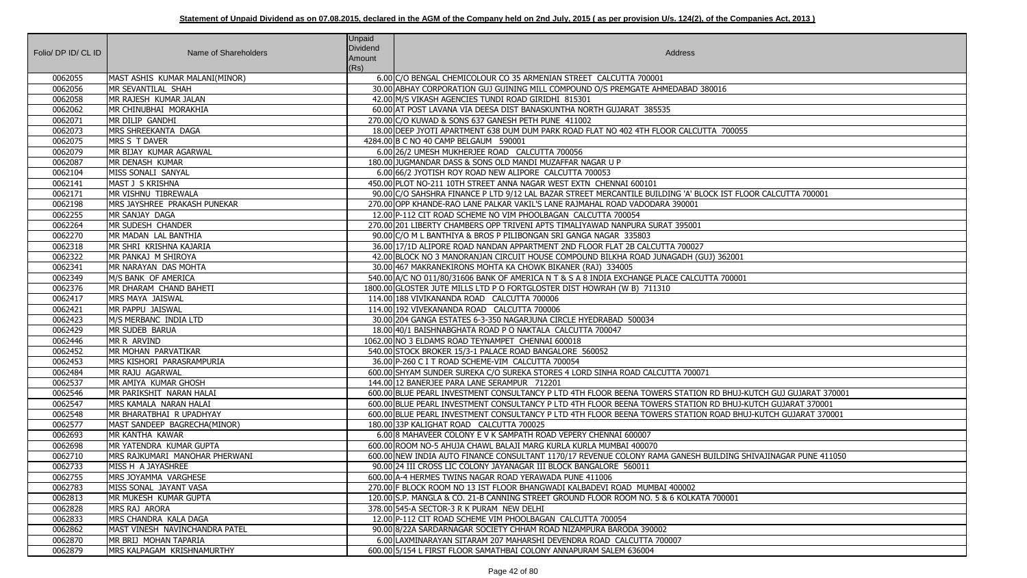| Folio/ DP ID/ CL ID | Name of Shareholders           | Unpaid<br><b>Dividend</b><br>Amount<br>(Rs) | Address                                                                                                        |
|---------------------|--------------------------------|---------------------------------------------|----------------------------------------------------------------------------------------------------------------|
| 0062055             | MAST ASHIS KUMAR MALANI(MINOR) |                                             | 6.00 C/O BENGAL CHEMICOLOUR CO 35 ARMENIAN STREET CALCUTTA 700001                                              |
| 0062056             | MR SEVANTILAL SHAH             |                                             | 30.00 ABHAY CORPORATION GUJ GUINING MILL COMPOUND O/S PREMGATE AHMEDABAD 380016                                |
| 0062058             | MR RAJESH KUMAR JALAN          |                                             | 42.00 M/S VIKASH AGENCIES TUNDI ROAD GIRIDHI 815301                                                            |
| 0062062             | MR CHINUBHAI MORAKHIA          |                                             | 60.00 AT POST LAVANA VIA DEESA DIST BANASKUNTHA NORTH GUJARAT 385535                                           |
| 0062071             | MR DILIP GANDHI                |                                             | 270.00 C/O KUWAD & SONS 637 GANESH PETH PUNE 411002                                                            |
| 0062073             | MRS SHREEKANTA DAGA            |                                             | 18.00 DEEP JYOTI APARTMENT 638 DUM DUM PARK ROAD FLAT NO 402 4TH FLOOR CALCUTTA 700055                         |
| 0062075             | MRS S T DAVER                  |                                             | 4284.00 B C NO 40 CAMP BELGAUM 590001                                                                          |
| 0062079             | MR BIJAY KUMAR AGARWAL         |                                             | 6.00 26/2 UMESH MUKHERJEE ROAD CALCUTTA 700056                                                                 |
| 0062087             | MR DENASH KUMAR                |                                             | 180.00 JUGMANDAR DASS & SONS OLD MANDI MUZAFFAR NAGAR U P                                                      |
| 0062104             | MISS SONALI SANYAL             |                                             | 6.00 66/2 JYOTISH ROY ROAD NEW ALIPORE CALCUTTA 700053                                                         |
| 0062141             | MAST J S KRISHNA               |                                             | 450.00 PLOT NO-211 10TH STREET ANNA NAGAR WEST EXTN CHENNAI 600101                                             |
| 0062171             | MR VISHNU TIBREWALA            |                                             | 90.00 C/O SAHSHRA FINANCE P LTD 9/12 LAL BAZAR STREET MERCANTILE BUILDING 'A' BLOCK IST FLOOR CALCUTTA 700001  |
| 0062198             | MRS JAYSHREE PRAKASH PUNEKAR   |                                             | 270.00 OPP KHANDE-RAO LANE PALKAR VAKIL'S LANE RAJMAHAL ROAD VADODARA 390001                                   |
| 0062255             | MR SANJAY DAGA                 |                                             | 12.00 P-112 CIT ROAD SCHEME NO VIM PHOOLBAGAN CALCUTTA 700054                                                  |
| 0062264             | MR SUDESH CHANDER              |                                             | 270.00 201 LIBERTY CHAMBERS OPP TRIVENI APTS TIMALIYAWAD NANPURA SURAT 395001                                  |
| 0062270             | MR MADAN LAL BANTHIA           |                                             | 90.00 C/O M L BANTHIYA & BROS P PILIBONGAN SRI GANGA NAGAR 335803                                              |
| 0062318             | MR SHRI KRISHNA KAJARIA        |                                             | 36.00 17/1D ALIPORE ROAD NANDAN APPARTMENT 2ND FLOOR FLAT 2B CALCUTTA 700027                                   |
| 0062322             | MR PANKAJ M SHIROYA            |                                             | 42.00 BLOCK NO 3 MANORANJAN CIRCUIT HOUSE COMPOUND BILKHA ROAD JUNAGADH (GUJ) 362001                           |
| 0062341             | MR NARAYAN DAS MOHTA           |                                             | 30.00 467 MAKRANEKIRONS MOHTA KA CHOWK BIKANER (RAJ) 334005                                                    |
| 0062349             | M/S BANK OF AMERICA            |                                             | 540.00 A/C NO 011/80/31606 BANK OF AMERICA N T & S A 8 INDIA EXCHANGE PLACE CALCUTTA 700001                    |
| 0062376             | MR DHARAM CHAND BAHETI         |                                             | 1800.00 GLOSTER JUTE MILLS LTD P O FORTGLOSTER DIST HOWRAH (W B) 711310                                        |
| 0062417             | MRS MAYA JAISWAL               |                                             | 114.00 188 VIVIKANANDA ROAD CALCUTTA 700006                                                                    |
| 0062421             | MR PAPPU JAISWAL               |                                             | 114.00 192 VIVEKANANDA ROAD CALCUTTA 700006                                                                    |
| 0062423             | M/S MERBANC INDIA LTD          |                                             | 30.00 204 GANGA ESTATES 6-3-350 NAGARJUNA CIRCLE HYEDRABAD 500034                                              |
| 0062429             | MR SUDEB BARUA                 |                                             | 18.00 40/1 BAISHNABGHATA ROAD P O NAKTALA CALCUTTA 700047                                                      |
| 0062446             | MR R ARVIND                    |                                             | 1062.00 NO 3 ELDAMS ROAD TEYNAMPET CHENNAI 600018                                                              |
| 0062452             | MR MOHAN PARVATIKAR            |                                             | 540.00 STOCK BROKER 15/3-1 PALACE ROAD BANGALORE 560052                                                        |
| 0062453             | MRS KISHORI PARASRAMPURIA      |                                             | 36.00 P-260 C I T ROAD SCHEME-VIM CALCUTTA 700054                                                              |
| 0062484             | MR RAJU AGARWAL                |                                             | 600.00 SHYAM SUNDER SUREKA C/O SUREKA STORES 4 LORD SINHA ROAD CALCUTTA 700071                                 |
| 0062537             | MR AMIYA KUMAR GHOSH           |                                             | 144.00 12 BANERJEE PARA LANE SERAMPUR 712201                                                                   |
| 0062546             | MR PARIKSHIT NARAN HALAI       |                                             | 600.00 BLUE PEARL INVESTMENT CONSULTANCY P LTD 4TH FLOOR BEENA TOWERS STATION RD BHUJ-KUTCH GUJ GUJARAT 370001 |
| 0062547             | MRS KAMALA NARAN HALAI         |                                             | 600.00 BLUE PEARL INVESTMENT CONSULTANCY P LTD 4TH FLOOR BEENA TOWERS STATION RD BHUJ-KUTCH GUJARAT 370001     |
| 0062548             | MR BHARATBHAI R UPADHYAY       |                                             | 600.00 BLUE PEARL INVESTMENT CONSULTANCY P LTD 4TH FLOOR BEENA TOWERS STATION ROAD BHUJ-KUTCH GUJARAT 370001   |
| 0062577             | MAST SANDEEP BAGRECHA(MINOR)   |                                             | 180.00 33P KALIGHAT ROAD CALCUTTA 700025                                                                       |
| 0062693             | MR KANTHA KAWAR                |                                             | 6.00 8 MAHAVEER COLONY E V K SAMPATH ROAD VEPERY CHENNAI 600007                                                |
| 0062698             | MR YATENDRA KUMAR GUPTA        |                                             | 600.00 ROOM NO-5 AHUJA CHAWL BALAJI MARG KURLA KURLA MUMBAI 400070                                             |
| 0062710             | MRS RAJKUMARI MANOHAR PHERWANI |                                             | 600.00 NEW INDIA AUTO FINANCE CONSULTANT 1170/17 REVENUE COLONY RAMA GANESH BUILDING SHIVAJINAGAR PUNE 411050  |
| 0062733             | MISS H A JAYASHREE             |                                             | 90.00 24 III CROSS LIC COLONY JAYANAGAR III BLOCK BANGALORE 560011                                             |
| 0062755             | MRS JOYAMMA VARGHESE           |                                             | 600.00 A-4 HERMES TWINS NAGAR ROAD YERAWADA PUNE 411006                                                        |
| 0062783             | MISS SONAL JAYANT VASA         |                                             | 270.00 F BLOCK ROOM NO 13 IST FLOOR BHANGWADI KALBADEVI ROAD MUMBAI 400002                                     |
| 0062813             | MR MUKESH KUMAR GUPTA          |                                             | 120.00 S.P. MANGLA & CO. 21-B CANNING STREET GROUND FLOOR ROOM NO. 5 & 6 KOLKATA 700001                        |
| 0062828             | MRS RAJ ARORA                  |                                             | 378.00 545-A SECTOR-3 R K PURAM NEW DELHI                                                                      |
| 0062833             | MRS CHANDRA KALA DAGA          |                                             | 12.00 P-112 CIT ROAD SCHEME VIM PHOOLBAGAN CALCUTTA 700054                                                     |
| 0062862             | MAST VINESH NAVINCHANDRA PATEL |                                             | 90.00 8/22A SARDARNAGAR SOCIETY CHHAM ROAD NIZAMPURA BARODA 390002                                             |
| 0062870             | MR BRIJ MOHAN TAPARIA          |                                             | 6.00 LAXMINARAYAN SITARAM 207 MAHARSHI DEVENDRA ROAD CALCUTTA 700007                                           |
| 0062879             | MRS KALPAGAM KRISHNAMURTHY     |                                             | 600.00 5/154 L FIRST FLOOR SAMATHBAI COLONY ANNAPURAM SALEM 636004                                             |

| 6                                                          |
|------------------------------------------------------------|
|                                                            |
| 700055                                                     |
|                                                            |
|                                                            |
|                                                            |
| ST FLOOR CALCUTTA 700001                                   |
|                                                            |
|                                                            |
|                                                            |
|                                                            |
| 62001                                                      |
| 700001                                                     |
|                                                            |
|                                                            |
|                                                            |
|                                                            |
|                                                            |
|                                                            |
|                                                            |
| BHUJ-KUTCH GUJ GUJARAT 370001<br>BHUJ-KUTCH GUJARAT 370001 |
| AD BHUJ-KUTCH GUJARAT 370001                               |
|                                                            |
|                                                            |
| DING SHIVAJINAGAR PUNE 411050                              |
|                                                            |
|                                                            |
| 0001                                                       |
|                                                            |
|                                                            |
|                                                            |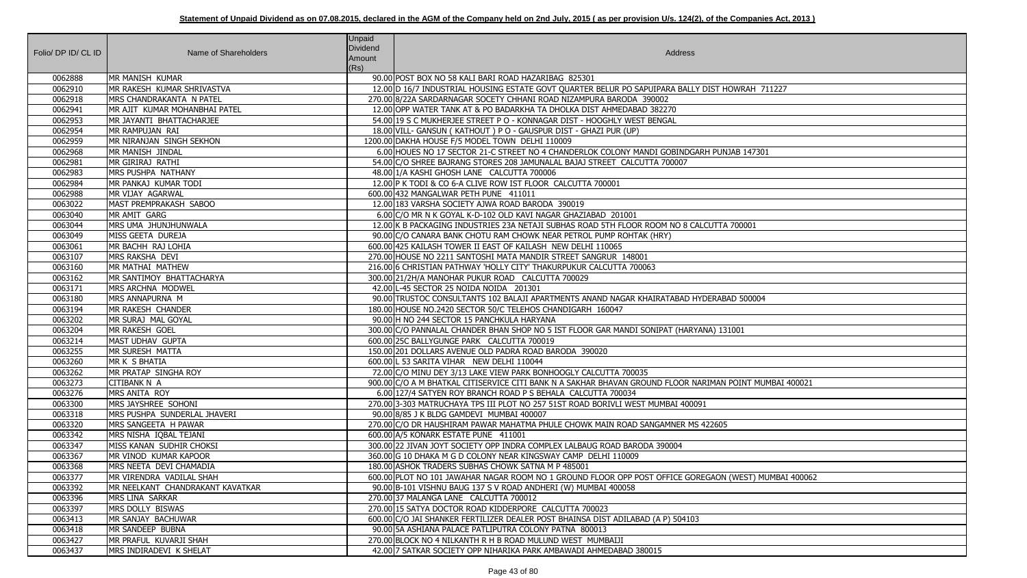| Folio/ DP ID/ CL ID | Name of Shareholders             | Unpaid<br>Dividend<br>Amount<br>(Rs) | Address                                                                                                 |
|---------------------|----------------------------------|--------------------------------------|---------------------------------------------------------------------------------------------------------|
| 0062888             | MR MANISH KUMAR                  |                                      | 90.00 POST BOX NO 58 KALI BARI ROAD HAZARIBAG 825301                                                    |
| 0062910             | MR RAKESH KUMAR SHRIVASTVA       |                                      | 12.00 D 16/7 INDUSTRIAL HOUSING ESTATE GOVT QUARTER BELUR PO SAPUIPARA BALLY DIST HOWRAH 711227         |
| 0062918             | MRS CHANDRAKANTA N PATEL         |                                      | 270.00 8/22A SARDARNAGAR SOCETY CHHANI ROAD NIZAMPURA BARODA 390002                                     |
| 0062941             | MR AJIT KUMAR MOHANBHAI PATEL    |                                      | 12.00 OPP WATER TANK AT & PO BADARKHA TA DHOLKA DIST AHMEDABAD 382270                                   |
| 0062953             | MR JAYANTI BHATTACHARJEE         |                                      | 54.00 19 S C MUKHERJEE STREET P O - KONNAGAR DIST - HOOGHLY WEST BENGAL                                 |
| 0062954             | MR RAMPUJAN RAI                  |                                      | 18.00 VILL- GANSUN (KATHOUT) PO - GAUSPUR DIST - GHAZI PUR (UP)                                         |
| 0062959             | MR NIRANJAN SINGH SEKHON         |                                      | 1200.00 DAKHA HOUSE F/5 MODEL TOWN DELHI 110009                                                         |
| 0062968             | MR MANISH JINDAL                 |                                      | 6.00 HOUES NO 17 SECTOR 21-C STREET NO 4 CHANDERLOK COLONY MANDI GOBINDGARH PUNJAB 147301               |
| 0062981             | MR GIRIRAJ RATHI                 |                                      | 54.00 C/O SHREE BAJRANG STORES 208 JAMUNALAL BAJAJ STREET CALCUTTA 700007                               |
| 0062983             | MRS PUSHPA NATHANY               |                                      | 48.00 1/A KASHI GHOSH LANE CALCUTTA 700006                                                              |
| 0062984             | MR PANKAJ KUMAR TODI             |                                      | 12.00 P K TODI & CO 6-A CLIVE ROW IST FLOOR CALCUTTA 700001                                             |
| 0062988             | MR VIJAY AGARWAL                 |                                      | 600.00 432 MANGALWAR PETH PUNE 411011                                                                   |
| 0063022             | MAST PREMPRAKASH SABOO           |                                      | 12.00 183 VARSHA SOCIETY AJWA ROAD BARODA 390019                                                        |
| 0063040             | MR AMIT GARG                     |                                      | 6.00 C/O MR N K GOYAL K-D-102 OLD KAVI NAGAR GHAZIABAD 201001                                           |
| 0063044             | MRS UMA JHUNJHUNWALA             |                                      | 12.00 K B PACKAGING INDUSTRIES 23A NETAJI SUBHAS ROAD 5TH FLOOR ROOM NO 8 CALCUTTA 700001               |
| 0063049             | MISS GEETA DUREJA                |                                      | 90.00 C/O CANARA BANK CHOTU RAM CHOWK NEAR PETROL PUMP ROHTAK (HRY)                                     |
| 0063061             | MR BACHH RAJ LOHIA               |                                      | 600.00 425 KAILASH TOWER II EAST OF KAILASH NEW DELHI 110065                                            |
| 0063107             | MRS RAKSHA DEVI                  |                                      | 270.00 HOUSE NO 2211 SANTOSHI MATA MANDIR STREET SANGRUR 148001                                         |
| 0063160             | MR MATHAI MATHEW                 |                                      | 216.00 6 CHRISTIAN PATHWAY 'HOLLY CITY' THAKURPUKUR CALCUTTA 700063                                     |
| 0063162             | MR SANTIMOY BHATTACHARYA         |                                      | 300.00 21/2H/A MANOHAR PUKUR ROAD CALCUTTA 700029                                                       |
| 0063171             | MRS ARCHNA MODWEL                |                                      | 42.00 L-45 SECTOR 25 NOIDA NOIDA 201301                                                                 |
| 0063180             | MRS ANNAPURNA M                  |                                      | 90.00 TRUSTOC CONSULTANTS 102 BALAJI APARTMENTS ANAND NAGAR KHAIRATABAD HYDERABAD 500004                |
| 0063194             | MR RAKESH CHANDER                |                                      | 180.00 HOUSE NO.2420 SECTOR 50/C TELEHOS CHANDIGARH 160047                                              |
| 0063202             | MR SURAJ MAL GOYAL               |                                      | 90.00 H NO 244 SECTOR 15 PANCHKULA HARYANA                                                              |
| 0063204             | MR RAKESH GOEL                   |                                      | 300.00 C/O PANNALAL CHANDER BHAN SHOP NO 5 IST FLOOR GAR MANDI SONIPAT (HARYANA) 131001                 |
| 0063214             | MAST UDHAV GUPTA                 |                                      | 600.00 25C BALLYGUNGE PARK CALCUTTA 700019                                                              |
| 0063255             | MR SURESH MATTA                  |                                      | 150.00 201 DOLLARS AVENUE OLD PADRA ROAD BARODA 390020                                                  |
| 0063260             | MR K S BHATIA                    |                                      | 600.00 L 53 SARITA VIHAR NEW DELHI 110044                                                               |
| 0063262             | MR PRATAP SINGHA ROY             |                                      | 72.00 C/O MINU DEY 3/13 LAKE VIEW PARK BONHOOGLY CALCUTTA 700035                                        |
| 0063273             | CITIBANK N A                     |                                      | 900.00 C/O A M BHATKAL CITISERVICE CITI BANK N A SAKHAR BHAVAN GROUND FLOOR NARIMAN POINT MUMBAI 400021 |
| 0063276             | MRS ANITA ROY                    |                                      | 6.00 127/4 SATYEN ROY BRANCH ROAD P S BEHALA CALCUTTA 700034                                            |
| 0063300             | MRS JAYSHREE SOHONI              |                                      | 270.00 3-303 MATRUCHAYA TPS III PLOT NO 257 51ST ROAD BORIVLI WEST MUMBAI 400091                        |
| 0063318             | MRS PUSHPA SUNDERLAL JHAVERI     |                                      | 90.00 8/85 J K BLDG GAMDEVI MUMBAI 400007                                                               |
| 0063320             | MRS SANGEETA H PAWAR             |                                      | 270.00 C/O DR HAUSHIRAM PAWAR MAHATMA PHULE CHOWK MAIN ROAD SANGAMNER MS 422605                         |
| 0063342             | MRS NISHA IQBAL TEJANI           |                                      | 600.00 A/5 KONARK ESTATE PUNE 411001                                                                    |
| 0063347             | MISS KANAN SUDHIR CHOKSI         |                                      | 300.00   22 JIVAN JOYT SOCIETY OPP INDRA COMPLEX LALBAUG ROAD BARODA 390004                             |
| 0063367             | MR VINOD KUMAR KAPOOR            |                                      | 360.00 G 10 DHAKA M G D COLONY NEAR KINGSWAY CAMP DELHI 110009                                          |
| 0063368             | MRS NEETA DEVI CHAMADIA          |                                      | 180.00 ASHOK TRADERS SUBHAS CHOWK SATNA M P 485001                                                      |
| 0063377             | MR VIRENDRA VADILAL SHAH         |                                      | 600.00 PLOT NO 101 JAWAHAR NAGAR ROOM NO 1 GROUND FLOOR OPP POST OFFICE GOREGAON (WEST) MUMBAI 400062   |
| 0063392             | MR NEELKANT CHANDRAKANT KAVATKAR |                                      | 90.00 B-101 VISHNU BAUG 137 S V ROAD ANDHERI (W) MUMBAI 400058                                          |
| 0063396             | <b>MRS LINA SARKAR</b>           |                                      | 270.00 37 MALANGA LANE CALCUTTA 700012                                                                  |
| 0063397             | MRS DOLLY BISWAS                 |                                      | 270.00 15 SATYA DOCTOR ROAD KIDDERPORE CALCUTTA 700023                                                  |
| 0063413             | MR SANJAY BACHUWAR               |                                      | 600.00 C/O JAI SHANKER FERTILIZER DEALER POST BHAINSA DIST ADILABAD (A P) 504103                        |
| 0063418             | MR SANDEEP BUBNA                 |                                      | 90.00 5A ASHIANA PALACE PATLIPUTRA COLONY PATNA 800013                                                  |
| 0063427             | MR PRAFUL KUVARJI SHAH           |                                      | 270.00 BLOCK NO 4 NILKANTH R H B ROAD MULUND WEST MUMBAIJI                                              |
| 0063437             | MRS INDIRADEVI K SHELAT          |                                      | 42.00 7 SATKAR SOCIETY OPP NIHARIKA PARK AMBAWADI AHMEDABAD 380015                                      |

| <b>HOWRAH 711227</b>   |
|------------------------|
|                        |
| NJAB 147301            |
|                        |
| A 700001               |
|                        |
| BAD 500004             |
| 31001                  |
|                        |
| V POINT MUMBAI 400021  |
| $\overline{5}$         |
| V (WEST) MUMBAI 400062 |
|                        |
|                        |
|                        |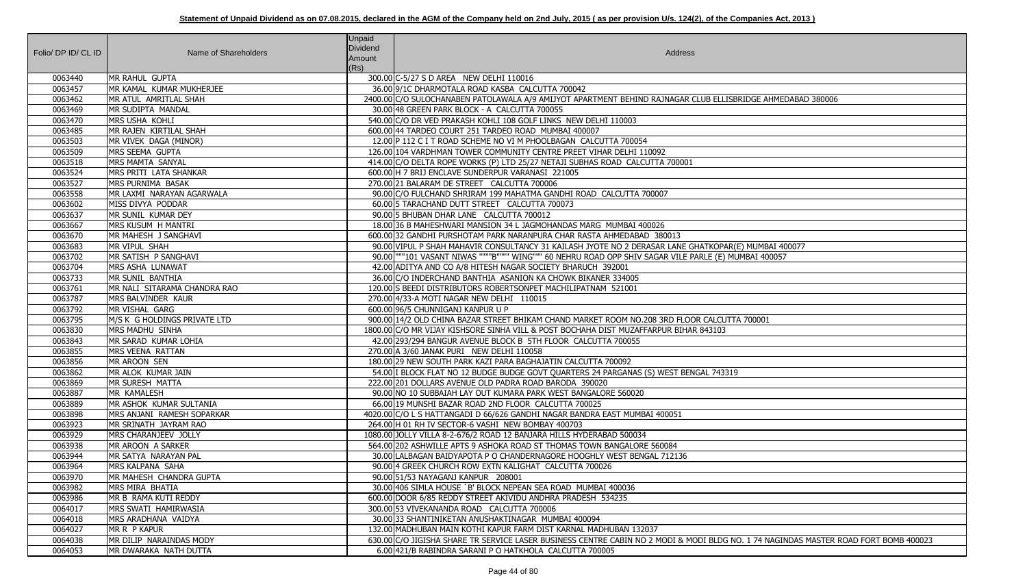|                     |                              | <b>Unpaid</b>                                                                                                                        |
|---------------------|------------------------------|--------------------------------------------------------------------------------------------------------------------------------------|
| Folio/ DP ID/ CL ID | Name of Shareholders         | <b>Dividend</b><br>Address                                                                                                           |
|                     |                              | Amount                                                                                                                               |
|                     |                              | (Rs)                                                                                                                                 |
| 0063440             | MR RAHUL GUPTA               | 300.00 C-5/27 S D AREA NEW DELHI 110016                                                                                              |
| 0063457             | MR KAMAL KUMAR MUKHERJEE     | 36.00 9/1C DHARMOTALA ROAD KASBA CALCUTTA 700042                                                                                     |
| 0063462             | MR ATUL AMRITLAL SHAH        | 2400.00 C/O SULOCHANABEN PATOLAWALA A/9 AMIJYOT APARTMENT BEHIND RAJNAGAR CLUB ELLISBRIDGE AHMEDABAD 380006                          |
| 0063469             | MR SUDIPTA MANDAL            | 30.00 48 GREEN PARK BLOCK - A CALCUTTA 700055                                                                                        |
| 0063470             | <b>MRS USHA KOHLI</b>        | 540.00 C/O DR VED PRAKASH KOHLI 108 GOLF LINKS NEW DELHI 110003                                                                      |
| 0063485             | MR RAJEN KIRTILAL SHAH       | 600.00 44 TARDEO COURT 251 TARDEO ROAD MUMBAI 400007                                                                                 |
| 0063503             | MR VIVEK DAGA (MINOR)        | 12.00 P 112 C I T ROAD SCHEME NO VI M PHOOLBAGAN CALCUTTA 700054                                                                     |
| 0063509             | MRS SEEMA GUPTA              | 126.00 104 VARDHMAN TOWER COMMUNITY CENTRE PREET VIHAR DELHI 110092                                                                  |
| 0063518             | MRS MAMTA SANYAL             | 414.00 C/O DELTA ROPE WORKS (P) LTD 25/27 NETAJI SUBHAS ROAD CALCUTTA 700001                                                         |
| 0063524             | MRS PRITI LATA SHANKAR       | 600.00 H 7 BRIJ ENCLAVE SUNDERPUR VARANASI 221005                                                                                    |
| 0063527             | MRS PURNIMA BASAK            | 270.00 21 BALARAM DE STREET CALCUTTA 700006                                                                                          |
| 0063558             | MR LAXMI NARAYAN AGARWALA    | 90.00 C/O FULCHAND SHRIRAM 199 MAHATMA GANDHI ROAD CALCUTTA 700007                                                                   |
| 0063602             | MISS DIVYA PODDAR            | 60.00 5 TARACHAND DUTT STREET CALCUTTA 700073                                                                                        |
| 0063637             | MR SUNIL KUMAR DEY           | 90.00 5 BHUBAN DHAR LANE CALCUTTA 700012                                                                                             |
| 0063667             | MRS KUSUM H MANTRI           | 18.00 36 B MAHESHWARI MANSION 34 L JAGMOHANDAS MARG MUMBAI 400026                                                                    |
| 0063670             | MR MAHESH J SANGHAVI         | 600.00 32 GANDHI PURSHOTAM PARK NARANPURA CHAR RASTA AHMEDABAD 380013                                                                |
| 0063683             | MR VIPUL SHAH                | 90.00 VIPUL P SHAH MAHAVIR CONSULTANCY 31 KAILASH JYOTE NO 2 DERASAR LANE GHATKOPAR(E) MUMBAI 400077                                 |
| 0063702             | MR SATISH P SANGHAVI         | 90.00  ""101 VASANT NIWAS """"B"""" WING""" 60 NEHRU ROAD OPP SHIV SAGAR VILE PARLE (E) MUMBAI 400057                                |
| 0063704             | MRS ASHA LUNAWAT             | 42.00 ADITYA AND CO A/8 HITESH NAGAR SOCIETY BHARUCH 392001                                                                          |
| 0063733             | MR SUNIL BANTHIA             | 36.00 C/O INDERCHAND BANTHIA ASANION KA CHOWK BIKANER 334005                                                                         |
| 0063761             | MR NALI SITARAMA CHANDRA RAO | 120.00 S BEEDI DISTRIBUTORS ROBERTSONPET MACHILIPATNAM 521001                                                                        |
| 0063787             | MRS BALVINDER KAUR           | 270.00 4/33-A MOTI NAGAR NEW DELHI 110015                                                                                            |
| 0063792             | MR VISHAL GARG               | 600.00 96/5 CHUNNIGANJ KANPUR U P                                                                                                    |
| 0063795             | M/S K G HOLDINGS PRIVATE LTD | 900.00 14/2 OLD CHINA BAZAR STREET BHIKAM CHAND MARKET ROOM NO.208 3RD FLOOR CALCUTTA 700001                                         |
| 0063830             | MRS MADHU SINHA              | 1800.00 C/O MR VIJAY KISHSORE SINHA VILL & POST BOCHAHA DIST MUZAFFARPUR BIHAR 843103                                                |
| 0063843             | MR SARAD KUMAR LOHIA         | 42.00 293/294 BANGUR AVENUE BLOCK B 5TH FLOOR CALCUTTA 700055                                                                        |
| 0063855             | MRS VEENA RATTAN             | 270.00 A 3/60 JANAK PURI NEW DELHI 110058                                                                                            |
| 0063856             | MR AROON SEN                 | 180.00 29 NEW SOUTH PARK KAZI PARA BAGHAJATIN CALCUTTA 700092                                                                        |
| 0063862             | MR ALOK KUMAR JAIN           | 54.00 I BLOCK FLAT NO 12 BUDGE BUDGE GOVT QUARTERS 24 PARGANAS (S) WEST BENGAL 743319                                                |
|                     |                              |                                                                                                                                      |
| 0063869             | MR SURESH MATTA              | 222.00 201 DOLLARS AVENUE OLD PADRA ROAD BARODA 390020                                                                               |
| 0063887             | MR KAMALESH                  | 90.00 NO 10 SUBBAIAH LAY OUT KUMARA PARK WEST BANGALORE 560020                                                                       |
| 0063889             | MR ASHOK KUMAR SULTANIA      | 66.00 19 MUNSHI BAZAR ROAD 2ND FLOOR CALCUTTA 700025                                                                                 |
| 0063898             | MRS ANJANI RAMESH SOPARKAR   | 4020.00 C/O L S HATTANGADI D 66/626 GANDHI NAGAR BANDRA EAST MUMBAI 400051                                                           |
| 0063923             | MR SRINATH JAYRAM RAO        | 264.00 H 01 RH IV SECTOR-6 VASHI NEW BOMBAY 400703                                                                                   |
| 0063929             | MRS CHARANJEEV JOLLY         | 1080.00 JOLLY VILLA 8-2-676/2 ROAD 12 BANJARA HILLS HYDERABAD 500034                                                                 |
| 0063938             | MR AROON A SARKER            | 564.00 202 ASHWILLE APTS 9 ASHOKA ROAD ST THOMAS TOWN BANGALORE 560084                                                               |
| 0063944             | MR SATYA NARAYAN PAL         | 30.00 LALBAGAN BAIDYAPOTA P O CHANDERNAGORE HOOGHLY WEST BENGAL 712136                                                               |
| 0063964             | MRS KALPANA SAHA             | 90.00 4 GREEK CHURCH ROW EXTN KALIGHAT CALCUTTA 700026                                                                               |
| 0063970             | MR MAHESH CHANDRA GUPTA      | 90.00 51/53 NAYAGANJ KANPUR 208001                                                                                                   |
| 0063982             | MRS MIRA BHATIA              | 30.00 406 SIMLA HOUSE `B' BLOCK NEPEAN SEA ROAD MUMBAI 400036                                                                        |
| 0063986             | MR B RAMA KUTI REDDY         | 600.00 DOOR 6/85 REDDY STREET AKIVIDU ANDHRA PRADESH 534235                                                                          |
| 0064017             | MRS SWATI HAMIRWASIA         | 300.00 53 VIVEKANANDA ROAD CALCUTTA 700006                                                                                           |
| 0064018             | MRS ARADHANA VAIDYA          | 30.00 33 SHANTINIKETAN ANUSHAKTINAGAR MUMBAI 400094                                                                                  |
| 0064027             | MR R P KAPUR                 | 132.00 MADHUBAN MAIN KOTHI KAPUR FARM DIST KARNAL MADHUBAN 132037                                                                    |
| 0064038             | MR DILIP NARAINDAS MODY      | 630.00 C/O JIGISHA SHARE TR SERVICE LASER BUSINESS CENTRE CABIN NO 2 MODI & MODI BLDG NO. 1 74 NAGINDAS MASTER ROAD FORT BOMB 400023 |
| 0064053             | MR DWARAKA NATH DUTTA        | 6.00 421/B RABINDRA SARANI P O HATKHOLA CALCUTTA 700005                                                                              |

| LISBRIDGE AHMEDABAD 380006                       |
|--------------------------------------------------|
|                                                  |
|                                                  |
|                                                  |
|                                                  |
|                                                  |
|                                                  |
|                                                  |
|                                                  |
|                                                  |
|                                                  |
|                                                  |
|                                                  |
| PAR(E) MUMBAI 400077<br>) MUMBAI 400057          |
|                                                  |
|                                                  |
|                                                  |
|                                                  |
|                                                  |
| UTTA 700001                                      |
| $\overline{3}$                                   |
|                                                  |
|                                                  |
|                                                  |
| 3319                                             |
|                                                  |
|                                                  |
|                                                  |
|                                                  |
|                                                  |
|                                                  |
|                                                  |
|                                                  |
|                                                  |
|                                                  |
|                                                  |
|                                                  |
|                                                  |
| G NO. 1 74 NAGINDAS MASTER ROAD FORT BOMB 400023 |
|                                                  |
|                                                  |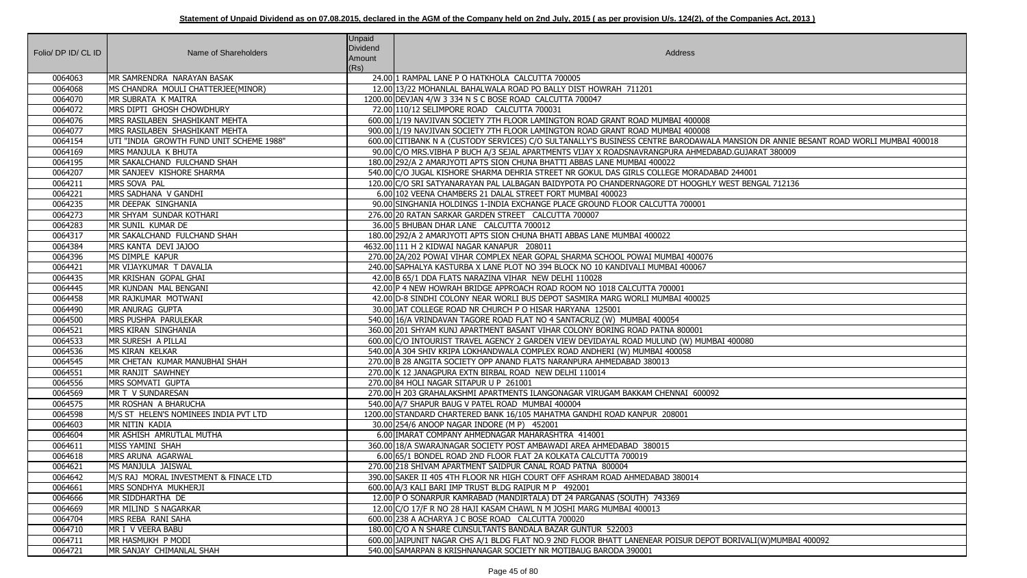|                     |                                          | <b>Unpaid</b>   |                                                                                                                                     |
|---------------------|------------------------------------------|-----------------|-------------------------------------------------------------------------------------------------------------------------------------|
| Folio/ DP ID/ CL ID | Name of Shareholders                     | <b>Dividend</b> | Address                                                                                                                             |
|                     |                                          | Amount<br>(Rs)  |                                                                                                                                     |
| 0064063             | MR SAMRENDRA NARAYAN BASAK               |                 | 24.00 1 RAMPAL LANE P O HATKHOLA CALCUTTA 700005                                                                                    |
| 0064068             | MS CHANDRA MOULI CHATTERJEE(MINOR)       |                 | 12.00 13/22 MOHANLAL BAHALWALA ROAD PO BALLY DIST HOWRAH 711201                                                                     |
| 0064070             | MR SUBRATA K MAITRA                      |                 | 1200.00 DEVJAN 4/W 3 334 N S C BOSE ROAD CALCUTTA 700047                                                                            |
| 0064072             | MRS DIPTI GHOSH CHOWDHURY                |                 | 72.00 110/12 SELIMPORE ROAD CALCUTTA 700031                                                                                         |
| 0064076             | MRS RASILABEN SHASHIKANT MEHTA           |                 | 600.00 1/19 NAVJIVAN SOCIETY 7TH FLOOR LAMINGTON ROAD GRANT ROAD MUMBAI 400008                                                      |
| 0064077             | MRS RASILABEN SHASHIKANT MEHTA           |                 | 900.00 1/19 NAVJIVAN SOCIETY 7TH FLOOR LAMINGTON ROAD GRANT ROAD MUMBAI 400008                                                      |
| 0064154             | UTI "INDIA GROWTH FUND UNIT SCHEME 1988" |                 | 600.00 CITIBANK N A (CUSTODY SERVICES) C/O SULTANALLY'S BUSINESS CENTRE BARODAWALA MANSION DR ANNIE BESANT ROAD WORLI MUMBAI 400018 |
| 0064169             | MRS MANJULA K BHUTA                      |                 | 90.00 C/O MRS. VIBHA P BUCH A/3 SEJAL APARTMENTS VIJAY X ROADSNAVRANGPURA AHMEDABAD. GUJARAT 380009                                 |
| 0064195             | MR SAKALCHAND FULCHAND SHAH              |                 | 180.00 292/A 2 AMARJYOTI APTS SION CHUNA BHATTI ABBAS LANE MUMBAI 400022                                                            |
| 0064207             | MR SANJEEV KISHORE SHARMA                |                 | 540.00 C/O JUGAL KISHORE SHARMA DEHRIA STREET NR GOKUL DAS GIRLS COLLEGE MORADABAD 244001                                           |
| 0064211             | MRS SOVA PAL                             |                 | 120.00 C/O SRI SATYANARAYAN PAL LALBAGAN BAIDYPOTA PO CHANDERNAGORE DT HOOGHLY WEST BENGAL 712136                                   |
| 0064221             | MRS SADHANA V GANDHI                     |                 | 6.00 102 VEENA CHAMBERS 21 DALAL STREET FORT MUMBAI 400023                                                                          |
| 0064235             | MR DEEPAK SINGHANIA                      |                 | 90.00 SINGHANIA HOLDINGS 1-INDIA EXCHANGE PLACE GROUND FLOOR CALCUTTA 700001                                                        |
| 0064273             | MR SHYAM SUNDAR KOTHARI                  |                 | 276.00 20 RATAN SARKAR GARDEN STREET CALCUTTA 700007                                                                                |
| 0064283             | MR SUNIL KUMAR DE                        |                 | 36.00 5 BHUBAN DHAR LANE CALCUTTA 700012                                                                                            |
| 0064317             | MR SAKALCHAND FULCHAND SHAH              |                 | 180.00 292/A 2 AMARJYOTI APTS SION CHUNA BHATI ABBAS LANE MUMBAI 400022                                                             |
| 0064384             | MRS KANTA DEVI JAJOO                     |                 | 4632.00 111 H 2 KIDWAI NAGAR KANAPUR 208011                                                                                         |
| 0064396             | MS DIMPLE KAPUR                          |                 | 270.00 2A/202 POWAI VIHAR COMPLEX NEAR GOPAL SHARMA SCHOOL POWAI MUMBAI 400076                                                      |
| 0064421             | MR VIJAYKUMAR T DAVALIA                  |                 | 240.00 SAPHALYA KASTURBA X LANE PLOT NO 394 BLOCK NO 10 KANDIVALI MUMBAI 400067                                                     |
| 0064435             | MR KRISHAN GOPAL GHAI                    |                 | 42.00 B 65/1 DDA FLATS NARAZINA VIHAR NEW DELHI 110028                                                                              |
| 0064445             | MR KUNDAN MAL BENGANI                    |                 | 42.00 P 4 NEW HOWRAH BRIDGE APPROACH ROAD ROOM NO 1018 CALCUTTA 700001                                                              |
| 0064458             | MR RAJKUMAR MOTWANI                      |                 | 42.00 ID-8 SINDHI COLONY NEAR WORLI BUS DEPOT SASMIRA MARG WORLI MUMBAI 400025                                                      |
| 0064490             | MR ANURAG GUPTA                          |                 | 30.00 JAT COLLEGE ROAD NR CHURCH P O HISAR HARYANA 125001                                                                           |
| 0064500             | MRS PUSHPA PARULEKAR                     |                 | 540.00 16/A VRINDAVAN TAGORE ROAD FLAT NO 4 SANTACRUZ (W) MUMBAI 400054                                                             |
| 0064521             | <b>MRS KIRAN SINGHANIA</b>               |                 | 360.00 201 SHYAM KUNJ APARTMENT BASANT VIHAR COLONY BORING ROAD PATNA 800001                                                        |
| 0064533             | MR SURESH A PILLAI                       |                 | 600.00 C/O INTOURIST TRAVEL AGENCY 2 GARDEN VIEW DEVIDAYAL ROAD MULUND (W) MUMBAI 400080                                            |
| 0064536             | MS KIRAN KELKAR                          |                 | 540.00 A 304 SHIV KRIPA LOKHANDWALA COMPLEX ROAD ANDHERI (W) MUMBAI 400058                                                          |
| 0064545             | MR CHETAN KUMAR MANUBHAI SHAH            |                 | 270.00 B 28 ANGITA SOCIETY OPP ANAND FLATS NARANPURA AHMEDABAD 380013                                                               |
| 0064551             | MR RANJIT SAWHNEY                        |                 | 270.00 K 12 JANAGPURA EXTN BIRBAL ROAD NEW DELHI 110014                                                                             |
| 0064556             | MRS SOMVATI GUPTA                        |                 | 270.00 84 HOLI NAGAR SITAPUR U P 261001                                                                                             |
| 0064569             | MR T V SUNDARESAN                        |                 | 270.00 H 203 GRAHALAKSHMI APARTMENTS ILANGONAGAR VIRUGAM BAKKAM CHENNAI 600092                                                      |
| 0064575             | MR ROSHAN A BHARUCHA                     |                 | 540.00 A/7 SHAPUR BAUG V PATEL ROAD MUMBAI 400004                                                                                   |
| 0064598             | M/S ST HELEN'S NOMINEES INDIA PVT LTD    |                 | 1200.00 STANDARD CHARTERED BANK 16/105 MAHATMA GANDHI ROAD KANPUR 208001                                                            |
| 0064603             | MR NITIN KADIA                           |                 | 30.00 254/6 ANOOP NAGAR INDORE (M P) 452001                                                                                         |
| 0064604             | MR ASHISH AMRUTLAL MUTHA                 |                 | 6.00 IMARAT COMPANY AHMEDNAGAR MAHARASHTRA 414001                                                                                   |
| 0064611             | MISS YAMINI SHAH                         |                 | 360.00 18/A SWARAJNAGAR SOCIETY POST AMBAWADI AREA AHMEDABAD 380015                                                                 |
| 0064618             | MRS ARUNA AGARWAL                        |                 | 6.00 65/1 BONDEL ROAD 2ND FLOOR FLAT 2A KOLKATA CALCUTTA 700019                                                                     |
| 0064621             | MS MANJULA JAISWAL                       |                 | 270.00 218 SHIVAM APARTMENT SAIDPUR CANAL ROAD PATNA 800004                                                                         |
| 0064642             | M/S RAJ MORAL INVESTMENT & FINACE LTD    |                 | 390.00 SAKER II 405 4TH FLOOR NR HIGH COURT OFF ASHRAM ROAD AHMEDABAD 380014                                                        |
| 0064661             | MRS SONDHYA MUKHERJI                     |                 | 600.00 A/3 KALI BARI IMP TRUST BLDG RAIPUR M P 492001                                                                               |
| 0064666             | MR SIDDHARTHA DE                         |                 | 12.00 P O SONARPUR KAMRABAD (MANDIRTALA) DT 24 PARGANAS (SOUTH) 743369                                                              |
| 0064669             | MR MILIND S NAGARKAR                     |                 | 12.00 C/O 17/F R NO 28 HAJI KASAM CHAWL N M JOSHI MARG MUMBAI 400013                                                                |
| 0064704             | MRS REBA RANI SAHA                       |                 | 600.00 238 A ACHARYA J C BOSE ROAD CALCUTTA 700020                                                                                  |
| 0064710             | MR I V VEERA BABU                        |                 | 180.00 C/O A N SHARE CUNSULTANTS BANDALA BAZAR GUNTUR 522003                                                                        |
| 0064711             | MR HASMUKH P MODI                        |                 | 600.00 JAIPUNIT NAGAR CHS A/1 BLDG FLAT NO.9 2ND FLOOR BHATT LANENEAR POISUR DEPOT BORIVALI(W)MUMBAI 400092                         |
| 0064721             | MR SANJAY CHIMANLAL SHAH                 |                 | 540.00 SAMARPAN 8 KRISHNANAGAR SOCIETY NR MOTIBAUG BARODA 390001                                                                    |

| MANSION DR ANNIE BESANT ROAD WORLI MUMBAI 400018 |
|--------------------------------------------------|
| AD.GUJARAT 380009                                |
| D 244001                                         |
| VEST BENGAL 712136                               |
|                                                  |
|                                                  |
|                                                  |
|                                                  |
|                                                  |
|                                                  |
|                                                  |
|                                                  |
|                                                  |
| I 400080                                         |
|                                                  |
|                                                  |
|                                                  |
|                                                  |
|                                                  |
|                                                  |
|                                                  |
|                                                  |
|                                                  |
|                                                  |
|                                                  |
|                                                  |
|                                                  |
| BORIVALI(W)MUMBAI 400092                         |
|                                                  |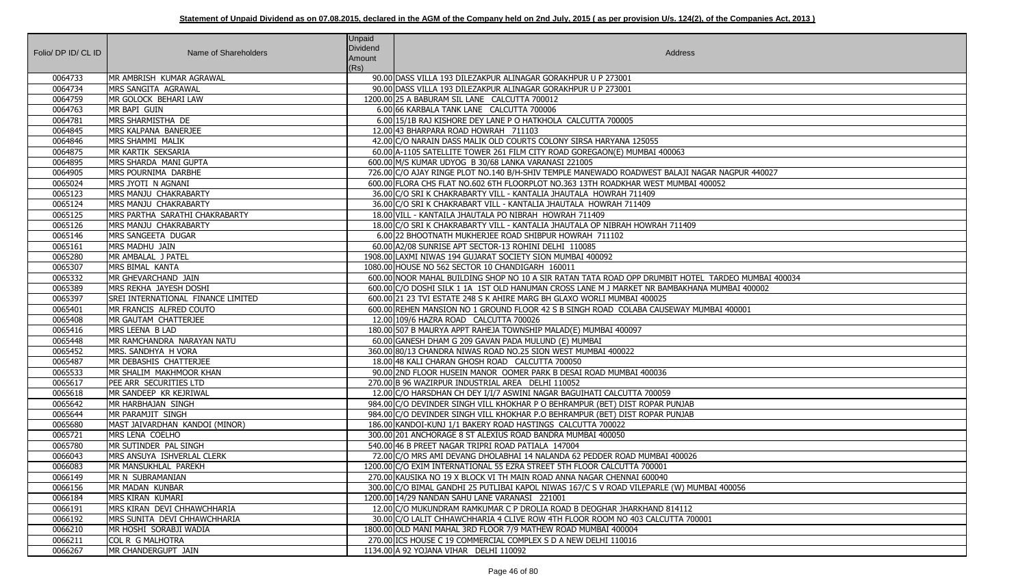| Folio/ DP ID/ CL ID | Name of Shareholders               | <b>Unpaid</b><br>Dividend<br>Amount | Address                                                                                            |
|---------------------|------------------------------------|-------------------------------------|----------------------------------------------------------------------------------------------------|
| 0064733             | MR AMBRISH KUMAR AGRAWAL           | (Rs)                                | 90.00 DASS VILLA 193 DILEZAKPUR ALINAGAR GORAKHPUR U P 273001                                      |
| 0064734             | MRS SANGITA AGRAWAL                |                                     | 90.00 DASS VILLA 193 DILEZAKPUR ALINAGAR GORAKHPUR U P 273001                                      |
| 0064759             | MR GOLOCK BEHARI LAW               |                                     | 1200.00 25 A BABURAM SIL LANE CALCUTTA 700012                                                      |
| 0064763             | MR BAPI GUIN                       |                                     | 6.00 66 KARBALA TANK LANE CALCUTTA 700006                                                          |
| 0064781             | MRS SHARMISTHA DE                  |                                     | 6.00 15/1B RAJ KISHORE DEY LANE P O HATKHOLA CALCUTTA 700005                                       |
| 0064845             | MRS KALPANA BANERJEE               |                                     | 12.00 43 BHARPARA ROAD HOWRAH 711103                                                               |
| 0064846             | MRS SHAMMI MALIK                   |                                     | 42.00 C/O NARAIN DASS MALIK OLD COURTS COLONY SIRSA HARYANA 125055                                 |
| 0064875             | MR KARTIK SEKSARIA                 |                                     | 60.00 A-1105 SATELLITE TOWER 261 FILM CITY ROAD GOREGAON(E) MUMBAI 400063                          |
| 0064895             | MRS SHARDA MANI GUPTA              |                                     | 600.00 M/S KUMAR UDYOG B 30/68 LANKA VARANASI 221005                                               |
| 0064905             | MRS POURNIMA DARBHE                |                                     | 726.00 C/O AJAY RINGE PLOT NO.140 B/H-SHIV TEMPLE MANEWADO ROADWEST BALAJI NAGAR NAGPUR 440027     |
| 0065024             | MRS JYOTI N AGNANI                 |                                     | 600.00 FLORA CHS FLAT NO.602 6TH FLOORPLOT NO.363 13TH ROADKHAR WEST MUMBAI 400052                 |
| 0065123             | MRS MANJU CHAKRABARTY              |                                     | 36.00 C/O SRI K CHAKRABARTY VILL - KANTALIA JHAUTALA HOWRAH 711409                                 |
| 0065124             | MRS MANJU CHAKRABARTY              |                                     | 36.00 C/O SRI K CHAKRABART VILL - KANTALIA JHAUTALA HOWRAH 711409                                  |
| 0065125             | MRS PARTHA SARATHI CHAKRABARTY     |                                     | 18.00 VILL - KANTAILA JHAUTALA PO NIBRAH HOWRAH 711409                                             |
| 0065126             | MRS MANJU CHAKRABARTY              |                                     | 18.00 C/O SRI K CHAKRABARTY VILL - KANTALIA JHAUTALA OP NIBRAH HOWRAH 711409                       |
| 0065146             | MRS SANGEETA DUGAR                 |                                     | 6.00 22 BHOOTNATH MUKHERJEE ROAD SHIBPUR HOWRAH 711102                                             |
| 0065161             | <b>MRS MADHU JAIN</b>              |                                     | 60.00 A2/08 SUNRISE APT SECTOR-13 ROHINI DELHI 110085                                              |
| 0065280             | MR AMBALAL J PATEL                 |                                     | 1908.00 LAXMI NIWAS 194 GUJARAT SOCIETY SION MUMBAI 400092                                         |
| 0065307             | MRS BIMAL KANTA                    |                                     | 1080.00 HOUSE NO 562 SECTOR 10 CHANDIGARH 160011                                                   |
| 0065332             | MR GHEVARCHAND JAIN                |                                     | 600.00 NOOR MAHAL BUILDING SHOP NO 10 A SIR RATAN TATA ROAD OPP DRUMBIT HOTEL TARDEO MUMBAI 400034 |
| 0065389             | MRS REKHA JAYESH DOSHI             |                                     | 600.00 C/O DOSHI SILK 1 1A 1ST OLD HANUMAN CROSS LANE M J MARKET NR BAMBAKHANA MUMBAI 400002       |
| 0065397             | SREI INTERNATIONAL FINANCE LIMITED |                                     | 600.00 21 23 TVI ESTATE 248 S K AHIRE MARG BH GLAXO WORLI MUMBAI 400025                            |
| 0065401             | MR FRANCIS ALFRED COUTO            |                                     | 600.00 REHEN MANSION NO 1 GROUND FLOOR 42 S B SINGH ROAD COLABA CAUSEWAY MUMBAI 400001             |
| 0065408             | MR GAUTAM CHATTERJEE               |                                     | 12.00 109/6 HAZRA ROAD CALCUTTA 700026                                                             |
| 0065416             | MRS LEENA B LAD                    |                                     | 180.00 507 B MAURYA APPT RAHEJA TOWNSHIP MALAD(E) MUMBAI 400097                                    |
| 0065448             | MR RAMCHANDRA NARAYAN NATU         |                                     | 60.00 GANESH DHAM G 209 GAVAN PADA MULUND (E) MUMBAI                                               |
| 0065452             | MRS. SANDHYA H VORA                |                                     | 360.00 80/13 CHANDRA NIWAS ROAD NO.25 SION WEST MUMBAI 400022                                      |
| 0065487             | MR DEBASHIS CHATTERJEE             |                                     | 18.00 48 KALI CHARAN GHOSH ROAD CALCUTTA 700050                                                    |
| 0065533             | MR SHALIM MAKHMOOR KHAN            |                                     | 90.00 2ND FLOOR HUSEIN MANOR OOMER PARK B DESAI ROAD MUMBAI 400036                                 |
| 0065617             | PEE ARR SECURITIES LTD             |                                     | 270.00 B 96 WAZIRPUR INDUSTRIAL AREA DELHI 110052                                                  |
| 0065618             | MR SANDEEP KR KEJRIWAL             |                                     | 12.00 C/O HARSDHAN CH DEY I/I/7 ASWINI NAGAR BAGUIHATI CALCUTTA 700059                             |
| 0065642             | MR HARBHAJAN SINGH                 |                                     | 984.00 C/O DEVINDER SINGH VILL KHOKHAR P O BEHRAMPUR (BET) DIST ROPAR PUNJAB                       |
| 0065644             | MR PARAMJIT SINGH                  |                                     | 984.00 C/O DEVINDER SINGH VILL KHOKHAR P.O BEHRAMPUR (BET) DIST ROPAR PUNJAB                       |
| 0065680             | MAST JAIVARDHAN KANDOI (MINOR)     |                                     | 186.00 KANDOI-KUNJ 1/1 BAKERY ROAD HASTINGS CALCUTTA 700022                                        |
| 0065721             | MRS LENA COELHO                    |                                     | 300.00 201 ANCHORAGE 8 ST ALEXIUS ROAD BANDRA MUMBAI 400050                                        |
| 0065780             | MR SUTINDER PAL SINGH              |                                     | 540.00 46 B PREET NAGAR TRIPRI ROAD PATIALA 147004                                                 |
| 0066043             | MRS ANSUYA ISHVERLAL CLERK         |                                     | 72.00 C/O MRS AMI DEVANG DHOLABHAI 14 NALANDA 62 PEDDER ROAD MUMBAI 400026                         |
| 0066083             | MR MANSUKHLAL PAREKH               |                                     | 1200.00 C/O EXIM INTERNATIONAL 55 EZRA STREET 5TH FLOOR CALCUTTA 700001                            |
| 0066149             | MR N SUBRAMANIAN                   |                                     | 270.00 KAUSIKA NO 19 X BLOCK VI TH MAIN ROAD ANNA NAGAR CHENNAI 600040                             |
| 0066156             | MR MADAN KUNBAR                    |                                     | 300.00 C/O BIMAL GANDHI 25 PUTLIBAI KAPOL NIWAS 167/C S V ROAD VILEPARLE (W) MUMBAI 400056         |
| 0066184             | MRS KIRAN KUMARI                   |                                     | 1200.00 14/29 NANDAN SAHU LANE VARANASI 221001                                                     |
| 0066191             | MRS KIRAN DEVI CHHAWCHHARIA        |                                     | 12.00 C/O MUKUNDRAM RAMKUMAR C P DROLIA ROAD B DEOGHAR JHARKHAND 814112                            |
| 0066192             | MRS SUNITA DEVI CHHAWCHHARIA       |                                     | 30.00 C/O LALIT CHHAWCHHARIA 4 CLIVE ROW 4TH FLOOR ROOM NO 403 CALCUTTA 700001                     |
| 0066210             | MR HOSHI SORABJI WADIA             |                                     | 1800.00 OLD MANI MAHAL 3RD FLOOR 7/9 MATHEW ROAD MUMBAI 400004                                     |
| 0066211             | COL R G MALHOTRA                   |                                     | 270.00 ICS HOUSE C 19 COMMERCIAL COMPLEX S D A NEW DELHI 110016                                    |
| 0066267             | MR CHANDERGUPT JAIN                |                                     | 1134.00 A 92 YOJANA VIHAR DELHI 110092                                                             |

| IAGPUR 440027     |  |
|-------------------|--|
|                   |  |
|                   |  |
|                   |  |
|                   |  |
|                   |  |
|                   |  |
|                   |  |
|                   |  |
| DEO MUMBAI 400034 |  |
| MBAI 400002       |  |
|                   |  |
| 400001            |  |
|                   |  |
|                   |  |
|                   |  |
|                   |  |
|                   |  |
|                   |  |
|                   |  |
|                   |  |
|                   |  |
|                   |  |
|                   |  |
|                   |  |
|                   |  |
|                   |  |
|                   |  |
|                   |  |
|                   |  |
| 00056             |  |
|                   |  |
|                   |  |
|                   |  |
|                   |  |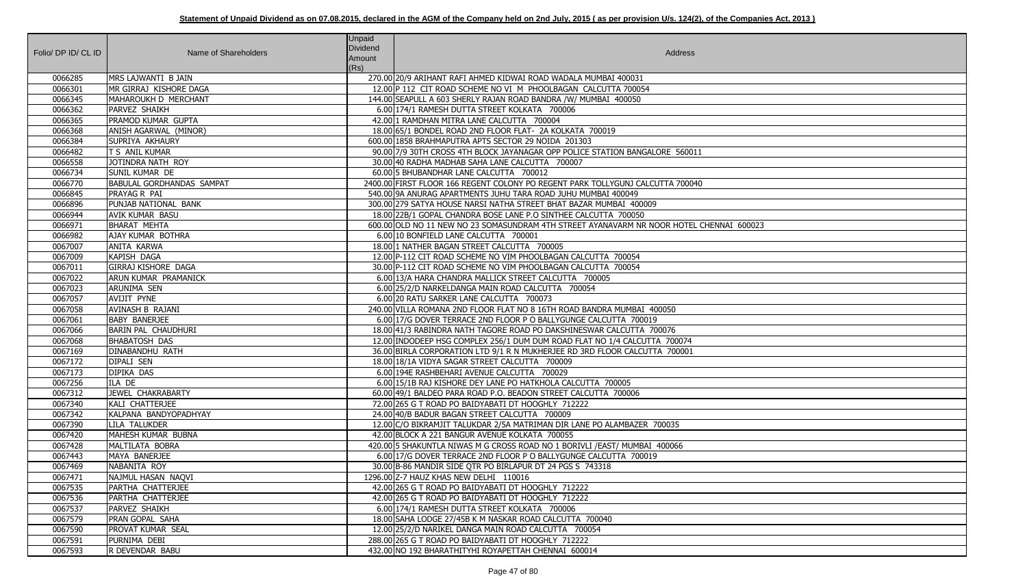| Folio/ DP ID/ CL ID | Name of Shareholders             | <b>Unpaid</b><br>Dividend<br>Amount<br>(Rs) | Address                                                                                  |
|---------------------|----------------------------------|---------------------------------------------|------------------------------------------------------------------------------------------|
| 0066285             | MRS LAJWANTI B JAIN              |                                             | 270.00 20/9 ARIHANT RAFI AHMED KIDWAI ROAD WADALA MUMBAI 400031                          |
| 0066301             | MR GIRRAJ KISHORE DAGA           |                                             | 12.00 P 112 CIT ROAD SCHEME NO VI M PHOOLBAGAN CALCUTTA 700054                           |
| 0066345             | MAHAROUKH D MERCHANT             |                                             | 144.00 SEAPULL A 603 SHERLY RAJAN ROAD BANDRA /W/ MUMBAI 400050                          |
| 0066362             | PARVEZ SHAIKH                    |                                             | 6.00 174/1 RAMESH DUTTA STREET KOLKATA 700006                                            |
| 0066365             | <b>PRAMOD KUMAR GUPTA</b>        |                                             | 42.00 1 RAMDHAN MITRA LANE CALCUTTA 700004                                               |
| 0066368             | ANISH AGARWAL (MINOR)            |                                             | 18.00 65/1 BONDEL ROAD 2ND FLOOR FLAT- 2A KOLKATA 700019                                 |
| 0066384             | SUPRIYA AKHAURY                  |                                             | 600.00 1858 BRAHMAPUTRA APTS SECTOR 29 NOIDA 201303                                      |
| 0066482             | T S ANIL KUMAR                   |                                             | 90.00 7/9 30TH CROSS 4TH BLOCK JAYANAGAR OPP POLICE STATION BANGALORE 560011             |
| 0066558             | JOTINDRA NATH ROY                |                                             | 30.00 40 RADHA MADHAB SAHA LANE CALCUTTA 700007                                          |
| 0066734             | <b>SUNIL KUMAR DE</b>            |                                             | 60.00 5 BHUBANDHAR LANE CALCUTTA 700012                                                  |
| 0066770             | <b>BABULAL GORDHANDAS SAMPAT</b> |                                             | 2400.00 FIRST FLOOR 166 REGENT COLONY PO REGENT PARK TOLLYGUNJ CALCUTTA 700040           |
| 0066845             | PRAYAG R PAI                     |                                             | 540.00 9A ANURAG APARTMENTS JUHU TARA ROAD JUHU MUMBAI 400049                            |
| 0066896             | PUNJAB NATIONAL BANK             |                                             | 300.00 279 SATYA HOUSE NARSI NATHA STREET BHAT BAZAR MUMBAI 400009                       |
| 0066944             | <b>AVIK KUMAR BASU</b>           |                                             | 18.00 22B/1 GOPAL CHANDRA BOSE LANE P.O SINTHEE CALCUTTA 700050                          |
| 0066971             | BHARAT MEHTA                     |                                             | 600.00 OLD NO 11 NEW NO 23 SOMASUNDRAM 4TH STREET AYANAVARM NR NOOR HOTEL CHENNAI 600023 |
| 0066982             | <b>AJAY KUMAR BOTHRA</b>         |                                             | 6.00 10 BONFIELD LANE CALCUTTA 700001                                                    |
| 0067007             | <b>ANITA KARWA</b>               |                                             | 18.00 1 NATHER BAGAN STREET CALCUTTA 700005                                              |
| 0067009             | KAPISH DAGA                      |                                             | 12.00 P-112 CIT ROAD SCHEME NO VIM PHOOLBAGAN CALCUTTA 700054                            |
| 0067011             | GIRRAJ KISHORE DAGA              |                                             | 30.00 P-112 CIT ROAD SCHEME NO VIM PHOOLBAGAN CALCUTTA 700054                            |
| 0067022             | ARUN KUMAR PRAMANICK             |                                             | 6.00 13/A HARA CHANDRA MALLICK STREET CALCUTTA 700005                                    |
| 0067023             | ARUNIMA SEN                      |                                             | 6.00 25/2/D NARKELDANGA MAIN ROAD CALCUTTA 700054                                        |
| 0067057             | AVIJIT PYNE                      |                                             | 6.00 20 RATU SARKER LANE CALCUTTA 700073                                                 |
| 0067058             | AVINASH B RAJANI                 |                                             | 240.00 VILLA ROMANA 2ND FLOOR FLAT NO 8 16TH ROAD BANDRA MUMBAI 400050                   |
| 0067061             | <b>BABY BANERJEE</b>             |                                             | 6.00 17/G DOVER TERRACE 2ND FLOOR P O BALLYGUNGE CALCUTTA 700019                         |
| 0067066             | <b>BARIN PAL CHAUDHURI</b>       |                                             | 18.00 41/3 RABINDRA NATH TAGORE ROAD PO DAKSHINESWAR CALCUTTA 700076                     |
| 0067068             | <b>BHABATOSH DAS</b>             |                                             | 12.00 INDODEEP HSG COMPLEX 256/1 DUM DUM ROAD FLAT NO 1/4 CALCUTTA 700074                |
| 0067169             | <b>DINABANDHU RATH</b>           |                                             | 36.00 BIRLA CORPORATION LTD 9/1 R N MUKHERJEE RD 3RD FLOOR CALCUTTA 700001               |
| 0067172             | <b>DIPALI SEN</b>                |                                             | 18.00 18/1A VIDYA SAGAR STREET CALCUTTA 700009                                           |
| 0067173             | <b>DIPIKA DAS</b>                |                                             | 6.00 194E RASHBEHARI AVENUE CALCUTTA 700029                                              |
| 0067256             | ILA DE                           |                                             | 6.00 15/1B RAJ KISHORE DEY LANE PO HATKHOLA CALCUTTA 700005                              |
| 0067312             | JEWEL CHAKRABARTY                |                                             | 60.00 49/1 BALDEO PARA ROAD P.O. BEADON STREET CALCUTTA 700006                           |
| 0067340             | KALI CHATTERJEE                  |                                             | 72.00 265 G T ROAD PO BAIDYABATI DT HOOGHLY 712222                                       |
| 0067342             | KALPANA BANDYOPADHYAY            |                                             | 24.00 40/B BADUR BAGAN STREET CALCUTTA 700009                                            |
| 0067390             | <b>LILA TALUKDER</b>             |                                             | 12.00 C/O BIKRAMJIT TALUKDAR 2/5A MATRIMAN DIR LANE PO ALAMBAZER 700035                  |
| 0067420             | MAHESH KUMAR BUBNA               |                                             | 42.00 BLOCK A 221 BANGUR AVENUE KOLKATA 700055                                           |
| 0067428             | MALTILATA BOBRA                  |                                             | 420.00 5 SHAKUNTLA NIWAS M G CROSS ROAD NO 1 BORIVLI / EAST/ MUMBAI 400066               |
| 0067443             | MAYA BANERJEE                    |                                             | 6.00 17/G DOVER TERRACE 2ND FLOOR P O BALLYGUNGE CALCUTTA 700019                         |
| 0067469             | NABANITA ROY                     |                                             | 30.00 B-86 MANDIR SIDE QTR PO BIRLAPUR DT 24 PGS S 743318                                |
| 0067471             | NAJMUL HASAN NAQVI               |                                             | 1296.00 Z-7 HAUZ KHAS NEW DELHI 110016                                                   |
| 0067535             | PARTHA CHATTERJEE                |                                             | 42.00 265 G T ROAD PO BAIDYABATI DT HOOGHLY 712222                                       |
| 0067536             | PARTHA CHATTERJEE                |                                             | 42.00 265 G T ROAD PO BAIDYABATI DT HOOGHLY 712222                                       |
| 0067537             | PARVEZ SHAIKH                    |                                             | 6.00 174/1 RAMESH DUTTA STREET KOLKATA 700006                                            |
| 0067579             | <b>PRAN GOPAL SAHA</b>           |                                             | 18.00 SAHA LODGE 27/45B K M NASKAR ROAD CALCUTTA 700040                                  |
| 0067590             | <b>PROVAT KUMAR SEAL</b>         |                                             | 12.00 25/2/D NARIKEL DANGA MAIN ROAD CALCUTTA 700054                                     |
| 0067591             | PURNIMA DEBI                     |                                             | 288.00 265 G T ROAD PO BAIDYABATI DT HOOGHLY 712222                                      |
| 0067593             | R DEVENDAR BABU                  |                                             | 432.00 NO 192 BHARATHITYHI ROYAPETTAH CHENNAI 600014                                     |

| VAI 600023 |
|------------|
|            |
|            |
|            |
|            |
|            |
|            |
|            |
|            |
|            |
|            |
|            |
|            |
|            |
|            |
|            |
|            |
|            |
|            |
|            |
|            |
|            |
|            |
|            |
|            |
|            |
|            |
|            |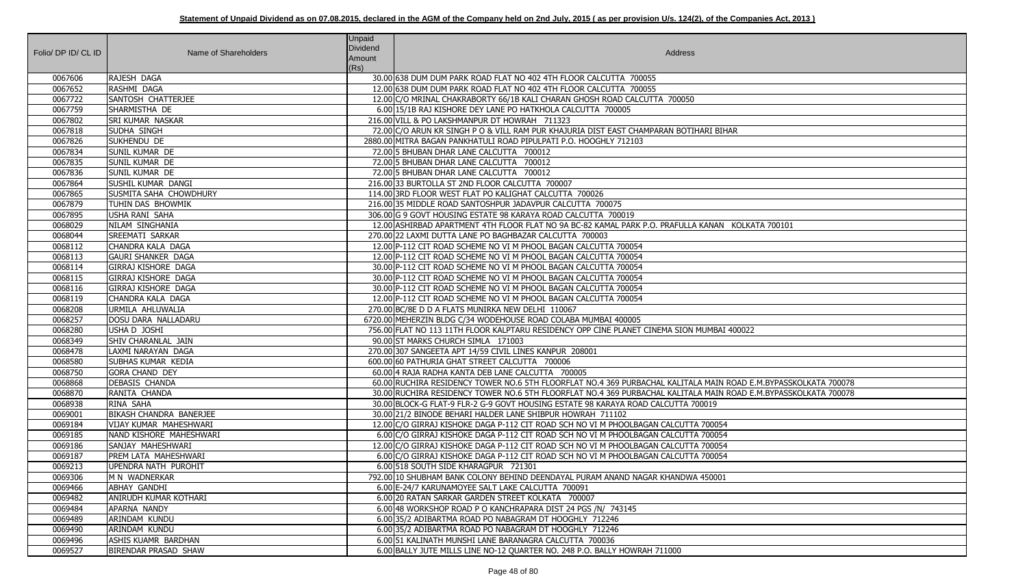| Folio/ DP ID/ CL ID | Name of Shareholders          | <b>Unpaid</b><br>Dividend<br>Amount<br>(Rs) | Address                                                                                                           |
|---------------------|-------------------------------|---------------------------------------------|-------------------------------------------------------------------------------------------------------------------|
| 0067606             | RAJESH DAGA                   |                                             | 30.00 638 DUM DUM PARK ROAD FLAT NO 402 4TH FLOOR CALCUTTA 700055                                                 |
| 0067652             | RASHMI DAGA                   |                                             | 12.00 638 DUM DUM PARK ROAD FLAT NO 402 4TH FLOOR CALCUTTA 700055                                                 |
| 0067722             | SANTOSH CHATTERJEE            |                                             | 12.00 C/O MRINAL CHAKRABORTY 66/1B KALI CHARAN GHOSH ROAD CALCUTTA 700050                                         |
| 0067759             | SHARMISTHA DE                 |                                             | 6.00 15/1B RAJ KISHORE DEY LANE PO HATKHOLA CALCUTTA 700005                                                       |
| 0067802             | <b>SRI KUMAR NASKAR</b>       |                                             | 216.00 VILL & PO LAKSHMANPUR DT HOWRAH 711323                                                                     |
| 0067818             | SUDHA SINGH                   |                                             | 72.00 C/O ARUN KR SINGH P O & VILL RAM PUR KHAJURIA DIST EAST CHAMPARAN BOTIHARI BIHAR                            |
| 0067826             | SUKHENDU DE                   |                                             | 2880.00 MITRA BAGAN PANKHATULI ROAD PIPULPATI P.O. HOOGHLY 712103                                                 |
| 0067834             | SUNIL KUMAR DE                |                                             | 72.00 5 BHUBAN DHAR LANE CALCUTTA 700012                                                                          |
| 0067835             | <b>SUNIL KUMAR DE</b>         |                                             | 72.00 5 BHUBAN DHAR LANE CALCUTTA 700012                                                                          |
| 0067836             | SUNIL KUMAR DE                |                                             | 72.00 5 BHUBAN DHAR LANE CALCUTTA 700012                                                                          |
| 0067864             | SUSHIL KUMAR DANGI            |                                             | 216.00 33 BURTOLLA ST 2ND FLOOR CALCUTTA 700007                                                                   |
| 0067865             | SUSMITA SAHA CHOWDHURY        |                                             | 114.00 3RD FLOOR WEST FLAT PO KALIGHAT CALCUTTA 700026                                                            |
| 0067879             | TUHIN DAS BHOWMIK             |                                             | 216.00 35 MIDDLE ROAD SANTOSHPUR JADAVPUR CALCUTTA 700075                                                         |
| 0067895             | USHA RANI SAHA                |                                             | 306.00 G 9 GOVT HOUSING ESTATE 98 KARAYA ROAD CALCUTTA 700019                                                     |
| 0068029             | NILAM SINGHANIA               |                                             | 12.00 ASHIRBAD APARTMENT 4TH FLOOR FLAT NO 9A BC-82 KAMAL PARK P.O. PRAFULLA KANAN KOLKATA 700101                 |
| 0068044             | <b>SREEMATI SARKAR</b>        |                                             | 270.00 22 LAXMI DUTTA LANE PO BAGHBAZAR CALCUTTA 700003                                                           |
| 0068112             | CHANDRA KALA DAGA             |                                             | 12.00 P-112 CIT ROAD SCHEME NO VI M PHOOL BAGAN CALCUTTA 700054                                                   |
| 0068113             | <b>GAURI SHANKER DAGA</b>     |                                             | 12.00 P-112 CIT ROAD SCHEME NO VI M PHOOL BAGAN CALCUTTA 700054                                                   |
| 0068114             | GIRRAJ KISHORE DAGA           |                                             | 30.00 P-112 CIT ROAD SCHEME NO VI M PHOOL BAGAN CALCUTTA 700054                                                   |
| 0068115             | GIRRAJ KISHORE DAGA           |                                             | 30.00 P-112 CIT ROAD SCHEME NO VI M PHOOL BAGAN CALCUTTA 700054                                                   |
| 0068116             | GIRRAJ KISHORE DAGA           |                                             | 30.00 P-112 CIT ROAD SCHEME NO VI M PHOOL BAGAN CALCUTTA 700054                                                   |
| 0068119             | CHANDRA KALA DAGA             |                                             | 12.00 P-112 CIT ROAD SCHEME NO VI M PHOOL BAGAN CALCUTTA 700054                                                   |
| 0068208             | URMILA AHLUWALIA              |                                             | 270.00 BC/8E D D A FLATS MUNIRKA NEW DELHI 110067                                                                 |
| 0068257             | DOSU DARA NALLADARU           |                                             | 6720.00 MEHERZIN BLDG C/34 WODEHOUSE ROAD COLABA MUMBAI 400005                                                    |
| 0068280             | USHA D JOSHI                  |                                             | 756.00 FLAT NO 113 11TH FLOOR KALPTARU RESIDENCY OPP CINE PLANET CINEMA SION MUMBAI 400022                        |
| 0068349             | SHIV CHARANLAL JAIN           |                                             | 90.00 ST MARKS CHURCH SIMLA 171003                                                                                |
| 0068478             | LAXMI NARAYAN DAGA            |                                             | 270.00 307 SANGEETA APT 14/59 CIVIL LINES KANPUR 208001                                                           |
| 0068580             | SUBHAS KUMAR KEDIA            |                                             | 600.00 60 PATHURIA GHAT STREET CALCUTTA 700006                                                                    |
| 0068750             | <b>GORA CHAND DEY</b>         |                                             | 60.00 4 RAJA RADHA KANTA DEB LANE CALCUTTA 700005                                                                 |
| 0068868             | DEBASIS CHANDA                |                                             | 60.00 RUCHIRA RESIDENCY TOWER NO.6 5TH FLOORFLAT NO.4 369 PURBACHAL KALITALA MAIN ROAD E.M.BYPASSKOLKATA 700078   |
| 0068870             | RANITA CHANDA                 |                                             | 30.00 RUCHIRA RESIDENCY TOWER NO.6 5TH FLOORFLAT NO.4 369 PURBACHAL KALITALA MAIN ROAD E.M.BYPASSKOLKATA 700078   |
| 0068938             | RINA SAHA                     |                                             | 30.00 BLOCK-G FLAT-9 FLR-2 G-9 GOVT HOUSING ESTATE 98 KARAYA ROAD CALCUTTA 700019                                 |
| 0069001             | BIKASH CHANDRA BANERJEE       |                                             | 30.00 21/2 BINODE BEHARI HALDER LANE SHIBPUR HOWRAH 711102                                                        |
| 0069184             | VIJAY KUMAR MAHESHWARI        |                                             | 12.00 C/O GIRRAJ KISHOKE DAGA P-112 CIT ROAD SCH NO VI M PHOOLBAGAN CALCUTTA 700054                               |
| 0069185             | NAND KISHORE MAHESHWARI       |                                             | 6.00 C/O GIRRAJ KISHOKE DAGA P-112 CIT ROAD SCH NO VI M PHOOLBAGAN CALCUTTA 700054                                |
| 0069186             | SANJAY MAHESHWARI             |                                             | 12.00 C/O GIRRAJ KISHOKE DAGA P-112 CIT ROAD SCH NO VI M PHOOLBAGAN CALCUTTA 700054                               |
| 0069187             | PREM LATA MAHESHWARI          |                                             | 6.00 C/O GIRRAJ KISHOKE DAGA P-112 CIT ROAD SCH NO VI M PHOOLBAGAN CALCUTTA 700054                                |
| 0069213             | UPENDRA NATH PUROHIT          |                                             | 6.00 518 SOUTH SIDE KHARAGPUR 721301                                                                              |
| 0069306             | M N WADNERKAR                 |                                             | 792.00 10 SHUBHAM BANK COLONY BEHIND DEENDAYAL PURAM ANAND NAGAR KHANDWA 450001                                   |
| 0069466             | <b>ABHAY GANDHI</b>           |                                             | 6.00 E-24/7 KARUNAMOYEE SALT LAKE CALCUTTA 700091                                                                 |
| 0069482             | ANIRUDH KUMAR KOTHARI         |                                             | 6.00 20 RATAN SARKAR GARDEN STREET KOLKATA 700007<br>6.00 48 WORKSHOP ROAD P O KANCHRAPARA DIST 24 PGS /N/ 743145 |
| 0069484<br>0069489  | APARNA NANDY<br>ARINDAM KUNDU |                                             | 6.00 35/2 ADIBARTMA ROAD PO NABAGRAM DT HOOGHLY 712246                                                            |
| 0069490             | ARINDAM KUNDU                 |                                             | 6.00 35/2 ADIBARTMA ROAD PO NABAGRAM DT HOOGHLY 712246                                                            |
| 0069496             | ASHIS KUAMR BARDHAN           |                                             | 6.00 51 KALINATH MUNSHI LANE BARANAGRA CALCUTTA 700036                                                            |
| 0069527             | <b>BIRENDAR PRASAD SHAW</b>   |                                             | 6.00 BALLY JUTE MILLS LINE NO-12 QUARTER NO. 248 P.O. BALLY HOWRAH 711000                                         |
|                     |                               |                                             |                                                                                                                   |

| har                           |
|-------------------------------|
|                               |
|                               |
|                               |
|                               |
|                               |
|                               |
|                               |
| KOLKATA 700101                |
|                               |
|                               |
|                               |
|                               |
|                               |
|                               |
|                               |
|                               |
|                               |
| I 400022                      |
|                               |
|                               |
|                               |
| ROAD E.M.BYPASSKOLKATA 700078 |
| ROAD E.M.BYPASSKOLKATA 700078 |
|                               |
|                               |
| $\overline{4}$                |
| $\overline{4}$                |
| $\overline{4}$                |
| 4                             |
|                               |
| $\overline{1}$                |
|                               |
|                               |
|                               |
|                               |
|                               |
|                               |
|                               |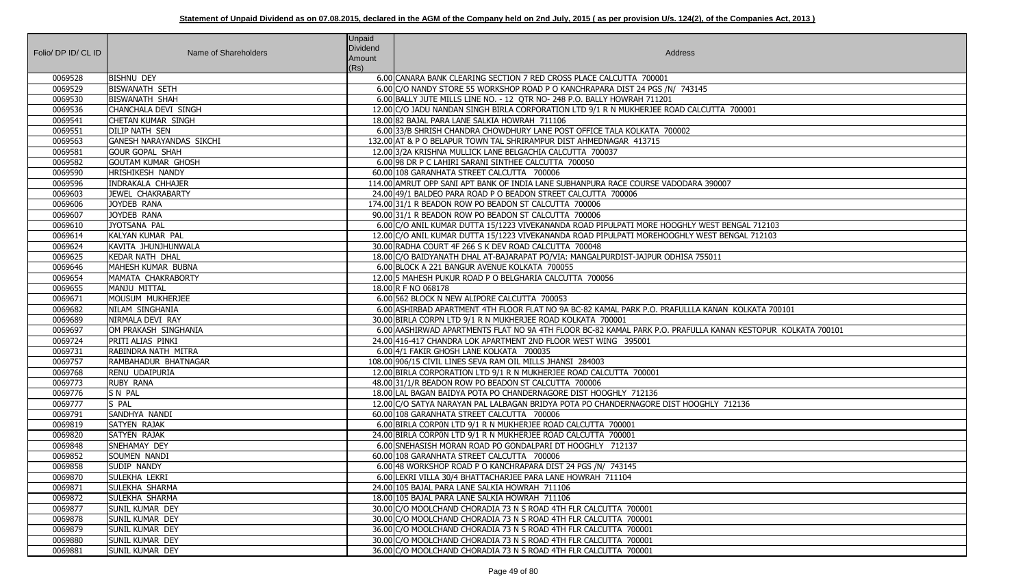| Folio/ DP ID/ CL ID | Name of Shareholders            | <b>Unpaid</b><br>Dividend<br>Amount<br>(Rs) | Address                                                                                                     |
|---------------------|---------------------------------|---------------------------------------------|-------------------------------------------------------------------------------------------------------------|
| 0069528             | <b>BISHNU DEY</b>               |                                             | 6.00 CANARA BANK CLEARING SECTION 7 RED CROSS PLACE CALCUTTA 700001                                         |
| 0069529             | <b>BISWANATH SETH</b>           |                                             | 6.00 C/O NANDY STORE 55 WORKSHOP ROAD P O KANCHRAPARA DIST 24 PGS /N/ 743145                                |
| 0069530             | <b>BISWANATH SHAH</b>           |                                             | 6.00 BALLY JUTE MILLS LINE NO. - 12 QTR NO- 248 P.O. BALLY HOWRAH 711201                                    |
| 0069536             | CHANCHALA DEVI SINGH            |                                             | 12.00 C/O JADU NANDAN SINGH BIRLA CORPORATION LTD 9/1 R N MUKHERJEE ROAD CALCUTTA 700001                    |
| 0069541             | <b>CHETAN KUMAR SINGH</b>       |                                             | 18.00 82 BAJAL PARA LANE SALKIA HOWRAH 711106                                                               |
| 0069551             | <b>DILIP NATH SEN</b>           |                                             | 6.00 33/B SHRISH CHANDRA CHOWDHURY LANE POST OFFICE TALA KOLKATA 700002                                     |
| 0069563             | <b>GANESH NARAYANDAS SIKCHI</b> |                                             | 132.00 AT & P O BELAPUR TOWN TAL SHRIRAMPUR DIST AHMEDNAGAR 413715                                          |
| 0069581             | <b>GOUR GOPAL SHAH</b>          |                                             | 12.00 3/2A KRISHNA MULLICK LANE BELGACHIA CALCUTTA 700037                                                   |
| 0069582             | <b>GOUTAM KUMAR GHOSH</b>       |                                             | 6.00 98 DR P C LAHIRI SARANI SINTHEE CALCUTTA 700050                                                        |
| 0069590             | <b>HRISHIKESH NANDY</b>         |                                             | 60.00 108 GARANHATA STREET CALCUTTA 700006                                                                  |
| 0069596             | <b>INDRAKALA CHHAJER</b>        |                                             | 114.00 AMRUT OPP SANI APT BANK OF INDIA LANE SUBHANPURA RACE COURSE VADODARA 390007                         |
| 0069603             | JEWEL CHAKRABARTY               |                                             | 24.00 49/1 BALDEO PARA ROAD P O BEADON STREET CALCUTTA 700006                                               |
| 0069606             | JOYDEB RANA                     |                                             | 174.00 31/1 R BEADON ROW PO BEADON ST CALCUTTA 700006                                                       |
| 0069607             | JOYDEB RANA                     |                                             | 90.00 31/1 R BEADON ROW PO BEADON ST CALCUTTA 700006                                                        |
| 0069610             | JYOTSANA PAL                    |                                             | 6.00 C/O ANIL KUMAR DUTTA 15/1223 VIVEKANANDA ROAD PIPULPATI MORE HOOGHLY WEST BENGAL 712103                |
| 0069614             | KALYAN KUMAR PAL                |                                             | 12.00 C/O ANIL KUMAR DUTTA 15/1223 VIVEKANANDA ROAD PIPULPATI MOREHOOGHLY WEST BENGAL 712103                |
| 0069624             | KAVITA JHUNJHUNWALA             |                                             | 30.00 RADHA COURT 4F 266 S K DEV ROAD CALCUTTA 700048                                                       |
| 0069625             | <b>KEDAR NATH DHAL</b>          |                                             | 18.00 C/O BAIDYANATH DHAL AT-BAJARAPAT PO/VIA: MANGALPURDIST-JAJPUR ODHISA 755011                           |
| 0069646             | MAHESH KUMAR BUBNA              |                                             | 6.00 BLOCK A 221 BANGUR AVENUE KOLKATA 700055                                                               |
| 0069654             | MAMATA CHAKRABORTY              |                                             | 12.00 5 MAHESH PUKUR ROAD P O BELGHARIA CALCUTTA 700056                                                     |
| 0069655             | MANJU MITTAL                    |                                             | 18.00 R F NO 068178                                                                                         |
| 0069671             | MOUSUM MUKHERJEE                |                                             | 6.00 562 BLOCK N NEW ALIPORE CALCUTTA 700053                                                                |
| 0069682             | NILAM SINGHANIA                 |                                             | 6.00 ASHIRBAD APARTMENT 4TH FLOOR FLAT NO 9A BC-82 KAMAL PARK P.O. PRAFULLLA KANAN KOLKATA 700101           |
| 0069689             | NIRMALA DEVI RAY                |                                             | 30.00 BIRLA CORPN LTD 9/1 R N MUKHERJEE ROAD KOLKATA 700001                                                 |
| 0069697             | OM PRAKASH SINGHANIA            |                                             | 6.00 AASHIRWAD APARTMENTS FLAT NO 9A 4TH FLOOR BC-82 KAMAL PARK P.O. PRAFULLA KANAN KESTOPUR KOLKATA 700101 |
| 0069724             | PRITI ALIAS PINKI               |                                             | 24.00 416-417 CHANDRA LOK APARTMENT 2ND FLOOR WEST WING 395001                                              |
| 0069731             | RABINDRA NATH MITRA             |                                             | 6.00 4/1 FAKIR GHOSH LANE KOLKATA 700035                                                                    |
| 0069757             | RAMBAHADUR BHATNAGAR            |                                             | 108.00 906/15 CIVIL LINES SEVA RAM OIL MILLS JHANSI 284003                                                  |
| 0069768             | RENU UDAIPURIA                  |                                             | 12.00 BIRLA CORPORATION LTD 9/1 R N MUKHERJEE ROAD CALCUTTA 700001                                          |
| 0069773             | <b>RUBY RANA</b>                |                                             | 48.00 31/1/R BEADON ROW PO BEADON ST CALCUTTA 700006                                                        |
| 0069776             | <b>SN PAL</b>                   |                                             | 18,00 LAL BAGAN BAIDYA POTA PO CHANDERNAGORE DIST HOOGHLY 712136                                            |
| 0069777             | S PAL                           |                                             | 12.00 C/O SATYA NARAYAN PAL LALBAGAN BRIDYA POTA PO CHANDERNAGORE DIST HOOGHLY 712136                       |
| 0069791             | SANDHYA NANDI                   |                                             | 60.00 108 GARANHATA STREET CALCUTTA 700006                                                                  |
| 0069819             | SATYEN RAJAK                    |                                             | 6.00 BIRLA CORPON LTD 9/1 R N MUKHERJEE ROAD CALCUTTA 700001                                                |
| 0069820             | SATYEN RAJAK                    |                                             | 24.00 BIRLA CORPON LTD 9/1 R N MUKHERJEE ROAD CALCUTTA 700001                                               |
| 0069848             | SNEHAMAY DEY                    |                                             | 6.00 SNEHASISH MORAN ROAD PO GONDALPARI DT HOOGHLY 712137                                                   |
| 0069852             | <b>SOUMEN NANDI</b>             |                                             | 60.00 108 GARANHATA STREET CALCUTTA 700006                                                                  |
| 0069858             | SUDIP NANDY                     |                                             | 6.00 48 WORKSHOP ROAD P O KANCHRAPARA DIST 24 PGS /N/ 743145                                                |
| 0069870             | SULEKHA LEKRI                   |                                             | 6.00 LEKRI VILLA 30/4 BHATTACHARJEE PARA LANE HOWRAH 711104                                                 |
| 0069871             | <b>SULEKHA SHARMA</b>           |                                             | 24.00 105 BAJAL PARA LANE SALKIA HOWRAH 711106                                                              |
| 0069872             | <b>SULEKHA SHARMA</b>           |                                             | 18.00 105 BAJAL PARA LANE SALKIA HOWRAH 711106                                                              |
| 0069877             | <b>SUNIL KUMAR DEY</b>          |                                             | 30.00 C/O MOOLCHAND CHORADIA 73 N S ROAD 4TH FLR CALCUTTA 700001                                            |
| 0069878             | <b>SUNIL KUMAR DEY</b>          |                                             | 30.00 C/O MOOLCHAND CHORADIA 73 N S ROAD 4TH FLR CALCUTTA 700001                                            |
| 0069879             | <b>SUNIL KUMAR DEY</b>          |                                             | 36.00 C/O MOOLCHAND CHORADIA 73 N S ROAD 4TH FLR CALCUTTA 700001                                            |
| 0069880             | <b>SUNIL KUMAR DEY</b>          |                                             | 30.00 C/O MOOLCHAND CHORADIA 73 N S ROAD 4TH FLR CALCUTTA 700001                                            |
| 0069881             | <b>SUNIL KUMAR DEY</b>          |                                             | 36.00 C/O MOOLCHAND CHORADIA 73 N S ROAD 4TH FLR CALCUTTA 700001                                            |

| A 700001                              |
|---------------------------------------|
|                                       |
|                                       |
|                                       |
| $\overline{07}$                       |
|                                       |
|                                       |
| <b>BENGAL 712103</b><br>BENGAL 712103 |
|                                       |
|                                       |
|                                       |
|                                       |
| N KOLKATA 700101                      |
| VAN KESTOPUR KOLKATA 700101           |
|                                       |
|                                       |
|                                       |
|                                       |
|                                       |
| 712136                                |
|                                       |
|                                       |
|                                       |
|                                       |
|                                       |
|                                       |
|                                       |
|                                       |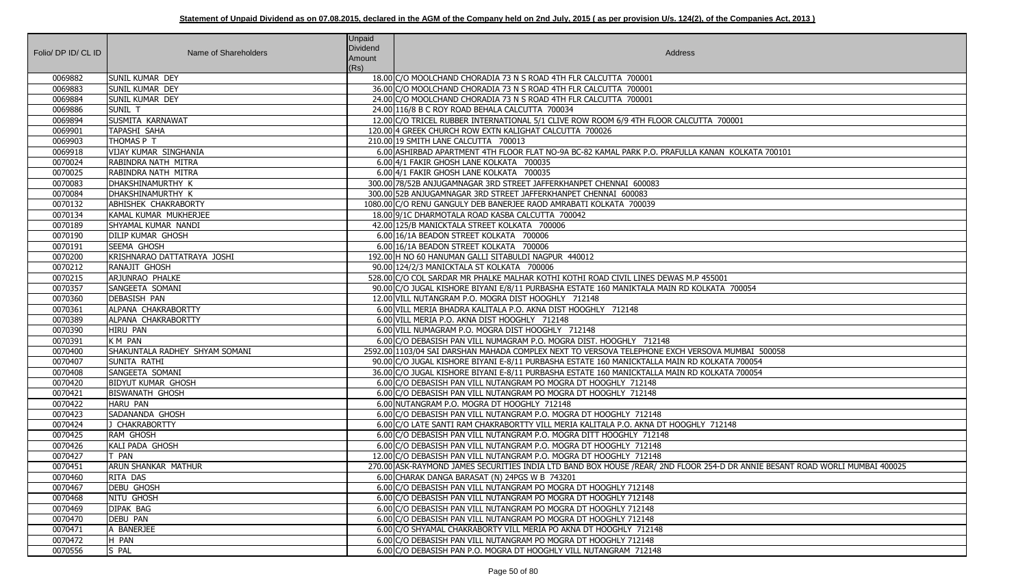| Folio/ DP ID/ CL ID | Name of Shareholders           | <b>Unpaid</b><br>Dividend<br>Amount<br>(Rs) | Address                                                                                                                      |
|---------------------|--------------------------------|---------------------------------------------|------------------------------------------------------------------------------------------------------------------------------|
| 0069882             | <b>SUNIL KUMAR DEY</b>         |                                             | 18.00 C/O MOOLCHAND CHORADIA 73 N S ROAD 4TH FLR CALCUTTA 700001                                                             |
| 0069883             | <b>SUNIL KUMAR DEY</b>         |                                             | 36.00 C/O MOOLCHAND CHORADIA 73 N S ROAD 4TH FLR CALCUTTA 700001                                                             |
| 0069884             | <b>SUNIL KUMAR DEY</b>         |                                             | 24.00 C/O MOOLCHAND CHORADIA 73 N S ROAD 4TH FLR CALCUTTA 700001                                                             |
| 0069886             | SUNIL T                        |                                             | 24.00 116/8 B C ROY ROAD BEHALA CALCUTTA 700034                                                                              |
| 0069894             | SUSMITA KARNAWAT               |                                             | 12.00 C/O TRICEL RUBBER INTERNATIONAL 5/1 CLIVE ROW ROOM 6/9 4TH FLOOR CALCUTTA 700001                                       |
| 0069901             | <b>TAPASHI SAHA</b>            |                                             | 120.00 4 GREEK CHURCH ROW EXTN KALIGHAT CALCUTTA 700026                                                                      |
| 0069903             | THOMAS P T                     |                                             | 210.00 19 SMITH LANE CALCUTTA 700013                                                                                         |
| 0069918             | VIJAY KUMAR SINGHANIA          |                                             | 6.00 ASHIRBAD APARTMENT 4TH FLOOR FLAT NO-9A BC-82 KAMAL PARK P.O. PRAFULLA KANAN KOLKATA 700101                             |
| 0070024             | RABINDRA NATH MITRA            |                                             | 6.00 4/1 FAKIR GHOSH LANE KOLKATA 700035                                                                                     |
| 0070025             | RABINDRA NATH MITRA            |                                             | 6.00 4/1 FAKIR GHOSH LANE KOLKATA 700035                                                                                     |
| 0070083             | DHAKSHINAMURTHY K              |                                             | 300.00 78/52B ANJUGAMNAGAR 3RD STREET JAFFERKHANPET CHENNAI 600083                                                           |
| 0070084             | DHAKSHINAMURTHY K              |                                             | 300.00 52B ANJUGAMNAGAR 3RD STREET JAFFERKHANPET CHENNAI 600083                                                              |
| 0070132             | <b>ABHISHEK CHAKRABORTY</b>    |                                             | 1080.00 C/O RENU GANGULY DEB BANERJEE RAOD AMRABATI KOLKATA 700039                                                           |
| 0070134             | KAMAL KUMAR MUKHERJEE          |                                             | 18.00 9/1C DHARMOTALA ROAD KASBA CALCUTTA 700042                                                                             |
| 0070189             | SHYAMAL KUMAR NANDI            |                                             | 42.00 125/B MANICKTALA STREET KOLKATA 700006                                                                                 |
| 0070190             | <b>DILIP KUMAR GHOSH</b>       |                                             | 6.00 16/1A BEADON STREET KOLKATA 700006                                                                                      |
| 0070191             | <b>SEEMA GHOSH</b>             |                                             | 6.00 16/1A BEADON STREET KOLKATA 700006                                                                                      |
| 0070200             | KRISHNARAO DATTATRAYA JOSHI    |                                             | 192.00 H NO 60 HANUMAN GALLI SITABULDI NAGPUR 440012                                                                         |
| 0070212             | RANAJIT GHOSH                  |                                             | 90.00 124/2/3 MANICKTALA ST KOLKATA 700006                                                                                   |
| 0070215             | ARJUNRAO PHALKE                |                                             | 528.00 C/O COL SARDAR MR PHALKE MALHAR KOTHI KOTHI ROAD CIVIL LINES DEWAS M.P 455001                                         |
| 0070357             | SANGEETA SOMANI                |                                             | 90.00 C/O JUGAL KISHORE BIYANI E/8/11 PURBASHA ESTATE 160 MANIKTALA MAIN RD KOLKATA 700054                                   |
| 0070360             | <b>DEBASISH PAN</b>            |                                             | 12.00 VILL NUTANGRAM P.O. MOGRA DIST HOOGHLY 712148                                                                          |
| 0070361             | ALPANA CHAKRABORTTY            |                                             | 6.00 VILL MERIA BHADRA KALITALA P.O. AKNA DIST HOOGHLY 712148                                                                |
| 0070389             | ALPANA CHAKRABORTTY            |                                             | 6.00 VILL MERIA P.O. AKNA DIST HOOGHLY 712148                                                                                |
| 0070390             | HIRU PAN                       |                                             | 6.00 VILL NUMAGRAM P.O. MOGRA DIST HOOGHLY 712148                                                                            |
| 0070391             | K M PAN                        |                                             | 6.00 C/O DEBASISH PAN VILL NUMAGRAM P.O. MOGRA DIST. HOOGHLY 712148                                                          |
| 0070400             | SHAKUNTALA RADHEY SHYAM SOMANI |                                             | 2592.00 1103/04 SAI DARSHAN MAHADA COMPLEX NEXT TO VERSOVA TELEPHONE EXCH VERSOVA MUMBAI 500058                              |
| 0070407             | <b>SUNITA RATHI</b>            |                                             | 90.00 C/O JUGAL KISHORE BIYANI E-8/11 PURBASHA ESTATE 160 MANICKTALLA MAIN RD KOLKATA 700054                                 |
| 0070408             | SANGEETA SOMANI                |                                             | 36.00 C/O JUGAL KISHORE BIYANI E-8/11 PURBASHA ESTATE 160 MANICKTALLA MAIN RD KOLKATA 700054                                 |
| 0070420             | <b>BIDYUT KUMAR GHOSH</b>      |                                             | 6.00 C/O DEBASISH PAN VILL NUTANGRAM PO MOGRA DT HOOGHLY 712148                                                              |
| 0070421             | <b>BISWANATH GHOSH</b>         |                                             | 6.00 C/O DEBASISH PAN VILL NUTANGRAM PO MOGRA DT HOOGHLY 712148                                                              |
| 0070422             | <b>HARU PAN</b>                |                                             | 6.00 NUTANGRAM P.O. MOGRA DT HOOGHLY 712148                                                                                  |
| 0070423             | SADANANDA GHOSH                |                                             | 6.00 C/O DEBASISH PAN VILL NUTANGRAM P.O. MOGRA DT HOOGHLY 712148                                                            |
| 0070424             | <b>CHAKRABORTTY</b>            |                                             | 6.00 C/O LATE SANTI RAM CHAKRABORTTY VILL MERIA KALITALA P.O. AKNA DT HOOGHLY 712148                                         |
| 0070425             | RAM GHOSH                      |                                             | 6.00 C/O DEBASISH PAN VILL NUTANGRAM P.O. MOGRA DITT HOOGHLY 712148                                                          |
| 0070426             | <b>KALI PADA GHOSH</b>         |                                             | 6.00 C/O DEBASISH PAN VILL NUTANGRAM P.O. MOGRA DT HOOGHLY 712148                                                            |
| 0070427             | PAN                            |                                             | 12.00 C/O DEBASISH PAN VILL NUTANGRAM P.O. MOGRA DT HOOGHLY 712148                                                           |
| 0070451             | ARUN SHANKAR MATHUR            |                                             | 270.00 ASK-RAYMOND JAMES SECURITIES INDIA LTD BAND BOX HOUSE /REAR/ 2ND FLOOR 254-D DR ANNIE BESANT ROAD WORLI MUMBAI 400025 |
| 0070460             | RITA DAS                       |                                             | 6.00 CHARAK DANGA BARASAT (N) 24PGS W B 743201                                                                               |
| 0070467             | <b>DEBU GHOSH</b>              |                                             | 6.00 C/O DEBASISH PAN VILL NUTANGRAM PO MOGRA DT HOOGHLY 712148                                                              |
| 0070468             | <b>NITU GHOSH</b>              |                                             | 6.00 C/O DEBASISH PAN VILL NUTANGRAM PO MOGRA DT HOOGHLY 712148                                                              |
| 0070469             | DIPAK BAG                      |                                             | 6.00 C/O DEBASISH PAN VILL NUTANGRAM PO MOGRA DT HOOGHLY 712148                                                              |
| 0070470             | <b>DEBU PAN</b>                |                                             | 6.00 C/O DEBASISH PAN VILL NUTANGRAM PO MOGRA DT HOOGHLY 712148                                                              |
| 0070471             | A BANERJEE                     |                                             | 6.00 C/O SHYAMAL CHAKRABORTY VILL MERIA PO AKNA DT HOOGHLY 712148                                                            |
| 0070472             | H PAN                          |                                             | 6.00 C/O DEBASISH PAN VILL NUTANGRAM PO MOGRA DT HOOGHLY 712148                                                              |
| 0070556             | S PAL                          |                                             | 6.00 C/O DEBASISH PAN P.O. MOGRA DT HOOGHLY VILL NUTANGRAM 712148                                                            |

| 00001                                      |
|--------------------------------------------|
|                                            |
|                                            |
| V KOLKATA 700101                           |
|                                            |
|                                            |
|                                            |
|                                            |
|                                            |
|                                            |
|                                            |
|                                            |
|                                            |
|                                            |
|                                            |
| $\overline{1}$                             |
| A 700054                                   |
|                                            |
|                                            |
|                                            |
|                                            |
|                                            |
| <b>MUMBAI 500058</b>                       |
| TA 700054                                  |
| TA 700054                                  |
|                                            |
|                                            |
|                                            |
|                                            |
| $\frac{2148}{5}$                           |
|                                            |
|                                            |
|                                            |
| O DR ANNIE BESANT ROAD WORLI MUMBAI 400025 |
|                                            |
|                                            |
|                                            |
|                                            |
|                                            |
|                                            |
|                                            |
|                                            |
|                                            |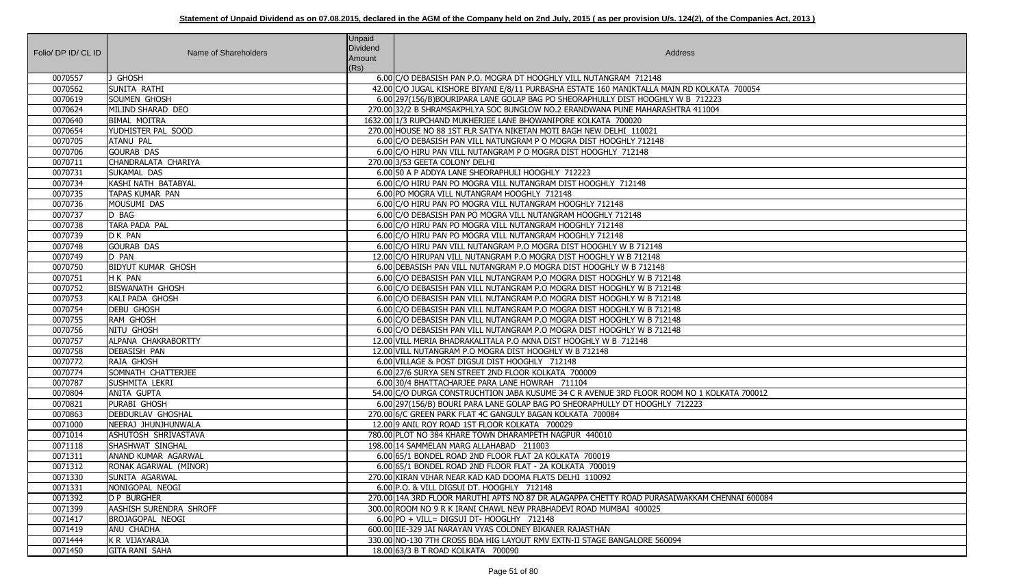| Folio/ DP ID/ CL ID | Name of Shareholders           | <b>Unpaid</b><br><b>Dividend</b><br>Amount<br>(Rs) | Address                                                                                      |
|---------------------|--------------------------------|----------------------------------------------------|----------------------------------------------------------------------------------------------|
| 0070557             | J GHOSH                        |                                                    | 6.00 C/O DEBASISH PAN P.O. MOGRA DT HOOGHLY VILL NUTANGRAM 712148                            |
| 0070562             | <b>SUNITA RATHI</b>            |                                                    | 42.00 C/O JUGAL KISHORE BIYANI E/8/11 PURBASHA ESTATE 160 MANIKTALLA MAIN RD KOLKATA 700054  |
| 0070619             | SOUMEN GHOSH                   |                                                    | 6.00 297 (156/B) BOURIPARA LANE GOLAP BAG PO SHEORAPHULLY DIST HOOGHLY W B 712223            |
| 0070624             | MILIND SHARAD DEO              |                                                    | 270.00 32/2 B SHRAMSAKPHLYA SOC BUNGLOW NO.2 ERANDWANA PUNE MAHARASHTRA 411004               |
| 0070640             | <b>BIMAL MOITRA</b>            |                                                    | 1632.00 1/3 RUPCHAND MUKHERJEE LANE BHOWANIPORE KOLKATA 700020                               |
| 0070654             | YUDHISTER PAL SOOD             |                                                    | 270.00 HOUSE NO 88 1ST FLR SATYA NIKETAN MOTI BAGH NEW DELHI 110021                          |
| 0070705             | <b>ATANU PAL</b>               |                                                    | 6.00 C/O DEBASISH PAN VILL NATUNGRAM P O MOGRA DIST HOOGHLY 712148                           |
| 0070706             | <b>GOURAB DAS</b>              |                                                    | 6.00 C/O HIRU PAN VILL NUTANGRAM P O MOGRA DIST HOOGHLY 712148                               |
| 0070711             | CHANDRALATA CHARIYA            |                                                    | 270.00 3/53 GEETA COLONY DELHI                                                               |
| 0070731             | SUKAMAL DAS                    |                                                    | 6.00 50 A P ADDYA LANE SHEORAPHULI HOOGHLY 712223                                            |
| 0070734             | KASHI NATH BATABYAL            |                                                    | 6.00 C/O HIRU PAN PO MOGRA VILL NUTANGRAM DIST HOOGHLY 712148                                |
| 0070735             | TAPAS KUMAR PAN                |                                                    | 6.00 PO MOGRA VILL NUTANGRAM HOOGHLY 712148                                                  |
| 0070736             | MOUSUMI DAS                    |                                                    | 6.00 C/O HIRU PAN PO MOGRA VILL NUTANGRAM HOOGHLY 712148                                     |
| 0070737             | D BAG                          |                                                    | 6.00 C/O DEBASISH PAN PO MOGRA VILL NUTANGRAM HOOGHLY 712148                                 |
| 0070738             | TARA PADA PAL                  |                                                    | 6.00 C/O HIRU PAN PO MOGRA VILL NUTANGRAM HOOGHLY 712148                                     |
| 0070739             | D K PAN                        |                                                    | 6.00 C/O HIRU PAN PO MOGRA VILL NUTANGRAM HOOGHLY 712148                                     |
| 0070748             | <b>GOURAB DAS</b>              |                                                    | 6.00 C/O HIRU PAN VILL NUTANGRAM P.O MOGRA DIST HOOGHLY W B 712148                           |
| 0070749             | D PAN                          |                                                    | 12.00 C/O HIRUPAN VILL NUTANGRAM P.O MOGRA DIST HOOGHLY W B 712148                           |
| 0070750             | <b>BIDYUT KUMAR GHOSH</b>      |                                                    | 6.00 DEBASISH PAN VILL NUTANGRAM P.O MOGRA DIST HOOGHLY W B 712148                           |
| 0070751             | H K PAN                        |                                                    | 6.00 C/O DEBASISH PAN VILL NUTANGRAM P.O MOGRA DIST HOOGHLY W B 712148                       |
| 0070752             | <b>BISWANATH GHOSH</b>         |                                                    | 6.00 C/O DEBASISH PAN VILL NUTANGRAM P.O MOGRA DIST HOOGHLY W B 712148                       |
| 0070753             | KALI PADA GHOSH                |                                                    | 6.00 C/O DEBASISH PAN VILL NUTANGRAM P.O MOGRA DIST HOOGHLY W B 712148                       |
| 0070754             | <b>DEBU GHOSH</b>              |                                                    | 6.00 C/O DEBASISH PAN VILL NUTANGRAM P.O MOGRA DIST HOOGHLY W B 712148                       |
| 0070755             | RAM GHOSH                      |                                                    | 6.00 C/O DEBASISH PAN VILL NUTANGRAM P.O MOGRA DIST HOOGHLY W B 712148                       |
| 0070756             | <b>NITU GHOSH</b>              |                                                    | 6.00 C/O DEBASISH PAN VILL NUTANGRAM P.O MOGRA DIST HOOGHLY W B 712148                       |
| 0070757             | ALPANA CHAKRABORTTY            |                                                    | 12.00 VILL MERIA BHADRAKALITALA P.O AKNA DIST HOOGHLY W B 712148                             |
| 0070758             | <b>DEBASISH PAN</b>            |                                                    | 12.00 VILL NUTANGRAM P.O MOGRA DIST HOOGHLY W B 712148                                       |
| 0070772             | RAJA GHOSH                     |                                                    | 6.00 VILLAGE & POST DIGSUI DIST HOOGHLY 712148                                               |
| 0070774             | SOMNATH CHATTERJEE             |                                                    | 6.00 27/6 SURYA SEN STREET 2ND FLOOR KOLKATA 700009                                          |
| 0070787             | SUSHMITA LEKRI                 |                                                    | 6.00 30/4 BHATTACHARJEE PARA LANE HOWRAH 711104                                              |
| 0070804             | <b>ANITA GUPTA</b>             |                                                    | 54.00 C/O DURGA CONSTRUCHTION JABA KUSUME 34 C R AVENUE 3RD FLOOR ROOM NO 1 KOLKATA 700012   |
| 0070821             | PURABI GHOSH                   |                                                    | 6.00 297 (156/B) BOURI PARA LANE GOLAP BAG PO SHEORAPHULLY DT HOOGHLY 712223                 |
| 0070863             | <b>DEBDURLAV GHOSHAL</b>       |                                                    | 270.00 6/C GREEN PARK FLAT 4C GANGULY BAGAN KOLKATA 700084                                   |
| 0071000             | NEERAJ JHUNJHUNWALA            |                                                    | 12.00 9 ANIL ROY ROAD 1ST FLOOR KOLKATA 700029                                               |
| 0071014             | <b>ASHUTOSH SHRIVASTAVA</b>    |                                                    | 780.00 PLOT NO 384 KHARE TOWN DHARAMPETH NAGPUR 440010                                       |
| 0071118             | SHASHWAT SINGHAL               |                                                    | 198.00 14 SAMMELAN MARG ALLAHABAD 211003                                                     |
| 0071311             | <b>ANAND KUMAR AGARWAL</b>     |                                                    | 6.00 65/1 BONDEL ROAD 2ND FLOOR FLAT 2A KOLKATA 700019                                       |
| 0071312             | RONAK AGARWAL (MINOR)          |                                                    | 6.00 65/1 BONDEL ROAD 2ND FLOOR FLAT - 2A KOLKATA 700019                                     |
| 0071330             | SUNITA AGARWAL                 |                                                    | 270.00 KIRAN VIHAR NEAR KAD KAD DOOMA FLATS DELHI 110092                                     |
| 0071331             | NONIGOPAL NEOGI                |                                                    | 6.00 P.O. & VILL DIGSUI DT. HOOGHLY 712148                                                   |
| 0071392             | <b>D P BURGHER</b>             |                                                    | 270.00 14A 3RD FLOOR MARUTHI APTS NO 87 DR ALAGAPPA CHETTY ROAD PURASAIWAKKAM CHENNAI 600084 |
| 0071399             | <b>AASHISH SURENDRA SHROFF</b> |                                                    | 300.00 ROOM NO 9 R K IRANI CHAWL NEW PRABHADEVI ROAD MUMBAI 400025                           |
| 0071417             | <b>BROJAGOPAL NEOGI</b>        |                                                    | 6.00 PO + VILL= DIGSUI DT- HOOGLHY 712148                                                    |
| 0071419             | ANU CHADHA                     |                                                    | 600.00 IIE-329 JAI NARAYAN VYAS COLONEY BIKANER RAJASTHAN                                    |
| 0071444             | K R VIJAYARAJA                 |                                                    | 330.00 NO-130 7TH CROSS BDA HIG LAYOUT RMV EXTN-II STAGE BANGALORE 560094                    |
| 0071450             | <b>GITA RANI SAHA</b>          |                                                    | 18.00 63/3 B T ROAD KOLKATA 700090                                                           |

| A 700054           |  |
|--------------------|--|
|                    |  |
|                    |  |
|                    |  |
|                    |  |
|                    |  |
|                    |  |
|                    |  |
|                    |  |
|                    |  |
|                    |  |
|                    |  |
|                    |  |
|                    |  |
|                    |  |
|                    |  |
|                    |  |
|                    |  |
|                    |  |
|                    |  |
| <b>CATA 700012</b> |  |
|                    |  |
|                    |  |
|                    |  |
|                    |  |
|                    |  |
|                    |  |
| ENNAI 600084       |  |
|                    |  |
|                    |  |
|                    |  |
|                    |  |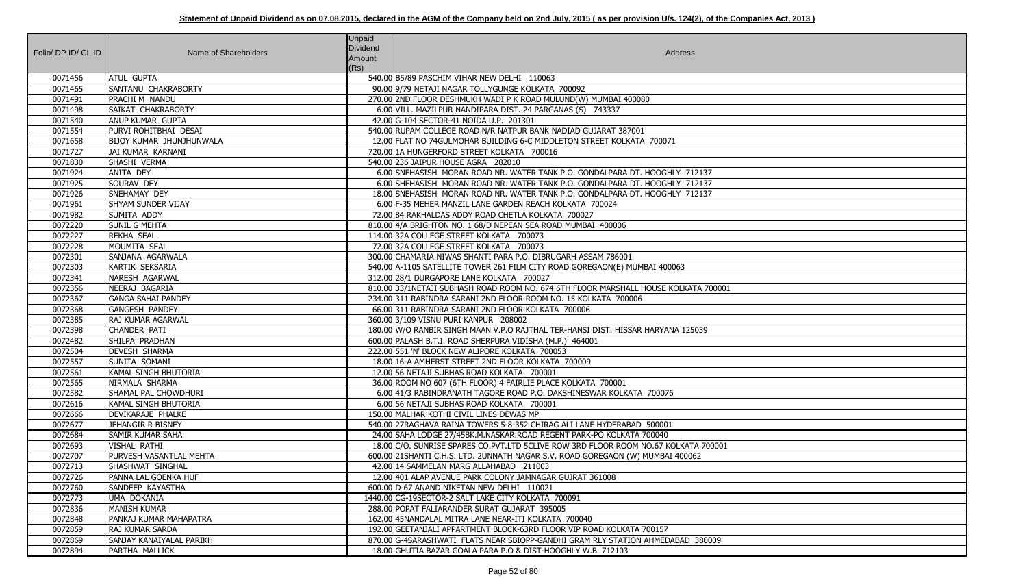| Folio/ DP ID/ CL ID | Name of Shareholders            | <b>Unpaid</b><br><b>Dividend</b><br>Amount<br>(Rs) | Address                                                                             |
|---------------------|---------------------------------|----------------------------------------------------|-------------------------------------------------------------------------------------|
| 0071456             | <b>ATUL GUPTA</b>               |                                                    | 540.00 B5/89 PASCHIM VIHAR NEW DELHI 110063                                         |
| 0071465             | SANTANU CHAKRABORTY             |                                                    | 90.00 9/79 NETAJI NAGAR TOLLYGUNGE KOLKATA 700092                                   |
| 0071491             | <b>PRACHIM NANDU</b>            |                                                    | 270.00 2ND FLOOR DESHMUKH WADI P K ROAD MULUND(W) MUMBAI 400080                     |
| 0071498             | SAIKAT CHAKRABORTY              |                                                    | 6.00 VILL. MAZILPUR NANDIPARA DIST. 24 PARGANAS (S) 743337                          |
| 0071540             | <b>ANUP KUMAR GUPTA</b>         |                                                    | 42.00 G-104 SECTOR-41 NOIDA U.P. 201301                                             |
| 0071554             | PURVI ROHITBHAI DESAI           |                                                    | 540.00 RUPAM COLLEGE ROAD N/R NATPUR BANK NADIAD GUJARAT 387001                     |
| 0071658             | <b>BIJOY KUMAR JHUNJHUNWALA</b> |                                                    | 12.00 FLAT NO 74GULMOHAR BUILDING 6-C MIDDLETON STREET KOLKATA 700071               |
| 0071727             | JAI KUMAR KARNANI               |                                                    | 720.00 1A HUNGERFORD STREET KOLKATA 700016                                          |
| 0071830             | SHASHI VERMA                    |                                                    | 540.00 236 JAIPUR HOUSE AGRA 282010                                                 |
| 0071924             | ANITA DEY                       |                                                    | 6.00 SNEHASISH MORAN ROAD NR. WATER TANK P.O. GONDALPARA DT. HOOGHLY 712137         |
| 0071925             | SOURAV DEY                      |                                                    | 6.00 SHEHASISH MORAN ROAD NR. WATER TANK P.O. GONDALPARA DT. HOOGHLY 712137         |
| 0071926             | SNEHAMAY DEY                    |                                                    | 18.00 SNEHASISH MORAN ROAD NR. WATER TANK P.O. GONDALPARA DT. HOOGHLY 712137        |
| 0071961             | <b>SHYAM SUNDER VIJAY</b>       |                                                    | 6.00 F-35 MEHER MANZIL LANE GARDEN REACH KOLKATA 700024                             |
| 0071982             | SUMITA ADDY                     |                                                    | 72.00 84 RAKHALDAS ADDY ROAD CHETLA KOLKATA 700027                                  |
| 0072220             | <b>SUNIL G MEHTA</b>            |                                                    | 810.00 4/A BRIGHTON NO. 1 68/D NEPEAN SEA ROAD MUMBAI 400006                        |
| 0072227             | <b>REKHA SEAL</b>               |                                                    | 114.00 32A COLLEGE STREET KOLKATA 700073                                            |
| 0072228             | MOUMITA SEAL                    |                                                    | 72.00 32A COLLEGE STREET KOLKATA 700073                                             |
| 0072301             | SANJANA AGARWALA                |                                                    | 300.00 CHAMARIA NIWAS SHANTI PARA P.O. DIBRUGARH ASSAM 786001                       |
| 0072303             | KARTIK SEKSARIA                 |                                                    | 540.00 A-1105 SATELLITE TOWER 261 FILM CITY ROAD GOREGAON(E) MUMBAI 400063          |
| 0072341             | NARESH AGARWAL                  |                                                    | 312.00 28/1 DURGAPORE LANE KOLKATA 700027                                           |
| 0072356             | NEERAJ BAGARIA                  |                                                    | 810.00 33/1NETAJI SUBHASH ROAD ROOM NO. 674 6TH FLOOR MARSHALL HOUSE KOLKATA 700001 |
| 0072367             | <b>GANGA SAHAI PANDEY</b>       |                                                    | 234.00 311 RABINDRA SARANI 2ND FLOOR ROOM NO. 15 KOLKATA 700006                     |
| 0072368             | <b>GANGESH PANDEY</b>           |                                                    | 66.00 311 RABINDRA SARANI 2ND FLOOR KOLKATA 700006                                  |
| 0072385             | <b>RAJ KUMAR AGARWAL</b>        |                                                    | 360.00 3/109 VISNU PURI KANPUR 208002                                               |
| 0072398             | CHANDER PATI                    |                                                    | 180.00 W/O RANBIR SINGH MAAN V.P.O RAJTHAL TER-HANSI DIST. HISSAR HARYANA 125039    |
| 0072482             | SHILPA PRADHAN                  |                                                    | 600.00 PALASH B.T.I. ROAD SHERPURA VIDISHA (M.P.) 464001                            |
| 0072504             | <b>DEVESH SHARMA</b>            |                                                    | 222.00 551 'N' BLOCK NEW ALIPORE KOLKATA 700053                                     |
| 0072557             | SUNITA SOMANI                   |                                                    | 18.00 16-A AMHERST STREET 2ND FLOOR KOLKATA 700009                                  |
| 0072561             | KAMAL SINGH BHUTORIA            |                                                    | 12.00 56 NETAJI SUBHAS ROAD KOLKATA 700001                                          |
| 0072565             | NIRMALA SHARMA                  |                                                    | 36.00 ROOM NO 607 (6TH FLOOR) 4 FAIRLIE PLACE KOLKATA 700001                        |
| 0072582             | SHAMAL PAL CHOWDHURI            |                                                    | 6.00 41/3 RABINDRANATH TAGORE ROAD P.O. DAKSHINESWAR KOLKATA 700076                 |
| 0072616             | KAMAL SINGH BHUTORIA            |                                                    | 6.00 56 NETAJI SUBHAS ROAD KOLKATA 700001                                           |
| 0072666             | <b>DEVIKARAJE PHALKE</b>        |                                                    | 150.00 MALHAR KOTHI CIVIL LINES DEWAS MP                                            |
| 0072677             | JEHANGIR R BISNEY               |                                                    | 540.00 27 RAGHAVA RAINA TOWERS 5-8-352 CHIRAG ALI LANE HYDERABAD                    |
| 0072684             | <b>SAMIR KUMAR SAHA</b>         |                                                    | 24.00 SAHA LODGE 27/45BK.M.NASKAR.ROAD REGENT PARK-PO KOLKATA 700040                |
| 0072693             | VISHAL RATHI                    |                                                    | 18.00 C/O. SUNRISE SPARES CO.PVT.LTD 5CLIVE ROW 3RD FLOOR ROOM NO.67 KOLKATA 700001 |
| 0072707             | <b>PURVESH VASANTLAL MEHTA</b>  |                                                    | 600.00 21 SHANTI C.H.S. LTD. 2UNNATH NAGAR S.V. ROAD GOREGAON (W) MUMBAI 400062     |
| 0072713             | SHASHWAT SINGHAL                |                                                    | 42.00 14 SAMMELAN MARG ALLAHABAD 211003                                             |
| 0072726             | <b>PANNA LAL GOENKA HUF</b>     |                                                    | 12.00 401 ALAP AVENUE PARK COLONY JAMNAGAR GUJRAT 361008                            |
| 0072760             | SANDEEP KAYASTHA                |                                                    | 600.00 D-67 ANAND NIKETAN NEW DELHI 110021                                          |
| 0072773             | UMA DOKANIA                     |                                                    | 1440.00 CG-19SECTOR-2 SALT LAKE CITY KOLKATA 700091                                 |
| 0072836             | <b>MANISH KUMAR</b>             |                                                    | 288.00 POPAT FALIARANDER SURAT GUJARAT 395005                                       |
| 0072848             | PANKAJ KUMAR MAHAPATRA          |                                                    | 162.00 45NANDALAL MITRA LANE NEAR-ITI KOLKATA 700040                                |
| 0072859             | <b>RAJ KUMAR SARDA</b>          |                                                    | 192.00 GEETANJALI APPARTMENT BLOCK-63RD FLOOR VIP ROAD KOLKATA 700157               |
| 0072869             | <b>SANJAY KANAIYALAL PARIKH</b> |                                                    | 870.00 G-4SARASHWATI FLATS NEAR SBIOPP-GANDHI GRAM RLY STATION AHMEDABAD 380009     |
| 0072894             | PARTHA MALLICK                  |                                                    | 18.00 GHUTIA BAZAR GOALA PARA P.O & DIST-HOOGHLY W.B. 712103                        |

| $\overline{01}$ |
|-----------------|
|                 |
|                 |
|                 |
|                 |
|                 |
|                 |
|                 |
|                 |
|                 |
|                 |
|                 |
| $\overline{1}$  |
|                 |
|                 |
|                 |
|                 |
|                 |
|                 |
|                 |
|                 |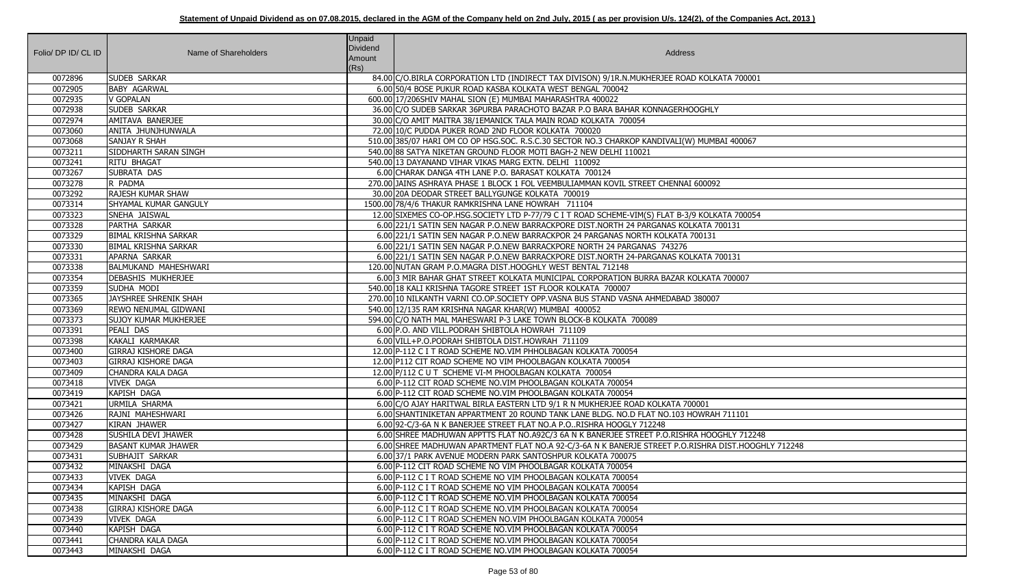| Folio/ DP ID/ CL ID | Name of Shareholders         | <b>Unpaid</b><br>Dividend<br>Amount<br>(Rs) | Address                                                                                             |
|---------------------|------------------------------|---------------------------------------------|-----------------------------------------------------------------------------------------------------|
| 0072896             | SUDEB SARKAR                 |                                             | 84.00 C/O.BIRLA CORPORATION LTD (INDIRECT TAX DIVISON) 9/1R.N.MUKHERJEE ROAD KOLKATA 700001         |
| 0072905             | <b>BABY AGARWAL</b>          |                                             | 6.00 50/4 BOSE PUKUR ROAD KASBA KOLKATA WEST BENGAL 700042                                          |
| 0072935             | <b>V GOPALAN</b>             |                                             | 600.00 17/206SHIV MAHAL SION (E) MUMBAI MAHARASHTRA 400022                                          |
| 0072938             | <b>SUDEB SARKAR</b>          |                                             | 36.00 C/O SUDEB SARKAR 36PURBA PARACHOTO BAZAR P.O BARA BAHAR KONNAGERHOOGHLY                       |
| 0072974             | AMITAVA BANERJEE             |                                             | 30.00 C/O AMIT MAITRA 38/1EMANICK TALA MAIN ROAD KOLKATA 700054                                     |
| 0073060             | ANITA JHUNJHUNWALA           |                                             | 72.00 10/C PUDDA PUKER ROAD 2ND FLOOR KOLKATA 700020                                                |
| 0073068             | <b>SANJAY R SHAH</b>         |                                             | 510.00 385/07 HARI OM CO OP HSG.SOC. R.S.C.30 SECTOR NO.3 CHARKOP KANDIVALI(W) MUMBAI 400067        |
| 0073211             | SIDDHARTH SARAN SINGH        |                                             | 540.00 88 SATYA NIKETAN GROUND FLOOR MOTI BAGH-2 NEW DELHI 110021                                   |
| 0073241             | <b>RITU BHAGAT</b>           |                                             | 540.00 13 DAYANAND VIHAR VIKAS MARG EXTN. DELHI 110092                                              |
| 0073267             | <b>SUBRATA DAS</b>           |                                             | 6.00 CHARAK DANGA 4TH LANE P.O. BARASAT KOLKATA 700124                                              |
| 0073278             | R PADMA                      |                                             | 270.00 JAINS ASHRAYA PHASE 1 BLOCK 1 FOL VEEMBULIAMMAN KOVIL STREET CHENNAI 600092                  |
| 0073292             | <b>RAJESH KUMAR SHAW</b>     |                                             | 30.00 20A DEODAR STREET BALLYGUNGE KOLKATA 700019                                                   |
| 0073314             | SHYAMAL KUMAR GANGULY        |                                             | 1500.00 78/4/6 THAKUR RAMKRISHNA LANE HOWRAH 711104                                                 |
| 0073323             | SNEHA JAISWAL                |                                             | 12.00 SIXEMES CO-OP.HSG.SOCIETY LTD P-77/79 C I T ROAD SCHEME-VIM(S) FLAT B-3/9 KOLKATA 700054      |
| 0073328             | PARTHA SARKAR                |                                             | 6.00 221/1 SATIN SEN NAGAR P.O.NEW BARRACKPORE DIST.NORTH 24 PARGANAS KOLKATA 700131                |
| 0073329             | <b>BIMAL KRISHNA SARKAR</b>  |                                             | 6.00 221/1 SATIN SEN NAGAR P.O.NEW BARRACKPOR 24 PARGANAS NORTH KOLKATA 700131                      |
| 0073330             | <b>BIMAL KRISHNA SARKAR</b>  |                                             | 6.00 221/1 SATIN SEN NAGAR P.O.NEW BARRACKPORE NORTH 24 PARGANAS 743276                             |
| 0073331             | APARNA SARKAR                |                                             | 6.00 221/1 SATIN SEN NAGAR P.O.NEW BARRACKPORE DIST.NORTH 24-PARGANAS KOLKATA 700131                |
| 0073338             | <b>BALMUKAND MAHESHWARI</b>  |                                             | 120.00 NUTAN GRAM P.O.MAGRA DIST.HOOGHLY WEST BENTAL 712148                                         |
| 0073354             | DEBASHIS MUKHERJEE           |                                             | 6.00 3 MIR BAHAR GHAT STREET KOLKATA MUNICIPAL CORPORATION BURRA BAZAR KOLKATA 700007               |
| 0073359             | SUDHA MODI                   |                                             | 540.00 18 KALI KRISHNA TAGORE STREET 1ST FLOOR KOLKATA 700007                                       |
| 0073365             | JAYSHREE SHRENIK SHAH        |                                             | 270.00 10 NILKANTH VARNI CO.OP.SOCIETY OPP.VASNA BUS STAND VASNA AHMEDABAD 380007                   |
| 0073369             | <b>REWO NENUMAL GIDWANI</b>  |                                             | 540.00 12/135 RAM KRISHNA NAGAR KHAR(W) MUMBAI 400052                                               |
| 0073373             | <b>SUJOY KUMAR MUKHERJEE</b> |                                             | 594.00 C/O NATH MAL MAHESWARI P-3 LAKE TOWN BLOCK-B KOLKATA 700089                                  |
| 0073391             | PEALI DAS                    |                                             | 6.00 P.O. AND VILL. PODRAH SHIBTOLA HOWRAH 711109                                                   |
| 0073398             | KAKALI KARMAKAR              |                                             | 6.00 VILL+P.O.PODRAH SHIBTOLA DIST.HOWRAH 711109                                                    |
| 0073400             | <b>GIRRAJ KISHORE DAGA</b>   |                                             | 12.00 P-112 C I T ROAD SCHEME NO. VIM PHHOLBAGAN KOLKATA 700054                                     |
| 0073403             | <b>GIRRAJ KISHORE DAGA</b>   |                                             | 12.00 P112 CIT ROAD SCHEME NO VIM PHOOLBAGAN KOLKATA 700054                                         |
| 0073409             | <b>CHANDRA KALA DAGA</b>     |                                             | 12.00 P/112 C U T SCHEME VI-M PHOOLBAGAN KOLKATA 700054                                             |
| 0073418             | <b>VIVEK DAGA</b>            |                                             | 6.00 P-112 CIT ROAD SCHEME NO.VIM PHOOLBAGAN KOLKATA 700054                                         |
| 0073419             | KAPISH DAGA                  |                                             | 6.00 P-112 CIT ROAD SCHEME NO.VIM PHOOLBAGAN KOLKATA 700054                                         |
| 0073421             | URMILA SHARMA                |                                             | 6.00 C/O AJAY HARITWAL BIRLA EASTERN LTD 9/1 R N MUKHERJEE ROAD KOLKATA 700001                      |
| 0073426             | RAJNI MAHESHWARI             |                                             | 6.00 SHANTINIKETAN APPARTMENT 20 ROUND TANK LANE BLDG. NO.D FLAT NO.103 HOWRAH 711101               |
| 0073427             | <b>KIRAN JHAWER</b>          |                                             | 6.00 92-C/3-6A N K BANERJEE STREET FLAT NO.A P.ORISHRA HOOGLY 712248                                |
| 0073428             | <b>SUSHILA DEVI JHAWER</b>   |                                             | 6.00 SHREE MADHUWAN APPTTS FLAT NO.A92C/3 6A N K BANERJEE STREET P.O.RISHRA HOOGHLY 712248          |
| 0073429             | <b>BASANT KUMAR JHAWER</b>   |                                             | 6.00 SHREE MADHUWAN APARTMENT FLAT NO.A 92-C/3-6A N K BANERJE STREET P.O.RISHRA DIST.HOOGHLY 712248 |
| 0073431             | <b>SUBHAJIT SARKAR</b>       |                                             | 6.00 37/1 PARK AVENUE MODERN PARK SANTOSHPUR KOLKATA 700075                                         |
| 0073432             | MINAKSHI DAGA                |                                             | 6.00 P-112 CIT ROAD SCHEME NO VIM PHOOLBAGAR KOLKATA 700054                                         |
| 0073433             | <b>VIVEK DAGA</b>            |                                             | 6.00 P-112 C I T ROAD SCHEME NO VIM PHOOLBAGAN KOLKATA 700054                                       |
| 0073434             | KAPISH DAGA                  |                                             | 6.00 P-112 C I T ROAD SCHEME NO VIM PHOOLBAGAN KOLKATA 700054                                       |
| 0073435             | MINAKSHI DAGA                |                                             | 6.00 P-112 C I T ROAD SCHEME NO. VIM PHOOLBAGAN KOLKATA 700054                                      |
| 0073438             | <b>GIRRAJ KISHORE DAGA</b>   |                                             | 6.00 P-112 C I T ROAD SCHEME NO. VIM PHOOLBAGAN KOLKATA 700054                                      |
| 0073439             | <b>VIVEK DAGA</b>            |                                             | 6.00 P-112 C I T ROAD SCHEMEN NO.VIM PHOOLBAGAN KOLKATA 700054                                      |
| 0073440             | KAPISH DAGA                  |                                             | 6.00 P-112 C I T ROAD SCHEME NO. VIM PHOOLBAGAN KOLKATA 700054                                      |
| 0073441             | <b>CHANDRA KALA DAGA</b>     |                                             | 6.00 P-112 C I T ROAD SCHEME NO. VIM PHOOLBAGAN KOLKATA 700054                                      |
| 0073443             | MINAKSHI DAGA                |                                             | 6.00 P-112 C I T ROAD SCHEME NO.VIM PHOOLBAGAN KOLKATA 700054                                       |
|                     |                              |                                             |                                                                                                     |

| TA 700001           |
|---------------------|
|                     |
|                     |
|                     |
|                     |
|                     |
| 1 400067            |
|                     |
|                     |
|                     |
|                     |
|                     |
| TA 700054           |
| 0131                |
|                     |
|                     |
| 0131                |
|                     |
| 700007              |
|                     |
|                     |
|                     |
|                     |
|                     |
|                     |
|                     |
|                     |
|                     |
|                     |
| 711101              |
|                     |
| HLY 712248          |
| DIST.HOOGHLY 712248 |
|                     |
|                     |
|                     |
|                     |
|                     |
|                     |
|                     |
|                     |
|                     |
|                     |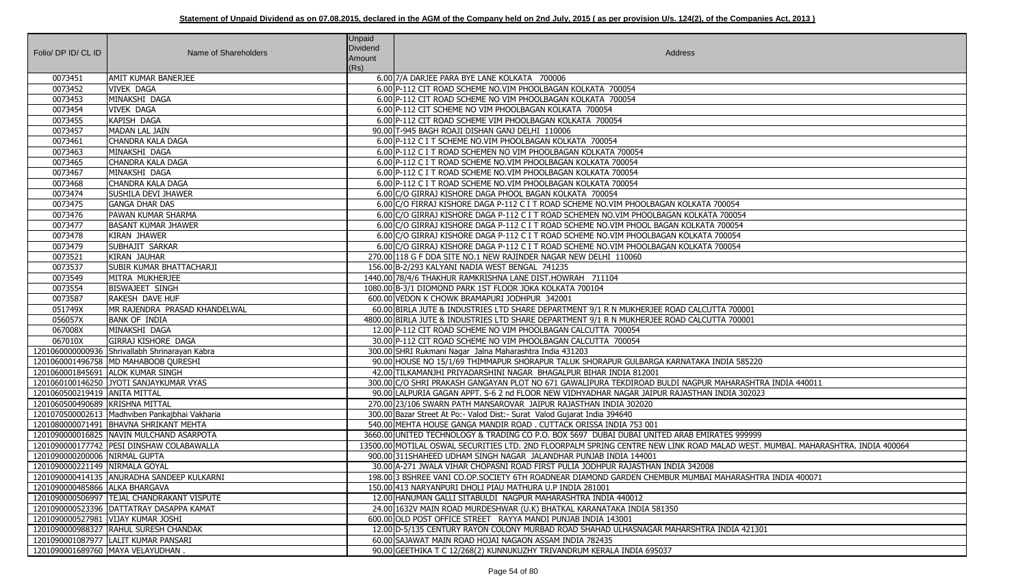| Folio/ DP ID/ CL ID             |                                                  | <b>Unpaid</b><br>Dividend |                                                                                                                                |
|---------------------------------|--------------------------------------------------|---------------------------|--------------------------------------------------------------------------------------------------------------------------------|
|                                 | Name of Shareholders                             | Amount                    | Address                                                                                                                        |
|                                 |                                                  | (Rs)                      |                                                                                                                                |
| 0073451                         | <b>AMIT KUMAR BANERJEE</b>                       |                           | 6.00 7/A DARJEE PARA BYE LANE KOLKATA 700006                                                                                   |
| 0073452                         | <b>VIVEK DAGA</b>                                |                           | 6.00 P-112 CIT ROAD SCHEME NO.VIM PHOOLBAGAN KOLKATA 700054                                                                    |
| 0073453                         | MINAKSHI DAGA                                    |                           | 6.00 P-112 CIT ROAD SCHEME NO VIM PHOOLBAGAN KOLKATA 700054                                                                    |
| 0073454                         | <b>VIVEK DAGA</b>                                |                           | 6.00 P-112 CIT SCHEME NO VIM PHOOLBAGAN KOLKATA 700054                                                                         |
| 0073455                         | KAPISH DAGA                                      |                           | 6.00 P-112 CIT ROAD SCHEME VIM PHOOLBAGAN KOLKATA 700054                                                                       |
| 0073457                         | <b>MADAN LAL JAIN</b>                            |                           | 90.00 T-945 BAGH ROAJI DISHAN GANJ DELHI 110006                                                                                |
| 0073461                         | <b>CHANDRA KALA DAGA</b>                         |                           | 6.00 P-112 C I T SCHEME NO.VIM PHOOLBAGAN KOLKATA 700054                                                                       |
| 0073463                         | MINAKSHI DAGA                                    |                           | 6.00 P-112 C I T ROAD SCHEMEN NO VIM PHOOLBAGAN KOLKATA 700054                                                                 |
| 0073465                         | <b>CHANDRA KALA DAGA</b>                         |                           | 6.00 P-112 C I T ROAD SCHEME NO. VIM PHOOLBAGAN KOLKATA 700054                                                                 |
| 0073467                         | MINAKSHI DAGA                                    |                           | 6.00 P-112 C I T ROAD SCHEME NO. VIM PHOOLBAGAN KOLKATA 700054                                                                 |
| 0073468                         | <b>CHANDRA KALA DAGA</b>                         |                           | 6.00 P-112 C I T ROAD SCHEME NO. VIM PHOOLBAGAN KOLKATA 700054                                                                 |
| 0073474                         | <b>SUSHILA DEVI JHAWER</b>                       |                           | 6.00 C/O GIRRAJ KISHORE DAGA PHOOL BAGAN KOLKATA 700054                                                                        |
| 0073475                         | <b>GANGA DHAR DAS</b>                            |                           | 6.00 C/O FIRRAJ KISHORE DAGA P-112 C I T ROAD SCHEME NO.VIM PHOOLBAGAN KOLKATA 700054                                          |
| 0073476                         | PAWAN KUMAR SHARMA                               |                           | 6.00 C/O GIRRAJ KISHORE DAGA P-112 C I T ROAD SCHEMEN NO.VIM PHOOLBAGAN KOLKATA 700054                                         |
| 0073477                         | <b>BASANT KUMAR JHAWER</b>                       |                           | 6.00 C/O GIRRAJ KISHORE DAGA P-112 C I T ROAD SCHEME NO.VIM PHOOL BAGAN KOLKATA 700054                                         |
| 0073478                         | <b>KIRAN JHAWER</b>                              |                           | 6.00 C/O GIRRAJ KISHORE DAGA P-112 C I T ROAD SCHEME NO.VIM PHOOLBAGAN KOLKATA 700054                                          |
| 0073479                         | SUBHAJIT SARKAR                                  |                           | 6.00 C/O GIRRAJ KISHORE DAGA P-112 C I T ROAD SCHEME NO.VIM PHOOLBAGAN KOLKATA 700054                                          |
| 0073521                         | KIRAN JAUHAR                                     |                           | 270.00 118 G F DDA SITE NO.1 NEW RAJINDER NAGAR NEW DELHI 110060                                                               |
| 0073537                         | SUBIR KUMAR BHATTACHARJI                         |                           | 156.00 B-2/293 KALYANI NADIA WEST BENGAL 741235                                                                                |
| 0073549                         | MITRA MUKHERJEE                                  |                           | 1440.00 78/4/6 THAKHUR RAMKRISHNA LANE DIST.HOWRAH 711104                                                                      |
| 0073554                         | <b>BISWAJEET SINGH</b>                           |                           | 1080.00 B-3/1 DIOMOND PARK 1ST FLOOR JOKA KOLKATA 700104                                                                       |
| 0073587                         | <b>RAKESH DAVE HUF</b>                           |                           | 600.00 VEDON K CHOWK BRAMAPURI JODHPUR 342001                                                                                  |
| 051749X                         | MR RAJENDRA PRASAD KHANDELWAL                    |                           | 60.00 BIRLA JUTE & INDUSTRIES LTD SHARE DEPARTMENT 9/1 R N MUKHERJEE ROAD CALCUTTA 700001                                      |
| 056057X                         | <b>BANK OF INDIA</b>                             |                           | 4800.00 BIRLA JUTE & INDUSTRIES LTD SHARE DEPARTMENT 9/1 R N MUKHERJEE ROAD CALCUTTA 700001                                    |
| 067008X                         | MINAKSHI DAGA                                    |                           | 12.00 P-112 CIT ROAD SCHEME NO VIM PHOOLBAGAN CALCUTTA 700054                                                                  |
| 067010X                         | GIRRAJ KISHORE DAGA                              |                           | 30.00 P-112 CIT ROAD SCHEME NO VIM PHOOLBAGAN CALCUTTA 700054                                                                  |
|                                 | 1201060000000936 Shrivallabh Shrinarayan Kabra   |                           | 300.00 SHRI Rukmani Nagar Jalna Maharashtra India 431203                                                                       |
|                                 | 1201060001496758   MD MAHABOOB QURESHI           |                           | 90.00 HOUSE NO 15/1/69 THIMMAPUR SHORAPUR TALUK SHORAPUR GULBARGA KARNATAKA INDIA 585220                                       |
|                                 | 1201060001845691 ALOK KUMAR SINGH                |                           | 42.00 TILKAMANJHI PRIYADARSHINI NAGAR BHAGALPUR BIHAR INDIA 812001                                                             |
|                                 | 1201060100146250 JYOTI SANJAYKUMAR VYAS          |                           | 300.00 C/O SHRI PRAKASH GANGAYAN PLOT NO 671 GAWALIPURA TEKDIROAD BULDI NAGPUR MAHARASHTRA INDIA 440011                        |
| 1201060500219419 ANITA MITTAL   |                                                  |                           | 90.00 LALPURIA GAGAN APPT. S-6 2 nd FLOOR NEW VIDHYADHAR NAGAR JAIPUR RAJASTHAN INDIA 302023                                   |
| 1201060500490689 KRISHNA MITTAL |                                                  |                           | 270.00 23/106 SWARN PATH MANSAROVAR JAIPUR RAJASTHAN INDIA 302020                                                              |
|                                 | 1201070500002613   Madhviben Pankajbhai Vakharia |                           | 300.00 Bazar Street At Po:- Valod Dist:- Surat Valod Gujarat India 394640                                                      |
|                                 | 1201080000071491   BHAVNA SHRIKANT MEHTA         |                           | 540.00 MEHTA HOUSE GANGA MANDIR ROAD. CUTTACK ORISSA INDIA 753 001                                                             |
|                                 | 1201090000016825   NAVIN MULCHAND ASARPOTA       |                           | 3660.00 UNITED TECHNOLOGY & TRADING CO P.O. BOX 5697 DUBAI DUBAI UNITED ARAB EMIRATES 999999                                   |
|                                 | 1201090000177742 PESI DINSHAW COLABAWALLA        |                           | 13500.00 MOTILAL OSWAL SECURITIES LTD. 2ND FLOORPALM SPRING CENTRE NEW LINK ROAD MALAD WEST. MUMBAI. MAHARASHTRA. INDIA 400064 |
| 1201090000200006 NIRMAL GUPTA   |                                                  |                           | 900.00 311SHAHEED UDHAM SINGH NAGAR JALANDHAR PUNJAB INDIA 144001                                                              |
| 1201090000221149 NIRMALA GOYAL  |                                                  |                           | 30.00 A-271 JWALA VIHAR CHOPASNI ROAD FIRST PULIA JODHPUR RAJASTHAN INDIA 342008                                               |
|                                 | 1201090000414135 ANURADHA SANDEEP KULKARNI       |                           | 198.00 3 BSHREE VANI CO.OP.SOCIETY 6TH ROADNEAR DIAMOND GARDEN CHEMBUR MUMBAI MAHARASHTRA INDIA 400071                         |
| 1201090000485866 ALKA BHARGAVA  |                                                  |                           | 150.00 413 NARYANPURI DHOLI PIAU MATHURA U.P INDIA 281001                                                                      |
|                                 | 1201090000506997  TEJAL CHANDRAKANT VISPUTE      |                           | 12.00 HANUMAN GALLI SITABULDI NAGPUR MAHARASHTRA INDIA 440012                                                                  |
|                                 | 1201090000523396   DATTATRAY DASAPPA KAMAT       |                           | 24.00 1632V MAIN ROAD MURDESHWAR (U.K) BHATKAL KARANATAKA INDIA 581350                                                         |
|                                 | 1201090000527981   VIJAY KUMAR JOSHI             |                           | 600.00 OLD POST OFFICE STREET RAYYA MANDI PUNJAB INDIA 143001                                                                  |
|                                 | 1201090000988327 RAHUL SURESH CHANDAK            |                           | 12.00 D-5/135 CENTURY RAYON COLONY MURBAD ROAD SHAHAD ULHASNAGAR MAHARSHTRA INDIA 421301                                       |
|                                 | 1201090001087977   LALIT KUMAR PANSARI           |                           | 60.00 SAJAWAT MAIN ROAD HOJAI NAGAON ASSAM INDIA 782435                                                                        |
|                                 |                                                  |                           |                                                                                                                                |
|                                 | 1201090001689760   MAYA VELAYUDHAN .             |                           | 90.00 GEETHIKA T C 12/268(2) KUNNUKUZHY TRIVANDRUM KERALA INDIA 695037                                                         |

| 0054                                        |
|---------------------------------------------|
| 700054                                      |
| 00054                                       |
| 0054                                        |
| 0054                                        |
|                                             |
|                                             |
|                                             |
|                                             |
|                                             |
| $\overline{4700001}$                        |
| $\frac{1}{200001}$                          |
|                                             |
|                                             |
|                                             |
| DIA 585220                                  |
|                                             |
| AHARASHTRA INDIA 440011                     |
| DIA 302023                                  |
|                                             |
|                                             |
| ES 999999                                   |
| LAD WEST. MUMBAI. MAHARASHTRA. INDIA 400064 |
|                                             |
|                                             |
| AHARASHTRA INDIA 400071                     |
|                                             |
|                                             |
|                                             |
|                                             |
| <b>VDIA 421301</b>                          |
|                                             |
|                                             |
|                                             |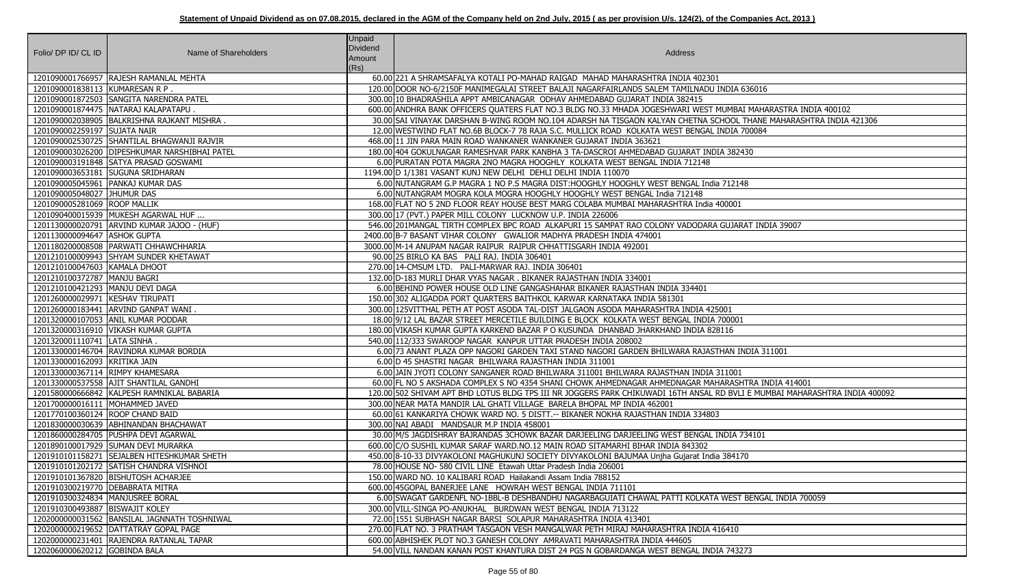|                                    |                                                | <b>Unpaid</b><br><b>Dividend</b> |                                                                                                                             |
|------------------------------------|------------------------------------------------|----------------------------------|-----------------------------------------------------------------------------------------------------------------------------|
| Folio/ DP ID/ CL ID                | Name of Shareholders                           | Amount                           | Address                                                                                                                     |
|                                    |                                                | (Rs)                             |                                                                                                                             |
|                                    | 1201090001766957 RAJESH RAMANLAL MEHTA         |                                  | 60.00 221 A SHRAMSAFALYA KOTALI PO-MAHAD RAIGAD MAHAD MAHARASHTRA INDIA 402301                                              |
| 1201090001838113 KUMARESAN R P.    |                                                |                                  | 120.00 DOOR NO-6/2150F MANIMEGALAI STREET BALAJI NAGARFAIRLANDS SALEM TAMILNADU INDIA 636016                                |
|                                    | 1201090001872503 SANGITA NARENDRA PATEL        |                                  | 300.00 10 BHADRASHILA APPT AMBICANAGAR ODHAV AHMEDABAD GUJARAT INDIA 382415                                                 |
|                                    | 1201090001874475   NATARAJ KALAPATAPU.         |                                  | 600.00 ANDHRA BANK OFFICERS QUATERS FLAT NO.3 BLDG NO.33 MHADA JOGESHWARI WEST MUMBAI MAHARASTRA INDIA 400102               |
|                                    | 1201090002038905 BALKRISHNA RAJKANT MISHRA     |                                  | 30.00 SAI VINAYAK DARSHAN B-WING ROOM NO.104 ADARSH NA TISGAON KALYAN CHETNA SCHOOL THANE MAHARASHTRA INDIA 421306          |
| 1201090002259197 SUJATA NAIR       |                                                |                                  | 12.00 WESTWIND FLAT NO.6B BLOCK-7 78 RAJA S.C. MULLICK ROAD KOLKATA WEST BENGAL INDIA 700084                                |
|                                    | 1201090002530725 SHANTILAL BHAGWANJI RAJVIR    |                                  | 468.00 11 JIN PARA MAIN ROAD WANKANER WANKANER GUJARAT INDIA 363621                                                         |
|                                    | 1201090003026200 DIPESHKUMAR NARSHIBHAI PATEL  |                                  | 180.00 404 GOKULNAGAR RAMESHVAR PARK KANBHA 3 TA-DASCROI AHMEDABAD GUJARAT INDIA 382430                                     |
|                                    | 1201090003191848   SATYA PRASAD GOSWAMI        |                                  | 6.00 PURATAN POTA MAGRA 2NO MAGRA HOOGHLY KOLKATA WEST BENGAL INDIA 712148                                                  |
|                                    | 1201090003653181 SUGUNA SRIDHARAN              |                                  | 1194.00 D 1/1381 VASANT KUNJ NEW DELHI DEHLI DELHI INDIA 110070                                                             |
|                                    | 1201090005045961   PANKAJ KUMAR DAS            |                                  | 6.00 NUTANGRAM G.P MAGRA 1 NO P.S MAGRA DIST: HOOGHLY HOOGHLY WEST BENGAL India 712148                                      |
| 1201090005048027 JHUMUR DAS        |                                                |                                  | 6.00 NUTANGRAM MOGRA KOLA MOGRA HOOGHLY HOOGHLY WEST BENGAL India 712148                                                    |
| 1201090005281069 ROOP MALLIK       |                                                |                                  | 168.00 FLAT NO 5 2ND FLOOR REAY HOUSE BEST MARG COLABA MUMBAI MAHARASHTRA India 400001                                      |
|                                    | 1201090400015939 MUKESH AGARWAL HUF            |                                  | 300.00 17 (PVT.) PAPER MILL COLONY LUCKNOW U.P. INDIA 226006                                                                |
|                                    | 1201130000020791 ARVIND KUMAR JAJOO - (HUF)    |                                  | 546.00 201 MANGAL TIRTH COMPLEX BPC ROAD ALKAPURI 15 SAMPAT RAO COLONY VADODARA GUJARAT INDIA 39007                         |
| 1201130000094647 ASHOK GUPTA       |                                                |                                  | 2400.00 B-7 BASANT VIHAR COLONY GWALIOR MADHYA PRADESH INDIA 474001                                                         |
|                                    | 1201180200008508   PARWATI CHHAWCHHARIA        |                                  | 3000.00 M-14 ANUPAM NAGAR RAIPUR RAIPUR CHHATTISGARH INDIA 492001                                                           |
|                                    | 1201210100009943 SHYAM SUNDER KHETAWAT         |                                  | 90.00 25 BIRLO KA BAS PALI RAJ. INDIA 306401                                                                                |
| 1201210100047603 KAMALA DHOOT      |                                                |                                  | 270.00 14-CMSUM LTD. PALI-MARWAR RAJ. INDIA 306401                                                                          |
| 1201210100372787   MANJU BAGRI     |                                                |                                  | 132.00 D-183 MURLI DHAR VYAS NAGAR. BIKANER RAJASTHAN INDIA 334001                                                          |
| 1201210100421293   MANJU DEVI DAGA |                                                |                                  | 6.00 BEHIND POWER HOUSE OLD LINE GANGASHAHAR BIKANER RAJASTHAN INDIA 334401                                                 |
| 1201260000029971 KESHAV TIRUPATI   |                                                |                                  | 150.00 302 ALIGADDA PORT QUARTERS BAITHKOL KARWAR KARNATAKA INDIA 581301                                                    |
|                                    | 1201260000183441 ARVIND GANPAT WANI            |                                  | 300.00 125 VITTHAL PETH AT POST ASODA TAL-DIST JALGAON ASODA MAHARASHTRA INDIA 425001                                       |
|                                    | 1201320000107053 ANIL KUMAR PODDAR             |                                  | 18.00 9/12 LAL BAZAR STREET MERCETILE BUILDING E BLOCK KOLKATA WEST BENGAL INDIA 700001                                     |
|                                    | 1201320000316910   VIKASH KUMAR GUPTA          |                                  | 180.00 VIKASH KUMAR GUPTA KARKEND BAZAR P O KUSUNDA DHANBAD JHARKHAND INDIA 828116                                          |
| 1201320001110741 LATA SINHA.       |                                                |                                  | 540.00 112/333 SWAROOP NAGAR KANPUR UTTAR PRADESH INDIA 208002                                                              |
|                                    | 1201330000146704 RAVINDRA KUMAR BORDIA         |                                  | 6.00 73 ANANT PLAZA OPP NAGORI GARDEN TAXI STAND NAGORI GARDEN BHILWARA RAJASTHAN INDIA 311001                              |
| 1201330000162093 KRITIKA JAIN      |                                                |                                  | 6.00 D 45 SHASTRI NAGAR BHILWARA RAJASTHAN INDIA 311001                                                                     |
| 1201330000367114 RIMPY KHAMESARA   |                                                |                                  | 6.00 JAIN JYOTI COLONY SANGANER ROAD BHILWARA 311001 BHILWARA RAJASTHAN INDIA 311001                                        |
|                                    | 1201330000537558 AJIT SHANTILAL GANDHI         |                                  | 60.00 FL NO 5 AKSHADA COMPLEX S NO 4354 SHANI CHOWK AHMEDNAGAR AHMEDNAGAR MAHARASHTRA INDIA 414001                          |
|                                    | 1201580000666842 KALPESH RAMNIKLAL BABARIA     |                                  | 120.00 502 SHIVAM APT BHD LOTUS BLDG TPS III NR JOGGERS PARK CHIKUWADI 16TH ANSAL RD BVLI E MUMBAI MAHARASHTRA INDIA 400092 |
| 1201700000016111 MOHAMMED JAVED    |                                                |                                  | 300.00 NEAR MATA MANDIR LAL GHATI VILLAGE BARELA BHOPAL MP INDIA 462001                                                     |
| 1201770100360124 ROOP CHAND BAID   |                                                |                                  | 60.00 61 KANKARIYA CHOWK WARD NO. 5 DISTT.-- BIKANER NOKHA RAJASTHAN INDIA 334803                                           |
|                                    | 1201830000030639 ABHINANDAN BHACHAWAT          |                                  | 300.00 NAI ABADI MANDSAUR M.P INDIA 458001                                                                                  |
|                                    | 1201860000284705   PUSHPA DEVI AGARWAL         |                                  | 30.00 M/S JAGDISHRAY BAJRANDAS 3CHOWK BAZAR DARJEELING DARJEELING WEST BENGAL INDIA 734101                                  |
|                                    | 1201890100017929 SUMAN DEVI MURARKA            |                                  | 600.00 C/O SUSHIL KUMAR SARAF WARD.NO.12 MAIN ROAD SITAMARHI BIHAR INDIA 843302                                             |
|                                    | 1201910101158271 SEJALBEN HITESHKUMAR SHETH    |                                  | 450.00 8-10-33 DIVYAKOLONI MAGHUKUNJ SOCIETY DIVYAKOLONI BAJUMAA Unjha Gujarat India 384170                                 |
|                                    | 1201910101202172 SATISH CHANDRA VISHNOI        |                                  | 78.00 HOUSE NO-580 CIVIL LINE Etawah Uttar Pradesh India 206001                                                             |
|                                    | 1201910101367820   BISHUTOSH ACHARJEE          |                                  | 150.00 WARD NO. 10 KALIBARI ROAD Hailakandi Assam India 788152                                                              |
| 1201910300219770 DEBABRATA MITRA   |                                                |                                  | 600.00 45GOPAL BANERJEE LANE HOWRAH WEST BENGAL INDIA 711101                                                                |
| 1201910300324834   MANJUSREE BORAL |                                                |                                  | 6.00 SWAGAT GARDENFL NO-1BBL-B DESHBANDHU NAGARBAGUIATI CHAWAL PATTI KOLKATA WEST BENGAL INDIA 700059                       |
| 1201910300493887   BISWAJIT KOLEY  |                                                |                                  | 300.00 VILL-SINGA PO-ANUKHAL BURDWAN WEST BENGAL INDIA 713122                                                               |
|                                    | 1202000000031562   BANSILAL JAGNNATH TOSHNIWAL |                                  | 72.00 1551 SUBHASH NAGAR BARSI SOLAPUR MAHARASHTRA INDIA 413401                                                             |
|                                    | 1202000000219652 DATTATRAY GOPAL PAGE          |                                  | 270.00 FLAT NO. 3 PRATHAM TASGAON VESH MANGALWAR PETH MIRAJ MAHARASHTRA INDIA 416410                                        |
|                                    | 1202000000231401 RAJENDRA RATANLAL TAPAR       |                                  | 600.00 ABHISHEK PLOT NO.3 GANESH COLONY AMRAVATI MAHARASHTRA INDIA 444605                                                   |
| 1202060000620212 GOBINDA BALA      |                                                |                                  | 54.00 VILL NANDAN KANAN POST KHANTURA DIST 24 PGS N GOBARDANGA WEST BENGAL INDIA 743273                                     |

| JDIA 636016                                |
|--------------------------------------------|
|                                            |
| UMBAI MAHARASTRA INDIA 400102              |
| <b>IOOL THANE MAHARASHTRA INDIA 421306</b> |
| <b>IDIA 700084</b>                         |
|                                            |
| 382430                                     |
|                                            |
| 712148                                     |
|                                            |
| 0001                                       |
|                                            |
| GUJARAT INDIA 39007                        |
|                                            |
|                                            |
|                                            |
|                                            |
|                                            |
|                                            |
| 01                                         |
| 00001                                      |
| 16                                         |
|                                            |
| <b>IAN INDIA 311001</b>                    |
| 1001                                       |
| RASHTRA INDIA 414001                       |
| D BVLI E MUMBAI MAHARASHTRA INDIA 400092   |
|                                            |
|                                            |
|                                            |
| DIA 734101                                 |
| 384170                                     |
|                                            |
|                                            |
|                                            |
| <b>WEST BENGAL INDIA 700059</b>            |
|                                            |
|                                            |
| 5410                                       |
| 743273                                     |
|                                            |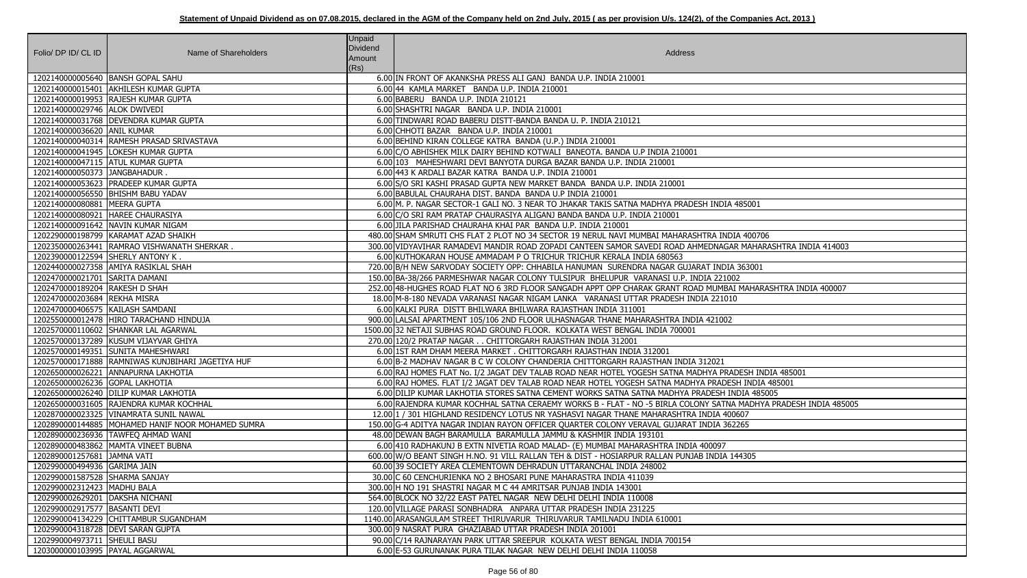| Folio/ DP ID/ CL ID                 | Name of Shareholders                                | <b>Unpaid</b><br>Dividend<br>Amount<br>(Rs) | Address                                                                                                         |
|-------------------------------------|-----------------------------------------------------|---------------------------------------------|-----------------------------------------------------------------------------------------------------------------|
|                                     | 1202140000005640 BANSH GOPAL SAHU                   |                                             | 6.00 IN FRONT OF AKANKSHA PRESS ALI GANJ BANDA U.P. INDIA 210001                                                |
|                                     | 1202140000015401 AKHILESH KUMAR GUPTA               |                                             | 6.00 44 KAMLA MARKET BANDA U.P. INDIA 210001                                                                    |
|                                     | 1202140000019953 RAJESH KUMAR GUPTA                 |                                             | 6.00 BABERU BANDA U.P. INDIA 210121                                                                             |
| 1202140000029746 ALOK DWIVEDI       |                                                     |                                             | 6.00 SHASHTRI NAGAR BANDA U.P. INDIA 210001                                                                     |
|                                     | 1202140000031768   DEVENDRA KUMAR GUPTA             |                                             | 6.00 TINDWARI ROAD BABERU DISTT-BANDA BANDA U. P. INDIA 210121                                                  |
| 1202140000036620 ANIL KUMAR         |                                                     |                                             | 6.00 CHHOTI BAZAR BANDA U.P. INDIA 210001                                                                       |
|                                     | 1202140000040314 RAMESH PRASAD SRIVASTAVA           |                                             | 6.00 BEHIND KIRAN COLLEGE KATRA BANDA (U.P.) INDIA 210001                                                       |
|                                     | 1202140000041945   LOKESH KUMAR GUPTA               |                                             | 6.00 C/O ABHISHEK MILK DAIRY BEHIND KOTWALI BANEOTA. BANDA U.P INDIA 210001                                     |
|                                     | 1202140000047115 ATUL KUMAR GUPTA                   |                                             | 6.00 103 MAHESHWARI DEVI BANYOTA DURGA BAZAR BANDA U.P. INDIA 210001                                            |
| 1202140000050373 JANGBAHADUR.       |                                                     |                                             | 6.00 443 K ARDALI BAZAR KATRA BANDA U.P. INDIA 210001                                                           |
|                                     | 1202140000053623 PRADEEP KUMAR GUPTA                |                                             | 6.00 S/O SRI KASHI PRASAD GUPTA NEW MARKET BANDA BANDA U.P. INDIA 210001                                        |
|                                     | 1202140000056550 BHISHM BABU YADAV                  |                                             | 6.00 BABULAL CHAURAHA DIST. BANDA BANDA U.P INDIA 210001                                                        |
| 1202140000080881   MEERA GUPTA      |                                                     |                                             | 6.00 M. P. NAGAR SECTOR-1 GALI NO. 3 NEAR TO JHAKAR TAKIS SATNA MADHYA PRADESH INDIA 485001                     |
|                                     | 1202140000080921 HAREE CHAURASIYA                   |                                             | 6.00 C/O SRI RAM PRATAP CHAURASIYA ALIGANJ BANDA BANDA U.P. INDIA 210001                                        |
|                                     | 1202140000091642 NAVIN KUMAR NIGAM                  |                                             | 6.00 JILA PARISHAD CHAURAHA KHAI PAR BANDA U.P. INDIA 210001                                                    |
|                                     | 1202290000198799   KARAMAT AZAD SHAIKH              |                                             | 480.00 SHAM SMRUTI CHS FLAT 2 PLOT NO 34 SECTOR 19 NERUL NAVI MUMBAI MAHARASHTRA INDIA 400706                   |
|                                     | 1202350000263441 RAMRAO VISHWANATH SHERKAR          |                                             | 300.00 VIDYAVIHAR RAMADEVI MANDIR ROAD ZOPADI CANTEEN SAMOR SAVEDI ROAD AHMEDNAGAR MAHARASHTRA INDIA 414003     |
| 1202390000122594 SHERLY ANTONY K.   |                                                     |                                             | 6.00 KUTHOKARAN HOUSE AMMADAM P O TRICHUR TRICHUR KERALA INDIA 680563                                           |
|                                     | 1202440000027358 AMIYA RASIKLAL SHAH                |                                             | 720.00 B/H NEW SARVODAY SOCIETY OPP: CHHABILA HANUMAN SURENDRA NAGAR GUJARAT INDIA 363001                       |
| 1202470000021701 SARITA DAMANI      |                                                     |                                             | 150.00 BA-38/266 PARMESHWAR NAGAR COLONY TULSIPUR BHELUPUR VARANASI U.P. INDIA 221002                           |
| 1202470000189204 RAKESH D SHAH      |                                                     |                                             | 252.00 48-HUGHES ROAD FLAT NO 6 3RD FLOOR SANGADH APPT OPP CHARAK GRANT ROAD MUMBAI MAHARASHTRA INDIA 400007    |
| 1202470000203684 REKHA MISRA        |                                                     |                                             | 18.00 M-8-180 NEVADA VARANASI NAGAR NIGAM LANKA VARANASI UTTAR PRADESH INDIA 221010                             |
| 1202470000406575 KAILASH SAMDANI    |                                                     |                                             | 6.00 KALKI PURA DISTT BHILWARA BHILWARA RAJASTHAN INDIA 311001                                                  |
|                                     | 1202550000012478  HIRO TARACHAND HINDUJA            |                                             | 900.00 LALSAI APARTMENT 105/106 2ND FLOOR ULHASNAGAR THANE MAHARASHTRA INDIA 421002                             |
|                                     | 1202570000110602 SHANKAR LAL AGARWAL                |                                             | 1500.00 32 NETAJI SUBHAS ROAD GROUND FLOOR. KOLKATA WEST BENGAL INDIA 700001                                    |
|                                     | 1202570000137289 KUSUM VIJAYVAR GHIYA               |                                             | 270.00 120/2 PRATAP NAGAR CHITTORGARH RAJASTHAN INDIA 312001                                                    |
|                                     | 1202570000149351 SUNITA MAHESHWARI                  |                                             | 6.00 1ST RAM DHAM MEERA MARKET . CHITTORGARH RAJASTHAN INDIA 312001                                             |
|                                     | 1202570000171888 RAMNIWAS KUNJBIHARI JAGETIYA HUF   |                                             | 6.00 B-2 MADHAV NAGAR B C W COLONY CHANDERIA CHITTORGARH RAJASTHAN INDIA 312021                                 |
|                                     | 1202650000026221 ANNAPURNA LAKHOTIA                 |                                             | 6.00 RAJ HOMES FLAT No. I/2 JAGAT DEV TALAB ROAD NEAR HOTEL YOGESH SATNA MADHYA PRADESH INDIA 485001            |
| 1202650000026236 GOPAL LAKHOTIA     |                                                     |                                             | 6.00 RAJ HOMES. FLAT I/2 JAGAT DEV TALAB ROAD NEAR HOTEL YOGESH SATNA MADHYA PRADESH INDIA 485001               |
|                                     | 1202650000026240 DILIP KUMAR LAKHOTIA               |                                             | 6.00 DILIP KUMAR LAKHOTIA STORES SATNA CEMENT WORKS SATNA SATNA MADHYA PRADESH INDIA 485005                     |
|                                     | 1202650000031605 RAJENDRA KUMAR KOCHHAL             |                                             | 6.00 RAJENDRA KUMAR KOCHHAL SATNA CERAEMY WORKS B - FLAT - NO -5 BIRLA COLONY SATNA MADHYA PRADESH INDIA 485005 |
|                                     | 1202870000023325 VINAMRATA SUNIL NAWAL              |                                             | 12.00 1 / 301 HIGHLAND RESIDENCY LOTUS NR YASHASVI NAGAR THANE MAHARASHTRA INDIA 400607                         |
|                                     | 1202890000144885   MOHAMED HANIF NOOR MOHAMED SUMRA |                                             | 150.00 G-4 ADITYA NAGAR INDIAN RAYON OFFICER QUARTER COLONY VERAVAL GUJARAT INDIA 362265                        |
|                                     | 1202890000236936 TAWFEQ AHMAD WANI                  |                                             | 48.00 DEWAN BAGH BARAMULLA BARAMULLA JAMMU & KASHMIR INDIA 193101                                               |
|                                     | 1202890000483862 MAMTA VINEET BUBNA                 |                                             | 6.00 410 RADHAKUNJ B EXTN NIVETIA ROAD MALAD- (E) MUMBAI MAHARASHTRA INDIA 400097                               |
| 1202890001257681 JAMNA VATI         |                                                     |                                             | 600.00 W/O BEANT SINGH H.NO. 91 VILL RALLAN TEH & DIST - HOSIARPUR RALLAN PUNJAB INDIA 144305                   |
| 1202990000494936 GARIMA JAIN        |                                                     |                                             | 60.00 39 SOCIETY AREA CLEMENTOWN DEHRADUN UTTARANCHAL INDIA 248002                                              |
| 1202990001587528 SHARMA SANJAY      |                                                     |                                             | 30.00 C 60 CENCHURIENKA NO 2 BHOSARI PUNE MAHARASTRA INDIA 411039                                               |
| 1202990002312423   MADHU BALA       |                                                     |                                             | 300.00 H NO 191 SHASTRI NAGAR M C 44 AMRITSAR PUNJAB INDIA 143001                                               |
| 1202990002629201 DAKSHA NICHANI     |                                                     |                                             | 564.00 BLOCK NO 32/22 EAST PATEL NAGAR NEW DELHI DELHI INDIA 110008                                             |
| 1202990002917577   BASANTI DEVI     |                                                     |                                             | 120.00 VILLAGE PARASI SONBHADRA ANPARA UTTAR PRADESH INDIA 231225                                               |
|                                     | 1202990004134229 CHITTAMBUR SUGANDHAM               |                                             | 1140.00 ARASANGULAM STREET THIRUVARUR THIRUVARUR TAMILNADU INDIA 610001                                         |
| 1202990004318728   DEVI SARAN GUPTA |                                                     |                                             | 300.00 9 NASRAT PURA GHAZIABAD UTTAR PRADESH INDIA 201001                                                       |
| 1202990004973711 SHEULI BASU        |                                                     |                                             | 90.00 C/14 RAJNARAYAN PARK UTTAR SREEPUR KOLKATA WEST BENGAL INDIA 700154                                       |
| 1203000000103995   PAYAL AGGARWAL   |                                                     |                                             | 6.00 E-53 GURUNANAK PURA TILAK NAGAR NEW DELHI DELHI INDIA 110058                                               |

| DIA 485001                      |
|---------------------------------|
|                                 |
|                                 |
| NDIA 400706                     |
| GAR MAHARASHTRA INDIA 414003    |
|                                 |
| DIA 363001                      |
| 1002                            |
| 1BAI MAHARASHTRA INDIA 400007   |
| 1010                            |
|                                 |
| $\overline{)02}$                |
|                                 |
|                                 |
|                                 |
|                                 |
| $\mathbf{1}$                    |
| PRADESH INDIA 485001            |
| DESH INDIA 485001               |
| <b>H INDIA 485005</b>           |
| TNA MADHYA PRADESH INDIA 485005 |
| 400607                          |
| 362265                          |
|                                 |
| 7                               |
| A 144305                        |
|                                 |
|                                 |
|                                 |
|                                 |
|                                 |
|                                 |
|                                 |
|                                 |
|                                 |
|                                 |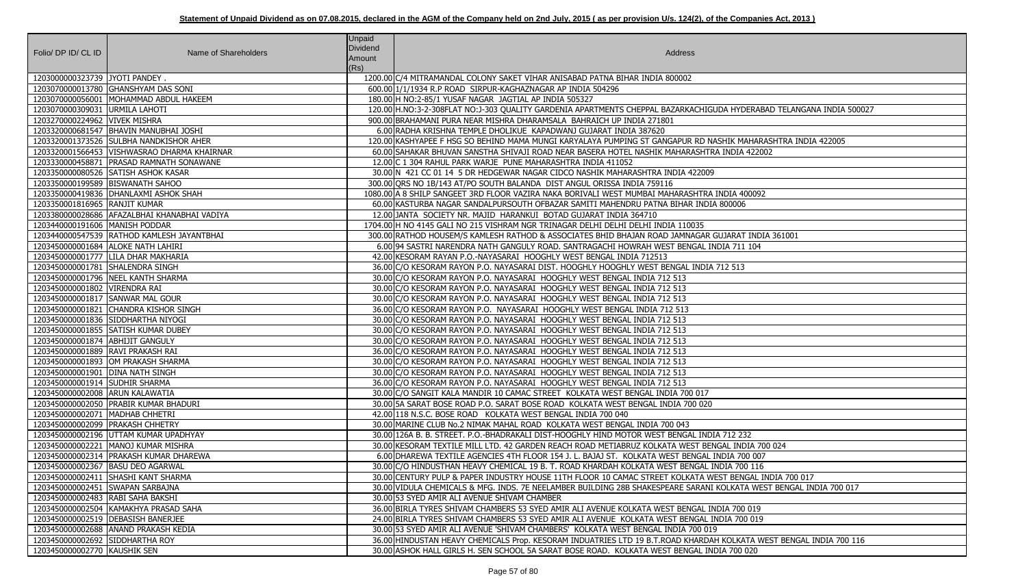| Folio/ DP ID/ CL ID                | Name of Shareholders                         | <b>Unpaid</b><br><b>Dividend</b><br>Amount<br>(Rs) | Address                                                                                                              |
|------------------------------------|----------------------------------------------|----------------------------------------------------|----------------------------------------------------------------------------------------------------------------------|
| 1203000000323739 JYOTI PANDEY.     |                                              |                                                    | 1200.00 C/4 MITRAMANDAL COLONY SAKET VIHAR ANISABAD PATNA BIHAR INDIA 800002                                         |
|                                    | 1203070000013780 GHANSHYAM DAS SONI          |                                                    | 600.00 1/1/1934 R.P ROAD SIRPUR-KAGHAZNAGAR AP INDIA 504296                                                          |
|                                    | 1203070000056001   MOHAMMAD ABDUL HAKEEM     |                                                    | 180.00 H NO:2-85/1 YUSAF NAGAR JAGTIAL AP INDIA 505327                                                               |
| 1203070000309031 URMILA LAHOTI     |                                              |                                                    | 120.00 H.NO:3-2-308FLAT NO:J-303 QUALITY GARDENIA APARTMENTS CHEPPAL BAZARKACHIGUDA HYDERABAD TELANGANA INDIA 500027 |
| 1203270000224962 VIVEK MISHRA      |                                              |                                                    | 900.00 BRAHAMANI PURA NEAR MISHRA DHARAMSALA BAHRAICH UP INDIA 271801                                                |
|                                    | 1203320000681547   BHAVIN MANUBHAI JOSHI     |                                                    | 6.00 RADHA KRISHNA TEMPLE DHOLIKUE KAPADWANJ GUJARAT INDIA 387620                                                    |
|                                    | 1203320001373526 SULBHA NANDKISHOR AHER      |                                                    | 120.00 KASHYAPEE F HSG SO BEHIND MAMA MUNGI KARYALAYA PUMPING ST GANGAPUR RD NASHIK MAHARASHTRA INDIA 422005         |
|                                    | 1203320001566453 VISHWASRAO DHARMA KHAIRNAR  |                                                    | 60.00 SAHAKAR BHUVAN SANSTHA SHIVAJI ROAD NEAR BASERA HOTEL NASHIK MAHARASHTRA INDIA 422002                          |
|                                    | 1203330000458871   PRASAD RAMNATH SONAWANE   |                                                    | 12.00 C 1 304 RAHUL PARK WARJE PUNE MAHARASHTRA INDIA 411052                                                         |
|                                    | 1203350000080526 SATISH ASHOK KASAR          |                                                    | 30.00 N 421 CC 01 14 5 DR HEDGEWAR NAGAR CIDCO NASHIK MAHARASHTRA INDIA 422009                                       |
| 1203350000199589   BISWANATH SAHOO |                                              |                                                    | 300.00 ORS NO 1B/143 AT/PO SOUTH BALANDA DIST ANGUL ORISSA INDIA 759116                                              |
|                                    | 1203350000419836   DHANLAXMI ASHOK SHAH      |                                                    | 1080.00 A 8 SHILP SANGEET 3RD FLOOR VAZIRA NAKA BORIVALI WEST MUMBAI MAHARASHTRA INDIA 400092                        |
| 1203350001816965 RANJIT KUMAR      |                                              |                                                    | 60.00 KASTURBA NAGAR SANDALPURSOUTH OFBAZAR SAMITI MAHENDRU PATNA BIHAR INDIA 800006                                 |
|                                    | 1203380000028686 AFAZALBHAI KHANABHAI VADIYA |                                                    | 12.00 JANTA SOCIETY NR. MAJID HARANKUI BOTAD GUJARAT INDIA 364710                                                    |
| 1203440000191606   MANISH PODDAR   |                                              |                                                    | 1704.00 H NO 4145 GALI NO 215 VISHRAM NGR TRINAGAR DELHI DELHI DELHI INDIA 110035                                    |
|                                    | 1203440000547539 RATHOD KAMLESH JAYANTBHAI   |                                                    | 300.00 RATHOD HOUSEM/S KAMLESH RATHOD & ASSOCIATES BHID BHAJAN ROAD JAMNAGAR GUJARAT INDIA 361001                    |
|                                    | 1203450000001684 ALOKE NATH LAHIRI           |                                                    | 6.00 94 SASTRI NARENDRA NATH GANGULY ROAD. SANTRAGACHI HOWRAH WEST BENGAL INDIA 711 104                              |
|                                    | 1203450000001777 LILA DHAR MAKHARIA          |                                                    | 42.00 KESORAM RAYAN P.O.-NAYASARAI HOOGHLY WEST BENGAL INDIA 712513                                                  |
| 1203450000001781 SHALENDRA SINGH   |                                              |                                                    | 36.00 C/O KESORAM RAYON P.O. NAYASARAI DIST. HOOGHLY HOOGHLY WEST BENGAL INDIA 712 513                               |
|                                    | 1203450000001796 NEEL KANTH SHARMA           |                                                    | 30.00 C/O KESORAM RAYON P.O. NAYASARAI HOOGHLY WEST BENGAL INDIA 712 513                                             |
| 1203450000001802 VIRENDRA RAI      |                                              |                                                    | 30.00 C/O KESORAM RAYON P.O. NAYASARAI HOOGHLY WEST BENGAL INDIA 712 513                                             |
| 1203450000001817 SANWAR MAL GOUR   |                                              |                                                    | 30.00 C/O KESORAM RAYON P.O. NAYASARAI HOOGHLY WEST BENGAL INDIA 712 513                                             |
|                                    | 1203450000001821 CHANDRA KISHOR SINGH        |                                                    | 36.00 C/O KESORAM RAYON P.O. NAYASARAI HOOGHLY WEST BENGAL INDIA 712 513                                             |
|                                    | 1203450000001836 SIDDHARTHA NIYOGI           |                                                    | 30.00 C/O KESORAM RAYON P.O. NAYASARAI HOOGHLY WEST BENGAL INDIA 712 513                                             |
|                                    | 1203450000001855 SATISH KUMAR DUBEY          |                                                    | 30.00 C/O KESORAM RAYON P.O. NAYASARAI HOOGHLY WEST BENGAL INDIA 712 513                                             |
| 1203450000001874   ABHIJIT GANGULY |                                              |                                                    | 30.00 C/O KESORAM RAYON P.O. NAYASARAI HOOGHLY WEST BENGAL INDIA 712 513                                             |
| 1203450000001889 RAVI PRAKASH RAI  |                                              |                                                    | 36.00 C/O KESORAM RAYON P.O. NAYASARAI HOOGHLY WEST BENGAL INDIA 712 513                                             |
|                                    | 1203450000001893 OM PRAKASH SHARMA           |                                                    | 30.00 C/O KESORAM RAYON P.O. NAYASARAI HOOGHLY WEST BENGAL INDIA 712 513                                             |
| 1203450000001901 DINA NATH SINGH   |                                              |                                                    | 30.00 C/O KESORAM RAYON P.O. NAYASARAI HOOGHLY WEST BENGAL INDIA 712 513                                             |
| 1203450000001914 SUDHIR SHARMA     |                                              |                                                    | 36.00 C/O KESORAM RAYON P.O. NAYASARAI HOOGHLY WEST BENGAL INDIA 712 513                                             |
| 1203450000002008 ARUN KALAWATIA    |                                              |                                                    | 30.00 C/O SANGIT KALA MANDIR 10 CAMAC STREET KOLKATA WEST BENGAL INDIA 700 017                                       |
|                                    | 1203450000002050 PRABIR KUMAR BHADURI        |                                                    | 30.00 5A SARAT BOSE ROAD P.O. SARAT BOSE ROAD KOLKATA WEST BENGAL INDIA 700 020                                      |
| 1203450000002071   MADHAB CHHETRI  |                                              |                                                    | 42.00 118 N.S.C. BOSE ROAD KOLKATA WEST BENGAL INDIA 700 040                                                         |
| 1203450000002099   PRAKASH CHHETRY |                                              |                                                    | 30.00 MARINE CLUB No.2 NIMAK MAHAL ROAD KOLKATA WEST BENGAL INDIA 700 043                                            |
|                                    | 1203450000002196 UTTAM KUMAR UPADHYAY        |                                                    | 30.00 126A B. B. STREET. P.O.-BHADRAKALI DIST-HOOGHLY HIND MOTOR WEST BENGAL INDIA 712 232                           |
|                                    | 1203450000002221   MANOJ KUMAR MISHRA        |                                                    | 30.00 KESORAM TEXTILE MILL LTD. 42 GARDEN REACH ROAD METIABRUZ KOLKATA WEST BENGAL INDIA 700 024                     |
|                                    | 1203450000002314   PRAKASH KUMAR DHAREWA     |                                                    | 6.00 DHAREWA TEXTILE AGENCIES 4TH FLOOR 154 J. L. BAJAJ ST. KOLKATA WEST BENGAL INDIA 700 007                        |
|                                    | 1203450000002367 BASU DEO AGARWAL            |                                                    | 30.00 C/O HINDUSTHAN HEAVY CHEMICAL 19 B. T. ROAD KHARDAH KOLKATA WEST BENGAL INDIA 700 116                          |
|                                    | 1203450000002411 SHASHI KANT SHARMA          |                                                    | 30.00 CENTURY PULP & PAPER INDUSTRY HOUSE 11TH FLOOR 10 CAMAC STREET KOLKATA WEST BENGAL INDIA 700 017               |
| 1203450000002451 SWAPAN SARBAJNA   |                                              |                                                    | 30.00 VIDULA CHEMICALS & MFG. INDS. 7E NEELAMBER BUILDING 28B SHAKESPEARE SARANI KOLKATA WEST BENGAL INDIA 700 017   |
| 1203450000002483 RABI SAHA BAKSHI  |                                              |                                                    | 30.00 53 SYED AMIR ALI AVENUE SHIVAM CHAMBER                                                                         |
|                                    | 1203450000002504 KAMAKHYA PRASAD SAHA        |                                                    | 36.00 BIRLA TYRES SHIVAM CHAMBERS 53 SYED AMIR ALI AVENUE KOLKATA WEST BENGAL INDIA 700 019                          |
|                                    | 1203450000002519   DEBASISH BANERJEE         |                                                    | 24.00 BIRLA TYRES SHIVAM CHAMBERS 53 SYED AMIR ALI AVENUE KOLKATA WEST BENGAL INDIA 700 019                          |
|                                    | 1203450000002688 ANAND PRAKASH KEDIA         |                                                    | 30.00 53 SYED AMIR ALI AVENUE 'SHIVAM CHAMBERS' KOLKATA WEST BENGAL INDIA 700 019                                    |
| 1203450000002692 SIDDHARTHA ROY    |                                              |                                                    | 36.00 HINDUSTAN HEAVY CHEMICALS Prop. KESORAM INDUATRIES LTD 19 B.T.ROAD KHARDAH KOLKATA WEST BENGAL INDIA 700 116   |
| 1203450000002770 KAUSHIK SEN       |                                              |                                                    | 30.00 ASHOK HALL GIRLS H. SEN SCHOOL 5A SARAT BOSE ROAD. KOLKATA WEST BENGAL INDIA 700 020                           |

| <b>DA HYDERABAD TELANGANA INDIA 500027</b> |
|--------------------------------------------|
|                                            |
| HIK MAHARASHTRA INDIA 422005               |
| <b>INDIA 422002</b>                        |
|                                            |
|                                            |
|                                            |
| <b>JDIA 400092</b>                         |
| 300006                                     |
|                                            |
| JJARAT INDIA 361001                        |
| IA 711 104                                 |
|                                            |
| $12\,513$                                  |
|                                            |
|                                            |
|                                            |
|                                            |
|                                            |
|                                            |
|                                            |
|                                            |
|                                            |
|                                            |
|                                            |
|                                            |
|                                            |
| 712 232<br>AL INDIA 700 024                |
| DIA 700 007                                |
| DIA 700 116                                |
| ST BENGAL INDIA 700 017                    |
| OLKATA WEST BENGAL INDIA 700 017           |
|                                            |
| IA 700 019                                 |
| DIA 700 019                                |
| KOLKATA WEST BENGAL INDIA 700 116          |
| A 700 020                                  |
|                                            |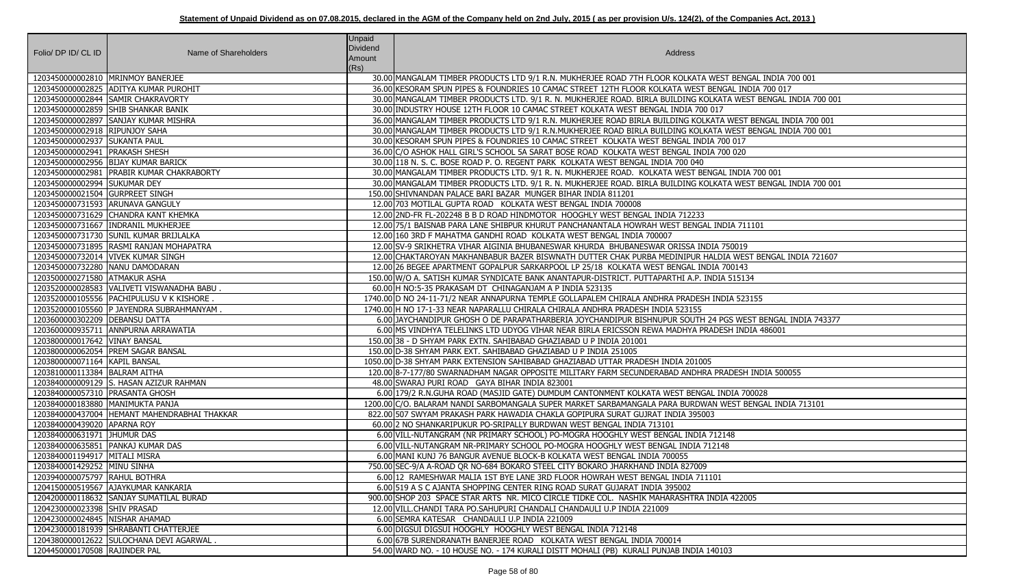| Folio/ DP ID/ CL ID              | Name of Shareholders                         | <b>Unpaid</b><br>Dividend<br>Amount | Address                                                                                                        |
|----------------------------------|----------------------------------------------|-------------------------------------|----------------------------------------------------------------------------------------------------------------|
|                                  | 1203450000002810   MRINMOY BANERJEE          | (Rs)                                | 30.00 MANGALAM TIMBER PRODUCTS LTD 9/1 R.N. MUKHERJEE ROAD 7TH FLOOR KOLKATA WEST BENGAL INDIA 700 001         |
|                                  | 1203450000002825 ADITYA KUMAR PUROHIT        |                                     | 36.00 KESORAM SPUN PIPES & FOUNDRIES 10 CAMAC STREET 12TH FLOOR KOLKATA WEST BENGAL INDIA 700 017              |
|                                  | 1203450000002844 SAMIR CHAKRAVORTY           |                                     | 30.00 MANGALAM TIMBER PRODUCTS LTD. 9/1 R. N. MUKHERJEE ROAD. BIRLA BUILDING KOLKATA WEST BENGAL INDIA 700 001 |
|                                  | 1203450000002859 SHIB SHANKAR BANIK          |                                     | 30.00 INDUSTRY HOUSE 12TH FLOOR 10 CAMAC STREET KOLKATA WEST BENGAL INDIA 700 017                              |
|                                  | 1203450000002897 SANJAY KUMAR MISHRA         |                                     | 36.00 MANGALAM TIMBER PRODUCTS LTD 9/1 R.N. MUKHERJEE ROAD BIRLA BUILDING KOLKATA WEST BENGAL INDIA 700 001    |
| 1203450000002918 RIPUNJOY SAHA   |                                              |                                     | 30.00 MANGALAM TIMBER PRODUCTS LTD 9/1 R.N.MUKHERJEE ROAD BIRLA BUILDING KOLKATA WEST BENGAL INDIA 700 001     |
| 1203450000002937 SUKANTA PAUL    |                                              |                                     | 30.00 KESORAM SPUN PIPES & FOUNDRIES 10 CAMAC STREET KOLKATA WEST BENGAL INDIA 700 017                         |
| 1203450000002941   PRAKASH SHESH |                                              |                                     | 36.00 C/O ASHOK HALL GIRL'S SCHOOL 5A SARAT BOSE ROAD KOLKATA WEST BENGAL INDIA 700 020                        |
|                                  | 1203450000002956 BIJAY KUMAR BARICK          |                                     | 30.00 118 N. S. C. BOSE ROAD P. O. REGENT PARK KOLKATA WEST BENGAL INDIA 700 040                               |
|                                  | 1203450000002981   PRABIR KUMAR CHAKRABORTY  |                                     | 30.00 MANGALAM TIMBER PRODUCTS LTD. 9/1 R. N. MUKHERJEE ROAD. KOLKATA WEST BENGAL INDIA 700 001                |
| 1203450000002994 SUKUMAR DEY     |                                              |                                     | 30.00 MANGALAM TIMBER PRODUCTS LTD. 9/1 R. N. MUKHERJEE ROAD. BIRLA BUILDING KOLKATA WEST BENGAL INDIA 700 001 |
| 1203450000021504 GURPREET SINGH  |                                              |                                     | 150.00 SHIVNANDAN PALACE BARI BAZAR MUNGER BIHAR INDIA 811201                                                  |
| 1203450000731593 ARUNAVA GANGULY |                                              |                                     | 12.00 703 MOTILAL GUPTA ROAD KOLKATA WEST BENGAL INDIA 700008                                                  |
|                                  | 1203450000731629 CHANDRA KANT KHEMKA         |                                     | 12.00 2ND-FR FL-202248 B B D ROAD HINDMOTOR HOOGHLY WEST BENGAL INDIA 712233                                   |
|                                  | 1203450000731667   INDRANIL MUKHERJEE        |                                     | 12.00 75/1 BAISNAB PARA LANE SHIBPUR KHURUT PANCHANANTALA HOWRAH WEST BENGAL INDIA 711101                      |
|                                  | 1203450000731730 SUNIL KUMAR BRIJLALKA       |                                     | 12.00 160 3RD F MAHATMA GANDHI ROAD KOLKATA WEST BENGAL INDIA 700007                                           |
|                                  | 1203450000731895 RASMI RANJAN MOHAPATRA      |                                     | 12.00 SV-9 SRIKHETRA VIHAR AIGINIA BHUBANESWAR KHURDA BHUBANESWAR ORISSA INDIA 750019                          |
|                                  | 1203450000732014   VIVEK KUMAR SINGH         |                                     | 12.00 CHAKTAROYAN MAKHANBABUR BAZER BISWNATH DUTTER CHAK PURBA MEDINIPUR HALDIA WEST BENGAL INDIA 721607       |
| 1203450000732280 NANU DAMODARAN  |                                              |                                     | 12.00 26 BEGEE APARTMENT GOPALPUR SARKARPOOL LP 25/18 KOLKATA WEST BENGAL INDIA 700143                         |
| 1203500000271580 ATMAKUR ASHA    |                                              |                                     | 150.00 W/O A. SATISH KUMAR SYNDICATE BANK ANANTAPUR-DISTRICT. PUTTAPARTHI A.P. INDIA 515134                    |
|                                  | 1203520000028583   VALIVETI VISWANADHA BABU  |                                     | 60.00 H NO:5-35 PRAKASAM DT CHINAGANJAM A P INDIA 523135                                                       |
|                                  | 1203520000105556 PACHIPULUSU V K KISHORE.    |                                     | 1740.00 D NO 24-11-71/2 NEAR ANNAPURNA TEMPLE GOLLAPALEM CHIRALA ANDHRA PRADESH INDIA 523155                   |
|                                  | 1203520000105560 P JAYENDRA SUBRAHMANYAM     |                                     | 1740.00 H NO 17-1-33 NEAR NAPARALLU CHIRALA CHIRALA ANDHRA PRADESH INDIA 523155                                |
| 1203600000302209   DEBANSU DATTA |                                              |                                     | 6.00 JAYCHANDIPUR GHOSH O DE PARAPATHARBERIA JOYCHANDIPUR BISHNUPUR SOUTH 24 PGS WEST BENGAL INDIA 743377      |
|                                  | 1203600000935711 ANNPURNA ARRAWATIA          |                                     | 6.001MS VINDHYA TELELINKS LTD UDYOG VIHAR NEAR BIRLA ERICSSON REWA MADHYA PRADESH INDIA 486001                 |
| 1203800000017642 VINAY BANSAL    |                                              |                                     | 150.00 38 - D SHYAM PARK EXTN. SAHIBABAD GHAZIABAD U P INDIA 201001                                            |
|                                  | 1203800000062054 PREM SAGAR BANSAL           |                                     | 150.00 D-38 SHYAM PARK EXT. SAHIBABAD GHAZIABAD U P INDIA 251005                                               |
| 1203800000071164 KAPIL BANSAL    |                                              |                                     | 1050.00 D-38 SHYAM PARK EXTENSION SAHIBABAD GHAZIABAD UTTAR PRADESH INDIA 201005                               |
| 1203810000113384 BALRAM AITHA    |                                              |                                     | 120.00 8-7-177/80 SWARNADHAM NAGAR OPPOSITE MILITARY FARM SECUNDERABAD ANDHRA PRADESH INDIA 500055             |
|                                  | 1203840000009129 S. HASAN AZIZUR RAHMAN      |                                     | 48.00 SWARAJ PURI ROAD GAYA BIHAR INDIA 823001                                                                 |
| 1203840000057310 PRASANTA GHOSH  |                                              |                                     | 6.00 179/2 R.N. GUHA ROAD (MASJID GATE) DUMDUM CANTONMENT KOLKATA WEST BENGAL INDIA 700028                     |
| 1203840000183880 MANIMUKTA PANJA |                                              |                                     | 1200.00 C/O. BALARAM NANDI SARBOMANGALA SUPER MARKET SARBAMANGALA PARA BURDWAN WEST BENGAL INDIA 713101        |
|                                  | 1203840000437004 HEMANT MAHENDRABHAI THAKKAR |                                     | 822.00 507 SWYAM PRAKASH PARK HAWADIA CHAKLA GOPIPURA SURAT GUJRAT INDIA 395003                                |
| 1203840000439020 APARNA ROY      |                                              |                                     | 60.00 2 NO SHANKARIPUKUR PO-SRIPALLY BURDWAN WEST BENGAL INDIA 713101                                          |
| 1203840000631971 JHUMUR DAS      |                                              |                                     | 6.00 VILL-NUTANGRAM (NR PRIMARY SCHOOL) PO-MOGRA HOOGHLY WEST BENGAL INDIA 712148                              |
|                                  | 1203840000635851   PANKAJ KUMAR DAS          |                                     | 6.00 VILL-NUTANGRAM NR-PRIMARY SCHOOL PO-MOGRA HOOGHLY WEST BENGAL INDIA 712148                                |
| 1203840001194917   MITALI MISRA  |                                              |                                     | 6.00 MANI KUNJ 76 BANGUR AVENUE BLOCK-B KOLKATA WEST BENGAL INDIA 700055                                       |
| 1203840001429252 MINU SINHA      |                                              |                                     | 750.00 SEC-9/A A-ROAD QR NO-684 BOKARO STEEL CITY BOKARO JHARKHAND INDIA 827009                                |
| 1203940000075797 RAHUL BOTHRA    |                                              |                                     | 6.00 12 RAMESHWAR MALIA 1ST BYE LANE 3RD FLOOR HOWRAH WEST BENGAL INDIA 711101                                 |
|                                  | 1204150000519567   AJAYKUMAR KANKARIA        |                                     | 6.00 519 A S C AJANTA SHOPPING CENTER RING ROAD SURAT GUJARAT INDIA 395002                                     |
|                                  | 1204200000118632 SANJAY SUMATILAL BURAD      |                                     | 900.00 SHOP 203 SPACE STAR ARTS NR. MICO CIRCLE TIDKE COL. NASHIK MAHARASHTRA INDIA 422005                     |
| 1204230000023398 SHIV PRASAD     |                                              |                                     | 12.00 VILL. CHANDI TARA PO. SAHUPURI CHANDALI CHANDAULI U.P INDIA 221009                                       |
| 1204230000024845 NISHAR AHAMAD   |                                              |                                     | 6.00 SEMRA KATESAR CHANDAULI U.P INDIA 221009                                                                  |
|                                  | 1204230000181939 SHRABANTI CHATTERJEE        |                                     | 6.00 DIGSUI DIGSUI HOOGHLY HOOGHLY WEST BENGAL INDIA 712148                                                    |
|                                  | 1204380000012622 SULOCHANA DEVI AGARWAL.     |                                     | 6.00 67B SURENDRANATH BANERJEE ROAD KOLKATA WEST BENGAL INDIA 700014                                           |
| 1204450000170508 RAJINDER PAL    |                                              |                                     | 54.00 WARD NO. - 10 HOUSE NO. - 174 KURALI DISTT MOHALI (PB) KURALI PUNJAB INDIA 140103                        |

| T BENGAL INDIA 700 001       |
|------------------------------|
| <b>GAL INDIA 700 017</b>     |
| TA WEST BENGAL INDIA 700 001 |
|                              |
| WEST BENGAL INDIA 700 001    |
| WEST BENGAL INDIA 700 001    |
| 0 0 1 7                      |
|                              |
|                              |
| L INDIA 700 001              |
| TA WEST BENGAL INDIA 700 001 |
|                              |
|                              |
|                              |
| DIA 711101                   |
|                              |
| '50019                       |
| IA WEST BENGAL INDIA 721607  |
| $\sqrt{700}143$              |
| $\sqrt{515134}$              |
|                              |
| DIA 523155                   |
|                              |
| GS WEST BENGAL INDIA 743377  |
| SH INDIA 486001              |
|                              |
|                              |
|                              |
| ADESH INDIA 500055           |
|                              |
| <b>IDIA 700028</b>           |
| VEST BENGAL INDIA 713101     |
|                              |
|                              |
| L48                          |
| 8                            |
|                              |
|                              |
|                              |
|                              |
| A 422005                     |
|                              |
|                              |
|                              |
|                              |
|                              |
| $\overline{03}$              |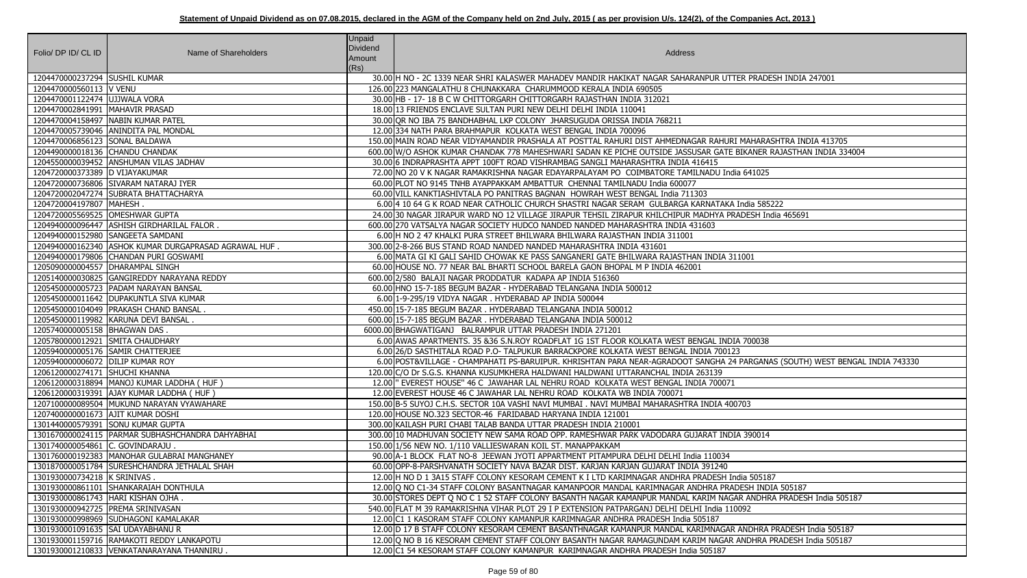| Folio/ DP ID/ CL ID                | Name of Shareholders                                 | <b>Unpaid</b><br>Dividend<br>Amount<br>(Rs) | Address                                                                                                                      |
|------------------------------------|------------------------------------------------------|---------------------------------------------|------------------------------------------------------------------------------------------------------------------------------|
| 1204470000237294 SUSHIL KUMAR      |                                                      |                                             | 30.00 H NO - 2C 1339 NEAR SHRI KALASWER MAHADEV MANDIR HAKIKAT NAGAR SAHARANPUR UTTER PRADESH INDIA 247001                   |
| 1204470000560113 V VENU            |                                                      |                                             | 126.00 223 MANGALATHU 8 CHUNAKKARA CHARUMMOOD KERALA INDIA 690505                                                            |
| 1204470001122474 UJJWALA VORA      |                                                      |                                             | 30.00 HB - 17- 18 B C W CHITTORGARH CHITTORGARH RAJASTHAN INDIA 312021                                                       |
| 1204470002841991   MAHAVIR PRASAD  |                                                      |                                             | 18.00 13 FRIENDS ENCLAVE SULTAN PURI NEW DELHI DELHI INDIA 110041                                                            |
|                                    | 1204470004158497 NABIN KUMAR PATEL                   |                                             | 30.00 OR NO IBA 75 BANDHABHAL LKP COLONY JHARSUGUDA ORISSA INDIA 768211                                                      |
|                                    | 1204470005739046 ANINDITA PAL MONDAL                 |                                             | 12.00 334 NATH PARA BRAHMAPUR KOLKATA WEST BENGAL INDIA 700096                                                               |
| 1204470006856123 SONAL BALDAWA     |                                                      |                                             | 150.00 MAIN ROAD NEAR VIDYAMANDIR PRASHALA AT POSTTAL RAHURI DIST AHMEDNAGAR RAHURI MAHARASHTRA INDIA 413705                 |
| 1204490000018136 CHANDU CHANDAK    |                                                      |                                             | 600.00 W/O ASHOK KUMAR CHANDAK 778 MAHESHWARI SADAN KE PICHE OUTSIDE JASSUSAR GATE BIKANER RAJASTHAN INDIA 334004            |
|                                    | 1204550000039452 ANSHUMAN VILAS JADHAV               |                                             | 30.00 6 INDRAPRASHTA APPT 100FT ROAD VISHRAMBAG SANGLI MAHARASHTRA INDIA 416415                                              |
| 1204720000373389 D VIJAYAKUMAR     |                                                      |                                             | 72.00 NO 20 V K NAGAR RAMAKRISHNA NAGAR EDAYARPALAYAM PO COIMBATORE TAMILNADU India 641025                                   |
|                                    | 1204720000736806 SIVARAM NATARAJ IYER                |                                             | 60.00 PLOT NO 9145 TNHB AYAPPAKKAM AMBATTUR CHENNAI TAMILNADU India 600077                                                   |
|                                    | 1204720002047274 SUBRATA BHATTACHARYA                |                                             | 60.00 VILL KANKTIASHIVTALA PO PANITRAS BAGNAN HOWRAH WEST BENGAL India 711303                                                |
| 1204720004197807 MAHESH.           |                                                      |                                             | 6.00 4 10 64 G K ROAD NEAR CATHOLIC CHURCH SHASTRI NAGAR SERAM GULBARGA KARNATAKA India 585222                               |
| 1204720005569525 OMESHWAR GUPTA    |                                                      |                                             | 24.00 30 NAGAR JIRAPUR WARD NO 12 VILLAGE JIRAPUR TEHSIL ZIRAPUR KHILCHIPUR MADHYA PRADESH India 465691                      |
|                                    | 1204940000096447   ASHISH GIRDHARILAL FALOR.         |                                             | 600.00 270 VATSALYA NAGAR SOCIETY HUDCO NANDED NANDED MAHARASHTRA INDIA 431603                                               |
|                                    | 1204940000152980 SANGEETA SAMDANI                    |                                             | 6.00 H NO 2 47 KHALKI PURA STREET BHILWARA BHILWARA RAJASTHAN INDIA 311001                                                   |
|                                    | 1204940000162340 ASHOK KUMAR DURGAPRASAD AGRAWAL HUF |                                             | 300.00 2-8-266 BUS STAND ROAD NANDED NANDED MAHARASHTRA INDIA 431601                                                         |
|                                    | 1204940000179806 CHANDAN PURI GOSWAMI                |                                             | 6.00 MATA GI KI GALI SAHID CHOWAK KE PASS SANGANERI GATE BHILWARA RAJASTHAN INDIA 311001                                     |
| 1205090000004557   DHARAMPAL SINGH |                                                      |                                             | 60.00 HOUSE NO. 77 NEAR BAL BHARTI SCHOOL BARELA GAON BHOPAL M P INDIA 462001                                                |
|                                    | 1205140000030825 GANGIREDDY NARAYANA REDDY           |                                             | 600.00 2/580 BALAJI NAGAR PRODDATUR KADAPA AP INDIA 516360                                                                   |
|                                    | 1205450000005723 PADAM NARAYAN BANSAL                |                                             | 60.00 HNO 15-7-185 BEGUM BAZAR - HYDERABAD TELANGANA INDIA 500012                                                            |
|                                    | 1205450000011642   DUPAKUNTLA SIVA KUMAR             |                                             | 6.00 1-9-295/19 VIDYA NAGAR. HYDERABAD AP INDIA 500044                                                                       |
|                                    | 1205450000104049   PRAKASH CHAND BANSAL.             |                                             | 450.00 15-7-185 BEGUM BAZAR. HYDERABAD TELANGANA INDIA 500012                                                                |
|                                    | 1205450000119982 KARUNA DEVI BANSAL.                 |                                             | 600.00 15-7-185 BEGUM BAZAR. HYDERABAD TELANGANA INDIA 500012                                                                |
| 1205740000005158 BHAGWAN DAS       |                                                      |                                             | 6000.00 BHAGWATIGANJ BALRAMPUR UTTAR PRADESH INDIA 271201                                                                    |
| 1205780000012921 SMITA CHAUDHARY   |                                                      |                                             | 6.00 AWAS APARTMENTS. 35 & 36 S.N.ROY ROADFLAT 1G 1ST FLOOR KOLKATA WEST BENGAL INDIA 700038                                 |
| 1205940000005176 SAMIR CHATTERJEE  |                                                      |                                             | 6.00 26/D SASTHITALA ROAD P.O- TALPUKUR BARRACKPORE KOLKATA WEST BENGAL INDIA 700123                                         |
| 1205940000006072 DILIP KUMAR ROY   |                                                      |                                             | 6.00 POST&VILLAGE - CHAMPAHATI PS-BARUIPUR. KHRISHTAN PARA NEAR-AGRADOOT SANGHA 24 PARGANAS (SOUTH) WEST BENGAL INDIA 743330 |
| 1206120000274171 SHUCHI KHANNA     |                                                      |                                             | 120.00 C/O Dr S.G.S. KHANNA KUSUMKHERA HALDWANI HALDWANI UTTARANCHAL INDIA 263139                                            |
|                                    | 1206120000318894   MANOJ KUMAR LADDHA ( HUF )        |                                             | 12.00 FVEREST HOUSE" 46 C JAWAHAR LAL NEHRU ROAD KOLKATA WEST BENGAL INDIA 700071                                            |
|                                    | 1206120000319391 AJAY KUMAR LADDHA ( HUF )           |                                             | 12.00 EVEREST HOUSE 46 C JAWAHAR LAL NEHRU ROAD KOLKATA WB INDIA 700071                                                      |
|                                    | 1207100000089504 MUKUND NARAYAN VYAWAHARE            |                                             | 150.00 B-5 SUYOJ C.H.S. SECTOR 10A VASHI NAVI MUMBAI . NAVI MUMBAI MAHARASHTRA INDIA 400703                                  |
| 1207400000001673 AJIT KUMAR DOSHI  |                                                      |                                             | 120.00 HOUSE NO.323 SECTOR-46 FARIDABAD HARYANA INDIA 121001                                                                 |
|                                    | 1301440000579391 SONU KUMAR GUPTA                    |                                             | 300.00 KAILASH PURI CHABI TALAB BANDA UTTAR PRADESH INDIA 210001                                                             |
|                                    | 1301670000024115   PARMAR SUBHASHCHANDRA DAHYABHAI   |                                             | 300.00 10 MADHUVAN SOCIETY NEW SAMA ROAD OPP. RAMESHWAR PARK VADODARA GUJARAT INDIA 390014                                   |
| 1301740000054861 C. GOVINDARAJU.   |                                                      |                                             | 150.00 1/56 NEW NO. 1/110 VALLIESWARAN KOIL ST. MANAPPAKKAM                                                                  |
|                                    | 1301760000192383   MANOHAR GULABRAI MANGHANEY        |                                             | 90.00 A-1 BLOCK FLAT NO-8 JEEWAN JYOTI APPARTMENT PITAMPURA DELHI DELHI India 110034                                         |
|                                    | 1301870000051784 SURESHCHANDRA JETHALAL SHAH         |                                             | 60.00 OPP-8-PARSHVANATH SOCIETY NAVA BAZAR DIST. KARJAN KARJAN GUJARAT INDIA 391240                                          |
| 1301930000734218 K SRINIVAS.       |                                                      |                                             | 12.00 H NO D 1 3A15 STAFF COLONY KESORAM CEMENT K I LTD KARIMNAGAR ANDHRA PRADESH India 505187                               |
|                                    | 1301930000861101 SHANKARAIAH DONTHULA                |                                             | 12.00 Q NO C1-34 STAFF COLONY BASANTNAGAR KAMANPOOR MANDAL KARIMNAGAR ANDHRA PRADESH INDIA 505187                            |
|                                    | 1301930000861743 HARI KISHAN OJHA.                   |                                             | 30.00 STORES DEPT Q NO C 1 52 STAFF COLONY BASANTH NAGAR KAMANPUR MANDAL KARIM NAGAR ANDHRA PRADESH India 505187             |
|                                    | 1301930000942725   PREMA SRINIVASAN                  |                                             | 540.00 FLAT M 39 RAMAKRISHNA VIHAR PLOT 29 I P EXTENSION PATPARGANJ DELHI DELHI India 110092                                 |
|                                    | 1301930000998969 SUDHAGONI KAMALAKAR                 |                                             | 12.00 C1 1 KASORAM STAFF COLONY KAMANPUR KARIMNAGAR ANDHRA PRADESH India 505187                                              |
| 1301930001091635 SAI UDAYABHANU R  |                                                      |                                             | 12.00 D 17 B STAFF COLONY KESORAM CEMENT BASANTHNAGAR KAMANPUR MANDAL KARIMNAGAR ANDHRA PRADESH India 505187                 |
|                                    | 1301930001159716 RAMAKOTI REDDY LANKAPOTU            |                                             | 12.00 O NO B 16 KESORAM CEMENT STAFF COLONY BASANTH NAGAR RAMAGUNDAM KARIM NAGAR ANDHRA PRADESH India 505187                 |
|                                    | 1301930001210833 VENKATANARAYANA THANNIRU            |                                             | 12.00 C1 54 KESORAM STAFF COLONY KAMANPUR KARIMNAGAR ANDHRA PRADESH India 505187                                             |

| UTTER PRADESH INDIA 247001                     |
|------------------------------------------------|
|                                                |
|                                                |
|                                                |
|                                                |
| IURI MAHARASHTRA INDIA 413705                  |
| TE BIKANER RAJASTHAN INDIA 334004              |
|                                                |
| India 641025                                   |
|                                                |
|                                                |
| KA India 585222                                |
| PRADESH India 465691                           |
|                                                |
|                                                |
|                                                |
| A 311001                                       |
|                                                |
|                                                |
|                                                |
|                                                |
|                                                |
|                                                |
|                                                |
| NDIA 700038                                    |
| 0123                                           |
| A 24 PARGANAS (SOUTH) WEST BENGAL INDIA 743330 |
|                                                |
| 071                                            |
|                                                |
| 400703                                         |
|                                                |
| NDIA 390014                                    |
|                                                |
| 34                                             |
| 0                                              |
| $\overline{H}$ India 505187                    |
| <b>PRADESH INDIA 505187</b>                    |
| <b>AGAR ANDHRA PRADESH India 505187</b>        |
| 110092                                         |
|                                                |
| GAR ANDHRA PRADESH India 505187                |
| AR ANDHRA PRADESH India 505187                 |
| 7                                              |
|                                                |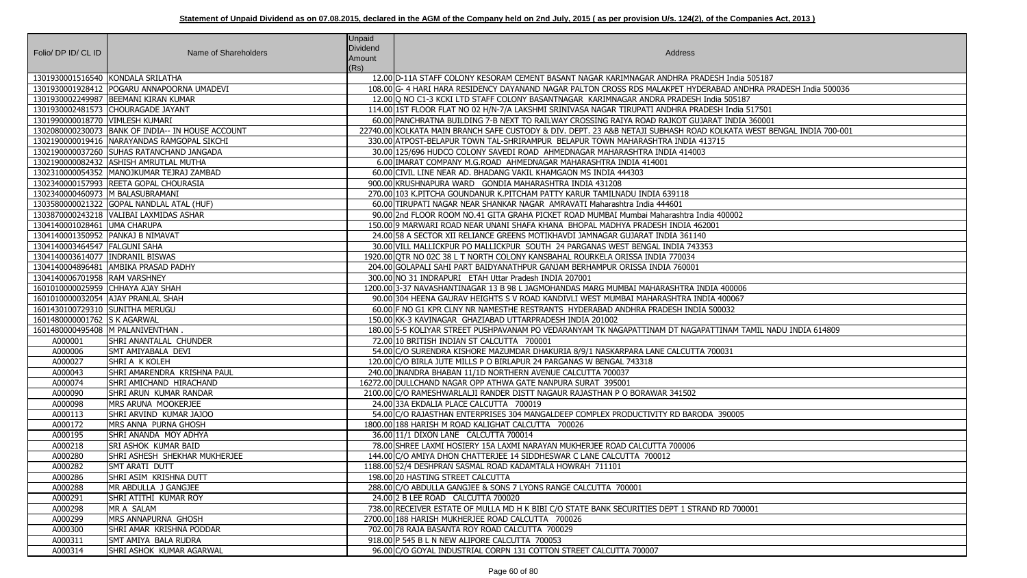| Folio/ DP ID/ CL ID                | Name of Shareholders                              | <b>Unpaid</b><br>Dividend<br>Amount<br>(Rs) | Address                                                                                                             |
|------------------------------------|---------------------------------------------------|---------------------------------------------|---------------------------------------------------------------------------------------------------------------------|
| 1301930001516540 KONDALA SRILATHA  |                                                   |                                             | 12.00 D-11A STAFF COLONY KESORAM CEMENT BASANT NAGAR KARIMNAGAR ANDHRA PRADESH India 505187                         |
|                                    | 1301930001928412 POGARU ANNAPOORNA UMADEVI        |                                             | 108.00 G- 4 HARI HARA RESIDENCY DAYANAND NAGAR PALTON CROSS RDS MALAKPET HYDERABAD ANDHRA PRADESH India 500036      |
|                                    | 1301930002249987   BEEMANI KIRAN KUMAR            |                                             | 12.00 O NO C1-3 KCKI LTD STAFF COLONY BASANTNAGAR KARIMNAGAR ANDRA PRADESH India 505187                             |
|                                    | 1301930002481573 CHOURAGADE JAYANT                |                                             | 114.00 1ST FLOOR FLAT NO 02 H/N-7/A LAKSHMI SRINIVASA NAGAR TIRUPATI ANDHRA PRADESH India 517501                    |
| 1301990000018770 VIMLESH KUMARI    |                                                   |                                             | 60.00 PANCHRATNA BUILDING 7-B NEXT TO RAILWAY CROSSING RAIYA ROAD RAJKOT GUJARAT INDIA 360001                       |
|                                    | 1302080000230073 BANK OF INDIA-- IN HOUSE ACCOUNT |                                             | 22740.00 KOLKATA MAIN BRANCH SAFE CUSTODY & DIV. DEPT. 23 A&B NETAJI SUBHASH ROAD KOLKATA WEST BENGAL INDIA 700-001 |
|                                    | 1302190000019416   NARAYANDAS RAMGOPAL SIKCHI     |                                             | 330.00 ATPOST-BELAPUR TOWN TAL-SHRIRAMPUR BELAPUR TOWN MAHARASHTRA INDIA 413715                                     |
|                                    | 1302190000037260 SUHAS RATANCHAND JANGADA         |                                             | 30.00 125/696 HUDCO COLONY SAVEDI ROAD AHMEDNAGAR MAHARASHTRA INDIA 414003                                          |
|                                    | 1302190000082432   ASHISH AMRUTLAL MUTHA          |                                             | 6.00 IMARAT COMPANY M.G.ROAD AHMEDNAGAR MAHARASHTRA INDIA 414001                                                    |
|                                    | 1302310000054352  MANOJKUMAR TEJRAJ ZAMBAD        |                                             | 60.00 CIVIL LINE NEAR AD. BHADANG VAKIL KHAMGAON MS INDIA 444303                                                    |
|                                    | 1302340000157993 REETA GOPAL CHOURASIA            |                                             | 900.00 KRUSHNAPURA WARD GONDIA MAHARASHTRA INDIA 431208                                                             |
| 1302340000460973 M BALASUBRAMANI   |                                                   |                                             | 270.00 103 K.PITCHA GOUNDANUR K.PITCHAM PATTY KARUR TAMILNADU INDIA 639118                                          |
|                                    | 1303580000021322 GOPAL NANDLAL ATAL (HUF)         |                                             | 60.00 TIRUPATI NAGAR NEAR SHANKAR NAGAR AMRAVATI Maharashtra India 444601                                           |
|                                    | 1303870000243218   VALIBAI LAXMIDAS ASHAR         |                                             | 90.0012nd FLOOR ROOM NO.41 GITA GRAHA PICKET ROAD MUMBAI Mumbai Maharashtra India 400002                            |
| 1304140001028461 UMA CHARUPA       |                                                   |                                             | 150.00 9 MARWARI ROAD NEAR UNANI SHAFA KHANA BHOPAL MADHYA PRADESH INDIA 462001                                     |
| 1304140001350952 PANKAJ B NIMAVAT  |                                                   |                                             | 24.00 58 A SECTOR XII RELIANCE GREENS MOTIKHAVDI JAMNAGAR GUJARAT INDIA 361140                                      |
| 1304140003464547 FALGUNI SAHA      |                                                   |                                             | 30.00 VILL MALLICKPUR PO MALLICKPUR SOUTH 24 PARGANAS WEST BENGAL INDIA 743353                                      |
| 1304140003614077   INDRANIL BISWAS |                                                   |                                             | 1920.00 OTR NO 02C 38 L T NORTH COLONY KANSBAHAL ROURKELA ORISSA INDIA 770034                                       |
|                                    | 1304140004896481 AMBIKA PRASAD PADHY              |                                             | 204.00 GOLAPALI SAHI PART BAIDYANATHPUR GANJAM BERHAMPUR ORISSA INDIA 760001                                        |
| 1304140006701958 RAM VARSHNEY      |                                                   |                                             | 300.00 NO 31 INDRAPURI ETAH Uttar Pradesh INDIA 207001                                                              |
| 1601010000025959 CHHAYA AJAY SHAH  |                                                   |                                             | 1200.00 3-37 NAVASHANTINAGAR 13 B 98 L JAGMOHANDAS MARG MUMBAI MAHARASHTRA INDIA 400006                             |
|                                    | 1601010000032054 AJAY PRANLAL SHAH                |                                             | 90.00 304 HEENA GAURAV HEIGHTS S V ROAD KANDIVLI WEST MUMBAI MAHARASHTRA INDIA 400067                               |
| 1601430100729310 SUNITHA MERUGU    |                                                   |                                             | 60.00 F NO G1 KPR CLNY NR NAMESTHE RESTRANTS HYDERABAD ANDHRA PRADESH INDIA 500032                                  |
| 1601480000001762 S K AGARWAL       |                                                   |                                             | 150.00 KK-3 KAVINAGAR GHAZIABAD UTTARPRADESH INDIA 201002                                                           |
|                                    | 1601480000495408 M PALANIVENTHAN.                 |                                             | 180.00 5-5 KOLIYAR STREET PUSHPAVANAM PO VEDARANYAM TK NAGAPATTINAM DT NAGAPATTINAM TAMIL NADU INDIA 614809         |
| A000001                            | <b>SHRI ANANTALAL CHUNDER</b>                     |                                             | 72.00 10 BRITISH INDIAN ST CALCUTTA 700001                                                                          |
| A000006                            | SMT AMIYABALA DEVI                                |                                             | 54.00 C/O SURENDRA KISHORE MAZUMDAR DHAKURIA 8/9/1 NASKARPARA LANE CALCUTTA 700031                                  |
| A000027                            | SHRI A K KOLEH                                    |                                             | 120.00 C/O BIRLA JUTE MILLS P O BIRLAPUR 24 PARGANAS W BENGAL 743318                                                |
| A000043                            | SHRI AMARENDRA KRISHNA PAUL                       |                                             | 240.00 JNANDRA BHABAN 11/1D NORTHERN AVENUE CALCUTTA 700037                                                         |
| A000074                            | SHRI AMICHAND HIRACHAND                           |                                             | 16272.00 DULLCHAND NAGAR OPP ATHWA GATE NANPURA SURAT 395001                                                        |
| A000090                            | SHRI ARUN KUMAR RANDAR                            |                                             | 2100.00 C/O RAMESHWARLALJI RANDER DISTT NAGAUR RAJASTHAN P O BORAWAR 341502                                         |
| A000098                            | MRS ARUNA MOOKERJEE                               |                                             | 24.00 33A EKDALIA PLACE CALCUTTA 700019                                                                             |
| A000113                            | SHRI ARVIND KUMAR JAJOO                           |                                             | 54.00 C/O RAJASTHAN ENTERPRISES 304 MANGALDEEP COMPLEX PRODUCTIVITY RD BARODA 390005                                |
| A000172                            | MRS ANNA PURNA GHOSH                              |                                             | 1800.00 188 HARISH M ROAD KALIGHAT CALCUTTA 700026                                                                  |
| A000195                            | SHRI ANANDA MOY ADHYA                             |                                             | 36.00 11/1 DIXON LANE CALCUTTA 700014                                                                               |
| A000218                            | SRI ASHOK KUMAR BAID                              |                                             | 78.00 SHREE LAXMI HOSIERY 15A LAXMI NARAYAN MUKHERJEE ROAD CALCUTTA 700006                                          |
| A000280                            | SHRI ASHESH SHEKHAR MUKHERJEE                     |                                             | 144.00 C/O AMIYA DHON CHATTERJEE 14 SIDDHESWAR C LANE CALCUTTA 700012                                               |
| A000282                            | SMT ARATI DUTT                                    |                                             | 1188.00 52/4 DESHPRAN SASMAL ROAD KADAMTALA HOWRAH 711101                                                           |
| A000286                            | SHRI ASIM KRISHNA DUTT                            |                                             | 198.00 20 HASTING STREET CALCUTTA                                                                                   |
| A000288                            | MR ABDULLA J GANGJEE                              |                                             | 288.00 C/O ABDULLA GANGJEE & SONS 7 LYONS RANGE CALCUTTA 700001                                                     |
| A000291                            | SHRI ATITHI KUMAR ROY                             |                                             | 24.00 2 B LEE ROAD CALCUTTA 700020                                                                                  |
| A000298                            | MR A SALAM                                        |                                             | 738.00 RECEIVER ESTATE OF MULLA MD H K BIBI C/O STATE BANK SECURITIES DEPT 1 STRAND RD 700001                       |
| A000299                            | MRS ANNAPURNA GHOSH                               |                                             | 2700.00 188 HARISH MUKHERJEE ROAD CALCUTTA 700026                                                                   |
| A000300                            | SHRI AMAR KRISHNA PODDAR                          |                                             | 702.00 78 RAJA BASANTA ROY ROAD CALCUTTA 700029                                                                     |
| A000311                            | SMT AMIYA BALA RUDRA                              |                                             | 918.00 P 545 B L N NEW ALIPORE CALCUTTA 700053                                                                      |
| A000314                            | SHRI ASHOK KUMAR AGARWAL                          |                                             | 96.00 C/O GOYAL INDUSTRIAL CORPN 131 COTTON STREET CALCUTTA 700007                                                  |

| I India 505187                 |
|--------------------------------|
| AD ANDHRA PRADESH India 500036 |
| 505187<br>India 517501         |
| <b>INDIA 360001</b>            |
| KATA WEST BENGAL INDIA 700-001 |
| 5                              |
|                                |
|                                |
|                                |
|                                |
|                                |
| 00002                          |
|                                |
|                                |
|                                |
|                                |
|                                |
|                                |
| 100006                         |
| 00067                          |
| 032                            |
| NAM TAMIL NADU INDIA 614809    |
|                                |
| $\overline{31}$                |
|                                |
|                                |
|                                |
|                                |
|                                |
| 90005                          |
|                                |
|                                |
|                                |
|                                |
|                                |
|                                |
|                                |
| RD 700001                      |
|                                |
|                                |
|                                |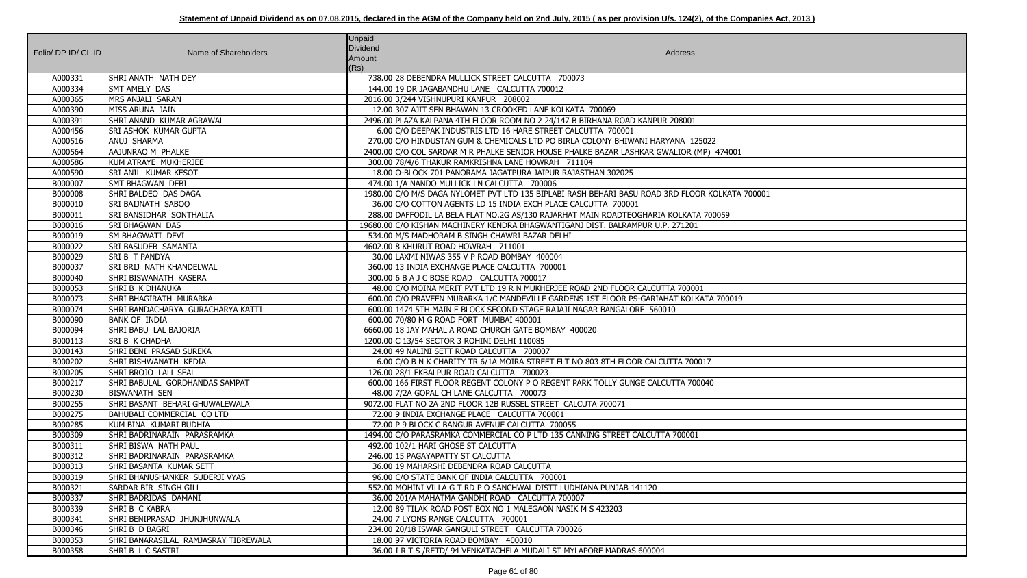| Folio/ DP ID/ CL ID | Name of Shareholders                          | <b>Unpaid</b><br>Dividend<br>Amount<br>(Rs) | Address                                                                                            |
|---------------------|-----------------------------------------------|---------------------------------------------|----------------------------------------------------------------------------------------------------|
| A000331             | SHRI ANATH NATH DEY                           |                                             | 738.00 28 DEBENDRA MULLICK STREET CALCUTTA 700073                                                  |
| A000334             | <b>SMT AMELY DAS</b>                          |                                             | 144.00 19 DR JAGABANDHU LANE CALCUTTA 700012                                                       |
| A000365             | MRS ANJALI SARAN                              |                                             | 2016.00 3/244 VISHNUPURI KANPUR 208002                                                             |
| A000390             | MISS ARUNA JAIN                               |                                             | 12.00 307 AJIT SEN BHAWAN 13 CROOKED LANE KOLKATA 700069                                           |
| A000391             | SHRI ANAND KUMAR AGRAWAL                      |                                             | 2496.00 PLAZA KALPANA 4TH FLOOR ROOM NO 2 24/147 B BIRHANA ROAD KANPUR 208001                      |
| A000456             | <b>SRI ASHOK KUMAR GUPTA</b>                  |                                             | 6.00 C/O DEEPAK INDUSTRIS LTD 16 HARE STREET CALCUTTA 700001                                       |
| A000516             | ANUJ SHARMA                                   |                                             | 270.00 C/O HINDUSTAN GUM & CHEMICALS LTD PO BIRLA COLONY BHIWANI HARYANA 125022                    |
| A000564             | AAJUNRAO M PHALKE                             |                                             | 2400.00 C/O COL SARDAR M R PHALKE SENIOR HOUSE PHALKE BAZAR LASHKAR GWALIOR (MP) 474001            |
| A000586             | KUM ATRAYE MUKHERJEE                          |                                             | 300.00 78/4/6 THAKUR RAMKRISHNA LANE HOWRAH 711104                                                 |
| A000590             | <b>SRI ANIL KUMAR KESOT</b>                   |                                             | 18.00 O-BLOCK 701 PANORAMA JAGATPURA JAIPUR RAJASTHAN 302025                                       |
| B000007             | <b>SMT BHAGWAN DEBI</b>                       |                                             | 474.00 1/A NANDO MULLICK LN CALCUTTA 700006                                                        |
| B000008             | SHRI BALDEO DAS DAGA                          |                                             | 1980.00 C/O M/S DAGA NYLOMET PVT LTD 135 BIPLABI RASH BEHARI BASU ROAD 3RD FLOOR KOLKATA 700001    |
| B000010             | <b>SRI BAIJNATH SABOO</b>                     |                                             | 36.00 C/O COTTON AGENTS LD 15 INDIA EXCH PLACE CALCUTTA 700001                                     |
| B000011             | <b>SRI BANSIDHAR SONTHALIA</b>                |                                             | 288.00 DAFFODIL LA BELA FLAT NO.2G AS/130 RAJARHAT MAIN ROADTEOGHARIA KOLKATA 700059               |
| B000016             | <b>SRI BHAGWAN DAS</b>                        |                                             | 19680.00 C/O KISHAN MACHINERY KENDRA BHAGWANTIGANJ DIST. BALRAMPUR U.P. 271201                     |
| B000019             | SM BHAGWATI DEVI                              |                                             | 534.00 M/S MADHORAM B SINGH CHAWRI BAZAR DELHI                                                     |
| B000022             | <b>SRI BASUDEB SAMANTA</b>                    |                                             | 4602.00 8 KHURUT ROAD HOWRAH 711001                                                                |
| B000029             | <b>SRI B T PANDYA</b>                         |                                             | 30.00 LAXMI NIWAS 355 V P ROAD BOMBAY 400004                                                       |
| B000037             | <b>SRI BRIJ NATH KHANDELWAL</b>               |                                             | 360.00 13 INDIA EXCHANGE PLACE CALCUTTA 700001                                                     |
| B000040             | SHRI BISWANATH KASERA                         |                                             | 300.00 6 B A J C BOSE ROAD CALCUTTA 700017                                                         |
| B000053             | SHRI B K DHANUKA                              |                                             | 48.00 C/O MOINA MERIT PVT LTD 19 R N MUKHERJEE ROAD 2ND FLOOR CALCUTTA 700001                      |
| B000073             | SHRI BHAGIRATH MURARKA                        |                                             | 600.00 C/O PRAVEEN MURARKA 1/C MANDEVILLE GARDENS 1ST FLOOR PS-GARIAHAT KOLKATA 700019             |
| B000074             | SHRI BANDACHARYA GURACHARYA KATTI             |                                             | 600.00 1474 5TH MAIN E BLOCK SECOND STAGE RAJAJI NAGAR BANGALORE 560010                            |
| B000090             | <b>BANK OF INDIA</b>                          |                                             | 600.00 70/80 M G ROAD FORT MUMBAI 400001                                                           |
| B000094             | SHRI BABU LAL BAJORIA                         |                                             | 6660.00 18 JAY MAHAL A ROAD CHURCH GATE BOMBAY 400020                                              |
| B000113             | <b>SRIB K CHADHA</b>                          |                                             | 1200.00 C 13/54 SECTOR 3 ROHINI DELHI 110085                                                       |
| B000143             | SHRI BENI PRASAD SUREKA                       |                                             | 24.00 49 NALINI SETT ROAD CALCUTTA 700007                                                          |
| B000202             | SHRI BISHWANATH KEDIA                         |                                             | 6.00 C/O B N K CHARITY TR 6/1A MOIRA STREET FLT NO 803 8TH FLOOR CALCUTTA 700017                   |
| B000205             | SHRI BROJO LALL SEAL                          |                                             | 126.00 28/1 EKBALPUR ROAD CALCUTTA 700023                                                          |
| B000217             | SHRI BABULAL GORDHANDAS SAMPAT                |                                             | 600.00 166 FIRST FLOOR REGENT COLONY P O REGENT PARK TOLLY GUNGE CALCUTTA 700040                   |
| B000230             | <b>BISWANATH SEN</b>                          |                                             | 48.00 7/2A GOPAL CH LANE CALCUTTA 700073                                                           |
| B000255             | SHRI BASANT BEHARI GHUWALEWALA                |                                             | 9072.00 FLAT NO 2A 2ND FLOOR 12B RUSSEL STREET CALCUTA 700071                                      |
| B000275             | BAHUBALI COMMERCIAL CO LTD                    |                                             | 72.00 9 INDIA EXCHANGE PLACE CALCUTTA 700001                                                       |
| B000285             | KUM BINA KUMARI BUDHIA                        |                                             | 72.00 P 9 BLOCK C BANGUR AVENUE CALCUTTA 700055                                                    |
| B000309             | SHRI BADRINARAIN PARASRAMKA                   |                                             | 1494.00 C/O PARASRAMKA COMMERCIAL CO P LTD 135 CANNING STREET CALCUTTA 700001                      |
| B000311             | SHRI BISWA NATH PAUL                          |                                             | 492.00 102/1 HARI GHOSE ST CALCUTTA                                                                |
| B000312             | SHRI BADRINARAIN PARASRAMKA                   |                                             | 246.00 15 PAGAYAPATTY ST CALCUTTA                                                                  |
| B000313             | SHRI BASANTA KUMAR SETT                       |                                             | 36.00 19 MAHARSHI DEBENDRA ROAD CALCUTTA                                                           |
| B000319             | SHRI BHANUSHANKER SUDERJI VYAS                |                                             | 96.00 C/O STATE BANK OF INDIA CALCUTTA 700001                                                      |
| B000321             | <b>SARDAR BIR SINGH GILL</b>                  |                                             | 552.00 MOHINI VILLA G T RD P O SANCHWAL DISTT LUDHIANA PUNJAB 141120                               |
| B000337             | SHRI BADRIDAS DAMANI                          |                                             | 36.00 201/A MAHATMA GANDHI ROAD CALCUTTA 700007                                                    |
| B000339<br>B000341  | SHRIB C KABRA<br>SHRI BENIPRASAD JHUNJHUNWALA |                                             | 12.00 89 TILAK ROAD POST BOX NO 1 MALEGAON NASIK M S 423203<br>24.00 7 LYONS RANGE CALCUTTA 700001 |
| B000346             | SHRI B D BAGRI                                |                                             | 234.00 20/18 ISWAR GANGULI STREET CALCUTTA 700026                                                  |
| B000353             | SHRI BANARASILAL RAMJASRAY TIBREWALA          |                                             | 18.00 97 VICTORIA ROAD BOMBAY 400010                                                               |
| B000358             | SHRI B L C SASTRI                             |                                             | 36.00 I R T S / RETD/ 94 VENKATACHELA MUDALI ST MYLAPORE MADRAS 600004                             |
|                     |                                               |                                             |                                                                                                    |

| 74001       |  |
|-------------|--|
|             |  |
|             |  |
|             |  |
| KATA 700001 |  |
|             |  |
| 59          |  |
|             |  |
|             |  |
|             |  |
|             |  |
|             |  |
|             |  |
| 00019       |  |
|             |  |
|             |  |
|             |  |
|             |  |
|             |  |
|             |  |
|             |  |
|             |  |
|             |  |
|             |  |
|             |  |
|             |  |
|             |  |
|             |  |
|             |  |
|             |  |
|             |  |
|             |  |
|             |  |
|             |  |
|             |  |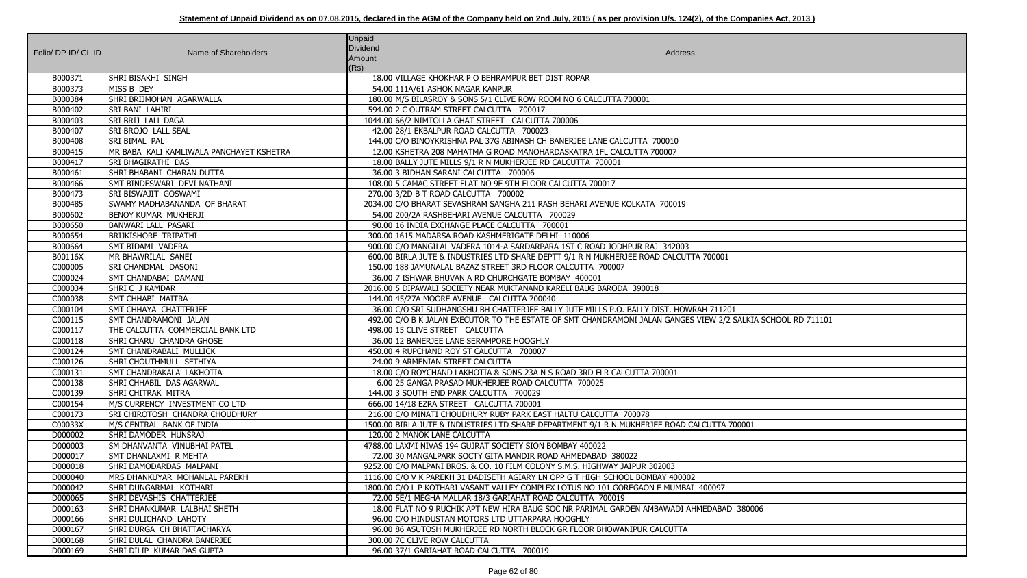| Folio/ DP ID/ CL ID | Name of Shareholders                     | <b>Unpaid</b><br><b>Dividend</b><br>Amount<br>(Rs) | Address                                                                                                      |
|---------------------|------------------------------------------|----------------------------------------------------|--------------------------------------------------------------------------------------------------------------|
| B000371             | SHRI BISAKHI SINGH                       |                                                    | 18.00 VILLAGE KHOKHAR P O BEHRAMPUR BET DIST ROPAR                                                           |
| B000373             | MISS B DEY                               |                                                    | 54.00 111A/61 ASHOK NAGAR KANPUR                                                                             |
| B000384             | <b>SHRI BRIJMOHAN AGARWALLA</b>          |                                                    | 180.00 M/S BILASROY & SONS 5/1 CLIVE ROW ROOM NO 6 CALCUTTA 700001                                           |
| B000402             | <b>SRI BANI LAHIRI</b>                   |                                                    | 594.00 2 C OUTRAM STREET CALCUTTA 700017                                                                     |
| B000403             | SRI BRIJ LALL DAGA                       |                                                    | 1044.00 66/2 NIMTOLLA GHAT STREET CALCUTTA 700006                                                            |
| B000407             | <b>SRI BROJO LALL SEAL</b>               |                                                    | 42.00 28/1 EKBALPUR ROAD CALCUTTA 700023                                                                     |
| B000408             | SRI BIMAL PAL                            |                                                    | 144.00 C/O BINOYKRISHNA PAL 37G ABINASH CH BANERJEE LANE CALCUTTA 700010                                     |
| B000415             | MR BABA KALI KAMLIWALA PANCHAYET KSHETRA |                                                    | 12.00 KSHETRA 208 MAHATMA G ROAD MANOHARDASKATRA 1FL CALCUTTA 700007                                         |
| B000417             | SRI BHAGIRATHI DAS                       |                                                    | 18.00 BALLY JUTE MILLS 9/1 R N MUKHERJEE RD CALCUTTA 700001                                                  |
| B000461             | SHRI BHABANI CHARAN DUTTA                |                                                    | 36.00 3 BIDHAN SARANI CALCUTTA 700006                                                                        |
| B000466             | SMT BINDESWARI DEVI NATHANI              |                                                    | 108.00 5 CAMAC STREET FLAT NO 9E 9TH FLOOR CALCUTTA 700017                                                   |
| B000473             | <b>SRI BISWAJIT GOSWAMI</b>              |                                                    | 270.00 3/2D B T ROAD CALCUTTA 700002                                                                         |
| B000485             | SWAMY MADHABANANDA OF BHARAT             |                                                    | 2034.00 C/O BHARAT SEVASHRAM SANGHA 211 RASH BEHARI AVENUE KOLKATA 700019                                    |
| B000602             | BENOY KUMAR MUKHERJI                     |                                                    | 54.00 200/2A RASHBEHARI AVENUE CALCUTTA 700029                                                               |
| B000650             | <b>BANWARI LALL PASARI</b>               |                                                    | 90.00 16 INDIA EXCHANGE PLACE CALCUTTA 700001                                                                |
| B000654             | <b>BRIJKISHORE TRIPATHI</b>              |                                                    | 300.00 1615 MADARSA ROAD KASHMERIGATE DELHI 110006                                                           |
| B000664             | SMT BIDAMI VADERA                        |                                                    | 900.00 C/O MANGILAL VADERA 1014-A SARDARPARA 1ST C ROAD JODHPUR RAJ 342003                                   |
| B00116X             | MR BHAWRILAL SANEI                       |                                                    | 600.00 BIRLA JUTE & INDUSTRIES LTD SHARE DEPTT 9/1 R N MUKHERJEE ROAD CALCUTTA 700001                        |
| C000005             | <b>SRI CHANDMAL DASONI</b>               |                                                    | 150.00 188 JAMUNALAL BAZAZ STREET 3RD FLOOR CALCUTTA 700007                                                  |
| C000024             | SMT CHANDABAI DAMANI                     |                                                    | 36.00 7 ISHWAR BHUVAN A RD CHURCHGATE BOMBAY 400001                                                          |
| C000034             | SHRI C J KAMDAR                          |                                                    | 2016.00 5 DIPAWALI SOCIETY NEAR MUKTANAND KARELI BAUG BARODA 390018                                          |
| C000038             | SMT CHHABI MAITRA                        |                                                    | 144.00 45/27A MOORE AVENUE CALCUTTA 700040                                                                   |
| C000104             | SMT CHHAYA CHATTERJEE                    |                                                    | 36.00 C/O SRI SUDHANGSHU BH CHATTERJEE BALLY JUTE MILLS P.O. BALLY DIST. HOWRAH 711201                       |
| C000115             | SMT CHANDRAMONI JALAN                    |                                                    | 492.00 C/O B K JALAN EXECUTOR TO THE ESTATE OF SMT CHANDRAMONI JALAN GANGES VIEW 2/2 SALKIA SCHOOL RD 711101 |
| C000117             | THE CALCUTTA COMMERCIAL BANK LTD         |                                                    | 498.00 15 CLIVE STREET CALCUTTA                                                                              |
| C000118             | SHRI CHARU CHANDRA GHOSE                 |                                                    | 36.00 12 BANERJEE LANE SERAMPORE HOOGHLY                                                                     |
| C000124             | SMT CHANDRABALI MULLICK                  |                                                    | 450.00 4 RUPCHAND ROY ST CALCUTTA 700007                                                                     |
| C000126             | SHRI CHOUTHMULL SETHIYA                  |                                                    | 24.00 9 ARMENIAN STREET CALCUTTA                                                                             |
| C000131             | SMT CHANDRAKALA LAKHOTIA                 |                                                    | 18.00 C/O ROYCHAND LAKHOTIA & SONS 23A N S ROAD 3RD FLR CALCUTTA 700001                                      |
| C000138             | SHRI CHHABIL DAS AGARWAL                 |                                                    | 6.00 25 GANGA PRASAD MUKHERJEE ROAD CALCUTTA 700025                                                          |
| C000139             | SHRI CHITRAK MITRA                       |                                                    | 144.003 SOUTH END PARK CALCUTTA 700029                                                                       |
| C000154             | M/S CURRENCY INVESTMENT CO LTD           |                                                    | 666.00 14/18 EZRA STREET CALCUTTA 700001                                                                     |
| C000173             | <b>SRI CHIROTOSH CHANDRA CHOUDHURY</b>   |                                                    | 216.00 C/O MINATI CHOUDHURY RUBY PARK EAST HALTU CALCUTTA 700078                                             |
| C00033X             | M/S CENTRAL BANK OF INDIA                |                                                    | 1500.00 BIRLA JUTE & INDUSTRIES LTD SHARE DEPARTMENT 9/1 R N MUKHERJEE ROAD CALCUTTA 700001                  |
| D000002             | SHRI DAMODER HUNSRAJ                     |                                                    | 120.00 2 MANOK LANE CALCUTTA                                                                                 |
| D000003             | <b>SM DHANVANTA VINUBHAI PATEL</b>       |                                                    | 4788.00 LAXMI NIVAS 194 GUJRAT SOCIETY SION BOMBAY 400022                                                    |
| D000017             | SMT DHANLAXMI R MEHTA                    |                                                    | 72.00 30 MANGALPARK SOCTY GITA MANDIR ROAD AHMEDABAD 380022                                                  |
| D000018             | SHRI DAMODARDAS MALPANI                  |                                                    | 9252.00 C/O MALPANI BROS. & CO. 10 FILM COLONY S.M.S. HIGHWAY JAIPUR 302003                                  |
| D000040             | MRS DHANKUYAR MOHANLAL PAREKH            |                                                    | 1116.00 C/O V K PAREKH 31 DADISETH AGIARY LN OPP G T HIGH SCHOOL BOMBAY 400002                               |
| D000042             | SHRI DUNGARMAL KOTHARI                   |                                                    | 1800.00 C/O L P KOTHARI VASANT VALLEY COMPLEX LOTUS NO 101 GOREGAON E MUMBAI 400097                          |
| D000065             | SHRI DEVASHIS CHATTERJEE                 |                                                    | 72.00 5E/1 MEGHA MALLAR 18/3 GARIAHAT ROAD CALCUTTA 700019                                                   |
| D000163             | SHRI DHANKUMAR LALBHAI SHETH             |                                                    | 18.00 FLAT NO 9 RUCHIK APT NEW HIRA BAUG SOC NR PARIMAL GARDEN AMBAWADI AHMEDABAD 380006                     |
| D000166             | <b>SHRI DULICHAND LAHOTY</b>             |                                                    | 96.00 C/O HINDUSTAN MOTORS LTD UTTARPARA HOOGHLY                                                             |
| D000167             | SHRI DURGA CH BHATTACHARYA               |                                                    | 96.00 86 ASUTOSH MUKHERJEE RD NORTH BLOCK GR FLOOR BHOWANIPUR CALCUTTA                                       |
| D000168             | SHRI DULAL CHANDRA BANERJEE              |                                                    | 300.00 7C CLIVE ROW CALCUTTA                                                                                 |
| D000169             | SHRI DILIP KUMAR DAS GUPTA               |                                                    | 96.00 37/1 GARIAHAT ROAD CALCUTTA 700019                                                                     |

| $\overline{1}$                    |
|-----------------------------------|
|                                   |
|                                   |
|                                   |
| 201<br>/2 SALKIA SCHOOL RD 711101 |
|                                   |
|                                   |
|                                   |
|                                   |
|                                   |
|                                   |
| A 700001                          |
|                                   |
|                                   |
|                                   |
|                                   |
| 7                                 |
| AD 380006                         |
|                                   |
|                                   |
|                                   |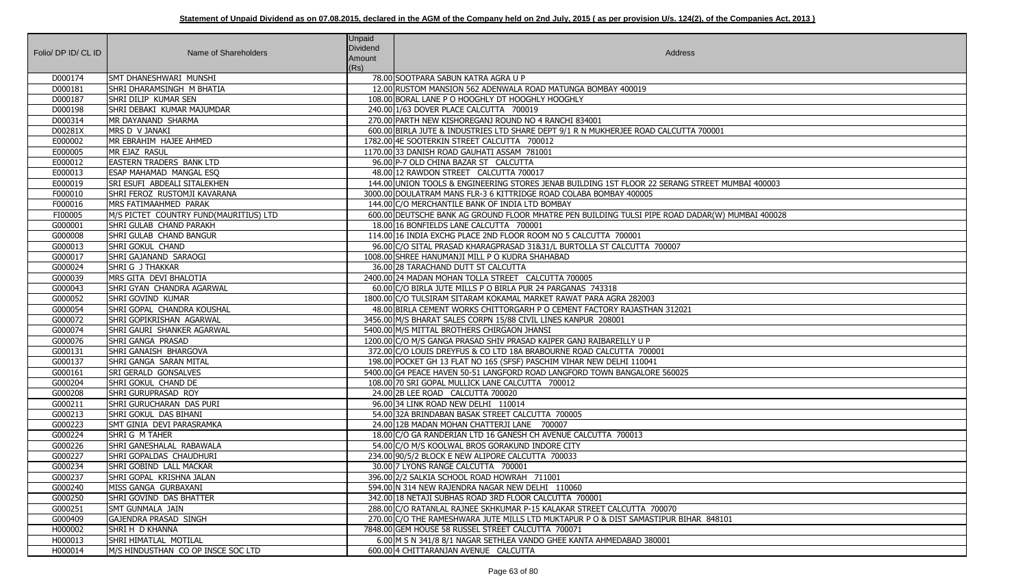| Folio/ DP ID/ CL ID | Name of Shareholders                     | <b>Unpaid</b><br>Dividend<br>Amount<br>(Rs) | Address                                                                                         |
|---------------------|------------------------------------------|---------------------------------------------|-------------------------------------------------------------------------------------------------|
| D000174             | SMT DHANESHWARI MUNSHI                   |                                             | 78.00 SOOTPARA SABUN KATRA AGRA U P                                                             |
| D000181             | SHRI DHARAMSINGH M BHATIA                |                                             | 12.00 RUSTOM MANSION 562 ADENWALA ROAD MATUNGA BOMBAY 400019                                    |
| D000187             | SHRI DILIP KUMAR SEN                     |                                             | 108.00 BORAL LANE P O HOOGHLY DT HOOGHLY HOOGHLY                                                |
| D000198             | SHRI DEBAKI KUMAR MAJUMDAR               |                                             | 240.00 1/63 DOVER PLACE CALCUTTA 700019                                                         |
| D000314             | MR DAYANAND SHARMA                       |                                             | 270.00 PARTH NEW KISHOREGANJ ROUND NO 4 RANCHI 834001                                           |
| D00281X             | MRS D V JANAKI                           |                                             | 600.00 BIRLA JUTE & INDUSTRIES LTD SHARE DEPT 9/1 R N MUKHERJEE ROAD CALCUTTA 700001            |
| E000002             | MR EBRAHIM HAJEE AHMED                   |                                             | 1782.00 4E SOOTERKIN STREET CALCUTTA 700012                                                     |
| E000005             | MR EJAZ RASUL                            |                                             | 1170.00 33 DANISH ROAD GAUHATI ASSAM 781001                                                     |
| E000012             | <b>EASTERN TRADERS BANK LTD</b>          |                                             | 96.00 P-7 OLD CHINA BAZAR ST CALCUTTA                                                           |
| E000013             | <b>ESAP MAHAMAD MANGAL ESQ</b>           |                                             | 48.00 12 RAWDON STREET CALCUTTA 700017                                                          |
| E000019             | <b>SRI ESUFI ABDEALI SITALEKHEN</b>      |                                             | 144.00 UNION TOOLS & ENGINEERING STORES JENAB BUILDING 1ST FLOOR 22 SERANG STREET MUMBAI 400003 |
| F000010             | SHRI FEROZ RUSTOMJI KAVARANA             |                                             | 3000.00 DOULATRAM MANS FLR-3 6 KITTRIDGE ROAD COLABA BOMBAY 400005                              |
| F000016             | MRS FATIMAAHMED PARAK                    |                                             | 144.00 C/O MERCHANTILE BANK OF INDIA LTD BOMBAY                                                 |
| FI00005             | M/S PICTET COUNTRY FUND(MAURITIUS) LTD   |                                             | 600.00 DEUTSCHE BANK AG GROUND FLOOR MHATRE PEN BUILDING TULSI PIPE ROAD DADAR(W) MUMBAI 400028 |
| G000001             | SHRI GULAB CHAND PARAKH                  |                                             | 18.00 16 BONFIELDS LANE CALCUTTA 700001                                                         |
| G000008             | SHRI GULAB CHAND BANGUR                  |                                             | 114.00 16 INDIA EXCHG PLACE 2ND FLOOR ROOM NO 5 CALCUTTA 700001                                 |
| G000013             | <b>SHRI GOKUL CHAND</b>                  |                                             | 96.00 C/O SITAL PRASAD KHARAGPRASAD 31&31/L BURTOLLA ST CALCUTTA 700007                         |
| G000017             | SHRI GAJANAND SARAOGI                    |                                             | 1008.00 SHREE HANUMANJI MILL P O KUDRA SHAHABAD                                                 |
| G000024             | SHRI G J THAKKAR                         |                                             | 36.00 28 TARACHAND DUTT ST CALCUTTA                                                             |
| G000039             | <b>IMRS GITA DEVI BHALOTIA</b>           |                                             | 2400.00 24 MADAN MOHAN TOLLA STREET CALCUTTA 700005                                             |
| G000043             | SHRI GYAN CHANDRA AGARWAL                |                                             | 60.00 C/O BIRLA JUTE MILLS P O BIRLA PUR 24 PARGANAS 743318                                     |
| G000052             | <b>SHRI GOVIND KUMAR</b>                 |                                             | 1800.00 C/O TULSIRAM SITARAM KOKAMAL MARKET RAWAT PARA AGRA 282003                              |
| G000054             | <b>SHRI GOPAL CHANDRA KOUSHAL</b>        |                                             | 48.00 BIRLA CEMENT WORKS CHITTORGARH P O CEMENT FACTORY RAJASTHAN 312021                        |
| G000072             | SHRI GOPIKRISHAN AGARWAL                 |                                             | 3456.00 M/S BHARAT SALES CORPN 15/88 CIVIL LINES KANPUR 208001                                  |
| G000074             | SHRI GAURI SHANKER AGARWAL               |                                             | 5400.00 M/S MITTAL BROTHERS CHIRGAON JHANSI                                                     |
| G000076             | <b>SHRI GANGA PRASAD</b>                 |                                             | 1200.00 C/O M/S GANGA PRASAD SHIV PRASAD KAIPER GANJ RAIBAREILLY U P                            |
| G000131             | SHRI GANAISH BHARGOVA                    |                                             | 372.00 C/O LOUIS DREYFUS & CO LTD 18A BRABOURNE ROAD CALCUTTA 700001                            |
| G000137             | SHRI GANGA SARAN MITAL                   |                                             | 198.00 POCKET GH 13 FLAT NO 165 (SFSF) PASCHIM VIHAR NEW DELHI 110041                           |
| G000161             | <b>SRI GERALD GONSALVES</b>              |                                             | 5400.00 G4 PEACE HAVEN 50-51 LANGFORD ROAD LANGFORD TOWN BANGALORE 560025                       |
| G000204             | SHRI GOKUL CHAND DE                      |                                             | 108.00 70 SRI GOPAL MULLICK LANE CALCUTTA 700012                                                |
| G000208             | <b>SHRI GURUPRASAD ROY</b>               |                                             | 24.00 2B LEE ROAD CALCUTTA 700020                                                               |
| G000211             | <b>SHRI GURUCHARAN DAS PURI</b>          |                                             | 96.00 34 LINK ROAD NEW DELHI 110014                                                             |
| G000213             | SHRI GOKUL DAS BIHANI                    |                                             | 54.00 32A BRINDABAN BASAK STREET CALCUTTA 700005                                                |
| G000223             | <b>SMT GINIA DEVI PARASRAMKA</b>         |                                             | 24.00 12B MADAN MOHAN CHATTERJI LANE 700007                                                     |
| G000224             | SHRI G M TAHER                           |                                             | 18.00 C/O GA RANDERIAN LTD 16 GANESH CH AVENUE CALCUTTA 700013                                  |
| G000226             | SHRI GANESHALAL RABAWALA                 |                                             | 54.00 C/O M/S KOOLWAL BROS GORAKUND INDORE CITY                                                 |
| G000227             | SHRI GOPALDAS CHAUDHURI                  |                                             | 234.00 90/5/2 BLOCK E NEW ALIPORE CALCUTTA 700033                                               |
| G000234             | SHRI GOBIND LALL MACKAR                  |                                             | 30.00 7 LYONS RANGE CALCUTTA 700001                                                             |
| G000237             | SHRI GOPAL KRISHNA JALAN                 |                                             | 396.00 2/2 SALKIA SCHOOL ROAD HOWRAH 711001                                                     |
| G000240             | MISS GANGA GURBAXANI                     |                                             | 594.00 N 314 NEW RAJENDRA NAGAR NEW DELHI 110060                                                |
| G000250             | SHRI GOVIND DAS BHATTER                  |                                             | 342.00 18 NETAJI SUBHAS ROAD 3RD FLOOR CALCUTTA 700001                                          |
| G000251             | <b>SMT GUNMALA JAIN</b>                  |                                             | 288.00 C/O RATANLAL RAJNEE SKHKUMAR P-15 KALAKAR STREET CALCUTTA 700070                         |
| G000409             | <b>GAJENDRA PRASAD SINGH</b>             |                                             | 270.00 C/O THE RAMESHWARA JUTE MILLS LTD MUKTAPUR P O & DIST SAMASTIPUR BIHAR 848101            |
| H000002             | SHRI H D KHANNA<br>SHRI HIMATLAL MOTILAL |                                             | 7848.00 GEM HOUSE 58 RUSSEL STREET CALCUTTA 700071                                              |
| H000013             |                                          |                                             | 6.00 M S N 341/8 8/1 NAGAR SETHLEA VANDO GHEE KANTA AHMEDABAD 380001                            |
| H000014             | M/S HINDUSTHAN CO OP INSCE SOC LTD       |                                             | 600.00 4 CHITTARANJAN AVENUE CALCUTTA                                                           |

| MUMBAI 400003   |
|-----------------|
|                 |
| ) MUMBAI 400028 |
|                 |
|                 |
|                 |
|                 |
|                 |
|                 |
|                 |
|                 |
|                 |
|                 |
|                 |
|                 |
|                 |
|                 |
|                 |
|                 |
|                 |
|                 |
|                 |
|                 |
|                 |
|                 |
|                 |
| $\overline{01}$ |
|                 |
|                 |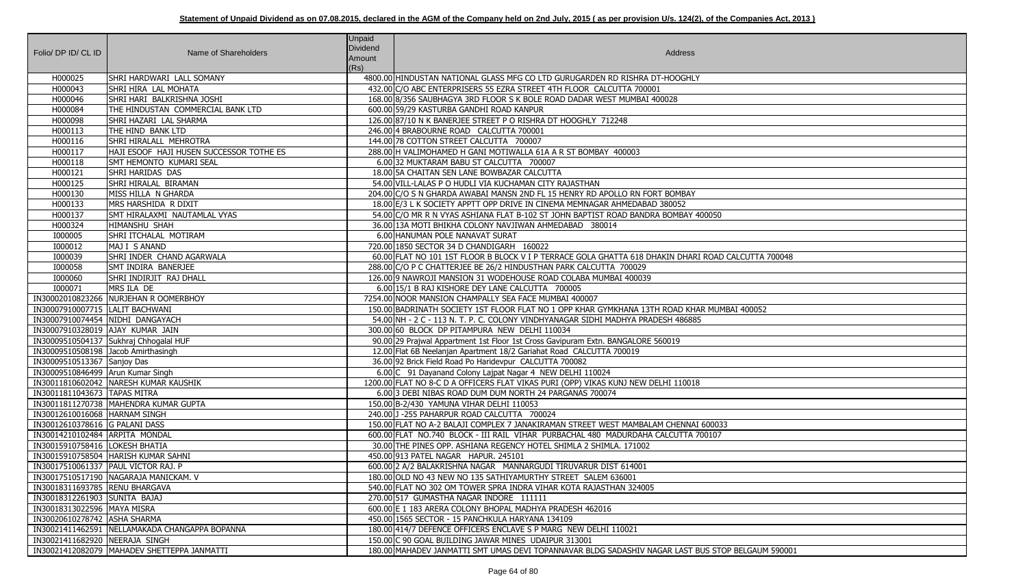| Folio/ DP ID/ CL ID                                            | Name of Shareholders                             | <b>Unpaid</b><br>Dividend<br>Amount<br>(Rs) | Address                                                                                                      |
|----------------------------------------------------------------|--------------------------------------------------|---------------------------------------------|--------------------------------------------------------------------------------------------------------------|
| H000025                                                        | SHRI HARDWARI LALL SOMANY                        |                                             | 4800.00 HINDUSTAN NATIONAL GLASS MFG CO LTD GURUGARDEN RD RISHRA DT-HOOGHLY                                  |
| H000043                                                        | SHRI HIRA LAL MOHATA                             |                                             | 432.00 C/O ABC ENTERPRISERS 55 EZRA STREET 4TH FLOOR CALCUTTA 700001                                         |
| H000046                                                        | Shri hari  balkrishna joshi                      |                                             | 168.00 8/356 SAUBHAGYA 3RD FLOOR S K BOLE ROAD DADAR WEST MUMBAI 400028                                      |
| H000084                                                        | THE HINDUSTAN COMMERCIAL BANK LTD                |                                             | 600.00 59/29 KASTURBA GANDHI ROAD KANPUR                                                                     |
| H000098                                                        | SHRI HAZARI LAL SHARMA                           |                                             | 126.00 87/10 N K BANERJEE STREET P O RISHRA DT HOOGHLY 712248                                                |
| H000113                                                        | THE HIND BANK LTD                                |                                             | 246.00 4 BRABOURNE ROAD CALCUTTA 700001                                                                      |
| H000116                                                        | SHRI HIRALALL MEHROTRA                           |                                             | 144.00 78 COTTON STREET CALCUTTA 700007                                                                      |
| H000117                                                        | HAJI ESOOF HAJI HUSEN SUCCESSOR TOTHE ES         |                                             | 288.00 H VALIMOHAMED H GANI MOTIWALLA 61A A R ST BOMBAY 400003                                               |
| H000118                                                        | SMT HEMONTO KUMARI SEAL                          |                                             | 6.00 32 MUKTARAM BABU ST CALCUTTA 700007                                                                     |
| H000121                                                        | SHRI HARIDAS DAS                                 |                                             | 18.00 5A CHAITAN SEN LANE BOWBAZAR CALCUTTA                                                                  |
| H000125                                                        | SHRI HIRALAL BIRAMAN                             |                                             | 54.00 VILL-LALAS P O HUDLI VIA KUCHAMAN CITY RAJASTHAN                                                       |
| H000130                                                        | MISS HILLA N GHARDA                              |                                             | 204.00 C/O S N GHARDA AWABAI MANSN 2ND FL 15 HENRY RD APOLLO RN FORT BOMBAY                                  |
| H000133                                                        | MRS HARSHIDA R DIXIT                             |                                             | 18.00 E/3 L K SOCIETY APPTT OPP DRIVE IN CINEMA MEMNAGAR AHMEDABAD 380052                                    |
| H000137                                                        | SMT HIRALAXMI NAUTAMLAL VYAS                     |                                             | 54.00 C/O MR R N VYAS ASHIANA FLAT B-102 ST JOHN BAPTIST ROAD BANDRA BOMBAY 400050                           |
| H000324                                                        | HIMANSHU SHAH                                    |                                             | 36.00 13A MOTI BHIKHA COLONY NAVJIWAN AHMEDABAD 380014                                                       |
| I000005                                                        | SHRI ITCHALAL MOTIRAM                            |                                             | 6.00 HANUMAN POLE NANAVAT SURAT                                                                              |
| I000012                                                        | MAJ I S ANAND                                    |                                             | 720.00 1850 SECTOR 34 D CHANDIGARH 160022                                                                    |
| I000039                                                        | SHRI INDER CHAND AGARWALA                        |                                             | 60.00 FLAT NO 101 1ST FLOOR B BLOCK V I P TERRACE GOLA GHATTA 618 DHAKIN DHARI ROAD CALCUTTA 700048          |
| <b>I000058</b>                                                 | SMT INDIRA BANERJEE                              |                                             | 288.00 C/O P C CHATTERJEE BE 26/2 HINDUSTHAN PARK CALCUTTA 700029                                            |
| 1000060                                                        | SHRI INDIRJIT) RAJ DHALL                         |                                             | 126.00 9 NAWROJI MANSION 31 WODEHOUSE ROAD COLABA MUMBAI 400039                                              |
| I000071                                                        | MRS ILA DE                                       |                                             | 6.00 15/1 B RAJ KISHORE DEY LANE CALCUTTA 700005                                                             |
|                                                                | IN30002010823266 NURJEHAN R OOMERBHOY            |                                             | 7254.00 NOOR MANSION CHAMPALLY SEA FACE MUMBAI 400007                                                        |
| IN30007910007715  LALIT BACHWANI                               |                                                  |                                             | 150.00 BADRINATH SOCIETY 1ST FLOOR FLAT NO 1 OPP KHAR GYMKHANA 13TH ROAD KHAR MUMBAI 400052                  |
| IN30007910074454 NIDHI DANGAYACH                               |                                                  |                                             | 54.00 NH - 2 C - 113 N. T. P. C. COLONY VINDHYANAGAR SIDHI MADHYA PRADESH 486885                             |
| IN30007910328019 AJAY KUMAR JAIN                               |                                                  |                                             | 300.00 60 BLOCK DP PITAMPURA NEW DELHI 110034                                                                |
|                                                                | IN30009510504137 Sukhraj Chhogalal HUF           |                                             | 90.00 29 Prajwal Appartment 1st Floor 1st Cross Gavipuram Extn. BANGALORE 560019                             |
| IN30009510508198 Jacob Amirthasingh                            |                                                  |                                             | 12.00 Flat 6B Neelanjan Apartment 18/2 Gariahat Road CALCUTTA 700019                                         |
| IN30009510513367 Sanjoy Das                                    |                                                  |                                             | 36.00 92 Brick Field Road Po Haridevpur CALCUTTA 700082                                                      |
| IN30009510846499   Arun Kumar Singh                            |                                                  |                                             | 6.00 C 91 Dayanand Colony Lajpat Nagar 4 NEW DELHI 110024                                                    |
|                                                                | IN30011810602042   NARESH KUMAR KAUSHIK          |                                             | 1200.00 FLAT NO 8-C D A OFFICERS FLAT VIKAS PURI (OPP) VIKAS KUNJ NEW DELHI 110018                           |
| IN30011811043673   TAPAS MITRA                                 |                                                  |                                             | 6.00 3 DEBI NIBAS ROAD DUM DUM NORTH 24 PARGANAS 700074                                                      |
|                                                                | IN30011811270738 MAHENDRA KUMAR GUPTA            |                                             | 150.00 B-2/430 YAMUNA VIHAR DELHI 110053                                                                     |
| IN30012610016068  HARNAM SINGH                                 |                                                  |                                             | 240.00 J - 255 PAHARPUR ROAD CALCUTTA 700024                                                                 |
| IN30012610378616 G PALANI DASS                                 |                                                  |                                             | 150.00 FLAT NO A-2 BALAJI COMPLEX 7 JANAKIRAMAN STREET WEST MAMBALAM CHENNAI 600033                          |
| IN30014210102484 ARPITA MONDAL                                 |                                                  |                                             | 600.00 FLAT NO.740 BLOCK - III RAIL VIHAR PURBACHAL 480 MADURDAHA CALCUTTA 700107                            |
| IN30015910758416   LOKESH BHATIA                               |                                                  |                                             | 30.00 THE PINES OPP. ASHIANA REGENCY HOTEL SHIMLA 2 SHIMLA. 171002                                           |
|                                                                | IN30015910758504  HARISH KUMAR SAHNI             |                                             | 450.00 913 PATEL NAGAR HAPUR. 245101                                                                         |
| IN30017510061337   PAUL VICTOR RAJ. P                          |                                                  |                                             | 600.00 2 A/2 BALAKRISHNA NAGAR MANNARGUDI TIRUVARUR DIST 614001                                              |
|                                                                | IN30017510517190 NAGARAJA MANICKAM. V            |                                             | 180.00 OLD NO 43 NEW NO 135 SATHIYAMURTHY STREET SALEM 636001                                                |
| IN30018311693785 RENU BHARGAVA                                 |                                                  |                                             | 540.00 FLAT NO 302 OM TOWER SPRA INDRA VIHAR KOTA RAJASTHAN 324005                                           |
| IN30018312261903 SUNITA BAJAJ<br>IN30018313022596   MAYA MISRA |                                                  |                                             | 270.00 517 GUMASTHA NAGAR INDORE 111111                                                                      |
| IN30020610278742   ASHA SHARMA                                 |                                                  |                                             | 600.00 E 1 183 ARERA COLONY BHOPAL MADHYA PRADESH 462016<br>450.00 1565 SECTOR - 15 PANCHKULA HARYANA 134109 |
|                                                                | IN30021411462591   NELLAMAKADA CHANGAPPA BOPANNA |                                             | 180.00 414/7 DEFENCE OFFICERS ENCLAVE S P MARG NEW DELHI 110021                                              |
| IN30021411682920 NEERAJA SINGH                                 |                                                  |                                             | 150.00 C 90 GOAL BUILDING JAWAR MINES UDAIPUR 313001                                                         |
|                                                                | IN30021412082079   MAHADEV SHETTEPPA JANMATTI    |                                             | 180.00 MAHADEV JANMATTI SMT UMAS DEVI TOPANNAVAR BLDG SADASHIV NAGAR LAST BUS STOP BELGAUM 590001            |
|                                                                |                                                  |                                             |                                                                                                              |

| CALCUTTA 700048   |
|-------------------|
|                   |
|                   |
|                   |
|                   |
| 1BAI 400052       |
|                   |
|                   |
|                   |
|                   |
|                   |
|                   |
|                   |
|                   |
|                   |
| $\overline{3}$    |
|                   |
|                   |
|                   |
|                   |
|                   |
|                   |
|                   |
|                   |
|                   |
|                   |
| OP BELGAUM 590001 |
|                   |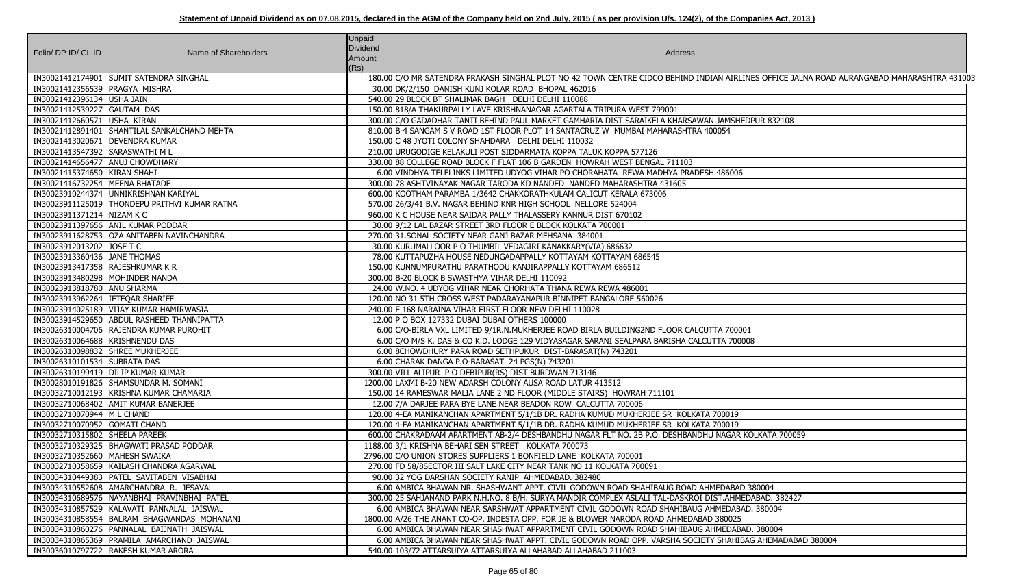| Folio/ DP ID/ CL ID                | Name of Shareholders                          | <b>Unpaid</b><br><b>Dividend</b><br>Amount<br>(Rs) | Address                                                                                                      |
|------------------------------------|-----------------------------------------------|----------------------------------------------------|--------------------------------------------------------------------------------------------------------------|
|                                    | IN30021412174901 SUMIT SATENDRA SINGHAL       |                                                    | 180.00 C/O MR SATENDRA PRAKASH SINGHAL PLOT NO 42 TOWN CENTRE CIDCO BEHIND INDIAN AIRLINES OFFICE JALNA ROAD |
| IN30021412356539 PRAGYA MISHRA     |                                               |                                                    | 30.00 DK/2/150 DANISH KUNJ KOLAR ROAD BHOPAL 462016                                                          |
| IN30021412396134 USHA JAIN         |                                               |                                                    | 540.00 29 BLOCK BT SHALIMAR BAGH DELHI DELHI 110088                                                          |
| IN30021412539227 GAUTAM DAS        |                                               |                                                    | 150.00 818/A THAKURPALLY LAVE KRISHNANAGAR AGARTALA TRIPURA WEST 799001                                      |
| IN30021412660571 USHA KIRAN        |                                               |                                                    | 300.00 C/O GADADHAR TANTI BEHIND PAUL MARKET GAMHARIA DIST SARAIKELA KHARSAWAN JAMSHEDPUR 832108             |
|                                    | IN30021412891401 SHANTILAL SANKALCHAND MEHTA  |                                                    | 810.00 B-4 SANGAM S V ROAD 1ST FLOOR PLOT 14 SANTACRUZ W MUMBAI MAHARASHTRA 400054                           |
| IN30021413020671 DEVENDRA KUMAR    |                                               |                                                    | 150.00 C 48 JYOTI COLONY SHAHDARA DELHI DELHI 110032                                                         |
| IN30021413547392 SARASWATHI ML     |                                               |                                                    | 210.00 URUGODIGE KELAKULI POST SIDDARMATA KOPPA TALUK KOPPA 577126                                           |
| IN30021414656477   ANUJ CHOWDHARY  |                                               |                                                    | 330.00 88 COLLEGE ROAD BLOCK F FLAT 106 B GARDEN HOWRAH WEST BENGAL 711103                                   |
| IN30021415374650 KIRAN SHAHI       |                                               |                                                    | 6.00 VINDHYA TELELINKS LIMITED UDYOG VIHAR PO CHORAHATA REWA MADHYA PRADESH 486006                           |
| IN30021416732254   MEENA BHATADE   |                                               |                                                    | 300.00 78 ASHTVINAYAK NAGAR TARODA KD NANDED NANDED MAHARASHTRA 431605                                       |
|                                    | IN30023910244374 UNNIKRISHNAN KARIYAL         |                                                    | 600.00 KOOTHAM PARAMBA 1/3642 CHAKKORATHKULAM CALICUT KERALA 673006                                          |
|                                    | IN30023911125019 THONDEPU PRITHVI KUMAR RATNA |                                                    | 570.00 26/3/41 B.V. NAGAR BEHIND KNR HIGH SCHOOL NELLORE 524004                                              |
| IN30023911371214 NIZAM K C         |                                               |                                                    | 960.00 K C HOUSE NEAR SAIDAR PALLY THALASSERY KANNUR DIST 670102                                             |
|                                    | IN30023911397656 ANIL KUMAR PODDAR            |                                                    | 30.00 9/12 LAL BAZAR STREET 3RD FLOOR E BLOCK KOLKATA 700001                                                 |
|                                    | IN30023911628753 OZA ANITABEN NAVINCHANDRA    |                                                    | 270.00 31. SONAL SOCIETY NEAR GANJ BAZAR MEHSANA 384001                                                      |
| IN30023912013202 JOSE T C          |                                               |                                                    | 30.00 KURUMALLOOR P O THUMBIL VEDAGIRI KANAKKARY(VIA) 686632                                                 |
| IN30023913360436 JANE THOMAS       |                                               |                                                    | 78.00 KUTTAPUZHA HOUSE NEDUNGADAPPALLY KOTTAYAM KOTTAYAM 686545                                              |
| IN30023913417358 RAJESHKUMAR K R   |                                               |                                                    | 150.00 KUNNUMPURATHU PARATHODU KANJIRAPPALLY KOTTAYAM 686512                                                 |
| IN30023913480298   MOHINDER NANDA  |                                               |                                                    | 300.00 B-20 BLOCK B SWASTHYA VIHAR DELHI 110092                                                              |
| IN30023913818780 ANU SHARMA        |                                               |                                                    | 24.00 W.NO. 4 UDYOG VIHAR NEAR CHORHATA THANA REWA REWA 486001                                               |
| IN30023913962264   IFTEQAR SHARIFF |                                               |                                                    | 120.00 NO 31 5TH CROSS WEST PADARAYANAPUR BINNIPET BANGALORE 560026                                          |
|                                    | IN30023914025189   VIJAY KUMAR HAMIRWASIA     |                                                    | 240.00 E 168 NARAINA VIHAR FIRST FLOOR NEW DELHI 110028                                                      |
|                                    | IN30023914529650 ABDUL RASHEED THANNIPATTA    |                                                    | 12.00 P O BOX 127332 DUBAI DUBAI OTHERS 100000                                                               |
|                                    | IN30026310004706 RAJENDRA KUMAR PUROHIT       |                                                    | 6.00 C/O-BIRLA VXL LIMITED 9/1R.N.MUKHERJEE ROAD BIRLA BUILDING2ND FLOOR CALCUTTA 700001                     |
| IN30026310064688 KRISHNENDU DAS    |                                               |                                                    | 6.00 C/O M/S K. DAS & CO K.D. LODGE 129 VIDYASAGAR SARANI SEALPARA BARISHA CALCUTTA 700008                   |
| IN30026310098832 SHREE MUKHERJEE   |                                               |                                                    | 6.00 8CHOWDHURY PARA ROAD SETHPUKUR DIST-BARASAT(N) 743201                                                   |
| IN30026310101534 SUBRATA DAS       |                                               |                                                    | 6.00 CHARAK DANGA P.O-BARASAT 24 PGS(N) 743201                                                               |
|                                    | IN30026310199419   DILIP KUMAR KUMAR          |                                                    | 300.00 VILL ALIPUR P O DEBIPUR(RS) DIST BURDWAN 713146                                                       |
|                                    | IN30028010191826 SHAMSUNDAR M. SOMANI         |                                                    | 1200.00 LAXMI B-20 NEW ADARSH COLONY AUSA ROAD LATUR 413512                                                  |
|                                    | IN30032710012193 KRISHNA KUMAR CHAMARIA       |                                                    | 150.00 14 RAMESWAR MALIA LANE 2 ND FLOOR (MIDDLE STAIRS) HOWRAH 711101                                       |
|                                    | IN30032710068402 AMIT KUMAR BANERJEE          |                                                    | 12.00 7/A DARJEE PARA BYE LANE NEAR BEADON ROW CALCUTTA 700006                                               |
| IN30032710070944  M L CHAND        |                                               |                                                    | 120.00 4-EA MANIKANCHAN APARTMENT 5/1/1B DR. RADHA KUMUD MUKHERJEE SR KOLKATA 700019                         |
| IN30032710070952 GOMATI CHAND      |                                               |                                                    | 120.00 4-EA MANIKANCHAN APARTMENT 5/1/1B DR. RADHA KUMUD MUKHERJEE SR KOLKATA 700019                         |
| IN30032710315802 SHEELA PAREEK     |                                               |                                                    | 600.00 CHAKRADAAM APARTMENT AB-2/4 DESHBANDHU NAGAR FLT NO. 2B P.O. DESHBANDHU NAGAR KOLKATA 700059          |
|                                    | IN30032710329325  BHAGWATI PRASAD PODDAR      |                                                    | 1188.00 3/1 KRISHNA BEHARI SEN STREET KOLKATA 700073                                                         |
| IN30032710352660   MAHESH SWAIKA   |                                               |                                                    | 2796.00 C/O UNION STORES SUPPLIERS 1 BONFIELD LANE KOLKATA 700001                                            |
|                                    | IN30032710358659 KAILASH CHANDRA AGARWAL      |                                                    | 270.00 FD 58/8SECTOR III SALT LAKE CITY NEAR TANK NO 11 KOLKATA 700091                                       |
|                                    | IN30034310449383   PATEL SAVITABEN VISABHAI   |                                                    | 90.00 32 YOG DARSHAN SOCIETY RANIP AHMEDABAD. 382480                                                         |
|                                    | IN30034310552608   AMARCHANDRA R. JESAVAL     |                                                    | 6.00 AMBICA BHAWAN NR. SHASHWANT APPT. CIVIL GODOWN ROAD SHAHIBAUG ROAD AHMEDABAD 380004                     |
|                                    | IN30034310689576 NAYANBHAI PRAVINBHAI PATEL   |                                                    | 300.00 25 SAHJANAND PARK N.H.NO. 8 B/H. SURYA MANDIR COMPLEX ASLALI TAL-DASKROI DIST.AHMEDABAD. 382427       |
|                                    | IN30034310857529 KALAVATI PANNALAL JAISWAL    |                                                    | 6.00 AMBICA BHAWAN NEAR SARSHWAT APPARTMENT CIVIL GODOWN ROAD SHAHIBAUG AHMEDABAD. 380004                    |
|                                    | IN30034310858554 BALRAM BHAGWANDAS MOHANANI   |                                                    | 1800.00 A/26 THE ANANT CO-OP. INDESTA OPP. FOR JE & BLOWER NARODA ROAD AHMEDABAD 380025                      |
|                                    | IN30034310860276   PANNALAL BAIJNATH JAISWAL  |                                                    | 6.00 AMBICA BHAWAN NEAR SHASHWAT APPARTMENT CIVIL GODOWN ROAD SHAHIBAUG AHMEDABAD. 380004                    |
|                                    | IN30034310865369 PRAMILA AMARCHAND JAISWAL    |                                                    | 6.00 AMBICA BHAWAN NEAR SHASHWAT APPT. CIVIL GODOWN ROAD OPP. VARSHA SOCIETY SHAHIBAG AHEMADABAD 380004      |
|                                    | IN30036010797722 RAKESH KUMAR ARORA           |                                                    | 540.00 103/72 ATTARSUIYA ATTARSUIYA ALLAHABAD ALLAHABAD 211003                                               |

I AIRLINES OFFICE JALNA ROAD AURANGABAD MAHARASHTRA 431003

| MSHEDPUR 832108           |
|---------------------------|
| $\overline{54}$           |
|                           |
|                           |
|                           |
| 86006                     |
|                           |
|                           |
|                           |
|                           |
|                           |
|                           |
|                           |
|                           |
|                           |
|                           |
|                           |
|                           |
|                           |
|                           |
| 700001                    |
| A 700008                  |
|                           |
|                           |
|                           |
|                           |
|                           |
|                           |
| 0019                      |
| 0019                      |
| AGAR KOLKATA 700059       |
|                           |
|                           |
|                           |
|                           |
| DABAD 380004              |
| AHMEDABAD. 382427         |
| EDABAD. 380004            |
| 30025                     |
| <b>EDABAD. 380004</b>     |
| HAHIBAG AHEMADABAD 380004 |
|                           |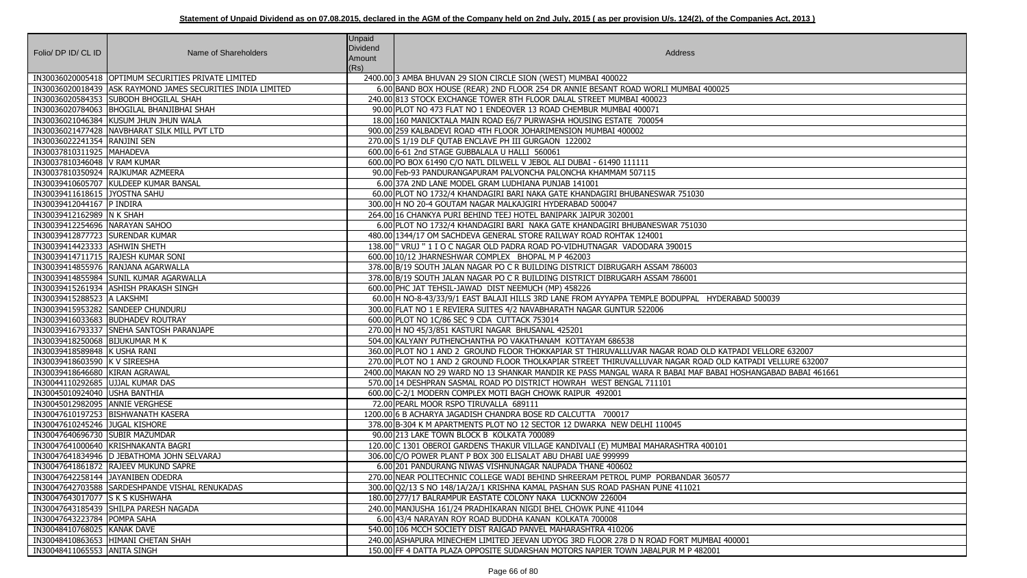| Folio/ DP ID/ CL ID              | Name of Shareholders                                        | <b>Unpaid</b><br>Dividend<br>Amount | Address                                                                                                      |
|----------------------------------|-------------------------------------------------------------|-------------------------------------|--------------------------------------------------------------------------------------------------------------|
|                                  | IN30036020005418 OPTIMUM SECURITIES PRIVATE LIMITED         | (Rs)                                | 2400.00 3 AMBA BHUVAN 29 SION CIRCLE SION (WEST) MUMBAI 400022                                               |
|                                  | IN30036020018439 ASK RAYMOND JAMES SECURITIES INDIA LIMITED |                                     | 6.00 BAND BOX HOUSE (REAR) 2ND FLOOR 254 DR ANNIE BESANT ROAD WORLI MUMBAI 400025                            |
|                                  | IN30036020584353 SUBODH BHOGILAL SHAH                       |                                     | 240.00 813 STOCK EXCHANGE TOWER 8TH FLOOR DALAL STREET MUMBAI 400023                                         |
|                                  | IN30036020784063  BHOGILAL BHANJIBHAI SHAH                  |                                     | 90.00 PLOT NO 473 FLAT NO 1 ENDEOVER 13 ROAD CHEMBUR MUMBAI 400071                                           |
|                                  | IN30036021046384 KUSUM JHUN JHUN WALA                       |                                     | 18.00 160 MANICKTALA MAIN ROAD E6/7 PURWASHA HOUSING ESTATE 700054                                           |
|                                  | IN30036021477428 NAVBHARAT SILK MILL PVT LTD                |                                     | 900.00 259 KALBADEVI ROAD 4TH FLOOR JOHARIMENSION MUMBAI 400002                                              |
| IN30036022241354 RANJINI SEN     |                                                             |                                     | 270.00 S 1/19 DLF QUTAB ENCLAVE PH III GURGAON 122002                                                        |
| IN30037810311925   MAHADEVA      |                                                             |                                     | 600.00 6-61 2nd STAGE GUBBALALA U HALLI 560061                                                               |
| IN30037810346048   V RAM KUMAR   |                                                             |                                     | 600.00 PO BOX 61490 C/O NATL DILWELL V JEBOL ALI DUBAI - 61490 111111                                        |
|                                  | IN30037810350924 RAJKUMAR AZMEERA                           |                                     | 90.00 Feb-93 PANDURANGAPURAM PALVONCHA PALONCHA KHAMMAM 507115                                               |
|                                  | IN30039410605707 KULDEEP KUMAR BANSAL                       |                                     | 6.00 37A 2ND LANE MODEL GRAM LUDHIANA PUNJAB 141001                                                          |
| IN30039411618615 JYOSTNA SAHU    |                                                             |                                     | 60.00 PLOT NO 1732/4 KHANDAGIRI BARI NAKA GATE KHANDAGIRI BHUBANESWAR 751030                                 |
| IN30039412044167 P INDIRA        |                                                             |                                     | 300.00 H NO 20-4 GOUTAM NAGAR MALKAJGIRI HYDERABAD 500047                                                    |
| IN30039412162989 N K SHAH        |                                                             |                                     | 264.00 16 CHANKYA PURI BEHIND TEEJ HOTEL BANIPARK JAIPUR 302001                                              |
| IN30039412254696 NARAYAN SAHOO   |                                                             |                                     | 6.00 PLOT NO 1732/4 KHANDAGIRI BARI NAKA GATE KHANDAGIRI BHUBANESWAR 751030                                  |
| IN30039412877723 SURENDAR KUMAR  |                                                             |                                     | 480.00 1344/17 OM SACHDEVA GENERAL STORE RAILWAY ROAD ROHTAK 124001                                          |
| IN30039414423333 ASHWIN SHETH    |                                                             |                                     | 138.00  " VRUJ " 1 I O C NAGAR OLD PADRA ROAD PO-VIDHUTNAGAR VADODARA 390015                                 |
|                                  | IN30039414711715 RAJESH KUMAR SONI                          |                                     | 600.00 10/12 JHARNESHWAR COMPLEX BHOPAL M P 462003                                                           |
|                                  | IN30039414855976 RANJANA AGARWALLA                          |                                     | 378.00 B/19 SOUTH JALAN NAGAR PO C R BUILDING DISTRICT DIBRUGARH ASSAM 786003                                |
|                                  | IN30039414855984 SUNIL KUMAR AGARWALLA                      |                                     | 378.00 B/19 SOUTH JALAN NAGAR PO C R BUILDING DISTRICT DIBRUGARH ASSAM 786001                                |
|                                  | IN30039415261934   ASHISH PRAKASH SINGH                     |                                     | 600.00 PHC JAT TEHSIL-JAWAD DIST NEEMUCH (MP) 458226                                                         |
| IN30039415288523 A LAKSHMI       |                                                             |                                     | 60.00 H NO-8-43/33/9/1 EAST BALAJI HILLS 3RD LANE FROM AYYAPPA TEMPLE BODUPPAL HYDERABAD 500039              |
|                                  | IN30039415953282 SANDEEP CHUNDURU                           |                                     | 300.00 FLAT NO 1 E REVIERA SUITES 4/2 NAVABHARATH NAGAR GUNTUR 522006                                        |
|                                  | IN30039416033683 BUDHADEV ROUTRAY                           |                                     | 600.00 PLOT NO 1C/86 SEC 9 CDA CUTTACK 753014                                                                |
|                                  | IN30039416793337 SNEHA SANTOSH PARANJAPE                    |                                     | 270.00 H NO 45/3/851 KASTURI NAGAR BHUSANAL 425201                                                           |
| IN30039418250068 BIJUKUMAR M K   |                                                             |                                     | 504.00 KALYANY PUTHENCHANTHA PO VAKATHANAM KOTTAYAM 686538                                                   |
| IN30039418589848 K USHA RANI     |                                                             |                                     | 360.00 PLOT NO 1 AND 2 GROUND FLOOR THOKKAPIAR ST THIRUVALLUVAR NAGAR ROAD OLD KATPADI VELLORE 632007        |
| IN30039418603590 K V SIREESHA    |                                                             |                                     | 270.00 PLOT NO 1 AND 2 GROUND FLOOR THOLKAPIAR STREET THIRUVALLUVAR NAGAR ROAD OLD KATPADI VELLURE 632007    |
| IN30039418646680 KIRAN AGRAWAL   |                                                             |                                     | 2400.00 MAKAN NO 29 WARD NO 13 SHANKAR MANDIR KE PASS MANGAL WARA R BABAI MAF BABAI HOSHANGABAD BABAI 461661 |
| IN30044110292685 UJJAL KUMAR DAS |                                                             |                                     | 570.00 14 DESHPRAN SASMAL ROAD PO DISTRICT HOWRAH WEST BENGAL 711101                                         |
| IN30045010924040 USHA BANTHIA    |                                                             |                                     | 600.00 C-2/1 MODERN COMPLEX MOTI BAGH CHOWK RAIPUR 492001                                                    |
| IN30045012982095 ANNIE VERGHESE  |                                                             |                                     | 72.00 PEARL MOOR RSPO TIRUVALLA 689111                                                                       |
|                                  | IN30047610197253 BISHWANATH KASERA                          |                                     | 1200.00 6 B ACHARYA JAGADISH CHANDRA BOSE RD CALCUTTA 700017                                                 |
| IN30047610245246 JUGAL KISHORE   |                                                             |                                     | 378.00 B-304 K M APARTMENTS PLOT NO 12 SECTOR 12 DWARKA NEW DELHI 110045                                     |
| IN30047640696730 SUBIR MAZUMDAR  |                                                             |                                     | 90.00 213 LAKE TOWN BLOCK B KOLKATA 700089                                                                   |
|                                  | IN30047641000640 KRISHNAKANTA BAGRI                         |                                     | 120.00 C 1301 OBEROI GARDENS THAKUR VILLAGE KANDIVALI (E) MUMBAI MAHARASHTRA 400101                          |
|                                  | IN30047641834946  D JEBATHOMA JOHN SELVARAJ                 |                                     | 306.00 C/O POWER PLANT P BOX 300 ELISALAT ABU DHABI UAE 999999                                               |
|                                  | IN30047641861872 RAJEEV MUKUND SAPRE                        |                                     | 6.00 201 PANDURANG NIWAS VISHNUNAGAR NAUPADA THANE 400602                                                    |
|                                  | IN30047642258144 JJAYANIBEN ODEDRA                          |                                     | 270.00 NEAR POLITECHNIC COLLEGE WADI BEHIND SHREERAM PETROL PUMP PORBANDAR 360577                            |
|                                  | IN30047642703588 SARDESHPANDE VISHAL RENUKADAS              |                                     | 300.00 Q2/13 S NO 148/1A/2A/1 KRISHNA KAMAL PASHAN SUS ROAD PASHAN PUNE 411021                               |
| IN30047643017077 S K S KUSHWAHA  |                                                             |                                     | 180.00 277/17 BALRAMPUR EASTATE COLONY NAKA LUCKNOW 226004                                                   |
|                                  | IN30047643185439 SHILPA PARESH NAGADA                       |                                     | 240.00 MANJUSHA 161/24 PRADHIKARAN NIGDI BHEL CHOWK PUNE 411044                                              |
| IN30047643223784 POMPA SAHA      |                                                             |                                     | 6.00 43/4 NARAYAN ROY ROAD BUDDHA KANAN KOLKATA 700008                                                       |
| IN30048410768025 KANAK DAVE      |                                                             |                                     | 540.00 106 MCCH SOCIETY DIST RAIGAD PANVEL MAHARASHTRA 410206                                                |
|                                  | IN30048410863653 HIMANI CHETAN SHAH                         |                                     | 240.00 ASHAPURA MINECHEM LIMITED JEEVAN UDYOG 3RD FLOOR 278 D N ROAD FORT MUMBAI 400001                      |
| IN30048411065553 ANITA SINGH     |                                                             |                                     | 150.00 FF 4 DATTA PLAZA OPPOSITE SUDARSHAN MOTORS NAPIER TOWN JABALPUR M P 482001                            |

| $\overline{.5}$            |
|----------------------------|
|                            |
|                            |
|                            |
|                            |
|                            |
|                            |
|                            |
|                            |
|                            |
|                            |
|                            |
|                            |
|                            |
|                            |
|                            |
|                            |
|                            |
| ERABAD 500039              |
|                            |
|                            |
|                            |
|                            |
| ATPADI VELLORE 632007      |
| D KATPADI VELLURE 632007   |
| I HOSHANGABAD BABAI 461661 |
|                            |
|                            |
|                            |
|                            |
|                            |
| $\overline{1}$             |
|                            |
|                            |
| $\overline{7}$             |
|                            |
|                            |
|                            |
|                            |
|                            |
| 400001                     |
|                            |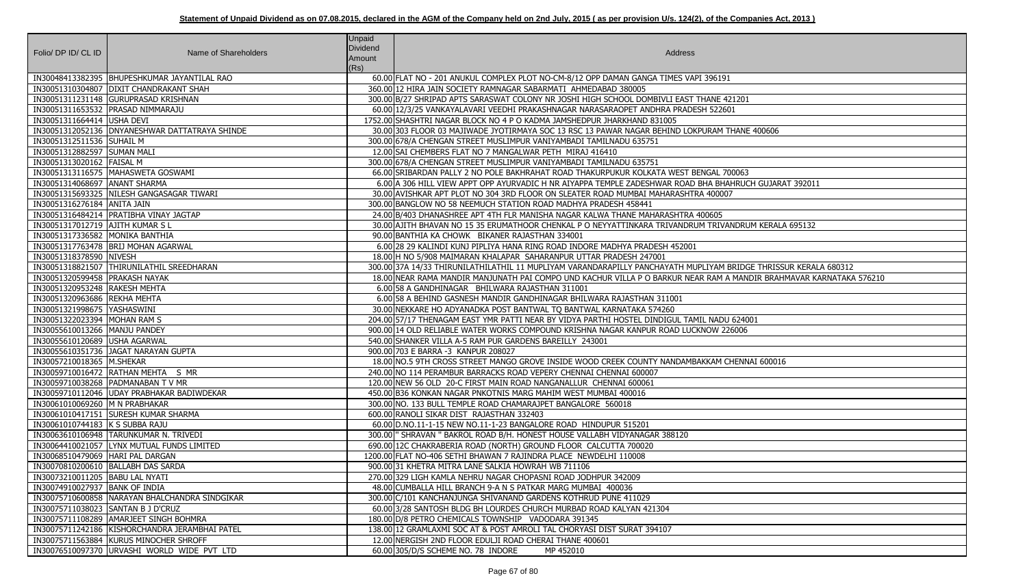| Folio/ DP ID/ CL ID                | Name of Shareholders                             | <b>Unpaid</b><br><b>Dividend</b><br>Amount<br>(Rs) | Address                                                                                          |
|------------------------------------|--------------------------------------------------|----------------------------------------------------|--------------------------------------------------------------------------------------------------|
|                                    | IN30048413382395   BHUPESHKUMAR JAYANTILAL RAO   |                                                    | 60.00 FLAT NO - 201 ANUKUL COMPLEX PLOT NO-CM-8/12 OPP DAMAN GANGA TIMES VAPI 396191             |
|                                    | IN30051310304807 DIXIT CHANDRAKANT SHAH          |                                                    | 360.00 12 HIRA JAIN SOCIETY RAMNAGAR SABARMATI AHMEDABAD 380005                                  |
|                                    | IN30051311231148 GURUPRASAD KRISHNAN             |                                                    | 300.00 B/27 SHRIPAD APTS SARASWAT COLONY NR JOSHI HIGH SCHOOL DOMBIVLI EAST THANE 421201         |
|                                    | IN30051311653532 PRASAD NIMMARAJU                |                                                    | 60.00 12/3/25 VANKAYALAVARI VEEDHI PRAKASHNAGAR NARASARAOPET ANDHRA PRADESH 522601               |
| IN30051311664414 USHA DEVI         |                                                  |                                                    | 1752.00 SHASHTRI NAGAR BLOCK NO 4 P O KADMA JAMSHEDPUR JHARKHAND 831005                          |
|                                    | IN30051312052136   DNYANESHWAR DATTATRAYA SHINDE |                                                    | 30.00 303 FLOOR 03 MAJIWADE JYOTIRMAYA SOC 13 RSC 13 PAWAR NAGAR BEHIND LOKPURAM THANE 400606    |
| IN30051312511536 SUHAIL M          |                                                  |                                                    | 300.00 678/A CHENGAN STREET MUSLIMPUR VANIYAMBADI TAMILNADU 635751                               |
| IN30051312882597 SUMAN MALI        |                                                  |                                                    | 12.00 SAI CHEMBERS FLAT NO 7 MANGALWAR PETH MIRAJ 416410                                         |
| IN30051313020162   FAISAL M        |                                                  |                                                    | 300.00 678/A CHENGAN STREET MUSLIMPUR VANIYAMBADI TAMILNADU 635751                               |
|                                    | IN30051313116575   MAHASWETA GOSWAMI             |                                                    | 66.00 SRIBARDAN PALLY 2 NO POLE BAKHRAHAT ROAD THAKURPUKUR KOLKATA WEST BENGAL 700063            |
| IN30051314068697 ANANT SHARMA      |                                                  |                                                    | 6.00 A 306 HILL VIEW APPT OPP AYURVADIC H NR AIYAPPA TEMPLE ZADESHWAR ROAD BHA BHAHRUCH GUJARA   |
|                                    | IN30051315693325   NILESH GANGASAGAR TIWARI      |                                                    | 30.00 AVISHKAR APT PLOT NO 304 3RD FLOOR ON SLEATER ROAD MUMBAI MAHARASHTRA 400007               |
| IN30051316276184 ANITA JAIN        |                                                  |                                                    | 300.00 BANGLOW NO 58 NEEMUCH STATION ROAD MADHYA PRADESH 458441                                  |
|                                    | IN30051316484214   PRATIBHA VINAY JAGTAP         |                                                    | 24.00 B/403 DHANASHREE APT 4TH FLR MANISHA NAGAR KALWA THANE MAHARASHTRA 400605                  |
| IN30051317012719 AJITH KUMAR SL    |                                                  |                                                    | 30.00 AJITH BHAVAN NO 15 35 ERUMATHOOR CHENKAL P O NEYYATTINKARA TRIVANDRUM TRIVANDRUM KERALA    |
| IN30051317336582 MONIKA BANTHIA    |                                                  |                                                    | 90.00 BANTHIA KA CHOWK BIKANER RAJASTHAN 334001                                                  |
|                                    | IN30051317763478  BRIJ MOHAN AGARWAL             |                                                    | 6.00 28 29 KALINDI KUNJ PIPLIYA HANA RING ROAD INDORE MADHYA PRADESH 452001                      |
| IN30051318378590 NIVESH            |                                                  |                                                    | 18.00 H NO 5/908 MAIMARAN KHALAPAR SAHARANPUR UTTAR PRADESH 247001                               |
|                                    | IN30051318821507  THIRUNILATHIL SREEDHARAN       |                                                    | 300.00 37A 14/33 THIRUNILATHILATHIL 11 MUPLIYAM VARANDARAPILLY PANCHAYATH MUPLIYAM BRIDGE THRISS |
| IN30051320599458 PRAKASH NAYAK     |                                                  |                                                    | 18.00 INEAR RAMA MANDIR MANJUNATH PAI COMPO UND KACHUR VILLA P O BARKUR NEAR RAM A MANDIR BRAH   |
| IN30051320953248 RAKESH MEHTA      |                                                  |                                                    | 6.00 58 A GANDHINAGAR BHILWARA RAJASTHAN 311001                                                  |
| IN30051320963686 REKHA MEHTA       |                                                  |                                                    | 6.00 58 A BEHIND GASNESH MANDIR GANDHINAGAR BHILWARA RAJASTHAN 311001                            |
| IN30051321998675   YASHASWINI      |                                                  |                                                    | 30.00 NEKKARE HO ADYANADKA POST BANTWAL TO BANTWAL KARNATAKA 574260                              |
| IN30051322023394 MOHAN RAM S       |                                                  |                                                    | 204.00 57/17 THENAGAM EAST YMR PATTI NEAR BY VIDYA PARTHI HOSTEL DINDIGUL TAMIL NADU 624001      |
| IN30055610013266   MANJU PANDEY    |                                                  |                                                    | 900.00 14 OLD RELIABLE WATER WORKS COMPOUND KRISHNA NAGAR KANPUR ROAD LUCKNOW 226006             |
| IN30055610120689 USHA AGARWAL      |                                                  |                                                    | 540.00 SHANKER VILLA A-5 RAM PUR GARDENS BAREILLY 243001                                         |
|                                    | IN30055610351736 JAGAT NARAYAN GUPTA             |                                                    | 900.00 703 E BARRA -3 KANPUR 208027                                                              |
| IN30057210018365  M.SHEKAR         |                                                  |                                                    | 18.00 NO.5 9TH CROSS STREET MANGO GROVE INSIDE WOOD CREEK COUNTY NANDAMBAKKAM CHENNAI 600016     |
|                                    | IN30059710016472 RATHAN MEHTA S MR               |                                                    | 240.00 NO 114 PERAMBUR BARRACKS ROAD VEPERY CHENNAI CHENNAI 600007                               |
|                                    | IN30059710038268 PADMANABAN T V MR               |                                                    | 120.00 NEW 56 OLD 20-C FIRST MAIN ROAD NANGANALLUR CHENNAI 600061                                |
|                                    | IN30059710112046 UDAY PRABHAKAR BADIWDEKAR       |                                                    | 450.00 B36 KONKAN NAGAR PNKOTNIS MARG MAHIM WEST MUMBAI 400016                                   |
| IN30061010069260 M N PRABHAKAR     |                                                  |                                                    | 300.00 NO. 133 BULL TEMPLE ROAD CHAMARAJPET BANGALORE 560018                                     |
|                                    | IN30061010417151 SURESH KUMAR SHARMA             |                                                    | 600.00 RANOLI SIKAR DIST RAJASTHAN 332403                                                        |
| IN30061010744183 K S SUBBA RAJU    |                                                  |                                                    | 60.00 D.NO.11-1-15 NEW NO.11-1-23 BANGALORE ROAD HINDUPUR 515201                                 |
|                                    | IN30063610106948 TARUNKUMAR N. TRIVEDI           |                                                    | 300.00   "SHRAVAN " BAKROL ROAD B/H. HONEST HOUSE VALLABH VIDYANAGAR 388120                      |
|                                    | IN30064410021057 LYNX MUTUAL FUNDS LIMITED       |                                                    | 690.00 12C CHAKRABERIA ROAD (NORTH) GROUND FLOOR CALCUTTA 700020                                 |
| IN30068510479069 HARI PAL DARGAN   |                                                  |                                                    | 1200.00 FLAT NO-406 SETHI BHAWAN 7 RAJINDRA PLACE NEWDELHI 110008                                |
|                                    | IN30070810200610   BALLABH DAS SARDA             |                                                    | 900.00 31 KHETRA MITRA LANE SALKIA HOWRAH WB 711106                                              |
| IN30073210011205   BABU LAL NYATI  |                                                  |                                                    | 270.00 329 LIGH KAMLA NEHRU NAGAR CHOPASNI ROAD JODHPUR 342009                                   |
| IN30074910027937 BANK OF INDIA     |                                                  |                                                    | 48.00 CUMBALLA HILL BRANCH 9-A N S PATKAR MARG MUMBAI 400036                                     |
|                                    | IN30075710600858 NARAYAN BHALCHANDRA SINDGIKAR   |                                                    | 300.00 C/101 KANCHANJUNGA SHIVANAND GARDENS KOTHRUD PUNE 411029                                  |
| IN30075711038023 SANTAN B J D'CRUZ |                                                  |                                                    | 60.00 3/28 SANTOSH BLDG BH LOURDES CHURCH MURBAD ROAD KALYAN 421304                              |
|                                    | IN30075711108289   AMARJEET SINGH BOHMRA         |                                                    | 180.00 D/8 PETRO CHEMICALS TOWNSHIP VADODARA 391345                                              |
|                                    | IN30075711242186 KISHORCHANDRA JERAMBHAI PATEL   |                                                    | 138.00 12 GRAMLAXMI SOC AT & POST AMROLI TAL CHORYASI DIST SURAT 394107                          |
|                                    | IN30075711563884 KURUS MINOCHER SHROFF           |                                                    | 12.00 NERGISH 2ND FLOOR EDULJI ROAD CHERAI THANE 400601                                          |
|                                    | IN30076510097370 URVASHI WORLD WIDE PVT LTD      |                                                    | 60.00 305/D/S SCHEME NO. 78 INDORE<br>MP 452010                                                  |

<mark>HAHRUCH GUJARAT 392011</mark><br>007

IVANDRUM KERALA 695132

M BRIDGE THRISSUR KERALA 680312 1 A MANDIR BRAHMAVAR KARNATAKA 576210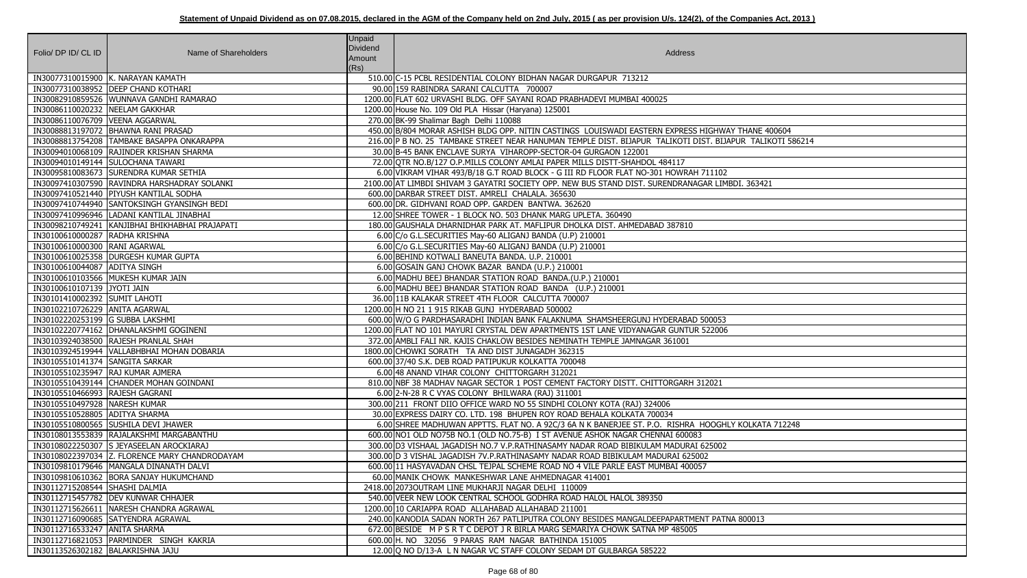| Folio/ DP ID/ CL ID                 | Name of Shareholders                            | <b>Unpaid</b><br><b>Dividend</b><br>Amount<br>(Rs) | Address                                                                                                   |
|-------------------------------------|-------------------------------------------------|----------------------------------------------------|-----------------------------------------------------------------------------------------------------------|
|                                     | IN30077310015900 K. NARAYAN KAMATH              |                                                    | 510.00 C-15 PCBL RESIDENTIAL COLONY BIDHAN NAGAR DURGAPUR 713212                                          |
|                                     | IN30077310038952  DEEP CHAND KOTHARI            |                                                    | 90.00 159 RABINDRA SARANI CALCUTTA 700007                                                                 |
|                                     | IN30082910859526 WUNNAVA GANDHI RAMARAO         |                                                    | 1200.00 FLAT 602 URVASHI BLDG. OFF SAYANI ROAD PRABHADEVI MUMBAI 400025                                   |
| IN30086110020232 NEELAM GAKKHAR     |                                                 |                                                    | 1200.00 House No. 109 Old PLA Hissar (Haryana) 125001                                                     |
| IN30086110076709 VEENA AGGARWAL     |                                                 |                                                    | 270.00 BK-99 Shalimar Bagh Delhi 110088                                                                   |
|                                     | IN30088813197072   BHAWNA RANI PRASAD           |                                                    | 450.00 B/804 MORAR ASHISH BLDG OPP. NITIN CASTINGS LOUISWADI EASTERN EXPRESS HIGHWAY THANE 400604         |
|                                     | IN30088813754208 TAMBAKE BASAPPA ONKARAPPA      |                                                    | 216.00 P B NO. 25 TAMBAKE STREET NEAR HANUMAN TEMPLE DIST. BIJAPUR TALIKOTI DIST. BIJAPUR TALIKOTI 586214 |
|                                     | IN30094010068109 RAJINDER KRISHAN SHARMA        |                                                    | 30.00 B-45 BANK ENCLAVE SURYA VIHAROPP-SECTOR-04 GURGAON 122001                                           |
|                                     | IN30094010149144 SULOCHANA TAWARI               |                                                    | 72.00 QTR NO.B/127 O.P.MILLS COLONY AMLAI PAPER MILLS DISTT-SHAHDOL 484117                                |
|                                     | IN30095810083673 SURENDRA KUMAR SETHIA          |                                                    | 6.00 VIKRAM VIHAR 493/B/18 G.T ROAD BLOCK - G III RD FLOOR FLAT NO-301 HOWRAH 711102                      |
|                                     | IN30097410307590 RAVINDRA HARSHADRAY SOLANKI    |                                                    | 2100.00 AT LIMBDI SHIVAM 3 GAYATRI SOCIETY OPP. NEW BUS STAND DIST. SURENDRANAGAR LIMBDI. 363421          |
|                                     | IN30097410521440 PIYUSH KANTILAL SODHA          |                                                    | 600.00 DARBAR STREET DIST. AMRELI CHALALA. 365630                                                         |
|                                     | IN30097410744940 SANTOKSINGH GYANSINGH BEDI     |                                                    | 600.00 DR. GIDHVANI ROAD OPP. GARDEN BANTWA. 362620                                                       |
|                                     | IN30097410996946  LADANI KANTILAL JINABHAI      |                                                    | 12.00 SHREE TOWER - 1 BLOCK NO. 503 DHANK MARG UPLETA. 360490                                             |
|                                     | IN30098210749241 KANJIBHAI BHIKHABHAI PRAJAPATI |                                                    | 180.00 GAUSHALA DHARNIDHAR PARK AT. MAFLIPUR DHOLKA DIST. AHMEDABAD 387810                                |
| IN30100610000287 RADHA KRISHNA      |                                                 |                                                    | 6.00 C/o G.L.SECURITIES May-60 ALIGANJ BANDA (U.P) 210001                                                 |
| IN30100610000300 RANI AGARWAL       |                                                 |                                                    | 6.00 C/o G.L.SECURITIES May-60 ALIGANJ BANDA (U.P) 210001                                                 |
|                                     | IN30100610025358  DURGESH KUMAR GUPTA           |                                                    | 6.00 BEHIND KOTWALI BANEUTA BANDA. U.P. 210001                                                            |
| IN30100610044087 ADITYA SINGH       |                                                 |                                                    | 6.00 GOSAIN GANJ CHOWK BAZAR BANDA (U.P.) 210001                                                          |
|                                     | IN30100610103566 MUKESH KUMAR JAIN              |                                                    | 6.00 MADHU BEEJ BHANDAR STATION ROAD BANDA. (U.P.) 210001                                                 |
| IN30100610107139 JYOTI JAIN         |                                                 |                                                    | 6.00 MADHU BEEJ BHANDAR STATION ROAD BANDA (U.P.) 210001                                                  |
| IN30101410002392 SUMIT LAHOTI       |                                                 |                                                    | 36.00 11B KALAKAR STREET 4TH FLOOR CALCUTTA 700007                                                        |
| IN30102210726229 ANITA AGARWAL      |                                                 |                                                    | 1200.00 H NO 21 1 915 RIKAB GUNJ HYDERABAD 500002                                                         |
| IN30102220253199 G SUBBA LAKSHMI    |                                                 |                                                    | 600.00 W/O G PARDHASARADHI INDIAN BANK FALAKNUMA SHAMSHEERGUNJ HYDERABAD 500053                           |
|                                     | IN30102220774162   DHANALAKSHMI GOGINENI        |                                                    | 1200.00 FLAT NO 101 MAYURI CRYSTAL DEW APARTMENTS 1ST LANE VIDYANAGAR GUNTUR 522006                       |
|                                     | IN30103924038500 RAJESH PRANLAL SHAH            |                                                    | 372.00 AMBLI FALI NR. KAJIS CHAKLOW BESIDES NEMINATH TEMPLE JAMNAGAR 361001                               |
|                                     | IN30103924519944   VALLABHBHAI MOHAN DOBARIA    |                                                    | 1800.00 CHOWKI SORATH TA AND DIST JUNAGADH 362315                                                         |
| IN30105510141374 SANGITA SARKAR     |                                                 |                                                    | 600.00 37/40 S.K. DEB ROAD PATIPUKUR KOLKATTA 700048                                                      |
|                                     | IN30105510235947 RAJ KUMAR AJMERA               |                                                    | 6.00 48 ANAND VIHAR COLONY CHITTORGARH 312021                                                             |
|                                     | IN30105510439144 CHANDER MOHAN GOINDANI         |                                                    | 810.00 NBF 38 MADHAV NAGAR SECTOR 1 POST CEMENT FACTORY DISTT. CHITTORGARH 312021                         |
| IN30105510466993 RAJESH GAGRANI     |                                                 |                                                    | 6.00 2-N-28 R C VYAS COLONY BHILWARA (RAJ) 311001                                                         |
| IN30105510497928 NARESH KUMAR       |                                                 |                                                    | 300.00 211 FRONT DIIO OFFICE WARD NO 55 SINDHI COLONY KOTA (RAJ) 324006                                   |
| IN30105510528805 ADITYA SHARMA      |                                                 |                                                    | 30.00 EXPRESS DAIRY CO. LTD. 198 BHUPEN ROY ROAD BEHALA KOLKATA 700034                                    |
|                                     | IN30105510800565 SUSHILA DEVI JHAWER            |                                                    | 6.00 SHREE MADHUWAN APPTTS. FLAT NO. A 92C/3 6A N K BANERJEE ST. P.O. RISHRA HOOGHLY KOLKATA 712248       |
|                                     | IN30108013553839 RAJALAKSHMI MARGABANTHU        |                                                    | 600.00 NO1 OLD NO75B NO.1 (OLD NO.75-B) I ST AVENUE ASHOK NAGAR CHENNAI 600083                            |
|                                     | IN30108022250307 S JEYASEELAN AROCKIARAJ        |                                                    | 300.00 D3 VISHAAL JAGADISH NO.7 V.P.RATHINASAMY NADAR ROAD BIBIKULAM MADURAI 625002                       |
|                                     | IN30108022397034 Z. FLORENCE MARY CHANDRODAYAM  |                                                    | 300.00 D 3 VISHAL JAGADISH 7V.P.RATHINASAMY NADAR ROAD BIBIKULAM MADURAI 625002                           |
|                                     | IN30109810179646   MANGALA DINANATH DALVI       |                                                    | 600.00 11 HASYAVADAN CHSL TEJPAL SCHEME ROAD NO 4 VILE PARLE EAST MUMBAI 400057                           |
|                                     | IN30109810610362 BORA SANJAY HUKUMCHAND         |                                                    | 60.00 MANIK CHOWK MANKESHWAR LANE AHMEDNAGAR 414001                                                       |
| IN30112715208544 SHASHI DALMIA      |                                                 |                                                    | 2418.00 2073 OUTRAM LINE MUKHARJI NAGAR DELHI 110009                                                      |
|                                     | IN30112715457782 DEV KUNWAR CHHAJER             |                                                    | 540.00 VEER NEW LOOK CENTRAL SCHOOL GODHRA ROAD HALOL HALOL 389350                                        |
|                                     | IN30112715626611 NARESH CHANDRA AGRAWAL         |                                                    | 1200.00110 CARIAPPA ROAD ALLAHABAD ALLAHABAD 211001                                                       |
|                                     | IN30112716090685 SATYENDRA AGRAWAL              |                                                    | 240.00 KANODIA SADAN NORTH 267 PATLIPUTRA COLONY BESIDES MANGALDEEPAPARTMENT PATNA 800013                 |
| IN30112716533247 ANITA SHARMA       |                                                 |                                                    | 672.00 BESIDE M P S R T C DEPOT J R BIRLA MARG SEMARIYA CHOWK SATNA MP 485005                             |
|                                     | IN30112716821053 PARMINDER SINGH KAKRIA         |                                                    | 600.00 H. NO 32056 9 PARAS RAM NAGAR BATHINDA 151005                                                      |
| IN30113526302182   BALAKRISHNA JAJU |                                                 |                                                    | 12.00 Q NO D/13-A L N NAGAR VC STAFF COLONY SEDAM DT GULBARGA 585222                                      |

| <b>VAY THANE 400604</b> |
|-------------------------|
| JAPUR_TALIKOTI 586214   |
|                         |
|                         |
| $\overline{2}$          |
| MBDI. 363421            |
|                         |
|                         |
|                         |
|                         |
|                         |
|                         |
|                         |
|                         |
|                         |
|                         |
|                         |
| $\frac{3}{16}$          |
|                         |
|                         |
|                         |
|                         |
|                         |
|                         |
|                         |
|                         |
| HLY KOLKATA 712248      |
|                         |
| $\overline{2}$          |
|                         |
|                         |
|                         |
|                         |
|                         |
| TNA 800013              |
|                         |
|                         |
|                         |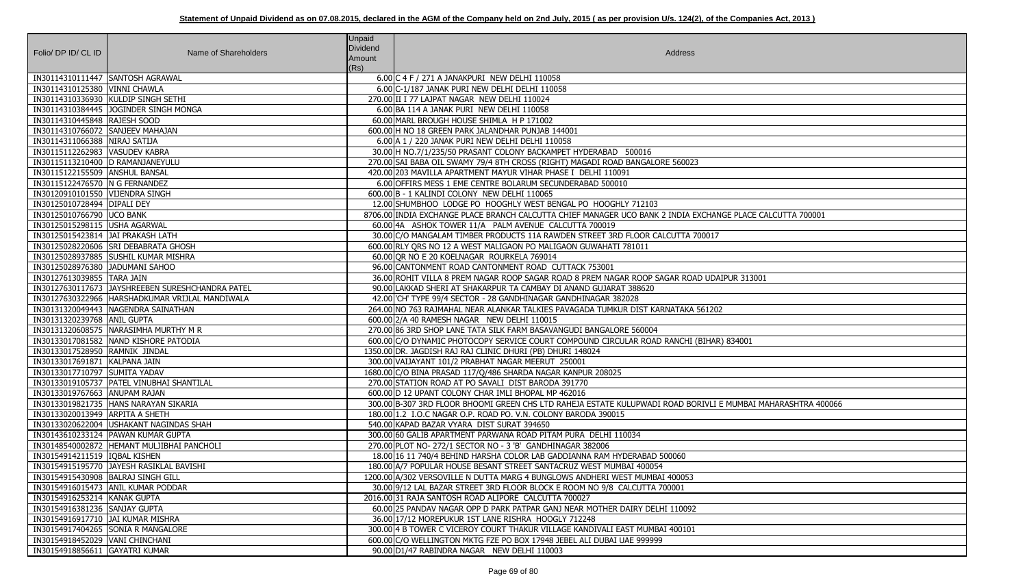| Folio/ DP ID/ CL ID                                           | Name of Shareholders                             | Unpaid<br>Dividend | Address                                                                                                                             |
|---------------------------------------------------------------|--------------------------------------------------|--------------------|-------------------------------------------------------------------------------------------------------------------------------------|
|                                                               |                                                  | Amount             |                                                                                                                                     |
| IN30114310111447 SANTOSH AGRAWAL                              |                                                  | (Rs)               | 6.00 C 4 F / 271 A JANAKPURI NEW DELHI 110058                                                                                       |
| IN30114310125380 VINNI CHAWLA                                 |                                                  |                    | 6.00 C-1/187 JANAK PURI NEW DELHI DELHI 110058                                                                                      |
|                                                               | IN30114310336930 KULDIP SINGH SETHI              |                    | 270.00 II I 77 LAJPAT NAGAR NEW DELHI 110024                                                                                        |
|                                                               | IN30114310384445 JOGINDER SINGH MONGA            |                    | 6.00 BA 114 A JANAK PURI NEW DELHI 110058                                                                                           |
| IN30114310445848 RAJESH SOOD                                  |                                                  |                    | 60.00 MARL BROUGH HOUSE SHIMLA H P 171002                                                                                           |
| IN30114310766072 SANJEEV MAHAJAN                              |                                                  |                    | 600.00 H NO 18 GREEN PARK JALANDHAR PUNJAB 144001                                                                                   |
| IN30114311066388 NIRAJ SATIJA                                 |                                                  |                    | 6.00 A 1 / 220 JANAK PURI NEW DELHI DELHI 110058                                                                                    |
| IN30115112262983 VASUDEV KABRA                                |                                                  |                    | 30.00 H NO.7/1/235/50 PRASANT COLONY BACKAMPET HYDERABAD 500016                                                                     |
| IN30115113210400 D RAMANJANEYULU                              |                                                  |                    | 270.00 SAI BABA OIL SWAMY 79/4 8TH CROSS (RIGHT) MAGADI ROAD BANGALORE 560023                                                       |
| IN30115122155509 ANSHUL BANSAL                                |                                                  |                    | 420.00 203 MAVILLA APARTMENT MAYUR VIHAR PHASE I DELHI 110091                                                                       |
| IN30115122476570 N G FERNANDEZ                                |                                                  |                    | 6.00 OFFIRS MESS 1 EME CENTRE BOLARUM SECUNDERABAD 500010                                                                           |
| IN30120910101550 VIJENDRA SINGH                               |                                                  |                    | 600.00 B - 1 KALINDI COLONY NEW DELHI 110065                                                                                        |
| IN30125010728494 DIPALI DEY                                   |                                                  |                    | 12.00 SHUMBHOO LODGE PO HOOGHLY WEST BENGAL PO HOOGHLY 712103                                                                       |
| IN30125010766790 UCO BANK                                     |                                                  |                    | 8706.00 INDIA EXCHANGE PLACE BRANCH CALCUTTA CHIEF MANAGER UCO BANK 2 INDIA EXCHANGE PLACE CALCUTTA 700001                          |
| IN30125015298115 USHA AGARWAL                                 |                                                  |                    | 60.00 4A ASHOK TOWER 11/A PALM AVENUE CALCUTTA 700019                                                                               |
| IN30125015423814 JAI PRAKASH LATH                             |                                                  |                    | 30.00 C/O MANGALAM TIMBER PRODUCTS 11A RAWDEN STREET 3RD FLOOR CALCUTTA 700017                                                      |
|                                                               | IN30125028220606 SRI DEBABRATA GHOSH             |                    | 600.00 RLY QRS NO 12 A WEST MALIGAON PO MALIGAON GUWAHATI 781011                                                                    |
|                                                               | IN30125028937885 SUSHIL KUMAR MISHRA             |                    | 60.00 OR NO E 20 KOELNAGAR ROURKELA 769014                                                                                          |
| IN30125028976380 JADUMANI SAHOO                               |                                                  |                    | 96.00 CANTONMENT ROAD CANTONMENT ROAD CUTTACK 753001                                                                                |
| IN30127613039855 TARA JAIN                                    |                                                  |                    | 36.00 ROHIT VILLA 8 PREM NAGAR ROOP SAGAR ROAD 8 PREM NAGAR ROOP SAGAR ROAD UDAIPUR 313001                                          |
|                                                               | IN30127630117673 JAYSHREEBEN SURESHCHANDRA PATEL |                    | 90.00 LAKKAD SHERI AT SHAKARPUR TA CAMBAY DI ANAND GUJARAT 388620                                                                   |
|                                                               | IN30127630322966 HARSHADKUMAR VRIJLAL MANDIWALA  |                    | 42.00 CH' TYPE 99/4 SECTOR - 28 GANDHINAGAR GANDHINAGAR 382028                                                                      |
|                                                               | IN30131320049443 NAGENDRA SAINATHAN              |                    | 264.00 NO 763 RAJMAHAL NEAR ALANKAR TALKIES PAVAGADA TUMKUR DIST KARNATAKA 561202                                                   |
| IN30131320239768 ANIL GUPTA                                   |                                                  |                    | 600.00 2/A 40 RAMESH NAGAR NEW DELHI 110015                                                                                         |
|                                                               | IN30131320608575 NARASIMHA MURTHY M R            |                    | 270.00 86 3RD SHOP LANE TATA SILK FARM BASAVANGUDI BANGALORE 560004                                                                 |
|                                                               | IN30133017081582 NAND KISHORE PATODIA            |                    | 600.00 C/O DYNAMIC PHOTOCOPY SERVICE COURT COMPOUND CIRCULAR ROAD RANCHI (BIHAR) 834001                                             |
| IN30133017528950 RAMNIK JINDAL                                |                                                  |                    | 1350.00 DR. JAGDISH RAJ RAJ CLINIC DHURI (PB) DHURI 148024                                                                          |
| IN30133017691871 KALPANA JAIN                                 |                                                  |                    | 300.00 VAIJAYANT 101/2 PRABHAT NAGAR MEERUT 250001                                                                                  |
| IN30133017710797 SUMITA YADAV                                 |                                                  |                    | 1680.00 C/O BINA PRASAD 117/Q/486 SHARDA NAGAR KANPUR 208025                                                                        |
|                                                               | IN30133019105737   PATEL VINUBHAI SHANTILAL      |                    | 270.00 STATION ROAD AT PO SAVALI DIST BARODA 391770                                                                                 |
| IN30133019767663 ANUPAM RAJAN                                 |                                                  |                    | 600.00 D 12 UPANT COLONY CHAR IMLI BHOPAL MP 462016                                                                                 |
|                                                               | IN30133019821735 HANS NARAYAN SIKARIA            |                    | 300.00 B-307 3RD FLOOR BHOOMI GREEN CHS LTD RAHEJA ESTATE KULUPWADI ROAD BORIVLI E MUMBAI MAHARASHTRA 400066                        |
| IN30133020013949 ARPITA A SHETH                               |                                                  |                    | 180.00 1.2 I.O.C NAGAR O.P. ROAD PO. V.N. COLONY BARODA 390015                                                                      |
|                                                               | IN30133020622004  USHAKANT NAGINDAS SHAH         |                    | 540.00 KAPAD BAZAR VYARA DIST SURAT 394650                                                                                          |
|                                                               | IN30143610233124 PAWAN KUMAR GUPTA               |                    | 300.00 60 GALIB APARTMENT PARWANA ROAD PITAM PURA DELHI 110034                                                                      |
|                                                               | IN30148540002872 HEMANT MULJIBHAI PANCHOLI       |                    | 270.00 PLOT NO- 272/1 SECTOR NO - 3 'B' GANDHINAGAR 382006                                                                          |
| IN30154914211519   IQBAL KISHEN                               |                                                  |                    | 18.00 16 11 740/4 BEHIND HARSHA COLOR LAB GADDIANNA RAM HYDERABAD 500060                                                            |
|                                                               | IN30154915195770 JAYESH RASIKLAL BAVISHI         |                    | 180.00 A/7 POPULAR HOUSE BESANT STREET SANTACRUZ WEST MUMBAI 400054                                                                 |
| IN30154915430908   BALRAJ SINGH GILL                          |                                                  |                    | 1200.00 A/302 VERSOVILLE N DUTTA MARG 4 BUNGLOWS ANDHERI WEST MUMBAI 400053                                                         |
|                                                               | IN30154916015473 ANIL KUMAR PODDAR               |                    | 30.00 9/12 LAL BAZAR STREET 3RD FLOOR BLOCK E ROOM NO 9/8 CALCUTTA 700001                                                           |
| IN30154916253214 KANAK GUPTA<br>IN30154916381236 SANJAY GUPTA |                                                  |                    | 2016.00 31 RAJA SANTOSH ROAD ALIPORE CALCUTTA 700027<br>60.00 25 PANDAV NAGAR OPP D PARK PATPAR GANJ NEAR MOTHER DAIRY DELHI 110092 |
| IN30154916917710  JAI KUMAR MISHRA                            |                                                  |                    | 36.00 17/12 MOREPUKUR 1ST LANE RISHRA HOOGLY 712248                                                                                 |
|                                                               | IN30154917404265 SONIA R MANGALORE               |                    | 300.00 4 B TOWER C VICEROY COURT THAKUR VILLAGE KANDIVALI EAST MUMBAI 400101                                                        |
| IN30154918452029   VANI CHINCHANI                             |                                                  |                    | 600.00 C/O WELLINGTON MKTG FZE PO BOX 17948 JEBEL ALI DUBAI UAE 999999                                                              |
| IN30154918856611 GAYATRI KUMAR                                |                                                  |                    | 90.00 D1/47 RABINDRA NAGAR NEW DELHI 110003                                                                                         |
|                                                               |                                                  |                    |                                                                                                                                     |

| GE PLACE CALCUTTA 700001  |
|---------------------------|
|                           |
| PUR 313001                |
|                           |
| 834001                    |
|                           |
| MUMBAI MAHARASHTRA 400066 |
|                           |
|                           |
|                           |
|                           |
|                           |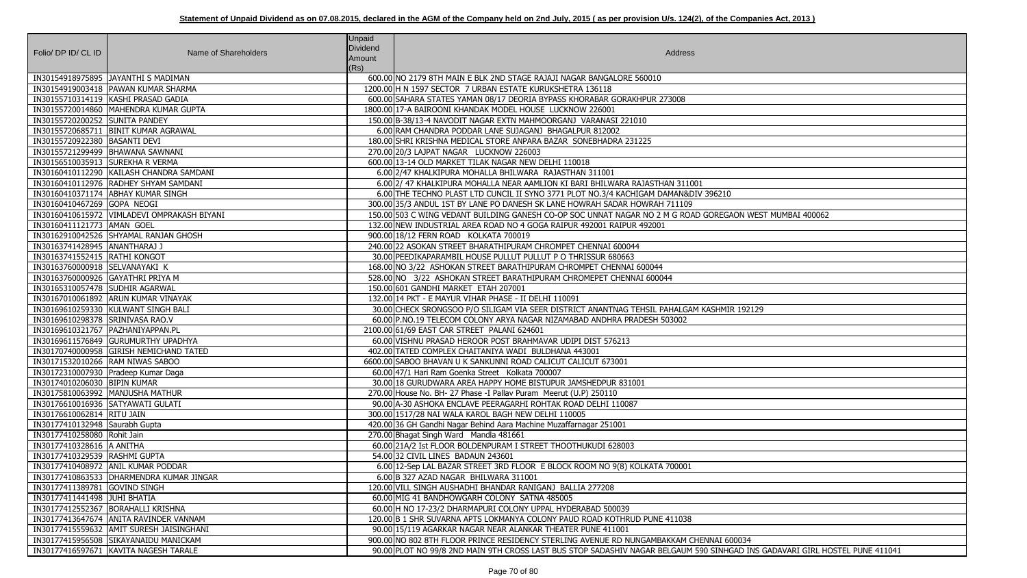|                                     |                                             | Unpaid         |                                                                                                                             |
|-------------------------------------|---------------------------------------------|----------------|-----------------------------------------------------------------------------------------------------------------------------|
| Folio/ DP ID/ CL ID                 | Name of Shareholders                        | Dividend       | Address                                                                                                                     |
|                                     |                                             | Amount<br>(Rs) |                                                                                                                             |
|                                     | IN30154918975895   JAYANTHI S MADIMAN       |                | 600.00 NO 2179 8TH MAIN E BLK 2ND STAGE RAJAJI NAGAR BANGALORE 560010                                                       |
|                                     | IN30154919003418   PAWAN KUMAR SHARMA       |                | 1200.00 H N 1597 SECTOR 7 URBAN ESTATE KURUKSHETRA 136118                                                                   |
|                                     | IN30155710314119 KASHI PRASAD GADIA         |                | 600.00 SAHARA STATES YAMAN 08/17 DEORIA BYPASS KHORABAR GORAKHPUR 273008                                                    |
|                                     | IN30155720014860   MAHENDRA KUMAR GUPTA     |                | 1800.00 17-A BAIROONI KHANDAK MODEL HOUSE LUCKNOW 226001                                                                    |
| IN30155720200252 SUNITA PANDEY      |                                             |                | 150.00 B-38/13-4 NAVODIT NAGAR EXTN MAHMOORGANJ VARANASI 221010                                                             |
|                                     | IN30155720685711  BINIT KUMAR AGRAWAL       |                | 6.00 RAM CHANDRA PODDAR LANE SUJAGANJ BHAGALPUR 812002                                                                      |
| IN30155720922380   BASANTI DEVI     |                                             |                | 180.00 SHRI KRISHNA MEDICAL STORE ANPARA BAZAR SONEBHADRA 231225                                                            |
|                                     | IN30155721299499   BHAWANA SAWNANI          |                | 270.00 20/3 LAJPAT NAGAR LUCKNOW 226003                                                                                     |
| IN30156510035913 SUREKHA R VERMA    |                                             |                | 600.00 13-14 OLD MARKET TILAK NAGAR NEW DELHI 110018                                                                        |
|                                     | IN30160410112290 KAILASH CHANDRA SAMDANI    |                | 6.00 2/47 KHALKIPURA MOHALLA BHILWARA RAJASTHAN 311001                                                                      |
|                                     | IN30160410112976 RADHEY SHYAM SAMDANI       |                | 6.00 2/ 47 KHALKIPURA MOHALLA NEAR AAMLION KI BARI BHILWARA RAJASTHAN 311001                                                |
|                                     | IN30160410371174 ABHAY KUMAR SINGH          |                | 6.00 THE TECHNO PLAST LTD CUNCIL II SYNO 3771 PLOT NO.3/4 KACHIGAM DAMAN&DIV 396210                                         |
| IN30160410467269 GOPA NEOGI         |                                             |                | 300.00 35/3 ANDUL 1ST BY LANE PO DANESH SK LANE HOWRAH SADAR HOWRAH 711109                                                  |
|                                     | IN30160410615972 VIMLADEVI OMPRAKASH BIYANI |                | 150.00 503 C WING VEDANT BUILDING GANESH CO-OP SOC UNNAT NAGAR NO 2 M G ROAD GOREGAON WEST MUMBAI 400062                    |
| IN30160411121773 AMAN GOEL          |                                             |                | 132.00 NEW INDUSTRIAL AREA ROAD NO 4 GOGA RAIPUR 492001 RAIPUR 492001                                                       |
|                                     | IN30162910042526 SHYAMAL RANJAN GHOSH       |                | 900.00 18/12 FERN ROAD KOLKATA 700019                                                                                       |
| IN30163741428945 ANANTHARAJ J       |                                             |                | 240.00 22 ASOKAN STREET BHARATHIPURAM CHROMPET CHENNAI 600044                                                               |
| IN30163741552415  RATHI KONGOT      |                                             |                | 30.00 PEEDIKAPARAMBIL HOUSE PULLUT PULLUT P O THRISSUR 680663                                                               |
| IN30163760000918 SELVANAYAKI K      |                                             |                | 168.00 NO 3/22 ASHOKAN STREET BARATHIPURAM CHROMPET CHENNAI 600044                                                          |
| IN30163760000926 GAYATHRI PRIYA M   |                                             |                | 528.00 NO 3/22 ASHOKAN STREET BARATHIPURAM CHROMEPET CHENNAI 600044                                                         |
| IN30165310057478 SUDHIR AGARWAL     |                                             |                | 150.00 601 GANDHI MARKET ETAH 207001                                                                                        |
|                                     | IN30167010061892 ARUN KUMAR VINAYAK         |                | 132.00 14 PKT - E MAYUR VIHAR PHASE - II DELHI 110091                                                                       |
|                                     | IN30169610259330 KULWANT SINGH BALI         |                | 30.00 CHECK SRONGSOO P/O SILIGAM VIA SEER DISTRICT ANANTNAG TEHSIL PAHALGAM KASHMIR 192129                                  |
| IN30169610298378 SRINIVASA RAO.V    |                                             |                | 60.00 P.NO.19 TELECOM COLONY ARYA NAGAR NIZAMABAD ANDHRA PRADESH 503002                                                     |
| IN30169610321767   PAZHANIYAPPAN.PL |                                             |                | 2100.00 61/69 EAST CAR STREET PALANI 624601                                                                                 |
|                                     | IN30169611576849 GURUMURTHY UPADHYA         |                | 60.00 VISHNU PRASAD HEROOR POST BRAHMAVAR UDIPI DIST 576213                                                                 |
|                                     | IN30170740000958 GIRISH NEMICHAND TATED     |                | 402.00 TATED COMPLEX CHAITANIYA WADI BULDHANA 443001                                                                        |
| IN30171532010266 RAM NIWAS SABOO    |                                             |                | 6600.00 SABOO BHAVAN U K SANKUNNI ROAD CALICUT CALICUT 673001                                                               |
|                                     | IN30172310007930 Pradeep Kumar Daga         |                | 60.00 47/1 Hari Ram Goenka Street Kolkata 700007                                                                            |
| IN30174010206030 BIPIN KUMAR        |                                             |                | 30.00 18 GURUDWARA AREA HAPPY HOME BISTUPUR JAMSHEDPUR 831001                                                               |
|                                     | IN30175810063992 MANJUSHA MATHUR            |                | 270.00 House No. BH- 27 Phase -I Pallay Puram Meerut (U.P) 250110                                                           |
| IN30176610016936 SATYAWATI GULATI   |                                             |                | 90.00 A-30 ASHOKA ENCLAVE PEERAGARHI ROHTAK ROAD DELHI 110087                                                               |
| IN30176610062814 RITU JAIN          |                                             |                | 300.00 1517/28 NAI WALA KAROL BAGH NEW DELHI 110005                                                                         |
| IN30177410132948 Saurabh Gupta      |                                             |                | 420.00 36 GH Gandhi Nagar Behind Aara Machine Muzaffarnagar 251001                                                          |
| IN30177410258080 Rohit Jain         |                                             |                | 270.00 Bhagat Singh Ward Mandla 481661                                                                                      |
| IN30177410328616   A ANITHA         |                                             |                | 60.00 21A/2 Ist FLOOR BOLDENPURAM I STREET THOOTHUKUDI 628003                                                               |
| IN30177410329539 RASHMI GUPTA       |                                             |                | 54.00 32 CIVIL LINES BADAUN 243601                                                                                          |
|                                     | IN30177410408972 ANIL KUMAR PODDAR          |                | 6.00 12-Sep LAL BAZAR STREET 3RD FLOOR E BLOCK ROOM NO 9(8) KOLKATA 700001                                                  |
|                                     | IN30177410863533   DHARMENDRA KUMAR JINGAR  |                | 6.00 B 327 AZAD NAGAR BHILWARA 311001                                                                                       |
| IN30177411389781 GOVIND SINGH       |                                             |                | 120.00 VILL SINGH AUSHADHI BHANDAR RANIGANJ BALLIA 277208                                                                   |
| IN30177411441498 JUHI BHATIA        |                                             |                | 60.00 MIG 41 BANDHOWGARH COLONY SATNA 485005                                                                                |
|                                     | IN30177412552367   BORAHALLI KRISHNA        |                | 60.00 H NO 17-23/2 DHARMAPURI COLONY UPPAL HYDERABAD 500039                                                                 |
|                                     | IN30177413647674 ANITA RAVINDER VANNAM      |                | 120.00 B 1 SHR SUVARNA APTS LOKMANYA COLONY PAUD ROAD KOTHRUD PUNE 411038                                                   |
|                                     | IN30177415559632 AMIT SURESH JAISINGHANI    |                | 90.00 15/119 AGARKAR NAGAR NEAR ALANKAR THEATER PUNE 411001                                                                 |
|                                     | IN30177415956508 SIKAYANAIDU MANICKAM       |                | 900.00 NO 802 8TH FLOOR PRINCE RESIDENCY STERLING AVENUE RD NUNGAMBAKKAM CHENNAI 600034                                     |
|                                     | IN30177416597671 KAVITA NAGESH TARALE       |                | 90.00 PLOT NO 99/8 2ND MAIN 9TH CROSS LAST BUS STOP SADASHIV NAGAR BELGAUM 590 SINHGAD INS GADAVARI GIRL HOSTEL PUNE 411041 |

| 10                                                   |
|------------------------------------------------------|
|                                                      |
| <b>EGAON WEST MUMBAI 400062</b>                      |
|                                                      |
|                                                      |
|                                                      |
|                                                      |
|                                                      |
|                                                      |
|                                                      |
| MIR 192129                                           |
|                                                      |
|                                                      |
|                                                      |
|                                                      |
|                                                      |
|                                                      |
|                                                      |
|                                                      |
|                                                      |
|                                                      |
|                                                      |
|                                                      |
|                                                      |
|                                                      |
|                                                      |
|                                                      |
|                                                      |
|                                                      |
| 600034<br>IHGAD INS GADAVARI GIRL HOSTEL PUNE 411041 |
|                                                      |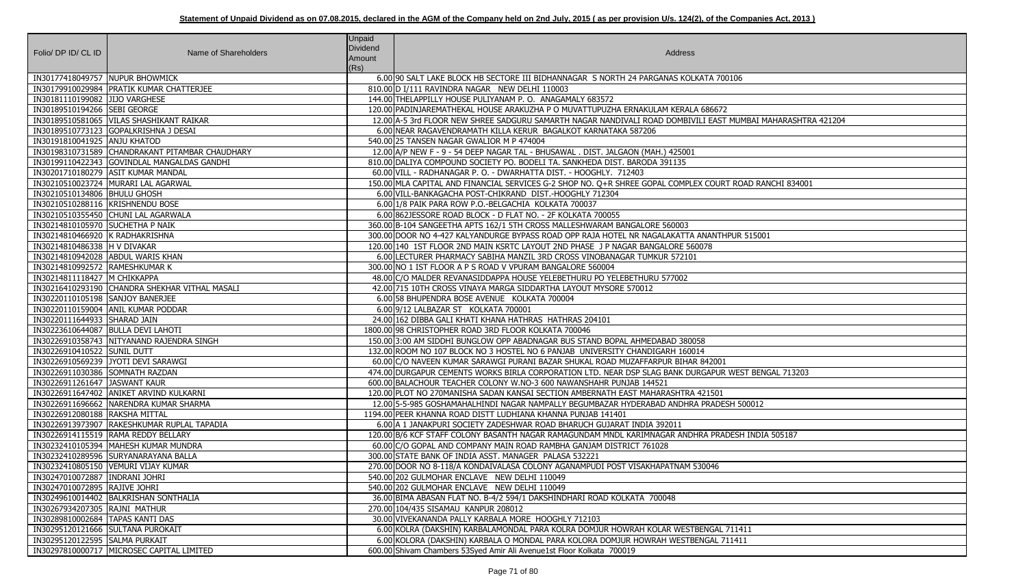| Folio/ DP ID/ CL ID                | Name of Shareholders                            | Unpaid<br>Dividend<br>Amount<br>(Rs) | Address                                                                                       |
|------------------------------------|-------------------------------------------------|--------------------------------------|-----------------------------------------------------------------------------------------------|
| IN30177418049757 NUPUR BHOWMICK    |                                                 |                                      | 6.00 90 SALT LAKE BLOCK HB SECTORE III BIDHANNAGAR S NORTH 24 PARGANAS KOLKATA 700106         |
|                                    | IN30179910029984   PRATIK KUMAR CHATTERJEE      |                                      | 810.00 D I/111 RAVINDRA NAGAR NEW DELHI 110003                                                |
| IN30181110199082 JJJJO VARGHESE    |                                                 |                                      | 144.00 THELAPPILLY HOUSE PULIYANAM P. O. ANAGAMALY 683572                                     |
| IN30189510194266 SEBI GEORGE       |                                                 |                                      | 120.00 PADINJAREMATHEKAL HOUSE ARAKUZHA P O MUVATTUPUZHA ERNAKULAM KERALA 686672              |
|                                    | IN30189510581065 VILAS SHASHIKANT RAIKAR        |                                      | 12.00 A-5 3rd FLOOR NEW SHREE SADGURU SAMARTH NAGAR NANDIVALI ROAD DOMBIVILI EAST MUMBAI MA   |
|                                    | IN30189510773123 GOPALKRISHNA J DESAI           |                                      | 6.00 INEAR RAGAVENDRAMATH KILLA KERUR BAGALKOT KARNATAKA 587206                               |
| IN30191810041925 ANJU KHATOD       |                                                 |                                      | 540.00 25 TANSEN NAGAR GWALIOR M P 474004                                                     |
|                                    | IN30198310731589 CHANDRAKANT PITAMBAR CHAUDHARY |                                      | 12.00 A/P NEW F - 9 - 54 DEEP NAGAR TAL - BHUSAWAL . DIST. JALGAON (MAH.) 425001              |
|                                    | IN30199110422343 GOVINDLAL MANGALDAS GANDHI     |                                      | 810.00 DALIYA COMPOUND SOCIETY PO. BODELI TA. SANKHEDA DIST. BARODA 391135                    |
|                                    | IN30201710180279 ASIT KUMAR MANDAL              |                                      | 60.00 VILL - RADHANAGAR P. O. - DWARHATTA DIST. - HOOGHLY. 712403                             |
|                                    | IN30210510023724 MURARI LAL AGARWAL             |                                      | 150.00 MLA CAPITAL AND FINANCIAL SERVICES G-2 SHOP NO. Q+R SHREE GOPAL COMPLEX COURT ROAD RAN |
| IN30210510134806   BHULU GHOSH     |                                                 |                                      | 6.00 VILL-BANKAGACHA POST-CHIKRAND DIST.-HOOGHLY 712304                                       |
| IN30210510288116 KRISHNENDU BOSE   |                                                 |                                      | 6.00 1/8 PAIK PARA ROW P.O.-BELGACHIA KOLKATA 700037                                          |
|                                    | IN30210510355450 CHUNI LAL AGARWALA             |                                      | 6.00 862 JESSORE ROAD BLOCK - D FLAT NO. - 2F KOLKATA 700055                                  |
| IN30214810105970 SUCHETHA P NAIK   |                                                 |                                      | 360.00 B-104 SANGEETHA APTS 162/1 5TH CROSS MALLESHWARAM BANGALORE 560003                     |
| IN30214810466920 K RADHAKRISHNA    |                                                 |                                      | 300.00 DOOR NO 4-427 KALYANDURGE BYPASS ROAD OPP RAJA HOTEL NR NAGALAKATTA ANANTHPUR 515001   |
| IN30214810486338 H V DIVAKAR       |                                                 |                                      | 120.00 140 1ST FLOOR 2ND MAIN KSRTC LAYOUT 2ND PHASE J P NAGAR BANGALORE 560078               |
| IN30214810942028 ABDUL WARIS KHAN  |                                                 |                                      | 6.00 LECTURER PHARMACY SABIHA MANZIL 3RD CROSS VINOBANAGAR TUMKUR 572101                      |
| IN30214810992572 RAMESHKUMAR K     |                                                 |                                      | 300.00 NO 1 IST FLOOR A P S ROAD V VPURAM BANGALORE 560004                                    |
| IN30214811118427 M CHIKKAPPA       |                                                 |                                      | 48.00 C/O MALDER REVANASIDDAPPA HOUSE YELEBETHURU PO YELEBETHURU 577002                       |
|                                    | IN30216410293190 CHANDRA SHEKHAR VITHAL MASALI  |                                      | 42.00 715 10TH CROSS VINAYA MARGA SIDDARTHA LAYOUT MYSORE 570012                              |
| IN30220110105198 SANJOY BANERJEE   |                                                 |                                      | 6.00 58 BHUPENDRA BOSE AVENUE KOLKATA 700004                                                  |
|                                    | IN30220110159004 ANIL KUMAR PODDAR              |                                      | 6.00 9/12 LALBAZAR ST KOLKATA 700001                                                          |
| IN30220111644933 SHARAD JAIN       |                                                 |                                      | 24.00 162 DIBBA GALI KHATI KHANA HATHRAS HATHRAS 204101                                       |
| IN30223610644087 BULLA DEVI LAHOTI |                                                 |                                      | 1800.00 98 CHRISTOPHER ROAD 3RD FLOOR KOLKATA 700046                                          |
|                                    | IN30226910358743 NITYANAND RAJENDRA SINGH       |                                      | 150.00 3:00 AM SIDDHI BUNGLOW OPP ABADNAGAR BUS STAND BOPAL AHMEDABAD 380058                  |
| IN30226910410522 SUNIL DUTT        |                                                 |                                      | 132.00 ROOM NO 107 BLOCK NO 3 HOSTEL NO 6 PANJAB UNIVERSITY CHANDIGARH 160014                 |
|                                    | IN30226910569239 JYOTI DEVI SARAWGI             |                                      | 60.00 C/O NAVEEN KUMAR SARAWGI PURANI BAZAR SHUKAL ROAD MUZAFFARPUR BIHAR 842001              |
| IN30226911030386 SOMNATH RAZDAN    |                                                 |                                      | 474.00 DURGAPUR CEMENTS WORKS BIRLA CORPORATION LTD. NEAR DSP SLAG BANK DURGAPUR WEST BENG    |
| IN30226911261647 JASWANT KAUR      |                                                 |                                      | 600.00 BALACHOUR TEACHER COLONY W.NO-3 600 NAWANSHAHR PUNJAB 144521                           |
|                                    | IN30226911647402 ANIKET ARVIND KULKARNI         |                                      | 120.00 PLOT NO 270MANISHA SADAN KANSAI SECTION AMBERNATH EAST MAHARASHTRA 421501              |
|                                    | IN30226911696662 NARENDRA KUMAR SHARMA          |                                      | 12.00 5-5-985 GOSHAMAHALHINDI NAGAR NAMPALLY BEGUMBAZAR HYDERABAD ANDHRA PRADESH 500012       |
| IN30226912080188 RAKSHA MITTAL     |                                                 |                                      | 1194.00 PEER KHANNA ROAD DISTT LUDHIANA KHANNA PUNJAB 141401                                  |
|                                    | IN30226913973907 RAKESHKUMAR RUPLAL TAPADIA     |                                      | 6.00 A 1 JANAKPURI SOCIETY ZADESHWAR ROAD BHARUCH GUJARAT INDIA 392011                        |
|                                    | IN30226914115519 RAMA REDDY BELLARY             |                                      | 120.00 B/6 KCF STAFF COLONY BASANTH NAGAR RAMAGUNDAM MNDL KARIMNAGAR ANDHRA PRADESH INDIA     |
|                                    | IN30232410105394   MAHESH KUMAR MUNDRA          |                                      | 60.00 C/O GOPAL AND COMPANY MAIN ROAD RAMBHA GANJAM DISTRICT 761028                           |
|                                    | IN30232410289596 SURYANARAYANA BALLA            |                                      | 300.00 STATE BANK OF INDIA ASST. MANAGER PALASA 532221                                        |
|                                    | IN30232410805150 VEMURI VIJAY KUMAR             |                                      | 270.00 DOOR NO 8-118/A KONDAIVALASA COLONY AGANAMPUDI POST VISAKHAPATNAM 530046               |
| IN30247010072887   INDRANI JOHRI   |                                                 |                                      | 540.00 202 GULMOHAR ENCLAVE NEW DELHI 110049                                                  |
| IN30247010072895 RAJIVE JOHRI      |                                                 |                                      | 540.00 202 GULMOHAR ENCLAVE NEW DELHI 110049                                                  |
|                                    | IN30249610014402   BALKRISHAN SONTHALIA         |                                      | 36.00 BIMA ABASAN FLAT NO. B-4/2 594/1 DAKSHINDHARI ROAD KOLKATA 700048                       |
| IN30267934207305 RAJNI MATHUR      |                                                 |                                      | 270.00 104/435 SISAMAU KANPUR 208012                                                          |
| IN30289810002684   TAPAS KANTI DAS |                                                 |                                      | 30.00 VIVEKANANDA PALLY KARBALA MORE HOOGHLY 712103                                           |
| IN30295120121666 SULTANA PUROKAIT  |                                                 |                                      | 6.00 KOLRA (DAKSHIN) KARBALAMONDAL PARA KOLRA DOMJUR HOWRAH KOLAR WESTBENGAL 711411           |
| IN30295120122595 SALMA PURKAIT     |                                                 |                                      | 6.00 KOLORA (DAKSHIN) KARBALA O MONDAL PARA KOLORA DOMJUR HOWRAH WESTBENGAL 711411            |
|                                    | IN30297810000717 MICROSEC CAPITAL LIMITED       |                                      | 600.00 Shivam Chambers 53Syed Amir Ali Avenue1st Floor Kolkata 700019                         |

**INADA SHASHASHA SADA SHASHTRA 421204** JRT ROAD RANCHI 834001 JR WEST BENGAL 713203 RADESH INDIA 505187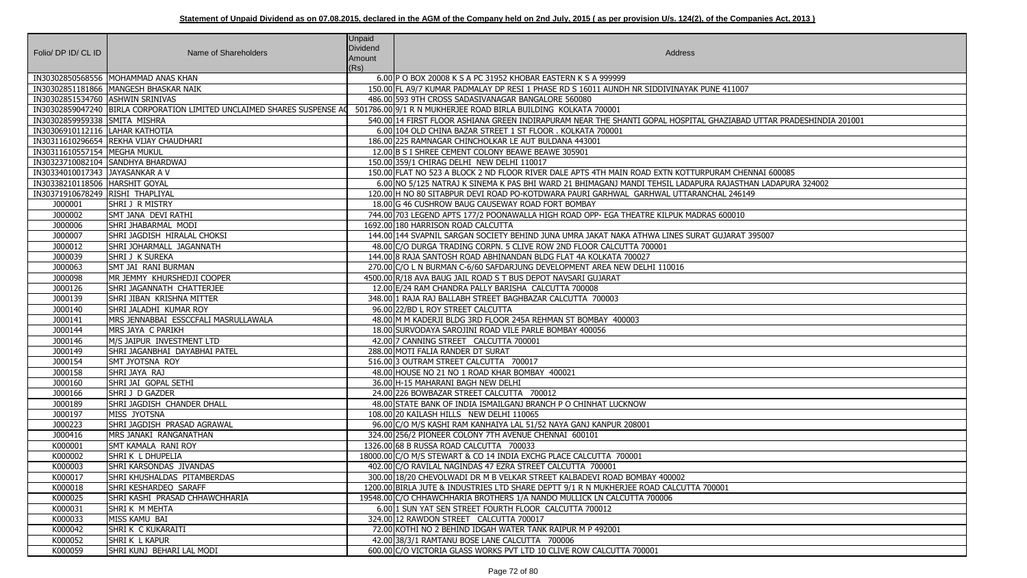| Folio/ DP ID/ CL ID              | Name of Shareholders                                                    | <b>Unpaid</b><br><b>Dividend</b><br>Amount<br>(Rs) | Address                                                                                             |
|----------------------------------|-------------------------------------------------------------------------|----------------------------------------------------|-----------------------------------------------------------------------------------------------------|
|                                  | IN30302850568556   MOHAMMAD ANAS KHAN                                   |                                                    | 6.00 P O BOX 20008 K S A PC 31952 KHOBAR EASTERN K S A 999999                                       |
|                                  | IN30302851181866   MANGESH BHASKAR NAIK                                 |                                                    | 150.00 FL A9/7 KUMAR PADMALAY DP RESI 1 PHASE RD S 16011 AUNDH NR SIDDIVINAYAK PUNE 411007          |
| IN30302851534760 ASHWIN SRINIVAS |                                                                         |                                                    | 486.00 593 9TH CROSS SADASIVANAGAR BANGALORE 560080                                                 |
|                                  | IN30302859047240 BIRLA CORPORATION LIMITED UNCLAIMED SHARES SUSPENSE AQ |                                                    | 501786.00 9/1 R N MUKHERJEE ROAD BIRLA BUILDING KOLKATA 700001                                      |
| IN30302859959338 SMITA MISHRA    |                                                                         |                                                    | 540.00 14 FIRST FLOOR ASHIANA GREEN INDIRAPURAM NEAR THE SHANTI GOPAL HOSPITAL GHAZIABAD UTTAR PRA  |
| IN30306910112116  LAHAR KATHOTIA |                                                                         |                                                    | 6.00 104 OLD CHINA BAZAR STREET 1 ST FLOOR. KOLKATA 700001                                          |
|                                  | IN30311610296654 REKHA VIJAY CHAUDHARI                                  |                                                    | 186.00 225 RAMNAGAR CHINCHOLKAR LE AUT BULDANA 443001                                               |
| IN30311610557154   MEGHA MUKUL   |                                                                         |                                                    | 12.00 B S I SHREE CEMENT COLONY BEAWE BEAWE 305901                                                  |
|                                  | IN30323710082104 SANDHYA BHARDWAJ                                       |                                                    | 150.00 359/1 CHIRAG DELHI NEW DELHI 110017                                                          |
| IN30334010017343 JAYASANKAR A V  |                                                                         |                                                    | 150.00 FLAT NO 523 A BLOCK 2 ND FLOOR RIVER DALE APTS 4TH MAIN ROAD EXTN KOTTURPURAM CHENNAI 600085 |
| IN30338210118506 HARSHIT GOYAL   |                                                                         |                                                    | 6.00 NO 5/125 NATRAJ K SINEMA K PAS BHI WARD 21 BHIMAGANJ MANDI TEHSIL LADAPURA RAJASTHAN LADAPUR   |
| IN30371910678249 RISHI THAPLIYAL |                                                                         |                                                    | 120.00 H NO 80 SITABPUR DEVI ROAD PO-KOTDWARA PAURI GARHWAL GARHWAL UTTARANCHAL 246149              |
| J000001                          | SHRI J R MISTRY                                                         |                                                    | 18,00 G 46 CUSHROW BAUG CAUSEWAY ROAD FORT BOMBAY                                                   |
| J000002                          | SMT JANA DEVI RATHI                                                     |                                                    | 744.00 703 LEGEND APTS 177/2 POONAWALLA HIGH ROAD OPP- EGA THEATRE KILPUK MADRAS 600010             |
| J000006                          | SHRI JHABARMAL MODI                                                     |                                                    | 1692.00 180 HARRISON ROAD CALCUTTA                                                                  |
| J000007                          | SHRI JAGDISH HIRALAL CHOKSI                                             |                                                    | 144.00 144 SVAPNIL SARGAN SOCIETY BEHIND JUNA UMRA JAKAT NAKA ATHWA LINES SURAT GUJARAT 395007      |
| J000012                          | SHRI JOHARMALL JAGANNATH                                                |                                                    | 48.00 C/O DURGA TRADING CORPN. 5 CLIVE ROW 2ND FLOOR CALCUTTA 700001                                |
| J000039                          | SHRI J K SUREKA                                                         |                                                    | 144.00 8 RAJA SANTOSH ROAD ABHINANDAN BLDG FLAT 4A KOLKATA 700027                                   |
| J000063                          | SMT JAI RANI BURMAN                                                     |                                                    | 270.00 C/O L N BURMAN C-6/60 SAFDARJUNG DEVELOPMENT AREA NEW DELHI 110016                           |
| J000098                          | MR JEMMY KHURSHEDJI COOPER                                              |                                                    | 4500.00 R/18 AVA BAUG JAIL ROAD S T BUS DEPOT NAVSARI GUJARAT                                       |
| J000126                          | SHRI JAGANNATH CHATTERJEE                                               |                                                    | 12.00 E/24 RAM CHANDRA PALLY BARISHA CALCUTTA 700008                                                |
| J000139                          | SHRI JIBAN KRISHNA MITTER                                               |                                                    | 348.00 1 RAJA RAJ BALLABH STREET BAGHBAZAR CALCUTTA 700003                                          |
| J000140                          | SHRI JALADHI KUMAR ROY                                                  |                                                    | 96.00 22/BD L ROY STREET CALCUTTA                                                                   |
| J000141                          | MRS JENNABBAI ESSCCFALI MASRULLAWALA                                    |                                                    | 48.00 M M KADERJI BLDG 3RD FLOOR 245A REHMAN ST BOMBAY 400003                                       |
| J000144                          | MRS JAYA C PARIKH                                                       |                                                    | 18.00 SURVODAYA SAROJINI ROAD VILE PARLE BOMBAY 400056                                              |
| J000146                          | M/S JAIPUR INVESTMENT LTD                                               |                                                    | 42.00 7 CANNING STREET CALCUTTA 700001                                                              |
| J000149                          | SHRI JAGANBHAI DAYABHAI PATEL                                           |                                                    | 288.00 MOTI FALIA RANDER DT SURAT                                                                   |
| J000154                          | SMT JYOTSNA ROY                                                         |                                                    | 516.00 3 OUTRAM STREET CALCUTTA 700017                                                              |
| J000158                          | SHRI JAYA RAJ                                                           |                                                    | 48.00 HOUSE NO 21 NO 1 ROAD KHAR BOMBAY 400021                                                      |
| J000160                          | SHRI JAI GOPAL SETHI                                                    |                                                    | 36.00 H-15 MAHARANI BAGH NEW DELHI                                                                  |
| J000166                          | SHRI J D GAZDER                                                         |                                                    | 24.00 226 BOWBAZAR STREET CALCUTTA 700012                                                           |
| J000189                          | SHRI JAGDISH CHANDER DHALL                                              |                                                    | 48.00 STATE BANK OF INDIA ISMAILGANJ BRANCH P O CHINHAT LUCKNOW                                     |
| J000197                          | MISS JYOTSNA                                                            |                                                    | 108.00 20 KAILASH HILLS NEW DELHI 110065                                                            |
| J000223                          | SHRI JAGDISH PRASAD AGRAWAL                                             |                                                    | 96.00 C/O M/S KASHI RAM KANHAIYA LAL 51/52 NAYA GANJ KANPUR 208001                                  |
| J000416                          | MRS JANAKI RANGANATHAN                                                  |                                                    | 324.00 256/2 PIONEER COLONY 7TH AVENUE CHENNAI 600101                                               |
| K000001                          | <b>SMT KAMALA RANI ROY</b>                                              |                                                    | 1326.00 68 B RUSSA ROAD CALCUTTA 700033                                                             |
| K000002                          | SHRIK LDHUPELIA                                                         |                                                    | 18000.00 C/O M/S STEWART & CO 14 INDIA EXCHG PLACE CALCUTTA 700001                                  |
| K000003                          | SHRI KARSONDAS JIVANDAS                                                 |                                                    | 402.00 C/O RAVILAL NAGINDAS 47 EZRA STREET CALCUTTA 700001                                          |
| K000017                          | SHRI KHUSHALDAS PITAMBERDAS                                             |                                                    | 300.00 18/20 CHEVOLWADI DR M B VELKAR STREET KALBADEVI ROAD BOMBAY 400002                           |
| K000018                          | ISHRI KESHARDEO SARAFF                                                  |                                                    | 1200.00 BIRLA JUTE & INDUSTRIES LTD SHARE DEPTT 9/1 R N MUKHERJEE ROAD CALCUTTA 700001              |
| K000025                          | SHRI KASHI PRASAD CHHAWCHHARIA                                          |                                                    | 19548.00 C/O CHHAWCHHARIA BROTHERS 1/A NANDO MULLICK LN CALCUTTA 700006                             |
| K000031                          | SHRI K M MEHTA                                                          |                                                    | 6.00 1 SUN YAT SEN STREET FOURTH FLOOR CALCUTTA 700012                                              |
| K000033                          | MISS KAMU BAI                                                           |                                                    | 324.00 12 RAWDON STREET CALCUTTA 700017                                                             |
| K000042                          | SHRIK C KUKARAITI                                                       |                                                    | 72.00 KOTHI NO 2 BEHIND IDGAH WATER TANK RAIPUR M P 492001                                          |
| K000052                          | <b>SHRIK L KAPUR</b>                                                    |                                                    | 42.00 38/3/1 RAMTANU BOSE LANE CALCUTTA 700006                                                      |
| K000059                          | shri kunj behari lal modi                                               |                                                    | 600.00 C/O VICTORIA GLASS WORKS PVT LTD 10 CLIVE ROW CALCUTTA 700001                                |
|                                  |                                                                         |                                                    |                                                                                                     |

AZIABAD UTTAR PRADESHINDIA 201001

RAJASTHAN LADAPURA 324002<br>AL 246149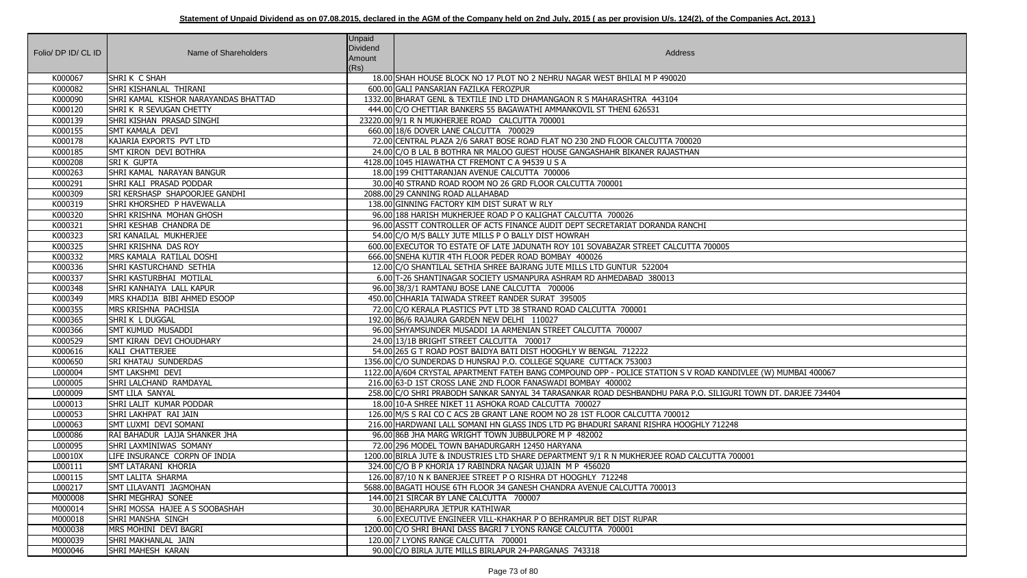|                     |                                      | <b>Unpaid</b> |                                                                                                               |
|---------------------|--------------------------------------|---------------|---------------------------------------------------------------------------------------------------------------|
| Folio/ DP ID/ CL ID | Name of Shareholders                 | Dividend      | Address                                                                                                       |
|                     |                                      | Amount        |                                                                                                               |
|                     |                                      | (Rs)          |                                                                                                               |
| K000067             | SHRIK C SHAH                         |               | 18.00 SHAH HOUSE BLOCK NO 17 PLOT NO 2 NEHRU NAGAR WEST BHILAI M P 490020                                     |
| K000082             | SHRI KISHANLAL THIRANI               |               | 600.00 GALI PANSARIAN FAZILKA FEROZPUR                                                                        |
| K000090             | SHRI KAMAL KISHOR NARAYANDAS BHATTAD |               | 1332.00 BHARAT GENL & TEXTILE IND LTD DHAMANGAON R S MAHARASHTRA 443104                                       |
| K000120             | SHRIK R SEVUGAN CHETTY               |               | 444.00 C/O CHETTIAR BANKERS 55 BAGAWATHI AMMANKOVIL ST THENI 626531                                           |
| K000139             | SHRI KISHAN PRASAD SINGHI            |               | 23220.00 9/1 R N MUKHERJEE ROAD CALCUTTA 700001                                                               |
| K000155             | <b>SMT KAMALA DEVI</b>               |               | 660.00 18/6 DOVER LANE CALCUTTA 700029                                                                        |
| K000178             | KAJARIA EXPORTS PVT LTD              |               | 72.00 CENTRAL PLAZA 2/6 SARAT BOSE ROAD FLAT NO 230 2ND FLOOR CALCUTTA 700020                                 |
| K000185             | <b>SMT KIRON DEVI BOTHRA</b>         |               | 24.00 C/O B LAL B BOTHRA NR MALOO GUEST HOUSE GANGASHAHR BIKANER RAJASTHAN                                    |
| K000208             | <b>SRI K GUPTA</b>                   |               | 4128.00 1045 HIAWATHA CT FREMONT C A 94539 U S A                                                              |
| K000263             | SHRI KAMAL NARAYAN BANGUR            |               | 18.00 199 CHITTARANJAN AVENUE CALCUTTA 700006                                                                 |
| K000291             | SHRI KALI PRASAD PODDAR              |               | 30.00 40 STRAND ROAD ROOM NO 26 GRD FLOOR CALCUTTA 700001                                                     |
| K000309             | SRI KERSHASP SHAPOORJEE GANDHI       |               | 2088.00 29 CANNING ROAD ALLAHABAD                                                                             |
| K000319             | SHRI KHORSHED P HAVEWALLA            |               | 138.00 GINNING FACTORY KIM DIST SURAT W RLY                                                                   |
| K000320             | <b>SHRI KRISHNA MOHAN GHOSH</b>      |               | 96.00 188 HARISH MUKHERJEE ROAD P O KALIGHAT CALCUTTA 700026                                                  |
| K000321             | SHRI KESHAB CHANDRA DE               |               | 96.00 ASSTT CONTROLLER OF ACTS FINANCE AUDIT DEPT SECRETARIAT DORANDA RANCHI                                  |
| K000323             | SRI KANAILAL MUKHERJEE               |               | 54.00 C/O M/S BALLY JUTE MILLS P O BALLY DIST HOWRAH                                                          |
| K000325             | SHRI KRISHNA DAS ROY                 |               | 600.00 EXECUTOR TO ESTATE OF LATE JADUNATH ROY 101 SOVABAZAR STREET CALCUTTA 700005                           |
| K000332             | MRS KAMALA RATILAL DOSHI             |               | 666.00 SNEHA KUTIR 4TH FLOOR PEDER ROAD BOMBAY 400026                                                         |
| K000336             | SHRI KASTURCHAND SETHIA              |               | 12.00 C/O SHANTILAL SETHIA SHREE BAJRANG JUTE MILLS LTD GUNTUR 522004                                         |
| K000337             | SHRI KASTURBHAI MOTILAL              |               | 6.00 T-26 SHANTINAGAR SOCIETY USMANPURA ASHRAM RD AHMEDABAD 380013                                            |
| K000348             | SHRI KANHAIYA LALL KAPUR             |               | 96.00 38/3/1 RAMTANU BOSE LANE CALCUTTA 700006                                                                |
| K000349             | MRS KHADIJA BIBI AHMED ESOOP         |               | 450.00 CHHARIA TAIWADA STREET RANDER SURAT 395005                                                             |
| K000355             | MRS KRISHNA PACHISIA                 |               | 72.00 C/O KERALA PLASTICS PVT LTD 38 STRAND ROAD CALCUTTA 700001                                              |
| K000365             | SHRIK L DUGGAL                       |               | 192.00 B6/6 RAJAURA GARDEN NEW DELHI 110027                                                                   |
| K000366             | <b>SMT KUMUD MUSADDI</b>             |               | 96.00 SHYAMSUNDER MUSADDI 1A ARMENIAN STREET CALCUTTA 700007                                                  |
| K000529             | SMT KIRAN DEVI CHOUDHARY             |               | 24.00 13/1B BRIGHT STREET CALCUTTA 700017                                                                     |
| K000616             | KALI CHATTERJEE                      |               | 54.00 265 G T ROAD POST BAIDYA BATI DIST HOOGHLY W BENGAL 712222                                              |
| K000650             | <b>SRI KHATAU SUNDERDAS</b>          |               | 1356.00 C/O SUNDERDAS D HUNSRAJ P.O. COLLEGE SQUARE CUTTACK 753003                                            |
| L000004             | SMT LAKSHMI DEVI                     |               | 1122.00 A/604 CRYSTAL APARTMENT FATEH BANG COMPOUND OPP - POLICE STATION S V ROAD KANDIVLEE (W) MUMBAI 400067 |
| L000005             | SHRI LALCHAND RAMDAYAL               |               | 216.00 63-D 1ST CROSS LANE 2ND FLOOR FANASWADI BOMBAY 400002                                                  |
| L000009             | SMT LILA SANYAL                      |               | 258.00 C/O SHRI PRABODH SANKAR SANYAL 34 TARASANKAR ROAD DESHBANDHU PARA P.O. SILIGURI TOWN DT. DARJEE 734404 |
| L000013             | SHRI LALIT KUMAR PODDAR              |               | 18.00 10-A SHREE NIKET 11 ASHOKA ROAD CALCUTTA 700027                                                         |
| L000053             | SHRI LAKHPAT RAI JAIN                |               | 126.00 M/S S RAI CO C ACS 2B GRANT LANE ROOM NO 28 1ST FLOOR CALCUTTA 700012                                  |
| L000063             | SMT LUXMI DEVI SOMANI                |               | 216.00 HARDWANI LALL SOMANI HN GLASS INDS LTD PG BHADURI SARANI RISHRA HOOGHLY 712248                         |
| L000086             | RAI BAHADUR LAJJA SHANKER JHA        |               | 96.00 86B JHA MARG WRIGHT TOWN JUBBULPORE M P 482002                                                          |
| L000095             | SHRI LAXMINIWAS SOMANY               |               | 72.00 296 MODEL TOWN BAHADURGARH 12450 HARYANA                                                                |
| L00010X             | LIFE INSURANCE CORPN OF INDIA        |               | 1200.00 BIRLA JUTE & INDUSTRIES LTD SHARE DEPARTMENT 9/1 R N MUKHERJEE ROAD CALCUTTA 700001                   |
| L000111             | SMT LATARANI KHORIA                  |               | 324.00 C/O B P KHORIA 17 RABINDRA NAGAR UJJAIN M P 456020                                                     |
| L000115             | SMT LALITA SHARMA                    |               | 126.00 87/10 N K BANERJEE STREET P O RISHRA DT HOOGHLY 712248                                                 |
| L000217             | SMT LILAVANTI JAGMOHAN               |               | 5688.00 BAGATI HOUSE 6TH FLOOR 34 GANESH CHANDRA AVENUE CALCUTTA 700013                                       |
| M000008             | SHRI MEGHRAJ SONEE                   |               | 144.00 21 SIRCAR BY LANE CALCUTTA 700007                                                                      |
| M000014             | SHRI MOSSA HAJEE A S SOOBASHAH       |               | 30.00 BEHARPURA JETPUR KATHIWAR                                                                               |
| M000018             | SHRI MANSHA SINGH                    |               | 6.00 EXECUTIVE ENGINEER VILL-KHAKHAR P O BEHRAMPUR BET DIST RUPAR                                             |
| M000038             | MRS MOHINI DEVI BAGRI                |               | 1200.00 C/O SHRI BHANI DASS BAGRI 7 LYONS RANGE CALCUTTA 700001                                               |
| M000039             | SHRI MAKHANLAL JAIN                  |               | 120.00 7 LYONS RANGE CALCUTTA 700001                                                                          |
| M000046             | SHRI MAHESH KARAN                    |               | 90.00 C/O BIRLA JUTE MILLS BIRLAPUR 24-PARGANAS 743318                                                        |

| $\overline{5}$              |
|-----------------------------|
|                             |
|                             |
|                             |
|                             |
|                             |
|                             |
| ANDIVLEE (W) MUMBAI 400067  |
| GURI TOWN DT. DARJEE 734404 |
| $\frac{2}{248}$             |
|                             |
| A 700001                    |
|                             |
|                             |
|                             |
|                             |
|                             |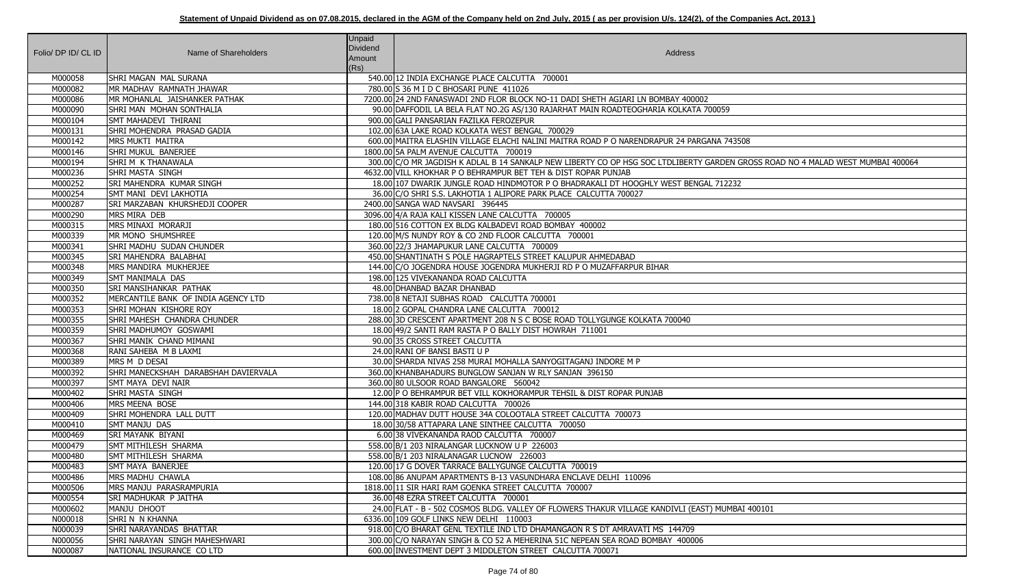| Folio/ DP ID/ CL ID | Name of Shareholders                 | <b>Unpaid</b><br>Dividend<br>Amount<br>(Rs) | Address                                                                                          |
|---------------------|--------------------------------------|---------------------------------------------|--------------------------------------------------------------------------------------------------|
| M000058             | <b>SHRI MAGAN MAL SURANA</b>         |                                             | 540.00 12 INDIA EXCHANGE PLACE CALCUTTA 700001                                                   |
| M000082             | MR MADHAV RAMNATH JHAWAR             |                                             | 780.00 S 36 M I D C BHOSARI PUNE 411026                                                          |
| M000086             | IMR MOHANLAL JAISHANKER PATHAK       |                                             | 7200.00 24 2ND FANASWADI 2ND FLOR BLOCK NO-11 DADI SHETH AGIARI LN BOMBAY 400002                 |
| M000090             | SHRI MAN MOHAN SONTHALIA             |                                             | 90.00 DAFFODIL LA BELA FLAT NO.2G AS/130 RAJARHAT MAIN ROADTEOGHARIA KOLKATA 700059              |
| M000104             | SMT MAHADEVI THIRANI                 |                                             | 900.00 GALI PANSARIAN FAZILKA FEROZEPUR                                                          |
| M000131             | SHRI MOHENDRA PRASAD GADIA           |                                             | 102.00 63A LAKE ROAD KOLKATA WEST BENGAL 700029                                                  |
| M000142             | <b>MRS MUKTI MAITRA</b>              |                                             | 600.00 MAITRA ELASHIN VILLAGE ELACHI NALINI MAITRA ROAD P O NARENDRAPUR 24 PARGANA 743508        |
| M000146             | SHRI MUKUL BANERJEE                  |                                             | 1800.00 5A PALM AVENUE CALCUTTA 700019                                                           |
| M000194             | ISHRI M K THANAWALA                  |                                             | 300.00 C/O MR JAGDISH K ADLAL B 14 SANKALP NEW LIBERTY CO OP HSG SOC LTDLIBERTY GARDEN GROSS RO  |
| M000236             | SHRI MASTA SINGH                     |                                             | 4632.00 VILL KHOKHAR P O BEHRAMPUR BET TEH & DIST ROPAR PUNJAB                                   |
| M000252             | SRI MAHENDRA KUMAR SINGH             |                                             | 18.00 107 DWARIK JUNGLE ROAD HINDMOTOR P O BHADRAKALI DT HOOGHLY WEST BENGAL 712232              |
| M000254             | SMT MANI DEVI LAKHOTIA               |                                             | 36.00 C/O SHRI S.S. LAKHOTIA 1 ALIPORE PARK PLACE CALCUTTA 700027                                |
| M000287             | SRI MARZABAN KHURSHEDJI COOPER       |                                             | 2400.00 SANGA WAD NAVSARI 396445                                                                 |
| M000290             | MRS MIRA DEB                         |                                             | 3096.00 4/A RAJA KALI KISSEN LANE CALCUTTA 700005                                                |
| M000315             | MRS MINAXI MORARJI                   |                                             | 180.00 516 COTTON EX BLDG KALBADEVI ROAD BOMBAY 400002                                           |
| M000339             | MR MONO SHUMSHREE                    |                                             | 120.00 M/S NUNDY ROY & CO 2ND FLOOR CALCUTTA 700001                                              |
| M000341             | SHRI MADHU SUDAN CHUNDER             |                                             | 360.00 22/3 JHAMAPUKUR LANE CALCUTTA 700009                                                      |
| M000345             | SRI MAHENDRA BALABHAI                |                                             | 450.00 SHANTINATH S POLE HAGRAPTELS STREET KALUPUR AHMEDABAD                                     |
| M000348             | MRS MANDIRA MUKHERJEE                |                                             | 144.00 C/O JOGENDRA HOUSE JOGENDRA MUKHERJI RD P O MUZAFFARPUR BIHAR                             |
| M000349             | <b>SMT MANIMALA DAS</b>              |                                             | 198.00 125 VIVEKANANDA ROAD CALCUTTA                                                             |
| M000350             | SRI MANSIHANKAR PATHAK               |                                             | 48.00 DHANBAD BAZAR DHANBAD                                                                      |
| M000352             | MERCANTILE BANK OF INDIA AGENCY LTD  |                                             | 738.00 8 NETAJI SUBHAS ROAD CALCUTTA 700001                                                      |
| M000353             | SHRI MOHAN KISHORE ROY               |                                             | 18.00 2 GOPAL CHANDRA LANE CALCUTTA 700012                                                       |
| M000355             | SHRI MAHESH CHANDRA CHUNDER          |                                             | 288.00 3D CRESCENT APARTMENT 208 N S C BOSE ROAD TOLLYGUNGE KOLKATA 700040                       |
| M000359             | SHRI MADHUMOY GOSWAMI                |                                             | 18.00 49/2 SANTI RAM RASTA P O BALLY DIST HOWRAH 711001                                          |
| M000367             | SHRI MANIK CHAND MIMANI              |                                             | 90.00 35 CROSS STREET CALCUTTA                                                                   |
| M000368             | RANI SAHEBA M B LAXMI                |                                             | 24.00 RANI OF BANSI BASTI U P                                                                    |
| M000389             | MRS M D DESAI                        |                                             | 30.00 SHARDA NIVAS 258 MURAI MOHALLA SANYOGITAGANJ INDORE M P                                    |
| M000392             | SHRI MANECKSHAH DARABSHAH DAVIERVALA |                                             | 360.00 KHANBAHADURS BUNGLOW SANJAN W RLY SANJAN 396150                                           |
| M000397             | SMT MAYA DEVI NAIR                   |                                             | 360.00 80 ULSOOR ROAD BANGALORE 560042                                                           |
| M000402             | SHRI MASTA SINGH                     |                                             | 12.00 P O BEHRAMPUR BET VILL KOKHORAMPUR TEHSIL & DIST ROPAR PUNJAB                              |
| M000406             | MRS MEENA BOSE                       |                                             | 144.00 318 KABIR ROAD CALCUTTA 700026                                                            |
| M000409             | SHRI MOHENDRA LALL DUTT              |                                             | 120.00 MADHAV DUTT HOUSE 34A COLOOTALA STREET CALCUTTA 700073                                    |
| M000410             | <b>SMT MANJU DAS</b>                 |                                             | 18.00 30/58 ATTAPARA LANE SINTHEE CALCUTTA 700050                                                |
| M000469             | SRI MAYANK BIYANI                    |                                             | 6.00 38 VIVEKANANDA RAOD CALCUTTA 700007                                                         |
| M000479             | SMT MITHILESH SHARMA                 |                                             | 558.00 B/1 203 NIRALANGAR LUCKNOW U P 226003                                                     |
| M000480             | SMT MITHILESH SHARMA                 |                                             | 558.00 B/1 203 NIRALANAGAR LUCNOW 226003                                                         |
| M000483             | SMT MAYA BANERJEE                    |                                             | 120.00 17 G DOVER TARRACE BALLYGUNGE CALCUTTA 700019                                             |
| M000486             | IMRS MADHU CHAWLA                    |                                             | 108.00 86 ANUPAM APARTMENTS B-13 VASUNDHARA ENCLAVE DELHI 110096                                 |
| M000506             | MRS MANJU PARASRAMPURIA              |                                             | 1818.00 11 SIR HARI RAM GOENKA STREET CALCUTTA 700007                                            |
| M000554             | SRI MADHUKAR P JAITHA                |                                             | 36.00 48 EZRA STREET CALCUTTA 700001                                                             |
| M000602             | MANJU DHOOT                          |                                             | 24.00 FLAT - B - 502 COSMOS BLDG. VALLEY OF FLOWERS THAKUR VILLAGE KANDIVLI (EAST) MUMBAI 400101 |
| N000018             | SHRIN N KHANNA                       |                                             | 6336.00 109 GOLF LINKS NEW DELHI 110003                                                          |
| N000039             | SHRI NARAYANDAS BHATTAR              |                                             | 918.00 C/O BHARAT GENL TEXTILE IND LTD DHAMANGAON R S DT AMRAVATI MS 144709                      |
| N000056             | ISHRI NARAYAN SINGH MAHESHWARI       |                                             | 300.00 C/O NARAYAN SINGH & CO 52 A MEHERINA 51C NEPEAN SEA ROAD BOMBAY 400006                    |
| N000087             | NATIONAL INSURANCE CO LTD            |                                             | 600.00 INVESTMENT DEPT 3 MIDDLETON STREET CALCUTTA 700071                                        |

## DEN GROSS ROAD NO 4 MALAD WEST MUMBAI 400064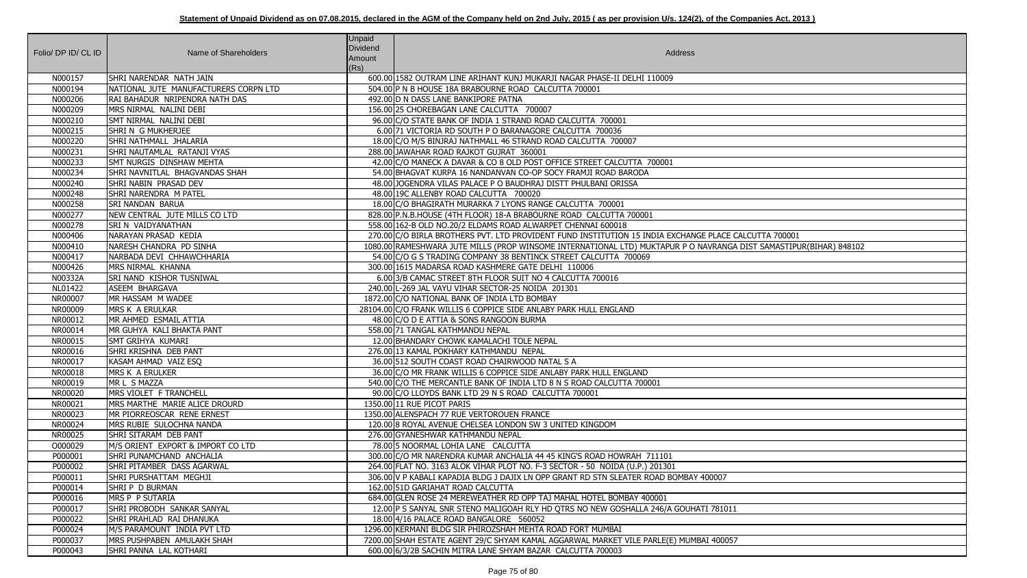| Folio/ DP ID/ CL ID | Name of Shareholders                                 | Unpaid<br>Dividend<br>Amount<br>(Rs) | Address                                                                                                                                               |
|---------------------|------------------------------------------------------|--------------------------------------|-------------------------------------------------------------------------------------------------------------------------------------------------------|
| N000157             | SHRI NARENDAR NATH JAIN                              |                                      | 600.00 1582 OUTRAM LINE ARIHANT KUNJ MUKARJI NAGAR PHASE-II DELHI 110009                                                                              |
| N000194             | NATIONAL JUTE MANUFACTURERS CORPN LTD                |                                      | 504.00 P N B HOUSE 18A BRABOURNE ROAD CALCUTTA 700001                                                                                                 |
| N000206             | RAI BAHADUR NRIPENDRA NATH DAS                       |                                      | 492.00 D N DASS LANE BANKIPORE PATNA                                                                                                                  |
| N000209             | MRS NIRMAL NALINI DEBI                               |                                      | 156.00 25 CHOREBAGAN LANE CALCUTTA 700007                                                                                                             |
| N000210             | SMT NIRMAL NALINI DEBI                               |                                      | 96.00 C/O STATE BANK OF INDIA 1 STRAND ROAD CALCUTTA 700001                                                                                           |
| N000215             | Shri N G Mukherjee                                   |                                      | 6.00 71 VICTORIA RD SOUTH P O BARANAGORE CALCUTTA 700036                                                                                              |
| N000220             | SHRI NATHMALL JHALARIA                               |                                      | 18.00 C/O M/S BINJRAJ NATHMALL 46 STRAND ROAD CALCUTTA 700007                                                                                         |
| N000231             | SHRI NAUTAMLAL RATANJI VYAS                          |                                      | 288.00 JAWAHAR ROAD RAJKOT GUJRAT 360001                                                                                                              |
| N000233             | <b>SMT NURGIS DINSHAW MEHTA</b>                      |                                      | 42.00 C/O MANECK A DAVAR & CO 8 OLD POST OFFICE STREET CALCUTTA 700001                                                                                |
| N000234             | SHRI NAVNITLAL BHAGVANDAS SHAH                       |                                      | 54.00 BHAGVAT KURPA 16 NANDANVAN CO-OP SOCY FRAMJI ROAD BARODA                                                                                        |
| N000240             | SHRI NABIN PRASAD DEV                                |                                      | 48.00 JOGENDRA VILAS PALACE P O BAUDHRAJ DISTT PHULBANI ORISSA                                                                                        |
| N000248             | SHRI NARENDRA M PATEL                                |                                      | 48.00 19C ALLENBY ROAD CALCUTTA 700020                                                                                                                |
| N000258             | SRI NANDAN BARUA                                     |                                      | 18.00 C/O BHAGIRATH MURARKA 7 LYONS RANGE CALCUTTA 700001                                                                                             |
| N000277             | NEW CENTRAL JUTE MILLS CO LTD                        |                                      | 828.00 P.N.B.HOUSE (4TH FLOOR) 18-A BRABOURNE ROAD CALCUTTA 700001                                                                                    |
| N000278             | <b>SRI N VAIDYANATHAN</b>                            |                                      | 558.00 162-B OLD NO.20/2 ELDAMS ROAD ALWARPET CHENNAI 600018                                                                                          |
| N000406             | NARAYAN PRASAD KEDIA                                 |                                      | 270.00 C/O BIRLA BROTHERS PVT. LTD PROVIDENT FUND INSTITUTION 15 INDIA EXCHANGE PLACE CALCUTTA 700001                                                 |
| N000410             | NARESH CHANDRA PD SINHA                              |                                      | 1080.00 RAMESHWARA JUTE MILLS (PROP WINSOME INTERNATIONAL LTD) MUKTAPUR P O NAVRANGA DIST SAMASTIPUR(BIHAR) 848102                                    |
| N000417             | NARBADA DEVI CHHAWCHHARIA                            |                                      | 54.00 C/O G S TRADING COMPANY 38 BENTINCK STREET CALCUTTA 700069                                                                                      |
| N000426             | MRS NIRMAL KHANNA                                    |                                      | 300.00 1615 MADARSA ROAD KASHMERE GATE DELHI 110006                                                                                                   |
| N00332A             | <b>SRI NAND KISHOR TUSNIWAL</b>                      |                                      | 6.00 3/B CAMAC STREET 8TH FLOOR SUIT NO 4 CALCUTTA 700016                                                                                             |
| NL01422             | <b>ASEEM BHARGAVA</b>                                |                                      | 240.00 L-269 JAL VAYU VIHAR SECTOR-25 NOIDA 201301                                                                                                    |
| NR00007             | MR HASSAM M WADEE                                    |                                      | 1872.00 C/O NATIONAL BANK OF INDIA LTD BOMBAY                                                                                                         |
| NR00009             | MRS K A ERULKAR                                      |                                      | 28104.00 C/O FRANK WILLIS 6 COPPICE SIDE ANLABY PARK HULL ENGLAND                                                                                     |
| NR00012             | MR AHMED ESMAIL ATTIA                                |                                      | 48.00 C/O D E ATTIA & SONS RANGOON BURMA                                                                                                              |
| NR00014             | MR GUHYA KALI BHAKTA PANT                            |                                      | 558.00 71 TANGAL KATHMANDU NEPAL                                                                                                                      |
| NR00015             | <b>SMT GRIHYA KUMARI</b>                             |                                      | 12.00 BHANDARY CHOWK KAMALACHI TOLE NEPAL                                                                                                             |
| NR00016             | SHRI KRISHNA DEB PANT                                |                                      | 276.00 13 KAMAL POKHARY KATHMANDU NEPAL                                                                                                               |
| NR00017             | KASAM AHMAD VAIZ ESQ                                 |                                      | 36.00 512 SOUTH COAST ROAD CHAIRWOOD NATAL S A                                                                                                        |
| NR00018             | MRS K A ERULKER                                      |                                      | 36.00 C/O MR FRANK WILLIS 6 COPPICE SIDE ANLABY PARK HULL ENGLAND                                                                                     |
| NR00019             | MR L S MAZZA                                         |                                      | 540.00 C/O THE MERCANTLE BANK OF INDIA LTD 8 N S ROAD CALCUTTA 700001                                                                                 |
| NR00020             | MRS VIOLET F TRANCHELL                               |                                      | 90.00 C/O LLOYDS BANK LTD 29 N S ROAD CALCUTTA 700001                                                                                                 |
| NR00021             | MRS MARTHE MARIE ALICE DROURD                        |                                      | 1350.00 11 RUE PICOT PARIS                                                                                                                            |
| NR00023             | MR PIORREOSCAR RENE ERNEST                           |                                      | 1350.00 ALENSPACH 77 RUE VERTOROUEN FRANCE                                                                                                            |
| NR00024             | MRS RUBIE SULOCHNA NANDA                             |                                      | 120.00 8 ROYAL AVENUE CHELSEA LONDON SW 3 UNITED KINGDOM                                                                                              |
| NR00025             | SHRI SITARAM DEB PANT                                |                                      | 276.00 GYANESHWAR KATHMANDU NEPAL                                                                                                                     |
| O000029             | M/S ORIENT EXPORT & IMPORT CO LTD                    |                                      | 78.00 5 NOORMAL LOHIA LANE CALCUTTA                                                                                                                   |
| P000001             | SHRI PUNAMCHAND ANCHALIA                             |                                      | 300.00 C/O MR NARENDRA KUMAR ANCHALIA 44 45 KING'S ROAD HOWRAH 711101                                                                                 |
| P000002             | SHRI PITAMBER DASS AGARWAL                           |                                      | 264.00 FLAT NO. 3163 ALOK VIHAR PLOT NO. F-3 SECTOR - 50 NOIDA (U.P.) 201301                                                                          |
| P000011             | SHRI PURSHATTAM MEGHJI                               |                                      | 306.00 V P KABALI KAPADIA BLDG J DAJIX LN OPP GRANT RD STN SLEATER ROAD BOMBAY 400007                                                                 |
| P000014             | SHRIP D BURMAN                                       |                                      | 162.00 51D GARIAHAT ROAD CALCUTTA                                                                                                                     |
| P000016             | MRS P P SUTARIA                                      |                                      | 684.00 GLEN ROSE 24 MEREWEATHER RD OPP TAJ MAHAL HOTEL BOMBAY 400001                                                                                  |
| P000017             | SHRI PROBODH SANKAR SANYAL                           |                                      | 12.00 P S SANYAL SNR STENO MALIGOAH RLY HD QTRS NO NEW GOSHALLA 246/A GOUHATI 781011                                                                  |
| P000022             | SHRI PRAHLAD RAI DHANUKA                             |                                      | 18.00 4/16 PALACE ROAD BANGALORE 560052                                                                                                               |
| P000024             | M/S PARAMOUNT INDIA PVT LTD                          |                                      | 1296.00 KERMANI BLDG SIR PHIROZSHAH MEHTA ROAD FORT MUMBAI                                                                                            |
| P000037             | MRS PUSHPABEN AMULAKH SHAH<br>SHRI PANNA LAL KOTHARI |                                      | 7200.00 SHAH ESTATE AGENT 29/C SHYAM KAMAL AGGARWAL MARKET VILE PARLE(E) MUMBAI 400057<br>600.00 6/3/2B SACHIN MITRA LANE SHYAM BAZAR CALCUTTA 700003 |
| P000043             |                                                      |                                      |                                                                                                                                                       |

| .CE CALCUTTA 700001<br>.NGA DIST SAMASTIPUR(BIHAR) 848102 |
|-----------------------------------------------------------|
|                                                           |
|                                                           |
|                                                           |
|                                                           |
|                                                           |
|                                                           |
|                                                           |
|                                                           |
|                                                           |
|                                                           |
|                                                           |
|                                                           |
|                                                           |
|                                                           |
|                                                           |
|                                                           |
|                                                           |
|                                                           |
|                                                           |
| $\overline{7}$                                            |
|                                                           |
| 1011                                                      |
|                                                           |
|                                                           |
| 0057                                                      |
|                                                           |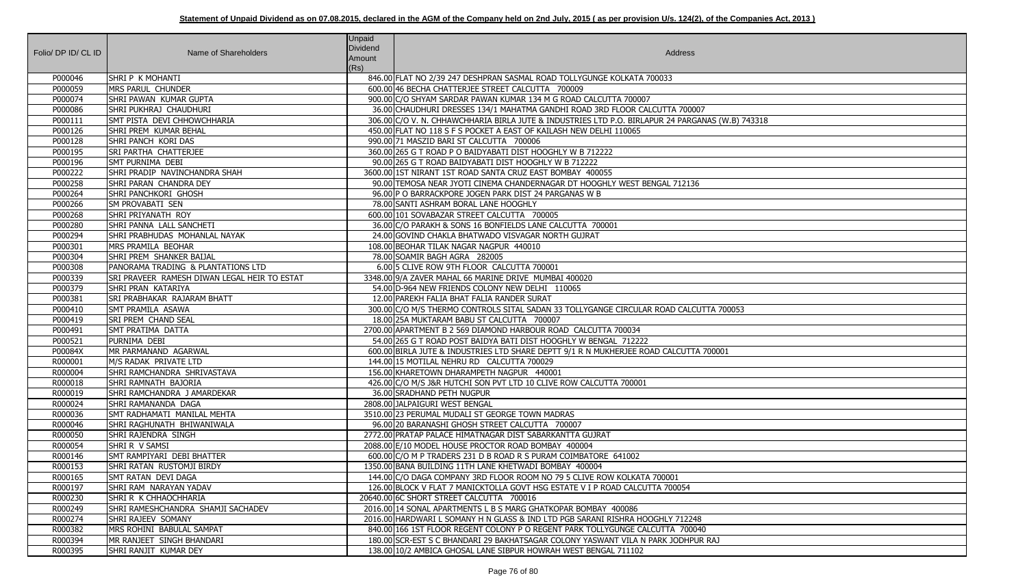| Folio/ DP ID/ CL ID | Name of Shareholders                                | Unpaid<br>Dividend<br>Amount<br>(Rs) | Address                                                                                          |
|---------------------|-----------------------------------------------------|--------------------------------------|--------------------------------------------------------------------------------------------------|
| P000046             | SHRIP K MOHANTI                                     |                                      | 846.00 FLAT NO 2/39 247 DESHPRAN SASMAL ROAD TOLLYGUNGE KOLKATA 700033                           |
| P000059             | <b>MRS PARUL CHUNDER</b>                            |                                      | 600.00 46 BECHA CHATTERJEE STREET CALCUTTA 700009                                                |
| P000074             | SHRI PAWAN KUMAR GUPTA                              |                                      | 900.00 C/O SHYAM SARDAR PAWAN KUMAR 134 M G ROAD CALCUTTA 700007                                 |
| P000086             | SHRI PUKHRAJ CHAUDHURI                              |                                      | 36.00 CHAUDHURI DRESSES 134/1 MAHATMA GANDHI ROAD 3RD FLOOR CALCUTTA 700007                      |
| P000111             | SMT PISTA DEVI CHHOWCHHARIA                         |                                      | 306.00 C/O V. N. CHHAWCHHARIA BIRLA JUTE & INDUSTRIES LTD P.O. BIRLAPUR 24 PARGANAS (W.B) 743318 |
| P000126             | <b>SHRI PREM KUMAR BEHAL</b>                        |                                      | 450.00 FLAT NO 118 S F S POCKET A EAST OF KAILASH NEW DELHI 110065                               |
| P000128             | SHRI PANCH KORI DAS                                 |                                      | 990.00 71 MASZID BARI ST CALCUTTA 700006                                                         |
| P000195             | <b>SRI PARTHA CHATTERJEE</b>                        |                                      | 360.00 265 G T ROAD P O BAIDYABATI DIST HOOGHLY W B 712222                                       |
| P000196             | <b>SMT PURNIMA DEBI</b>                             |                                      | 90.00 265 G T ROAD BAIDYABATI DIST HOOGHLY W B 712222                                            |
| P000222             | SHRI PRADIP NAVINCHANDRA SHAH                       |                                      | 3600.00 1ST NIRANT 1ST ROAD SANTA CRUZ EAST BOMBAY 400055                                        |
| P000258             | SHRI PARAN CHANDRA DEY                              |                                      | 90.00 TEMOSA NEAR JYOTI CINEMA CHANDERNAGAR DT HOOGHLY WEST BENGAL 712136                        |
| P000264             | SHRI PANCHKORI GHOSH                                |                                      | 96.00 P O BARRACKPORE JOGEN PARK DIST 24 PARGANAS W B                                            |
| P000266             | <b>SM PROVABATI SEN</b>                             |                                      | 78.00 SANTI ASHRAM BORAL LANE HOOGHLY                                                            |
| P000268             | SHRI PRIYANATH ROY                                  |                                      | 600.00 101 SOVABAZAR STREET CALCUTTA 700005                                                      |
| P000280             | <b>SHRI PANNA LALL SANCHETI</b>                     |                                      | 36.00 C/O PARAKH & SONS 16 BONFIELDS LANE CALCUTTA 700001                                        |
| P000294             | SHRI PRABHUDAS MOHANLAL NAYAK                       |                                      | 24.00 GOVIND CHAKLA BHATWADO VISVAGAR NORTH GUJRAT                                               |
| P000301             | MRS PRAMILA BEOHAR                                  |                                      | 108.00 BEOHAR TILAK NAGAR NAGPUR 440010                                                          |
| P000304             | SHRI PREM SHANKER BAIJAL                            |                                      | 78.00 SOAMIR BAGH AGRA 282005                                                                    |
| P000308             | PANORAMA TRADING & PLANTATIONS LTD                  |                                      | 6.00 5 CLIVE ROW 9TH FLOOR CALCUTTA 700001                                                       |
| P000339             | <b>SRI PRAVEER RAMESH DIWAN LEGAL HEIR TO ESTAT</b> |                                      | 3348.00 9/A ZAVER MAHAL 66 MARINE DRIVE MUMBAI 400020                                            |
| P000379             | SHRI PRAN KATARIYA                                  |                                      | 54.00 D-964 NEW FRIENDS COLONY NEW DELHI 110065                                                  |
| P000381             | <b>SRI PRABHAKAR RAJARAM BHATT</b>                  |                                      | 12.00 PAREKH FALIA BHAT FALIA RANDER SURAT                                                       |
| P000410             | <b>SMT PRAMILA ASAWA</b>                            |                                      | 300.00 C/O M/S THERMO CONTROLS SITAL SADAN 33 TOLLYGANGE CIRCULAR ROAD CALCUTTA 700053           |
| P000419             | <b>SRI PREM CHAND SEAL</b>                          |                                      | 18.00 25A MUKTARAM BABU ST CALCUTTA 700007                                                       |
| P000491             | SMT PRATIMA DATTA                                   |                                      | 2700.00 APARTMENT B 2 569 DIAMOND HARBOUR ROAD CALCUTTA 700034                                   |
| P000521             | PURNIMA DEBI                                        |                                      | 54.00 265 G T ROAD POST BAIDYA BATI DIST HOOGHLY W BENGAL 712222                                 |
| P00084X             | MR PARMANAND AGARWAL                                |                                      | 600.00 BIRLA JUTE & INDUSTRIES LTD SHARE DEPTT 9/1 R N MUKHERJEE ROAD CALCUTTA 700001            |
| R000001             | M/S RADAK PRIVATE LTD                               |                                      | 144.00 15 MOTILAL NEHRU RD CALCUTTA 700029                                                       |
| R000004             | SHRI RAMCHANDRA SHRIVASTAVA                         |                                      | 156.00 KHARETOWN DHARAMPETH NAGPUR 440001                                                        |
| R000018             | SHRI RAMNATH BAJORIA                                |                                      | 426.00 C/O M/S J&R HUTCHI SON PVT LTD 10 CLIVE ROW CALCUTTA 700001                               |
| R000019             | ISHRI RAMCHANDRA JAMARDEKAR                         |                                      | 36.00 SRADHAND PETH NUGPUR                                                                       |
| R000024             | SHRI RAMANANDA DAGA                                 |                                      | 2808.00 JALPAIGURI WEST BENGAL                                                                   |
| R000036             | SMT RADHAMATI MANILAL MEHTA                         |                                      | 3510.00 23 PERUMAL MUDALI ST GEORGE TOWN MADRAS                                                  |
| R000046             | SHRI RAGHUNATH BHIWANIWALA                          |                                      | 96.00 20 BARANASHI GHOSH STREET CALCUTTA 700007                                                  |
| R000050             | SHRI RAJENDRA SINGH                                 |                                      | 2772.00 PRATAP PALACE HIMATNAGAR DIST SABARKANTTA GUJRAT                                         |
| R000054             | SHRI R V SAMSI                                      |                                      | 2088.00 E/10 MODEL HOUSE PROCTOR ROAD BOMBAY 400004                                              |
| R000146             | <b>ISMT RAMPIYARI DEBI BHATTER</b>                  |                                      | 600.00 C/O M P TRADERS 231 D B ROAD R S PURAM COIMBATORE 641002                                  |
| R000153             | SHRI RATAN RUSTOMJI BIRDY                           |                                      | 1350.00 BANA BUILDING 11TH LANE KHETWADI BOMBAY 400004                                           |
| R000165             | SMT RATAN DEVI DAGA                                 |                                      | 144.00 C/O DAGA COMPANY 3RD FLOOR ROOM NO 79 5 CLIVE ROW KOLKATA 700001                          |
| R000197             | SHRI RAM NARAYAN YADAV                              |                                      | 126.00 BLOCK V FLAT 7 MANICKTOLLA GOVT HSG ESTATE V I P ROAD CALCUTTA 700054                     |
| R000230             | SHRI R K CHHAOCHHARIA                               |                                      | 20640.00 6C SHORT STREET CALCUTTA 700016                                                         |
| R000249             | ISHRI RAMESHCHANDRA SHAMJI SACHADEV                 |                                      | 2016.00 14 SONAL APARTMENTS L B S MARG GHATKOPAR BOMBAY 400086                                   |
| R000274             | SHRI RAJEEV SOMANY                                  |                                      | 2016.00 HARDWARI L SOMANY H N GLASS & IND LTD PGB SARANI RISHRA HOOGHLY 712248                   |
| R000382             | MRS ROHINI BABULAL SAMPAT                           |                                      | 840.00 166 1ST FLOOR REGENT COLONY P O REGENT PARK TOLLYGUNGE CALCUTTA 700040                    |
| R000394             | MR RANJEET SINGH BHANDARI                           |                                      | 180.00 SCR-EST S C BHANDARI 29 BAKHATSAGAR COLONY YASWANT VILA N PARK JODHPUR RAJ                |
| R000395             | SHRI RANJIT KUMAR DEY                               |                                      | 138.00 10/2 AMBICA GHOSAL LANE SIBPUR HOWRAH WEST BENGAL 711102                                  |

| W.B) 743318    |
|----------------|
|                |
|                |
|                |
|                |
|                |
|                |
|                |
|                |
|                |
|                |
|                |
| 00053          |
|                |
|                |
| $\overline{1}$ |
|                |
|                |
|                |
|                |
|                |
|                |
|                |
|                |
|                |
|                |
|                |
|                |
|                |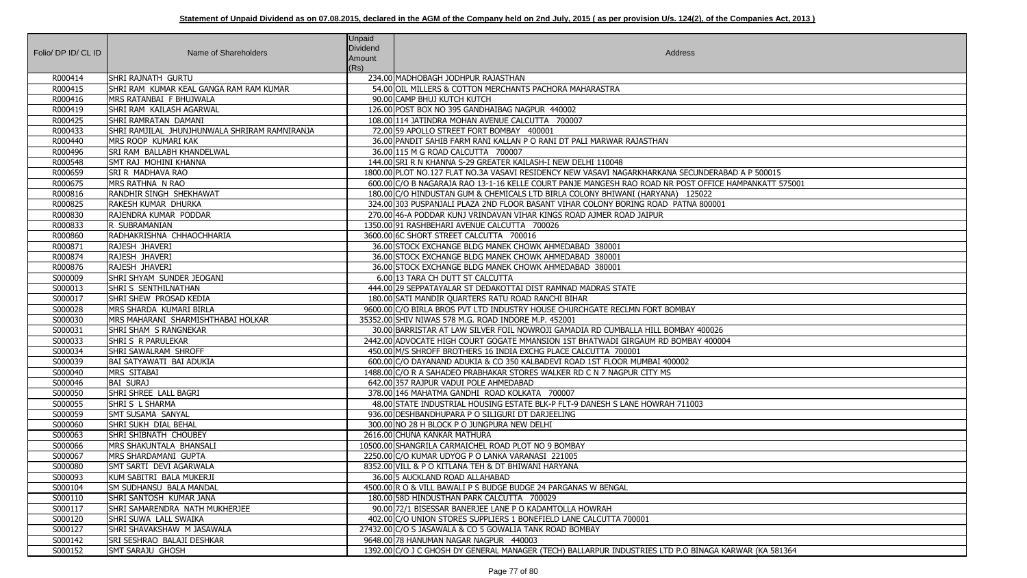|                     |                                               | Unpaid          |                                                                                                       |
|---------------------|-----------------------------------------------|-----------------|-------------------------------------------------------------------------------------------------------|
| Folio/ DP ID/ CL ID | Name of Shareholders                          | <b>Dividend</b> | Address                                                                                               |
|                     |                                               | Amount          |                                                                                                       |
|                     | SHRI RAJNATH GURTU                            | (Rs)            | 234.00 MADHOBAGH JODHPUR RAJASTHAN                                                                    |
| R000414             | SHRI RAM KUMAR KEAL GANGA RAM RAM KUMAR       |                 |                                                                                                       |
| R000415             |                                               |                 | 54.00 OIL MILLERS & COTTON MERCHANTS PACHORA MAHARASTRA                                               |
| R000416             | MRS RATANBAI F BHUJWALA                       |                 | 90.00 CAMP BHUJ KUTCH KUTCH                                                                           |
| R000419             | SHRI RAM KAILASH AGARWAL                      |                 | 126.00 POST BOX NO 395 GANDHAIBAG NAGPUR 440002                                                       |
| R000425             | SHRI RAMRATAN DAMANI                          |                 | 108.00 114 JATINDRA MOHAN AVENUE CALCUTTA 700007                                                      |
| R000433             | SHRI RAMJILAL JHUNJHUNWALA SHRIRAM RAMNIRANJA |                 | 72.00 59 APOLLO STREET FORT BOMBAY 400001                                                             |
| R000440             | MRS ROOP KUMARI KAK                           |                 | 36.00 PANDIT SAHIB FARM RANI KALLAN P O RANI DT PALI MARWAR RAJASTHAN                                 |
| R000496             | <b>SRI RAM BALLABH KHANDELWAL</b>             |                 | 36.00 115 M G ROAD CALCUTTA 700007                                                                    |
| R000548             | SMT RAJ MOHINI KHANNA                         |                 | 144.00 SRI R N KHANNA S-29 GREATER KAILASH-I NEW DELHI 110048                                         |
| R000659             | SRI R MADHAVA RAO                             |                 | 1800.00 PLOT NO.127 FLAT NO.3A VASAVI RESIDENCY NEW VASAVI NAGARKHARKANA SECUNDERABAD A P 500015      |
| R000675             | MRS RATHNA N RAO                              |                 | 600.00 C/O B NAGARAJA RAO 13-1-16 KELLE COURT PANJE MANGESH RAO ROAD NR POST OFFICE HAMPANKATT 575001 |
| R000816             | <b>RANDHIR SINGH SHEKHAWAT</b>                |                 | 180.00 C/O HINDUSTAN GUM & CHEMICALS LTD BIRLA COLONY BHIWANI (HARYANA) 125022                        |
| R000825             | RAKESH KUMAR DHURKA                           |                 | 324.00 303 PUSPANJALI PLAZA 2ND FLOOR BASANT VIHAR COLONY BORING ROAD PATNA 800001                    |
| R000830             | RAJENDRA KUMAR PODDAR                         |                 | 270.00 46-A PODDAR KUNJ VRINDAVAN VIHAR KINGS ROAD AJMER ROAD JAIPUR                                  |
| R000833             | R SUBRAMANIAN                                 |                 | 1350.00 91 RASHBEHARI AVENUE CALCUTTA 700026                                                          |
| R000860             | RADHAKRISHNA CHHAOCHHARIA                     |                 | 3600.00 6C SHORT STREET CALCUTTA 700016                                                               |
| R000871             | RAJESH JHAVERI                                |                 | 36.00 STOCK EXCHANGE BLDG MANEK CHOWK AHMEDABAD 380001                                                |
| R000874             | RAJESH JHAVERI                                |                 | 36.00 STOCK EXCHANGE BLDG MANEK CHOWK AHMEDABAD 380001                                                |
| R000876             | RAJESH JHAVERI                                |                 | 36.00 STOCK EXCHANGE BLDG MANEK CHOWK AHMEDABAD 380001                                                |
| S000009             | SHRI SHYAM SUNDER JEOGANI                     |                 | 6.00 13 TARA CH DUTT ST CALCUTTA                                                                      |
| S000013             | SHRI S SENTHILNATHAN                          |                 | 444.00 29 SEPPATAYALAR ST DEDAKOTTAI DIST RAMNAD MADRAS STATE                                         |
| S000017             | SHRI SHEW PROSAD KEDIA                        |                 | 180.00 SATI MANDIR QUARTERS RATU ROAD RANCHI BIHAR                                                    |
| S000028             | MRS SHARDA KUMARI BIRLA                       |                 | 9600.00 C/O BIRLA BROS PVT LTD INDUSTRY HOUSE CHURCHGATE RECLMN FORT BOMBAY                           |
| S000030             | MRS MAHARANI SHARMISHTHABAI HOLKAR            |                 | 35352.00 SHIV NIWAS 578 M.G. ROAD INDORE M.P. 452001                                                  |
| S000031             | SHRI SHAM S RANGNEKAR                         |                 | 30.00 BARRISTAR AT LAW SILVER FOIL NOWROJI GAMADIA RD CUMBALLA HILL BOMBAY 400026                     |
| S000033             | <b>SHRI S R PARULEKAR</b>                     |                 | 2442.00 ADVOCATE HIGH COURT GOGATE MMANSION 1ST BHATWADI GIRGAUM RD BOMBAY 400004                     |
| S000034             | SHRI SAWALRAM SHROFF                          |                 | 450.00 M/S SHROFF BROTHERS 16 INDIA EXCHG PLACE CALCUTTA 700001                                       |
| S000039             | <b>BAI SATYAWATI BAI ADUKIA</b>               |                 | 600.00 C/O DAYANAND ADUKIA & CO 350 KALBADEVI ROAD 1ST FLOOR MUMBAI 400002                            |
| S000040             | MRS SITABAI                                   |                 | 1488.00 C/O R A SAHADEO PRABHAKAR STORES WALKER RD C N 7 NAGPUR CITY MS                               |
| S000046             | <b>BAI SURAJ</b>                              |                 | 642.00 357 RAJPUR VADUI POLE AHMEDABAD                                                                |
| S000050             | SHRI SHREE LALL BAGRI                         |                 | 378.00 146 MAHATMA GANDHI ROAD KOLKATA 700007                                                         |
| S000055             | SHRIS L SHARMA                                |                 | 48.00 STATE INDUSTRIAL HOUSING ESTATE BLK-P FLT-9 DANESH S LANE HOWRAH 711003                         |
| S000059             | <b>SMT SUSAMA SANYAL</b>                      |                 | 936.00 DESHBANDHUPARA P O SILIGURI DT DARJEELING                                                      |
| S000060             | SHRI SUKH DIAL BEHAL                          |                 | 300.00 NO 28 H BLOCK P O JUNGPURA NEW DELHI                                                           |
| S000063             | SHRI SHIBNATH CHOUBEY                         |                 | 2616.00 CHUNA KANKAR MATHURA                                                                          |
| S000066             | MRS SHAKUNTALA BHANSALI                       |                 | 10500.00 SHANGRILA CARMAICHEL ROAD PLOT NO 9 BOMBAY                                                   |
| S000067             | MRS SHARDAMANI GUPTA                          |                 | 2250.00 C/O KUMAR UDYOG P O LANKA VARANASI 221005                                                     |
| S000080             | SMT SARTI DEVI AGARWALA                       |                 | 8352.00 VILL & P O KITLANA TEH & DT BHIWANI HARYANA                                                   |
| S000093             | KUM SABITRI BALA MUKERJI                      |                 | 36.00 5 AUCKLAND ROAD ALLAHABAD                                                                       |
| S000104             | <b>SM SUDHANSU BALA MANDAL</b>                |                 | 4500.00 R O & VILL BAWALI P S BUDGE BUDGE 24 PARGANAS W BENGAL                                        |
| S000110             | SHRI SANTOSH KUMAR JANA                       |                 | 180.00 58D HINDUSTHAN PARK CALCUTTA 700029                                                            |
| S000117             | SHRI SAMARENDRA NATH MUKHERJEE                |                 | 90.00 72/1 BISESSAR BANERJEE LANE P O KADAMTOLLA HOWRAH                                               |
| S000120             | SHRI SUWA LALL SWAIKA                         |                 | 402.00 C/O UNION STORES SUPPLIERS 1 BONEFIELD LANE CALCUTTA 700001                                    |
| S000127             | SHRI SHAVAKSHAW M JASAWALA                    |                 | 27432.00 C/O S JASAWALA & CO 5 GOWALIA TANK ROAD BOMBAY                                               |
| S000142             | SRI SESHRAO BALAJI DESHKAR                    |                 | 9648.00 78 HANUMAN NAGAR NAGPUR 440003                                                                |
| S000152             | <b>SMT SARAJU GHOSH</b>                       |                 | 1392.00 C/O J C GHOSH DY GENERAL MANAGER (TECH) BALLARPUR INDUSTRIES LTD P.O BINAGA KARWAR (KA 581364 |

| .<br>BAD A P 500015<br>E HAMPANKATT 575001 |
|--------------------------------------------|
|                                            |
| $\overline{1}$                             |
|                                            |
|                                            |
|                                            |
|                                            |
|                                            |
|                                            |
|                                            |
|                                            |
| $\overline{04}$                            |
|                                            |
|                                            |
|                                            |
|                                            |
|                                            |
|                                            |
|                                            |
|                                            |
|                                            |
|                                            |
|                                            |
|                                            |
|                                            |
|                                            |
| KARWAR (KA 581364                          |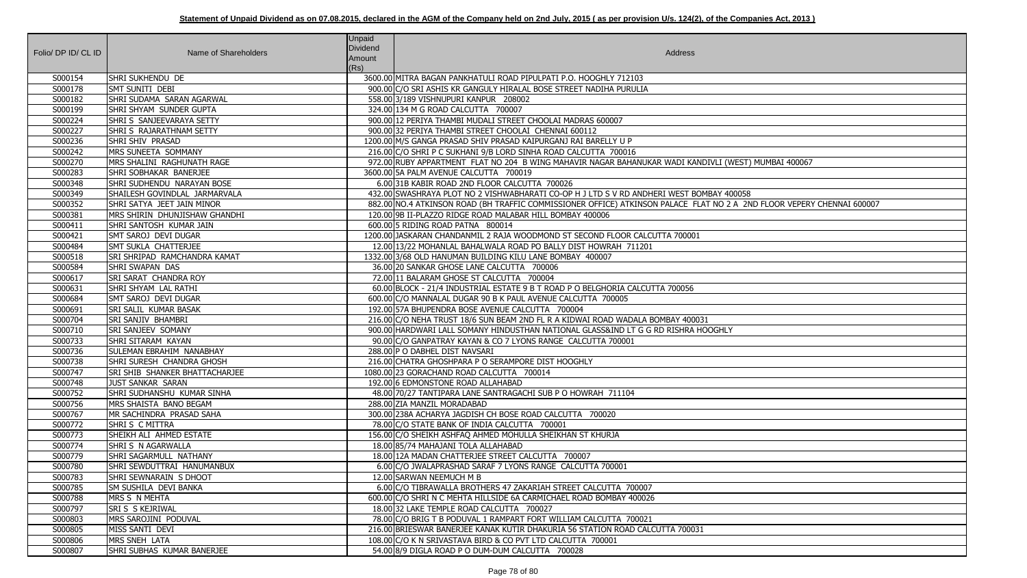| Folio/ DP ID/ CL ID | Name of Shareholders                     | Unpaid<br>Dividend<br>Amount<br>(Rs) | Address                                                                                                                |
|---------------------|------------------------------------------|--------------------------------------|------------------------------------------------------------------------------------------------------------------------|
| S000154             | SHRI SUKHENDU DE                         |                                      | 3600.00 MITRA BAGAN PANKHATULI ROAD PIPULPATI P.O. HOOGHLY 712103                                                      |
| S000178             | SMT SUNITI DEBI                          |                                      | 900.00 C/O SRI ASHIS KR GANGULY HIRALAL BOSE STREET NADIHA PURULIA                                                     |
| S000182             | SHRI SUDAMA SARAN AGARWAL                |                                      | 558.00 3/189 VISHNUPURI KANPUR 208002                                                                                  |
| S000199             | SHRI SHYAM SUNDER GUPTA                  |                                      | 324.00 134 M G ROAD CALCUTTA 700007                                                                                    |
| S000224             | SHRI S SANJEEVARAYA SETTY                |                                      | 900.00 12 PERIYA THAMBI MUDALI STREET CHOOLAI MADRAS 600007                                                            |
| S000227             | SHRIS RAJARATHNAM SETTY                  |                                      | 900.00 32 PERIYA THAMBI STREET CHOOLAI CHENNAI 600112                                                                  |
| S000236             | SHRI SHIV PRASAD                         |                                      | 1200.00 M/S GANGA PRASAD SHIV PRASAD KAIPURGANJ RAI BARELLY U P                                                        |
| S000242             | MRS SUNEETA SOMMANY                      |                                      | 216.00 C/O SHRI P C SUKHANI 9/B LORD SINHA ROAD CALCUTTA 700016                                                        |
| S000270             | MRS SHALINI RAGHUNATH RAGE               |                                      | 972.00 RUBY APPARTMENT FLAT NO 204 B WING MAHAVIR NAGAR BAHANUKAR WADI KANDIVLI (WEST) MUMBAI 400067                   |
| S000283             | SHRI SOBHAKAR BANERJEE                   |                                      | 3600.00 5A PALM AVENUE CALCUTTA 700019                                                                                 |
| S000348             | <b>SHRI SUDHENDU NARAYAN BOSE</b>        |                                      | 6.00 31B KABIR ROAD 2ND FLOOR CALCUTTA 700026                                                                          |
| S000349             | SHAILESH GOVINDLAL JARMARVALA            |                                      | 432.00 SWASHRAYA PLOT NO 2 VISHWABHARATI CO-OP H J LTD S V RD ANDHERI WEST BOMBAY 400058                               |
| S000352             | SHRI SATYA JEET JAIN MINOR               |                                      | 882.00 NO.4 ATKINSON ROAD (BH TRAFFIC COMMISSIONER OFFICE) ATKINSON PALACE FLAT NO 2 A 2ND FLOOR VEPERY CHENNAI 600007 |
| S000381             | MRS SHIRIN DHUNJISHAW GHANDHI            |                                      | 120.00 9B II-PLAZZO RIDGE ROAD MALABAR HILL BOMBAY 400006                                                              |
| S000411             | SHRI SANTOSH KUMAR JAIN                  |                                      | 600.00 5 RIDING ROAD PATNA 800014                                                                                      |
| S000421             | SMT SAROJ DEVI DUGAR                     |                                      | 1200.00 JASKARAN CHANDANMIL 2 RAJA WOODMOND ST SECOND FLOOR CALCUTTA 700001                                            |
| S000484             | SMT SUKLA CHATTERJEE                     |                                      | 12.00 13/22 MOHANLAL BAHALWALA ROAD PO BALLY DIST HOWRAH 711201                                                        |
| S000518             | <b>SRI SHRIPAD RAMCHANDRA KAMAT</b>      |                                      | 1332.00 3/68 OLD HANUMAN BUILDING KILU LANE BOMBAY 400007                                                              |
| S000584             | <b>SHRI SWAPAN DAS</b>                   |                                      | 36.00 20 SANKAR GHOSE LANE CALCUTTA 700006                                                                             |
| S000617             | <b>SRI SARAT CHANDRA ROY</b>             |                                      | 72.00 11 BALARAM GHOSE ST CALCUTTA 700004                                                                              |
| S000631             | SHRI SHYAM LAL RATHI                     |                                      | 60.00 BLOCK - 21/4 INDUSTRIAL ESTATE 9 B T ROAD P O BELGHORIA CALCUTTA 700056                                          |
| S000684             | SMT SAROJ DEVI DUGAR                     |                                      | 600.00 C/O MANNALAL DUGAR 90 B K PAUL AVENUE CALCUTTA 700005                                                           |
| S000691             | <b>SRI SALIL KUMAR BASAK</b>             |                                      | 192.00 57A BHUPENDRA BOSE AVENUE CALCUTTA 700004                                                                       |
| S000704             | <b>SRI SANJIV BHAMBRI</b>                |                                      | 216.00 C/O NEHA TRUST 18/6 SUN BEAM 2ND FL R A KIDWAI ROAD WADALA BOMBAY 400031                                        |
| S000710             | <b>SRI SANJEEV SOMANY</b>                |                                      | 900.00 HARDWARI LALL SOMANY HINDUSTHAN NATIONAL GLASS&IND LT G G RD RISHRA HOOGHLY                                     |
| S000733             | <b>SHRI SITARAM KAYAN</b>                |                                      | 90.00 C/O GANPATRAY KAYAN & CO 7 LYONS RANGE CALCUTTA 700001                                                           |
| S000736             | SULEMAN EBRAHIM NANABHAY                 |                                      | 288.00 P O DABHEL DIST NAVSARI                                                                                         |
| S000738             | SHRI SURESH CHANDRA GHOSH                |                                      | 216.00 CHATRA GHOSHPARA P O SERAMPORE DIST HOOGHLY                                                                     |
| S000747             | <b>SRI SHIB SHANKER BHATTACHARJEE</b>    |                                      | 1080.00 23 GORACHAND ROAD CALCUTTA 700014                                                                              |
| S000748             | <b>JUST SANKAR SARAN</b>                 |                                      | 192.00 6 EDMONSTONE ROAD ALLAHABAD                                                                                     |
| S000752             | SHRI SUDHANSHU KUMAR SINHA               |                                      | 48.00 70/27 TANTIPARA LANE SANTRAGACHI SUB P O HOWRAH 711104                                                           |
| S000756             | MRS SHAISTA BANO BEGAM                   |                                      | 288.00 ZIA MANZIL MORADABAD                                                                                            |
| S000767             | MR SACHINDRA PRASAD SAHA                 |                                      | 300.00 238A ACHARYA JAGDISH CH BOSE ROAD CALCUTTA 700020                                                               |
| S000772             | SHRIS CMITTRA                            |                                      | 78.00 C/O STATE BANK OF INDIA CALCUTTA 700001                                                                          |
| S000773             | SHEIKH ALI AHMED ESTATE                  |                                      | 156.00 C/O SHEIKH ASHFAQ AHMED MOHULLA SHEIKHAN ST KHURJA                                                              |
| S000774             | SHRI S N AGARWALLA                       |                                      | 18.00 85/74 MAHAJANI TOLA ALLAHABAD                                                                                    |
| S000779             | SHRI SAGARMULL NATHANY                   |                                      | 18.00 12A MADAN CHATTERJEE STREET CALCUTTA 700007                                                                      |
| S000780             | SHRI SEWDUTTRAI HANUMANBUX               |                                      | 6.00 C/O JWALAPRASHAD SARAF 7 LYONS RANGE CALCUTTA 700001                                                              |
| S000783             | SHRI SEWNARAIN S DHOOT                   |                                      | 12.00 SARWAN NEEMUCH M B                                                                                               |
| S000785             | SM SUSHILA DEVI BANKA                    |                                      | 6.00 C/O TIBRAWALLA BROTHERS 47 ZAKARIAH STREET CALCUTTA 700007                                                        |
| S000788<br>S000797  | MRS S N MEHTA<br><b>SRI S S KEJRIWAL</b> |                                      | 600.00 C/O SHRI N C MEHTA HILLSIDE 6A CARMICHAEL ROAD BOMBAY 400026<br>18.00 32 LAKE TEMPLE ROAD CALCUTTA 700027       |
| S000803             | MRS SAROJINI PODUVAL                     |                                      | 78.00 C/O BRIG T B PODUVAL 1 RAMPART FORT WILLIAM CALCUTTA 700021                                                      |
| S000805             | MISS SANTI DEVI                          |                                      | 216.00 BRIESWAR BANERJEE KANAK KUTIR DHAKURIA 56 STATION ROAD CALCUTTA 700031                                          |
| S000806             | MRS SNEH LATA                            |                                      | 108.00 C/O K N SRIVASTAVA BIRD & CO PVT LTD CALCUTTA 700001                                                            |
| S000807             | SHRI SUBHAS KUMAR BANERJEE               |                                      | 54.00 8/9 DIGLA ROAD P O DUM-DUM CALCUTTA 700028                                                                       |
|                     |                                          |                                      |                                                                                                                        |

| (WEST) MUMBAI 400067                           |
|------------------------------------------------|
|                                                |
|                                                |
| '400058<br>2 A 2ND FLOOR VEPERY CHENNAI 600007 |
|                                                |
|                                                |
|                                                |
|                                                |
|                                                |
|                                                |
|                                                |
|                                                |
|                                                |
| ILΥ                                            |
|                                                |
|                                                |
|                                                |
|                                                |
|                                                |
|                                                |
|                                                |
|                                                |
|                                                |
|                                                |
|                                                |
|                                                |
|                                                |
|                                                |
|                                                |
|                                                |
|                                                |
|                                                |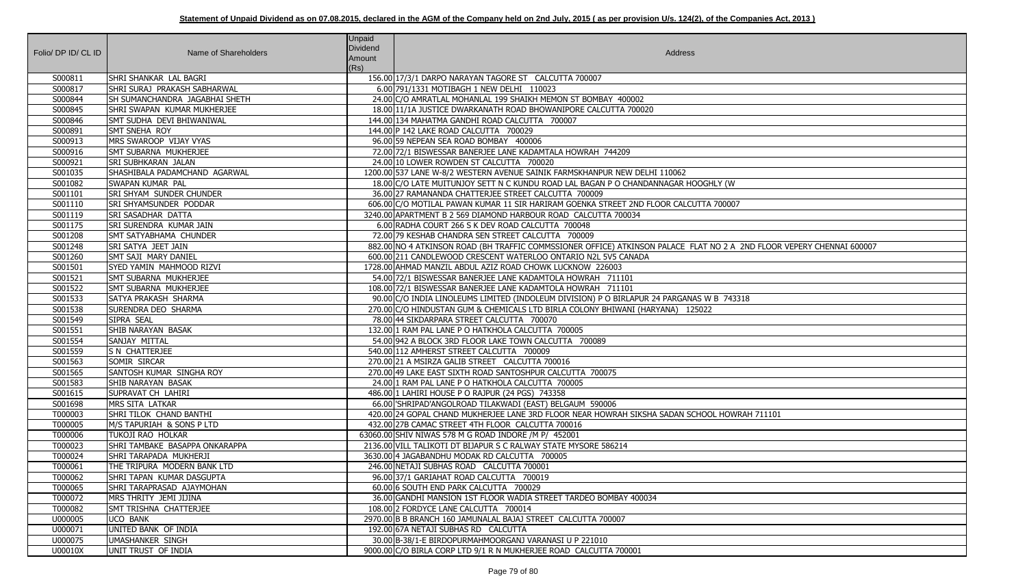| Folio/ DP ID/ CL ID | Name of Shareholders                             | <b>Unpaid</b><br><b>Dividend</b><br>Amount<br>(Rs) | Address                                                                                                               |
|---------------------|--------------------------------------------------|----------------------------------------------------|-----------------------------------------------------------------------------------------------------------------------|
| S000811             | <b>SHRI SHANKAR LAL BAGRI</b>                    |                                                    | 156.00 17/3/1 DARPO NARAYAN TAGORE ST CALCUTTA 700007                                                                 |
| S000817             | SHRI SURAJ PRAKASH SABHARWAL                     |                                                    | 6.00 791/1331 MOTIBAGH 1 NEW DELHI 110023                                                                             |
| S000844             | <b>SH SUMANCHANDRA JAGABHAI SHETH</b>            |                                                    | 24.00 C/O AMRATLAL MOHANLAL 199 SHAIKH MEMON ST BOMBAY 400002                                                         |
| S000845             | <b>SHRI SWAPAN KUMAR MUKHERJEE</b>               |                                                    | 18.00 11/1A JUSTICE DWARKANATH ROAD BHOWANIPORE CALCUTTA 700020                                                       |
| S000846             | SMT SUDHA DEVI BHIWANIWAL                        |                                                    | 144.00 134 MAHATMA GANDHI ROAD CALCUTTA 700007                                                                        |
| S000891             | <b>SMT SNEHA ROY</b>                             |                                                    | 144.00 P 142 LAKE ROAD CALCUTTA 700029                                                                                |
| S000913             | MRS SWAROOP VIJAY VYAS                           |                                                    | 96.00 59 NEPEAN SEA ROAD BOMBAY 400006                                                                                |
| S000916             | <b>SMT SUBARNA MUKHERJEE</b>                     |                                                    | 72.00 72/1 BISWESSAR BANERJEE LANE KADAMTALA HOWRAH 744209                                                            |
| S000921             | <b>SRI SUBHKARAN JALAN</b>                       |                                                    | 24.00 10 LOWER ROWDEN ST CALCUTTA 700020                                                                              |
| S001035             | SHASHIBALA PADAMCHAND AGARWAL                    |                                                    | 1200.00 537 LANE W-8/2 WESTERN AVENUE SAINIK FARMSKHANPUR NEW DELHI 110062                                            |
| S001082             | <b>SWAPAN KUMAR PAL</b>                          |                                                    | 18.00 C/O LATE MUITUNJOY SETT N C KUNDU ROAD LAL BAGAN P O CHANDANNAGAR HOOGHLY (W                                    |
| S001101             | <b>SRI SHYAM SUNDER CHUNDER</b>                  |                                                    | 36.00 27 RAMANANDA CHATTERJEE STREET CALCUTTA 700009                                                                  |
| S001110             | <b>SRI SHYAMSUNDER PODDAR</b>                    |                                                    | 606.00 C/O MOTILAL PAWAN KUMAR 11 SIR HARIRAM GOENKA STREET 2ND FLOOR CALCUTTA 700007                                 |
| S001119             | <b>SRI SASADHAR DATTA</b>                        |                                                    | 3240.00 APARTMENT B 2 569 DIAMOND HARBOUR ROAD CALCUTTA 700034                                                        |
| S001175             | <b>SRI SURENDRA KUMAR JAIN</b>                   |                                                    | 6.00 RADHA COURT 266 S K DEV ROAD CALCUTTA 700048                                                                     |
| S001208             | <b>SMT SATYABHAMA CHUNDER</b>                    |                                                    | 72.00 79 KESHAB CHANDRA SEN STREET CALCUTTA 700009                                                                    |
| S001248             | SRI SATYA JEET JAIN                              |                                                    | 882.00 NO 4 ATKINSON ROAD (BH TRAFFIC COMMSSIONER OFFICE) ATKINSON PALACE FLAT NO 2 A 2ND FLOOR VEPERY CHENNAI 600007 |
| S001260             | <b>SMT SAJI MARY DANIEL</b>                      |                                                    | 600.00 211 CANDLEWOOD CRESCENT WATERLOO ONTARIO N2L 5V5 CANADA                                                        |
| S001501             | SYED YAMIN MAHMOOD RIZVI                         |                                                    | 1728.00 AHMAD MANZIL ABDUL AZIZ ROAD CHOWK LUCKNOW 226003                                                             |
| S001521             | <b>SMT SUBARNA MUKHERJEE</b>                     |                                                    | 54.00 72/1 BISWESSAR BANERJEE LANE KADAMTOLA HOWRAH 711101                                                            |
| S001522             | <b>SMT SUBARNA MUKHERJEE</b>                     |                                                    | 108.00 72/1 BISWESSAR BANERJEE LANE KADAMTOLA HOWRAH 711101                                                           |
| S001533             | SATYA PRAKASH SHARMA                             |                                                    | 90.00 C/O INDIA LINOLEUMS LIMITED (INDOLEUM DIVISION) P O BIRLAPUR 24 PARGANAS W B 743318                             |
| S001538             | <b>SURENDRA DEO SHARMA</b>                       |                                                    | 270.00 C/O HINDUSTAN GUM & CHEMICALS LTD BIRLA COLONY BHIWANI (HARYANA) 125022                                        |
| S001549             | SIPRA SEAL                                       |                                                    | 78.00 44 SIKDARPARA STREET CALCUTTA 700070                                                                            |
| S001551             | <b>SHIB NARAYAN BASAK</b>                        |                                                    | 132.00 1 RAM PAL LANE P O HATKHOLA CALCUTTA 700005                                                                    |
| S001554             | SANJAY MITTAL                                    |                                                    | 54.00 942 A BLOCK 3RD FLOOR LAKE TOWN CALCUTTA 700089                                                                 |
| S001559             | S N CHATTERJEE                                   |                                                    | 540.00 112 AMHERST STREET CALCUTTA 700009                                                                             |
| S001563             | SOMIR SIRCAR                                     |                                                    | 270.00 21 A MSIRZA GALIB STREET CALCUTTA 700016                                                                       |
| S001565             | <b>SANTOSH KUMAR SINGHA ROY</b>                  |                                                    | 270.00 49 LAKE EAST SIXTH ROAD SANTOSHPUR CALCUTTA 700075                                                             |
| S001583             | SHIB NARAYAN BASAK                               |                                                    | 24.00 1 RAM PAL LANE P O HATKHOLA CALCUTTA 700005                                                                     |
| S001615             | SUPRAVAT CH LAHIRI                               |                                                    | 486.00 1 LAHIRI HOUSE P O RAJPUR (24 PGS) 743358                                                                      |
| S001698             | <b>MRS SITA LATKAR</b>                           |                                                    | 66.00 'SHRIPAD'ANGOLROAD TILAKWADI (EAST) BELGAUM 590006                                                              |
| T000003             | SHRI TILOK CHAND BANTHI                          |                                                    | 420.00 24 GOPAL CHAND MUKHERJEE LANE 3RD FLOOR NEAR HOWRAH SIKSHA SADAN SCHOOL HOWRAH 711101                          |
| T000005             | M/S TAPURIAH & SONS P LTD                        |                                                    | 432.00 27B CAMAC STREET 4TH FLOOR CALCUTTA 700016                                                                     |
| T000006             | TUKOJI RAO HOLKAR                                |                                                    | 63060.00 SHIV NIWAS 578 M G ROAD INDORE / M P/ 452001                                                                 |
| T000023             | SHRI TAMBAKE BASAPPA ONKARAPPA                   |                                                    | 2136.00 VILL TALIKOTI DT BIJAPUR S C RALWAY STATE MYSORE 586214                                                       |
| T000024             | SHRI TARAPADA MUKHERJI                           |                                                    | 3630.00 4 JAGABANDHU MODAK RD CALCUTTA 700005                                                                         |
| T000061             | THE TRIPURA MODERN BANK LTD                      |                                                    | 246.00 NETAJI SUBHAS ROAD CALCUTTA 700001                                                                             |
| T000062             | SHRI TAPAN KUMAR DASGUPTA                        |                                                    | 96.00 37/1 GARIAHAT ROAD CALCUTTA 700019                                                                              |
| T000065             | SHRI TARAPRASAD AJAYMOHAN                        |                                                    | 60.00 6 SOUTH END PARK CALCUTTA 700029                                                                                |
| T000072<br>T000082  | MRS THRITY JEMI JIJINA<br>SMT TRISHNA CHATTERJEE |                                                    | 36.00 GANDHI MANSION 1ST FLOOR WADIA STREET TARDEO BOMBAY 400034<br>108.00 2 FORDYCE LANE CALCUTTA 700014             |
| U000005             | <b>UCO BANK</b>                                  |                                                    | 2970.00 B B BRANCH 160 JAMUNALAL BAJAJ STREET CALCUTTA 700007                                                         |
| U000071             | UNITED BANK OF INDIA                             |                                                    | 192.00 67A NETAJI SUBHAS RD CALCUTTA                                                                                  |
| U000075             | <b>UMASHANKER SINGH</b>                          |                                                    | 30.00 B-38/1-E BIRDOPURMAHMOORGANJ VARANASI U P 221010                                                                |
| U00010X             | UNIT TRUST OF INDIA                              |                                                    | 9000.00 C/O BIRLA CORP LTD 9/1 R N MUKHERJEE ROAD CALCUTTA 700001                                                     |
|                     |                                                  |                                                    |                                                                                                                       |

| $\overline{M}$                      |
|-------------------------------------|
|                                     |
| 0007                                |
|                                     |
|                                     |
| 2 A 2ND FLOOR VEPERY CHENNAI 600007 |
|                                     |
|                                     |
|                                     |
| 743318                              |
|                                     |
|                                     |
|                                     |
|                                     |
|                                     |
|                                     |
|                                     |
|                                     |
| <b>HOWRAH 711101</b>                |
|                                     |
|                                     |
|                                     |
|                                     |
|                                     |
|                                     |
|                                     |
|                                     |
|                                     |
|                                     |
|                                     |